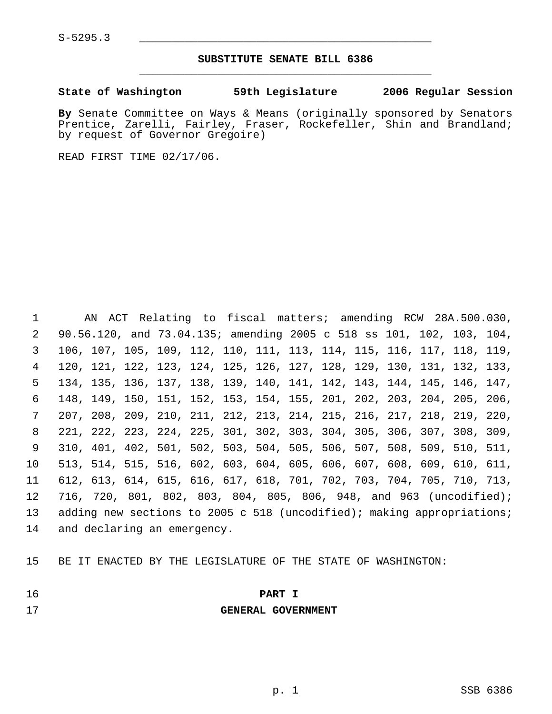## **SUBSTITUTE SENATE BILL 6386** \_\_\_\_\_\_\_\_\_\_\_\_\_\_\_\_\_\_\_\_\_\_\_\_\_\_\_\_\_\_\_\_\_\_\_\_\_\_\_\_\_\_\_\_\_

**State of Washington 59th Legislature 2006 Regular Session**

**By** Senate Committee on Ways & Means (originally sponsored by Senators Prentice, Zarelli, Fairley, Fraser, Rockefeller, Shin and Brandland; by request of Governor Gregoire)

READ FIRST TIME 02/17/06.

 AN ACT Relating to fiscal matters; amending RCW 28A.500.030, 90.56.120, and 73.04.135; amending 2005 c 518 ss 101, 102, 103, 104, 106, 107, 105, 109, 112, 110, 111, 113, 114, 115, 116, 117, 118, 119, 120, 121, 122, 123, 124, 125, 126, 127, 128, 129, 130, 131, 132, 133, 134, 135, 136, 137, 138, 139, 140, 141, 142, 143, 144, 145, 146, 147, 148, 149, 150, 151, 152, 153, 154, 155, 201, 202, 203, 204, 205, 206, 207, 208, 209, 210, 211, 212, 213, 214, 215, 216, 217, 218, 219, 220, 221, 222, 223, 224, 225, 301, 302, 303, 304, 305, 306, 307, 308, 309, 310, 401, 402, 501, 502, 503, 504, 505, 506, 507, 508, 509, 510, 511, 513, 514, 515, 516, 602, 603, 604, 605, 606, 607, 608, 609, 610, 611, 612, 613, 614, 615, 616, 617, 618, 701, 702, 703, 704, 705, 710, 713, 716, 720, 801, 802, 803, 804, 805, 806, 948, and 963 (uncodified); 13 adding new sections to 2005 c 518 (uncodified); making appropriations; and declaring an emergency.

BE IT ENACTED BY THE LEGISLATURE OF THE STATE OF WASHINGTON:

## **PART I**

**GENERAL GOVERNMENT**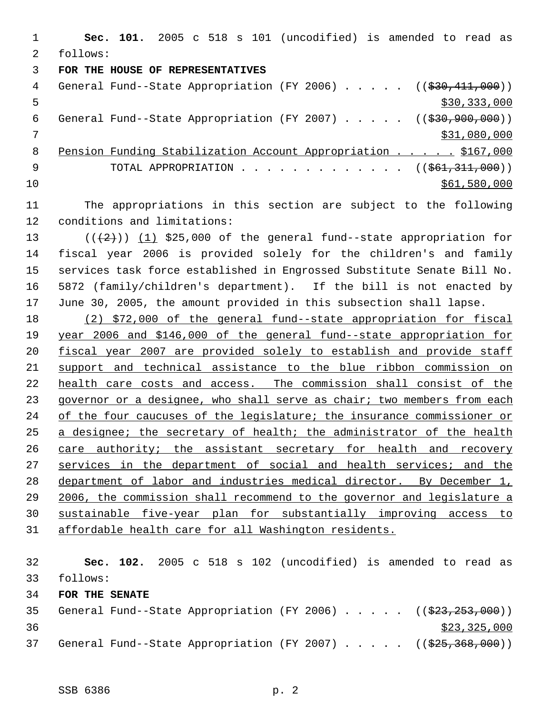**Sec. 101.** 2005 c 518 s 101 (uncodified) is amended to read as follows: **FOR THE HOUSE OF REPRESENTATIVES** 4 General Fund--State Appropriation (FY 2006) . . . . . ((\$30,411,000))  $5 - 5$   $\frac{1}{2}$   $\frac{333,000}{2}$ 6 General Fund--State Appropriation (FY 2007) . . . . . ((\$30,900,000)) \$31,080,000 Pension Funding Stabilization Account Appropriation . . . . . \$167,000 9 TOTAL APPROPRIATION . . . . . . . . . . . . . ((\$61,311,000)) \$61,580,000 \$61,580,000

- The appropriations in this section are subject to the following conditions and limitations:
- 13  $((+2))$   $(1)$  \$25,000 of the general fund--state appropriation for fiscal year 2006 is provided solely for the children's and family services task force established in Engrossed Substitute Senate Bill No. 5872 (family/children's department). If the bill is not enacted by June 30, 2005, the amount provided in this subsection shall lapse.

 (2) \$72,000 of the general fund--state appropriation for fiscal year 2006 and \$146,000 of the general fund--state appropriation for fiscal year 2007 are provided solely to establish and provide staff support and technical assistance to the blue ribbon commission on 22 health care costs and access. The commission shall consist of the 23 governor or a designee, who shall serve as chair; two members from each 24 of the four caucuses of the legislature; the insurance commissioner or 25 a designee; the secretary of health; the administrator of the health care authority; the assistant secretary for health and recovery 27 services in the department of social and health services; and the department of labor and industries medical director. By December 1, 2006, the commission shall recommend to the governor and legislature a sustainable five-year plan for substantially improving access to affordable health care for all Washington residents.

 **Sec. 102.** 2005 c 518 s 102 (uncodified) is amended to read as follows: **FOR THE SENATE** 35 General Fund--State Appropriation (FY 2006) . . . . . ((\$23,253,000)) \$23,325,000 37 General Fund--State Appropriation (FY 2007) . . . . . ((\$25,368,000))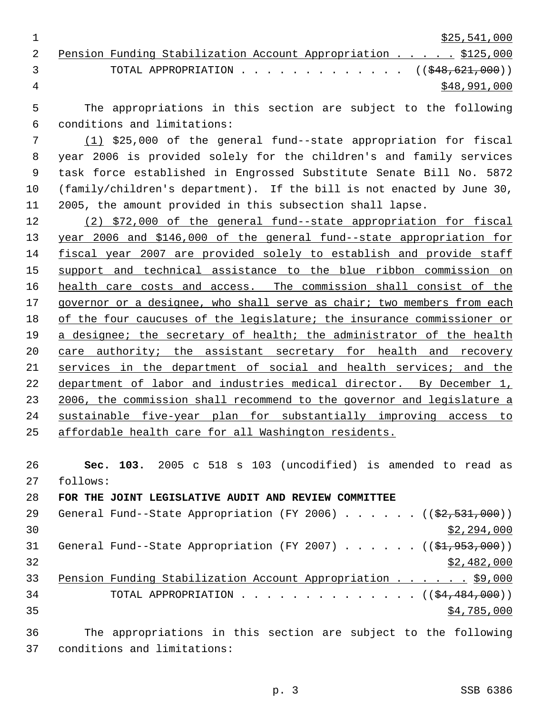\$25,541,000

|   |                                 | 2 Pension Funding Stabilization Account Appropriation \$125,000 |  |  |              |
|---|---------------------------------|-----------------------------------------------------------------|--|--|--------------|
|   | $\mathcal{R}$ and $\mathcal{R}$ | TOTAL APPROPRIATION $($ $($ \$48,621,000 $)$                    |  |  |              |
| 4 |                                 |                                                                 |  |  | \$48,991,000 |

 The appropriations in this section are subject to the following conditions and limitations:

 (1) \$25,000 of the general fund--state appropriation for fiscal year 2006 is provided solely for the children's and family services task force established in Engrossed Substitute Senate Bill No. 5872 (family/children's department). If the bill is not enacted by June 30, 2005, the amount provided in this subsection shall lapse.

 (2) \$72,000 of the general fund--state appropriation for fiscal year 2006 and \$146,000 of the general fund--state appropriation for fiscal year 2007 are provided solely to establish and provide staff 15 support and technical assistance to the blue ribbon commission on 16 health care costs and access. The commission shall consist of the governor or a designee, who shall serve as chair; two members from each of the four caucuses of the legislature; the insurance commissioner or 19 a designee; the secretary of health; the administrator of the health 20 care authority; the assistant secretary for health and recovery services in the department of social and health services; and the 22 department of labor and industries medical director. By December 1, 23 2006, the commission shall recommend to the governor and legislature a sustainable five-year plan for substantially improving access to affordable health care for all Washington residents.

 **Sec. 103.** 2005 c 518 s 103 (uncodified) is amended to read as follows:

**FOR THE JOINT LEGISLATIVE AUDIT AND REVIEW COMMITTEE**

| 29 | General Fund--State Appropriation (FY 2006) $($ $($ \$2,531,000))       |
|----|-------------------------------------------------------------------------|
| 30 | \$2,294,000                                                             |
| 31 | General Fund--State Appropriation (FY 2007) ( $(\frac{21}{7953},000)$ ) |
| 32 | \$2,482,000                                                             |
| 33 | Pension Funding Stabilization Account Appropriation \$9,000             |
| 34 | TOTAL APPROPRIATION $($ $($ \$4,484,000 $)$ )                           |
| 35 | \$4,785,000                                                             |
| 36 | The appropriations in this section are subject to the following         |

conditions and limitations: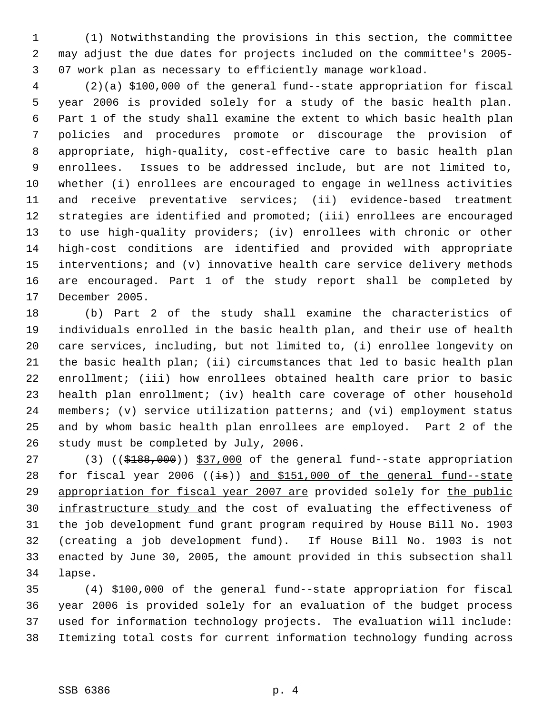(1) Notwithstanding the provisions in this section, the committee may adjust the due dates for projects included on the committee's 2005- 07 work plan as necessary to efficiently manage workload.

 (2)(a) \$100,000 of the general fund--state appropriation for fiscal year 2006 is provided solely for a study of the basic health plan. Part 1 of the study shall examine the extent to which basic health plan policies and procedures promote or discourage the provision of appropriate, high-quality, cost-effective care to basic health plan enrollees. Issues to be addressed include, but are not limited to, whether (i) enrollees are encouraged to engage in wellness activities and receive preventative services; (ii) evidence-based treatment strategies are identified and promoted; (iii) enrollees are encouraged to use high-quality providers; (iv) enrollees with chronic or other high-cost conditions are identified and provided with appropriate interventions; and (v) innovative health care service delivery methods are encouraged. Part 1 of the study report shall be completed by December 2005.

 (b) Part 2 of the study shall examine the characteristics of individuals enrolled in the basic health plan, and their use of health care services, including, but not limited to, (i) enrollee longevity on the basic health plan; (ii) circumstances that led to basic health plan enrollment; (iii) how enrollees obtained health care prior to basic health plan enrollment; (iv) health care coverage of other household members; (v) service utilization patterns; and (vi) employment status and by whom basic health plan enrollees are employed. Part 2 of the study must be completed by July, 2006.

27 (3) ((\$188,000)) \$37,000 of the general fund--state appropriation 28 for fiscal year 2006 ((is)) and \$151,000 of the general fund--state 29 appropriation for fiscal year 2007 are provided solely for the public 30 infrastructure study and the cost of evaluating the effectiveness of the job development fund grant program required by House Bill No. 1903 (creating a job development fund). If House Bill No. 1903 is not enacted by June 30, 2005, the amount provided in this subsection shall lapse.

 (4) \$100,000 of the general fund--state appropriation for fiscal year 2006 is provided solely for an evaluation of the budget process used for information technology projects. The evaluation will include: Itemizing total costs for current information technology funding across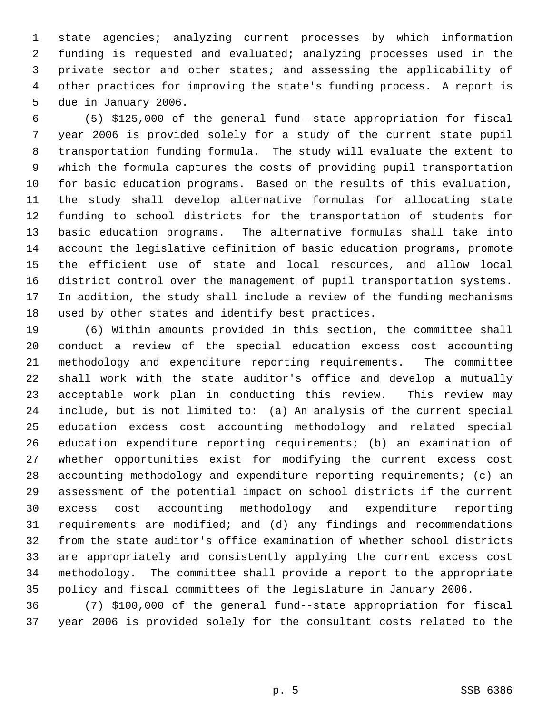state agencies; analyzing current processes by which information funding is requested and evaluated; analyzing processes used in the private sector and other states; and assessing the applicability of other practices for improving the state's funding process. A report is due in January 2006.

 (5) \$125,000 of the general fund--state appropriation for fiscal year 2006 is provided solely for a study of the current state pupil transportation funding formula. The study will evaluate the extent to which the formula captures the costs of providing pupil transportation for basic education programs. Based on the results of this evaluation, the study shall develop alternative formulas for allocating state funding to school districts for the transportation of students for basic education programs. The alternative formulas shall take into account the legislative definition of basic education programs, promote the efficient use of state and local resources, and allow local district control over the management of pupil transportation systems. In addition, the study shall include a review of the funding mechanisms used by other states and identify best practices.

 (6) Within amounts provided in this section, the committee shall conduct a review of the special education excess cost accounting methodology and expenditure reporting requirements. The committee shall work with the state auditor's office and develop a mutually acceptable work plan in conducting this review. This review may include, but is not limited to: (a) An analysis of the current special education excess cost accounting methodology and related special education expenditure reporting requirements; (b) an examination of whether opportunities exist for modifying the current excess cost accounting methodology and expenditure reporting requirements; (c) an assessment of the potential impact on school districts if the current excess cost accounting methodology and expenditure reporting requirements are modified; and (d) any findings and recommendations from the state auditor's office examination of whether school districts are appropriately and consistently applying the current excess cost methodology. The committee shall provide a report to the appropriate policy and fiscal committees of the legislature in January 2006.

 (7) \$100,000 of the general fund--state appropriation for fiscal year 2006 is provided solely for the consultant costs related to the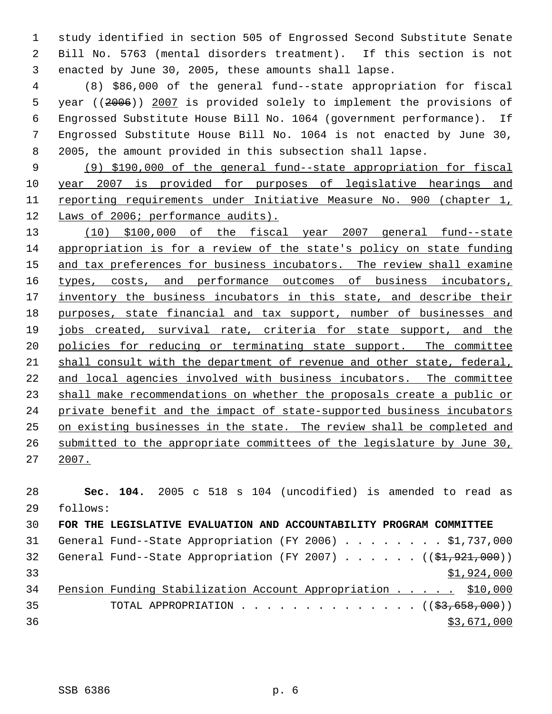study identified in section 505 of Engrossed Second Substitute Senate Bill No. 5763 (mental disorders treatment). If this section is not enacted by June 30, 2005, these amounts shall lapse.

 (8) \$86,000 of the general fund--state appropriation for fiscal year ((2006)) 2007 is provided solely to implement the provisions of Engrossed Substitute House Bill No. 1064 (government performance). If Engrossed Substitute House Bill No. 1064 is not enacted by June 30, 2005, the amount provided in this subsection shall lapse.

 (9) \$190,000 of the general fund--state appropriation for fiscal year 2007 is provided for purposes of legislative hearings and reporting requirements under Initiative Measure No. 900 (chapter 1, Laws of 2006; performance audits).

 (10) \$100,000 of the fiscal year 2007 general fund--state appropriation is for a review of the state's policy on state funding 15 and tax preferences for business incubators. The review shall examine 16 types, costs, and performance outcomes of business incubators, 17 inventory the business incubators in this state, and describe their 18 purposes, state financial and tax support, number of businesses and jobs created, survival rate, criteria for state support, and the policies for reducing or terminating state support. The committee shall consult with the department of revenue and other state, federal, and local agencies involved with business incubators. The committee shall make recommendations on whether the proposals create a public or private benefit and the impact of state-supported business incubators on existing businesses in the state. The review shall be completed and submitted to the appropriate committees of the legislature by June 30, 2007.

 **Sec. 104.** 2005 c 518 s 104 (uncodified) is amended to read as follows: **FOR THE LEGISLATIVE EVALUATION AND ACCOUNTABILITY PROGRAM COMMITTEE** 31 General Fund--State Appropriation (FY 2006) . . . . . . . \$1,737,000 32 General Fund--State Appropriation (FY 2007) . . . . .  $($   $($ \$1,921,000)) \$1,924,000 Pension Funding Stabilization Account Appropriation . . . . . \$10,000 35 TOTAL APPROPRIATION . . . . . . . . . . . . . ((\$3,658,000)) \$3,671,000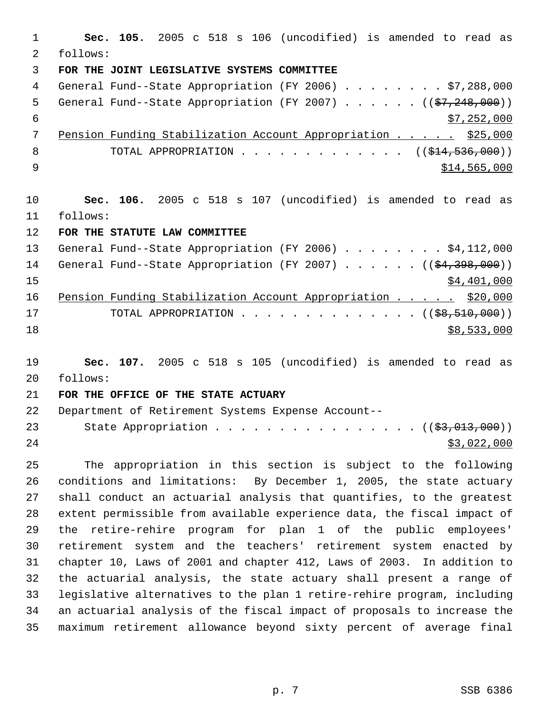**Sec. 105.** 2005 c 518 s 106 (uncodified) is amended to read as follows: **FOR THE JOINT LEGISLATIVE SYSTEMS COMMITTEE** General Fund--State Appropriation (FY 2006) . . . . . . . . \$7,288,000 5 General Fund--State Appropriation (FY 2007)  $\ldots$  . . . . ( $(\frac{27}{248},000)$ )  $\frac{1}{57}$ , 252, 000 7 Pension Funding Stabilization Account Appropriation . . . . \$25,000 8 TOTAL APPROPRIATION . . . . . . . . . . . . . ((\$14,536,000)) \$14,565,000 **Sec. 106.** 2005 c 518 s 107 (uncodified) is amended to read as follows: **FOR THE STATUTE LAW COMMITTEE** 13 General Fund--State Appropriation (FY 2006) . . . . . . . \$4,112,000 14 General Fund--State Appropriation (FY 2007) . . . . . ((\$4,398,000)) \$4,401,000 16 Pension Funding Stabilization Account Appropriation . . . . . \$20,000 17 TOTAL APPROPRIATION . . . . . . . . . . . . . . ((\$8,510,000)) \$8,533,000 **Sec. 107.** 2005 c 518 s 105 (uncodified) is amended to read as follows:

## **FOR THE OFFICE OF THE STATE ACTUARY**

 Department of Retirement Systems Expense Account-- 23 State Appropriation . . . . . . . . . . . . . . . ((\$3,013,000))  $\frac{$3,022,000}{2}$ 

 The appropriation in this section is subject to the following conditions and limitations: By December 1, 2005, the state actuary shall conduct an actuarial analysis that quantifies, to the greatest extent permissible from available experience data, the fiscal impact of the retire-rehire program for plan 1 of the public employees' retirement system and the teachers' retirement system enacted by chapter 10, Laws of 2001 and chapter 412, Laws of 2003. In addition to the actuarial analysis, the state actuary shall present a range of legislative alternatives to the plan 1 retire-rehire program, including an actuarial analysis of the fiscal impact of proposals to increase the maximum retirement allowance beyond sixty percent of average final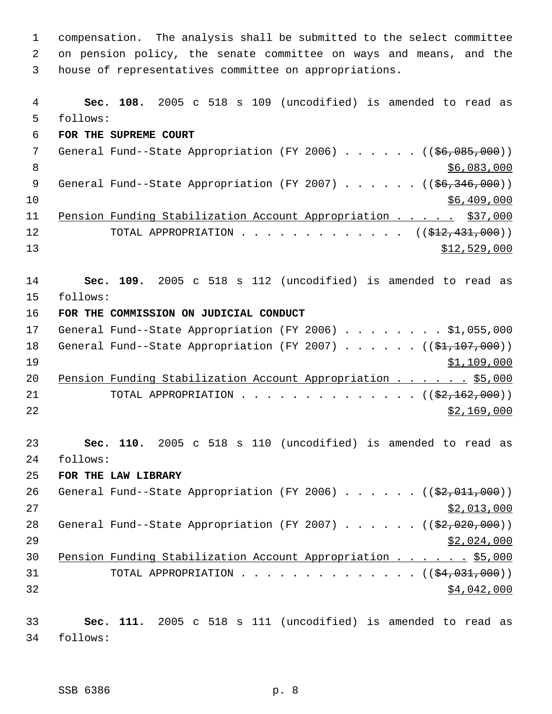compensation. The analysis shall be submitted to the select committee on pension policy, the senate committee on ways and means, and the house of representatives committee on appropriations. **Sec. 108.** 2005 c 518 s 109 (uncodified) is amended to read as follows: **FOR THE SUPREME COURT** 7 General Fund--State Appropriation (FY 2006) . . . . . . ((\$6,085,000))  $8<sup>8</sup>$  \$6,083,000 9 General Fund--State Appropriation (FY 2007) . . . . . . ((\$6,346,000)) \$6,409,000 Pension Funding Stabilization Account Appropriation . . . . . \$37,000 12 TOTAL APPROPRIATION . . . . . . . . . . . . ((<del>\$12,431,000</del>)) \$12,529,000 **Sec. 109.** 2005 c 518 s 112 (uncodified) is amended to read as follows: **FOR THE COMMISSION ON JUDICIAL CONDUCT** 17 General Fund--State Appropriation (FY 2006) . . . . . . . . \$1,055,000 18 General Fund--State Appropriation (FY 2007) . . . . . ((\$1,107,000)) \$1,109,000 20 Pension Funding Stabilization Account Appropriation . . . . . \$5,000 21 TOTAL APPROPRIATION . . . . . . . . . . . . . ((<del>\$2,162,000</del>)) \$2,169,000 **Sec. 110.** 2005 c 518 s 110 (uncodified) is amended to read as follows: **FOR THE LAW LIBRARY** 26 General Fund--State Appropriation (FY 2006)  $\ldots$  . . . . ( $(\frac{22,011,000}{2})$  \$2,013,000 28 General Fund--State Appropriation (FY 2007) . . . . . ((\$2,020,000))  $\frac{$2,024,000}{2}$ 30 Pension Funding Stabilization Account Appropriation . . . . . \$5,000 31 TOTAL APPROPRIATION . . . . . . . . . . . . . ((<del>\$4,031,000</del>)) \$4,042,000 **Sec. 111.** 2005 c 518 s 111 (uncodified) is amended to read as follows: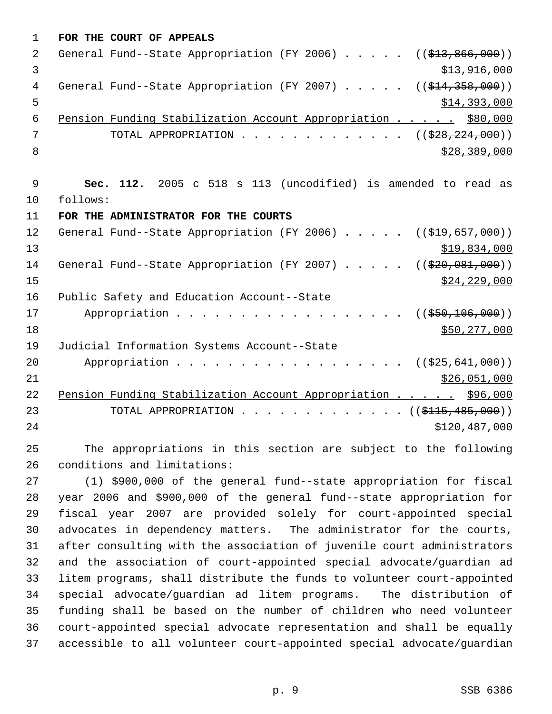| $\mathbf 1$   | FOR THE COURT OF APPEALS                                                            |
|---------------|-------------------------------------------------------------------------------------|
| $\mathcal{L}$ | General Fund--State Appropriation (FY 2006) $($ $($ \$13,866,000))                  |
| 3             | \$13,916,000                                                                        |
| 4             | General Fund--State Appropriation (FY 2007) $($ $($ $\frac{214}{358},000)$ )        |
| 5             | \$14,393,000                                                                        |
| 6             | Pension Funding Stabilization Account Appropriation \$80,000                        |
| 7             | TOTAL APPROPRIATION $\ldots$ , ( $(\frac{228}{28}, \frac{224}{290})$ )              |
| 8             | \$28,389,000                                                                        |
|               |                                                                                     |
| 9             | Sec. 112. 2005 c 518 s 113 (uncodified) is amended to read as                       |
| 10            | follows:                                                                            |
| 11            | FOR THE ADMINISTRATOR FOR THE COURTS                                                |
| 12            | General Fund--State Appropriation (FY 2006) $($ $(\frac{19}{219}, \frac{657}{600})$ |
| 13            | \$19,834,000                                                                        |
| 14            | General Fund--State Appropriation (FY 2007) $($ $($ $\frac{200}{100})$ $)$          |
| 15            | \$24, 229, 000                                                                      |
| 16            | Public Safety and Education Account--State                                          |
| 17            | Appropriation<br>((\$550,106,000))                                                  |
| 18            | \$50, 277, 000                                                                      |
| 19            | Judicial Information Systems Account--State                                         |
| 20            | Appropriation<br>((\$25,641,000))                                                   |
| 21            | \$26,051,000                                                                        |
| 22            | Pension Funding Stabilization Account Appropriation \$96,000                        |
| 23            | TOTAL APPROPRIATION $\ldots$ , ( $(\frac{\text{2115}, 485, 000}{\text{2115}})$      |
| 24            | \$120,487,000                                                                       |
|               |                                                                                     |

 The appropriations in this section are subject to the following conditions and limitations:

 (1) \$900,000 of the general fund--state appropriation for fiscal year 2006 and \$900,000 of the general fund--state appropriation for fiscal year 2007 are provided solely for court-appointed special advocates in dependency matters. The administrator for the courts, after consulting with the association of juvenile court administrators and the association of court-appointed special advocate/guardian ad litem programs, shall distribute the funds to volunteer court-appointed special advocate/guardian ad litem programs. The distribution of funding shall be based on the number of children who need volunteer court-appointed special advocate representation and shall be equally accessible to all volunteer court-appointed special advocate/guardian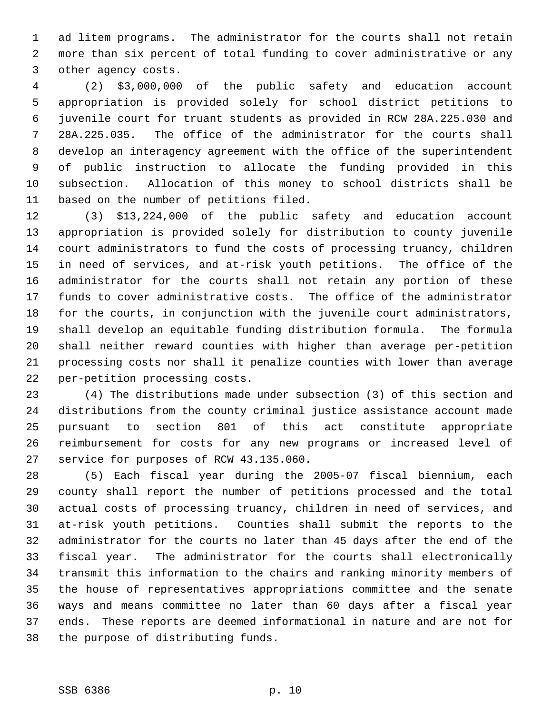ad litem programs. The administrator for the courts shall not retain more than six percent of total funding to cover administrative or any other agency costs.

 (2) \$3,000,000 of the public safety and education account appropriation is provided solely for school district petitions to juvenile court for truant students as provided in RCW 28A.225.030 and 28A.225.035. The office of the administrator for the courts shall develop an interagency agreement with the office of the superintendent of public instruction to allocate the funding provided in this subsection. Allocation of this money to school districts shall be based on the number of petitions filed.

 (3) \$13,224,000 of the public safety and education account appropriation is provided solely for distribution to county juvenile court administrators to fund the costs of processing truancy, children in need of services, and at-risk youth petitions. The office of the administrator for the courts shall not retain any portion of these funds to cover administrative costs. The office of the administrator for the courts, in conjunction with the juvenile court administrators, shall develop an equitable funding distribution formula. The formula shall neither reward counties with higher than average per-petition processing costs nor shall it penalize counties with lower than average per-petition processing costs.

 (4) The distributions made under subsection (3) of this section and distributions from the county criminal justice assistance account made pursuant to section 801 of this act constitute appropriate reimbursement for costs for any new programs or increased level of service for purposes of RCW 43.135.060.

 (5) Each fiscal year during the 2005-07 fiscal biennium, each county shall report the number of petitions processed and the total actual costs of processing truancy, children in need of services, and at-risk youth petitions. Counties shall submit the reports to the administrator for the courts no later than 45 days after the end of the fiscal year. The administrator for the courts shall electronically transmit this information to the chairs and ranking minority members of the house of representatives appropriations committee and the senate ways and means committee no later than 60 days after a fiscal year ends. These reports are deemed informational in nature and are not for the purpose of distributing funds.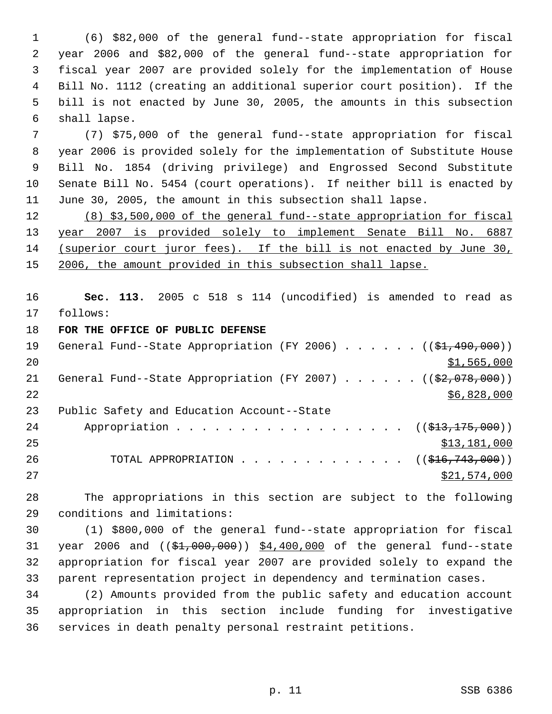(6) \$82,000 of the general fund--state appropriation for fiscal year 2006 and \$82,000 of the general fund--state appropriation for fiscal year 2007 are provided solely for the implementation of House Bill No. 1112 (creating an additional superior court position). If the bill is not enacted by June 30, 2005, the amounts in this subsection shall lapse.

 (7) \$75,000 of the general fund--state appropriation for fiscal year 2006 is provided solely for the implementation of Substitute House Bill No. 1854 (driving privilege) and Engrossed Second Substitute Senate Bill No. 5454 (court operations). If neither bill is enacted by June 30, 2005, the amount in this subsection shall lapse.

 (8) \$3,500,000 of the general fund--state appropriation for fiscal year 2007 is provided solely to implement Senate Bill No. 6887 (superior court juror fees). If the bill is not enacted by June 30, 15 2006, the amount provided in this subsection shall lapse.

 **Sec. 113.** 2005 c 518 s 114 (uncodified) is amended to read as follows:

**FOR THE OFFICE OF PUBLIC DEFENSE**

| 19 | General Fund--State Appropriation (FY 2006) $($ $(\frac{1}{21}, 490, 000))$ |
|----|-----------------------------------------------------------------------------|
| 20 | \$1,565,000                                                                 |
| 21 | General Fund--State Appropriation (FY 2007) $($ $($ \$2,078,000))           |
| 22 | \$6,828,000                                                                 |
| 23 | Public Safety and Education Account--State                                  |
| 24 | Appropriation ( $(\frac{213}{7175},000)$ )                                  |
| 25 | \$13,181,000                                                                |
| 26 | TOTAL APPROPRIATION $\ldots$ , ( $(\frac{216}{743}, 000)$ )                 |
| 27 | \$21,574,000                                                                |

 The appropriations in this section are subject to the following conditions and limitations:

 (1) \$800,000 of the general fund--state appropriation for fiscal 31 year 2006 and ((\$1,000,000)) \$4,400,000 of the general fund--state appropriation for fiscal year 2007 are provided solely to expand the parent representation project in dependency and termination cases.

 (2) Amounts provided from the public safety and education account appropriation in this section include funding for investigative services in death penalty personal restraint petitions.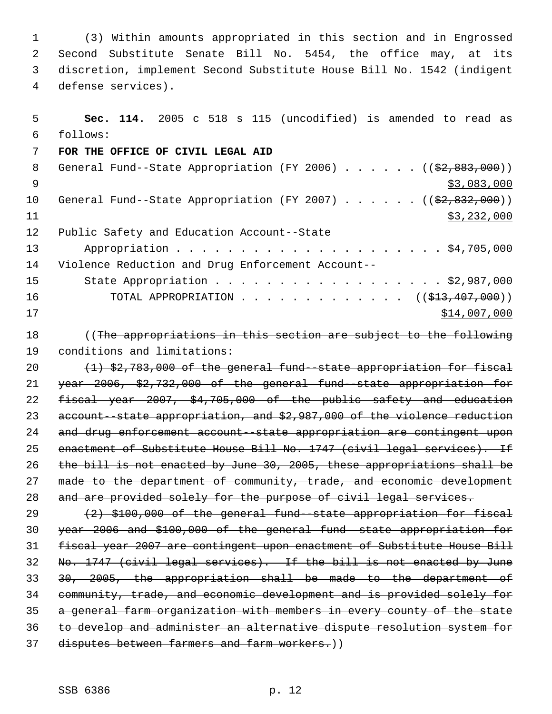(3) Within amounts appropriated in this section and in Engrossed Second Substitute Senate Bill No. 5454, the office may, at its discretion, implement Second Substitute House Bill No. 1542 (indigent defense services).

| 5      | Sec. 114. 2005 c 518 s 115 (uncodified) is amended to read as           |
|--------|-------------------------------------------------------------------------|
| 6      | follows:                                                                |
| 7      | FOR THE OFFICE OF CIVIL LEGAL AID                                       |
| $\, 8$ | General Fund--State Appropriation (FY 2006) $($ $($ \$2,883,000))       |
| 9      | \$3,083,000                                                             |
| 10     | General Fund--State Appropriation (FY 2007) $($ $($ \$2,832,000))       |
| 11     | \$3,232,000                                                             |
| 12     | Public Safety and Education Account--State                              |
| 13     |                                                                         |
| 14     | Violence Reduction and Drug Enforcement Account--                       |
| 15     | State Appropriation \$2,987,000                                         |
| 16     | TOTAL APPROPRIATION $\ldots$ , ( $(\frac{13}{713}, 407, 000)$ )         |
| 17     | \$14,007,000                                                            |
| 18     | ((The appropriations in this section are subject to the following       |
| 19     | conditions and limitations:                                             |
| 20     | (1) \$2,783,000 of the general fund--state appropriation for fiscal     |
| 21     | year 2006, \$2,732,000 of the general fund state appropriation for      |
| 22     | fiscal year 2007, \$4,705,000 of the public safety and education        |
| 23     | account--state appropriation, and \$2,987,000 of the violence reduction |
| 24     | and drug enforcement account - state appropriation are contingent upon  |
| 25     | enactment of Substitute House Bill No. 1747 (civil legal services). If  |
| 26     | the bill is not enacted by June 30, 2005, these appropriations shall be |
| 27     | made to the department of community, trade, and economic development    |
| 28     | and are provided solely for the purpose of civil legal services.        |
| 29     | (2) \$100,000 of the general fund state appropriation for fiscal        |
| 30     | year 2006 and \$100,000 of the general fund state appropriation for     |
| 31     | fiscal year 2007 are contingent upon enactment of Substitute House Bill |
| 32     | No. 1747 (civil legal services). If the bill is not enacted by June     |

 30, 2005, the appropriation shall be made to the department of community, trade, and economic development and is provided solely for

- a general farm organization with members in every county of the state
- 
- to develop and administer an alternative dispute resolution system for
- 37 disputes between farmers and farm workers.))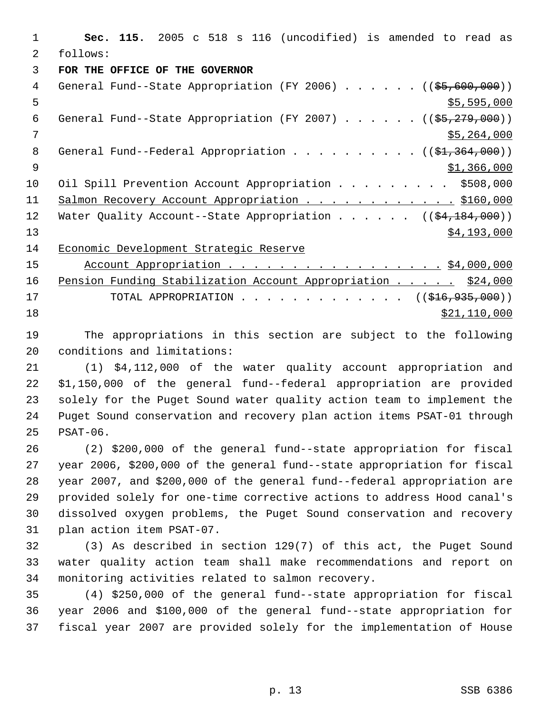**Sec. 115.** 2005 c 518 s 116 (uncodified) is amended to read as follows: **FOR THE OFFICE OF THE GOVERNOR** 4 General Fund--State Appropriation (FY 2006) . . . . . . ((\$5,600,000))  $5 - 595,000$ 6 General Fund--State Appropriation (FY 2007) . . . . .  $($   $($ \$5,279,000)) \$5,264,000 8 General Fund--Federal Appropriation . . . . . . . . .  $($   $($ \$1,364,000))  $9 \hspace{2.5cm}$  \$1,366,000 10 Oil Spill Prevention Account Appropriation . . . . . . . . \$508,000 11 Salmon Recovery Account Appropriation . . . . . . . . . . . \$160,000 12 Water Quality Account--State Appropriation . . . . . . ((\$4,184,000))  $\frac{$4,193,000}{ }$  Economic Development Strategic Reserve 15 Account Appropriation . . . . . . . . . . . . . . . . . \$4,000,000 16 Pension Funding Stabilization Account Appropriation . . . . . \$24,000 17 TOTAL APPROPRIATION . . . . . . . . . . . . . ((\$16,935,000))

\$21,110,000

 The appropriations in this section are subject to the following conditions and limitations:

 (1) \$4,112,000 of the water quality account appropriation and \$1,150,000 of the general fund--federal appropriation are provided solely for the Puget Sound water quality action team to implement the Puget Sound conservation and recovery plan action items PSAT-01 through PSAT-06.

 (2) \$200,000 of the general fund--state appropriation for fiscal year 2006, \$200,000 of the general fund--state appropriation for fiscal year 2007, and \$200,000 of the general fund--federal appropriation are provided solely for one-time corrective actions to address Hood canal's dissolved oxygen problems, the Puget Sound conservation and recovery plan action item PSAT-07.

 (3) As described in section 129(7) of this act, the Puget Sound water quality action team shall make recommendations and report on monitoring activities related to salmon recovery.

 (4) \$250,000 of the general fund--state appropriation for fiscal year 2006 and \$100,000 of the general fund--state appropriation for fiscal year 2007 are provided solely for the implementation of House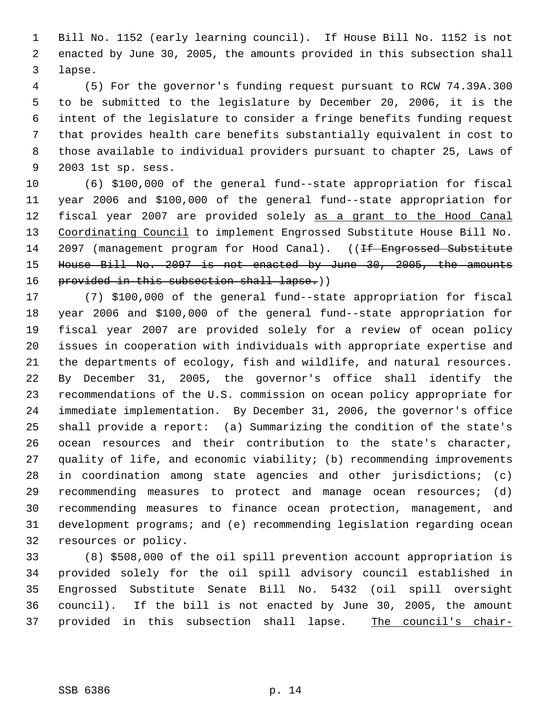Bill No. 1152 (early learning council). If House Bill No. 1152 is not enacted by June 30, 2005, the amounts provided in this subsection shall lapse.

 (5) For the governor's funding request pursuant to RCW 74.39A.300 to be submitted to the legislature by December 20, 2006, it is the intent of the legislature to consider a fringe benefits funding request that provides health care benefits substantially equivalent in cost to those available to individual providers pursuant to chapter 25, Laws of 2003 1st sp. sess.

 (6) \$100,000 of the general fund--state appropriation for fiscal year 2006 and \$100,000 of the general fund--state appropriation for fiscal year 2007 are provided solely as a grant to the Hood Canal 13 Coordinating Council to implement Engrossed Substitute House Bill No. 14 2097 (management program for Hood Canal). ((<del>If Engrossed Substitute</del> House Bill No. 2097 is not enacted by June 30, 2005, the amounts 16 provided in this subsection shall lapse.))

 (7) \$100,000 of the general fund--state appropriation for fiscal year 2006 and \$100,000 of the general fund--state appropriation for fiscal year 2007 are provided solely for a review of ocean policy issues in cooperation with individuals with appropriate expertise and the departments of ecology, fish and wildlife, and natural resources. By December 31, 2005, the governor's office shall identify the recommendations of the U.S. commission on ocean policy appropriate for immediate implementation. By December 31, 2006, the governor's office shall provide a report: (a) Summarizing the condition of the state's ocean resources and their contribution to the state's character, quality of life, and economic viability; (b) recommending improvements in coordination among state agencies and other jurisdictions; (c) recommending measures to protect and manage ocean resources; (d) recommending measures to finance ocean protection, management, and development programs; and (e) recommending legislation regarding ocean resources or policy.

 (8) \$508,000 of the oil spill prevention account appropriation is provided solely for the oil spill advisory council established in Engrossed Substitute Senate Bill No. 5432 (oil spill oversight council). If the bill is not enacted by June 30, 2005, the amount 37 provided in this subsection shall lapse. The council's chair-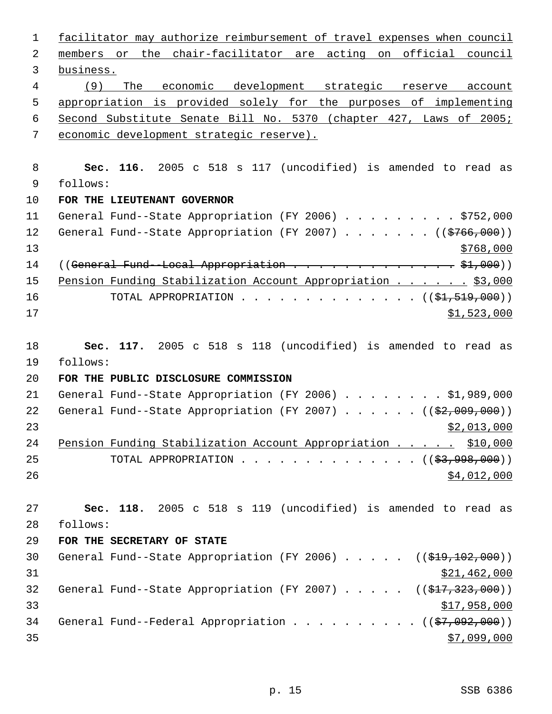| $\mathbf{1}$ | facilitator may authorize reimbursement of travel expenses when council       |
|--------------|-------------------------------------------------------------------------------|
| 2            | members or the chair-facilitator are acting on official council               |
| 3            | business.                                                                     |
| 4            | (9)<br>The economic development strategic reserve<br>account                  |
| 5            | appropriation is provided solely for the purposes of implementing             |
| 6            | Second Substitute Senate Bill No. 5370 (chapter 427, Laws of 2005;            |
| 7            | economic development strategic reserve).                                      |
|              |                                                                               |
| 8            | Sec. 116. 2005 c 518 s 117 (uncodified) is amended to read as                 |
| 9            | follows:                                                                      |
| 10           | FOR THE LIEUTENANT GOVERNOR                                                   |
| 11           | General Fund--State Appropriation (FY 2006) \$752,000                         |
| 12           | General Fund--State Appropriation (FY 2007) ( $(\frac{2766}{100})$ )          |
| 13           | \$768,000                                                                     |
| 14           |                                                                               |
| 15           | Pension Funding Stabilization Account Appropriation \$3,000                   |
| 16           | TOTAL APPROPRIATION ( $(\frac{21}{51}, 519, 000)$ )                           |
| 17           | \$1,523,000                                                                   |
|              |                                                                               |
| 18           | Sec. 117. 2005 c 518 s 118 (uncodified) is amended to read as                 |
| 19           | follows:                                                                      |
| 20           | FOR THE PUBLIC DISCLOSURE COMMISSION                                          |
| 21           | General Fund--State Appropriation (FY 2006) \$1,989,000                       |
| 22           | General Fund--State Appropriation (FY 2007) ( $(\frac{2}{92}, 009, 000)$ )    |
| 23           | \$2,013,000                                                                   |
| 24           | Pension Funding Stabilization Account Appropriation \$10,000                  |
| 25           | TOTAL APPROPRIATION $($ $(\frac{27}{2}, \frac{998}{200}) )$                   |
| 26           | \$4,012,000                                                                   |
|              |                                                                               |
| 27           | Sec. 118. 2005 c 518 s 119 (uncodified) is amended to read as                 |
| 28           | follows:                                                                      |
| 29           | FOR THE SECRETARY OF STATE                                                    |
| 30           | General Fund--State Appropriation (FY 2006) $($ $($ \$19,102,000))            |
| 31           | \$21,462,000                                                                  |
| 32           | General Fund--State Appropriation (FY 2007) $($ $($ $\frac{217}{223}$ , 000)) |
| 33           | \$17,958,000                                                                  |
| 34           | General Fund--Federal Appropriation $($ $($ \$7,092,000) $)$                  |
| 35           | \$7,099,000                                                                   |
|              |                                                                               |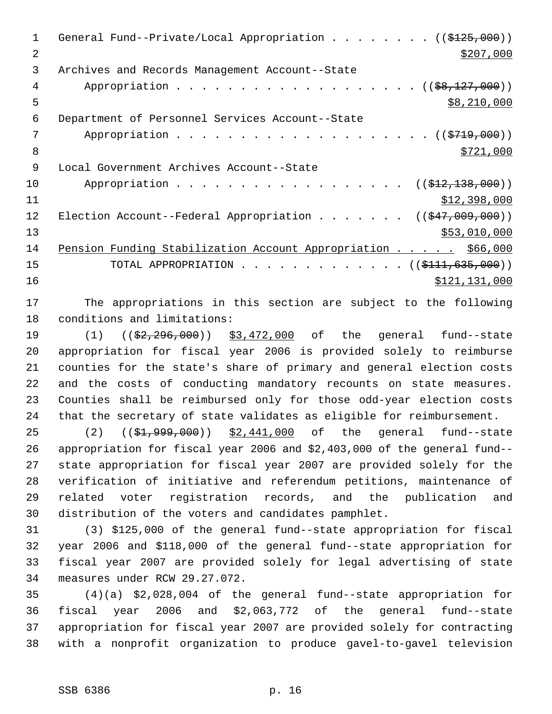| $\mathbf 1$ | General Fund--Private/Local Appropriation ( $(\frac{2125}{125},000)$ )     |
|-------------|----------------------------------------------------------------------------|
| 2           | \$207,000                                                                  |
| 3           | Archives and Records Management Account--State                             |
| 4           | Appropriation ((\$8,127,000))                                              |
| 5           | \$8,210,000                                                                |
| 6           | Department of Personnel Services Account--State                            |
| 7           |                                                                            |
| 8           | \$721,000                                                                  |
| 9           | Local Government Archives Account--State                                   |
| 10          | Appropriation<br>$((\$12,138,000))$                                        |
| 11          | \$12,398,000                                                               |
| 12          | Election Account--Federal Appropriation ( $(\frac{247,009,000}{\cdots})$ ) |
| 13          | \$53,010,000                                                               |
| 14          | Pension Funding Stabilization Account Appropriation \$66,000               |
| 15          | TOTAL APPROPRIATION $($ $($ \$111,635,000) $)$                             |
| 16          | \$121, 131, 000                                                            |
|             |                                                                            |

 The appropriations in this section are subject to the following conditions and limitations:

19 (1) (( $\frac{2}{2}$ , 296, 000)) \$3, 472, 000 of the general fund--state appropriation for fiscal year 2006 is provided solely to reimburse counties for the state's share of primary and general election costs and the costs of conducting mandatory recounts on state measures. Counties shall be reimbursed only for those odd-year election costs that the secretary of state validates as eligible for reimbursement.

25 (2) ((\$1,999,000)) \$2,441,000 of the general fund--state appropriation for fiscal year 2006 and \$2,403,000 of the general fund-- state appropriation for fiscal year 2007 are provided solely for the verification of initiative and referendum petitions, maintenance of related voter registration records, and the publication and distribution of the voters and candidates pamphlet.

 (3) \$125,000 of the general fund--state appropriation for fiscal year 2006 and \$118,000 of the general fund--state appropriation for fiscal year 2007 are provided solely for legal advertising of state measures under RCW 29.27.072.

 (4)(a) \$2,028,004 of the general fund--state appropriation for fiscal year 2006 and \$2,063,772 of the general fund--state appropriation for fiscal year 2007 are provided solely for contracting with a nonprofit organization to produce gavel-to-gavel television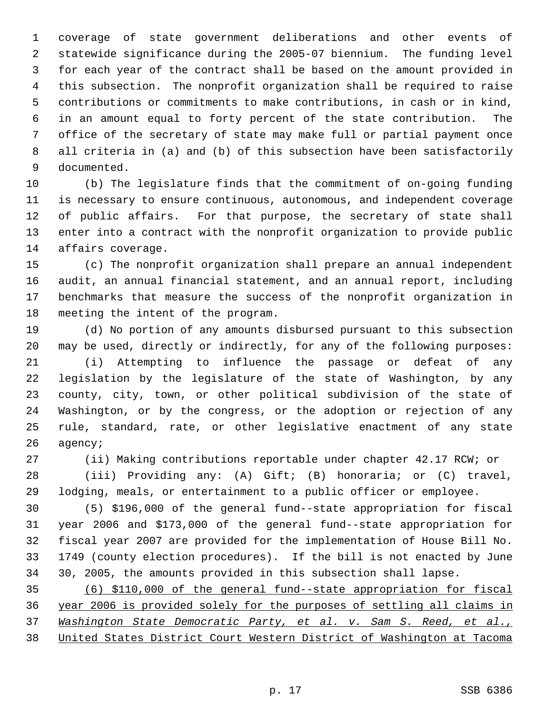coverage of state government deliberations and other events of statewide significance during the 2005-07 biennium. The funding level for each year of the contract shall be based on the amount provided in this subsection. The nonprofit organization shall be required to raise contributions or commitments to make contributions, in cash or in kind, in an amount equal to forty percent of the state contribution. The office of the secretary of state may make full or partial payment once all criteria in (a) and (b) of this subsection have been satisfactorily documented.

 (b) The legislature finds that the commitment of on-going funding is necessary to ensure continuous, autonomous, and independent coverage of public affairs. For that purpose, the secretary of state shall enter into a contract with the nonprofit organization to provide public affairs coverage.

 (c) The nonprofit organization shall prepare an annual independent audit, an annual financial statement, and an annual report, including benchmarks that measure the success of the nonprofit organization in meeting the intent of the program.

 (d) No portion of any amounts disbursed pursuant to this subsection may be used, directly or indirectly, for any of the following purposes:

 (i) Attempting to influence the passage or defeat of any legislation by the legislature of the state of Washington, by any county, city, town, or other political subdivision of the state of Washington, or by the congress, or the adoption or rejection of any rule, standard, rate, or other legislative enactment of any state agency;

(ii) Making contributions reportable under chapter 42.17 RCW; or

 (iii) Providing any: (A) Gift; (B) honoraria; or (C) travel, lodging, meals, or entertainment to a public officer or employee.

 (5) \$196,000 of the general fund--state appropriation for fiscal year 2006 and \$173,000 of the general fund--state appropriation for fiscal year 2007 are provided for the implementation of House Bill No. 1749 (county election procedures). If the bill is not enacted by June 30, 2005, the amounts provided in this subsection shall lapse.

 (6) \$110,000 of the general fund--state appropriation for fiscal year 2006 is provided solely for the purposes of settling all claims in *Washington State Democratic Party, et al. v. Sam S. Reed, et al.,* United States District Court Western District of Washington at Tacoma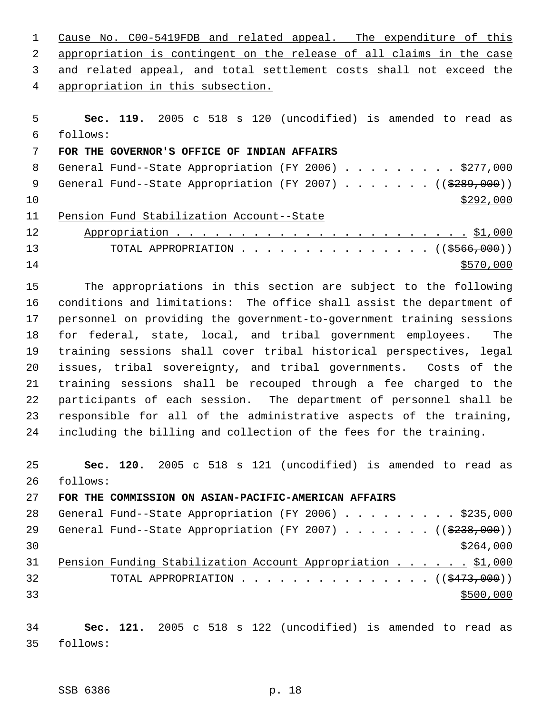Cause No. C00-5419FDB and related appeal. The expenditure of this appropriation is contingent on the release of all claims in the case and related appeal, and total settlement costs shall not exceed the appropriation in this subsection.

 **Sec. 119.** 2005 c 518 s 120 (uncodified) is amended to read as follows: **FOR THE GOVERNOR'S OFFICE OF INDIAN AFFAIRS** 8 General Fund--State Appropriation (FY 2006) . . . . . . . . \$277,000 9 General Fund--State Appropriation (FY 2007) . . . . . . ((\$289,000))  $\frac{$292,000}{ }$  Pension Fund Stabilization Account--State Appropriation . . . . . . . . . . . . . . . . . . . . . . . \$1,000 13 TOTAL APPROPRIATION . . . . . . . . . . . . . . ((\$566,000))  $\frac{$570,000}{ }$ 

 The appropriations in this section are subject to the following conditions and limitations: The office shall assist the department of personnel on providing the government-to-government training sessions for federal, state, local, and tribal government employees. The training sessions shall cover tribal historical perspectives, legal issues, tribal sovereignty, and tribal governments. Costs of the training sessions shall be recouped through a fee charged to the participants of each session. The department of personnel shall be responsible for all of the administrative aspects of the training, including the billing and collection of the fees for the training.

 **Sec. 120.** 2005 c 518 s 121 (uncodified) is amended to read as follows:

**FOR THE COMMISSION ON ASIAN-PACIFIC-AMERICAN AFFAIRS**

28 General Fund--State Appropriation (FY 2006) . . . . . . . . \$235,000 29 General Fund--State Appropriation (FY 2007) . . . . . . ((\$238,000))  $\frac{$264,000}{ }$  Pension Funding Stabilization Account Appropriation . . . . . . \$1,000 32 TOTAL APPROPRIATION . . . . . . . . . . . . . . ((\$473,000))  $\frac{$500,000}{900}$ 

 **Sec. 121.** 2005 c 518 s 122 (uncodified) is amended to read as follows: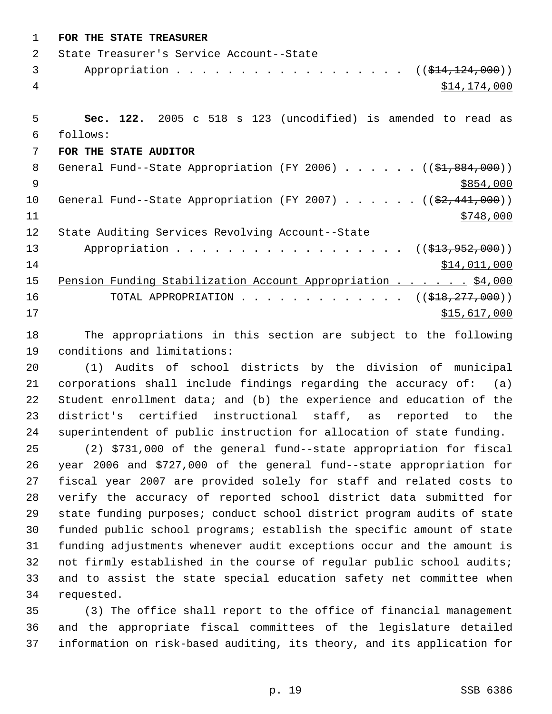| $\mathbf 1$    | FOR THE STATE TREASURER                                                     |
|----------------|-----------------------------------------------------------------------------|
| $\overline{2}$ | State Treasurer's Service Account--State                                    |
| 3              | Appropriation $($ $($ $\frac{14}{7124}, 000) )$                             |
| $\overline{4}$ | \$14,174,000                                                                |
|                |                                                                             |
| 5              | Sec. 122. 2005 c 518 s 123 (uncodified) is amended to read as               |
| 6              | follows:                                                                    |
| 7              | FOR THE STATE AUDITOR                                                       |
| 8              | General Fund--State Appropriation (FY 2006) $($ $($ \$1,884,000))           |
| 9              | \$854,000                                                                   |
| 10             | General Fund--State Appropriation (FY 2007) $($ $(\frac{2}{7}, 441, 000) )$ |
| 11             | \$748,000                                                                   |
| 12             | State Auditing Services Revolving Account--State                            |
| 13             | Appropriation ( $(\frac{213}{7952}, 900)$ )                                 |
| 14             | \$14,011,000                                                                |
| 15             | Pension Funding Stabilization Account Appropriation \$4,000                 |
| 16             | TOTAL APPROPRIATION $\ldots$ , ( $(\frac{218}{777}, \frac{277}{900})$ )     |
| 17             | \$15,617,000                                                                |
| 18             | The appropriations in this section are subject to the following             |

 (1) Audits of school districts by the division of municipal corporations shall include findings regarding the accuracy of: (a) Student enrollment data; and (b) the experience and education of the district's certified instructional staff, as reported to the superintendent of public instruction for allocation of state funding.

conditions and limitations:

 (2) \$731,000 of the general fund--state appropriation for fiscal year 2006 and \$727,000 of the general fund--state appropriation for fiscal year 2007 are provided solely for staff and related costs to verify the accuracy of reported school district data submitted for state funding purposes; conduct school district program audits of state funded public school programs; establish the specific amount of state funding adjustments whenever audit exceptions occur and the amount is not firmly established in the course of regular public school audits; and to assist the state special education safety net committee when requested.

 (3) The office shall report to the office of financial management and the appropriate fiscal committees of the legislature detailed information on risk-based auditing, its theory, and its application for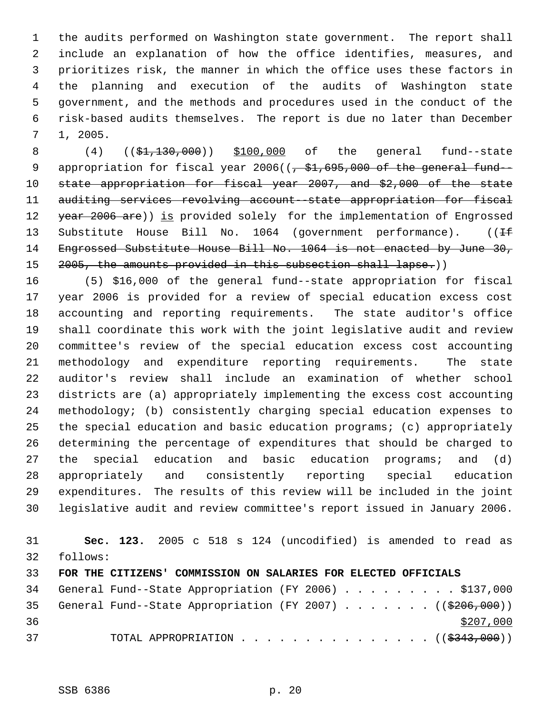the audits performed on Washington state government. The report shall include an explanation of how the office identifies, measures, and prioritizes risk, the manner in which the office uses these factors in the planning and execution of the audits of Washington state government, and the methods and procedures used in the conduct of the risk-based audits themselves. The report is due no later than December 1, 2005.

8 (4) ((\$1,130,000)) \$100,000 of the general fund--state 9 appropriation for fiscal year ( $\left(-\frac{1}{2}, \frac{1}{6}$ ,  $\frac{1}{6}$ )  $\frac{1}{200}$  of the general fund- state appropriation for fiscal year 2007, and \$2,000 of the state auditing services revolving account--state appropriation for fiscal 12 year 2006 are)) is provided solely for the implementation of Engrossed 13 Substitute House Bill No. 1064 (government performance). ((If Engrossed Substitute House Bill No. 1064 is not enacted by June 30, 15 2005, the amounts provided in this subsection shall lapse.))

 (5) \$16,000 of the general fund--state appropriation for fiscal year 2006 is provided for a review of special education excess cost accounting and reporting requirements. The state auditor's office shall coordinate this work with the joint legislative audit and review committee's review of the special education excess cost accounting methodology and expenditure reporting requirements. The state auditor's review shall include an examination of whether school districts are (a) appropriately implementing the excess cost accounting methodology; (b) consistently charging special education expenses to the special education and basic education programs; (c) appropriately determining the percentage of expenditures that should be charged to the special education and basic education programs; and (d) appropriately and consistently reporting special education expenditures. The results of this review will be included in the joint legislative audit and review committee's report issued in January 2006.

 **Sec. 123.** 2005 c 518 s 124 (uncodified) is amended to read as follows: **FOR THE CITIZENS' COMMISSION ON SALARIES FOR ELECTED OFFICIALS** 34 General Fund--State Appropriation (FY 2006) . . . . . . . . \$137,000 35 General Fund--State Appropriation (FY 2007)  $\ldots$  . . . . ((\$206,000)) 37 TOTAL APPROPRIATION . . . . . . . . . . . . . . ((\$343,000))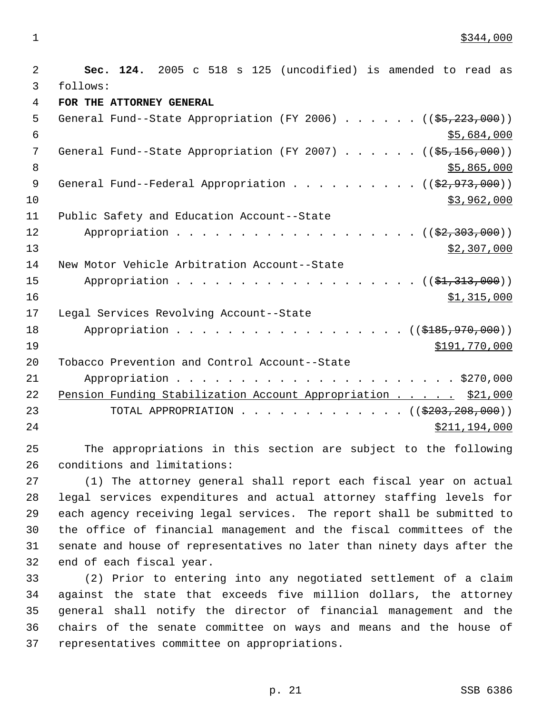$\frac{$344,000}{ }$ 

 2 **Sec. 124.** 2005 c 518 s 125 (uncodified) is amended to read as 3 follows: 4 **FOR THE ATTORNEY GENERAL** 5 General Fund--State Appropriation (FY 2006) . . . . . . ((\$5,223,000))  $\frac{1}{5}$ ,684,000 7 General Fund--State Appropriation (FY 2007) . . . . . ((\$5,156,000))  $8 \div 5,865,000$ 9 General Fund--Federal Appropriation . . . . . . . . . ((\$2,973,000))  $10$  \$3,962,000 11 Public Safety and Education Account--State 12 Appropriation . . . . . . . . . . . . . . . . . (  $(\frac{2}{2}, \frac{303}{000})$  )  $\frac{13}{2}$  307,000 14 New Motor Vehicle Arbitration Account--State 15 Appropriation . . . . . . . . . . . . . . . . . (  $(\frac{1}{2}, 313, 000)$  )  $\frac{$1,315,000}{ }$ 17 Legal Services Revolving Account--State 18 Appropriation . . . . . . . . . . . . . . . . ((\$185,970,000)) 19 \$191,770,000 \$191,770,000 \$191,770,000 \$191,770,000 \$191,770,000 \$191,770,000 \$191,770,000 \$191, 20 Tobacco Prevention and Control Account--State 21 Appropriation . . . . . . . . . . . . . . . . . . . . . . \$270,000 22 Pension Funding Stabilization Account Appropriation . . . . . \$21,000 23 TOTAL APPROPRIATION . . . . . . . . . . . . . ((\$203,208,000)) 24 \$211,194,000

25 The appropriations in this section are subject to the following 26 conditions and limitations:

 (1) The attorney general shall report each fiscal year on actual legal services expenditures and actual attorney staffing levels for each agency receiving legal services. The report shall be submitted to the office of financial management and the fiscal committees of the senate and house of representatives no later than ninety days after the end of each fiscal year.

 (2) Prior to entering into any negotiated settlement of a claim against the state that exceeds five million dollars, the attorney general shall notify the director of financial management and the chairs of the senate committee on ways and means and the house of representatives committee on appropriations.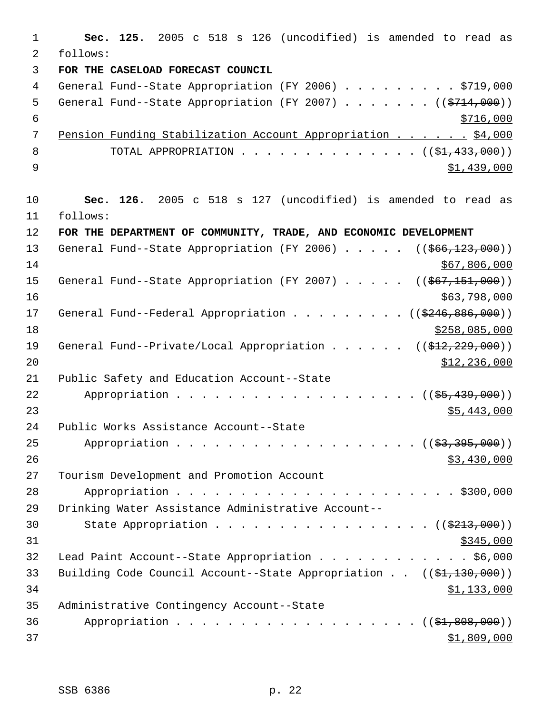1 **Sec. 125.** 2005 c 518 s 126 (uncodified) is amended to read as 2 follows: 3 **FOR THE CASELOAD FORECAST COUNCIL** 4 General Fund--State Appropriation (FY 2006) . . . . . . . . \$719,000 5 General Fund--State Appropriation (FY 2007) . . . . . . ((\$714,000))  $\frac{$716,000}{ }$  7 Pension Funding Stabilization Account Appropriation . . . . . . \$4,000 8 TOTAL APPROPRIATION . . . . . . . . . . . . . ((<del>\$1,433,000</del>))  $9 \hspace{2.5cm}$  \$1,439,000 10 **Sec. 126.** 2005 c 518 s 127 (uncodified) is amended to read as 11 follows: 12 **FOR THE DEPARTMENT OF COMMUNITY, TRADE, AND ECONOMIC DEVELOPMENT** 13 General Fund--State Appropriation (FY 2006) . . . . . ((\$66,123,000))  $14$  \$67,806,000 15 General Fund--State Appropriation (FY 2007) . . . . . ((\$67,151,000))  $16$  \$63,798,000 17 General Fund--Federal Appropriation . . . . . . . . ((\$246,886,000)) 18 \$258,085,000 19 General Fund--Private/Local Appropriation . . . . . ((\$12,229,000))  $\text{12, 236, 000}$ 21 Public Safety and Education Account--State 22 Appropriation . . . . . . . . . . . . . . . . . ((\$5,439,000))  $23$  \$5,443,000 24 Public Works Assistance Account--State 25 Appropriation . . . . . . . . . . . . . . . . . (  $(\frac{23}{3}, \frac{395}{600})$  )  $26$  \$3,430,000 27 Tourism Development and Promotion Account 28 Appropriation . . . . . . . . . . . . . . . . . . . . . . \$300,000 29 Drinking Water Assistance Administrative Account-- 30 State Appropriation . . . . . . . . . . . . . . . ((\$213,000))  $31$  \$345,000 32 Lead Paint Account--State Appropriation . . . . . . . . . . . . \$6,000 33 Building Code Council Account--State Appropriation . . ((\$1,130,000)) 34 \$1,133,000 35 Administrative Contingency Account--State 36 Appropriation . . . . . . . . . . . . . . . . . (  $(\frac{21,808,000}{1})$  $37$   $\frac{$1,809,000}{9}$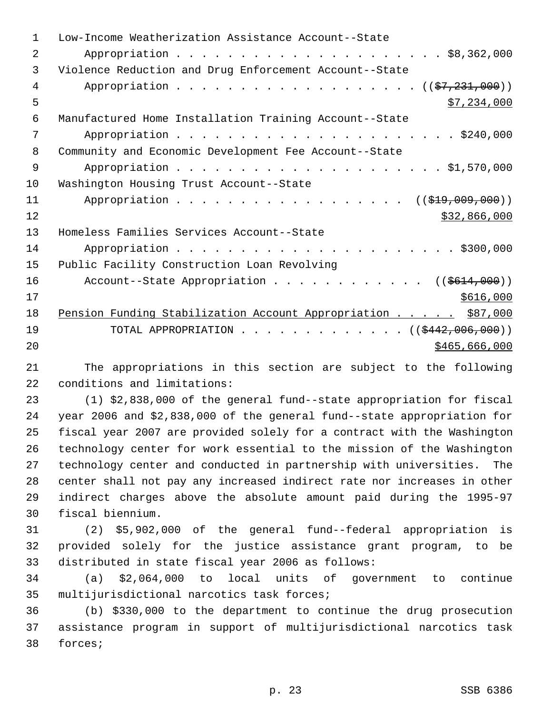| 1  | Low-Income Weatherization Assistance Account--State              |
|----|------------------------------------------------------------------|
| 2  |                                                                  |
| 3  | Violence Reduction and Drug Enforcement Account--State           |
| 4  | Appropriation $($ $(\frac{27}{231},000))$                        |
| 5  | \$7,234,000                                                      |
| 6  | Manufactured Home Installation Training Account--State           |
| 7  |                                                                  |
| 8  | Community and Economic Development Fee Account--State            |
| 9  |                                                                  |
| 10 | Washington Housing Trust Account--State                          |
| 11 | Appropriation<br>((\$19,009,000))                                |
| 12 | \$32,866,000                                                     |
| 13 | Homeless Families Services Account--State                        |
| 14 |                                                                  |
| 15 | Public Facility Construction Loan Revolving                      |
| 16 | Account--State Appropriation ( $(\frac{2614,000}{1})$            |
| 17 | \$616,000                                                        |
| 18 | Pension Funding Stabilization Account Appropriation \$87,000     |
| 19 | TOTAL APPROPRIATION $\ldots$ , ( $(\frac{2442,006,000}{\cdots})$ |
| 20 | \$465,666,000                                                    |

 The appropriations in this section are subject to the following conditions and limitations:

 (1) \$2,838,000 of the general fund--state appropriation for fiscal year 2006 and \$2,838,000 of the general fund--state appropriation for fiscal year 2007 are provided solely for a contract with the Washington technology center for work essential to the mission of the Washington technology center and conducted in partnership with universities. The center shall not pay any increased indirect rate nor increases in other indirect charges above the absolute amount paid during the 1995-97 fiscal biennium.

 (2) \$5,902,000 of the general fund--federal appropriation is provided solely for the justice assistance grant program, to be distributed in state fiscal year 2006 as follows:

 (a) \$2,064,000 to local units of government to continue multijurisdictional narcotics task forces;

 (b) \$330,000 to the department to continue the drug prosecution assistance program in support of multijurisdictional narcotics task forces;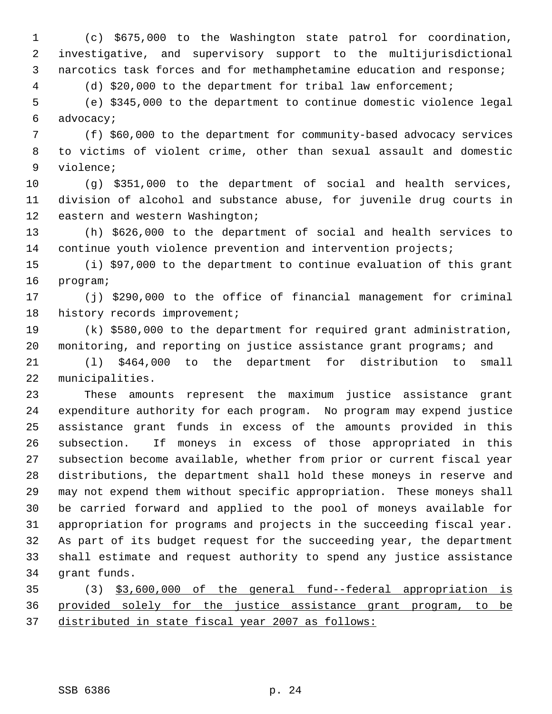(c) \$675,000 to the Washington state patrol for coordination, investigative, and supervisory support to the multijurisdictional narcotics task forces and for methamphetamine education and response;

(d) \$20,000 to the department for tribal law enforcement;

 (e) \$345,000 to the department to continue domestic violence legal advocacy;

 (f) \$60,000 to the department for community-based advocacy services to victims of violent crime, other than sexual assault and domestic violence;

 (g) \$351,000 to the department of social and health services, division of alcohol and substance abuse, for juvenile drug courts in eastern and western Washington;

 (h) \$626,000 to the department of social and health services to continue youth violence prevention and intervention projects;

 (i) \$97,000 to the department to continue evaluation of this grant program;

 (j) \$290,000 to the office of financial management for criminal 18 history records improvement;

 (k) \$580,000 to the department for required grant administration, monitoring, and reporting on justice assistance grant programs; and

 (l) \$464,000 to the department for distribution to small municipalities.

 These amounts represent the maximum justice assistance grant expenditure authority for each program. No program may expend justice assistance grant funds in excess of the amounts provided in this subsection. If moneys in excess of those appropriated in this subsection become available, whether from prior or current fiscal year distributions, the department shall hold these moneys in reserve and may not expend them without specific appropriation. These moneys shall be carried forward and applied to the pool of moneys available for appropriation for programs and projects in the succeeding fiscal year. As part of its budget request for the succeeding year, the department shall estimate and request authority to spend any justice assistance grant funds.

 (3) \$3,600,000 of the general fund--federal appropriation is provided solely for the justice assistance grant program, to be distributed in state fiscal year 2007 as follows: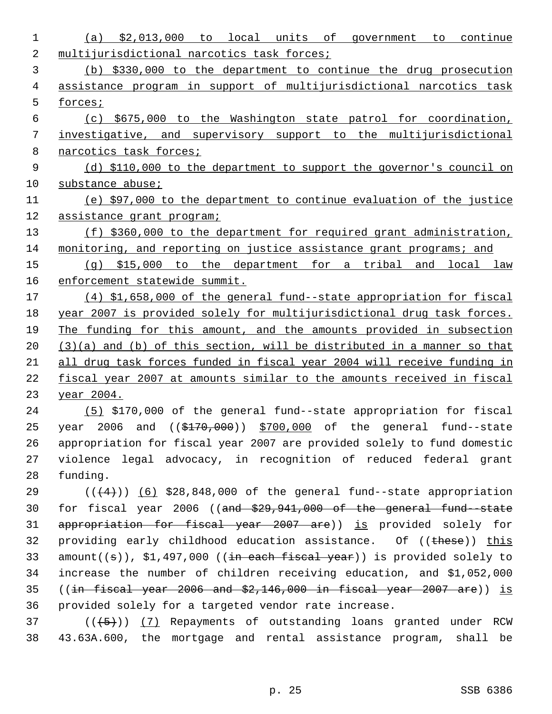| 1  | (a) $$2,013,000$ to local units of government to continue                                   |
|----|---------------------------------------------------------------------------------------------|
| 2  | multijurisdictional narcotics task forces;                                                  |
| 3  | (b) \$330,000 to the department to continue the drug prosecution                            |
| 4  | assistance program in support of multijurisdictional narcotics task                         |
| 5  | forces;                                                                                     |
| 6  | (c) \$675,000 to the Washington state patrol for coordination,                              |
| 7  | investigative, and supervisory support to the multijurisdictional                           |
| 8  | narcotics task forces;                                                                      |
| 9  | (d) \$110,000 to the department to support the governor's council on                        |
| 10 | substance abuse;                                                                            |
| 11 | (e) \$97,000 to the department to continue evaluation of the justice                        |
| 12 | assistance grant program;                                                                   |
| 13 | (f) \$360,000 to the department for required grant administration,                          |
| 14 | monitoring, and reporting on justice assistance grant programs; and                         |
| 15 | $(q)$ \$15,000 to the department for a tribal and local law                                 |
| 16 | enforcement statewide summit.                                                               |
| 17 | (4) \$1,658,000 of the general fund--state appropriation for fiscal                         |
| 18 | year 2007 is provided solely for multijurisdictional drug task forces.                      |
| 19 | The funding for this amount, and the amounts provided in subsection                         |
| 20 | $(3)(a)$ and (b) of this section, will be distributed in a manner so that                   |
| 21 | all drug task forces funded in fiscal year 2004 will receive funding in                     |
| 22 | fiscal year 2007 at amounts similar to the amounts received in fiscal                       |
| 23 | <u>year 2004.</u>                                                                           |
| 24 | (5) \$170,000 of the general fund--state appropriation for fiscal                           |
| 25 | and $($ $(*170,000)$ $*700,000$ of the general fund--state<br>year 2006                     |
| 26 | appropriation for fiscal year 2007 are provided solely to fund domestic                     |
| 27 | violence legal advocacy, in recognition of reduced federal grant                            |
| 28 | funding.                                                                                    |
| 29 | $((+4))$ (6) \$28,848,000 of the general fund--state appropriation                          |
| 30 | for fiscal year 2006 ((and $$29,941,000$ of the general fund state                          |
| 31 | appropriation for fiscal year 2007 are)) is provided solely for                             |
| 32 | providing early childhood education assistance. Of ((these)) this                           |
| 33 | $amount((\theta))$ , \$1,497,000 (( <del>in each fiscal year</del> )) is provided solely to |
| 34 | increase the number of children receiving education, and \$1,052,000                        |
| 35 | $((in-{\it fixed}\xrightarrow{year} 2006$ and $$2,146,000$ in fiscal year 2007 are)) is     |
| 36 | provided solely for a targeted vendor rate increase.                                        |
| 37 | $((+5))$ (7) Repayments of outstanding loans granted under RCW                              |
| 38 | 43.63A.600, the mortgage and rental assistance program, shall be                            |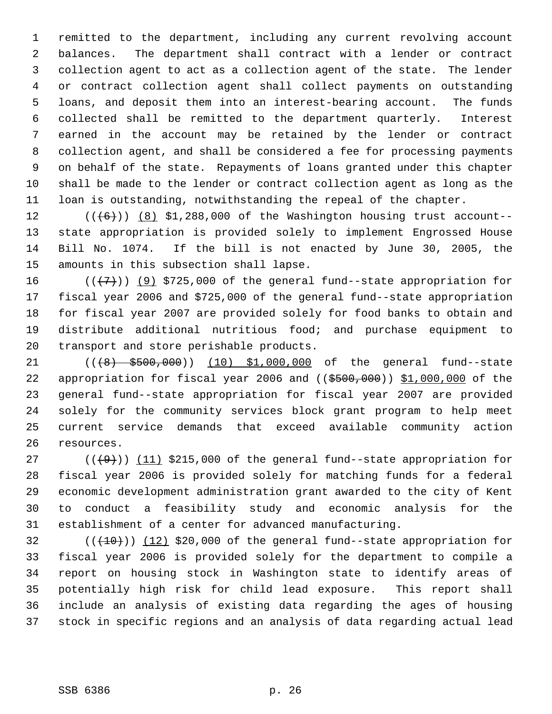remitted to the department, including any current revolving account balances. The department shall contract with a lender or contract collection agent to act as a collection agent of the state. The lender or contract collection agent shall collect payments on outstanding loans, and deposit them into an interest-bearing account. The funds collected shall be remitted to the department quarterly. Interest earned in the account may be retained by the lender or contract collection agent, and shall be considered a fee for processing payments on behalf of the state. Repayments of loans granted under this chapter shall be made to the lender or contract collection agent as long as the loan is outstanding, notwithstanding the repeal of the chapter.

 $((\langle 6 \rangle) )$  (8) \$1,288,000 of the Washington housing trust account-- state appropriation is provided solely to implement Engrossed House Bill No. 1074. If the bill is not enacted by June 30, 2005, the amounts in this subsection shall lapse.

 $((\langle 7 \rangle)(9)$  \$725,000 of the general fund--state appropriation for fiscal year 2006 and \$725,000 of the general fund--state appropriation for fiscal year 2007 are provided solely for food banks to obtain and distribute additional nutritious food; and purchase equipment to transport and store perishable products.

21 (( $\left(48\right)$  \$500,000)) (10) \$1,000,000 of the general fund--state 22 appropriation for fiscal year 2006 and  $((\frac{2500}{100}, 000))$  \$1,000,000 of the general fund--state appropriation for fiscal year 2007 are provided solely for the community services block grant program to help meet current service demands that exceed available community action resources.

 $((+9))$   $(11)$  \$215,000 of the general fund--state appropriation for fiscal year 2006 is provided solely for matching funds for a federal economic development administration grant awarded to the city of Kent to conduct a feasibility study and economic analysis for the establishment of a center for advanced manufacturing.

 $((+10))$  (12) \$20,000 of the general fund--state appropriation for fiscal year 2006 is provided solely for the department to compile a report on housing stock in Washington state to identify areas of potentially high risk for child lead exposure. This report shall include an analysis of existing data regarding the ages of housing stock in specific regions and an analysis of data regarding actual lead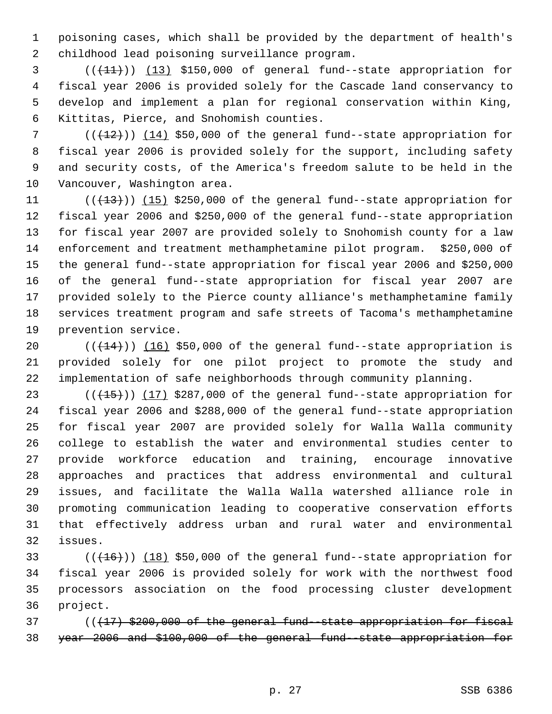poisoning cases, which shall be provided by the department of health's childhood lead poisoning surveillance program.

 $($  ( $(11)$ ) (13) \$150,000 of general fund--state appropriation for fiscal year 2006 is provided solely for the Cascade land conservancy to develop and implement a plan for regional conservation within King, Kittitas, Pierce, and Snohomish counties.

7 (( $(12)$ )) (14) \$50,000 of the general fund--state appropriation for fiscal year 2006 is provided solely for the support, including safety and security costs, of the America's freedom salute to be held in the Vancouver, Washington area.

 $((+13))$   $(15)$  \$250,000 of the general fund--state appropriation for fiscal year 2006 and \$250,000 of the general fund--state appropriation for fiscal year 2007 are provided solely to Snohomish county for a law enforcement and treatment methamphetamine pilot program. \$250,000 of the general fund--state appropriation for fiscal year 2006 and \$250,000 of the general fund--state appropriation for fiscal year 2007 are provided solely to the Pierce county alliance's methamphetamine family services treatment program and safe streets of Tacoma's methamphetamine prevention service.

 $((+14))$   $(16)$  \$50,000 of the general fund--state appropriation is provided solely for one pilot project to promote the study and implementation of safe neighborhoods through community planning.

 $((+15))$   $(17)$  \$287,000 of the general fund--state appropriation for fiscal year 2006 and \$288,000 of the general fund--state appropriation for fiscal year 2007 are provided solely for Walla Walla community college to establish the water and environmental studies center to provide workforce education and training, encourage innovative approaches and practices that address environmental and cultural issues, and facilitate the Walla Walla watershed alliance role in promoting communication leading to cooperative conservation efforts that effectively address urban and rural water and environmental issues.

 $((+16))$   $(18)$  \$50,000 of the general fund--state appropriation for fiscal year 2006 is provided solely for work with the northwest food processors association on the food processing cluster development project.

 $((17)$  \$200,000 of the general fund-state appropriation for fiscal year 2006 and \$100,000 of the general fund--state appropriation for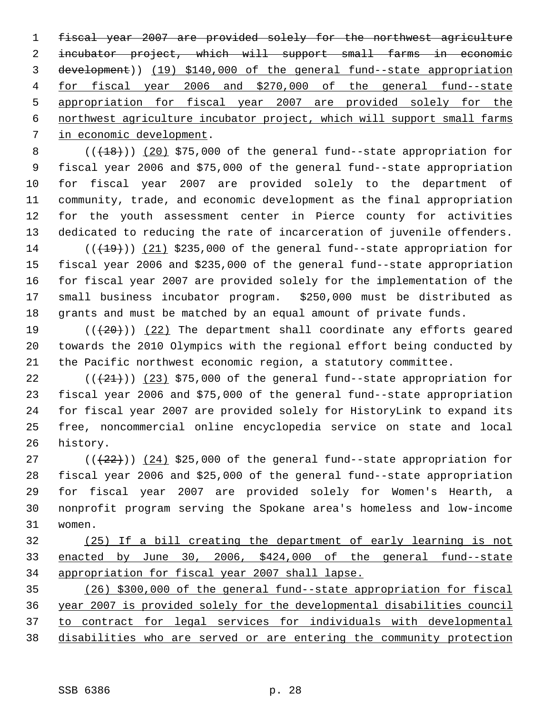fiscal year 2007 are provided solely for the northwest agriculture incubator project, which will support small farms in economic development)) (19) \$140,000 of the general fund--state appropriation for fiscal year 2006 and \$270,000 of the general fund--state appropriation for fiscal year 2007 are provided solely for the northwest agriculture incubator project, which will support small farms in economic development.

 $((+18))$   $(20)$  \$75,000 of the general fund--state appropriation for fiscal year 2006 and \$75,000 of the general fund--state appropriation for fiscal year 2007 are provided solely to the department of community, trade, and economic development as the final appropriation for the youth assessment center in Pierce county for activities dedicated to reducing the rate of incarceration of juvenile offenders.  $((+19))$  (21) \$235,000 of the general fund--state appropriation for fiscal year 2006 and \$235,000 of the general fund--state appropriation for fiscal year 2007 are provided solely for the implementation of the small business incubator program. \$250,000 must be distributed as

 grants and must be matched by an equal amount of private funds.  $((+20))$   $(22)$  The department shall coordinate any efforts geared towards the 2010 Olympics with the regional effort being conducted by the Pacific northwest economic region, a statutory committee.

 $((+21))$   $(23)$  \$75,000 of the general fund--state appropriation for fiscal year 2006 and \$75,000 of the general fund--state appropriation for fiscal year 2007 are provided solely for HistoryLink to expand its free, noncommercial online encyclopedia service on state and local history.

 $((22))$   $(24)$  \$25,000 of the general fund--state appropriation for fiscal year 2006 and \$25,000 of the general fund--state appropriation for fiscal year 2007 are provided solely for Women's Hearth, a nonprofit program serving the Spokane area's homeless and low-income women.

 (25) If a bill creating the department of early learning is not enacted by June 30, 2006, \$424,000 of the general fund--state appropriation for fiscal year 2007 shall lapse.

 (26) \$300,000 of the general fund--state appropriation for fiscal year 2007 is provided solely for the developmental disabilities council to contract for legal services for individuals with developmental disabilities who are served or are entering the community protection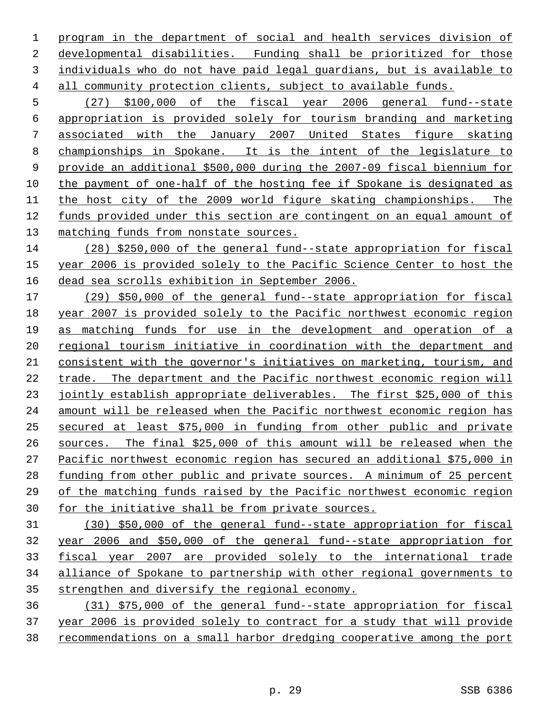program in the department of social and health services division of developmental disabilities. Funding shall be prioritized for those individuals who do not have paid legal guardians, but is available to all community protection clients, subject to available funds.

 (27) \$100,000 of the fiscal year 2006 general fund--state appropriation is provided solely for tourism branding and marketing associated with the January 2007 United States figure skating championships in Spokane. It is the intent of the legislature to provide an additional \$500,000 during the 2007-09 fiscal biennium for the payment of one-half of the hosting fee if Spokane is designated as the host city of the 2009 world figure skating championships. The funds provided under this section are contingent on an equal amount of matching funds from nonstate sources.

 (28) \$250,000 of the general fund--state appropriation for fiscal year 2006 is provided solely to the Pacific Science Center to host the dead sea scrolls exhibition in September 2006.

 (29) \$50,000 of the general fund--state appropriation for fiscal year 2007 is provided solely to the Pacific northwest economic region as matching funds for use in the development and operation of a regional tourism initiative in coordination with the department and consistent with the governor's initiatives on marketing, tourism, and trade. The department and the Pacific northwest economic region will 23 jointly establish appropriate deliverables. The first \$25,000 of this amount will be released when the Pacific northwest economic region has secured at least \$75,000 in funding from other public and private sources. The final \$25,000 of this amount will be released when the Pacific northwest economic region has secured an additional \$75,000 in 28 funding from other public and private sources. A minimum of 25 percent 29 of the matching funds raised by the Pacific northwest economic region for the initiative shall be from private sources.

 (30) \$50,000 of the general fund--state appropriation for fiscal year 2006 and \$50,000 of the general fund--state appropriation for fiscal year 2007 are provided solely to the international trade alliance of Spokane to partnership with other regional governments to strengthen and diversify the regional economy.

 (31) \$75,000 of the general fund--state appropriation for fiscal year 2006 is provided solely to contract for a study that will provide recommendations on a small harbor dredging cooperative among the port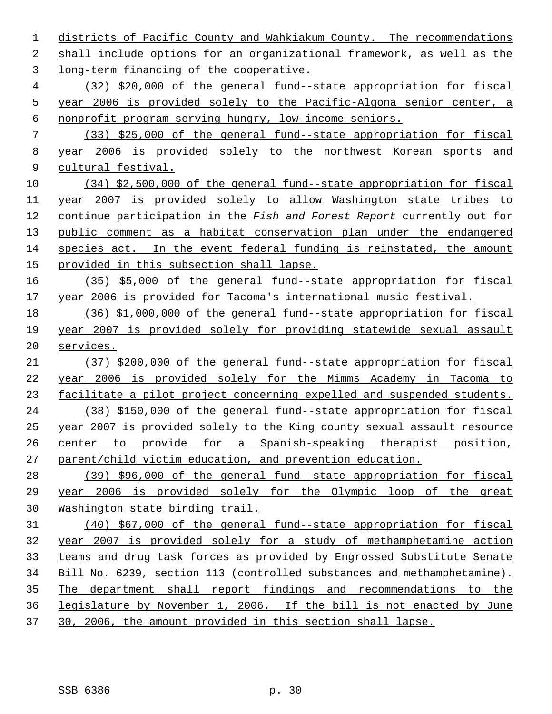districts of Pacific County and Wahkiakum County. The recommendations shall include options for an organizational framework, as well as the long-term financing of the cooperative. (32) \$20,000 of the general fund--state appropriation for fiscal year 2006 is provided solely to the Pacific-Algona senior center, a nonprofit program serving hungry, low-income seniors. (33) \$25,000 of the general fund--state appropriation for fiscal year 2006 is provided solely to the northwest Korean sports and cultural festival. (34) \$2,500,000 of the general fund--state appropriation for fiscal year 2007 is provided solely to allow Washington state tribes to continue participation in the *Fish and Forest Report* currently out for public comment as a habitat conservation plan under the endangered species act. In the event federal funding is reinstated, the amount provided in this subsection shall lapse. (35) \$5,000 of the general fund--state appropriation for fiscal year 2006 is provided for Tacoma's international music festival. (36) \$1,000,000 of the general fund--state appropriation for fiscal year 2007 is provided solely for providing statewide sexual assault services. (37) \$200,000 of the general fund--state appropriation for fiscal year 2006 is provided solely for the Mimms Academy in Tacoma to facilitate a pilot project concerning expelled and suspended students. (38) \$150,000 of the general fund--state appropriation for fiscal year 2007 is provided solely to the King county sexual assault resource center to provide for a Spanish-speaking therapist position, parent/child victim education, and prevention education. (39) \$96,000 of the general fund--state appropriation for fiscal year 2006 is provided solely for the Olympic loop of the great Washington state birding trail. (40) \$67,000 of the general fund--state appropriation for fiscal year 2007 is provided solely for a study of methamphetamine action teams and drug task forces as provided by Engrossed Substitute Senate Bill No. 6239, section 113 (controlled substances and methamphetamine). The department shall report findings and recommendations to the legislature by November 1, 2006. If the bill is not enacted by June 30, 2006, the amount provided in this section shall lapse.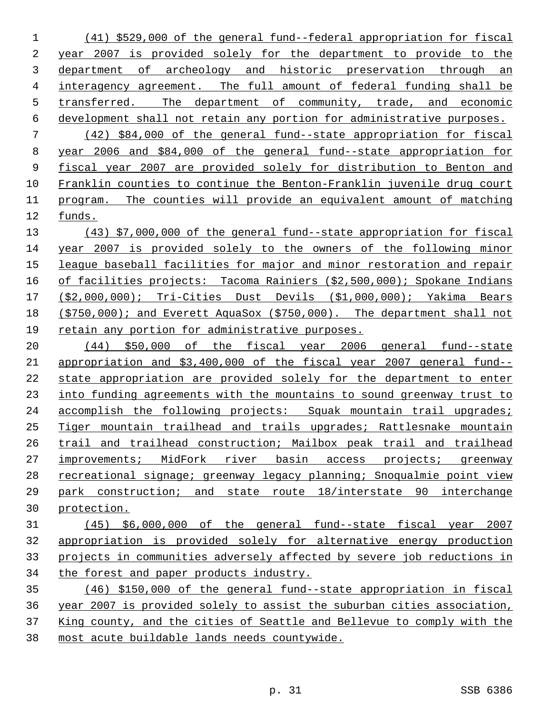(41) \$529,000 of the general fund--federal appropriation for fiscal year 2007 is provided solely for the department to provide to the department of archeology and historic preservation through an interagency agreement. The full amount of federal funding shall be transferred. The department of community, trade, and economic development shall not retain any portion for administrative purposes. (42) \$84,000 of the general fund--state appropriation for fiscal year 2006 and \$84,000 of the general fund--state appropriation for fiscal year 2007 are provided solely for distribution to Benton and Franklin counties to continue the Benton-Franklin juvenile drug court program. The counties will provide an equivalent amount of matching funds.

 (43) \$7,000,000 of the general fund--state appropriation for fiscal year 2007 is provided solely to the owners of the following minor league baseball facilities for major and minor restoration and repair 16 of facilities projects: Tacoma Rainiers (\$2,500,000); Spokane Indians (\$2,000,000); Tri-Cities Dust Devils (\$1,000,000); Yakima Bears (\$750,000); and Everett AquaSox (\$750,000). The department shall not retain any portion for administrative purposes.

 (44) \$50,000 of the fiscal year 2006 general fund--state appropriation and \$3,400,000 of the fiscal year 2007 general fund-- state appropriation are provided solely for the department to enter into funding agreements with the mountains to sound greenway trust to accomplish the following projects: Squak mountain trail upgrades; Tiger mountain trailhead and trails upgrades; Rattlesnake mountain trail and trailhead construction; Mailbox peak trail and trailhead improvements; MidFork river basin access projects; greenway recreational signage; greenway legacy planning; Snoqualmie point view park construction; and state route 18/interstate 90 interchange protection.

## (45) \$6,000,000 of the general fund--state fiscal year 2007 appropriation is provided solely for alternative energy production projects in communities adversely affected by severe job reductions in the forest and paper products industry.

 (46) \$150,000 of the general fund--state appropriation in fiscal year 2007 is provided solely to assist the suburban cities association, King county, and the cities of Seattle and Bellevue to comply with the most acute buildable lands needs countywide.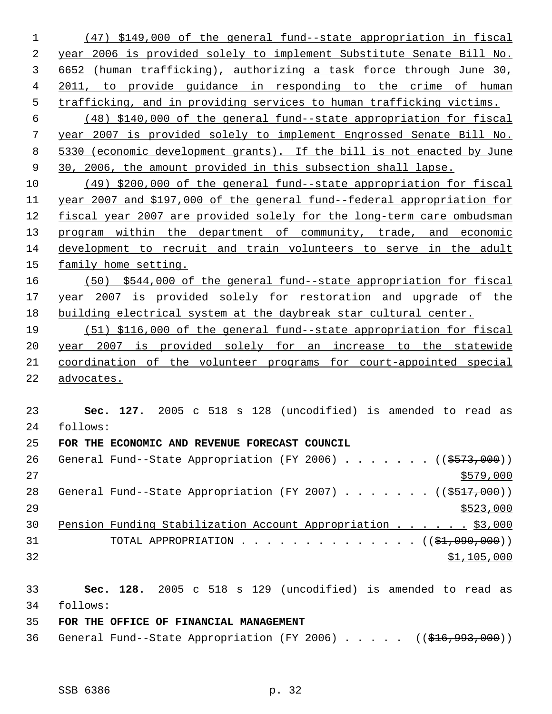(47) \$149,000 of the general fund--state appropriation in fiscal year 2006 is provided solely to implement Substitute Senate Bill No. 6652 (human trafficking), authorizing a task force through June 30, 2011, to provide guidance in responding to the crime of human trafficking, and in providing services to human trafficking victims. (48) \$140,000 of the general fund--state appropriation for fiscal year 2007 is provided solely to implement Engrossed Senate Bill No. 5330 (economic development grants). If the bill is not enacted by June 30, 2006, the amount provided in this subsection shall lapse. (49) \$200,000 of the general fund--state appropriation for fiscal year 2007 and \$197,000 of the general fund--federal appropriation for fiscal year 2007 are provided solely for the long-term care ombudsman 13 program within the department of community, trade, and economic development to recruit and train volunteers to serve in the adult family home setting. (50) \$544,000 of the general fund--state appropriation for fiscal year 2007 is provided solely for restoration and upgrade of the building electrical system at the daybreak star cultural center. (51) \$116,000 of the general fund--state appropriation for fiscal year 2007 is provided solely for an increase to the statewide coordination of the volunteer programs for court-appointed special advocates. **Sec. 127.** 2005 c 518 s 128 (uncodified) is amended to read as follows: **FOR THE ECONOMIC AND REVENUE FORECAST COUNCIL** 26 General Fund--State Appropriation (FY 2006) . . . . . . ((\$573,000)) 28 General Fund--State Appropriation (FY 2007) . . . . . . ((\$517,000)) 30 Pension Funding Stabilization Account Appropriation . . . . . \$3,000 31 TOTAL APPROPRIATION . . . . . . . . . . . . . . ((\$1,090,000)) \$1,105,000 **Sec. 128.** 2005 c 518 s 129 (uncodified) is amended to read as follows: **FOR THE OFFICE OF FINANCIAL MANAGEMENT**

36 General Fund--State Appropriation (FY 2006) . . . . . ((\$16,993,000))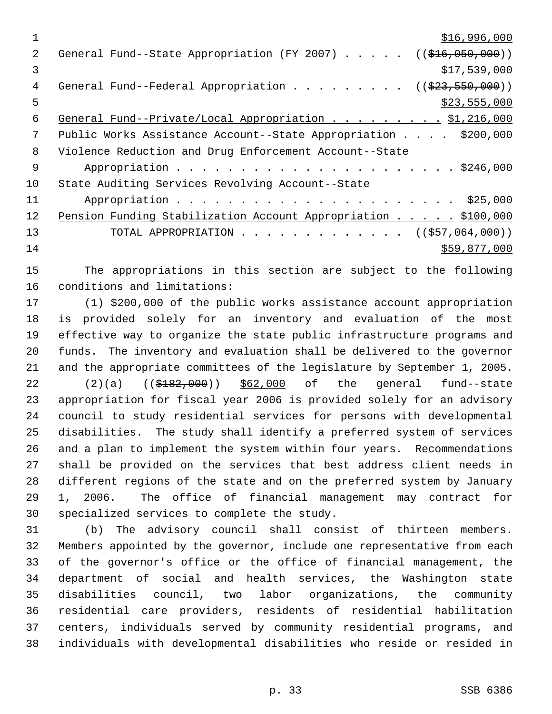|    | \$16,996,000                                                                |
|----|-----------------------------------------------------------------------------|
| 2. | General Fund--State Appropriation (FY 2007) $($ $($ \$16,050,000))          |
| 3  | \$17,539,000                                                                |
| 4  | General Fund--Federal Appropriation ( $(\frac{23}{523}, \frac{550}{900})$ ) |
| 5  | \$23,555,000                                                                |
| 6  | General Fund--Private/Local Appropriation \$1,216,000                       |
| 7  | Public Works Assistance Account--State Appropriation \$200,000              |
| 8  | Violence Reduction and Drug Enforcement Account--State                      |
| 9  |                                                                             |
| 10 | State Auditing Services Revolving Account--State                            |
| 11 |                                                                             |
| 12 | Pension Funding Stabilization Account Appropriation \$100,000               |
| 13 | TOTAL APPROPRIATION ( $(\frac{257}{1000})$ )                                |
| 14 | \$59,877,000                                                                |

 The appropriations in this section are subject to the following conditions and limitations:

 (1) \$200,000 of the public works assistance account appropriation is provided solely for an inventory and evaluation of the most effective way to organize the state public infrastructure programs and funds. The inventory and evaluation shall be delivered to the governor and the appropriate committees of the legislature by September 1, 2005. 22 (2)(a) ((\$182,000)) \$62,000 of the general fund--state appropriation for fiscal year 2006 is provided solely for an advisory council to study residential services for persons with developmental disabilities. The study shall identify a preferred system of services and a plan to implement the system within four years. Recommendations shall be provided on the services that best address client needs in different regions of the state and on the preferred system by January 1, 2006. The office of financial management may contract for specialized services to complete the study.

 (b) The advisory council shall consist of thirteen members. Members appointed by the governor, include one representative from each of the governor's office or the office of financial management, the department of social and health services, the Washington state disabilities council, two labor organizations, the community residential care providers, residents of residential habilitation centers, individuals served by community residential programs, and individuals with developmental disabilities who reside or resided in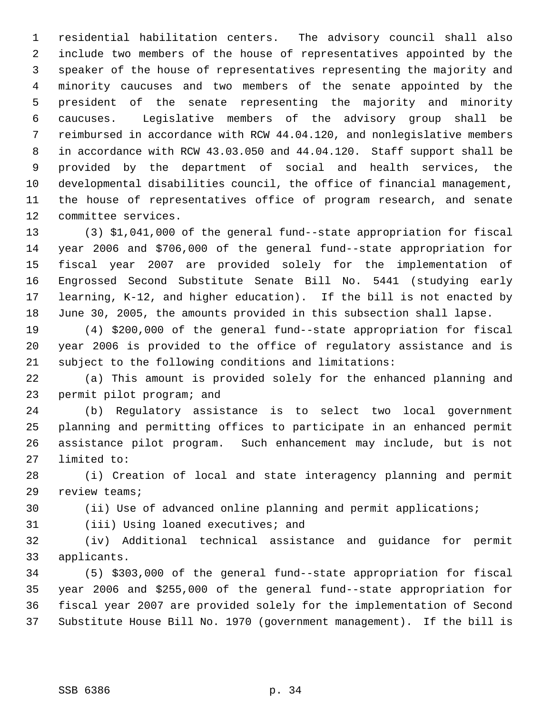residential habilitation centers. The advisory council shall also include two members of the house of representatives appointed by the speaker of the house of representatives representing the majority and minority caucuses and two members of the senate appointed by the president of the senate representing the majority and minority caucuses. Legislative members of the advisory group shall be reimbursed in accordance with RCW 44.04.120, and nonlegislative members in accordance with RCW 43.03.050 and 44.04.120. Staff support shall be provided by the department of social and health services, the developmental disabilities council, the office of financial management, the house of representatives office of program research, and senate committee services.

 (3) \$1,041,000 of the general fund--state appropriation for fiscal year 2006 and \$706,000 of the general fund--state appropriation for fiscal year 2007 are provided solely for the implementation of Engrossed Second Substitute Senate Bill No. 5441 (studying early learning, K-12, and higher education). If the bill is not enacted by June 30, 2005, the amounts provided in this subsection shall lapse.

 (4) \$200,000 of the general fund--state appropriation for fiscal year 2006 is provided to the office of regulatory assistance and is subject to the following conditions and limitations:

 (a) This amount is provided solely for the enhanced planning and permit pilot program; and

 (b) Regulatory assistance is to select two local government planning and permitting offices to participate in an enhanced permit assistance pilot program. Such enhancement may include, but is not limited to:

 (i) Creation of local and state interagency planning and permit review teams;

(ii) Use of advanced online planning and permit applications;

(iii) Using loaned executives; and

 (iv) Additional technical assistance and guidance for permit applicants.

 (5) \$303,000 of the general fund--state appropriation for fiscal year 2006 and \$255,000 of the general fund--state appropriation for fiscal year 2007 are provided solely for the implementation of Second Substitute House Bill No. 1970 (government management). If the bill is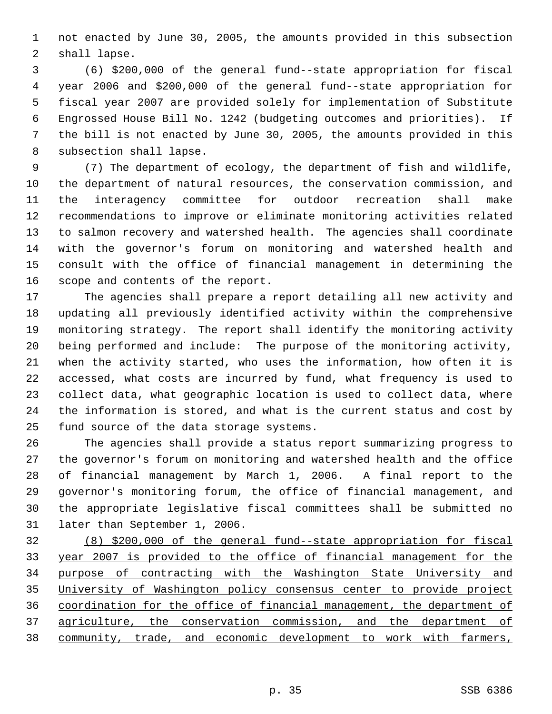not enacted by June 30, 2005, the amounts provided in this subsection shall lapse.

 (6) \$200,000 of the general fund--state appropriation for fiscal year 2006 and \$200,000 of the general fund--state appropriation for fiscal year 2007 are provided solely for implementation of Substitute Engrossed House Bill No. 1242 (budgeting outcomes and priorities). If the bill is not enacted by June 30, 2005, the amounts provided in this subsection shall lapse.

 (7) The department of ecology, the department of fish and wildlife, the department of natural resources, the conservation commission, and the interagency committee for outdoor recreation shall make recommendations to improve or eliminate monitoring activities related to salmon recovery and watershed health. The agencies shall coordinate with the governor's forum on monitoring and watershed health and consult with the office of financial management in determining the scope and contents of the report.

 The agencies shall prepare a report detailing all new activity and updating all previously identified activity within the comprehensive monitoring strategy. The report shall identify the monitoring activity being performed and include: The purpose of the monitoring activity, when the activity started, who uses the information, how often it is accessed, what costs are incurred by fund, what frequency is used to collect data, what geographic location is used to collect data, where the information is stored, and what is the current status and cost by fund source of the data storage systems.

 The agencies shall provide a status report summarizing progress to the governor's forum on monitoring and watershed health and the office of financial management by March 1, 2006. A final report to the governor's monitoring forum, the office of financial management, and the appropriate legislative fiscal committees shall be submitted no later than September 1, 2006.

 (8) \$200,000 of the general fund--state appropriation for fiscal year 2007 is provided to the office of financial management for the purpose of contracting with the Washington State University and University of Washington policy consensus center to provide project coordination for the office of financial management, the department of agriculture, the conservation commission, and the department of community, trade, and economic development to work with farmers,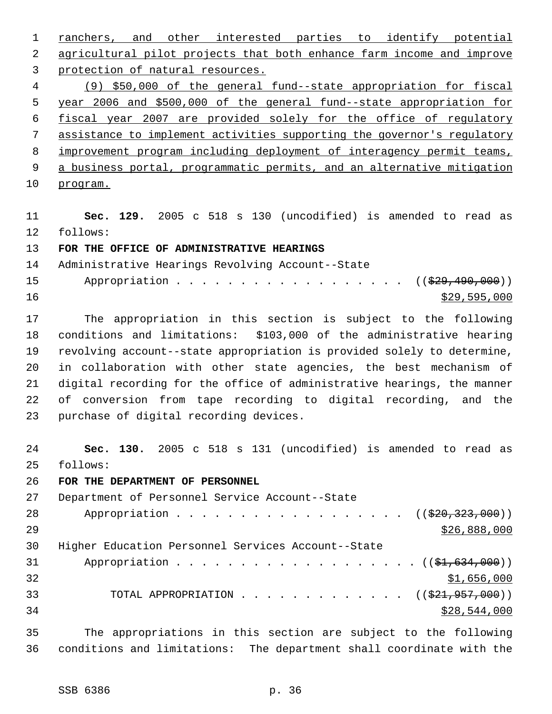ranchers, and other interested parties to identify potential agricultural pilot projects that both enhance farm income and improve protection of natural resources. (9) \$50,000 of the general fund--state appropriation for fiscal year 2006 and \$500,000 of the general fund--state appropriation for fiscal year 2007 are provided solely for the office of regulatory assistance to implement activities supporting the governor's regulatory improvement program including deployment of interagency permit teams, 9 a business portal, programmatic permits, and an alternative mitigation program.

 **Sec. 129.** 2005 c 518 s 130 (uncodified) is amended to read as follows:

**FOR THE OFFICE OF ADMINISTRATIVE HEARINGS**

 Administrative Hearings Revolving Account--State 15 Appropriation . . . . . . . . . . . . . . . . ((\$29,490,000))

 $\frac{$29,595,000}{20}$ 

 The appropriation in this section is subject to the following conditions and limitations: \$103,000 of the administrative hearing revolving account--state appropriation is provided solely to determine, in collaboration with other state agencies, the best mechanism of digital recording for the office of administrative hearings, the manner of conversion from tape recording to digital recording, and the purchase of digital recording devices.

 **Sec. 130.** 2005 c 518 s 131 (uncodified) is amended to read as follows:

**FOR THE DEPARTMENT OF PERSONNEL**

 Department of Personnel Service Account--State 28 Appropriation . . . . . . . . . . . . . . . . ((<del>\$20,323,000</del>))  $526,888,000$  Higher Education Personnel Services Account--State 31 Appropriation . . . . . . . . . . . . . . . . . ((\$1,634,000)) \$1,656,000 33 TOTAL APPROPRIATION . . . . . . . . . . . . ((\$21,957,000)) \$28,544,000

 The appropriations in this section are subject to the following conditions and limitations: The department shall coordinate with the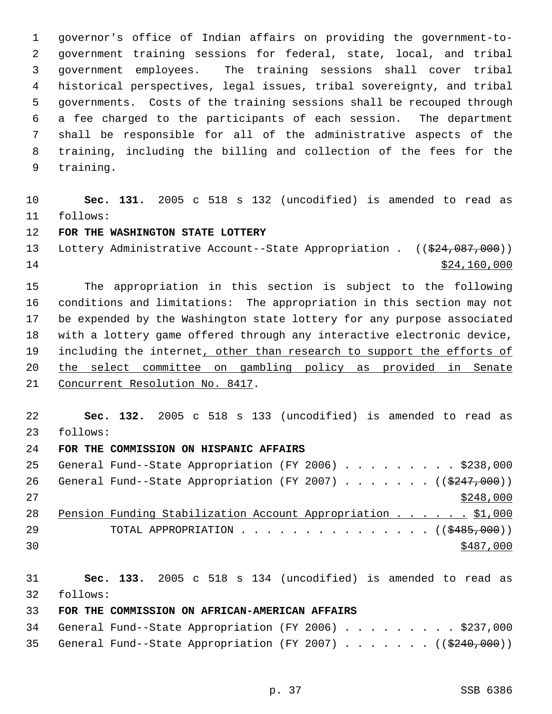governor's office of Indian affairs on providing the government-to- government training sessions for federal, state, local, and tribal government employees. The training sessions shall cover tribal historical perspectives, legal issues, tribal sovereignty, and tribal governments. Costs of the training sessions shall be recouped through a fee charged to the participants of each session. The department shall be responsible for all of the administrative aspects of the training, including the billing and collection of the fees for the training.

 **Sec. 131.** 2005 c 518 s 132 (uncodified) is amended to read as follows:

## **FOR THE WASHINGTON STATE LOTTERY**

13 Lottery Administrative Account--State Appropriation . ((\$24,087,000))  $\frac{$24,160,000}{ }$ 

 The appropriation in this section is subject to the following conditions and limitations: The appropriation in this section may not be expended by the Washington state lottery for any purpose associated with a lottery game offered through any interactive electronic device, 19 including the internet, other than research to support the efforts of the select committee on gambling policy as provided in Senate Concurrent Resolution No. 8417.

 **Sec. 132.** 2005 c 518 s 133 (uncodified) is amended to read as follows:

**FOR THE COMMISSION ON HISPANIC AFFAIRS** 

|     | 25 General Fund--State Appropriation (FY 2006) \$238,000             |  |  |  |  |  |           |  |
|-----|----------------------------------------------------------------------|--|--|--|--|--|-----------|--|
| 26  | General Fund--State Appropriation (FY 2007) ( $(\frac{2447}{000})$ ) |  |  |  |  |  |           |  |
| 2.7 |                                                                      |  |  |  |  |  | \$248,000 |  |
| 28  | Pension Funding Stabilization Account Appropriation \$1,000          |  |  |  |  |  |           |  |
| 29  | TOTAL APPROPRIATION $\ldots$ , ( $(\frac{2485,000}{1000})$ )         |  |  |  |  |  |           |  |
| 30  |                                                                      |  |  |  |  |  | \$487,000 |  |

 **Sec. 133.** 2005 c 518 s 134 (uncodified) is amended to read as follows:

## **FOR THE COMMISSION ON AFRICAN-AMERICAN AFFAIRS**

|  | 34 General Fund--State Appropriation (FY 2006) \$237,000     |  |  |  |  |  |  |  |
|--|--------------------------------------------------------------|--|--|--|--|--|--|--|
|  | 35 General Fund--State Appropriation (FY 2007) ((\$240,000)) |  |  |  |  |  |  |  |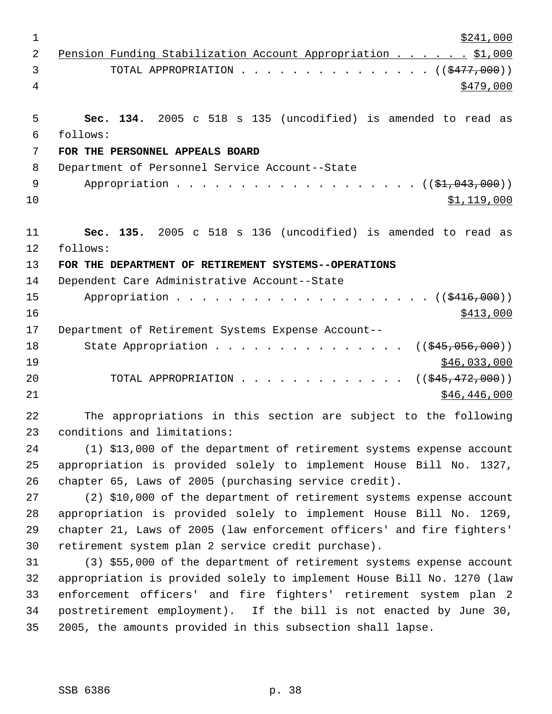| $\mathbf 1$    | \$241,000                                                              |
|----------------|------------------------------------------------------------------------|
| $\overline{2}$ | Pension Funding Stabilization Account Appropriation \$1,000            |
| 3              | TOTAL APPROPRIATION $\ldots$ , ( $(\frac{2477}{100})$ )                |
| 4              | \$479,000                                                              |
|                |                                                                        |
| 5              | Sec. 134. 2005 c 518 s 135 (uncodified) is amended to read as          |
| 6              | follows:                                                               |
| 7              | FOR THE PERSONNEL APPEALS BOARD                                        |
| 8              | Department of Personnel Service Account--State                         |
| 9              | Appropriation $($ $($ \$1,043,000) $)$                                 |
| 10             | \$1,119,000                                                            |
|                |                                                                        |
| 11             | Sec. 135. 2005 c 518 s 136 (uncodified) is amended to read as          |
| 12             | follows:                                                               |
| 13             | FOR THE DEPARTMENT OF RETIREMENT SYSTEMS--OPERATIONS                   |
| 14             | Dependent Care Administrative Account--State                           |
| 15             |                                                                        |
| 16             | \$413,000                                                              |
| 17             | Department of Retirement Systems Expense Account--                     |
| 18             | State Appropriation<br>$((\frac{1245}{1000}, 056, 000))$               |
| 19             | \$46,033,000                                                           |
| 20             | TOTAL APPROPRIATION<br>$((\frac{1545}{172},000))$                      |
| 21             | \$46,446,000                                                           |
| 22             | The appropriations in this section are subject to the following        |
| 23             | conditions and limitations:                                            |
| 24             | (1) \$13,000 of the department of retirement systems expense account   |
| 25             | appropriation is provided solely to implement House Bill No. 1327,     |
| 26             | chapter 65, Laws of 2005 (purchasing service credit).                  |
| 27             | (2) \$10,000 of the department of retirement systems expense account   |
| 28             | appropriation is provided solely to implement House Bill No. 1269,     |
| 29             | chapter 21, Laws of 2005 (law enforcement officers' and fire fighters' |
| 30             | retirement system plan 2 service credit purchase).                     |
| 31             | (3) \$55,000 of the department of retirement systems expense account   |
| 32             | appropriation is provided solely to implement House Bill No. 1270 (law |
| 33             | enforcement officers' and fire fighters' retirement system plan 2      |
| 34             | postretirement employment). If the bill is not enacted by June 30,     |
| 35             | 2005, the amounts provided in this subsection shall lapse.             |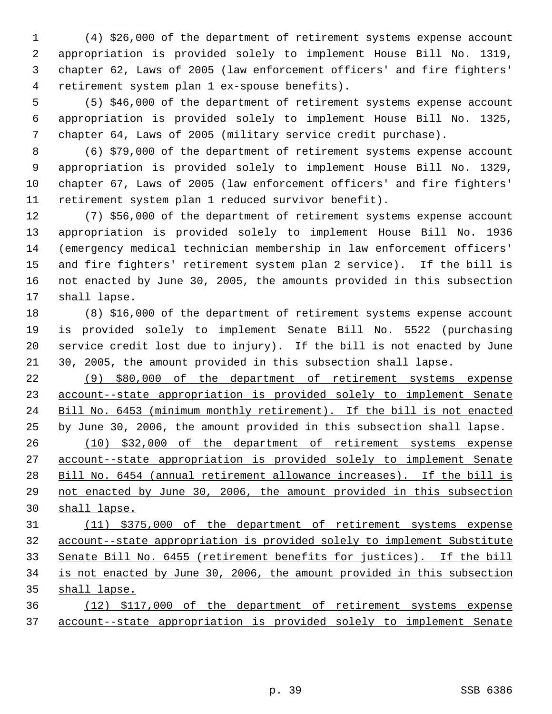(4) \$26,000 of the department of retirement systems expense account appropriation is provided solely to implement House Bill No. 1319, chapter 62, Laws of 2005 (law enforcement officers' and fire fighters' retirement system plan 1 ex-spouse benefits).

 (5) \$46,000 of the department of retirement systems expense account appropriation is provided solely to implement House Bill No. 1325, chapter 64, Laws of 2005 (military service credit purchase).

 (6) \$79,000 of the department of retirement systems expense account appropriation is provided solely to implement House Bill No. 1329, chapter 67, Laws of 2005 (law enforcement officers' and fire fighters' retirement system plan 1 reduced survivor benefit).

 (7) \$56,000 of the department of retirement systems expense account appropriation is provided solely to implement House Bill No. 1936 (emergency medical technician membership in law enforcement officers' and fire fighters' retirement system plan 2 service). If the bill is not enacted by June 30, 2005, the amounts provided in this subsection shall lapse.

 (8) \$16,000 of the department of retirement systems expense account is provided solely to implement Senate Bill No. 5522 (purchasing service credit lost due to injury). If the bill is not enacted by June 30, 2005, the amount provided in this subsection shall lapse.

 (9) \$80,000 of the department of retirement systems expense account--state appropriation is provided solely to implement Senate Bill No. 6453 (minimum monthly retirement). If the bill is not enacted by June 30, 2006, the amount provided in this subsection shall lapse.

 (10) \$32,000 of the department of retirement systems expense account--state appropriation is provided solely to implement Senate Bill No. 6454 (annual retirement allowance increases). If the bill is not enacted by June 30, 2006, the amount provided in this subsection shall lapse.

 (11) \$375,000 of the department of retirement systems expense account--state appropriation is provided solely to implement Substitute Senate Bill No. 6455 (retirement benefits for justices). If the bill is not enacted by June 30, 2006, the amount provided in this subsection shall lapse.

 (12) \$117,000 of the department of retirement systems expense account--state appropriation is provided solely to implement Senate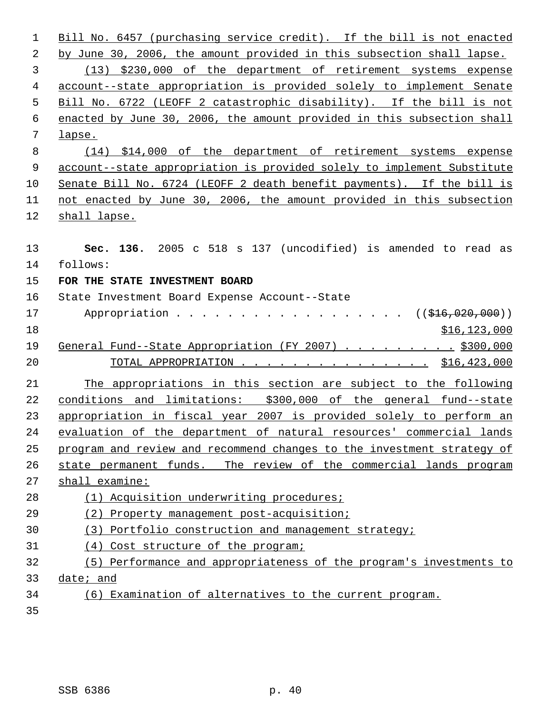| 1  | Bill No. 6457 (purchasing service credit). If the bill is not enacted   |
|----|-------------------------------------------------------------------------|
| 2  | by June 30, 2006, the amount provided in this subsection shall lapse.   |
| 3  | (13) \$230,000 of the department of retirement systems expense          |
| 4  | account--state appropriation is provided solely to implement Senate     |
| 5  | Bill No. 6722 (LEOFF 2 catastrophic disability). If the bill is not     |
| 6  | enacted by June 30, 2006, the amount provided in this subsection shall  |
| 7  | lapse.                                                                  |
| 8  | (14) \$14,000 of the department of retirement systems expense           |
| 9  | account--state appropriation is provided solely to implement Substitute |
| 10 | Senate Bill No. 6724 (LEOFF 2 death benefit payments). If the bill is   |
| 11 | not enacted by June 30, 2006, the amount provided in this subsection    |
| 12 | shall lapse.                                                            |
|    |                                                                         |
| 13 | Sec. 136. 2005 c 518 s 137 (uncodified) is amended to read as           |
| 14 | follows:                                                                |
| 15 | FOR THE STATE INVESTMENT BOARD                                          |
| 16 | State Investment Board Expense Account--State                           |
| 17 | Appropriation ( $(\frac{1}{216}, 020, 000)$ )                           |
| 18 | \$16, 123, 000                                                          |
| 19 | General Fund--State Appropriation (FY 2007) \$300,000                   |
| 20 | TOTAL APPROPRIATION \$16,423,000                                        |
| 21 | The appropriations in this section are subject to the following         |
| 22 | conditions and limitations: \$300,000 of the general fund--state        |
| 23 | appropriation in fiscal year 2007 is provided solely to perform an      |
| 24 | evaluation of the department of natural resources' commercial lands     |
| 25 | program and review and recommend changes to the investment strategy of  |
| 26 | state permanent funds. The review of the commercial lands program       |
| 27 | shall examine:                                                          |
| 28 | (1) Acquisition underwriting procedures;                                |
| 29 | (2) Property management post-acquisition;                               |
| 30 | (3) Portfolio construction and management strategy;                     |
| 31 | (4) Cost structure of the program;                                      |
| 32 | (5) Performance and appropriateness of the program's investments to     |
| 33 | date; and                                                               |
| 34 | (6) Examination of alternatives to the current program.                 |
| 35 |                                                                         |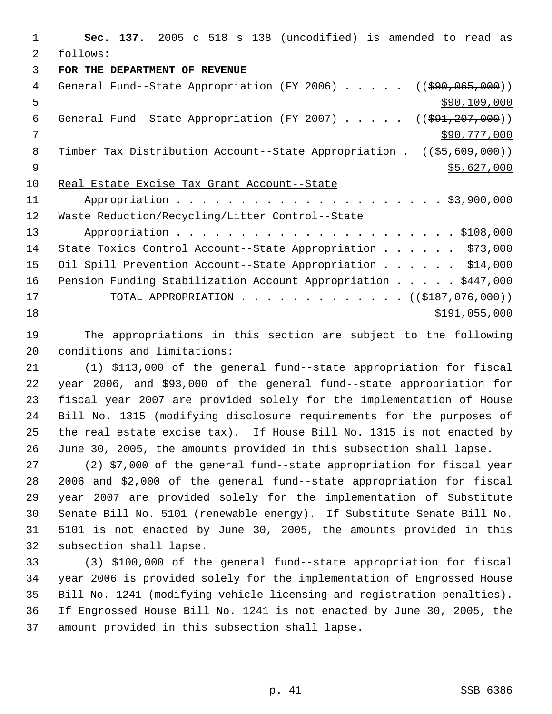**Sec. 137.** 2005 c 518 s 138 (uncodified) is amended to read as follows: **FOR THE DEPARTMENT OF REVENUE** 4 General Fund--State Appropriation (FY 2006) . . . . . ((\$90,065,000))  $\frac{109}{200}$ ,  $\frac{109}{200}$ ,  $\frac{109}{200}$ 6 General Fund--State Appropriation (FY 2007) . . . . . ((\$91,207,000)) \$90,777,000 8 Timber Tax Distribution Account--State Appropriation . ((\$5,609,000))  $\frac{1}{55,627,000}$  Real Estate Excise Tax Grant Account--State Appropriation . . . . . . . . . . . . . . . . . . . . . \$3,900,000 Waste Reduction/Recycling/Litter Control--State Appropriation . . . . . . . . . . . . . . . . . . . . . . \$108,000 State Toxics Control Account--State Appropriation . . . . . . \$73,000 15 Oil Spill Prevention Account--State Appropriation . . . . . \$14,000 16 Pension Funding Stabilization Account Appropriation . . . . . \$447,000 17 TOTAL APPROPRIATION . . . . . . . . . . . . . ((\$187,076,000)) \$191,055,000

 The appropriations in this section are subject to the following conditions and limitations:

 (1) \$113,000 of the general fund--state appropriation for fiscal year 2006, and \$93,000 of the general fund--state appropriation for fiscal year 2007 are provided solely for the implementation of House Bill No. 1315 (modifying disclosure requirements for the purposes of the real estate excise tax). If House Bill No. 1315 is not enacted by June 30, 2005, the amounts provided in this subsection shall lapse.

 (2) \$7,000 of the general fund--state appropriation for fiscal year 2006 and \$2,000 of the general fund--state appropriation for fiscal year 2007 are provided solely for the implementation of Substitute Senate Bill No. 5101 (renewable energy). If Substitute Senate Bill No. 5101 is not enacted by June 30, 2005, the amounts provided in this subsection shall lapse.

 (3) \$100,000 of the general fund--state appropriation for fiscal year 2006 is provided solely for the implementation of Engrossed House Bill No. 1241 (modifying vehicle licensing and registration penalties). If Engrossed House Bill No. 1241 is not enacted by June 30, 2005, the amount provided in this subsection shall lapse.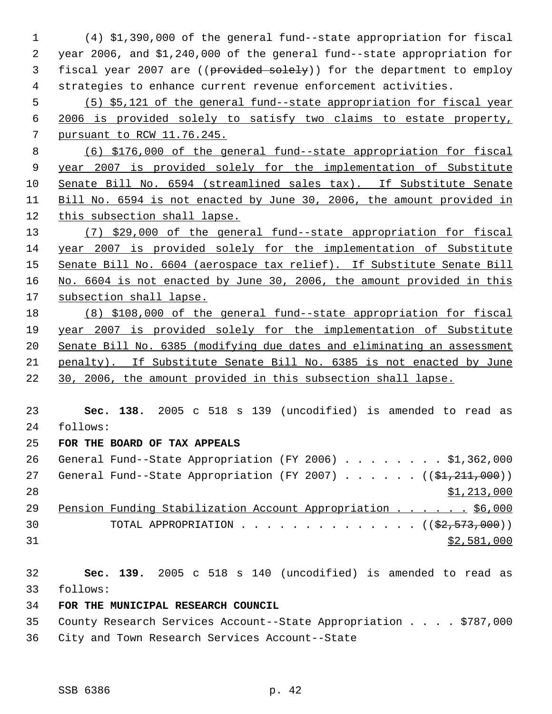(4) \$1,390,000 of the general fund--state appropriation for fiscal year 2006, and \$1,240,000 of the general fund--state appropriation for 3 fiscal year 2007 are ((provided solely)) for the department to employ strategies to enhance current revenue enforcement activities. (5) \$5,121 of the general fund--state appropriation for fiscal year 2006 is provided solely to satisfy two claims to estate property, pursuant to RCW 11.76.245. (6) \$176,000 of the general fund--state appropriation for fiscal year 2007 is provided solely for the implementation of Substitute Senate Bill No. 6594 (streamlined sales tax). If Substitute Senate Bill No. 6594 is not enacted by June 30, 2006, the amount provided in this subsection shall lapse. (7) \$29,000 of the general fund--state appropriation for fiscal year 2007 is provided solely for the implementation of Substitute Senate Bill No. 6604 (aerospace tax relief). If Substitute Senate Bill 16 No. 6604 is not enacted by June 30, 2006, the amount provided in this subsection shall lapse. (8) \$108,000 of the general fund--state appropriation for fiscal year 2007 is provided solely for the implementation of Substitute Senate Bill No. 6385 (modifying due dates and eliminating an assessment penalty). If Substitute Senate Bill No. 6385 is not enacted by June 30, 2006, the amount provided in this subsection shall lapse. **Sec. 138.** 2005 c 518 s 139 (uncodified) is amended to read as follows: **FOR THE BOARD OF TAX APPEALS** General Fund--State Appropriation (FY 2006) . . . . . . . . \$1,362,000 27 General Fund--State Appropriation (FY 2007) . . . . . . ((\$1,211,000))  $\frac{$1,213,000}{ }$  Pension Funding Stabilization Account Appropriation . . . . . . \$6,000 30 TOTAL APPROPRIATION  $\ldots$ , . . . . . . . . . . . ( $(\frac{22}{52}, \frac{573}{500})$ ) \$2,581,000 **Sec. 139.** 2005 c 518 s 140 (uncodified) is amended to read as follows: **FOR THE MUNICIPAL RESEARCH COUNCIL**

 County Research Services Account--State Appropriation . . . . \$787,000 City and Town Research Services Account--State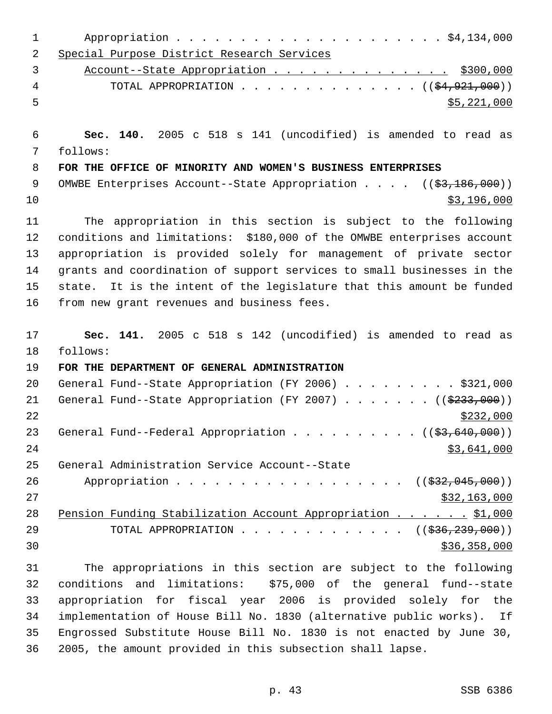| 1  |                                                                         |
|----|-------------------------------------------------------------------------|
| 2  | Special Purpose District Research Services                              |
| 3  | Account--State Appropriation \$300,000                                  |
| 4  | TOTAL APPROPRIATION $($ $(\frac{24.921.000}{})$                         |
| 5  | \$5,221,000                                                             |
| 6  | Sec. 140. 2005 c 518 s 141 (uncodified) is amended to read as           |
| 7  | follows:                                                                |
| 8  | FOR THE OFFICE OF MINORITY AND WOMEN'S BUSINESS ENTERPRISES             |
| 9  | OMWBE Enterprises Account--State Appropriation $($ $($ \$3,186,000) $)$ |
| 10 | \$3,196,000                                                             |
| 11 | The appropriation in this section is subject to the following           |
| 12 | conditions and limitations: \$180,000 of the OMWBE enterprises account  |
| 13 | appropriation is provided solely for management of private sector       |
| 14 | grants and coordination of support services to small businesses in the  |
| 15 | state. It is the intent of the legislature that this amount be funded   |
| 16 | from new grant revenues and business fees.                              |
| 17 | Sec. 141. 2005 c 518 s 142 (uncodified) is amended to read as           |
| 18 | follows:                                                                |
| 19 | FOR THE DEPARTMENT OF GENERAL ADMINISTRATION                            |
| 20 | General Fund--State Appropriation (FY 2006) \$321,000                   |
| 21 | General Fund--State Appropriation (FY 2007) ( $(\frac{2333}{100})$ )    |
| 22 | \$232,000                                                               |
| 23 | General Fund--Federal Appropriation ( $(\frac{2}{3}, 640, 000)$ )       |
| 24 | \$3,641,000                                                             |
| 25 | General Administration Service Account--State                           |
| 26 | Appropriation ( $(\frac{232,045,000}{s})$ )                             |
| 27 | \$32,163,000                                                            |
| 28 | Pension Funding Stabilization Account Appropriation \$1,000             |
| 29 | TOTAL APPROPRIATION ( $(\frac{236}{236}, \frac{239}{239}, 000)$ )       |
| 30 | \$36,358,000                                                            |
| 31 | The appropriations in this section are subject to the following         |
| 32 | conditions and limitations: \$75,000 of the general fund--state         |
| 33 | appropriation for fiscal year 2006 is provided solely for the           |
| 34 | implementation of House Bill No. 1830 (alternative public works). If    |
| 35 | Engrossed Substitute House Bill No. 1830 is not enacted by June 30,     |

2005, the amount provided in this subsection shall lapse.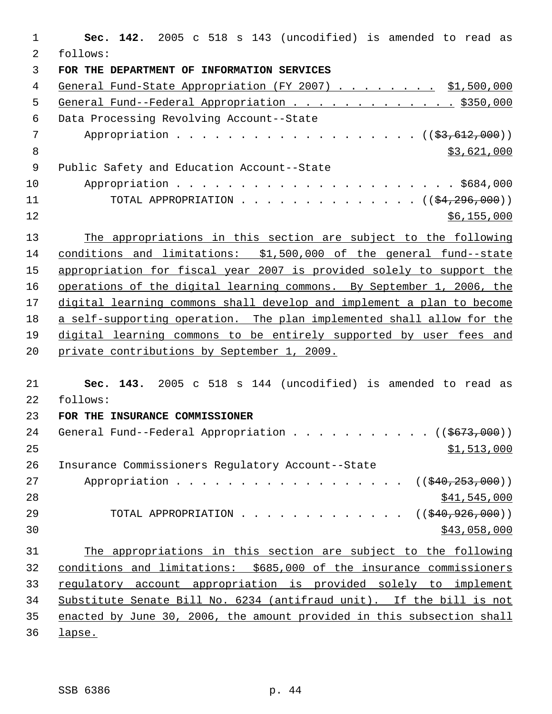| $\mathbf 1$ | Sec. 142. 2005 c 518 s 143 (uncodified) is amended to read as          |
|-------------|------------------------------------------------------------------------|
| 2           | follows:                                                               |
| 3           | FOR THE DEPARTMENT OF INFORMATION SERVICES                             |
| 4           | General Fund-State Appropriation (FY 2007) \$1,500,000                 |
| 5           | General Fund--Federal Appropriation \$350,000                          |
| $\epsilon$  | Data Processing Revolving Account--State                               |
| 7           | Appropriation $($ $($ $\frac{27}{612},000)$ $)$                        |
| 8           | \$3,621,000                                                            |
| $\mathsf 9$ | Public Safety and Education Account--State                             |
| 10          |                                                                        |
| 11          | TOTAL APPROPRIATION $($ $($ \$4,296,000) $)$                           |
| 12          | \$6,155,000                                                            |
| 13          | The appropriations in this section are subject to the following        |
| 14          | conditions and limitations: \$1,500,000 of the general fund--state     |
| 15          | appropriation for fiscal year 2007 is provided solely to support the   |
| 16          | operations of the digital learning commons. By September 1, 2006, the  |
| 17          | digital learning commons shall develop and implement a plan to become  |
| 18          | a self-supporting operation. The plan implemented shall allow for the  |
| 19          | digital learning commons to be entirely supported by user fees and     |
| 20          | private contributions by September 1, 2009.                            |
|             |                                                                        |
| 21          | Sec. 143. 2005 c 518 s 144 (uncodified) is amended to read as          |
| 22          | follows:                                                               |
| 23          | FOR THE INSURANCE COMMISSIONER                                         |
| 24          | General Fund--Federal Appropriation ( $(\frac{2673}{100})$ )           |
| 25          | \$1,513,000                                                            |
| 26          | Insurance Commissioners Regulatory Account--State                      |
| 27          | Appropriation<br>((\$40, 253, 000))                                    |
| 28          | \$41,545,000                                                           |
| 29          | TOTAL APPROPRIATION<br>((\$40,926,000))                                |
| 30          | \$43,058,000                                                           |
| 31          | The appropriations in this section are subject to the following        |
| 32          | conditions and limitations: \$685,000 of the insurance commissioners   |
| 33          | regulatory account appropriation is provided solely to implement       |
| 34          | Substitute Senate Bill No. 6234 (antifraud unit). If the bill is not   |
| 35          | enacted by June 30, 2006, the amount provided in this subsection shall |
| 36          | <u>lapse.</u>                                                          |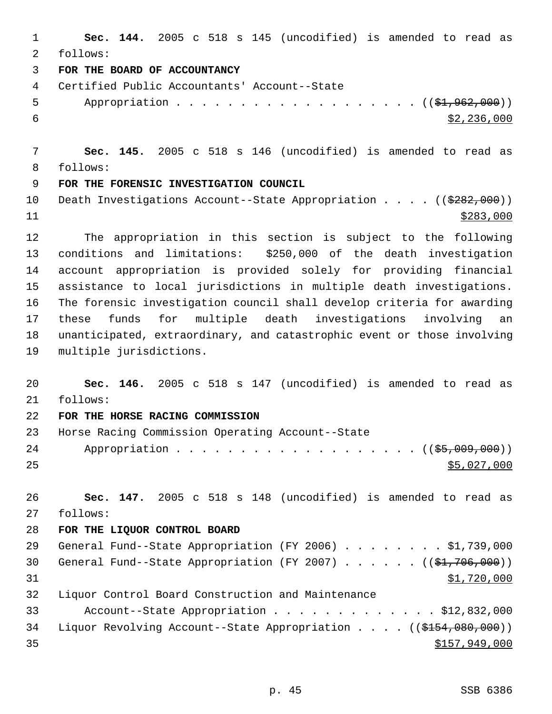**Sec. 144.** 2005 c 518 s 145 (uncodified) is amended to read as follows: **FOR THE BOARD OF ACCOUNTANCY** Certified Public Accountants' Account--State 5 Appropriation . . . . . . . . . . . . . . . . . (  $(\frac{1}{2}, 962, 000)$  )  $\frac{$2,236,000}{ }$  **Sec. 145.** 2005 c 518 s 146 (uncodified) is amended to read as follows: **FOR THE FORENSIC INVESTIGATION COUNCIL** 10 Death Investigations Account--State Appropriation . . . . ((\$282,000)) \$283,000 The appropriation in this section is subject to the following conditions and limitations: \$250,000 of the death investigation account appropriation is provided solely for providing financial assistance to local jurisdictions in multiple death investigations. The forensic investigation council shall develop criteria for awarding these funds for multiple death investigations involving an unanticipated, extraordinary, and catastrophic event or those involving multiple jurisdictions. **Sec. 146.** 2005 c 518 s 147 (uncodified) is amended to read as follows: **FOR THE HORSE RACING COMMISSION** Horse Racing Commission Operating Account--State 24 Appropriation . . . . . . . . . . . . . . . . . ( (\$5,009,000))  $\frac{$5,027,000}{25}$  **Sec. 147.** 2005 c 518 s 148 (uncodified) is amended to read as follows: **FOR THE LIQUOR CONTROL BOARD** 29 General Fund--State Appropriation (FY 2006) . . . . . . . . \$1,739,000 30 General Fund--State Appropriation (FY 2007)  $\ldots$  . . . . ((\$1,706,000)) \$1,720,000 Liquor Control Board Construction and Maintenance Account--State Appropriation . . . . . . . . . . . . . \$12,832,000 34 Liquor Revolving Account--State Appropriation . . . . ((\$154,080,000))  $$157,949,000$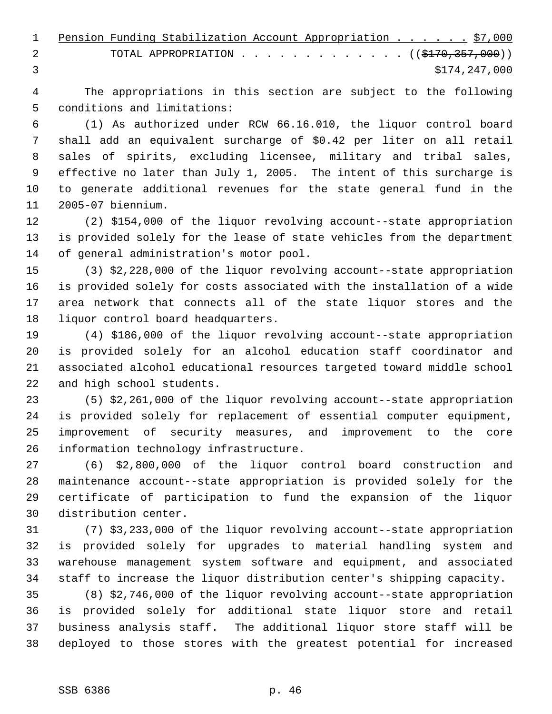|   | 1 Pension Funding Stabilization Account Appropriation \$7,000 |  |               |
|---|---------------------------------------------------------------|--|---------------|
| 2 | TOTAL APPROPRIATION $($ $($ $\frac{2170}{7357}$ , 000 $)$     |  |               |
|   |                                                               |  | \$174,247,000 |

 The appropriations in this section are subject to the following conditions and limitations:

 (1) As authorized under RCW 66.16.010, the liquor control board shall add an equivalent surcharge of \$0.42 per liter on all retail sales of spirits, excluding licensee, military and tribal sales, effective no later than July 1, 2005. The intent of this surcharge is to generate additional revenues for the state general fund in the 2005-07 biennium.

 (2) \$154,000 of the liquor revolving account--state appropriation is provided solely for the lease of state vehicles from the department of general administration's motor pool.

 (3) \$2,228,000 of the liquor revolving account--state appropriation is provided solely for costs associated with the installation of a wide area network that connects all of the state liquor stores and the liquor control board headquarters.

 (4) \$186,000 of the liquor revolving account--state appropriation is provided solely for an alcohol education staff coordinator and associated alcohol educational resources targeted toward middle school and high school students.

 (5) \$2,261,000 of the liquor revolving account--state appropriation is provided solely for replacement of essential computer equipment, improvement of security measures, and improvement to the core information technology infrastructure.

 (6) \$2,800,000 of the liquor control board construction and maintenance account--state appropriation is provided solely for the certificate of participation to fund the expansion of the liquor distribution center.

 (7) \$3,233,000 of the liquor revolving account--state appropriation is provided solely for upgrades to material handling system and warehouse management system software and equipment, and associated staff to increase the liquor distribution center's shipping capacity.

 (8) \$2,746,000 of the liquor revolving account--state appropriation is provided solely for additional state liquor store and retail business analysis staff. The additional liquor store staff will be deployed to those stores with the greatest potential for increased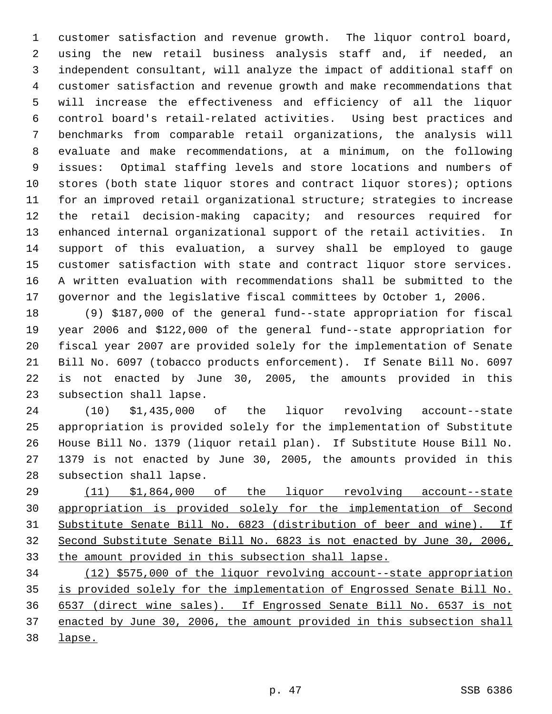customer satisfaction and revenue growth. The liquor control board, using the new retail business analysis staff and, if needed, an independent consultant, will analyze the impact of additional staff on customer satisfaction and revenue growth and make recommendations that will increase the effectiveness and efficiency of all the liquor control board's retail-related activities. Using best practices and benchmarks from comparable retail organizations, the analysis will evaluate and make recommendations, at a minimum, on the following issues: Optimal staffing levels and store locations and numbers of stores (both state liquor stores and contract liquor stores); options for an improved retail organizational structure; strategies to increase the retail decision-making capacity; and resources required for enhanced internal organizational support of the retail activities. In support of this evaluation, a survey shall be employed to gauge customer satisfaction with state and contract liquor store services. A written evaluation with recommendations shall be submitted to the governor and the legislative fiscal committees by October 1, 2006.

 (9) \$187,000 of the general fund--state appropriation for fiscal year 2006 and \$122,000 of the general fund--state appropriation for fiscal year 2007 are provided solely for the implementation of Senate Bill No. 6097 (tobacco products enforcement). If Senate Bill No. 6097 is not enacted by June 30, 2005, the amounts provided in this subsection shall lapse.

 (10) \$1,435,000 of the liquor revolving account--state appropriation is provided solely for the implementation of Substitute House Bill No. 1379 (liquor retail plan). If Substitute House Bill No. 1379 is not enacted by June 30, 2005, the amounts provided in this subsection shall lapse.

 (11) \$1,864,000 of the liquor revolving account--state appropriation is provided solely for the implementation of Second Substitute Senate Bill No. 6823 (distribution of beer and wine). If Second Substitute Senate Bill No. 6823 is not enacted by June 30, 2006, the amount provided in this subsection shall lapse.

 (12) \$575,000 of the liquor revolving account--state appropriation is provided solely for the implementation of Engrossed Senate Bill No. 6537 (direct wine sales). If Engrossed Senate Bill No. 6537 is not enacted by June 30, 2006, the amount provided in this subsection shall lapse.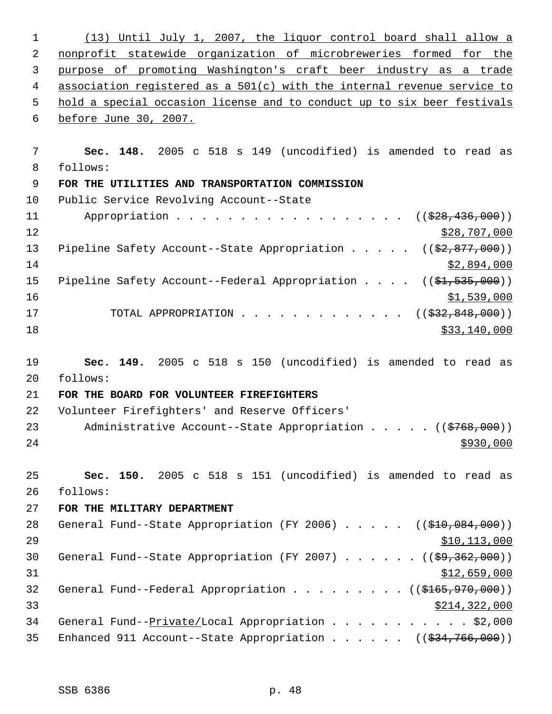(13) Until July 1, 2007, the liquor control board shall allow a nonprofit statewide organization of microbreweries formed for the purpose of promoting Washington's craft beer industry as a trade association registered as a 501(c) with the internal revenue service to hold a special occasion license and to conduct up to six beer festivals before June 30, 2007. **Sec. 148.** 2005 c 518 s 149 (uncodified) is amended to read as follows: **FOR THE UTILITIES AND TRANSPORTATION COMMISSION** Public Service Revolving Account--State 11 Appropriation . . . . . . . . . . . . . . . . ((<del>\$28,436,000</del>)) 12 \$28,707,000 13 Pipeline Safety Account--State Appropriation . . . . ((\$2,877,000)) \$2,894,000 15 Pipeline Safety Account--Federal Appropriation . . . . ((\$1,535,000)) \$1,539,000 17 TOTAL APPROPRIATION . . . . . . . . . . . . ((<del>\$32,848,000</del>)) \$33,140,000 \$33,140,000 \$33,140,000 \$33,140,000 \$33,140,000 \$33,140,000 \$33,140,000 \$53,140,000 \$53,140,000 \$1,140,000 \$1,140,000 \$1,140,000 \$1,140,000 \$1,140,000 \$1,140,000 \$1,140,000 \$1,140,000 \$1,140,000 \$1,140,00 **Sec. 149.** 2005 c 518 s 150 (uncodified) is amended to read as follows: **FOR THE BOARD FOR VOLUNTEER FIREFIGHTERS** Volunteer Firefighters' and Reserve Officers' 23 Administrative Account--State Appropriation . . . . ((\$768,000)) **Sec. 150.** 2005 c 518 s 151 (uncodified) is amended to read as follows: **FOR THE MILITARY DEPARTMENT** 28 General Fund--State Appropriation (FY 2006) . . . . . ((\$10,084,000)) \$10,113,000 30 General Fund--State Appropriation (FY 2007) . . . . . ((\$9,362,000))  $$12,659,000$ 32 General Fund--Federal Appropriation . . . . . . . . ((\$165,970,000)) \$214,322,000 34 General Fund--Private/Local Appropriation . . . . . . . . . . \$2,000 35 Enhanced 911 Account--State Appropriation . . . . . ((\$34,766,000))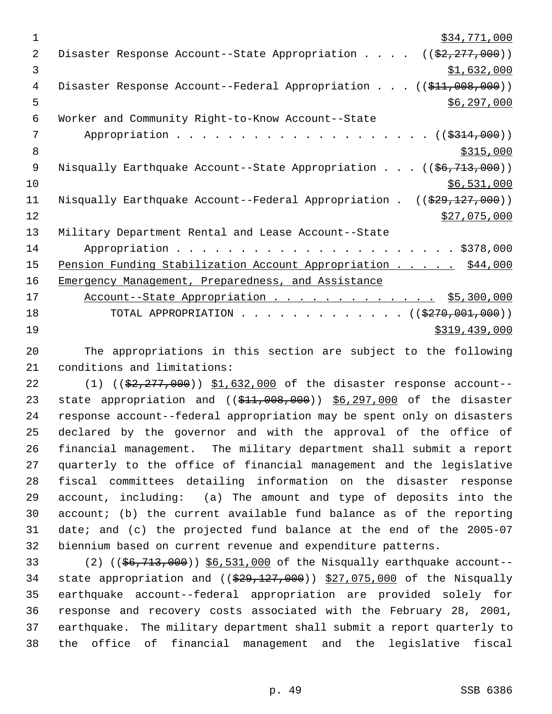$\frac{1}{2}34,771,000$ 2 Disaster Response Account--State Appropriation . . . . ((\$2,277,000))  $3 \quad$  \$1,632,000 4 Disaster Response Account--Federal Appropriation . . . ((\$11,008,000))  $\frac{1}{5}$  5 6 Worker and Community Right-to-Know Account--State 7 Appropriation . . . . . . . . . . . . . . . . . . ((\$314,000)) 8  $\frac{$315,000}{ }$ 9 Nisqually Earthquake Account--State Appropriation . . . ((\$6,713,000))  $10$  \$6,531,000 11 Nisqually Earthquake Account--Federal Appropriation . ((\$29,127,000))  $\frac{$27,075,000}{2}$ 13 Military Department Rental and Lease Account--State 14 Appropriation . . . . . . . . . . . . . . . . . . . . . . \$378,000 15 Pension Funding Stabilization Account Appropriation . . . . . \$44,000 16 Emergency Management, Preparedness, and Assistance 17 Account--State Appropriation . . . . . . . . . . . . . \$5,300,000 18 TOTAL APPROPRIATION . . . . . . . . . . . . . ((\$270,001,000)) 19 \$319,439,000

20 The appropriations in this section are subject to the following 21 conditions and limitations:

22 (1) ((\$2,277,000)) \$1,632,000 of the disaster response account--23 state appropriation and ((\$11,008,000)) \$6,297,000 of the disaster response account--federal appropriation may be spent only on disasters declared by the governor and with the approval of the office of financial management. The military department shall submit a report quarterly to the office of financial management and the legislative fiscal committees detailing information on the disaster response account, including: (a) The amount and type of deposits into the account; (b) the current available fund balance as of the reporting date; and (c) the projected fund balance at the end of the 2005-07 biennium based on current revenue and expenditure patterns.

33 (2) ((\$6,713,000)) \$6,531,000 of the Nisqually earthquake account--34 state appropriation and  $((\frac{29}{729}, \frac{127}{100})$   $\frac{27}{075}$ , 000 of the Nisqually earthquake account--federal appropriation are provided solely for response and recovery costs associated with the February 28, 2001, earthquake. The military department shall submit a report quarterly to the office of financial management and the legislative fiscal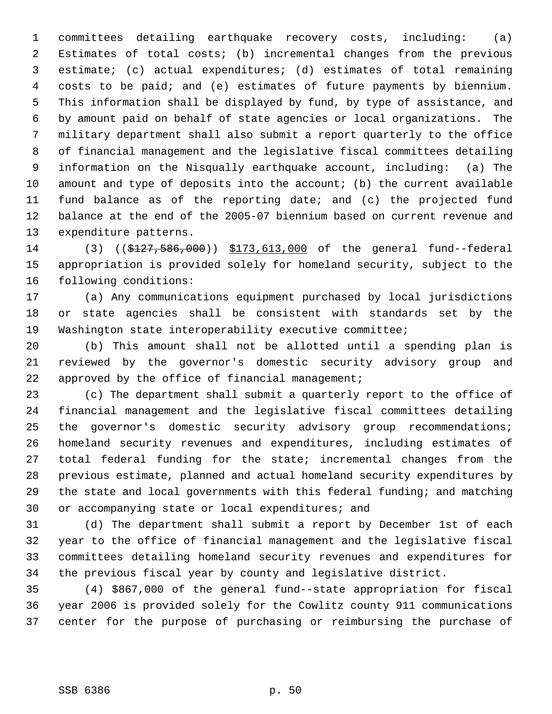committees detailing earthquake recovery costs, including: (a) Estimates of total costs; (b) incremental changes from the previous estimate; (c) actual expenditures; (d) estimates of total remaining costs to be paid; and (e) estimates of future payments by biennium. This information shall be displayed by fund, by type of assistance, and by amount paid on behalf of state agencies or local organizations. The military department shall also submit a report quarterly to the office of financial management and the legislative fiscal committees detailing information on the Nisqually earthquake account, including: (a) The amount and type of deposits into the account; (b) the current available fund balance as of the reporting date; and (c) the projected fund balance at the end of the 2005-07 biennium based on current revenue and expenditure patterns.

 (3) ((\$127,586,000)) \$173,613,000 of the general fund--federal appropriation is provided solely for homeland security, subject to the following conditions:

 (a) Any communications equipment purchased by local jurisdictions or state agencies shall be consistent with standards set by the Washington state interoperability executive committee;

 (b) This amount shall not be allotted until a spending plan is reviewed by the governor's domestic security advisory group and 22 approved by the office of financial management;

 (c) The department shall submit a quarterly report to the office of financial management and the legislative fiscal committees detailing the governor's domestic security advisory group recommendations; homeland security revenues and expenditures, including estimates of total federal funding for the state; incremental changes from the previous estimate, planned and actual homeland security expenditures by the state and local governments with this federal funding; and matching or accompanying state or local expenditures; and

 (d) The department shall submit a report by December 1st of each year to the office of financial management and the legislative fiscal committees detailing homeland security revenues and expenditures for the previous fiscal year by county and legislative district.

 (4) \$867,000 of the general fund--state appropriation for fiscal year 2006 is provided solely for the Cowlitz county 911 communications center for the purpose of purchasing or reimbursing the purchase of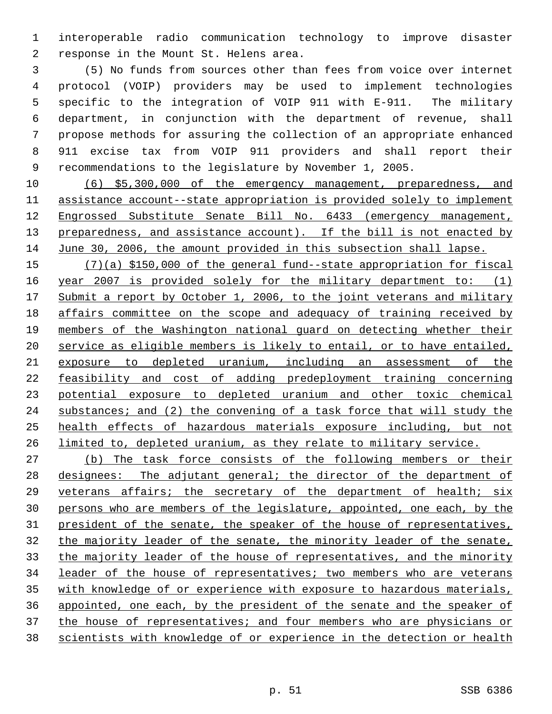interoperable radio communication technology to improve disaster response in the Mount St. Helens area.

 (5) No funds from sources other than fees from voice over internet protocol (VOIP) providers may be used to implement technologies specific to the integration of VOIP 911 with E-911. The military department, in conjunction with the department of revenue, shall propose methods for assuring the collection of an appropriate enhanced 911 excise tax from VOIP 911 providers and shall report their recommendations to the legislature by November 1, 2005.

 (6) \$5,300,000 of the emergency management, preparedness, and assistance account--state appropriation is provided solely to implement Engrossed Substitute Senate Bill No. 6433 (emergency management, 13 preparedness, and assistance account). If the bill is not enacted by June 30, 2006, the amount provided in this subsection shall lapse.

 (7)(a) \$150,000 of the general fund--state appropriation for fiscal 16 year 2007 is provided solely for the military department to: (1) 17 Submit a report by October 1, 2006, to the joint veterans and military affairs committee on the scope and adequacy of training received by members of the Washington national guard on detecting whether their service as eligible members is likely to entail, or to have entailed, exposure to depleted uranium, including an assessment of the feasibility and cost of adding predeployment training concerning potential exposure to depleted uranium and other toxic chemical 24 substances; and (2) the convening of a task force that will study the health effects of hazardous materials exposure including, but not 26 limited to, depleted uranium, as they relate to military service.

 (b) The task force consists of the following members or their designees: The adjutant general; the director of the department of veterans affairs; the secretary of the department of health; six persons who are members of the legislature, appointed, one each, by the 31 president of the senate, the speaker of the house of representatives, the majority leader of the senate, the minority leader of the senate, 33 the majority leader of the house of representatives, and the minority leader of the house of representatives; two members who are veterans with knowledge of or experience with exposure to hazardous materials, appointed, one each, by the president of the senate and the speaker of 37 the house of representatives; and four members who are physicians or scientists with knowledge of or experience in the detection or health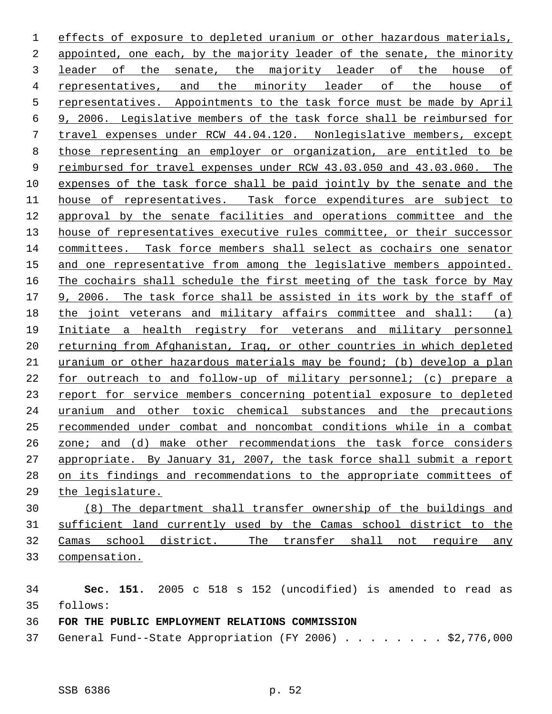effects of exposure to depleted uranium or other hazardous materials, appointed, one each, by the majority leader of the senate, the minority leader of the senate, the majority leader of the house of representatives, and the minority leader of the house of representatives. Appointments to the task force must be made by April 9, 2006. Legislative members of the task force shall be reimbursed for travel expenses under RCW 44.04.120. Nonlegislative members, except those representing an employer or organization, are entitled to be reimbursed for travel expenses under RCW 43.03.050 and 43.03.060. The expenses of the task force shall be paid jointly by the senate and the house of representatives. Task force expenditures are subject to approval by the senate facilities and operations committee and the 13 house of representatives executive rules committee, or their successor committees. Task force members shall select as cochairs one senator and one representative from among the legislative members appointed. The cochairs shall schedule the first meeting of the task force by May 9, 2006. The task force shall be assisted in its work by the staff of the joint veterans and military affairs committee and shall: (a) Initiate a health registry for veterans and military personnel 20 returning from Afghanistan, Iraq, or other countries in which depleted uranium or other hazardous materials may be found; (b) develop a plan for outreach to and follow-up of military personnel; (c) prepare a report for service members concerning potential exposure to depleted uranium and other toxic chemical substances and the precautions recommended under combat and noncombat conditions while in a combat zone; and (d) make other recommendations the task force considers 27 appropriate. By January 31, 2007, the task force shall submit a report on its findings and recommendations to the appropriate committees of the legislature.

 (8) The department shall transfer ownership of the buildings and sufficient land currently used by the Camas school district to the Camas school district. The transfer shall not require any compensation.

 **Sec. 151.** 2005 c 518 s 152 (uncodified) is amended to read as follows:

**FOR THE PUBLIC EMPLOYMENT RELATIONS COMMISSION**

General Fund--State Appropriation (FY 2006) . . . . . . . . \$2,776,000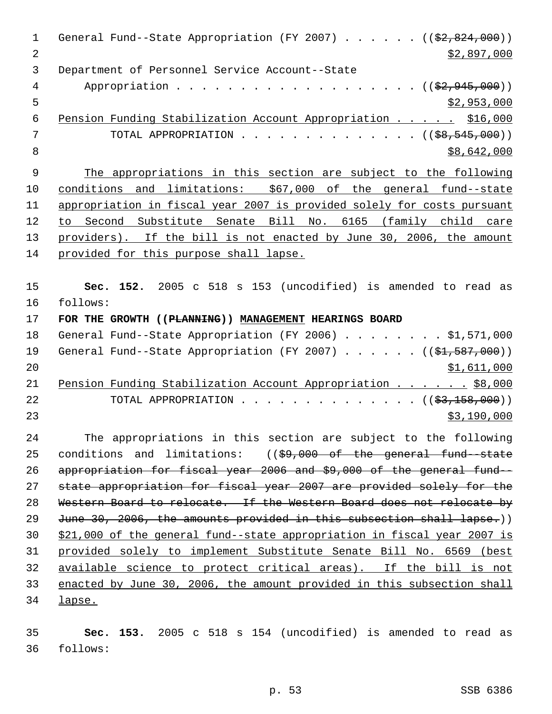1 General Fund--State Appropriation (FY 2007) . . . . . ((\$2,824,000)) 2  $\frac{1}{2}$   $\frac{1}{2}$ ,897,000 Department of Personnel Service Account--State 4 Appropriation . . . . . . . . . . . . . . . . . (  $(\frac{2}{2}, 945, 000)$  )  $5 - 5$  \$2,953,000 6 Pension Funding Stabilization Account Appropriation . . . . \$16,000 7 TOTAL APPROPRIATION . . . . . . . . . . . . . ((<del>\$8,545,000</del>))  $8 \div 8,642,000$  The appropriations in this section are subject to the following conditions and limitations: \$67,000 of the general fund--state appropriation in fiscal year 2007 is provided solely for costs pursuant to Second Substitute Senate Bill No. 6165 (family child care 13 providers). If the bill is not enacted by June 30, 2006, the amount provided for this purpose shall lapse. **Sec. 152.** 2005 c 518 s 153 (uncodified) is amended to read as follows: **FOR THE GROWTH ((PLANNING)) MANAGEMENT HEARINGS BOARD** 18 General Fund--State Appropriation (FY 2006) . . . . . . . \$1,571,000 19 General Fund--State Appropriation (FY 2007) . . . . . ((\$1,587,000)) \$1,611,000 21 Pension Funding Stabilization Account Appropriation . . . . . \$8,000 22 TOTAL APPROPRIATION . . . . . . . . . . . . . ((<del>\$3,158,000</del>)) \$3,190,000 The appropriations in this section are subject to the following conditions and limitations: ((\$9,000 of the general fund--state appropriation for fiscal year 2006 and \$9,000 of the general fund-- state appropriation for fiscal year 2007 are provided solely for the Western Board to relocate. If the Western Board does not relocate by 29 June 30, 2006, the amounts provided in this subsection shall lapse.)) \$21,000 of the general fund--state appropriation in fiscal year 2007 is provided solely to implement Substitute Senate Bill No. 6569 (best available science to protect critical areas). If the bill is not enacted by June 30, 2006, the amount provided in this subsection shall lapse.

 **Sec. 153.** 2005 c 518 s 154 (uncodified) is amended to read as follows: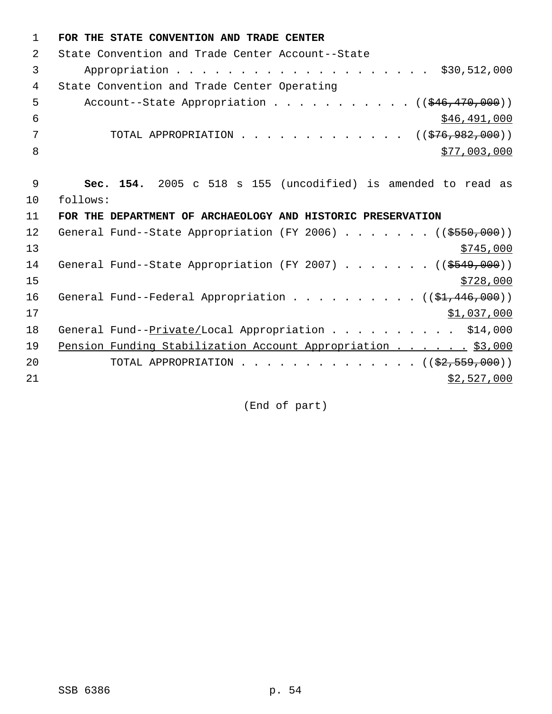| $\mathbf{1}$ | FOR THE STATE CONVENTION AND TRADE CENTER                            |
|--------------|----------------------------------------------------------------------|
| 2            | State Convention and Trade Center Account--State                     |
| 3            | \$30,512,000                                                         |
| 4            | State Convention and Trade Center Operating                          |
| 5            | Account--State Appropriation $($ $($ $\frac{246}{170}$ , 000))       |
| 6            | \$46,491,000                                                         |
| 7            | TOTAL APPROPRIATION ( $(\frac{276}{926}, 982, 000)$ )                |
| 8            | \$77,003,000                                                         |
|              |                                                                      |
| 9            | Sec. 154. 2005 c 518 s 155 (uncodified) is amended to read as        |
| 10           | follows:                                                             |
| 11           | FOR THE DEPARTMENT OF ARCHAEOLOGY AND HISTORIC PRESERVATION          |
| 12           | General Fund--State Appropriation (FY 2006) ( $(\frac{2550}{100})$ ) |
| 13           | \$745,000                                                            |
| 14           | General Fund--State Appropriation (FY 2007) ( $(\frac{2549}{100})$ ) |
| 15           | \$728,000                                                            |
| 16           | General Fund--Federal Appropriation ( $(\frac{1}{2}, 446, 000)$ )    |
| 17           | \$1,037,000                                                          |
| 18           | General Fund--Private/Local Appropriation \$14,000                   |
| 19           | Pension Funding Stabilization Account Appropriation \$3,000          |
| 20           | TOTAL APPROPRIATION ( $(\frac{2}{2}, 559, 000)$ )                    |
| 21           | \$2,527,000                                                          |
|              |                                                                      |

(End of part)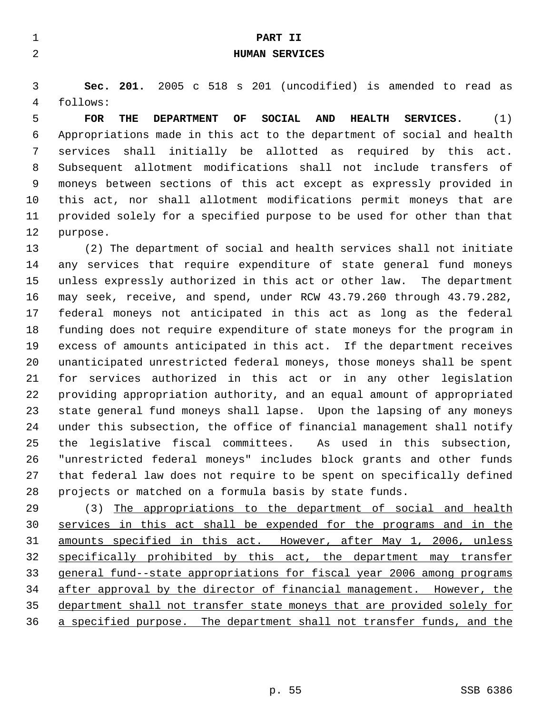|   |            |     |                                                               |    | PART II<br>HUMAN SERVICES |     |               |           |  |  |
|---|------------|-----|---------------------------------------------------------------|----|---------------------------|-----|---------------|-----------|--|--|
|   |            |     | Sec. 201. 2005 c 518 s 201 (uncodified) is amended to read as |    |                           |     |               |           |  |  |
| 4 | follows:   |     |                                                               |    |                           |     |               |           |  |  |
|   | <b>FOR</b> | THE | <b>DEPARTMENT</b>                                             | OF | SOCIAL                    | AND | <b>HEALTH</b> | SERVICES. |  |  |

 Appropriations made in this act to the department of social and health services shall initially be allotted as required by this act. Subsequent allotment modifications shall not include transfers of moneys between sections of this act except as expressly provided in this act, nor shall allotment modifications permit moneys that are provided solely for a specified purpose to be used for other than that purpose.

 (2) The department of social and health services shall not initiate any services that require expenditure of state general fund moneys unless expressly authorized in this act or other law. The department may seek, receive, and spend, under RCW 43.79.260 through 43.79.282, federal moneys not anticipated in this act as long as the federal funding does not require expenditure of state moneys for the program in excess of amounts anticipated in this act. If the department receives unanticipated unrestricted federal moneys, those moneys shall be spent for services authorized in this act or in any other legislation providing appropriation authority, and an equal amount of appropriated state general fund moneys shall lapse. Upon the lapsing of any moneys under this subsection, the office of financial management shall notify the legislative fiscal committees. As used in this subsection, "unrestricted federal moneys" includes block grants and other funds that federal law does not require to be spent on specifically defined projects or matched on a formula basis by state funds.

 (3) The appropriations to the department of social and health services in this act shall be expended for the programs and in the amounts specified in this act. However, after May 1, 2006, unless specifically prohibited by this act, the department may transfer general fund--state appropriations for fiscal year 2006 among programs after approval by the director of financial management. However, the department shall not transfer state moneys that are provided solely for a specified purpose. The department shall not transfer funds, and the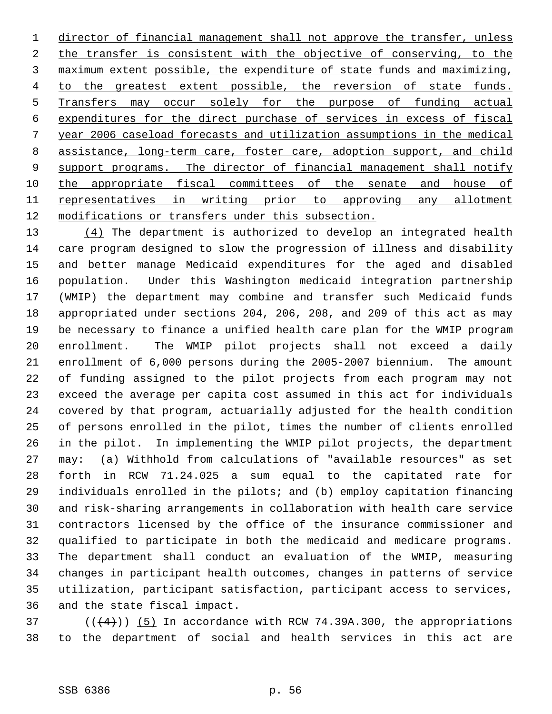1 director of financial management shall not approve the transfer, unless 2 the transfer is consistent with the objective of conserving, to the maximum extent possible, the expenditure of state funds and maximizing, 4 to the greatest extent possible, the reversion of state funds. Transfers may occur solely for the purpose of funding actual expenditures for the direct purchase of services in excess of fiscal year 2006 caseload forecasts and utilization assumptions in the medical assistance, long-term care, foster care, adoption support, and child 9 support programs. The director of financial management shall notify 10 the appropriate fiscal committees of the senate and house of 11 representatives in writing prior to approving any allotment modifications or transfers under this subsection.

13 (4) The department is authorized to develop an integrated health care program designed to slow the progression of illness and disability and better manage Medicaid expenditures for the aged and disabled population. Under this Washington medicaid integration partnership (WMIP) the department may combine and transfer such Medicaid funds appropriated under sections 204, 206, 208, and 209 of this act as may be necessary to finance a unified health care plan for the WMIP program enrollment. The WMIP pilot projects shall not exceed a daily enrollment of 6,000 persons during the 2005-2007 biennium. The amount of funding assigned to the pilot projects from each program may not exceed the average per capita cost assumed in this act for individuals covered by that program, actuarially adjusted for the health condition of persons enrolled in the pilot, times the number of clients enrolled in the pilot. In implementing the WMIP pilot projects, the department may: (a) Withhold from calculations of "available resources" as set forth in RCW 71.24.025 a sum equal to the capitated rate for individuals enrolled in the pilots; and (b) employ capitation financing and risk-sharing arrangements in collaboration with health care service contractors licensed by the office of the insurance commissioner and qualified to participate in both the medicaid and medicare programs. The department shall conduct an evaluation of the WMIP, measuring changes in participant health outcomes, changes in patterns of service utilization, participant satisfaction, participant access to services, and the state fiscal impact.

37  $((4+))$  (5) In accordance with RCW 74.39A.300, the appropriations to the department of social and health services in this act are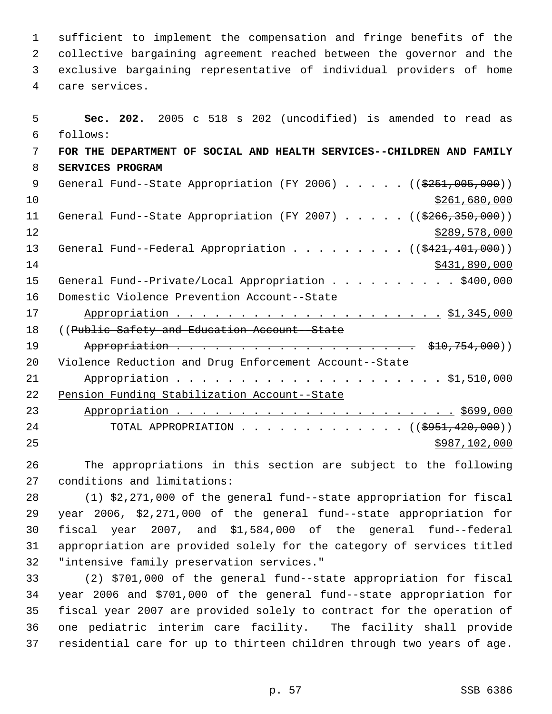sufficient to implement the compensation and fringe benefits of the collective bargaining agreement reached between the governor and the exclusive bargaining representative of individual providers of home care services.

 **Sec. 202.** 2005 c 518 s 202 (uncodified) is amended to read as follows: **FOR THE DEPARTMENT OF SOCIAL AND HEALTH SERVICES--CHILDREN AND FAMILY SERVICES PROGRAM** 9 General Fund--State Appropriation (FY 2006) . . . . . ((\$251,005,000)) \$261,680,000 11 General Fund--State Appropriation (FY 2007) . . . . . ((\$266,350,000)) 12 \$289,578,000 13 General Fund--Federal Appropriation . . . . . . . . . ((\$421,401,000)) \$431,890,000 15 General Fund--Private/Local Appropriation . . . . . . . . . \$400,000 Domestic Violence Prevention Account--State Appropriation . . . . . . . . . . . . . . . . . . . . . \$1,345,000 18 ((Public Safety and Education Account -State 19 Appropriation . . . . . . . . . . . . . . . . . . \$10,754,000)) Violence Reduction and Drug Enforcement Account--State Appropriation . . . . . . . . . . . . . . . . . . . . . \$1,510,000 Pension Funding Stabilization Account--State Appropriation . . . . . . . . . . . . . . . . . . . . . . \$699,000 24 TOTAL APPROPRIATION . . . . . . . . . . . . ((\$951,420,000)) \$987,102,000

 The appropriations in this section are subject to the following conditions and limitations:

 (1) \$2,271,000 of the general fund--state appropriation for fiscal year 2006, \$2,271,000 of the general fund--state appropriation for fiscal year 2007, and \$1,584,000 of the general fund--federal appropriation are provided solely for the category of services titled "intensive family preservation services."

 (2) \$701,000 of the general fund--state appropriation for fiscal year 2006 and \$701,000 of the general fund--state appropriation for fiscal year 2007 are provided solely to contract for the operation of one pediatric interim care facility. The facility shall provide residential care for up to thirteen children through two years of age.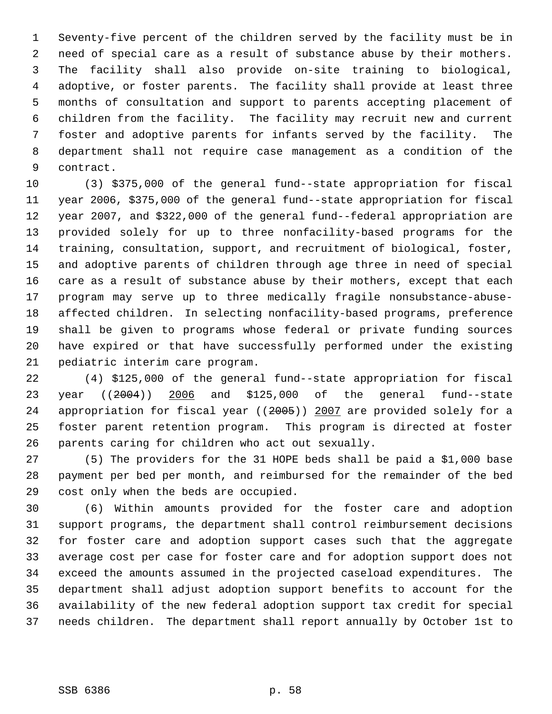Seventy-five percent of the children served by the facility must be in need of special care as a result of substance abuse by their mothers. The facility shall also provide on-site training to biological, adoptive, or foster parents. The facility shall provide at least three months of consultation and support to parents accepting placement of children from the facility. The facility may recruit new and current foster and adoptive parents for infants served by the facility. The department shall not require case management as a condition of the contract.

 (3) \$375,000 of the general fund--state appropriation for fiscal year 2006, \$375,000 of the general fund--state appropriation for fiscal year 2007, and \$322,000 of the general fund--federal appropriation are provided solely for up to three nonfacility-based programs for the training, consultation, support, and recruitment of biological, foster, and adoptive parents of children through age three in need of special care as a result of substance abuse by their mothers, except that each program may serve up to three medically fragile nonsubstance-abuse- affected children. In selecting nonfacility-based programs, preference shall be given to programs whose federal or private funding sources have expired or that have successfully performed under the existing pediatric interim care program.

 (4) \$125,000 of the general fund--state appropriation for fiscal year ((2004)) 2006 and \$125,000 of the general fund--state appropriation for fiscal year ((2005)) 2007 are provided solely for a foster parent retention program. This program is directed at foster parents caring for children who act out sexually.

 (5) The providers for the 31 HOPE beds shall be paid a \$1,000 base payment per bed per month, and reimbursed for the remainder of the bed cost only when the beds are occupied.

 (6) Within amounts provided for the foster care and adoption support programs, the department shall control reimbursement decisions for foster care and adoption support cases such that the aggregate average cost per case for foster care and for adoption support does not exceed the amounts assumed in the projected caseload expenditures. The department shall adjust adoption support benefits to account for the availability of the new federal adoption support tax credit for special needs children. The department shall report annually by October 1st to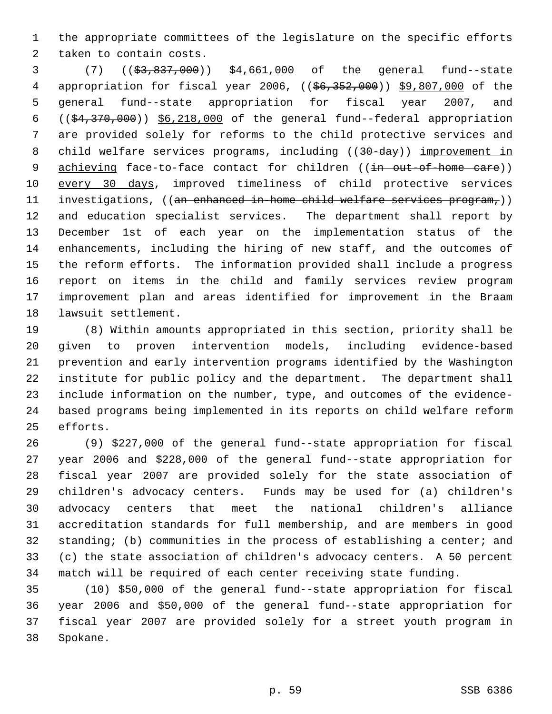the appropriate committees of the legislature on the specific efforts taken to contain costs.

 (7) ((\$3,837,000)) \$4,661,000 of the general fund--state 4 appropriation for fiscal year 2006, ((\$6,352,000)) \$9,807,000 of the general fund--state appropriation for fiscal year 2007, and  $((\frac{24}{370},\frac{370}{100})$   $\frac{26,218,000}{18,000}$  of the general fund--federal appropriation are provided solely for reforms to the child protective services and 8 child welfare services programs, including ((30-day)) improvement in 9 achieving face-to-face contact for children ((in out-of-home care)) every 30 days, improved timeliness of child protective services 11 investigations, ((an enhanced in-home child welfare services program,)) and education specialist services. The department shall report by December 1st of each year on the implementation status of the enhancements, including the hiring of new staff, and the outcomes of the reform efforts. The information provided shall include a progress report on items in the child and family services review program improvement plan and areas identified for improvement in the Braam lawsuit settlement.

 (8) Within amounts appropriated in this section, priority shall be given to proven intervention models, including evidence-based prevention and early intervention programs identified by the Washington institute for public policy and the department. The department shall include information on the number, type, and outcomes of the evidence- based programs being implemented in its reports on child welfare reform efforts.

 (9) \$227,000 of the general fund--state appropriation for fiscal year 2006 and \$228,000 of the general fund--state appropriation for fiscal year 2007 are provided solely for the state association of children's advocacy centers. Funds may be used for (a) children's advocacy centers that meet the national children's alliance accreditation standards for full membership, and are members in good standing; (b) communities in the process of establishing a center; and (c) the state association of children's advocacy centers. A 50 percent match will be required of each center receiving state funding.

 (10) \$50,000 of the general fund--state appropriation for fiscal year 2006 and \$50,000 of the general fund--state appropriation for fiscal year 2007 are provided solely for a street youth program in Spokane.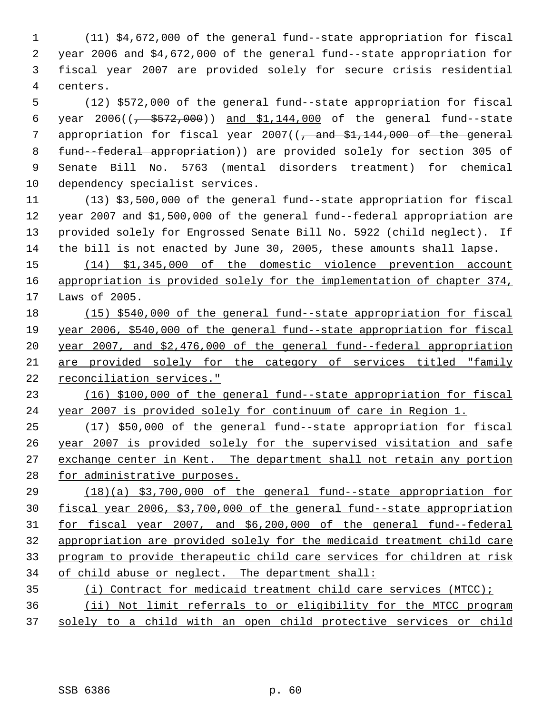(11) \$4,672,000 of the general fund--state appropriation for fiscal year 2006 and \$4,672,000 of the general fund--state appropriation for fiscal year 2007 are provided solely for secure crisis residential centers.

 (12) \$572,000 of the general fund--state appropriation for fiscal 6 year  $2006((\frac{1}{6} + \frac{2572}{600}))$  and  $\frac{1144,000}{600}$  of the general fund--state 7 appropriation for fiscal year ( $\sqrt{2}$  and  $$1,144,000$  of the general fund--federal appropriation)) are provided solely for section 305 of Senate Bill No. 5763 (mental disorders treatment) for chemical dependency specialist services.

 (13) \$3,500,000 of the general fund--state appropriation for fiscal year 2007 and \$1,500,000 of the general fund--federal appropriation are provided solely for Engrossed Senate Bill No. 5922 (child neglect). If the bill is not enacted by June 30, 2005, these amounts shall lapse.

 (14) \$1,345,000 of the domestic violence prevention account 16 appropriation is provided solely for the implementation of chapter 374, Laws of 2005.

 (15) \$540,000 of the general fund--state appropriation for fiscal year 2006, \$540,000 of the general fund--state appropriation for fiscal year 2007, and \$2,476,000 of the general fund--federal appropriation are provided solely for the category of services titled "family reconciliation services."

 (16) \$100,000 of the general fund--state appropriation for fiscal year 2007 is provided solely for continuum of care in Region 1.

 (17) \$50,000 of the general fund--state appropriation for fiscal year 2007 is provided solely for the supervised visitation and safe 27 exchange center in Kent. The department shall not retain any portion 28 for administrative purposes.

 (18)(a) \$3,700,000 of the general fund--state appropriation for fiscal year 2006, \$3,700,000 of the general fund--state appropriation for fiscal year 2007, and \$6,200,000 of the general fund--federal appropriation are provided solely for the medicaid treatment child care program to provide therapeutic child care services for children at risk of child abuse or neglect. The department shall:

 (i) Contract for medicaid treatment child care services (MTCC); (ii) Not limit referrals to or eligibility for the MTCC program solely to a child with an open child protective services or child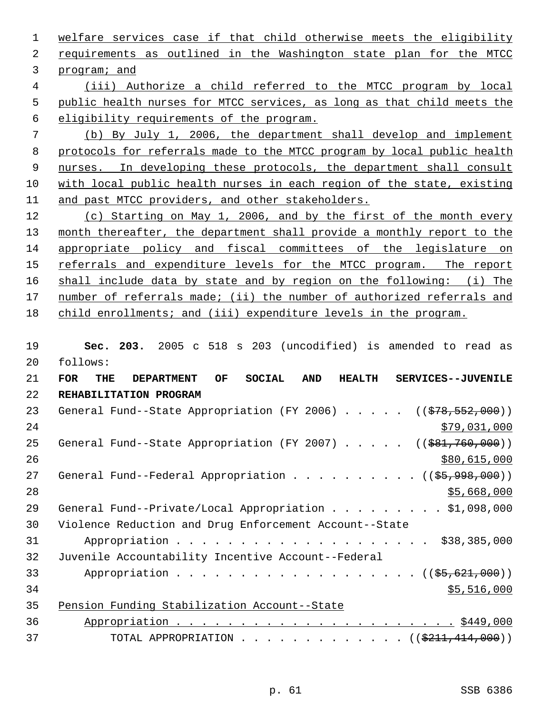1 welfare services case if that child otherwise meets the eligibility requirements as outlined in the Washington state plan for the MTCC program; and

 (iii) Authorize a child referred to the MTCC program by local public health nurses for MTCC services, as long as that child meets the eligibility requirements of the program.

 (b) By July 1, 2006, the department shall develop and implement protocols for referrals made to the MTCC program by local public health 9 nurses. In developing these protocols, the department shall consult with local public health nurses in each region of the state, existing and past MTCC providers, and other stakeholders.

 (c) Starting on May 1, 2006, and by the first of the month every 13 month thereafter, the department shall provide a monthly report to the appropriate policy and fiscal committees of the legislature on 15 referrals and expenditure levels for the MTCC program. The report shall include data by state and by region on the following: (i) The number of referrals made; (ii) the number of authorized referrals and child enrollments; and (iii) expenditure levels in the program.

 **Sec. 203.** 2005 c 518 s 203 (uncodified) is amended to read as follows:

| 21 | <b>FOR</b><br>OF.<br><b>SOCIAL</b><br><b>DEPARTMENT</b><br><b>AND</b><br><b>HEALTH</b><br>SERVICES--JUVENILE<br>THE |
|----|---------------------------------------------------------------------------------------------------------------------|
| 22 | REHABILITATION PROGRAM                                                                                              |
| 23 | General Fund--State Appropriation (FY 2006) $($ $($ $\frac{278}{552},000)$ )                                        |
| 24 | \$79,031,000                                                                                                        |
| 25 | General Fund--State Appropriation (FY 2007) $($ $($ $\frac{691}{760},000)$ )                                        |
| 26 | \$80,615,000                                                                                                        |
| 27 | General Fund--Federal Appropriation ( $(\frac{25}{998}, 998)$ )                                                     |
| 28 | \$5,668,000                                                                                                         |
| 29 | General Fund--Private/Local Appropriation \$1,098,000                                                               |
| 30 | Violence Reduction and Drug Enforcement Account--State                                                              |
| 31 |                                                                                                                     |
| 32 | Juvenile Accountability Incentive Account--Federal                                                                  |
| 33 | Appropriation ((\$5,621,000))                                                                                       |
| 34 | \$5,516,000                                                                                                         |
| 35 | Pension Funding Stabilization Account--State                                                                        |
| 36 |                                                                                                                     |
| 37 | TOTAL APPROPRIATION ( $(\frac{211}{7414},000)$ )                                                                    |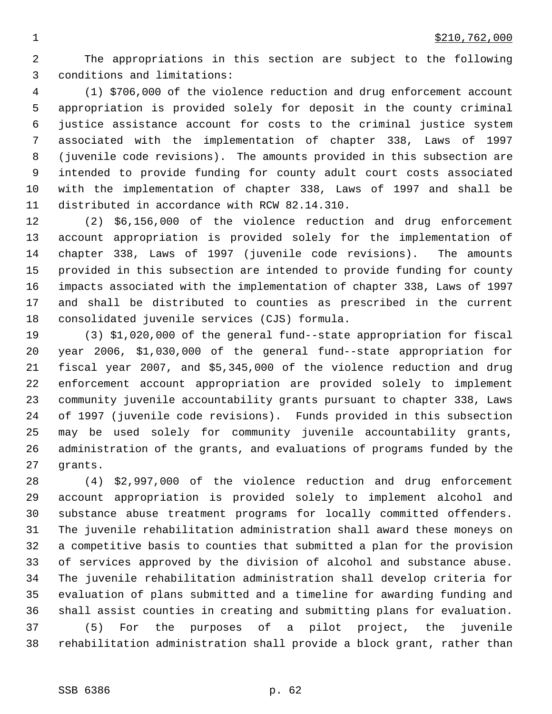The appropriations in this section are subject to the following conditions and limitations:

 (1) \$706,000 of the violence reduction and drug enforcement account appropriation is provided solely for deposit in the county criminal justice assistance account for costs to the criminal justice system associated with the implementation of chapter 338, Laws of 1997 (juvenile code revisions). The amounts provided in this subsection are intended to provide funding for county adult court costs associated with the implementation of chapter 338, Laws of 1997 and shall be distributed in accordance with RCW 82.14.310.

 (2) \$6,156,000 of the violence reduction and drug enforcement account appropriation is provided solely for the implementation of chapter 338, Laws of 1997 (juvenile code revisions). The amounts provided in this subsection are intended to provide funding for county impacts associated with the implementation of chapter 338, Laws of 1997 and shall be distributed to counties as prescribed in the current consolidated juvenile services (CJS) formula.

 (3) \$1,020,000 of the general fund--state appropriation for fiscal year 2006, \$1,030,000 of the general fund--state appropriation for fiscal year 2007, and \$5,345,000 of the violence reduction and drug enforcement account appropriation are provided solely to implement community juvenile accountability grants pursuant to chapter 338, Laws of 1997 (juvenile code revisions). Funds provided in this subsection may be used solely for community juvenile accountability grants, administration of the grants, and evaluations of programs funded by the grants.

 (4) \$2,997,000 of the violence reduction and drug enforcement account appropriation is provided solely to implement alcohol and substance abuse treatment programs for locally committed offenders. The juvenile rehabilitation administration shall award these moneys on a competitive basis to counties that submitted a plan for the provision of services approved by the division of alcohol and substance abuse. The juvenile rehabilitation administration shall develop criteria for evaluation of plans submitted and a timeline for awarding funding and shall assist counties in creating and submitting plans for evaluation. (5) For the purposes of a pilot project, the juvenile rehabilitation administration shall provide a block grant, rather than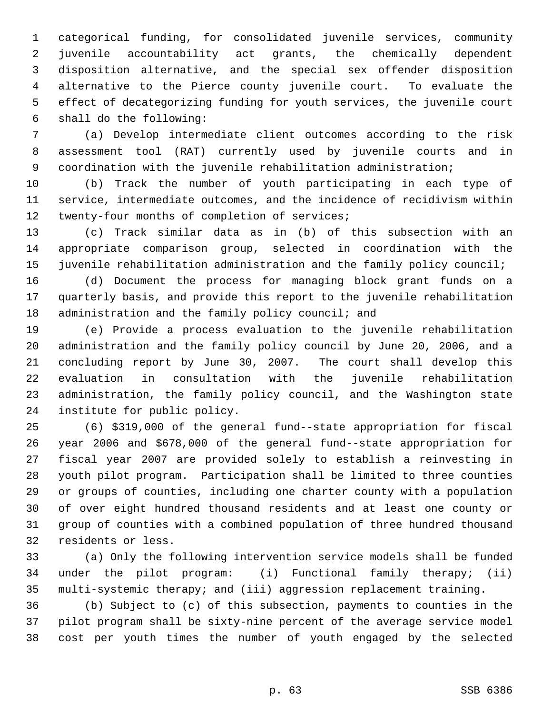categorical funding, for consolidated juvenile services, community juvenile accountability act grants, the chemically dependent disposition alternative, and the special sex offender disposition alternative to the Pierce county juvenile court. To evaluate the effect of decategorizing funding for youth services, the juvenile court shall do the following:

 (a) Develop intermediate client outcomes according to the risk assessment tool (RAT) currently used by juvenile courts and in coordination with the juvenile rehabilitation administration;

 (b) Track the number of youth participating in each type of service, intermediate outcomes, and the incidence of recidivism within 12 twenty-four months of completion of services;

 (c) Track similar data as in (b) of this subsection with an appropriate comparison group, selected in coordination with the juvenile rehabilitation administration and the family policy council;

 (d) Document the process for managing block grant funds on a quarterly basis, and provide this report to the juvenile rehabilitation 18 administration and the family policy council; and

 (e) Provide a process evaluation to the juvenile rehabilitation administration and the family policy council by June 20, 2006, and a concluding report by June 30, 2007. The court shall develop this evaluation in consultation with the juvenile rehabilitation administration, the family policy council, and the Washington state institute for public policy.

 (6) \$319,000 of the general fund--state appropriation for fiscal year 2006 and \$678,000 of the general fund--state appropriation for fiscal year 2007 are provided solely to establish a reinvesting in youth pilot program. Participation shall be limited to three counties or groups of counties, including one charter county with a population of over eight hundred thousand residents and at least one county or group of counties with a combined population of three hundred thousand residents or less.

 (a) Only the following intervention service models shall be funded under the pilot program: (i) Functional family therapy; (ii) multi-systemic therapy; and (iii) aggression replacement training.

 (b) Subject to (c) of this subsection, payments to counties in the pilot program shall be sixty-nine percent of the average service model cost per youth times the number of youth engaged by the selected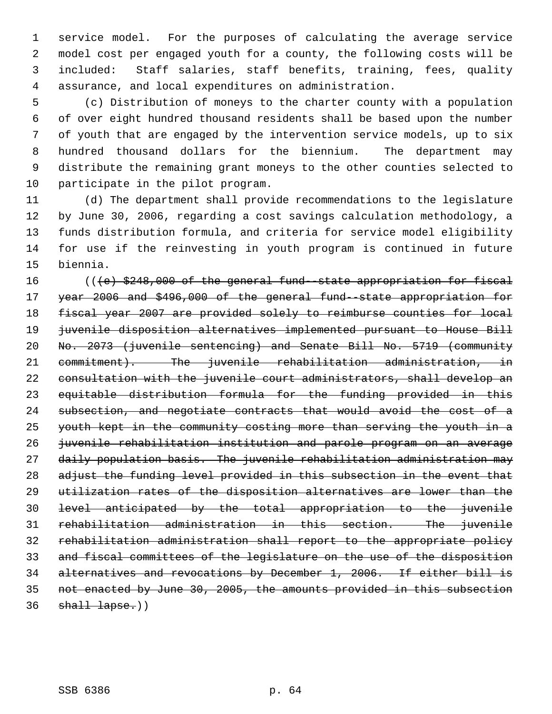service model. For the purposes of calculating the average service model cost per engaged youth for a county, the following costs will be included: Staff salaries, staff benefits, training, fees, quality assurance, and local expenditures on administration.

 (c) Distribution of moneys to the charter county with a population of over eight hundred thousand residents shall be based upon the number of youth that are engaged by the intervention service models, up to six hundred thousand dollars for the biennium. The department may distribute the remaining grant moneys to the other counties selected to participate in the pilot program.

 (d) The department shall provide recommendations to the legislature by June 30, 2006, regarding a cost savings calculation methodology, a funds distribution formula, and criteria for service model eligibility for use if the reinvesting in youth program is continued in future biennia.

 $($   $($   $\{$   $\epsilon$  $)$   $\frac{248}{900}$  of the general fund-state appropriation for fiscal year 2006 and \$496,000 of the general fund--state appropriation for fiscal year 2007 are provided solely to reimburse counties for local juvenile disposition alternatives implemented pursuant to House Bill No. 2073 (juvenile sentencing) and Senate Bill No. 5719 (community 21 commitment). The juvenile rehabilitation administration, in consultation with the juvenile court administrators, shall develop an equitable distribution formula for the funding provided in this subsection, and negotiate contracts that would avoid the cost of a youth kept in the community costing more than serving the youth in a juvenile rehabilitation institution and parole program on an average daily population basis. The juvenile rehabilitation administration may 28 adjust the funding level provided in this subsection in the event that utilization rates of the disposition alternatives are lower than the level anticipated by the total appropriation to the juvenile rehabilitation administration in this section. The juvenile rehabilitation administration shall report to the appropriate policy and fiscal committees of the legislature on the use of the disposition alternatives and revocations by December 1, 2006. If either bill is not enacted by June 30, 2005, the amounts provided in this subsection shall lapse.))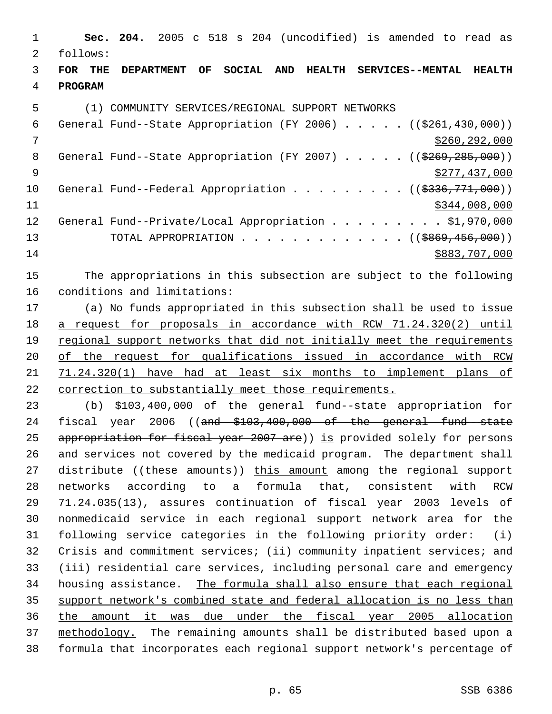**Sec. 204.** 2005 c 518 s 204 (uncodified) is amended to read as follows: **FOR THE DEPARTMENT OF SOCIAL AND HEALTH SERVICES--MENTAL HEALTH PROGRAM** (1) COMMUNITY SERVICES/REGIONAL SUPPORT NETWORKS 6 General Fund--State Appropriation (FY 2006)  $\ldots$  . . . (( $$261,430,000$ )) \$260,292,000 8 General Fund--State Appropriation (FY 2007) . . . . . ((\$269,285,000)) \$277,437,000 10 General Fund--Federal Appropriation . . . . . . . . ((\$336,771,000)) \$344,008,000 12 General Fund--Private/Local Appropriation . . . . . . . . \$1,970,000 13 TOTAL APPROPRIATION . . . . . . . . . . . . . ((\$869,456,000)) \$883,707,000 The appropriations in this subsection are subject to the following conditions and limitations: (a) No funds appropriated in this subsection shall be used to issue a request for proposals in accordance with RCW 71.24.320(2) until 19 regional support networks that did not initially meet the requirements of the request for qualifications issued in accordance with RCW 71.24.320(1) have had at least six months to implement plans of correction to substantially meet those requirements. (b) \$103,400,000 of the general fund--state appropriation for 24 fiscal year 2006 ((and \$103,400,000 of the general fund-state 25 appropriation for fiscal year 2007 are)) is provided solely for persons and services not covered by the medicaid program. The department shall 27 distribute ((these amounts)) this amount among the regional support networks according to a formula that, consistent with RCW 71.24.035(13), assures continuation of fiscal year 2003 levels of nonmedicaid service in each regional support network area for the following service categories in the following priority order: (i) Crisis and commitment services; (ii) community inpatient services; and (iii) residential care services, including personal care and emergency housing assistance. The formula shall also ensure that each regional support network's combined state and federal allocation is no less than the amount it was due under the fiscal year 2005 allocation

 methodology. The remaining amounts shall be distributed based upon a formula that incorporates each regional support network's percentage of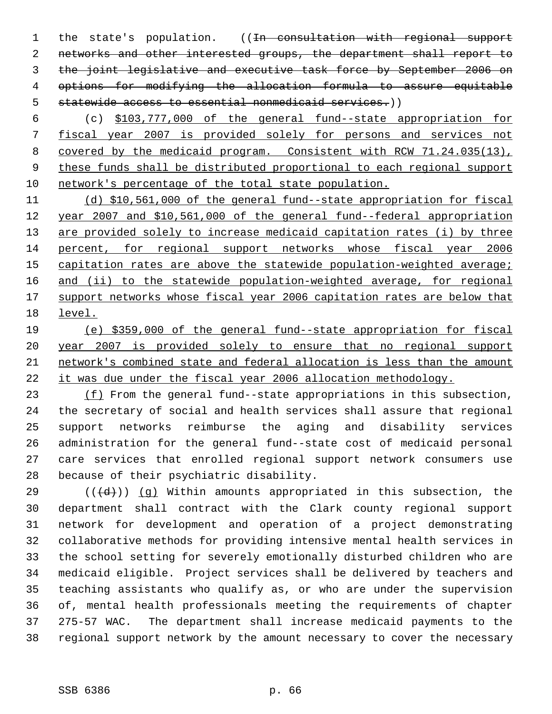1 the state's population. ((In consultation with regional support networks and other interested groups, the department shall report to the joint legislative and executive task force by September 2006 on options for modifying the allocation formula to assure equitable statewide access to essential nonmedicaid services.))

 (c) \$103,777,000 of the general fund--state appropriation for fiscal year 2007 is provided solely for persons and services not covered by the medicaid program. Consistent with RCW 71.24.035(13), these funds shall be distributed proportional to each regional support network's percentage of the total state population.

 (d) \$10,561,000 of the general fund--state appropriation for fiscal year 2007 and \$10,561,000 of the general fund--federal appropriation 13 are provided solely to increase medicaid capitation rates (i) by three percent, for regional support networks whose fiscal year 2006 15 capitation rates are above the statewide population-weighted average; 16 and (ii) to the statewide population-weighted average, for regional 17 support networks whose fiscal year 2006 capitation rates are below that level.

 (e) \$359,000 of the general fund--state appropriation for fiscal year 2007 is provided solely to ensure that no regional support network's combined state and federal allocation is less than the amount it was due under the fiscal year 2006 allocation methodology.

23 (f) From the general fund--state appropriations in this subsection, the secretary of social and health services shall assure that regional support networks reimburse the aging and disability services administration for the general fund--state cost of medicaid personal care services that enrolled regional support network consumers use because of their psychiatric disability.

29 ( $(\overline{\{d\}})$ ) (q) Within amounts appropriated in this subsection, the department shall contract with the Clark county regional support network for development and operation of a project demonstrating collaborative methods for providing intensive mental health services in the school setting for severely emotionally disturbed children who are medicaid eligible. Project services shall be delivered by teachers and teaching assistants who qualify as, or who are under the supervision of, mental health professionals meeting the requirements of chapter 275-57 WAC. The department shall increase medicaid payments to the regional support network by the amount necessary to cover the necessary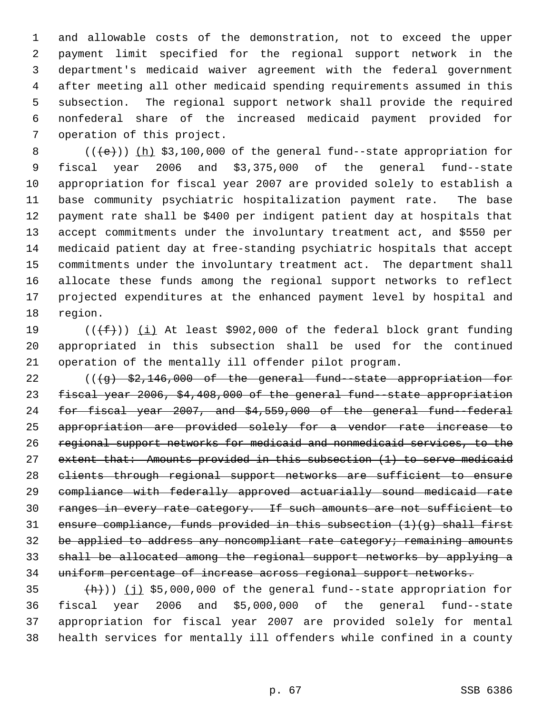and allowable costs of the demonstration, not to exceed the upper payment limit specified for the regional support network in the department's medicaid waiver agreement with the federal government after meeting all other medicaid spending requirements assumed in this subsection. The regional support network shall provide the required nonfederal share of the increased medicaid payment provided for operation of this project.

 $((+e))$   $(h)$  \$3,100,000 of the general fund--state appropriation for fiscal year 2006 and \$3,375,000 of the general fund--state appropriation for fiscal year 2007 are provided solely to establish a base community psychiatric hospitalization payment rate. The base payment rate shall be \$400 per indigent patient day at hospitals that accept commitments under the involuntary treatment act, and \$550 per medicaid patient day at free-standing psychiatric hospitals that accept commitments under the involuntary treatment act. The department shall allocate these funds among the regional support networks to reflect projected expenditures at the enhanced payment level by hospital and region.

19  $((\text{+f}))(\text{i})$  At least \$902,000 of the federal block grant funding appropriated in this subsection shall be used for the continued operation of the mentally ill offender pilot program.

22 (((g) \$2,146,000 of the general fund-state appropriation for fiscal year 2006, \$4,408,000 of the general fund--state appropriation for fiscal year 2007, and \$4,559,000 of the general fund--federal appropriation are provided solely for a vendor rate increase to regional support networks for medicaid and nonmedicaid services, to the extent that: Amounts provided in this subsection (1) to serve medicaid clients through regional support networks are sufficient to ensure compliance with federally approved actuarially sound medicaid rate ranges in every rate category. If such amounts are not sufficient to 31 ensure compliance, funds provided in this subsection  $(1)(g)$  shall first 32 be applied to address any noncompliant rate category; remaining amounts shall be allocated among the regional support networks by applying a uniform percentage of increase across regional support networks.

 $(\frac{h}{h})$ ) (j) \$5,000,000 of the general fund--state appropriation for fiscal year 2006 and \$5,000,000 of the general fund--state appropriation for fiscal year 2007 are provided solely for mental health services for mentally ill offenders while confined in a county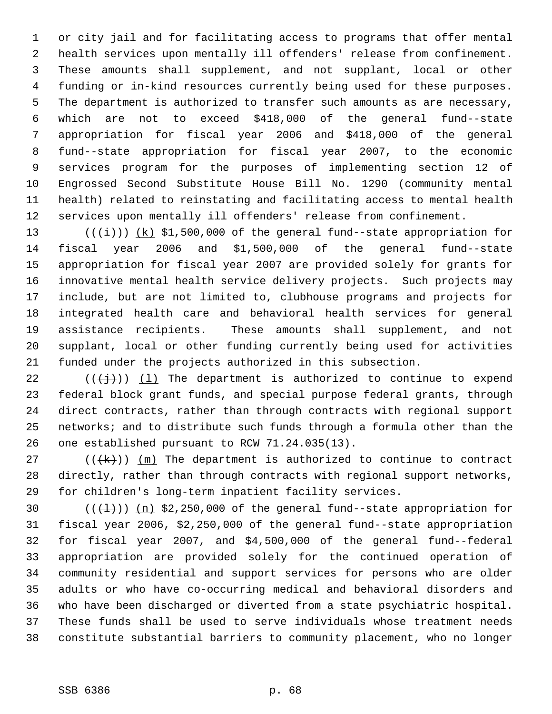or city jail and for facilitating access to programs that offer mental health services upon mentally ill offenders' release from confinement. These amounts shall supplement, and not supplant, local or other funding or in-kind resources currently being used for these purposes. The department is authorized to transfer such amounts as are necessary, which are not to exceed \$418,000 of the general fund--state appropriation for fiscal year 2006 and \$418,000 of the general fund--state appropriation for fiscal year 2007, to the economic services program for the purposes of implementing section 12 of Engrossed Second Substitute House Bill No. 1290 (community mental health) related to reinstating and facilitating access to mental health services upon mentally ill offenders' release from confinement.

 $((\overleftrightarrow{t}))$   $(k)$  \$1,500,000 of the general fund--state appropriation for fiscal year 2006 and \$1,500,000 of the general fund--state appropriation for fiscal year 2007 are provided solely for grants for innovative mental health service delivery projects. Such projects may include, but are not limited to, clubhouse programs and projects for integrated health care and behavioral health services for general assistance recipients. These amounts shall supplement, and not supplant, local or other funding currently being used for activities funded under the projects authorized in this subsection.

22 ( $(\frac{1}{1})$ ) (1) The department is authorized to continue to expend federal block grant funds, and special purpose federal grants, through direct contracts, rather than through contracts with regional support networks; and to distribute such funds through a formula other than the one established pursuant to RCW 71.24.035(13).

27 ( $(\frac{1}{k})$ )  $\frac{m}{k}$  The department is authorized to continue to contract directly, rather than through contracts with regional support networks, for children's long-term inpatient facility services.

 $((+1))$   $(n)$  \$2,250,000 of the general fund--state appropriation for fiscal year 2006, \$2,250,000 of the general fund--state appropriation for fiscal year 2007, and \$4,500,000 of the general fund--federal appropriation are provided solely for the continued operation of community residential and support services for persons who are older adults or who have co-occurring medical and behavioral disorders and who have been discharged or diverted from a state psychiatric hospital. These funds shall be used to serve individuals whose treatment needs constitute substantial barriers to community placement, who no longer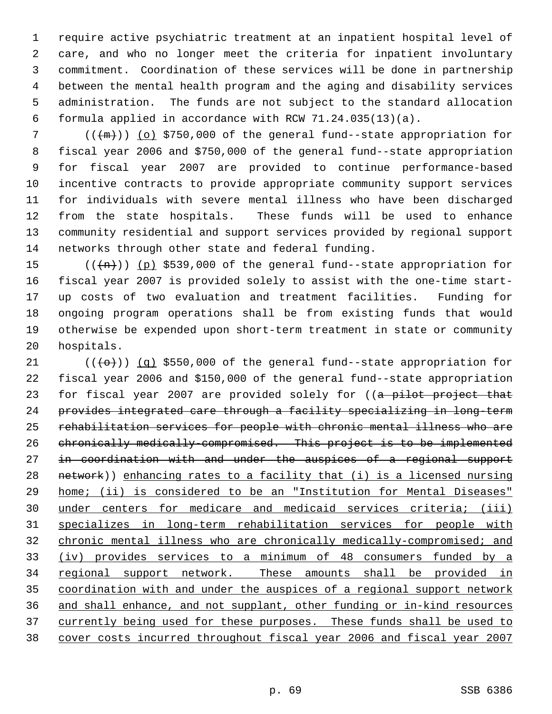require active psychiatric treatment at an inpatient hospital level of care, and who no longer meet the criteria for inpatient involuntary commitment. Coordination of these services will be done in partnership between the mental health program and the aging and disability services administration. The funds are not subject to the standard allocation formula applied in accordance with RCW 71.24.035(13)(a).

 $((+m))$  (o) \$750,000 of the general fund--state appropriation for fiscal year 2006 and \$750,000 of the general fund--state appropriation for fiscal year 2007 are provided to continue performance-based incentive contracts to provide appropriate community support services for individuals with severe mental illness who have been discharged from the state hospitals. These funds will be used to enhance community residential and support services provided by regional support networks through other state and federal funding.

 $((+n))$  (p) \$539,000 of the general fund--state appropriation for fiscal year 2007 is provided solely to assist with the one-time start- up costs of two evaluation and treatment facilities. Funding for ongoing program operations shall be from existing funds that would otherwise be expended upon short-term treatment in state or community hospitals.

 $((+e)^{\cdot})$  (q) \$550,000 of the general fund--state appropriation for fiscal year 2006 and \$150,000 of the general fund--state appropriation 23 for fiscal year 2007 are provided solely for ((a pilot project that provides integrated care through a facility specializing in long-term rehabilitation services for people with chronic mental illness who are chronically medically-compromised. This project is to be implemented 27 in coordination with and under the auspices of a regional support network)) enhancing rates to a facility that (i) is a licensed nursing home; (ii) is considered to be an "Institution for Mental Diseases" under centers for medicare and medicaid services criteria; (iii) specializes in long-term rehabilitation services for people with chronic mental illness who are chronically medically-compromised; and (iv) provides services to a minimum of 48 consumers funded by a 34 regional support network. These amounts shall be provided in coordination with and under the auspices of a regional support network and shall enhance, and not supplant, other funding or in-kind resources 37 currently being used for these purposes. These funds shall be used to cover costs incurred throughout fiscal year 2006 and fiscal year 2007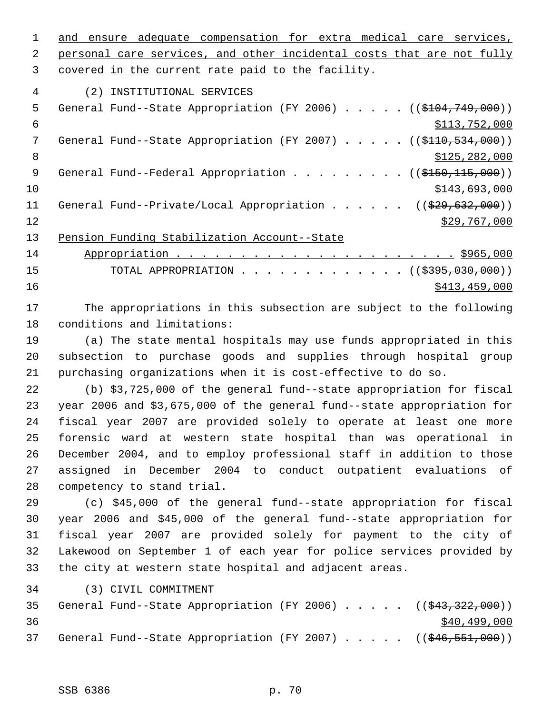1 and ensure adequate compensation for extra medical care services,

2 personal care services, and other incidental costs that are not fully covered in the current rate paid to the facility.

(2) INSTITUTIONAL SERVICES

| 5   | General Fund--State Appropriation (FY 2006) $($ (\$104,749,000))                  |
|-----|-----------------------------------------------------------------------------------|
| 6   | \$113,752,000                                                                     |
|     | General Fund--State Appropriation (FY 2007) $($ $($ \$110,534,000))               |
| 8   | \$125, 282, 000                                                                   |
| - 9 | General Fund--Federal Appropriation ( $(\frac{\text{0}}{250}, \frac{115}{100})$ ) |
| 10  | \$143,693,000                                                                     |
| 11  | General Fund--Private/Local Appropriation ( $(\frac{29}{29}, 632, 000)$ )         |
| 12  | \$29,767,000                                                                      |
| 13  | Pension Funding Stabilization Account--State                                      |

 Appropriation . . . . . . . . . . . . . . . . . . . . . . \$965,000 15 TOTAL APPROPRIATION . . . . . . . . . . . . ((\$395,030,000))  $\frac{$413,459,000}{ }$ 

 The appropriations in this subsection are subject to the following conditions and limitations:

 (a) The state mental hospitals may use funds appropriated in this subsection to purchase goods and supplies through hospital group purchasing organizations when it is cost-effective to do so.

 (b) \$3,725,000 of the general fund--state appropriation for fiscal year 2006 and \$3,675,000 of the general fund--state appropriation for fiscal year 2007 are provided solely to operate at least one more forensic ward at western state hospital than was operational in December 2004, and to employ professional staff in addition to those assigned in December 2004 to conduct outpatient evaluations of competency to stand trial.

 (c) \$45,000 of the general fund--state appropriation for fiscal year 2006 and \$45,000 of the general fund--state appropriation for fiscal year 2007 are provided solely for payment to the city of Lakewood on September 1 of each year for police services provided by the city at western state hospital and adjacent areas.

(3) CIVIL COMMITMENT

|    |  |  |  |  |  | 35 General Fund--State Appropriation (FY 2006) ((\$43,322,000)) |
|----|--|--|--|--|--|-----------------------------------------------------------------|
| 36 |  |  |  |  |  | \$40,499,000                                                    |
|    |  |  |  |  |  | 37 General Fund--State Appropriation (FY 2007) ((\$46,551,000)) |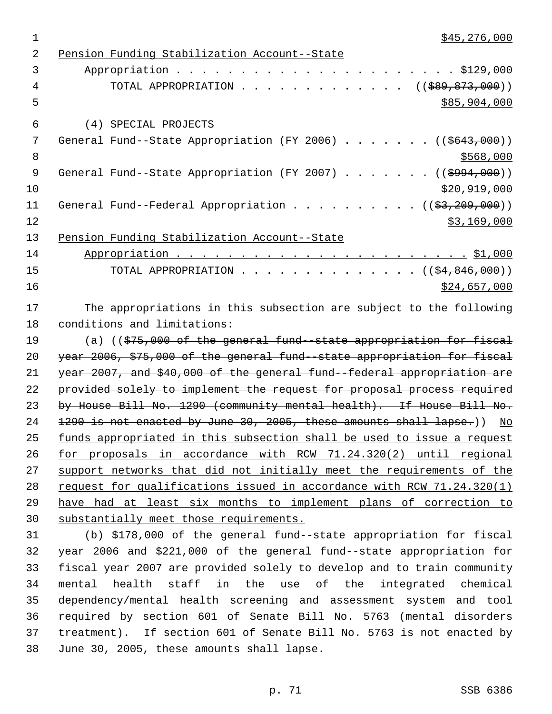| \$45,276,000                                                                      |
|-----------------------------------------------------------------------------------|
| Pension Funding Stabilization Account--State                                      |
|                                                                                   |
| TOTAL APPROPRIATION ( $(\frac{289}{589}, \frac{873}{600})$ )                      |
| \$85,904,000                                                                      |
| (4) SPECIAL PROJECTS                                                              |
| General Fund--State Appropriation (FY 2006) ( $(\frac{2643,000}{1})$              |
| \$568,000                                                                         |
| General Fund--State Appropriation (FY 2007) ( $(\frac{2994,000}{})$               |
| \$20,919,000                                                                      |
| General Fund--Federal Appropriation ( $(\frac{2}{3}, 209, 000)$ )                 |
| \$3,169,000                                                                       |
| Pension Funding Stabilization Account--State                                      |
|                                                                                   |
| TOTAL APPROPRIATION ( $(\frac{24}{64}, 846, 000)$ )                               |
| \$24,657,000                                                                      |
| The appropriations in this subsection are subject to the following                |
| conditions and limitations:                                                       |
| (a) $($ $\frac{1}{275}$ , 000 of the general fund -state appropriation for fiscal |
| year 2006, \$75,000 of the general fund -state appropriation for fiscal           |
| year 2007, and \$40,000 of the general fund -federal appropriation are            |
| provided solely to implement the request for proposal process required            |
| by House Bill No. 1290 (community mental health). If House Bill No.               |
| 1290 is not enacted by June 30, 2005, these amounts shall lapse.)) No             |
| funds appropriated in this subsection shall be used to issue a request            |
| for proposals in accordance with RCW 71.24.320(2) until regional                  |
| support networks that did not initially meet the requirements of the              |
| request for qualifications issued in accordance with RCW 71.24.320(1)             |
|                                                                                   |

 have had at least six months to implement plans of correction to substantially meet those requirements.

 (b) \$178,000 of the general fund--state appropriation for fiscal year 2006 and \$221,000 of the general fund--state appropriation for fiscal year 2007 are provided solely to develop and to train community mental health staff in the use of the integrated chemical dependency/mental health screening and assessment system and tool required by section 601 of Senate Bill No. 5763 (mental disorders treatment). If section 601 of Senate Bill No. 5763 is not enacted by June 30, 2005, these amounts shall lapse.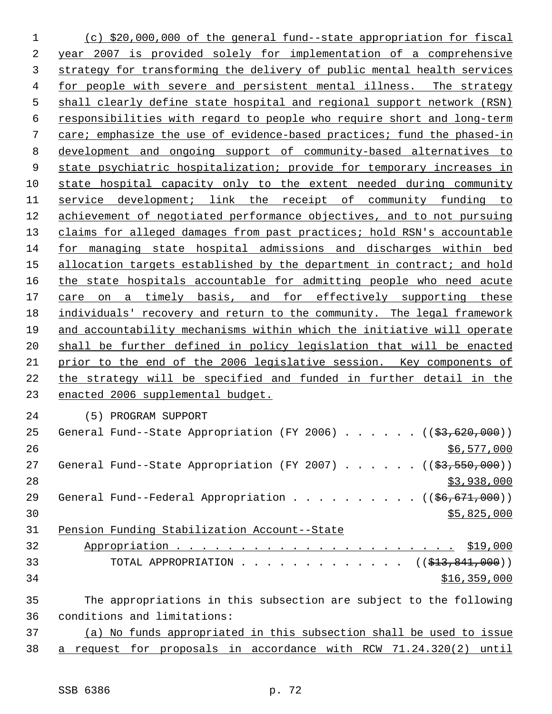(c) \$20,000,000 of the general fund--state appropriation for fiscal year 2007 is provided solely for implementation of a comprehensive strategy for transforming the delivery of public mental health services for people with severe and persistent mental illness. The strategy shall clearly define state hospital and regional support network (RSN) responsibilities with regard to people who require short and long-term care; emphasize the use of evidence-based practices; fund the phased-in development and ongoing support of community-based alternatives to state psychiatric hospitalization; provide for temporary increases in state hospital capacity only to the extent needed during community service development; link the receipt of community funding to achievement of negotiated performance objectives, and to not pursuing claims for alleged damages from past practices; hold RSN's accountable for managing state hospital admissions and discharges within bed 15 allocation targets established by the department in contract; and hold 16 the state hospitals accountable for admitting people who need acute 17 care on a timely basis, and for effectively supporting these individuals' recovery and return to the community. The legal framework and accountability mechanisms within which the initiative will operate shall be further defined in policy legislation that will be enacted prior to the end of the 2006 legislative session. Key components of the strategy will be specified and funded in further detail in the enacted 2006 supplemental budget. (5) PROGRAM SUPPORT 25 General Fund--State Appropriation (FY 2006)  $\ldots$  . . . . ( $(\frac{23}{100}, 000)$ ) \$6,577,000 27 General Fund--State Appropriation (FY 2007) . . . . . ((\$3,550,000))  $\frac{1}{3}$ ,938,000 29 General Fund--Federal Appropriation . . . . . . . . . ((\$6,671,000)) \$5,825,000 Pension Funding Stabilization Account--State Appropriation . . . . . . . . . . . . . . . . . . . . . . \$19,000 33 TOTAL APPROPRIATION . . . . . . . . . . . . ((<del>\$13,841,000</del>)) \$16,359,000 The appropriations in this subsection are subject to the following conditions and limitations: (a) No funds appropriated in this subsection shall be used to issue

a request for proposals in accordance with RCW 71.24.320(2) until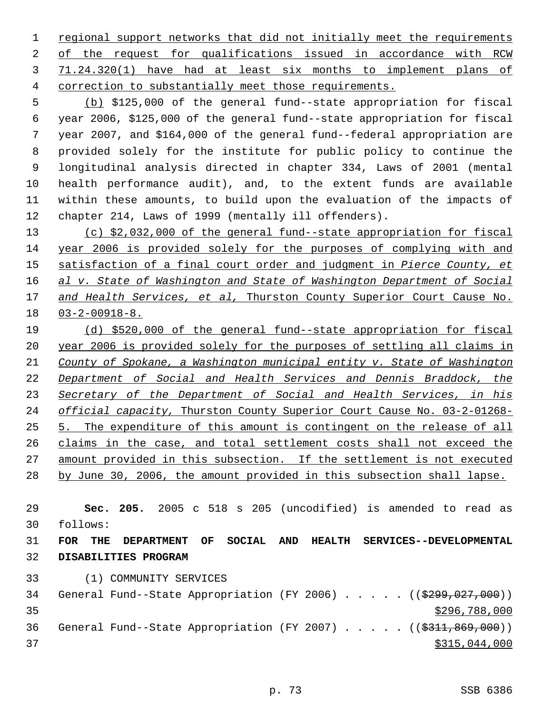1 regional support networks that did not initially meet the requirements of the request for qualifications issued in accordance with RCW 71.24.320(1) have had at least six months to implement plans of correction to substantially meet those requirements.

 (b) \$125,000 of the general fund--state appropriation for fiscal year 2006, \$125,000 of the general fund--state appropriation for fiscal year 2007, and \$164,000 of the general fund--federal appropriation are provided solely for the institute for public policy to continue the longitudinal analysis directed in chapter 334, Laws of 2001 (mental health performance audit), and, to the extent funds are available within these amounts, to build upon the evaluation of the impacts of chapter 214, Laws of 1999 (mentally ill offenders).

 (c) \$2,032,000 of the general fund--state appropriation for fiscal year 2006 is provided solely for the purposes of complying with and satisfaction of a final court order and judgment in *Pierce County, et al v. State of Washington and State of Washington Department of Social and Health Services, et al,* Thurston County Superior Court Cause No. 03-2-00918-8.

 (d) \$520,000 of the general fund--state appropriation for fiscal year 2006 is provided solely for the purposes of settling all claims in *County of Spokane, a Washington municipal entity v. State of Washington Department of Social and Health Services and Dennis Braddock, the Secretary of the Department of Social and Health Services, in his official capacity,* Thurston County Superior Court Cause No. 03-2-01268- 5. The expenditure of this amount is contingent on the release of all claims in the case, and total settlement costs shall not exceed the amount provided in this subsection. If the settlement is not executed by June 30, 2006, the amount provided in this subsection shall lapse.

 **Sec. 205.** 2005 c 518 s 205 (uncodified) is amended to read as follows:

 **FOR THE DEPARTMENT OF SOCIAL AND HEALTH SERVICES--DEVELOPMENTAL DISABILITIES PROGRAM**

(1) COMMUNITY SERVICES

34 General Fund--State Appropriation (FY 2006) . . . . . ((\$299,027,000)) \$296,788,000 36 General Fund--State Appropriation (FY 2007) . . . . . ((\$311,869,000))  $\frac{$315,044,000}{ }$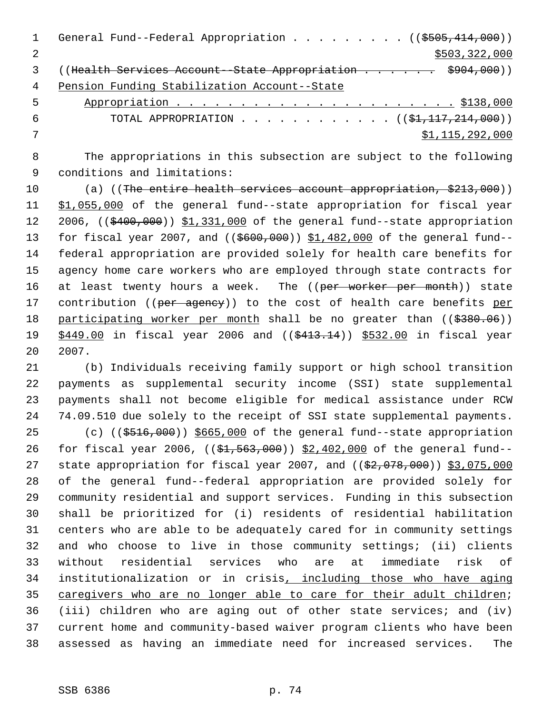|   | General Fund--Federal Appropriation ( $(\frac{2505}{414}, 000)$ )          |
|---|----------------------------------------------------------------------------|
|   | \$503,322,000                                                              |
|   | ((Health Services Account - State Appropriation \$904,000))                |
| 4 | Pension Funding Stabilization Account--State                               |
| 5 |                                                                            |
| 6 | TOTAL APPROPRIATION ( $(\frac{1}{21}, \frac{117}{214}, \frac{214}{200})$ ) |
|   | \$1,115,292,000                                                            |
|   |                                                                            |

 The appropriations in this subsection are subject to the following conditions and limitations:

10 (a) ((The entire health services account appropriation, \$213,000)) 11 \$1,055,000 of the general fund--state appropriation for fiscal year 12 2006, ((\$400,000)) \$1,331,000 of the general fund--state appropriation 13 for fiscal year 2007, and ((\$600,000)) \$1,482,000 of the general fund-- federal appropriation are provided solely for health care benefits for agency home care workers who are employed through state contracts for 16 at least twenty hours a week. The ((per worker per month)) state 17 contribution ((per agency)) to the cost of health care benefits per 18 participating worker per month shall be no greater than ((\$380.06)) 19 \$449.00 in fiscal year 2006 and ((\$413.14)) \$532.00 in fiscal year 2007.

 (b) Individuals receiving family support or high school transition payments as supplemental security income (SSI) state supplemental payments shall not become eligible for medical assistance under RCW 74.09.510 due solely to the receipt of SSI state supplemental payments.

25 (c) (( $\frac{25}{7000}$ ))  $\frac{25}{7000}$  of the general fund--state appropriation 26 for fiscal year 2006, ((\$1,563,000)) \$2,402,000 of the general fund--27 state appropriation for fiscal year 2007, and ((\$2,078,000)) \$3,075,000 of the general fund--federal appropriation are provided solely for community residential and support services. Funding in this subsection shall be prioritized for (i) residents of residential habilitation centers who are able to be adequately cared for in community settings and who choose to live in those community settings; (ii) clients without residential services who are at immediate risk of institutionalization or in crisis, including those who have aging 35 caregivers who are no longer able to care for their adult children; (iii) children who are aging out of other state services; and (iv) current home and community-based waiver program clients who have been assessed as having an immediate need for increased services. The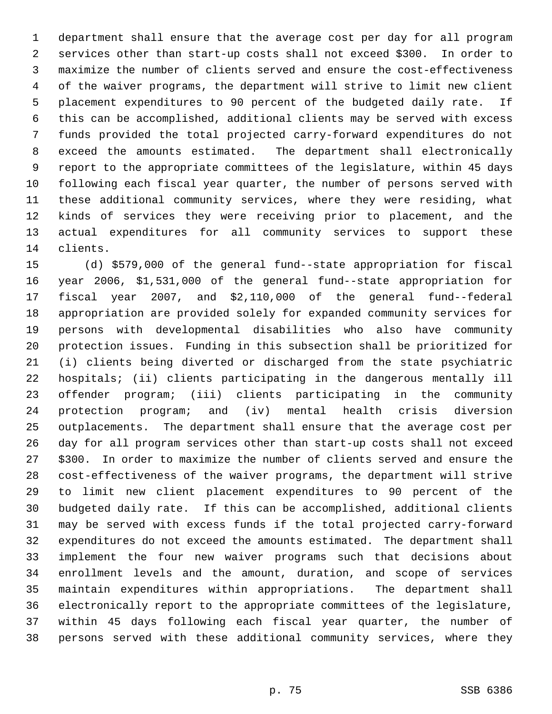department shall ensure that the average cost per day for all program services other than start-up costs shall not exceed \$300. In order to maximize the number of clients served and ensure the cost-effectiveness of the waiver programs, the department will strive to limit new client placement expenditures to 90 percent of the budgeted daily rate. If this can be accomplished, additional clients may be served with excess funds provided the total projected carry-forward expenditures do not exceed the amounts estimated. The department shall electronically report to the appropriate committees of the legislature, within 45 days following each fiscal year quarter, the number of persons served with these additional community services, where they were residing, what kinds of services they were receiving prior to placement, and the actual expenditures for all community services to support these clients.

 (d) \$579,000 of the general fund--state appropriation for fiscal year 2006, \$1,531,000 of the general fund--state appropriation for fiscal year 2007, and \$2,110,000 of the general fund--federal appropriation are provided solely for expanded community services for persons with developmental disabilities who also have community protection issues. Funding in this subsection shall be prioritized for (i) clients being diverted or discharged from the state psychiatric hospitals; (ii) clients participating in the dangerous mentally ill offender program; (iii) clients participating in the community protection program; and (iv) mental health crisis diversion outplacements. The department shall ensure that the average cost per day for all program services other than start-up costs shall not exceed \$300. In order to maximize the number of clients served and ensure the cost-effectiveness of the waiver programs, the department will strive to limit new client placement expenditures to 90 percent of the budgeted daily rate. If this can be accomplished, additional clients may be served with excess funds if the total projected carry-forward expenditures do not exceed the amounts estimated. The department shall implement the four new waiver programs such that decisions about enrollment levels and the amount, duration, and scope of services maintain expenditures within appropriations. The department shall electronically report to the appropriate committees of the legislature, within 45 days following each fiscal year quarter, the number of persons served with these additional community services, where they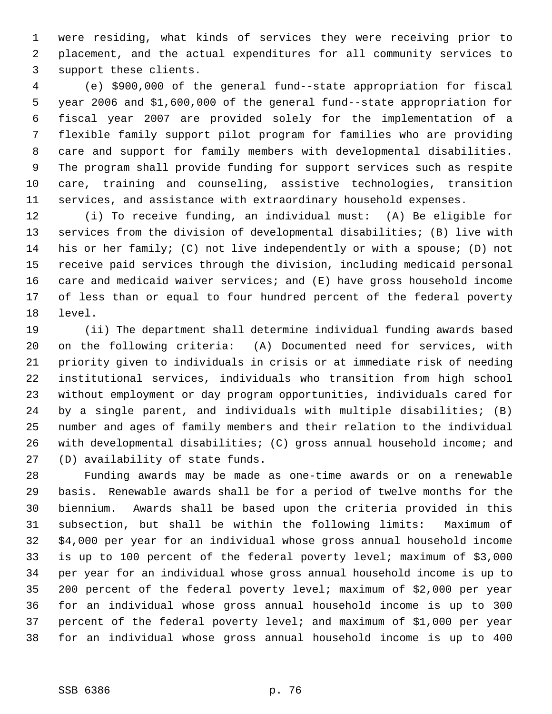were residing, what kinds of services they were receiving prior to placement, and the actual expenditures for all community services to support these clients.

 (e) \$900,000 of the general fund--state appropriation for fiscal year 2006 and \$1,600,000 of the general fund--state appropriation for fiscal year 2007 are provided solely for the implementation of a flexible family support pilot program for families who are providing care and support for family members with developmental disabilities. The program shall provide funding for support services such as respite care, training and counseling, assistive technologies, transition services, and assistance with extraordinary household expenses.

 (i) To receive funding, an individual must: (A) Be eligible for services from the division of developmental disabilities; (B) live with his or her family; (C) not live independently or with a spouse; (D) not receive paid services through the division, including medicaid personal care and medicaid waiver services; and (E) have gross household income of less than or equal to four hundred percent of the federal poverty level.

 (ii) The department shall determine individual funding awards based on the following criteria: (A) Documented need for services, with priority given to individuals in crisis or at immediate risk of needing institutional services, individuals who transition from high school without employment or day program opportunities, individuals cared for by a single parent, and individuals with multiple disabilities; (B) number and ages of family members and their relation to the individual with developmental disabilities; (C) gross annual household income; and (D) availability of state funds.

 Funding awards may be made as one-time awards or on a renewable basis. Renewable awards shall be for a period of twelve months for the biennium. Awards shall be based upon the criteria provided in this subsection, but shall be within the following limits: Maximum of \$4,000 per year for an individual whose gross annual household income is up to 100 percent of the federal poverty level; maximum of \$3,000 per year for an individual whose gross annual household income is up to 200 percent of the federal poverty level; maximum of \$2,000 per year for an individual whose gross annual household income is up to 300 percent of the federal poverty level; and maximum of \$1,000 per year for an individual whose gross annual household income is up to 400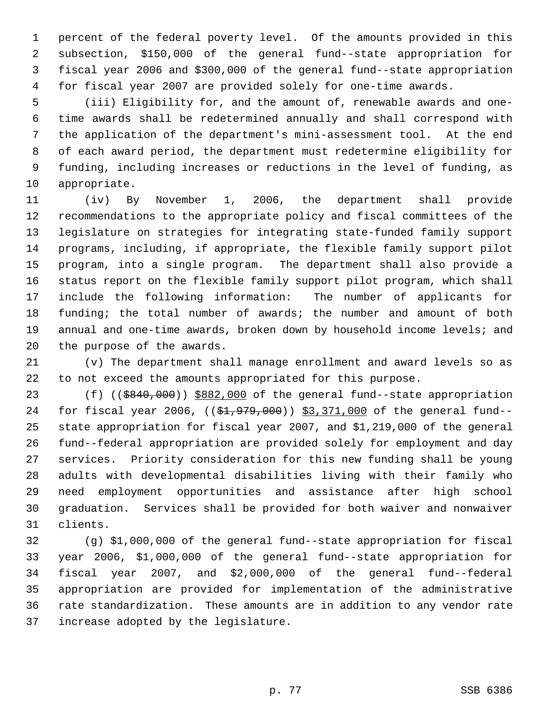percent of the federal poverty level. Of the amounts provided in this subsection, \$150,000 of the general fund--state appropriation for fiscal year 2006 and \$300,000 of the general fund--state appropriation for fiscal year 2007 are provided solely for one-time awards.

 (iii) Eligibility for, and the amount of, renewable awards and one- time awards shall be redetermined annually and shall correspond with the application of the department's mini-assessment tool. At the end of each award period, the department must redetermine eligibility for funding, including increases or reductions in the level of funding, as appropriate.

 (iv) By November 1, 2006, the department shall provide recommendations to the appropriate policy and fiscal committees of the legislature on strategies for integrating state-funded family support programs, including, if appropriate, the flexible family support pilot program, into a single program. The department shall also provide a status report on the flexible family support pilot program, which shall include the following information: The number of applicants for 18 funding; the total number of awards; the number and amount of both 19 annual and one-time awards, broken down by household income levels; and the purpose of the awards.

 (v) The department shall manage enrollment and award levels so as to not exceed the amounts appropriated for this purpose.

23 (f) ((\$840,000)) \$882,000 of the general fund--state appropriation 24 for fiscal year 2006, ((\$1,979,000)) \$3,371,000 of the general fund-- state appropriation for fiscal year 2007, and \$1,219,000 of the general fund--federal appropriation are provided solely for employment and day services. Priority consideration for this new funding shall be young adults with developmental disabilities living with their family who need employment opportunities and assistance after high school graduation. Services shall be provided for both waiver and nonwaiver clients.

 (g) \$1,000,000 of the general fund--state appropriation for fiscal year 2006, \$1,000,000 of the general fund--state appropriation for fiscal year 2007, and \$2,000,000 of the general fund--federal appropriation are provided for implementation of the administrative rate standardization. These amounts are in addition to any vendor rate increase adopted by the legislature.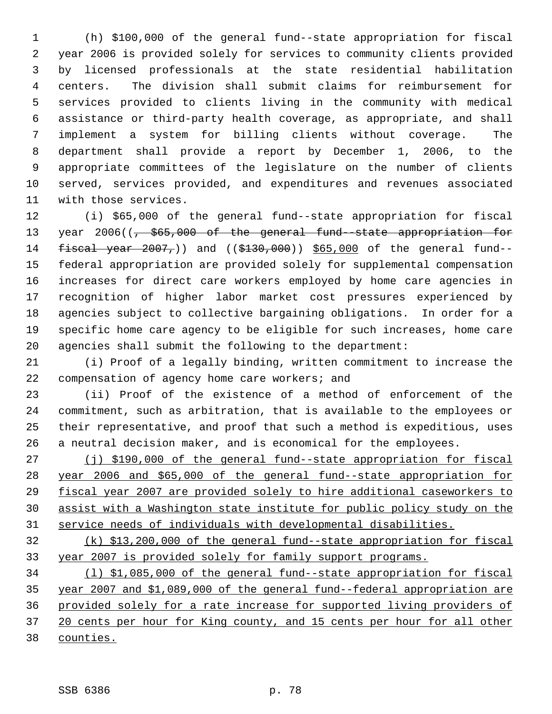(h) \$100,000 of the general fund--state appropriation for fiscal year 2006 is provided solely for services to community clients provided by licensed professionals at the state residential habilitation centers. The division shall submit claims for reimbursement for services provided to clients living in the community with medical assistance or third-party health coverage, as appropriate, and shall implement a system for billing clients without coverage. The department shall provide a report by December 1, 2006, to the appropriate committees of the legislature on the number of clients served, services provided, and expenditures and revenues associated with those services.

 (i) \$65,000 of the general fund--state appropriation for fiscal 13 year 2006(( $\frac{1}{7}$  \$65,000 of the general fund-state appropriation for 14 fiscal year , and ((\$130,000)) \$65,000 of the general fund-- federal appropriation are provided solely for supplemental compensation increases for direct care workers employed by home care agencies in recognition of higher labor market cost pressures experienced by agencies subject to collective bargaining obligations. In order for a specific home care agency to be eligible for such increases, home care agencies shall submit the following to the department:

 (i) Proof of a legally binding, written commitment to increase the compensation of agency home care workers; and

 (ii) Proof of the existence of a method of enforcement of the commitment, such as arbitration, that is available to the employees or their representative, and proof that such a method is expeditious, uses a neutral decision maker, and is economical for the employees.

27 (j) \$190,000 of the general fund--state appropriation for fiscal year 2006 and \$65,000 of the general fund--state appropriation for fiscal year 2007 are provided solely to hire additional caseworkers to assist with a Washington state institute for public policy study on the service needs of individuals with developmental disabilities.

 (k) \$13,200,000 of the general fund--state appropriation for fiscal year 2007 is provided solely for family support programs.

 (l) \$1,085,000 of the general fund--state appropriation for fiscal year 2007 and \$1,089,000 of the general fund--federal appropriation are provided solely for a rate increase for supported living providers of 37 20 cents per hour for King county, and 15 cents per hour for all other counties.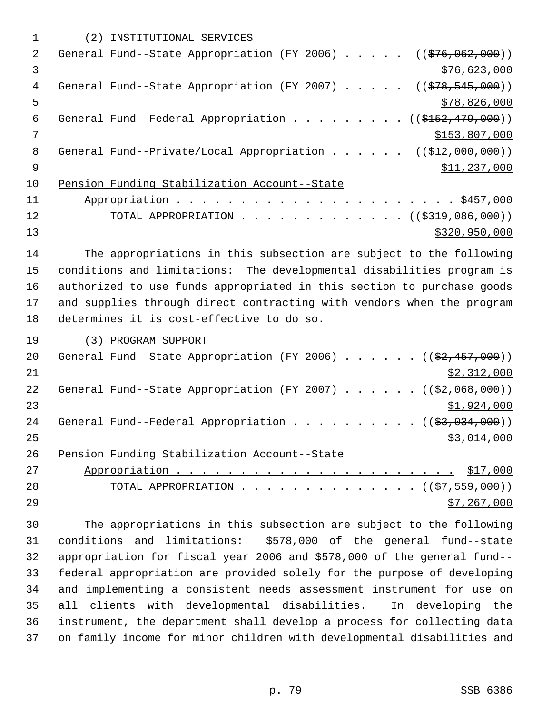|    | (2) INSTITUTIONAL SERVICES                                                              |
|----|-----------------------------------------------------------------------------------------|
| 2  | General Fund--State Appropriation (FY 2006) $($ $($ \$76,062,000))                      |
| 3  | \$76,623,000                                                                            |
| 4  | General Fund--State Appropriation (FY 2007) $($ $($ $\frac{278}{545}, \frac{545}{900})$ |
| 5  | \$78,826,000                                                                            |
| 6  | General Fund--Federal Appropriation ( $(\frac{15152}{179}, 000)$ )                      |
| 7  | \$153,807,000                                                                           |
| 8  | General Fund--Private/Local Appropriation ( $(\frac{212,000,000)}{12,000,000})$         |
| 9  | \$11,237,000                                                                            |
| 10 | Pension Funding Stabilization Account--State                                            |
| 11 |                                                                                         |
| 12 | TOTAL APPROPRIATION ( $(\frac{2319}{1000})$ )                                           |
| 13 | \$320,950,000                                                                           |

 The appropriations in this subsection are subject to the following conditions and limitations: The developmental disabilities program is authorized to use funds appropriated in this section to purchase goods and supplies through direct contracting with vendors when the program determines it is cost-effective to do so.

(3) PROGRAM SUPPORT

| 20 | General Fund--State Appropriation (FY 2006) $($ $(\frac{27.457}{100})$ |
|----|------------------------------------------------------------------------|
| 21 | \$2,312,000                                                            |
| 22 | General Fund--State Appropriation (FY 2007) $($ $($ $\frac{207}{100})$ |
| 23 | \$1,924,000                                                            |
| 24 | General Fund--Federal Appropriation $($ $($ \$3,034,000) $)$           |
| 25 | \$3,014,000                                                            |
| 26 | Pension Funding Stabilization Account--State                           |
| 27 |                                                                        |
| 28 | TOTAL APPROPRIATION ( $(\frac{27}{57}, \frac{559}{000})$ )             |
| 29 | \$7,267,000                                                            |

 The appropriations in this subsection are subject to the following conditions and limitations: \$578,000 of the general fund--state appropriation for fiscal year 2006 and \$578,000 of the general fund-- federal appropriation are provided solely for the purpose of developing and implementing a consistent needs assessment instrument for use on all clients with developmental disabilities. In developing the instrument, the department shall develop a process for collecting data on family income for minor children with developmental disabilities and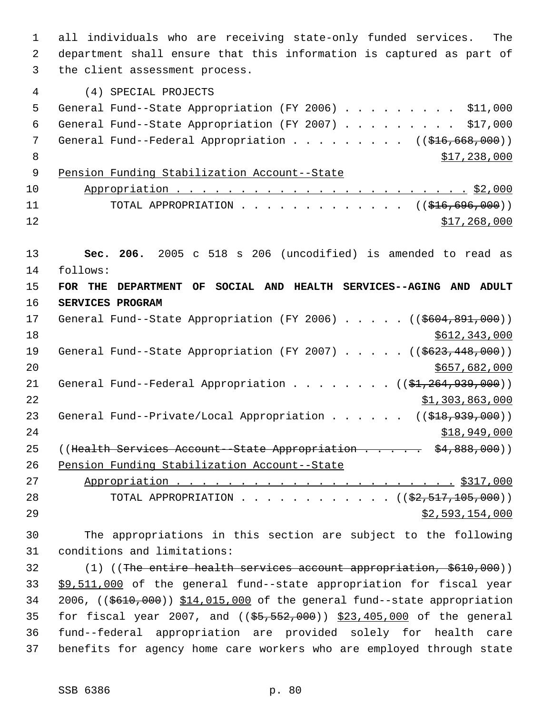1 all individuals who are receiving state-only funded services. The 2 department shall ensure that this information is captured as part of 3 the client assessment process. 4 (4) SPECIAL PROJECTS 5 General Fund--State Appropriation (FY 2006) . . . . . . . . . \$11,000 6 General Fund--State Appropriation (FY 2007) . . . . . . . . . \$17,000 7 General Fund--Federal Appropriation . . . . . . . . ((\$16,668,000))  $8 \times 17,238,000$  9 Pension Funding Stabilization Account--State 10 Appropriation . . . . . . . . . . . . . . . . . . . . . . . \$2,000 11 TOTAL APPROPRIATION . . . . . . . . . . . . ((<del>\$16,696,000</del>))  $\frac{$12}{ }$   $\frac{$17,268,000}{ }$ 13 **Sec. 206.** 2005 c 518 s 206 (uncodified) is amended to read as 14 follows: 15 **FOR THE DEPARTMENT OF SOCIAL AND HEALTH SERVICES--AGING AND ADULT** 16 **SERVICES PROGRAM** 17 General Fund--State Appropriation (FY 2006) . . . . . ((\$604,891,000)) 18 \$612,343,000 19 General Fund--State Appropriation (FY 2007) . . . . . ((\$623,448,000))  $20$  \$657,682,000 21 General Fund--Federal Appropriation . . . . . . . ((\$1,264,939,000)) 22 \$1,303,863,000 23 General Fund--Private/Local Appropriation . . . . . ((\$18,939,000))  $24$  \$18,949,000 25 ((Health Services Account - State Appropriation . . . . . \$4,888,000)) 26 Pension Funding Stabilization Account--State 27 Appropriation . . . . . . . . . . . . . . . . . . . . . . \$317,000 28 TOTAL APPROPRIATION . . . . . . . . . . . ((<del>\$2,517,105,000</del>))  $29$   $52,593,154,000$ 30 The appropriations in this section are subject to the following 31 conditions and limitations: 32 (1) ((The entire health services account appropriation, \$610,000)) 33 \$9,511,000 of the general fund--state appropriation for fiscal year 34 2006, ((\$610,000)) \$14,015,000 of the general fund--state appropriation 35 for fiscal year 2007, and ((\$5,552,000)) \$23,405,000 of the general 36 fund--federal appropriation are provided solely for health care

37 benefits for agency home care workers who are employed through state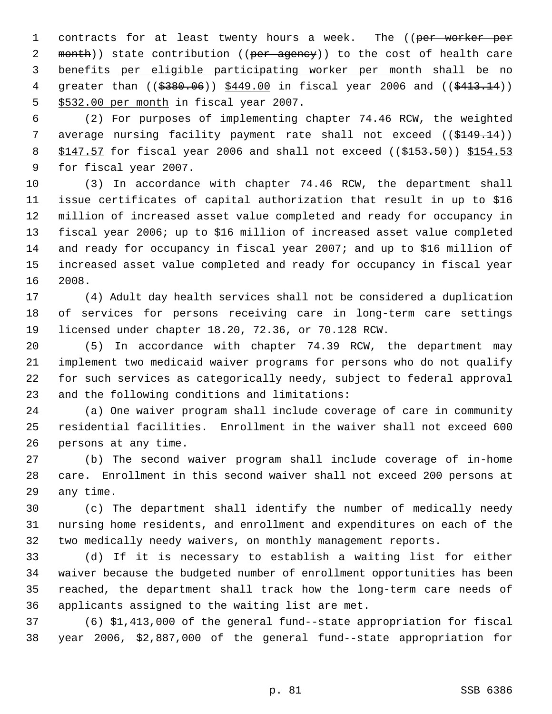1 contracts for at least twenty hours a week. The ((per worker per 2 month)) state contribution ((per agency)) to the cost of health care benefits per eligible participating worker per month shall be no 4 greater than ((\$380.06)) \$449.00 in fiscal year 2006 and ((\$413.14)) \$532.00 per month in fiscal year 2007.

 (2) For purposes of implementing chapter 74.46 RCW, the weighted 7 average nursing facility payment rate shall not exceed ((\$149.14)) 8 \$147.57 for fiscal year 2006 and shall not exceed ((\$153.50)) \$154.53 for fiscal year 2007.

 (3) In accordance with chapter 74.46 RCW, the department shall issue certificates of capital authorization that result in up to \$16 million of increased asset value completed and ready for occupancy in fiscal year 2006; up to \$16 million of increased asset value completed and ready for occupancy in fiscal year 2007; and up to \$16 million of increased asset value completed and ready for occupancy in fiscal year 2008.

 (4) Adult day health services shall not be considered a duplication of services for persons receiving care in long-term care settings licensed under chapter 18.20, 72.36, or 70.128 RCW.

 (5) In accordance with chapter 74.39 RCW, the department may implement two medicaid waiver programs for persons who do not qualify for such services as categorically needy, subject to federal approval and the following conditions and limitations:

 (a) One waiver program shall include coverage of care in community residential facilities. Enrollment in the waiver shall not exceed 600 persons at any time.

 (b) The second waiver program shall include coverage of in-home care. Enrollment in this second waiver shall not exceed 200 persons at any time.

 (c) The department shall identify the number of medically needy nursing home residents, and enrollment and expenditures on each of the two medically needy waivers, on monthly management reports.

 (d) If it is necessary to establish a waiting list for either waiver because the budgeted number of enrollment opportunities has been reached, the department shall track how the long-term care needs of applicants assigned to the waiting list are met.

 (6) \$1,413,000 of the general fund--state appropriation for fiscal year 2006, \$2,887,000 of the general fund--state appropriation for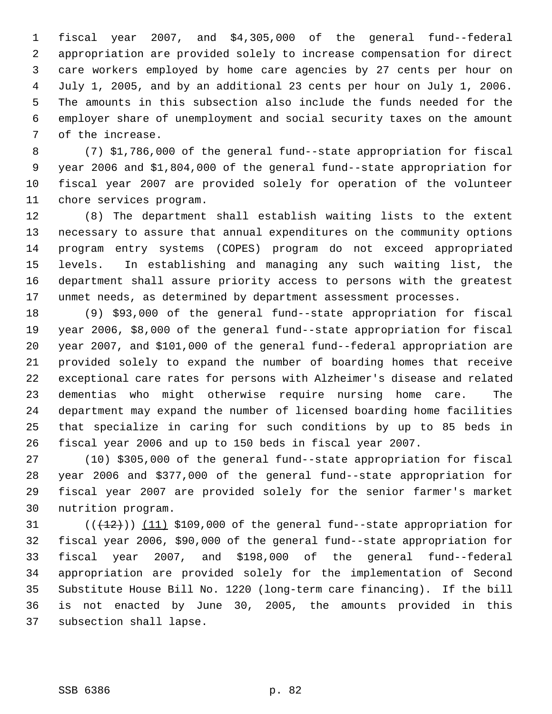fiscal year 2007, and \$4,305,000 of the general fund--federal appropriation are provided solely to increase compensation for direct care workers employed by home care agencies by 27 cents per hour on July 1, 2005, and by an additional 23 cents per hour on July 1, 2006. The amounts in this subsection also include the funds needed for the employer share of unemployment and social security taxes on the amount of the increase.

 (7) \$1,786,000 of the general fund--state appropriation for fiscal year 2006 and \$1,804,000 of the general fund--state appropriation for fiscal year 2007 are provided solely for operation of the volunteer chore services program.

 (8) The department shall establish waiting lists to the extent necessary to assure that annual expenditures on the community options program entry systems (COPES) program do not exceed appropriated levels. In establishing and managing any such waiting list, the department shall assure priority access to persons with the greatest unmet needs, as determined by department assessment processes.

 (9) \$93,000 of the general fund--state appropriation for fiscal year 2006, \$8,000 of the general fund--state appropriation for fiscal year 2007, and \$101,000 of the general fund--federal appropriation are provided solely to expand the number of boarding homes that receive exceptional care rates for persons with Alzheimer's disease and related dementias who might otherwise require nursing home care. The department may expand the number of licensed boarding home facilities that specialize in caring for such conditions by up to 85 beds in fiscal year 2006 and up to 150 beds in fiscal year 2007.

 (10) \$305,000 of the general fund--state appropriation for fiscal year 2006 and \$377,000 of the general fund--state appropriation for fiscal year 2007 are provided solely for the senior farmer's market nutrition program.

 $((+12))$   $(11)$  \$109,000 of the general fund--state appropriation for fiscal year 2006, \$90,000 of the general fund--state appropriation for fiscal year 2007, and \$198,000 of the general fund--federal appropriation are provided solely for the implementation of Second Substitute House Bill No. 1220 (long-term care financing). If the bill is not enacted by June 30, 2005, the amounts provided in this subsection shall lapse.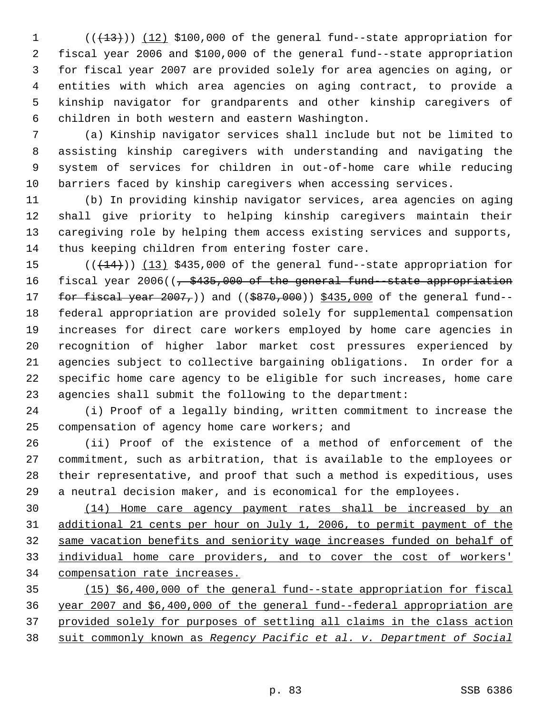$((+13))$   $(12)$  \$100,000 of the general fund--state appropriation for fiscal year 2006 and \$100,000 of the general fund--state appropriation for fiscal year 2007 are provided solely for area agencies on aging, or entities with which area agencies on aging contract, to provide a kinship navigator for grandparents and other kinship caregivers of children in both western and eastern Washington.

 (a) Kinship navigator services shall include but not be limited to assisting kinship caregivers with understanding and navigating the system of services for children in out-of-home care while reducing barriers faced by kinship caregivers when accessing services.

 (b) In providing kinship navigator services, area agencies on aging shall give priority to helping kinship caregivers maintain their caregiving role by helping them access existing services and supports, thus keeping children from entering foster care.

 $((+14))$   $(13)$  \$435,000 of the general fund--state appropriation for 16 fiscal year 2006((, \$435,000 of the general fund-state appropriation 17 for fiscal year 2007,)) and ((\$870,000)) \$435,000 of the general fund-- federal appropriation are provided solely for supplemental compensation increases for direct care workers employed by home care agencies in recognition of higher labor market cost pressures experienced by agencies subject to collective bargaining obligations. In order for a specific home care agency to be eligible for such increases, home care agencies shall submit the following to the department:

 (i) Proof of a legally binding, written commitment to increase the compensation of agency home care workers; and

 (ii) Proof of the existence of a method of enforcement of the commitment, such as arbitration, that is available to the employees or their representative, and proof that such a method is expeditious, uses a neutral decision maker, and is economical for the employees.

 (14) Home care agency payment rates shall be increased by an additional 21 cents per hour on July 1, 2006, to permit payment of the same vacation benefits and seniority wage increases funded on behalf of individual home care providers, and to cover the cost of workers' compensation rate increases.

 (15) \$6,400,000 of the general fund--state appropriation for fiscal year 2007 and \$6,400,000 of the general fund--federal appropriation are provided solely for purposes of settling all claims in the class action suit commonly known as *Regency Pacific et al. v. Department of Social*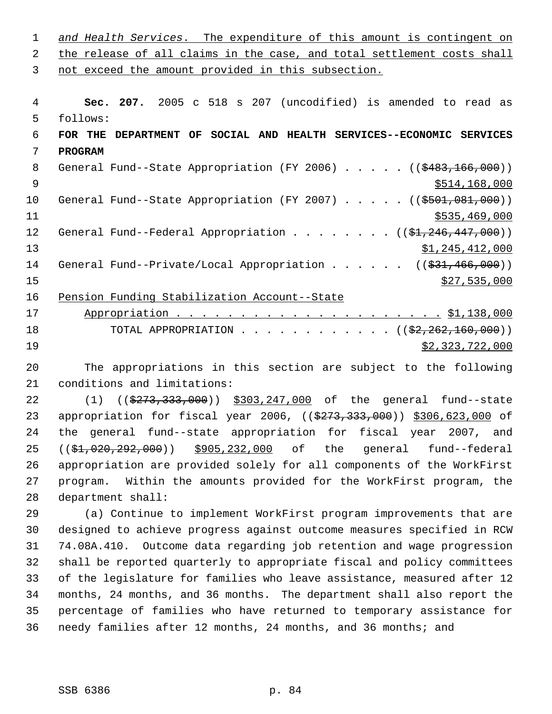| 2            | the release of all claims in the case, and total settlement costs shall               |
|--------------|---------------------------------------------------------------------------------------|
| $\mathbf{3}$ | not exceed the amount provided in this subsection.                                    |
|              |                                                                                       |
| 4            | Sec. 207. 2005 c 518 s 207 (uncodified) is amended to read as                         |
| 5            | follows:                                                                              |
| 6            | FOR THE<br>DEPARTMENT OF SOCIAL AND HEALTH SERVICES--ECONOMIC SERVICES                |
| 7            | <b>PROGRAM</b>                                                                        |
| 8            | General Fund--State Appropriation (FY 2006) $($ $($ \$483,166,000))                   |
| 9            | \$514,168,000                                                                         |
| 10           | General Fund--State Appropriation (FY 2007) $($ $($ \$501,081,000))                   |
| 11           | \$535,469,000                                                                         |
| 12           | General Fund--Federal Appropriation $($ $($ $\frac{1}{24}$ , $246$ , $447$ , $000)$ ) |
| 13           | \$1,245,412,000                                                                       |
| 14           | General Fund--Private/Local Appropriation ( $(\frac{231}{731}, \frac{466}{100})$ )    |
| 15           | \$27,535,000                                                                          |
| 16           | Pension Funding Stabilization Account--State                                          |
| 17           |                                                                                       |
| 18           | TOTAL APPROPRIATION ( $(\frac{22}{22}, 262, 160, 000)$ )                              |
| 19           | <u>\$2,323,722,000</u>                                                                |

*and Health Services*. The expenditure of this amount is contingent on

 The appropriations in this section are subject to the following conditions and limitations:

22 (1) ((\$273,333,000)) \$303,247,000 of the general fund--state 23 appropriation for fiscal year 2006, ((\$273,333,000)) \$306,623,000 of the general fund--state appropriation for fiscal year 2007, and ((\$1,020,292,000)) \$905,232,000 of the general fund--federal appropriation are provided solely for all components of the WorkFirst program. Within the amounts provided for the WorkFirst program, the department shall:

 (a) Continue to implement WorkFirst program improvements that are designed to achieve progress against outcome measures specified in RCW 74.08A.410. Outcome data regarding job retention and wage progression shall be reported quarterly to appropriate fiscal and policy committees of the legislature for families who leave assistance, measured after 12 months, 24 months, and 36 months. The department shall also report the percentage of families who have returned to temporary assistance for needy families after 12 months, 24 months, and 36 months; and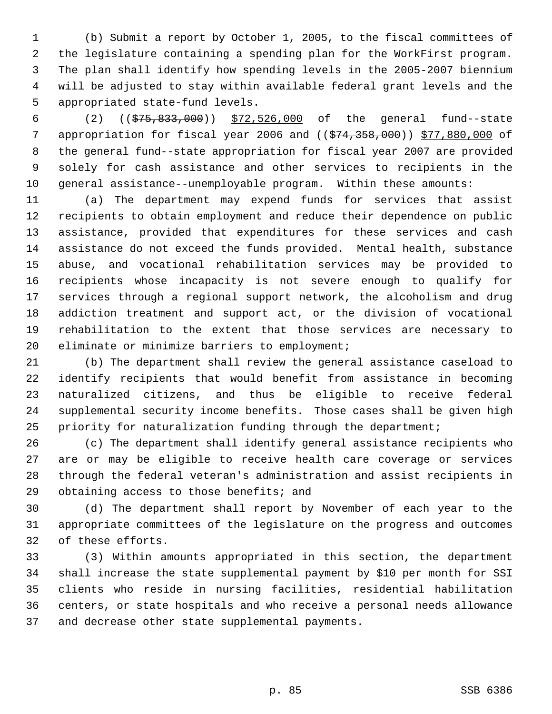(b) Submit a report by October 1, 2005, to the fiscal committees of the legislature containing a spending plan for the WorkFirst program. The plan shall identify how spending levels in the 2005-2007 biennium will be adjusted to stay within available federal grant levels and the appropriated state-fund levels.

 (2) ((\$75,833,000)) \$72,526,000 of the general fund--state 7 appropriation for fiscal year 2006 and (( $\frac{1}{574}$ , 358,000)) \$77,880,000 of the general fund--state appropriation for fiscal year 2007 are provided solely for cash assistance and other services to recipients in the general assistance--unemployable program. Within these amounts:

 (a) The department may expend funds for services that assist recipients to obtain employment and reduce their dependence on public assistance, provided that expenditures for these services and cash assistance do not exceed the funds provided. Mental health, substance abuse, and vocational rehabilitation services may be provided to recipients whose incapacity is not severe enough to qualify for services through a regional support network, the alcoholism and drug addiction treatment and support act, or the division of vocational rehabilitation to the extent that those services are necessary to 20 eliminate or minimize barriers to employment;

 (b) The department shall review the general assistance caseload to identify recipients that would benefit from assistance in becoming naturalized citizens, and thus be eligible to receive federal supplemental security income benefits. Those cases shall be given high priority for naturalization funding through the department;

 (c) The department shall identify general assistance recipients who are or may be eligible to receive health care coverage or services through the federal veteran's administration and assist recipients in 29 obtaining access to those benefits; and

 (d) The department shall report by November of each year to the appropriate committees of the legislature on the progress and outcomes of these efforts.

 (3) Within amounts appropriated in this section, the department shall increase the state supplemental payment by \$10 per month for SSI clients who reside in nursing facilities, residential habilitation centers, or state hospitals and who receive a personal needs allowance and decrease other state supplemental payments.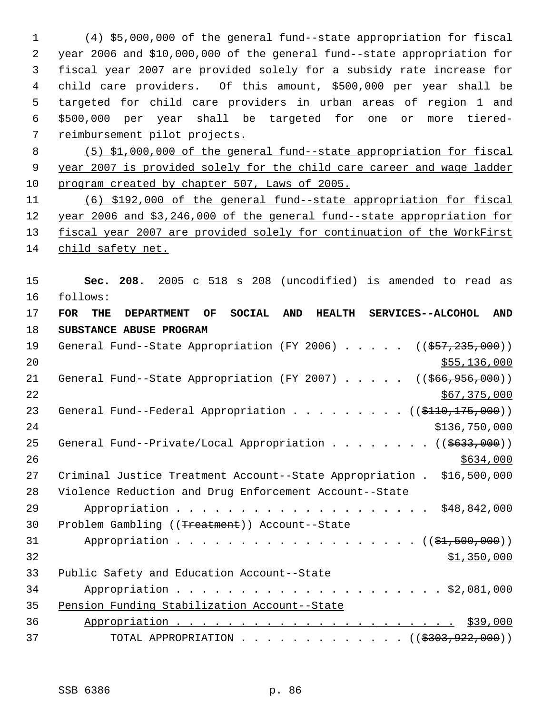(4) \$5,000,000 of the general fund--state appropriation for fiscal year 2006 and \$10,000,000 of the general fund--state appropriation for fiscal year 2007 are provided solely for a subsidy rate increase for child care providers. Of this amount, \$500,000 per year shall be targeted for child care providers in urban areas of region 1 and \$500,000 per year shall be targeted for one or more tiered- reimbursement pilot projects.

 (5) \$1,000,000 of the general fund--state appropriation for fiscal year 2007 is provided solely for the child care career and wage ladder program created by chapter 507, Laws of 2005.

 (6) \$192,000 of the general fund--state appropriation for fiscal year 2006 and \$3,246,000 of the general fund--state appropriation for 13 fiscal year 2007 are provided solely for continuation of the WorkFirst child safety net.

 **Sec. 208.** 2005 c 518 s 208 (uncodified) is amended to read as follows:

 **FOR THE DEPARTMENT OF SOCIAL AND HEALTH SERVICES--ALCOHOL AND SUBSTANCE ABUSE PROGRAM** 19 General Fund--State Appropriation (FY 2006) . . . . . ((\$57,235,000)) \$55,136,000 21 General Fund--State Appropriation (FY 2007) . . . . . ((\$66,956,000))  $567,375,000$ 23 General Fund--Federal Appropriation . . . . . . . . ((\$110,175,000)) \$136,750,000 25 General Fund--Private/Local Appropriation . . . . . . . ((\$633,000)) Criminal Justice Treatment Account--State Appropriation . \$16,500,000 Violence Reduction and Drug Enforcement Account--State Appropriation . . . . . . . . . . . . . . . . . . . . \$48,842,000 Problem Gambling ((Treatment)) Account--State 31 Appropriation . . . . . . . . . . . . . . . . . (  $(\frac{1}{2}, 500, 000)$  ) \$1,350,000 Public Safety and Education Account--State Appropriation . . . . . . . . . . . . . . . . . . . . . \$2,081,000 Pension Funding Stabilization Account--State Appropriation . . . . . . . . . . . . . . . . . . . . . . \$39,000 37 TOTAL APPROPRIATION . . . . . . . . . . . . . ((\$303,922,000))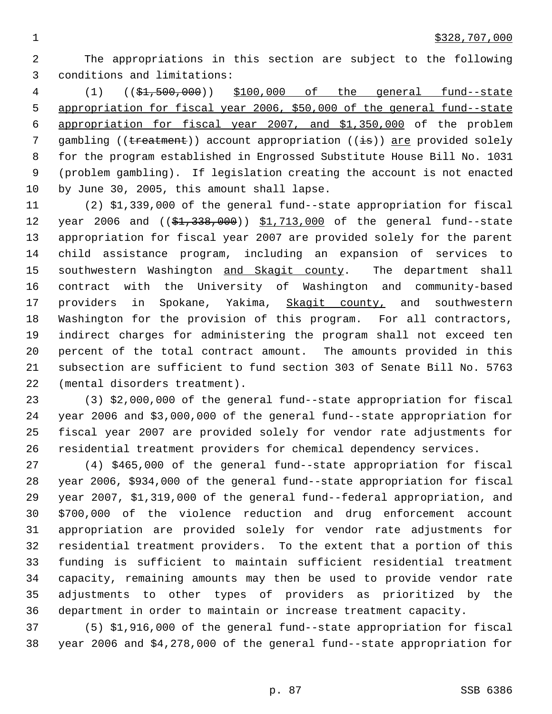The appropriations in this section are subject to the following conditions and limitations:

 (1) ((\$1,500,000)) \$100,000 of the general fund--state appropriation for fiscal year 2006, \$50,000 of the general fund--state appropriation for fiscal year 2007, and \$1,350,000 of the problem 7 gambling ((treatment)) account appropriation ((is)) are provided solely for the program established in Engrossed Substitute House Bill No. 1031 (problem gambling). If legislation creating the account is not enacted by June 30, 2005, this amount shall lapse.

 (2) \$1,339,000 of the general fund--state appropriation for fiscal 12 year 2006 and ((\$1,338,000)) \$1,713,000 of the general fund--state appropriation for fiscal year 2007 are provided solely for the parent child assistance program, including an expansion of services to 15 southwestern Washington and Skagit county. The department shall contract with the University of Washington and community-based providers in Spokane, Yakima, Skagit county, and southwestern Washington for the provision of this program. For all contractors, indirect charges for administering the program shall not exceed ten percent of the total contract amount. The amounts provided in this subsection are sufficient to fund section 303 of Senate Bill No. 5763 (mental disorders treatment).

 (3) \$2,000,000 of the general fund--state appropriation for fiscal year 2006 and \$3,000,000 of the general fund--state appropriation for fiscal year 2007 are provided solely for vendor rate adjustments for residential treatment providers for chemical dependency services.

 (4) \$465,000 of the general fund--state appropriation for fiscal year 2006, \$934,000 of the general fund--state appropriation for fiscal year 2007, \$1,319,000 of the general fund--federal appropriation, and \$700,000 of the violence reduction and drug enforcement account appropriation are provided solely for vendor rate adjustments for residential treatment providers. To the extent that a portion of this funding is sufficient to maintain sufficient residential treatment capacity, remaining amounts may then be used to provide vendor rate adjustments to other types of providers as prioritized by the department in order to maintain or increase treatment capacity.

 (5) \$1,916,000 of the general fund--state appropriation for fiscal year 2006 and \$4,278,000 of the general fund--state appropriation for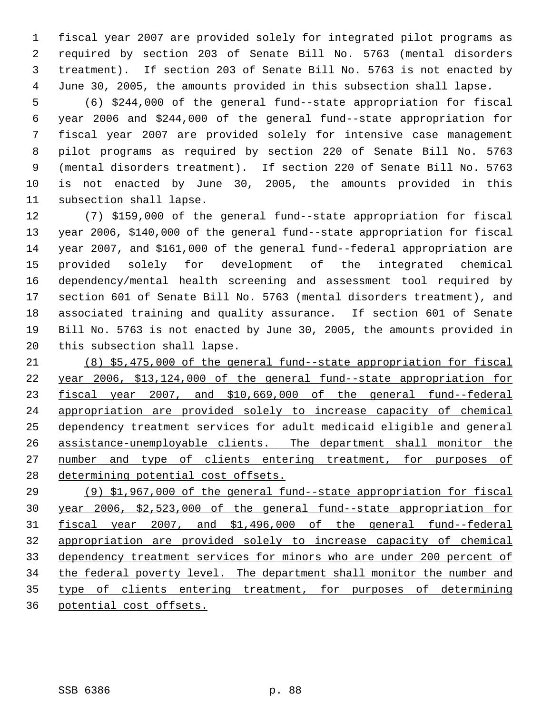fiscal year 2007 are provided solely for integrated pilot programs as required by section 203 of Senate Bill No. 5763 (mental disorders treatment). If section 203 of Senate Bill No. 5763 is not enacted by June 30, 2005, the amounts provided in this subsection shall lapse.

 (6) \$244,000 of the general fund--state appropriation for fiscal year 2006 and \$244,000 of the general fund--state appropriation for fiscal year 2007 are provided solely for intensive case management pilot programs as required by section 220 of Senate Bill No. 5763 (mental disorders treatment). If section 220 of Senate Bill No. 5763 is not enacted by June 30, 2005, the amounts provided in this subsection shall lapse.

 (7) \$159,000 of the general fund--state appropriation for fiscal year 2006, \$140,000 of the general fund--state appropriation for fiscal year 2007, and \$161,000 of the general fund--federal appropriation are provided solely for development of the integrated chemical dependency/mental health screening and assessment tool required by section 601 of Senate Bill No. 5763 (mental disorders treatment), and associated training and quality assurance. If section 601 of Senate Bill No. 5763 is not enacted by June 30, 2005, the amounts provided in this subsection shall lapse.

 (8) \$5,475,000 of the general fund--state appropriation for fiscal year 2006, \$13,124,000 of the general fund--state appropriation for fiscal year 2007, and \$10,669,000 of the general fund--federal appropriation are provided solely to increase capacity of chemical dependency treatment services for adult medicaid eligible and general assistance-unemployable clients. The department shall monitor the 27 number and type of clients entering treatment, for purposes of 28 determining potential cost offsets.

 (9) \$1,967,000 of the general fund--state appropriation for fiscal year 2006, \$2,523,000 of the general fund--state appropriation for fiscal year 2007, and \$1,496,000 of the general fund--federal appropriation are provided solely to increase capacity of chemical dependency treatment services for minors who are under 200 percent of 34 the federal poverty level. The department shall monitor the number and type of clients entering treatment, for purposes of determining potential cost offsets.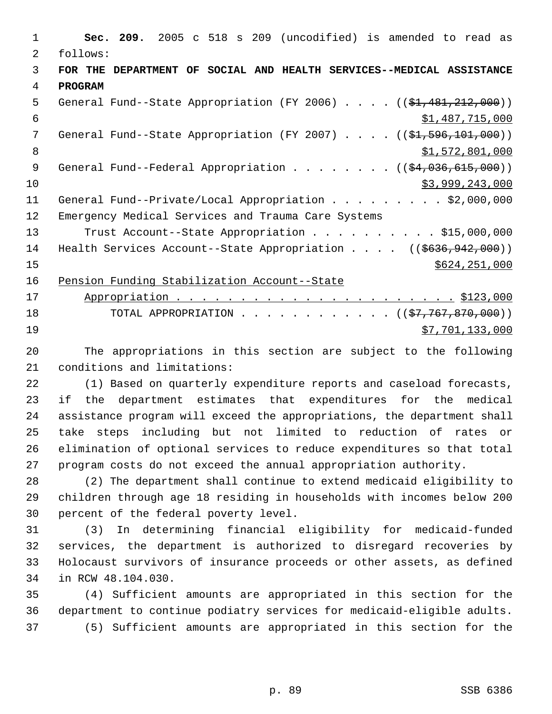**Sec. 209.** 2005 c 518 s 209 (uncodified) is amended to read as follows: **FOR THE DEPARTMENT OF SOCIAL AND HEALTH SERVICES--MEDICAL ASSISTANCE PROGRAM** 5 General Fund--State Appropriation (FY 2006) . . . . ((\$1,481,212,000)) \$1,487,715,000 7 General Fund--State Appropriation (FY 2007) . . . . ((\$1,596,101,000)) 8 \$1,572,801,000 9 General Fund--Federal Appropriation . . . . . . . ((\$4,036,615,000)) \$3,999,243,000 11 General Fund--Private/Local Appropriation . . . . . . . . \$2,000,000 Emergency Medical Services and Trauma Care Systems 13 Trust Account--State Appropriation . . . . . . . . . \$15,000,000 14 Health Services Account--State Appropriation . . . . ((\$636,942,000)) \$624,251,000 Pension Funding Stabilization Account--State Appropriation . . . . . . . . . . . . . . . . . . . . . . \$123,000 18 TOTAL APPROPRIATION . . . . . . . . . . . . ((\$7,767,870,000))  $57,701,133,000$ 

 The appropriations in this section are subject to the following conditions and limitations:

 (1) Based on quarterly expenditure reports and caseload forecasts, if the department estimates that expenditures for the medical assistance program will exceed the appropriations, the department shall take steps including but not limited to reduction of rates or elimination of optional services to reduce expenditures so that total program costs do not exceed the annual appropriation authority.

 (2) The department shall continue to extend medicaid eligibility to children through age 18 residing in households with incomes below 200 percent of the federal poverty level.

 (3) In determining financial eligibility for medicaid-funded services, the department is authorized to disregard recoveries by Holocaust survivors of insurance proceeds or other assets, as defined in RCW 48.104.030.

 (4) Sufficient amounts are appropriated in this section for the department to continue podiatry services for medicaid-eligible adults. (5) Sufficient amounts are appropriated in this section for the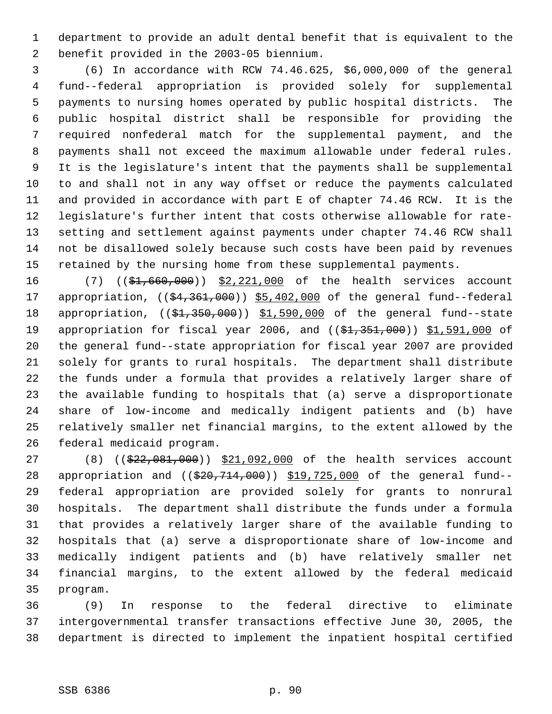department to provide an adult dental benefit that is equivalent to the benefit provided in the 2003-05 biennium.

 (6) In accordance with RCW 74.46.625, \$6,000,000 of the general fund--federal appropriation is provided solely for supplemental payments to nursing homes operated by public hospital districts. The public hospital district shall be responsible for providing the required nonfederal match for the supplemental payment, and the payments shall not exceed the maximum allowable under federal rules. It is the legislature's intent that the payments shall be supplemental to and shall not in any way offset or reduce the payments calculated and provided in accordance with part E of chapter 74.46 RCW. It is the legislature's further intent that costs otherwise allowable for rate- setting and settlement against payments under chapter 74.46 RCW shall not be disallowed solely because such costs have been paid by revenues retained by the nursing home from these supplemental payments.

16 (7) ((\$1,660,000)) \$2,221,000 of the health services account 17 appropriation, ((\$4,361,000)) \$5,402,000 of the general fund--federal 18 appropriation, ((\$1,350,000)) \$1,590,000 of the general fund--state 19 appropriation for fiscal year 2006, and ((\$1,351,000)) \$1,591,000 of the general fund--state appropriation for fiscal year 2007 are provided solely for grants to rural hospitals. The department shall distribute the funds under a formula that provides a relatively larger share of the available funding to hospitals that (a) serve a disproportionate share of low-income and medically indigent patients and (b) have relatively smaller net financial margins, to the extent allowed by the federal medicaid program.

27 (8) ((\$22,081,000)) \$21,092,000 of the health services account 28 appropriation and ((\$20,714,000)) \$19,725,000 of the general fund-- federal appropriation are provided solely for grants to nonrural hospitals. The department shall distribute the funds under a formula that provides a relatively larger share of the available funding to hospitals that (a) serve a disproportionate share of low-income and medically indigent patients and (b) have relatively smaller net financial margins, to the extent allowed by the federal medicaid program.

 (9) In response to the federal directive to eliminate intergovernmental transfer transactions effective June 30, 2005, the department is directed to implement the inpatient hospital certified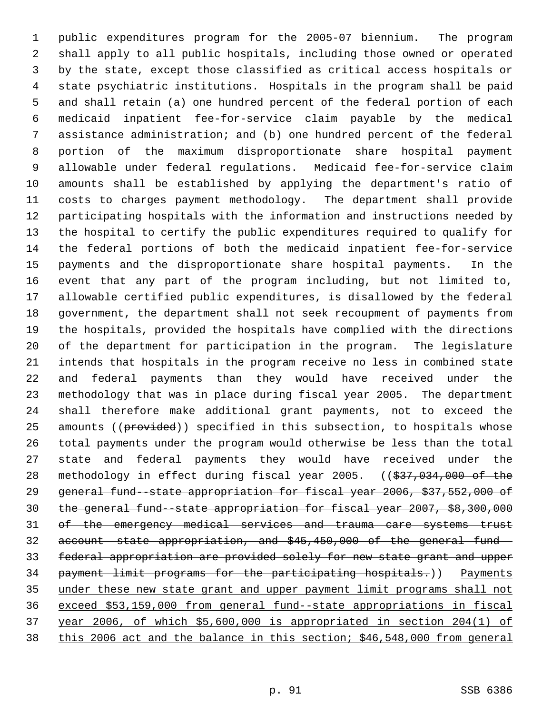public expenditures program for the 2005-07 biennium. The program shall apply to all public hospitals, including those owned or operated by the state, except those classified as critical access hospitals or state psychiatric institutions. Hospitals in the program shall be paid and shall retain (a) one hundred percent of the federal portion of each medicaid inpatient fee-for-service claim payable by the medical assistance administration; and (b) one hundred percent of the federal portion of the maximum disproportionate share hospital payment allowable under federal regulations. Medicaid fee-for-service claim amounts shall be established by applying the department's ratio of costs to charges payment methodology. The department shall provide participating hospitals with the information and instructions needed by the hospital to certify the public expenditures required to qualify for the federal portions of both the medicaid inpatient fee-for-service payments and the disproportionate share hospital payments. In the event that any part of the program including, but not limited to, allowable certified public expenditures, is disallowed by the federal government, the department shall not seek recoupment of payments from the hospitals, provided the hospitals have complied with the directions of the department for participation in the program. The legislature intends that hospitals in the program receive no less in combined state and federal payments than they would have received under the methodology that was in place during fiscal year 2005. The department shall therefore make additional grant payments, not to exceed the 25 amounts ((provided)) specified in this subsection, to hospitals whose total payments under the program would otherwise be less than the total state and federal payments they would have received under the 28 methodology in effect during fiscal year 2005. ((\$37,034,000 of the general fund--state appropriation for fiscal year 2006, \$37,552,000 of the general fund--state appropriation for fiscal year 2007, \$8,300,000 31 of the emergency medical services and trauma care systems trust account--state appropriation, and \$45,450,000 of the general fund-- federal appropriation are provided solely for new state grant and upper 34 payment limit programs for the participating hospitals.)) Payments under these new state grant and upper payment limit programs shall not exceed \$53,159,000 from general fund--state appropriations in fiscal year 2006, of which \$5,600,000 is appropriated in section 204(1) of this 2006 act and the balance in this section; \$46,548,000 from general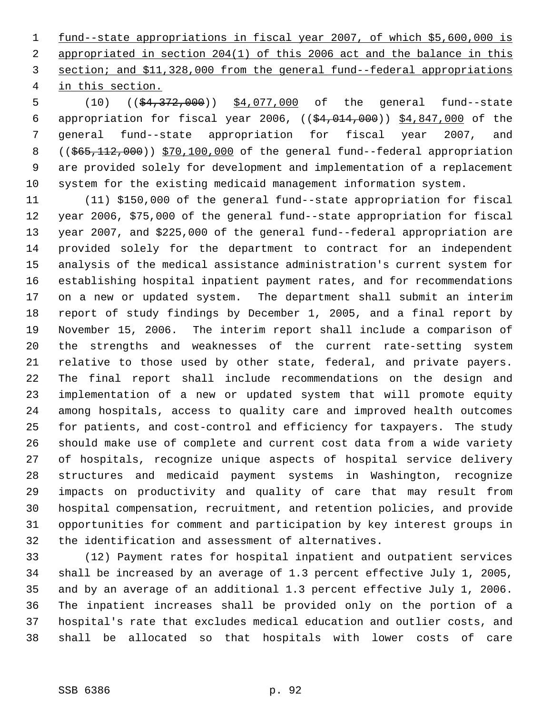fund--state appropriations in fiscal year 2007, of which \$5,600,000 is appropriated in section 204(1) of this 2006 act and the balance in this section; and \$11,328,000 from the general fund--federal appropriations in this section.

5 (10) ((\$4,372,000)) \$4,077,000 of the general fund--state appropriation for fiscal year 2006, ((\$4,014,000)) \$4,847,000 of the general fund--state appropriation for fiscal year 2007, and 8 ((\$65,112,000)) \$70,100,000 of the general fund--federal appropriation are provided solely for development and implementation of a replacement system for the existing medicaid management information system.

 (11) \$150,000 of the general fund--state appropriation for fiscal year 2006, \$75,000 of the general fund--state appropriation for fiscal year 2007, and \$225,000 of the general fund--federal appropriation are provided solely for the department to contract for an independent analysis of the medical assistance administration's current system for establishing hospital inpatient payment rates, and for recommendations on a new or updated system. The department shall submit an interim report of study findings by December 1, 2005, and a final report by November 15, 2006. The interim report shall include a comparison of the strengths and weaknesses of the current rate-setting system relative to those used by other state, federal, and private payers. The final report shall include recommendations on the design and implementation of a new or updated system that will promote equity among hospitals, access to quality care and improved health outcomes for patients, and cost-control and efficiency for taxpayers. The study should make use of complete and current cost data from a wide variety of hospitals, recognize unique aspects of hospital service delivery structures and medicaid payment systems in Washington, recognize impacts on productivity and quality of care that may result from hospital compensation, recruitment, and retention policies, and provide opportunities for comment and participation by key interest groups in the identification and assessment of alternatives.

 (12) Payment rates for hospital inpatient and outpatient services shall be increased by an average of 1.3 percent effective July 1, 2005, and by an average of an additional 1.3 percent effective July 1, 2006. The inpatient increases shall be provided only on the portion of a hospital's rate that excludes medical education and outlier costs, and shall be allocated so that hospitals with lower costs of care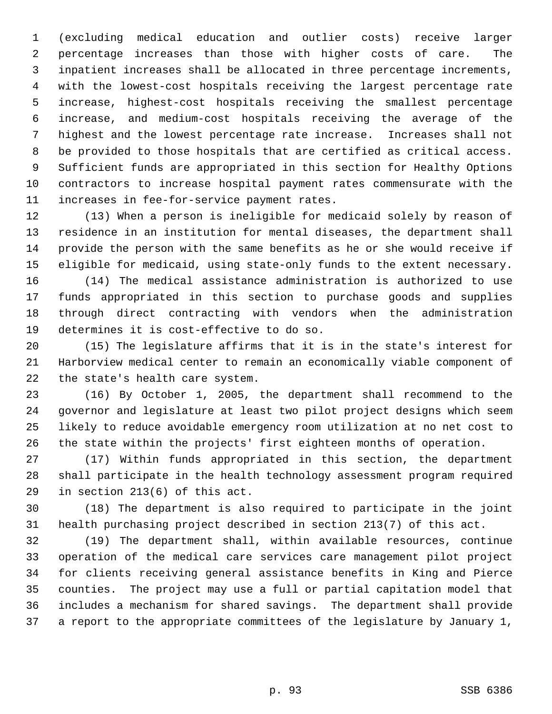(excluding medical education and outlier costs) receive larger percentage increases than those with higher costs of care. The inpatient increases shall be allocated in three percentage increments, with the lowest-cost hospitals receiving the largest percentage rate increase, highest-cost hospitals receiving the smallest percentage increase, and medium-cost hospitals receiving the average of the highest and the lowest percentage rate increase. Increases shall not be provided to those hospitals that are certified as critical access. Sufficient funds are appropriated in this section for Healthy Options contractors to increase hospital payment rates commensurate with the increases in fee-for-service payment rates.

 (13) When a person is ineligible for medicaid solely by reason of residence in an institution for mental diseases, the department shall provide the person with the same benefits as he or she would receive if eligible for medicaid, using state-only funds to the extent necessary. (14) The medical assistance administration is authorized to use funds appropriated in this section to purchase goods and supplies through direct contracting with vendors when the administration determines it is cost-effective to do so.

 (15) The legislature affirms that it is in the state's interest for Harborview medical center to remain an economically viable component of the state's health care system.

 (16) By October 1, 2005, the department shall recommend to the governor and legislature at least two pilot project designs which seem likely to reduce avoidable emergency room utilization at no net cost to the state within the projects' first eighteen months of operation.

 (17) Within funds appropriated in this section, the department shall participate in the health technology assessment program required in section 213(6) of this act.

 (18) The department is also required to participate in the joint health purchasing project described in section 213(7) of this act.

 (19) The department shall, within available resources, continue operation of the medical care services care management pilot project for clients receiving general assistance benefits in King and Pierce counties. The project may use a full or partial capitation model that includes a mechanism for shared savings. The department shall provide a report to the appropriate committees of the legislature by January 1,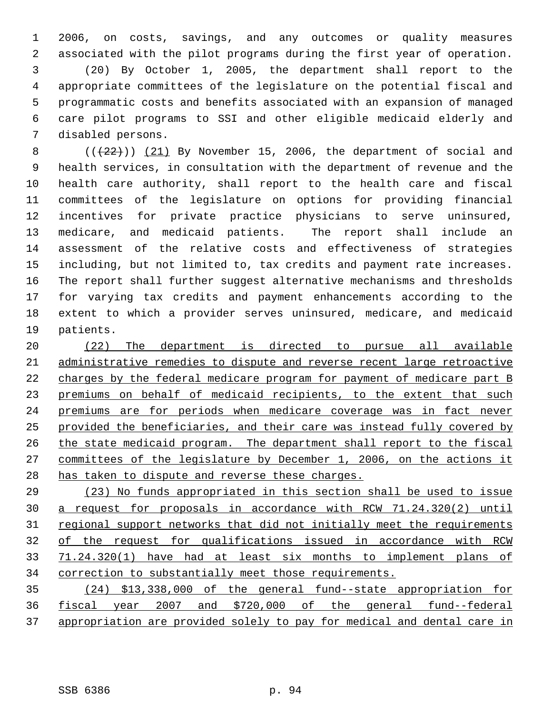2006, on costs, savings, and any outcomes or quality measures associated with the pilot programs during the first year of operation. (20) By October 1, 2005, the department shall report to the appropriate committees of the legislature on the potential fiscal and programmatic costs and benefits associated with an expansion of managed care pilot programs to SSI and other eligible medicaid elderly and disabled persons.

 $((+22))$  (21) By November 15, 2006, the department of social and health services, in consultation with the department of revenue and the health care authority, shall report to the health care and fiscal committees of the legislature on options for providing financial incentives for private practice physicians to serve uninsured, medicare, and medicaid patients. The report shall include an assessment of the relative costs and effectiveness of strategies including, but not limited to, tax credits and payment rate increases. The report shall further suggest alternative mechanisms and thresholds for varying tax credits and payment enhancements according to the extent to which a provider serves uninsured, medicare, and medicaid patients.

 (22) The department is directed to pursue all available administrative remedies to dispute and reverse recent large retroactive charges by the federal medicare program for payment of medicare part B 23 premiums on behalf of medicaid recipients, to the extent that such premiums are for periods when medicare coverage was in fact never provided the beneficiaries, and their care was instead fully covered by 26 the state medicaid program. The department shall report to the fiscal committees of the legislature by December 1, 2006, on the actions it 28 has taken to dispute and reverse these charges.

 (23) No funds appropriated in this section shall be used to issue a request for proposals in accordance with RCW 71.24.320(2) until 31 regional support networks that did not initially meet the requirements of the request for qualifications issued in accordance with RCW 71.24.320(1) have had at least six months to implement plans of correction to substantially meet those requirements.

 (24) \$13,338,000 of the general fund--state appropriation for fiscal year 2007 and \$720,000 of the general fund--federal appropriation are provided solely to pay for medical and dental care in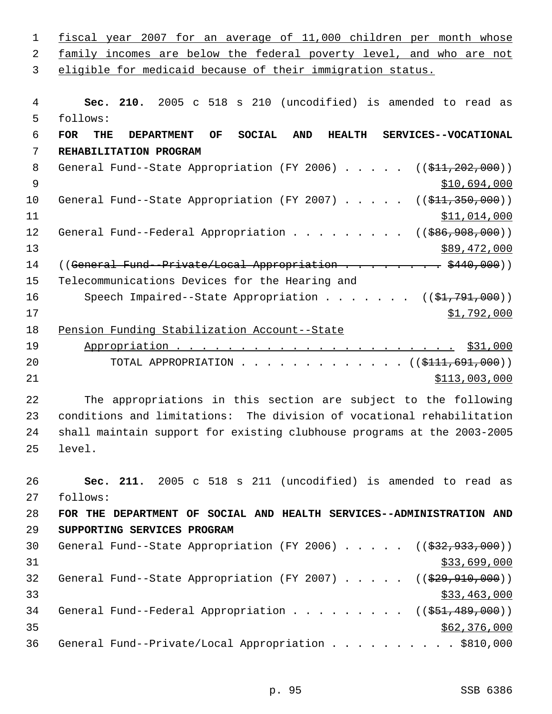| $\mathbf{1}$ | fiscal year 2007 for an average of 11,000 children per month whose                                                   |
|--------------|----------------------------------------------------------------------------------------------------------------------|
| 2            | family incomes are below the federal poverty level, and who are not                                                  |
| 3            | eligible for medicaid because of their immigration status.                                                           |
| 4            | Sec. 210. 2005 c 518 s 210 (uncodified) is amended to read as                                                        |
| 5            | follows:                                                                                                             |
| $\epsilon$   | <b>FOR</b><br><b>SOCIAL</b><br>SERVICES--VOCATIONAL<br>OF<br><b>AND</b><br><b>HEALTH</b><br>THE<br><b>DEPARTMENT</b> |
| 7            | REHABILITATION PROGRAM                                                                                               |
| 8            | General Fund--State Appropriation (FY 2006) $($ $($ \$11,202,000))                                                   |
| $\mathsf 9$  | \$10,694,000                                                                                                         |
| 10           | General Fund--State Appropriation (FY 2007) $($ $($ $$11, 350, 000)$ )                                               |
| 11           | \$11,014,000                                                                                                         |
| 12           | General Fund--Federal Appropriation ( $(\frac{286}{900}, \frac{908}{900})$ )                                         |
| 13           | \$89,472,000                                                                                                         |
| 14           | ((General Fund--Private/Local Appropriation \$440,000))                                                              |
| 15           | Telecommunications Devices for the Hearing and                                                                       |
| 16           | Speech Impaired--State Appropriation ( $(\frac{1}{2}, 791, 000)$ )                                                   |
| 17           | \$1,792,000                                                                                                          |
| 18           | Pension Funding Stabilization Account--State                                                                         |
| 19           |                                                                                                                      |
| 20           | TOTAL APPROPRIATION ( $(\frac{111}{691}, 691, 000)$ )                                                                |
| 21           | \$113,003,000                                                                                                        |
| 22           | The appropriations in this section are subject to the following                                                      |
| 23           | conditions and limitations: The division of vocational rehabilitation                                                |
| 24           | shall maintain support for existing clubhouse programs at the 2003-2005                                              |
| 25           | level.                                                                                                               |
| 26           | Sec. 211. 2005 c 518 s 211 (uncodified) is amended to read as                                                        |
| 27           | follows:                                                                                                             |
| 28           | FOR THE DEPARTMENT OF SOCIAL AND HEALTH SERVICES--ADMINISTRATION AND                                                 |
| 29           | SUPPORTING SERVICES PROGRAM                                                                                          |
| 30           | General Fund--State Appropriation (FY 2006) $($ $($ \$32,933,000))                                                   |
| 31           | \$33,699,000                                                                                                         |
| 32           | General Fund--State Appropriation (FY 2007) $($ $($ $\frac{299}{910}$ , 000))                                        |
| 33           | \$33,463,000                                                                                                         |
| 34           | General Fund--Federal Appropriation ( $(\frac{251}{1000})$ )                                                         |
| 35           | \$62,376,000                                                                                                         |
| 36           | General Fund--Private/Local Appropriation \$810,000                                                                  |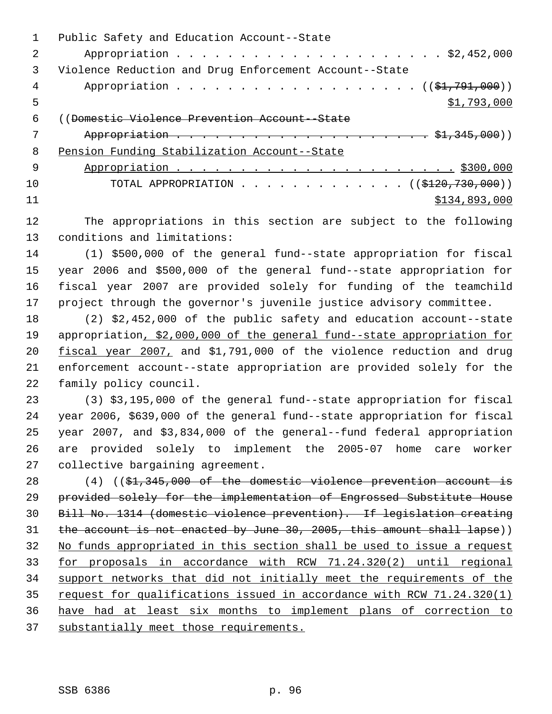Public Safety and Education Account--State Appropriation . . . . . . . . . . . . . . . . . . . . . \$2,452,000 Violence Reduction and Drug Enforcement Account--State 4 Appropriation . . . . . . . . . . . . . . . . . (  $(\frac{21}{791},000)$  )  $5 \times 1,793,000$  ((Domestic Violence Prevention Account--State Appropriation . . . . . . . . . . . . . . . . . . . . \$1,345,000)) Pension Funding Stabilization Account--State Appropriation . . . . . . . . . . . . . . . . . . . . . . \$300,000 10 TOTAL APPROPRIATION . . . . . . . . . . . . ((\$120,730,000)) \$134,893,000 The appropriations in this section are subject to the following conditions and limitations:

 (1) \$500,000 of the general fund--state appropriation for fiscal year 2006 and \$500,000 of the general fund--state appropriation for fiscal year 2007 are provided solely for funding of the teamchild project through the governor's juvenile justice advisory committee.

 (2) \$2,452,000 of the public safety and education account--state 19 appropriation, \$2,000,000 of the general fund--state appropriation for fiscal year 2007, and \$1,791,000 of the violence reduction and drug enforcement account--state appropriation are provided solely for the family policy council.

 (3) \$3,195,000 of the general fund--state appropriation for fiscal year 2006, \$639,000 of the general fund--state appropriation for fiscal year 2007, and \$3,834,000 of the general--fund federal appropriation are provided solely to implement the 2005-07 home care worker collective bargaining agreement.

28 (4) ((\$1,345,000 of the domestic violence prevention account is provided solely for the implementation of Engrossed Substitute House Bill No. 1314 (domestic violence prevention). If legislation creating 31 the account is not enacted by June 30, 2005, this amount shall lapse)) No funds appropriated in this section shall be used to issue a request for proposals in accordance with RCW 71.24.320(2) until regional support networks that did not initially meet the requirements of the 35 request for qualifications issued in accordance with RCW 71.24.320(1) have had at least six months to implement plans of correction to substantially meet those requirements.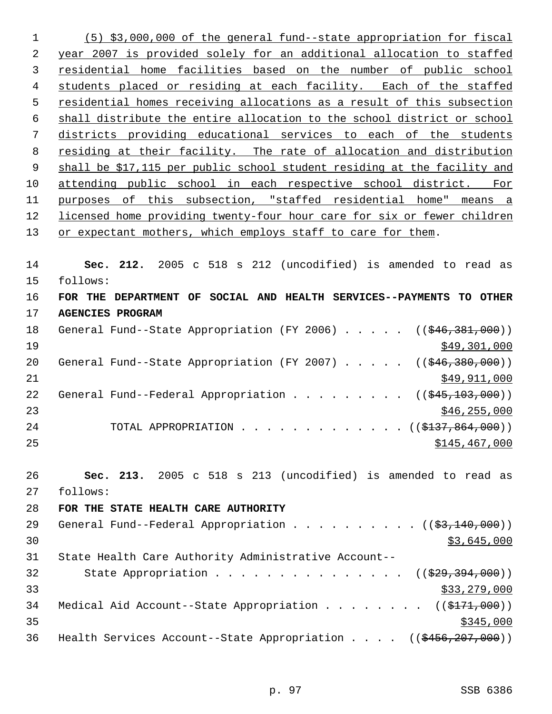(5) \$3,000,000 of the general fund--state appropriation for fiscal year 2007 is provided solely for an additional allocation to staffed residential home facilities based on the number of public school students placed or residing at each facility. Each of the staffed residential homes receiving allocations as a result of this subsection shall distribute the entire allocation to the school district or school districts providing educational services to each of the students residing at their facility. The rate of allocation and distribution 9 shall be \$17,115 per public school student residing at the facility and attending public school in each respective school district. For purposes of this subsection, "staffed residential home" means a licensed home providing twenty-four hour care for six or fewer children 13 or expectant mothers, which employs staff to care for them.

 **Sec. 212.** 2005 c 518 s 212 (uncodified) is amended to read as follows: **FOR THE DEPARTMENT OF SOCIAL AND HEALTH SERVICES--PAYMENTS TO OTHER**

**AGENCIES PROGRAM**

18 General Fund--State Appropriation (FY 2006) . . . . . ((\$46,381,000))  $\frac{$49,301,000}{ }$ 20 General Fund--State Appropriation (FY 2007) . . . . . ((\$46,380,000)) \$49,911,000 22 General Fund--Federal Appropriation . . . . . . . . ((\$45,103,000)) \$46,255,000 24 TOTAL APPROPRIATION . . . . . . . . . . . . ((\$137,864,000)) \$145,467,000

 **Sec. 213.** 2005 c 518 s 213 (uncodified) is amended to read as follows:

 **FOR THE STATE HEALTH CARE AUTHORITY** 29 General Fund--Federal Appropriation . . . . . . . . . ((\$3,140,000))  $30 \,$  \$3,645,000 State Health Care Authority Administrative Account-- 32 State Appropriation . . . . . . . . . . . . . . ((\$29,394,000))  $\frac{$33,279,000}{ }$ 34 Medical Aid Account--State Appropriation . . . . . . . ((\$171,000)) 36 Health Services Account--State Appropriation . . . . ((\$456,207,000))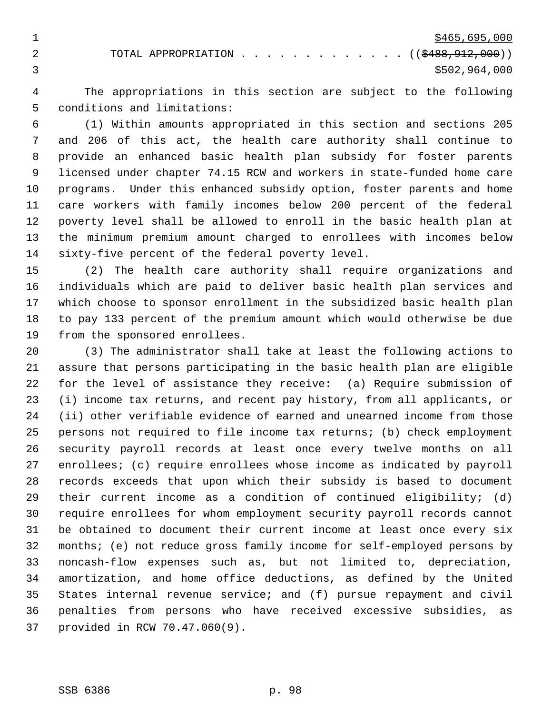$\frac{$465,695,000}{2}$ 2 TOTAL APPROPRIATION . . . . . . . . . . . . ((\$488,912,000))  $3 \div 5502,964,000$ 

 The appropriations in this section are subject to the following conditions and limitations:

 (1) Within amounts appropriated in this section and sections 205 and 206 of this act, the health care authority shall continue to provide an enhanced basic health plan subsidy for foster parents licensed under chapter 74.15 RCW and workers in state-funded home care programs. Under this enhanced subsidy option, foster parents and home care workers with family incomes below 200 percent of the federal poverty level shall be allowed to enroll in the basic health plan at the minimum premium amount charged to enrollees with incomes below sixty-five percent of the federal poverty level.

 (2) The health care authority shall require organizations and individuals which are paid to deliver basic health plan services and which choose to sponsor enrollment in the subsidized basic health plan to pay 133 percent of the premium amount which would otherwise be due from the sponsored enrollees.

 (3) The administrator shall take at least the following actions to assure that persons participating in the basic health plan are eligible for the level of assistance they receive: (a) Require submission of (i) income tax returns, and recent pay history, from all applicants, or (ii) other verifiable evidence of earned and unearned income from those persons not required to file income tax returns; (b) check employment security payroll records at least once every twelve months on all enrollees; (c) require enrollees whose income as indicated by payroll records exceeds that upon which their subsidy is based to document their current income as a condition of continued eligibility; (d) require enrollees for whom employment security payroll records cannot be obtained to document their current income at least once every six months; (e) not reduce gross family income for self-employed persons by noncash-flow expenses such as, but not limited to, depreciation, amortization, and home office deductions, as defined by the United States internal revenue service; and (f) pursue repayment and civil penalties from persons who have received excessive subsidies, as provided in RCW 70.47.060(9).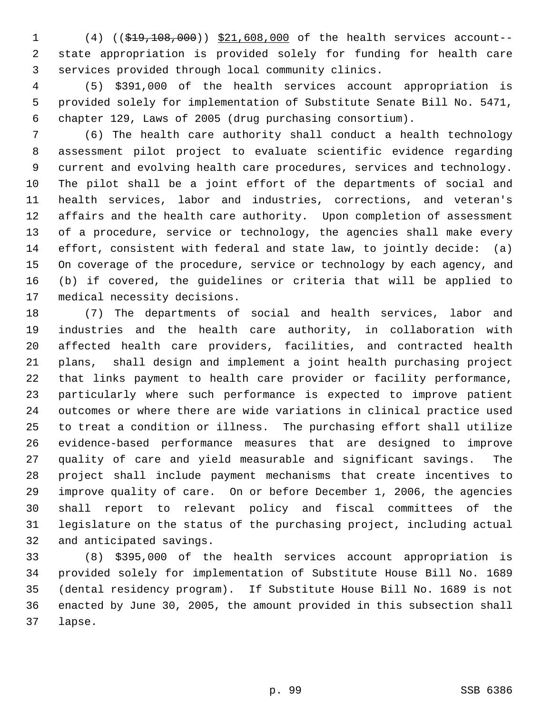(4) ((\$19,108,000)) \$21,608,000 of the health services account-- state appropriation is provided solely for funding for health care services provided through local community clinics.

 (5) \$391,000 of the health services account appropriation is provided solely for implementation of Substitute Senate Bill No. 5471, chapter 129, Laws of 2005 (drug purchasing consortium).

 (6) The health care authority shall conduct a health technology assessment pilot project to evaluate scientific evidence regarding current and evolving health care procedures, services and technology. The pilot shall be a joint effort of the departments of social and health services, labor and industries, corrections, and veteran's affairs and the health care authority. Upon completion of assessment of a procedure, service or technology, the agencies shall make every effort, consistent with federal and state law, to jointly decide: (a) On coverage of the procedure, service or technology by each agency, and (b) if covered, the guidelines or criteria that will be applied to medical necessity decisions.

 (7) The departments of social and health services, labor and industries and the health care authority, in collaboration with affected health care providers, facilities, and contracted health plans, shall design and implement a joint health purchasing project that links payment to health care provider or facility performance, particularly where such performance is expected to improve patient outcomes or where there are wide variations in clinical practice used to treat a condition or illness. The purchasing effort shall utilize evidence-based performance measures that are designed to improve quality of care and yield measurable and significant savings. The project shall include payment mechanisms that create incentives to improve quality of care. On or before December 1, 2006, the agencies shall report to relevant policy and fiscal committees of the legislature on the status of the purchasing project, including actual and anticipated savings.

 (8) \$395,000 of the health services account appropriation is provided solely for implementation of Substitute House Bill No. 1689 (dental residency program). If Substitute House Bill No. 1689 is not enacted by June 30, 2005, the amount provided in this subsection shall lapse.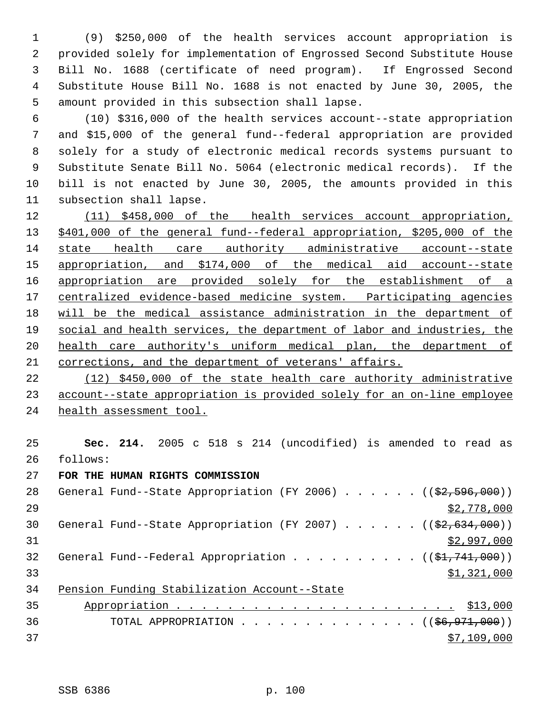(9) \$250,000 of the health services account appropriation is provided solely for implementation of Engrossed Second Substitute House Bill No. 1688 (certificate of need program). If Engrossed Second Substitute House Bill No. 1688 is not enacted by June 30, 2005, the amount provided in this subsection shall lapse.

 (10) \$316,000 of the health services account--state appropriation and \$15,000 of the general fund--federal appropriation are provided solely for a study of electronic medical records systems pursuant to Substitute Senate Bill No. 5064 (electronic medical records). If the bill is not enacted by June 30, 2005, the amounts provided in this subsection shall lapse.

 (11) \$458,000 of the health services account appropriation, \$401,000 of the general fund--federal appropriation, \$205,000 of the state health care authority administrative account--state appropriation, and \$174,000 of the medical aid account--state 16 appropriation are provided solely for the establishment of a centralized evidence-based medicine system. Participating agencies will be the medical assistance administration in the department of social and health services, the department of labor and industries, the health care authority's uniform medical plan, the department of corrections, and the department of veterans' affairs.

 (12) \$450,000 of the state health care authority administrative account--state appropriation is provided solely for an on-line employee health assessment tool.

 **Sec. 214.** 2005 c 518 s 214 (uncodified) is amended to read as follows:

**FOR THE HUMAN RIGHTS COMMISSION**

| 28 | General Fund--State Appropriation (FY 2006) $($ $($ \$2,596,000))           |
|----|-----------------------------------------------------------------------------|
| 29 | \$2,778,000                                                                 |
| 30 | General Fund--State Appropriation (FY 2007) ( $(\frac{22}{62}, 634, 000)$ ) |
| 31 | \$2,997,000                                                                 |
| 32 | General Fund--Federal Appropriation $($ $($ \$1,741,000) $)$                |
| 33 | \$1,321,000                                                                 |
| 34 | Pension Funding Stabilization Account--State                                |
| 35 |                                                                             |
| 36 | TOTAL APPROPRIATION ( $(\frac{26}{96}, 971, 000)$ )                         |
| 37 | \$7,109,000                                                                 |
|    |                                                                             |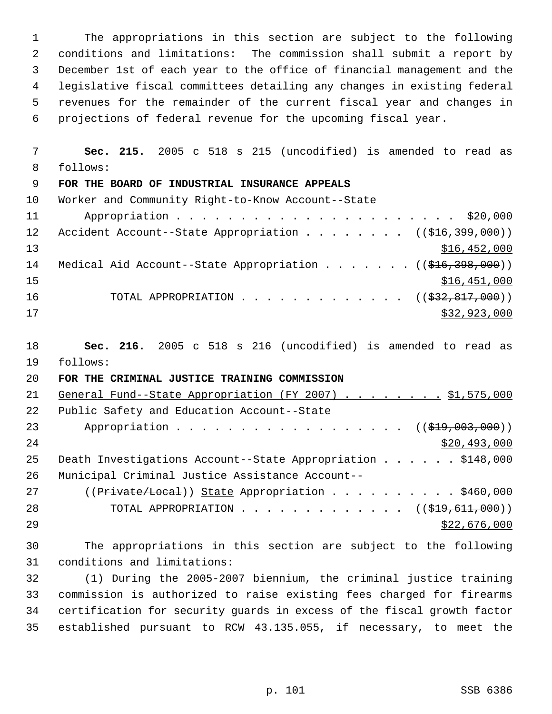The appropriations in this section are subject to the following conditions and limitations: The commission shall submit a report by December 1st of each year to the office of financial management and the legislative fiscal committees detailing any changes in existing federal revenues for the remainder of the current fiscal year and changes in projections of federal revenue for the upcoming fiscal year.

 **Sec. 215.** 2005 c 518 s 215 (uncodified) is amended to read as follows:

## **FOR THE BOARD OF INDUSTRIAL INSURANCE APPEALS**

| 10 <sup>1</sup> | Worker and Community Right-to-Know Account--State                                   |
|-----------------|-------------------------------------------------------------------------------------|
| 11              |                                                                                     |
| 12 <sup>°</sup> | Accident Account--State Appropriation ( $(\frac{216}{399}, \frac{399}{100})$ )      |
| 13              | \$16,452,000                                                                        |
| 14              | Medical Aid Account--State Appropriation ( $(\frac{1616}{7398}, \frac{398}{100})$ ) |
| 15              | \$16,451,000                                                                        |
| 16              | TOTAL APPROPRIATION ( $(\frac{232}{632}, \frac{817}{600})$ )                        |
| 17              | \$32,923,000                                                                        |

 **Sec. 216.** 2005 c 518 s 216 (uncodified) is amended to read as follows:

## **FOR THE CRIMINAL JUSTICE TRAINING COMMISSION**

| 21 | General Fund--State Appropriation (FY 2007) \$1,575,000       |
|----|---------------------------------------------------------------|
| 22 | Public Safety and Education Account--State                    |
| 23 | Appropriation ( $(\frac{219}{1000}, 000)$ )                   |
| 24 | \$20,493,000                                                  |
| 25 | Death Investigations Account--State Appropriation \$148,000   |
| 26 | Municipal Criminal Justice Assistance Account--               |
| 27 | $((Private/Local))$ State Appropriation \$460,000             |
| 28 | TOTAL APPROPRIATION $\ldots$ , ( $(\frac{1919}{191111000})$ ) |
| 29 | \$22,676,000                                                  |

 The appropriations in this section are subject to the following conditions and limitations:

 (1) During the 2005-2007 biennium, the criminal justice training commission is authorized to raise existing fees charged for firearms certification for security guards in excess of the fiscal growth factor established pursuant to RCW 43.135.055, if necessary, to meet the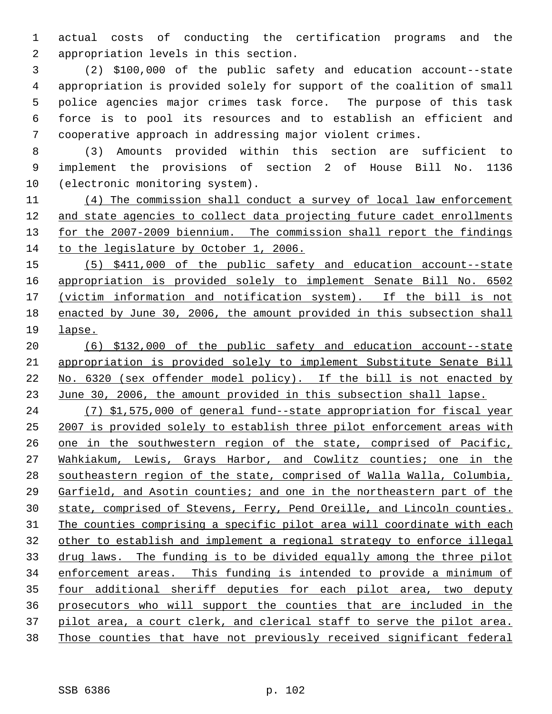actual costs of conducting the certification programs and the appropriation levels in this section.

 (2) \$100,000 of the public safety and education account--state appropriation is provided solely for support of the coalition of small police agencies major crimes task force. The purpose of this task force is to pool its resources and to establish an efficient and cooperative approach in addressing major violent crimes.

 (3) Amounts provided within this section are sufficient to implement the provisions of section 2 of House Bill No. 1136 (electronic monitoring system).

 (4) The commission shall conduct a survey of local law enforcement and state agencies to collect data projecting future cadet enrollments 13 for the 2007-2009 biennium. The commission shall report the findings to the legislature by October 1, 2006.

 (5) \$411,000 of the public safety and education account--state appropriation is provided solely to implement Senate Bill No. 6502 (victim information and notification system). If the bill is not enacted by June 30, 2006, the amount provided in this subsection shall lapse.

 (6) \$132,000 of the public safety and education account--state appropriation is provided solely to implement Substitute Senate Bill No. 6320 (sex offender model policy). If the bill is not enacted by June 30, 2006, the amount provided in this subsection shall lapse.

 (7) \$1,575,000 of general fund--state appropriation for fiscal year 2007 is provided solely to establish three pilot enforcement areas with one in the southwestern region of the state, comprised of Pacific, Wahkiakum, Lewis, Grays Harbor, and Cowlitz counties; one in the southeastern region of the state, comprised of Walla Walla, Columbia, Garfield, and Asotin counties; and one in the northeastern part of the state, comprised of Stevens, Ferry, Pend Oreille, and Lincoln counties. The counties comprising a specific pilot area will coordinate with each other to establish and implement a regional strategy to enforce illegal drug laws. The funding is to be divided equally among the three pilot enforcement areas. This funding is intended to provide a minimum of 35 four additional sheriff deputies for each pilot area, two deputy prosecutors who will support the counties that are included in the 37 pilot area, a court clerk, and clerical staff to serve the pilot area. Those counties that have not previously received significant federal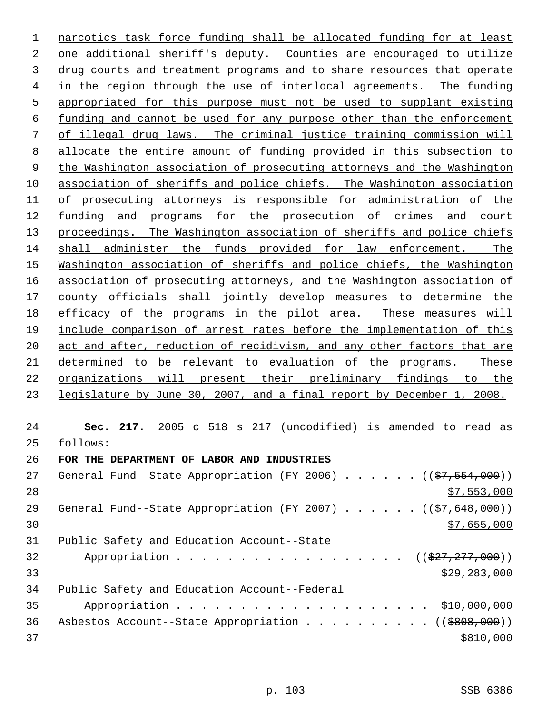narcotics task force funding shall be allocated funding for at least one additional sheriff's deputy. Counties are encouraged to utilize drug courts and treatment programs and to share resources that operate in the region through the use of interlocal agreements. The funding appropriated for this purpose must not be used to supplant existing funding and cannot be used for any purpose other than the enforcement of illegal drug laws. The criminal justice training commission will allocate the entire amount of funding provided in this subsection to the Washington association of prosecuting attorneys and the Washington association of sheriffs and police chiefs. The Washington association of prosecuting attorneys is responsible for administration of the 12 funding and programs for the prosecution of crimes and court 13 proceedings. The Washington association of sheriffs and police chiefs shall administer the funds provided for law enforcement. The Washington association of sheriffs and police chiefs, the Washington association of prosecuting attorneys, and the Washington association of county officials shall jointly develop measures to determine the 18 efficacy of the programs in the pilot area. These measures will include comparison of arrest rates before the implementation of this 20 act and after, reduction of recidivism, and any other factors that are determined to be relevant to evaluation of the programs. These organizations will present their preliminary findings to the legislature by June 30, 2007, and a final report by December 1, 2008. **Sec. 217.** 2005 c 518 s 217 (uncodified) is amended to read as follows:

**FOR THE DEPARTMENT OF LABOR AND INDUSTRIES**

| 27 | General Fund--State Appropriation (FY 2006) ((\$7,554,000))       |
|----|-------------------------------------------------------------------|
| 28 | \$7,553,000                                                       |
| 29 | General Fund--State Appropriation (FY 2007) $($ $($ \$7,648,000)) |
| 30 | \$7,655,000                                                       |
| 31 | Public Safety and Education Account--State                        |
| 32 | Appropriation ( $(\frac{27}{7}, \frac{277}{7}, 000)$ )            |
| 33 | \$29, 283, 000                                                    |
| 34 | Public Safety and Education Account--Federal                      |
| 35 |                                                                   |
| 36 | Asbestos Account--State Appropriation ( $(\frac{2808}{100})$ )    |
| 37 | \$810,000                                                         |
|    |                                                                   |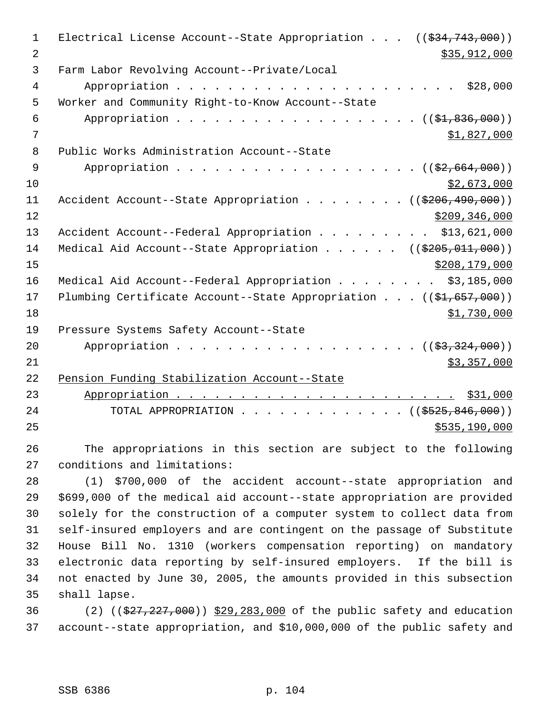| $\mathbf 1$    | Electrical License Account--State Appropriation $((\$34,743,000))$              |
|----------------|---------------------------------------------------------------------------------|
| $\overline{2}$ | \$35,912,000                                                                    |
| 3              | Farm Labor Revolving Account--Private/Local                                     |
| 4              | \$28,000                                                                        |
| 5              | Worker and Community Right-to-Know Account--State                               |
| 6              | Appropriation $($ $(\frac{1}{21}, 836, 000))$                                   |
| 7              | \$1,827,000                                                                     |
| 8              | Public Works Administration Account--State                                      |
| 9              | Appropriation $($ $(\frac{2}{2}, 664, 000))$                                    |
| 10             | \$2,673,000                                                                     |
| 11             | Accident Account--State Appropriation ( $(\frac{2206}{490}, \frac{490}{000})$ ) |
| 12             | \$209, 346, 000                                                                 |
| 13             | Accident Account--Federal Appropriation \$13,621,000                            |
| 14             | Medical Aid Account--State Appropriation ( $(\frac{205}{100}, 0.11, 0.00)$ )    |
| 15             | \$208, 179, 000                                                                 |
| 16             | Medical Aid Account--Federal Appropriation \$3,185,000                          |
| 17             | Plumbing Certificate Account--State Appropriation ((\$1,657,000))               |
| 18             | \$1,730,000                                                                     |
| 19             | Pressure Systems Safety Account--State                                          |
| 20             | Appropriation $($ $(\frac{27}{37}, \frac{324}{900}) )$                          |
| 21             | \$3,357,000                                                                     |
| 22             | Pension Funding Stabilization Account--State                                    |
| 23             |                                                                                 |
| 24             | TOTAL APPROPRIATION ( $(\frac{2525}{600})$ )                                    |
| 25             | \$535,190,000                                                                   |
|                |                                                                                 |

 The appropriations in this section are subject to the following conditions and limitations:

 (1) \$700,000 of the accident account--state appropriation and \$699,000 of the medical aid account--state appropriation are provided solely for the construction of a computer system to collect data from self-insured employers and are contingent on the passage of Substitute House Bill No. 1310 (workers compensation reporting) on mandatory electronic data reporting by self-insured employers. If the bill is not enacted by June 30, 2005, the amounts provided in this subsection shall lapse.

36 (2) ((\$27,227,000)) \$29,283,000 of the public safety and education account--state appropriation, and \$10,000,000 of the public safety and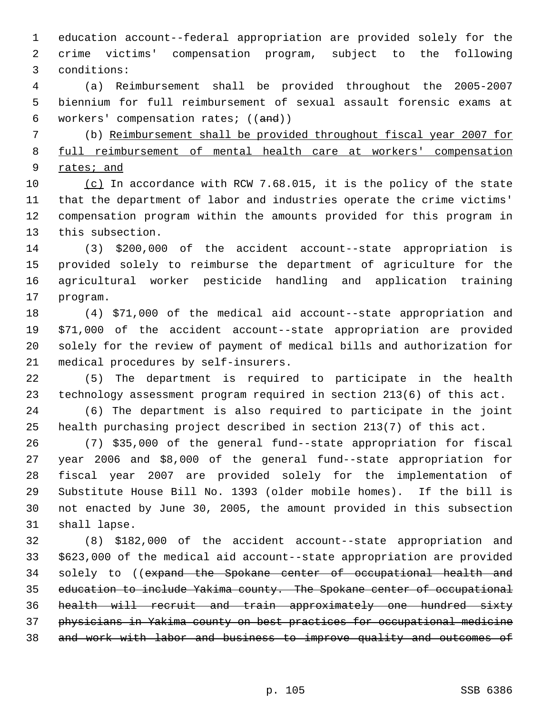education account--federal appropriation are provided solely for the crime victims' compensation program, subject to the following conditions:

 (a) Reimbursement shall be provided throughout the 2005-2007 biennium for full reimbursement of sexual assault forensic exams at workers' compensation rates; ((and))

 (b) Reimbursement shall be provided throughout fiscal year 2007 for full reimbursement of mental health care at workers' compensation 9 rates; and

 (c) In accordance with RCW 7.68.015, it is the policy of the state that the department of labor and industries operate the crime victims' compensation program within the amounts provided for this program in this subsection.

 (3) \$200,000 of the accident account--state appropriation is provided solely to reimburse the department of agriculture for the agricultural worker pesticide handling and application training program.

 (4) \$71,000 of the medical aid account--state appropriation and \$71,000 of the accident account--state appropriation are provided solely for the review of payment of medical bills and authorization for medical procedures by self-insurers.

 (5) The department is required to participate in the health technology assessment program required in section 213(6) of this act.

 (6) The department is also required to participate in the joint health purchasing project described in section 213(7) of this act.

 (7) \$35,000 of the general fund--state appropriation for fiscal year 2006 and \$8,000 of the general fund--state appropriation for fiscal year 2007 are provided solely for the implementation of Substitute House Bill No. 1393 (older mobile homes). If the bill is not enacted by June 30, 2005, the amount provided in this subsection shall lapse.

 (8) \$182,000 of the accident account--state appropriation and \$623,000 of the medical aid account--state appropriation are provided 34 solely to ((expand the Spokane center of occupational health and education to include Yakima county. The Spokane center of occupational health will recruit and train approximately one hundred sixty physicians in Yakima county on best practices for occupational medicine and work with labor and business to improve quality and outcomes of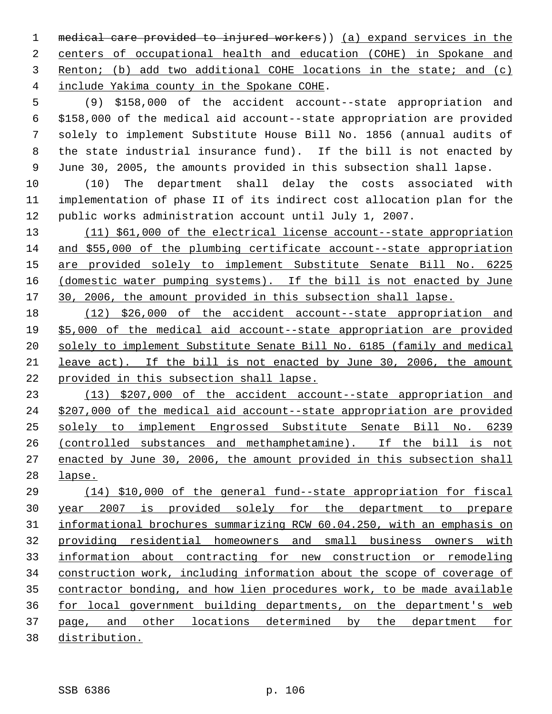medical care provided to injured workers)) (a) expand services in the centers of occupational health and education (COHE) in Spokane and Renton; (b) add two additional COHE locations in the state; and (c) include Yakima county in the Spokane COHE.

 (9) \$158,000 of the accident account--state appropriation and \$158,000 of the medical aid account--state appropriation are provided solely to implement Substitute House Bill No. 1856 (annual audits of the state industrial insurance fund). If the bill is not enacted by June 30, 2005, the amounts provided in this subsection shall lapse.

 (10) The department shall delay the costs associated with implementation of phase II of its indirect cost allocation plan for the public works administration account until July 1, 2007.

 (11) \$61,000 of the electrical license account--state appropriation and \$55,000 of the plumbing certificate account--state appropriation are provided solely to implement Substitute Senate Bill No. 6225 16 (domestic water pumping systems). If the bill is not enacted by June 30, 2006, the amount provided in this subsection shall lapse.

 (12) \$26,000 of the accident account--state appropriation and \$5,000 of the medical aid account--state appropriation are provided solely to implement Substitute Senate Bill No. 6185 (family and medical leave act). If the bill is not enacted by June 30, 2006, the amount provided in this subsection shall lapse.

 (13) \$207,000 of the accident account--state appropriation and \$207,000 of the medical aid account--state appropriation are provided solely to implement Engrossed Substitute Senate Bill No. 6239 (controlled substances and methamphetamine). If the bill is not enacted by June 30, 2006, the amount provided in this subsection shall lapse.

 (14) \$10,000 of the general fund--state appropriation for fiscal year 2007 is provided solely for the department to prepare informational brochures summarizing RCW 60.04.250, with an emphasis on providing residential homeowners and small business owners with information about contracting for new construction or remodeling construction work, including information about the scope of coverage of contractor bonding, and how lien procedures work, to be made available for local government building departments, on the department's web page, and other locations determined by the department for distribution.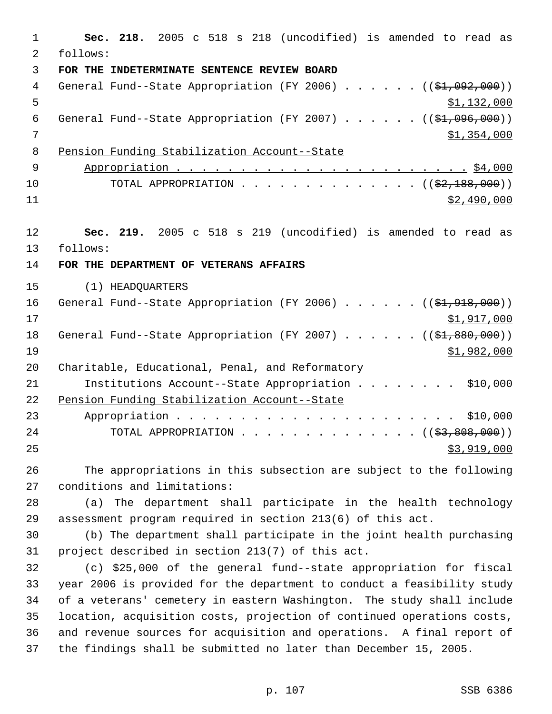**Sec. 218.** 2005 c 518 s 218 (uncodified) is amended to read as follows: **FOR THE INDETERMINATE SENTENCE REVIEW BOARD** 4 General Fund--State Appropriation (FY 2006) . . . . . . ((\$1,092,000))  $5 \frac{\text{1,132,000}}{1}$ 6 General Fund--State Appropriation (FY 2007)  $\ldots$  . . . . (( $\frac{1}{2}, 096, 000$ )) 7 \$1,354,000 Pension Funding Stabilization Account--State Appropriation . . . . . . . . . . . . . . . . . . . . . . . \$4,000 10 TOTAL APPROPRIATION . . . . . . . . . . . . . ((<del>\$2,188,000</del>)) \$2,490,000 **Sec. 219.** 2005 c 518 s 219 (uncodified) is amended to read as follows: **FOR THE DEPARTMENT OF VETERANS AFFAIRS** (1) HEADQUARTERS 16 General Fund--State Appropriation (FY 2006) . . . . . . ((\$1,918,000)) \$1,917,000 18 General Fund--State Appropriation (FY 2007) . . . . . . ((\$1,880,000)) \$1,982,000 Charitable, Educational, Penal, and Reformatory Institutions Account--State Appropriation . . . . . . . . \$10,000 Pension Funding Stabilization Account--State Appropriation . . . . . . . . . . . . . . . . . . . . . . \$10,000 24 TOTAL APPROPRIATION . . . . . . . . . . . . . . ((\$3,808,000)) \$3,919,000 The appropriations in this subsection are subject to the following conditions and limitations: (a) The department shall participate in the health technology assessment program required in section 213(6) of this act. (b) The department shall participate in the joint health purchasing project described in section 213(7) of this act. (c) \$25,000 of the general fund--state appropriation for fiscal year 2006 is provided for the department to conduct a feasibility study of a veterans' cemetery in eastern Washington. The study shall include location, acquisition costs, projection of continued operations costs, and revenue sources for acquisition and operations. A final report of

the findings shall be submitted no later than December 15, 2005.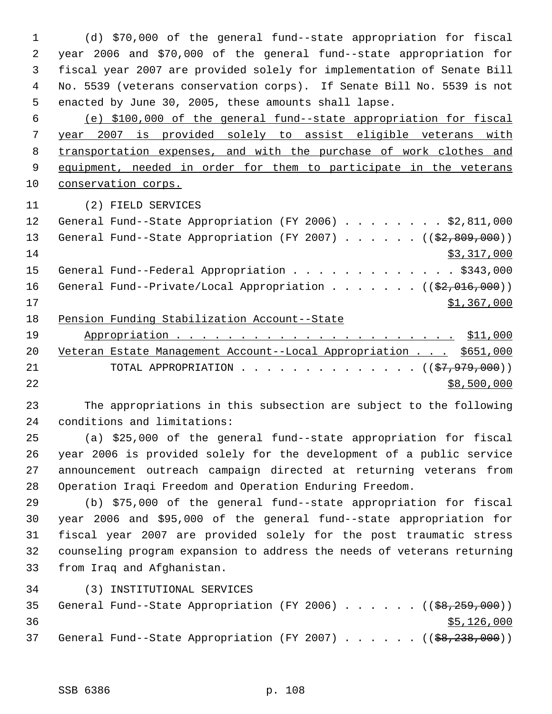(d) \$70,000 of the general fund--state appropriation for fiscal year 2006 and \$70,000 of the general fund--state appropriation for fiscal year 2007 are provided solely for implementation of Senate Bill No. 5539 (veterans conservation corps). If Senate Bill No. 5539 is not enacted by June 30, 2005, these amounts shall lapse.

 (e) \$100,000 of the general fund--state appropriation for fiscal year 2007 is provided solely to assist eligible veterans with transportation expenses, and with the purchase of work clothes and 9 equipment, needed in order for them to participate in the veterans conservation corps.

(2) FIELD SERVICES

| 12 | General Fund--State Appropriation (FY 2006) \$2,811,000                 |
|----|-------------------------------------------------------------------------|
| 13 | General Fund--State Appropriation (FY 2007) $($ $($ \$2,809,000))       |
| 14 | \$3,317,000                                                             |
| 15 | General Fund--Federal Appropriation \$343,000                           |
| 16 | General Fund--Private/Local Appropriation ( $(\frac{2}{2}, 016, 000)$ ) |
| 17 | \$1,367,000                                                             |
| 18 | Pension Funding Stabilization Account--State                            |

| 19   |                                                                     |
|------|---------------------------------------------------------------------|
|      | 20 Veteran Estate Management Account--Local Appropriation \$651,000 |
| 21   | TOTAL APPROPRIATION $($ $($ $\frac{27}{7}, \frac{979}{700})$        |
| 2.2. | \$8,500,000                                                         |

 The appropriations in this subsection are subject to the following conditions and limitations:

 (a) \$25,000 of the general fund--state appropriation for fiscal year 2006 is provided solely for the development of a public service announcement outreach campaign directed at returning veterans from Operation Iraqi Freedom and Operation Enduring Freedom.

 (b) \$75,000 of the general fund--state appropriation for fiscal year 2006 and \$95,000 of the general fund--state appropriation for fiscal year 2007 are provided solely for the post traumatic stress counseling program expansion to address the needs of veterans returning from Iraq and Afghanistan.

(3) INSTITUTIONAL SERVICES

|    |  |  |  |  |  | 35 General Fund--State Appropriation (FY 2006) ((\$8,259,000)) |
|----|--|--|--|--|--|----------------------------------------------------------------|
| 36 |  |  |  |  |  | \$5,126,000                                                    |
|    |  |  |  |  |  | 37 General Fund--State Appropriation (FY 2007) ((\$8,238,000)) |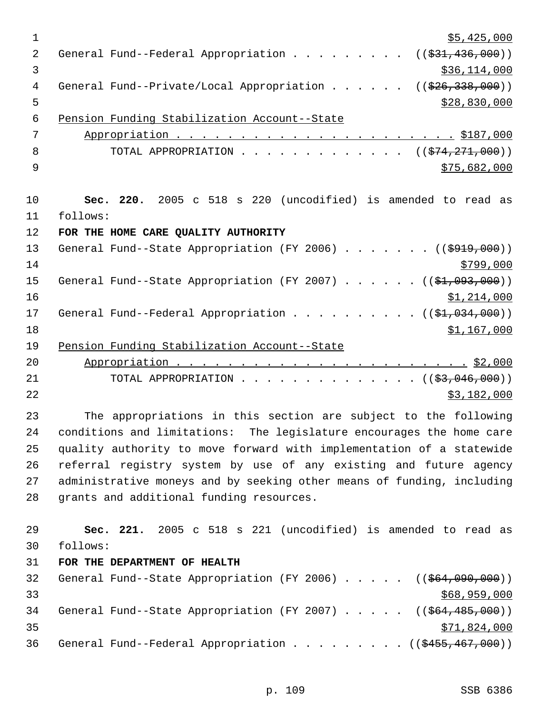| $\mathbf{1}$   | \$5,425,000                                                                       |
|----------------|-----------------------------------------------------------------------------------|
| 2              | General Fund--Federal Appropriation<br>((\$31,436,000))                           |
| $\mathfrak{Z}$ | \$36,114,000                                                                      |
| 4              | General Fund--Private/Local Appropriation<br>((\$26,338,000))                     |
| 5              | \$28,830,000                                                                      |
| $\epsilon$     | Pension Funding Stabilization Account--State                                      |
| 7              |                                                                                   |
| 8              | TOTAL APPROPRIATION ( $(\frac{274}{271},000)$ )                                   |
| 9              | \$75,682,000                                                                      |
| 10             | Sec. 220. 2005 c 518 s 220 (uncodified) is amended to read as                     |
| 11             | follows:                                                                          |
| 12             | FOR THE HOME CARE QUALITY AUTHORITY                                               |
| 13             | General Fund--State Appropriation (FY 2006) ( $(\frac{2919}{000})$ )              |
| 14             | \$799,000                                                                         |
| 15             | General Fund--State Appropriation (FY 2007) $($ $($ \$1,093,000))                 |
| 16             | \$1,214,000                                                                       |
| 17             | General Fund--Federal Appropriation ( $(\frac{\xi_1}{\xi_2}, 0.00)$ )             |
| 18             | \$1,167,000                                                                       |
| 19             | Pension Funding Stabilization Account--State                                      |
| 20             |                                                                                   |
| 21             | TOTAL APPROPRIATION ( $(\frac{2}{3}, 046, 000)$ )                                 |
| 22             | \$3,182,000                                                                       |
| 23             | The appropriations in this section are subject to the following                   |
| 24             | conditions and limitations: The legislature encourages the home care              |
| 25             | quality authority to move forward with implementation of a statewide              |
| 26             | referral registry system by use of any existing and future agency                 |
| 27             | administrative moneys and by seeking other means of funding, including            |
| 28             | grants and additional funding resources.                                          |
| 29             | Sec. 221. 2005 c 518 s 221 (uncodified) is amended to read as                     |
| 30             | follows:                                                                          |
| 31             | FOR THE DEPARTMENT OF HEALTH                                                      |
| 32             | General Fund--State Appropriation (FY 2006) $($ $($ $\frac{664,090,000}{90,000})$ |
| 33             | \$68,959,000                                                                      |
| 34             | General Fund--State Appropriation (FY 2007) $($ $($ $64, 485, 000)$ )             |
| 35             | \$71,824,000                                                                      |
| 36             | General Fund--Federal Appropriation ((\$455,467,000))                             |

p. 109 SSB 6386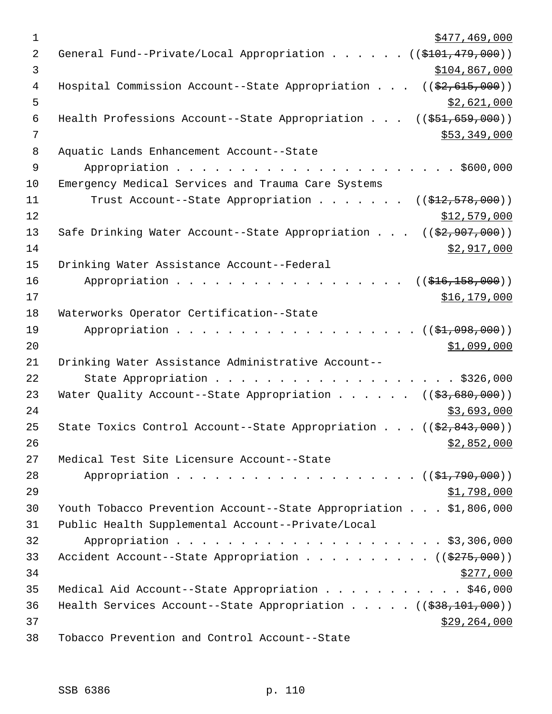| $\mathbf 1$ | \$477,469,000                                                                 |
|-------------|-------------------------------------------------------------------------------|
| 2           | General Fund--Private/Local Appropriation ((\$101,479,000))                   |
| 3           | \$104,867,000                                                                 |
| 4           | Hospital Commission Account--State Appropriation $((\frac{2}{7}, 615, 000))$  |
| 5           | \$2,621,000                                                                   |
| 6           | Health Professions Account--State Appropriation $(($51,659,000))$             |
| 7           | \$53,349,000                                                                  |
| 8           | Aquatic Lands Enhancement Account--State                                      |
| 9           |                                                                               |
| 10          | Emergency Medical Services and Trauma Care Systems                            |
| 11          | Trust Account--State Appropriation ( $(\frac{12}{72}, 578, 000)$ )            |
| 12          | \$12,579,000                                                                  |
| 13          | Safe Drinking Water Account--State Appropriation $((\frac{2}{7}, 907, 000))$  |
| 14          | \$2,917,000                                                                   |
| 15          | Drinking Water Assistance Account--Federal                                    |
| 16          | Appropriation<br>((\$416,158,000))                                            |
| 17          | \$16, 179, 000                                                                |
| 18          | Waterworks Operator Certification--State                                      |
| 19          | (( <del>\$1,098,000</del> ))                                                  |
| 20          | \$1,099,000                                                                   |
| 21          | Drinking Water Assistance Administrative Account--                            |
| 22          | State Appropriation \$326,000                                                 |
| 23          | Water Quality Account--State Appropriation ( $(\frac{27}{53}, 680, 000)$ )    |
| 24          | \$3,693,000                                                                   |
| 25          | State Toxics Control Account--State Appropriation $((\frac{2}{7}, 843, 000))$ |
| 26          | \$2,852,000                                                                   |
| 27          | Medical Test Site Licensure Account--State                                    |
| 28          | Appropriation ( $(\frac{1}{21}, 790, 000)$ )                                  |
| 29          | <u>\$1,798,000</u>                                                            |
| 30          | Youth Tobacco Prevention Account--State Appropriation \$1,806,000             |
| 31          | Public Health Supplemental Account--Private/Local                             |
| 32          |                                                                               |
| 33          | Accident Account--State Appropriation ( $(\frac{275,000}{s})$ )               |
| 34          | \$277,000                                                                     |
| 35          | Medical Aid Account--State Appropriation \$46,000                             |
| 36          | Health Services Account--State Appropriation $($ $($ $\frac{238}{101},000)$   |
| 37          | \$29,264,000                                                                  |
| 38          | Tobacco Prevention and Control Account--State                                 |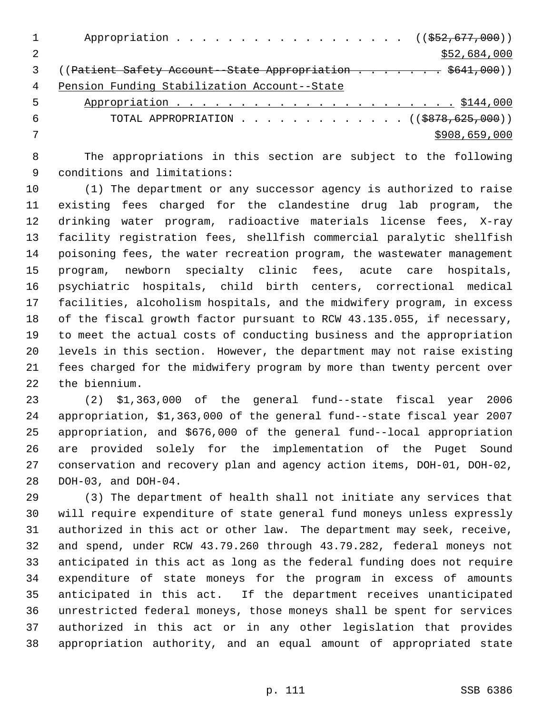|   | Appropriation $($ $(\frac{252}{677}, \frac{000}{60})$                  |
|---|------------------------------------------------------------------------|
|   | \$52,684,000                                                           |
|   | (( <del>Patient Safety Account--State Appropriation \$641,000</del> )) |
| 4 | Pension Funding Stabilization Account--State                           |
| 5 |                                                                        |
| 6 | TOTAL APPROPRIATION ( $(\frac{18878}{625}, 000)$ )                     |
|   | \$908,659,000                                                          |
|   |                                                                        |

 The appropriations in this section are subject to the following conditions and limitations:

 (1) The department or any successor agency is authorized to raise existing fees charged for the clandestine drug lab program, the drinking water program, radioactive materials license fees, X-ray facility registration fees, shellfish commercial paralytic shellfish poisoning fees, the water recreation program, the wastewater management program, newborn specialty clinic fees, acute care hospitals, psychiatric hospitals, child birth centers, correctional medical facilities, alcoholism hospitals, and the midwifery program, in excess of the fiscal growth factor pursuant to RCW 43.135.055, if necessary, to meet the actual costs of conducting business and the appropriation levels in this section. However, the department may not raise existing fees charged for the midwifery program by more than twenty percent over the biennium.

 (2) \$1,363,000 of the general fund--state fiscal year 2006 appropriation, \$1,363,000 of the general fund--state fiscal year 2007 appropriation, and \$676,000 of the general fund--local appropriation are provided solely for the implementation of the Puget Sound conservation and recovery plan and agency action items, DOH-01, DOH-02, DOH-03, and DOH-04.

 (3) The department of health shall not initiate any services that will require expenditure of state general fund moneys unless expressly authorized in this act or other law. The department may seek, receive, and spend, under RCW 43.79.260 through 43.79.282, federal moneys not anticipated in this act as long as the federal funding does not require expenditure of state moneys for the program in excess of amounts anticipated in this act. If the department receives unanticipated unrestricted federal moneys, those moneys shall be spent for services authorized in this act or in any other legislation that provides appropriation authority, and an equal amount of appropriated state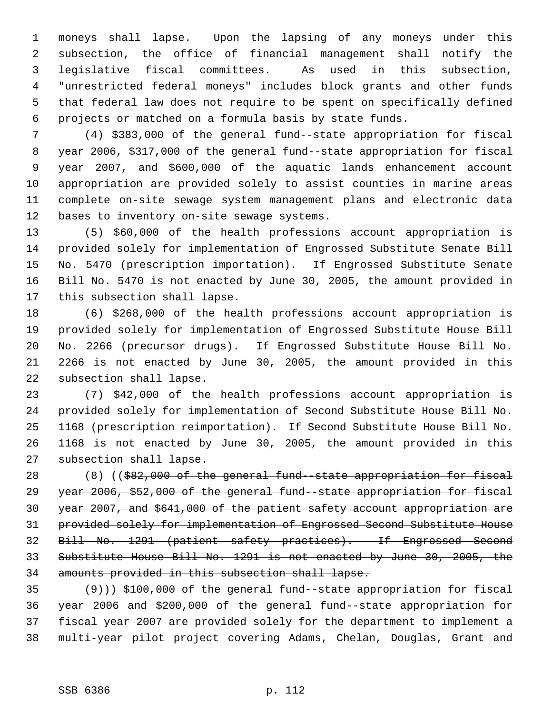moneys shall lapse. Upon the lapsing of any moneys under this subsection, the office of financial management shall notify the legislative fiscal committees. As used in this subsection, "unrestricted federal moneys" includes block grants and other funds that federal law does not require to be spent on specifically defined projects or matched on a formula basis by state funds.

 (4) \$383,000 of the general fund--state appropriation for fiscal year 2006, \$317,000 of the general fund--state appropriation for fiscal year 2007, and \$600,000 of the aquatic lands enhancement account appropriation are provided solely to assist counties in marine areas complete on-site sewage system management plans and electronic data bases to inventory on-site sewage systems.

 (5) \$60,000 of the health professions account appropriation is provided solely for implementation of Engrossed Substitute Senate Bill No. 5470 (prescription importation). If Engrossed Substitute Senate Bill No. 5470 is not enacted by June 30, 2005, the amount provided in this subsection shall lapse.

 (6) \$268,000 of the health professions account appropriation is provided solely for implementation of Engrossed Substitute House Bill No. 2266 (precursor drugs). If Engrossed Substitute House Bill No. 2266 is not enacted by June 30, 2005, the amount provided in this subsection shall lapse.

 (7) \$42,000 of the health professions account appropriation is provided solely for implementation of Second Substitute House Bill No. 1168 (prescription reimportation). If Second Substitute House Bill No. 1168 is not enacted by June 30, 2005, the amount provided in this subsection shall lapse.

 (8) ((\$82,000 of the general fund--state appropriation for fiscal year 2006, \$52,000 of the general fund--state appropriation for fiscal year 2007, and \$641,000 of the patient safety account appropriation are provided solely for implementation of Engrossed Second Substitute House Bill No. 1291 (patient safety practices). If Engrossed Second Substitute House Bill No. 1291 is not enacted by June 30, 2005, the amounts provided in this subsection shall lapse.

 $(9)$ ) \$100,000 of the general fund--state appropriation for fiscal year 2006 and \$200,000 of the general fund--state appropriation for fiscal year 2007 are provided solely for the department to implement a multi-year pilot project covering Adams, Chelan, Douglas, Grant and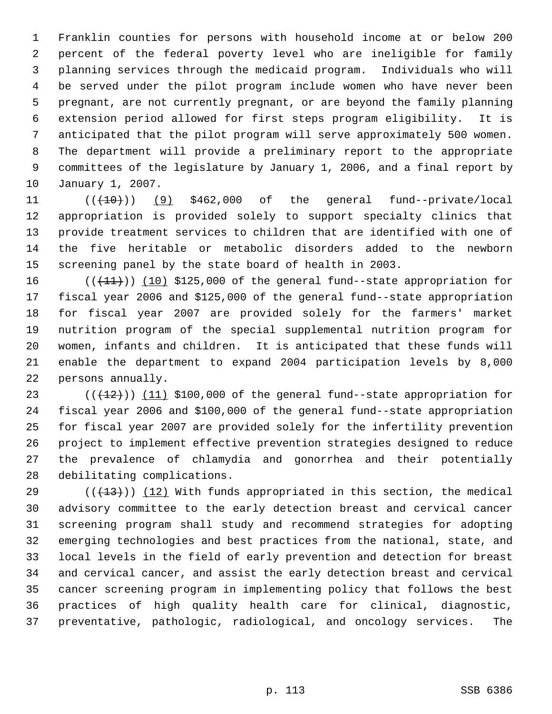Franklin counties for persons with household income at or below 200 percent of the federal poverty level who are ineligible for family planning services through the medicaid program. Individuals who will be served under the pilot program include women who have never been pregnant, are not currently pregnant, or are beyond the family planning extension period allowed for first steps program eligibility. It is anticipated that the pilot program will serve approximately 500 women. The department will provide a preliminary report to the appropriate committees of the legislature by January 1, 2006, and a final report by January 1, 2007.

 $((+10))$  (9) \$462,000 of the general fund--private/local appropriation is provided solely to support specialty clinics that provide treatment services to children that are identified with one of the five heritable or metabolic disorders added to the newborn screening panel by the state board of health in 2003.

 $((+11))$   $(10)$  \$125,000 of the general fund--state appropriation for fiscal year 2006 and \$125,000 of the general fund--state appropriation for fiscal year 2007 are provided solely for the farmers' market nutrition program of the special supplemental nutrition program for women, infants and children. It is anticipated that these funds will enable the department to expand 2004 participation levels by 8,000 persons annually.

 $((+12))$   $(11)$  \$100,000 of the general fund--state appropriation for fiscal year 2006 and \$100,000 of the general fund--state appropriation for fiscal year 2007 are provided solely for the infertility prevention project to implement effective prevention strategies designed to reduce the prevalence of chlamydia and gonorrhea and their potentially debilitating complications.

29 ( $(\frac{13}{13})$ ) (12) With funds appropriated in this section, the medical advisory committee to the early detection breast and cervical cancer screening program shall study and recommend strategies for adopting emerging technologies and best practices from the national, state, and local levels in the field of early prevention and detection for breast and cervical cancer, and assist the early detection breast and cervical cancer screening program in implementing policy that follows the best practices of high quality health care for clinical, diagnostic, preventative, pathologic, radiological, and oncology services. The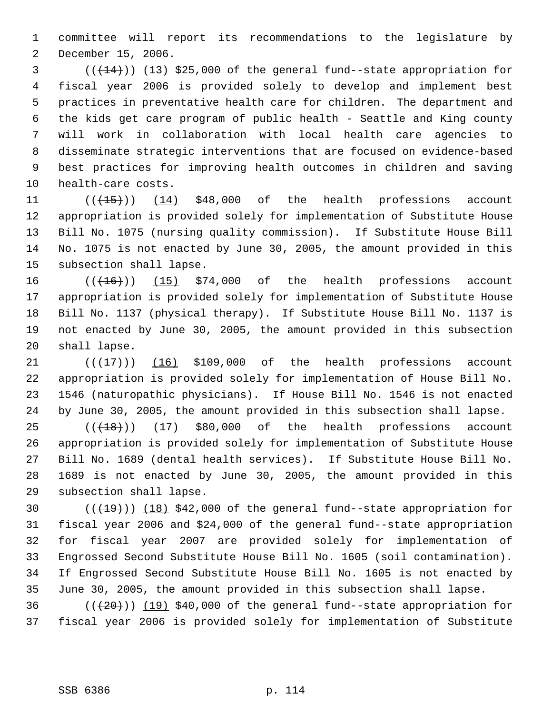committee will report its recommendations to the legislature by December 15, 2006.

 (( $\left(\frac{14}{13}\right)$ ) (13) \$25,000 of the general fund--state appropriation for fiscal year 2006 is provided solely to develop and implement best practices in preventative health care for children. The department and the kids get care program of public health - Seattle and King county will work in collaboration with local health care agencies to disseminate strategic interventions that are focused on evidence-based best practices for improving health outcomes in children and saving health-care costs.

 $((\text{(+15+)}))$  (14) \$48,000 of the health professions account appropriation is provided solely for implementation of Substitute House Bill No. 1075 (nursing quality commission). If Substitute House Bill No. 1075 is not enacted by June 30, 2005, the amount provided in this subsection shall lapse.

 $((+16))$   $(15)$  \$74,000 of the health professions account appropriation is provided solely for implementation of Substitute House Bill No. 1137 (physical therapy). If Substitute House Bill No. 1137 is not enacted by June 30, 2005, the amount provided in this subsection shall lapse.

 $((+17))$  (16) \$109,000 of the health professions account appropriation is provided solely for implementation of House Bill No. 1546 (naturopathic physicians). If House Bill No. 1546 is not enacted by June 30, 2005, the amount provided in this subsection shall lapse.

 $((+18))$  (17) \$80,000 of the health professions account appropriation is provided solely for implementation of Substitute House Bill No. 1689 (dental health services). If Substitute House Bill No. 1689 is not enacted by June 30, 2005, the amount provided in this subsection shall lapse.

 $((+19))$   $(18)$  \$42,000 of the general fund--state appropriation for fiscal year 2006 and \$24,000 of the general fund--state appropriation for fiscal year 2007 are provided solely for implementation of Engrossed Second Substitute House Bill No. 1605 (soil contamination). If Engrossed Second Substitute House Bill No. 1605 is not enacted by June 30, 2005, the amount provided in this subsection shall lapse.

36  $((+20))$   $(19)$  \$40,000 of the general fund--state appropriation for fiscal year 2006 is provided solely for implementation of Substitute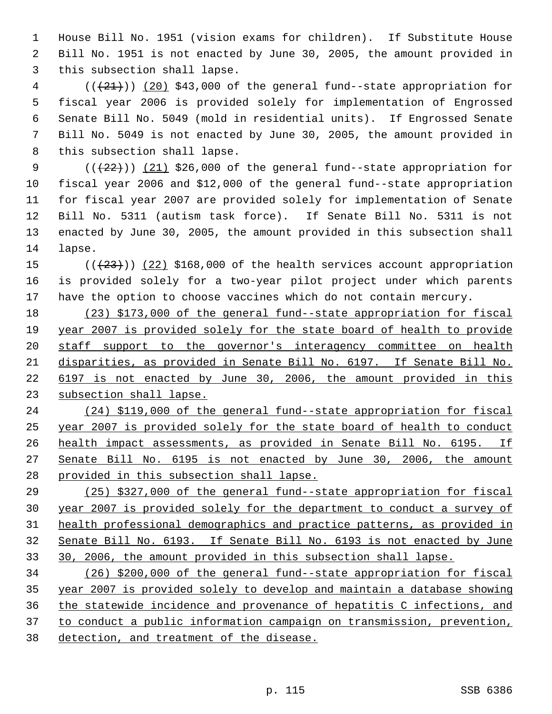House Bill No. 1951 (vision exams for children). If Substitute House Bill No. 1951 is not enacted by June 30, 2005, the amount provided in this subsection shall lapse.

 (( $\left(\frac{21}{21}\right)$ ) (20) \$43,000 of the general fund--state appropriation for fiscal year 2006 is provided solely for implementation of Engrossed Senate Bill No. 5049 (mold in residential units). If Engrossed Senate Bill No. 5049 is not enacted by June 30, 2005, the amount provided in this subsection shall lapse.

 $((+22))$   $(21)$  \$26,000 of the general fund--state appropriation for fiscal year 2006 and \$12,000 of the general fund--state appropriation for fiscal year 2007 are provided solely for implementation of Senate Bill No. 5311 (autism task force). If Senate Bill No. 5311 is not enacted by June 30, 2005, the amount provided in this subsection shall lapse.

15  $((+23))$   $(22)$  \$168,000 of the health services account appropriation is provided solely for a two-year pilot project under which parents have the option to choose vaccines which do not contain mercury.

 (23) \$173,000 of the general fund--state appropriation for fiscal year 2007 is provided solely for the state board of health to provide staff support to the governor's interagency committee on health disparities, as provided in Senate Bill No. 6197. If Senate Bill No. 6197 is not enacted by June 30, 2006, the amount provided in this subsection shall lapse.

 (24) \$119,000 of the general fund--state appropriation for fiscal year 2007 is provided solely for the state board of health to conduct health impact assessments, as provided in Senate Bill No. 6195. If Senate Bill No. 6195 is not enacted by June 30, 2006, the amount provided in this subsection shall lapse.

 (25) \$327,000 of the general fund--state appropriation for fiscal year 2007 is provided solely for the department to conduct a survey of health professional demographics and practice patterns, as provided in Senate Bill No. 6193. If Senate Bill No. 6193 is not enacted by June 30, 2006, the amount provided in this subsection shall lapse.

 (26) \$200,000 of the general fund--state appropriation for fiscal year 2007 is provided solely to develop and maintain a database showing the statewide incidence and provenance of hepatitis C infections, and to conduct a public information campaign on transmission, prevention, detection, and treatment of the disease.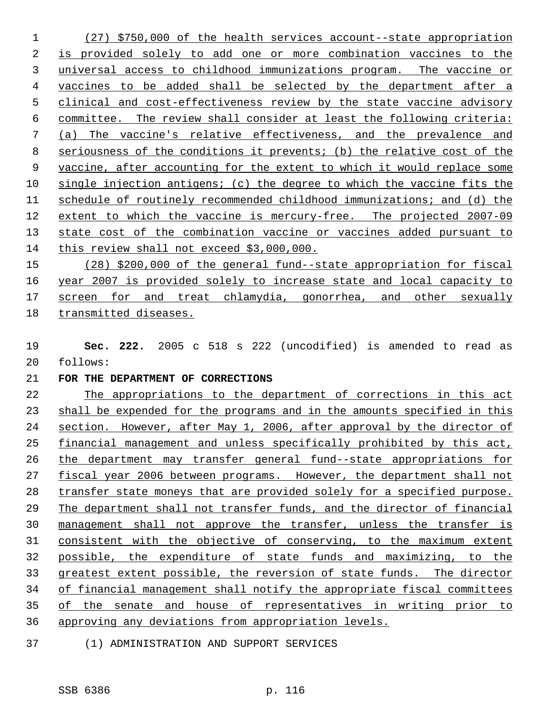(27) \$750,000 of the health services account--state appropriation is provided solely to add one or more combination vaccines to the universal access to childhood immunizations program. The vaccine or vaccines to be added shall be selected by the department after a clinical and cost-effectiveness review by the state vaccine advisory committee. The review shall consider at least the following criteria: (a) The vaccine's relative effectiveness, and the prevalence and seriousness of the conditions it prevents; (b) the relative cost of the vaccine, after accounting for the extent to which it would replace some single injection antigens; (c) the degree to which the vaccine fits the schedule of routinely recommended childhood immunizations; and (d) the extent to which the vaccine is mercury-free. The projected 2007-09 state cost of the combination vaccine or vaccines added pursuant to this review shall not exceed \$3,000,000.

 (28) \$200,000 of the general fund--state appropriation for fiscal year 2007 is provided solely to increase state and local capacity to 17 screen for and treat chlamydia, gonorrhea, and other sexually transmitted diseases.

 **Sec. 222.** 2005 c 518 s 222 (uncodified) is amended to read as follows:

## **FOR THE DEPARTMENT OF CORRECTIONS**

 The appropriations to the department of corrections in this act shall be expended for the programs and in the amounts specified in this section. However, after May 1, 2006, after approval by the director of financial management and unless specifically prohibited by this act, the department may transfer general fund--state appropriations for 27 fiscal year 2006 between programs. However, the department shall not transfer state moneys that are provided solely for a specified purpose. The department shall not transfer funds, and the director of financial management shall not approve the transfer, unless the transfer is consistent with the objective of conserving, to the maximum extent possible, the expenditure of state funds and maximizing, to the greatest extent possible, the reversion of state funds. The director of financial management shall notify the appropriate fiscal committees of the senate and house of representatives in writing prior to approving any deviations from appropriation levels.

(1) ADMINISTRATION AND SUPPORT SERVICES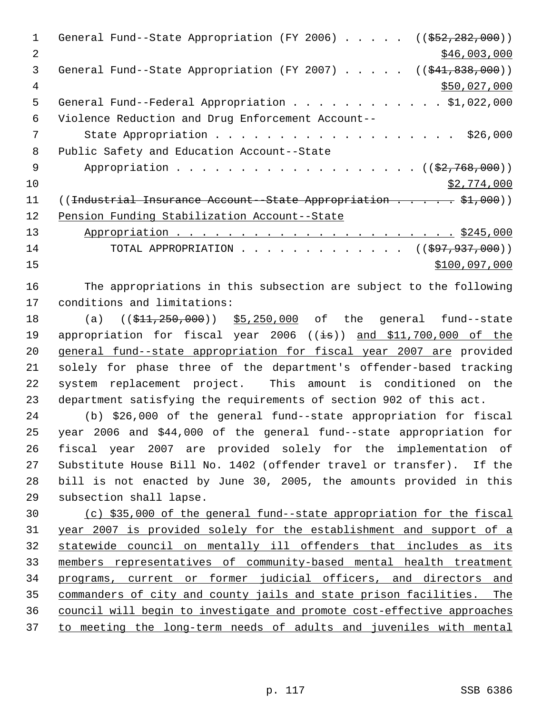1 General Fund--State Appropriation (FY 2006) . . . . . ((\$52,282,000)) 2 \$46,003,000 3 General Fund--State Appropriation (FY 2007) . . . . . ((\$41,838,000)) \$50,027,000 General Fund--Federal Appropriation . . . . . . . . . . . . \$1,022,000 Violence Reduction and Drug Enforcement Account-- 7 State Appropriation . . . . . . . . . . . . . . . . . . \$26,000 Public Safety and Education Account--State 9 Appropriation . . . . . . . . . . . . . . . . . (  $(\frac{2}{7}, \frac{768}{100})$  ) \$2,774,000 11 ((Industrial Insurance Account--State Appropriation . . . . \$1,000)) Pension Funding Stabilization Account--State Appropriation . . . . . . . . . . . . . . . . . . . . . . \$245,000 14 TOTAL APPROPRIATION . . . . . . . . . . . . . ((\$97,937,000)) \$100,097,000

 The appropriations in this subsection are subject to the following conditions and limitations:

18 (a) ((\$11,250,000)) \$5,250,000 of the general fund--state 19 appropriation for fiscal year 2006 ((is)) and \$11,700,000 of the general fund--state appropriation for fiscal year 2007 are provided solely for phase three of the department's offender-based tracking system replacement project. This amount is conditioned on the department satisfying the requirements of section 902 of this act.

 (b) \$26,000 of the general fund--state appropriation for fiscal year 2006 and \$44,000 of the general fund--state appropriation for fiscal year 2007 are provided solely for the implementation of Substitute House Bill No. 1402 (offender travel or transfer). If the bill is not enacted by June 30, 2005, the amounts provided in this subsection shall lapse.

 (c) \$35,000 of the general fund--state appropriation for the fiscal year 2007 is provided solely for the establishment and support of a statewide council on mentally ill offenders that includes as its members representatives of community-based mental health treatment programs, current or former judicial officers, and directors and commanders of city and county jails and state prison facilities. The council will begin to investigate and promote cost-effective approaches to meeting the long-term needs of adults and juveniles with mental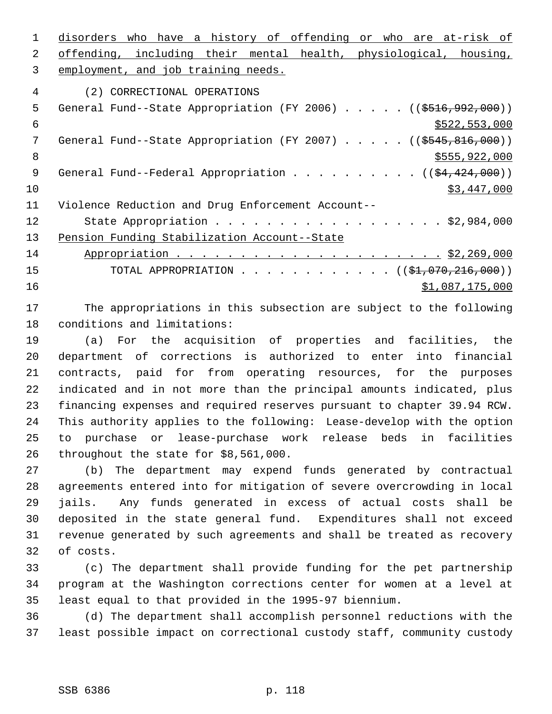disorders who have a history of offending or who are at-risk of offending, including their mental health, physiological, housing, employment, and job training needs. (2) CORRECTIONAL OPERATIONS 5 General Fund--State Appropriation (FY 2006) . . . . . ((\$516,992,000))  $\frac{1}{522}$ , 553,000 7 General Fund--State Appropriation (FY 2007) . . . . . ((\$545,816,000))  $8 \div 8$   $\frac{1}{2555,922,000}$ 9 General Fund--Federal Appropriation . . . . . . . . . . ((\$4,424,000)) \$3,447,000 Violence Reduction and Drug Enforcement Account-- 12 State Appropriation . . . . . . . . . . . . . . . . . \$2,984,000 13 Pension Funding Stabilization Account--State Appropriation . . . . . . . . . . . . . . . . . . . . . \$2,269,000 15 TOTAL APPROPRIATION . . . . . . . . . . . . ((\$1,070,216,000))  $\frac{$1,087,175,000}{2}$ 

 The appropriations in this subsection are subject to the following conditions and limitations:

 (a) For the acquisition of properties and facilities, the department of corrections is authorized to enter into financial contracts, paid for from operating resources, for the purposes indicated and in not more than the principal amounts indicated, plus financing expenses and required reserves pursuant to chapter 39.94 RCW. This authority applies to the following: Lease-develop with the option to purchase or lease-purchase work release beds in facilities throughout the state for \$8,561,000.

 (b) The department may expend funds generated by contractual agreements entered into for mitigation of severe overcrowding in local jails. Any funds generated in excess of actual costs shall be deposited in the state general fund. Expenditures shall not exceed revenue generated by such agreements and shall be treated as recovery of costs.

 (c) The department shall provide funding for the pet partnership program at the Washington corrections center for women at a level at least equal to that provided in the 1995-97 biennium.

 (d) The department shall accomplish personnel reductions with the least possible impact on correctional custody staff, community custody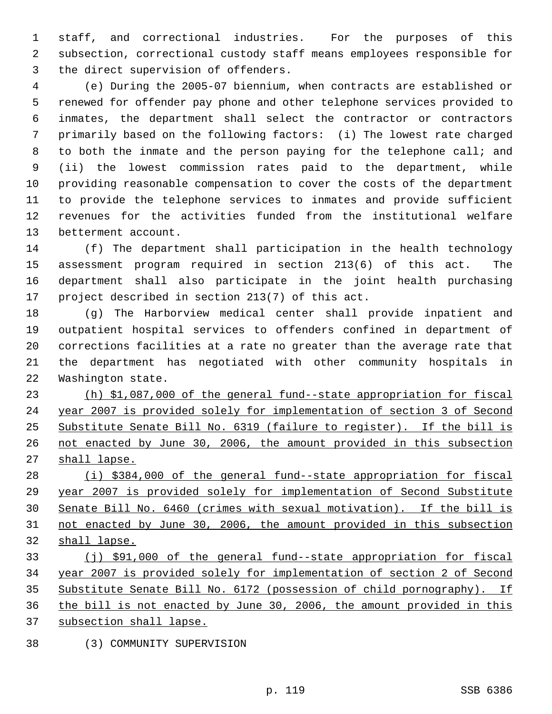staff, and correctional industries. For the purposes of this subsection, correctional custody staff means employees responsible for the direct supervision of offenders.

 (e) During the 2005-07 biennium, when contracts are established or renewed for offender pay phone and other telephone services provided to inmates, the department shall select the contractor or contractors primarily based on the following factors: (i) The lowest rate charged to both the inmate and the person paying for the telephone call; and (ii) the lowest commission rates paid to the department, while providing reasonable compensation to cover the costs of the department to provide the telephone services to inmates and provide sufficient revenues for the activities funded from the institutional welfare betterment account.

 (f) The department shall participation in the health technology assessment program required in section 213(6) of this act. The department shall also participate in the joint health purchasing project described in section 213(7) of this act.

 (g) The Harborview medical center shall provide inpatient and outpatient hospital services to offenders confined in department of corrections facilities at a rate no greater than the average rate that the department has negotiated with other community hospitals in Washington state.

 (h) \$1,087,000 of the general fund--state appropriation for fiscal year 2007 is provided solely for implementation of section 3 of Second Substitute Senate Bill No. 6319 (failure to register). If the bill is not enacted by June 30, 2006, the amount provided in this subsection 27 shall lapse.

 (i) \$384,000 of the general fund--state appropriation for fiscal year 2007 is provided solely for implementation of Second Substitute Senate Bill No. 6460 (crimes with sexual motivation). If the bill is not enacted by June 30, 2006, the amount provided in this subsection shall lapse.

 (j) \$91,000 of the general fund--state appropriation for fiscal year 2007 is provided solely for implementation of section 2 of Second Substitute Senate Bill No. 6172 (possession of child pornography). If the bill is not enacted by June 30, 2006, the amount provided in this subsection shall lapse.

(3) COMMUNITY SUPERVISION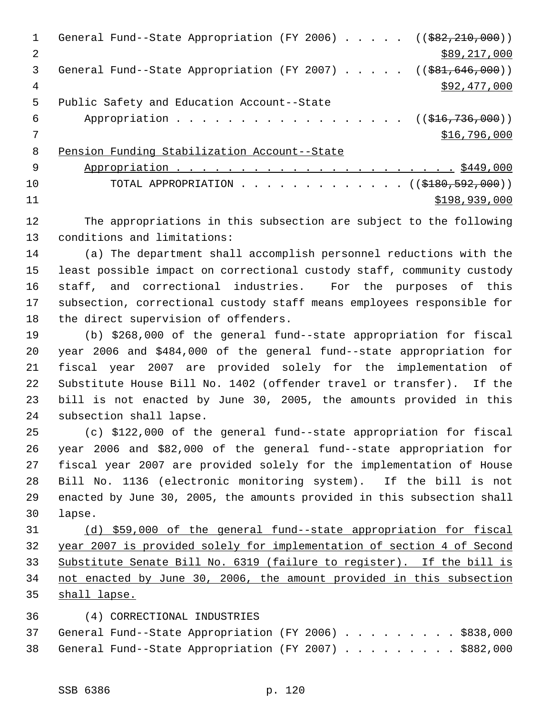| $\mathbf{1}$ | General Fund--State Appropriation (FY 2006) $($ $($ $\frac{682}{210}$ , 000)) |
|--------------|-------------------------------------------------------------------------------|
| 2            | \$89,217,000                                                                  |
| 3            |                                                                               |
| 4            | \$92,477,000                                                                  |
| 5            | Public Safety and Education Account--State                                    |
| 6            | Appropriation ((\$16,736,000))                                                |
|              | \$16,796,000                                                                  |
| 8            | Pension Funding Stabilization Account--State                                  |
| -9           |                                                                               |
| 10           | TOTAL APPROPRIATION $($ $($ $\frac{2180}{152}, 000)$                          |
| 11           | \$198,939,000                                                                 |
|              |                                                                               |

 The appropriations in this subsection are subject to the following conditions and limitations:

 (a) The department shall accomplish personnel reductions with the least possible impact on correctional custody staff, community custody staff, and correctional industries. For the purposes of this subsection, correctional custody staff means employees responsible for the direct supervision of offenders.

 (b) \$268,000 of the general fund--state appropriation for fiscal year 2006 and \$484,000 of the general fund--state appropriation for fiscal year 2007 are provided solely for the implementation of Substitute House Bill No. 1402 (offender travel or transfer). If the bill is not enacted by June 30, 2005, the amounts provided in this subsection shall lapse.

 (c) \$122,000 of the general fund--state appropriation for fiscal year 2006 and \$82,000 of the general fund--state appropriation for fiscal year 2007 are provided solely for the implementation of House Bill No. 1136 (electronic monitoring system). If the bill is not enacted by June 30, 2005, the amounts provided in this subsection shall lapse.

 (d) \$59,000 of the general fund--state appropriation for fiscal year 2007 is provided solely for implementation of section 4 of Second Substitute Senate Bill No. 6319 (failure to register). If the bill is not enacted by June 30, 2006, the amount provided in this subsection shall lapse.

## (4) CORRECTIONAL INDUSTRIES

|  | 37 General Fund--State Appropriation (FY 2006) \$838,000 |  |  |  |  |  |  |
|--|----------------------------------------------------------|--|--|--|--|--|--|
|  | 38 General Fund--State Appropriation (FY 2007) \$882,000 |  |  |  |  |  |  |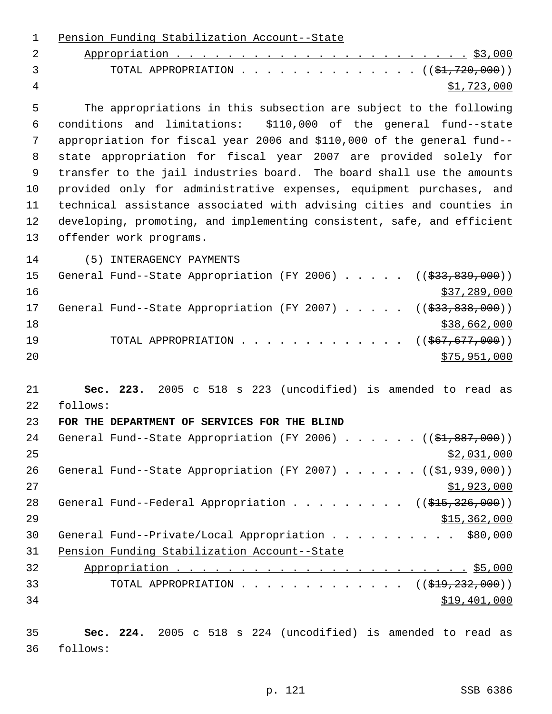| $\mathbf 1$ | Pension Funding Stabilization Account--State                                         |
|-------------|--------------------------------------------------------------------------------------|
| 2           |                                                                                      |
| 3           | TOTAL APPROPRIATION ( $(\frac{1}{21}, 720, 000)$ )                                   |
| 4           | \$1,723,000                                                                          |
| 5           | The appropriations in this subsection are subject to the following                   |
| 6           | conditions and limitations: \$110,000 of the general fund--state                     |
| 7           | appropriation for fiscal year 2006 and \$110,000 of the general fund--               |
| 8           | state appropriation for fiscal year 2007 are provided solely for                     |
| 9           | transfer to the jail industries board. The board shall use the amounts               |
| 10          | provided only for administrative expenses, equipment purchases, and                  |
| 11          | technical assistance associated with advising cities and counties in                 |
| 12          | developing, promoting, and implementing consistent, safe, and efficient              |
| 13          | offender work programs.                                                              |
| 14          | (5) INTERAGENCY PAYMENTS                                                             |
| 15          | General Fund--State Appropriation (FY 2006) $($ $(\frac{233}{633}, \frac{839}{600})$ |
| 16          | \$37,289,000                                                                         |
| 17          | General Fund--State Appropriation (FY 2007)<br>$((\frac{233}{7}$ , 838, 000))        |
| 18          | \$38,662,000                                                                         |
| 19          | $((\$67,677,000))$<br>TOTAL APPROPRIATION                                            |
| 20          | \$75,951,000                                                                         |
| 21          | Sec. 223. 2005 c 518 s 223 (uncodified) is amended to read as                        |
| 22          | follows:                                                                             |
| 23          | FOR THE DEPARTMENT OF SERVICES FOR THE BLIND                                         |
| 24          | General Fund--State Appropriation (FY 2006) $($ $($ \$1,887,000))                    |
| 25          | \$2,031,000                                                                          |
| 26          | General Fund--State Appropriation (FY 2007) $($ $($ \$1,939,000))                    |
| 27          | \$1,923,000                                                                          |
| 28          | General Fund--Federal Appropriation ( $(\frac{215}{326}, \frac{326}{900})$ )         |
| 29          | \$15,362,000                                                                         |
| 30          | General Fund--Private/Local Appropriation \$80,000                                   |
| 31          | Pension Funding Stabilization Account--State                                         |
| 32          |                                                                                      |
| 33          | TOTAL APPROPRIATION $\ldots$ , ( $(\frac{1919}{7232},000)$ )                         |
| 34          | \$19,401,000                                                                         |
| 35          | Sec. 224. 2005 c 518 s 224 (uncodified) is amended to read as                        |
| 36          | follows:                                                                             |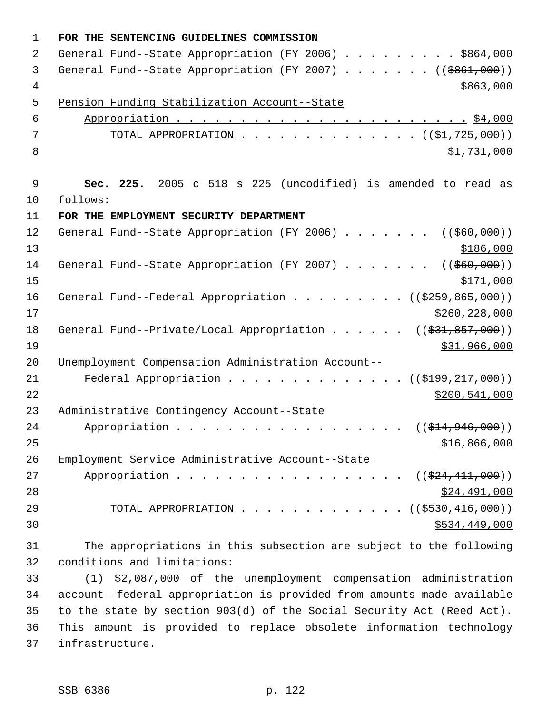| $\mathbf 1$    | FOR THE SENTENCING GUIDELINES COMMISSION                                           |
|----------------|------------------------------------------------------------------------------------|
| 2              | General Fund--State Appropriation (FY 2006) \$864,000                              |
| 3              | General Fund--State Appropriation (FY 2007) ( $(\frac{2861,000}{100})$             |
| $\overline{4}$ | \$863,000                                                                          |
| 5              | Pension Funding Stabilization Account--State                                       |
| $\epsilon$     |                                                                                    |
| 7              | TOTAL APPROPRIATION ( $(\frac{1}{21}, 725, 000)$ )                                 |
| 8              | \$1,731,000                                                                        |
| $\mathsf 9$    | Sec. 225. 2005 c 518 s 225 (uncodified) is amended to read as                      |
| 10             | follows:                                                                           |
| 11             | FOR THE EMPLOYMENT SECURITY DEPARTMENT                                             |
| 12             | General Fund--State Appropriation (FY 2006) ( $(\frac{260}{100})$ )                |
| 13             |                                                                                    |
| 14             | \$186,000                                                                          |
| 15             | General Fund--State Appropriation (FY 2007) ( $(\frac{260}{100})$ )                |
| 16             | \$171,000                                                                          |
| 17             | General Fund--Federal Appropriation ( $(\frac{2259}{800}, \frac{865}{100})$ )      |
| 18             | \$260, 228, 000                                                                    |
| 19             | General Fund--Private/Local Appropriation ( $(\frac{231}{631}, \frac{857}{600})$ ) |
| 20             | \$31,966,000                                                                       |
|                | Unemployment Compensation Administration Account--                                 |
| 21             | Federal Appropriation ( $(\frac{$199,217,000)}{$ )                                 |
| 22<br>23       | \$200,541,000                                                                      |
|                | Administrative Contingency Account--State                                          |
| 24             | Appropriation ( $(\frac{214}{946}, 946, 000)$ )                                    |
| 25             | \$16,866,000                                                                       |
| 26             | Employment Service Administrative Account--State                                   |
| 27             | Appropriation ( $(\frac{24}{11}, 000)$ )                                           |
| 28             | \$24,491,000                                                                       |
| 29             | TOTAL APPROPRIATION ( $(\frac{2530}{16}, \frac{416}{100})$ )                       |
| 30             | \$534,449,000                                                                      |
| 31             | The appropriations in this subsection are subject to the following                 |
| 32             | conditions and limitations:                                                        |
| 33             | (1) \$2,087,000 of the unemployment compensation administration                    |
| 34             | account--federal appropriation is provided from amounts made available             |
| 35             | to the state by section 903(d) of the Social Security Act (Reed Act).              |
| 36             | This amount is provided to replace obsolete information technology                 |

infrastructure.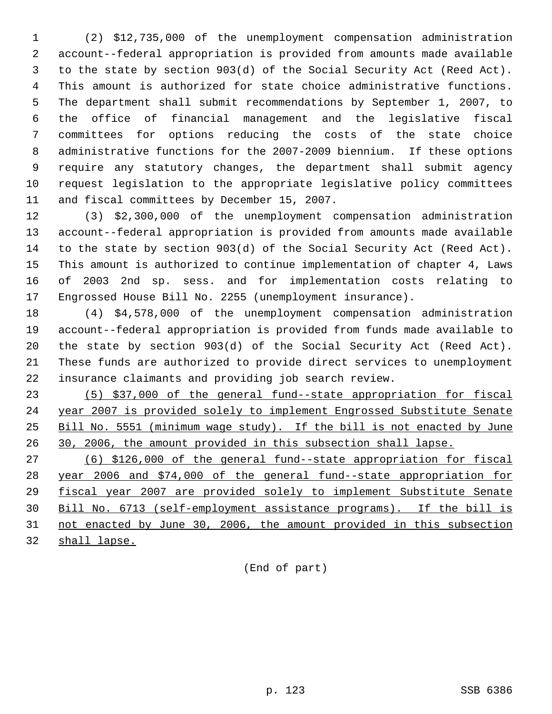(2) \$12,735,000 of the unemployment compensation administration account--federal appropriation is provided from amounts made available to the state by section 903(d) of the Social Security Act (Reed Act). This amount is authorized for state choice administrative functions. The department shall submit recommendations by September 1, 2007, to the office of financial management and the legislative fiscal committees for options reducing the costs of the state choice administrative functions for the 2007-2009 biennium. If these options require any statutory changes, the department shall submit agency request legislation to the appropriate legislative policy committees and fiscal committees by December 15, 2007.

 (3) \$2,300,000 of the unemployment compensation administration account--federal appropriation is provided from amounts made available to the state by section 903(d) of the Social Security Act (Reed Act). This amount is authorized to continue implementation of chapter 4, Laws of 2003 2nd sp. sess. and for implementation costs relating to Engrossed House Bill No. 2255 (unemployment insurance).

 (4) \$4,578,000 of the unemployment compensation administration account--federal appropriation is provided from funds made available to the state by section 903(d) of the Social Security Act (Reed Act). These funds are authorized to provide direct services to unemployment insurance claimants and providing job search review.

 (5) \$37,000 of the general fund--state appropriation for fiscal year 2007 is provided solely to implement Engrossed Substitute Senate Bill No. 5551 (minimum wage study). If the bill is not enacted by June 30, 2006, the amount provided in this subsection shall lapse.

 (6) \$126,000 of the general fund--state appropriation for fiscal year 2006 and \$74,000 of the general fund--state appropriation for fiscal year 2007 are provided solely to implement Substitute Senate Bill No. 6713 (self-employment assistance programs). If the bill is not enacted by June 30, 2006, the amount provided in this subsection

shall lapse.

(End of part)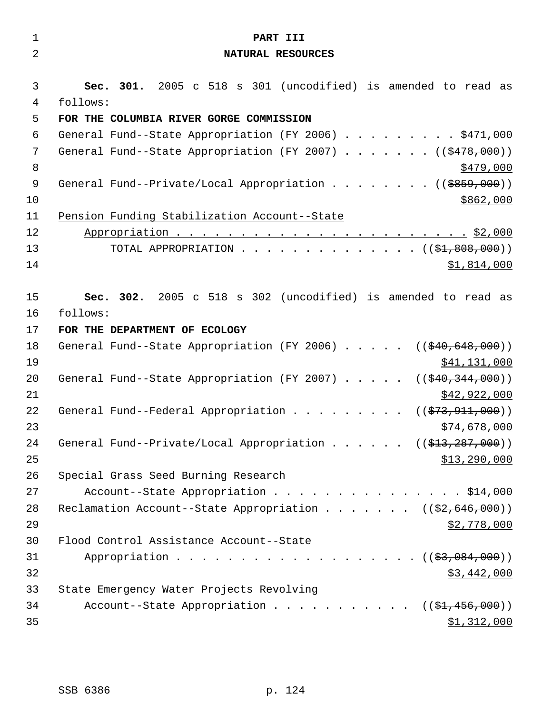| $\mathbf 1$    | PART III                                                                                |
|----------------|-----------------------------------------------------------------------------------------|
| $\overline{2}$ | NATURAL RESOURCES                                                                       |
|                |                                                                                         |
| 3              | Sec. 301. 2005 c 518 s 301 (uncodified) is amended to read as                           |
| 4<br>5         | follows:<br>FOR THE COLUMBIA RIVER GORGE COMMISSION                                     |
| 6              | General Fund--State Appropriation (FY 2006) \$471,000                                   |
| 7              | General Fund--State Appropriation (FY 2007) ( $(\frac{2478}{100})$ )                    |
| 8              | <u>\$479,000</u>                                                                        |
| 9              | General Fund--Private/Local Appropriation ( $(\frac{2859}{100})$ )                      |
| 10             | \$862,000                                                                               |
| 11             | Pension Funding Stabilization Account--State                                            |
| 12             |                                                                                         |
| 13             | TOTAL APPROPRIATION $($ $(*1,808,000))$                                                 |
| 14             | \$1,814,000                                                                             |
|                |                                                                                         |
| 15             | Sec. 302. 2005 c 518 s 302 (uncodified) is amended to read as                           |
| 16             | follows:                                                                                |
| 17             | FOR THE DEPARTMENT OF ECOLOGY                                                           |
| 18             | General Fund--State Appropriation (FY 2006) $($ $($ $\frac{40}{640}$ , $648$ , $000)$ ) |
| 19             | \$41,131,000                                                                            |
| 20<br>21       | General Fund--State Appropriation (FY 2007) $($ $($ $$40, 344, 000)$ )<br>\$42,922,000  |
| 22             | General Fund--Federal Appropriation<br>(( <del>\$73,911,000</del> ))                    |
| 23             | \$74,678,000                                                                            |
| 24             | General Fund--Private/Local Appropriation ( $(\frac{213}{7287}, 000)$ )                 |
| 25             | \$13,290,000                                                                            |
| 26             | Special Grass Seed Burning Research                                                     |
| 27             | Account--State Appropriation \$14,000                                                   |
| 28             | Reclamation Account--State Appropriation ((\$2,646,000))                                |
| 29             | \$2,778,000                                                                             |
| 30             | Flood Control Assistance Account--State                                                 |
| 31             | Appropriation $($ $($ $\frac{27}{9},084,000) )$                                         |
| 32             | \$3,442,000                                                                             |
| 33             | State Emergency Water Projects Revolving                                                |
| 34             | Account--State Appropriation $($ $($ \$1,456,000))                                      |
| 35             | \$1,312,000                                                                             |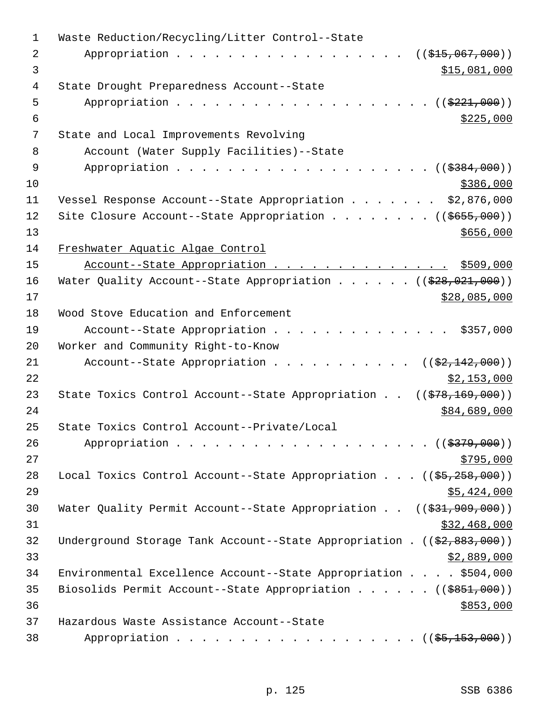| 1  | Waste Reduction/Recycling/Litter Control--State                                          |
|----|------------------------------------------------------------------------------------------|
| 2  | Appropriation<br>$((\frac{1515}{100}, 067, 000))$                                        |
| 3  | \$15,081,000                                                                             |
| 4  | State Drought Preparedness Account--State                                                |
| 5  | Appropriation $($ $)$ $)$                                                                |
| 6  | \$225,000                                                                                |
| 7  | State and Local Improvements Revolving                                                   |
| 8  | Account (Water Supply Facilities)--State                                                 |
| 9  |                                                                                          |
| 10 | \$386,000                                                                                |
| 11 | Vessel Response Account--State Appropriation \$2,876,000                                 |
| 12 | Site Closure Account--State Appropriation ( $(\frac{2655}{100})$ )                       |
| 13 | \$656,000                                                                                |
| 14 | Freshwater Aquatic Algae Control                                                         |
| 15 | Account--State Appropriation \$509,000                                                   |
| 16 | Water Quality Account--State Appropriation ( $(\frac{228}{928}, 021, 000)$ )             |
| 17 | \$28,085,000                                                                             |
| 18 | Wood Stove Education and Enforcement                                                     |
| 19 | Account--State Appropriation \$357,000                                                   |
| 20 | Worker and Community Right-to-Know                                                       |
| 21 | Account--State Appropriation $($ $($ \$2,142,000) $)$                                    |
| 22 | \$2,153,000                                                                              |
| 23 | State Toxics Control Account--State Appropriation $((\frac{278}{169}, \frac{169}{160}))$ |
| 24 | \$84,689,000                                                                             |
| 25 | State Toxics Control Account--Private/Local                                              |
| 26 |                                                                                          |
| 27 | \$795,000                                                                                |
| 28 | Local Toxics Control Account--State Appropriation $((\frac{25}{25}, \frac{258}{200}))$   |
| 29 | \$5,424,000                                                                              |
| 30 | Water Quality Permit Account--State Appropriation $((\$31,909,000))$                     |
| 31 | \$32,468,000                                                                             |
| 32 | Underground Storage Tank Account--State Appropriation . $((\frac{2}{7}, 883, 000))$      |
| 33 | \$2,889,000                                                                              |
| 34 | Environmental Excellence Account--State Appropriation \$504,000                          |
| 35 | Biosolids Permit Account--State Appropriation ( $(\frac{2851}{100})$ )                   |
| 36 | \$853,000                                                                                |
| 37 | Hazardous Waste Assistance Account--State                                                |
| 38 | Appropriation ( $(\frac{25}{153}, 000)$ )                                                |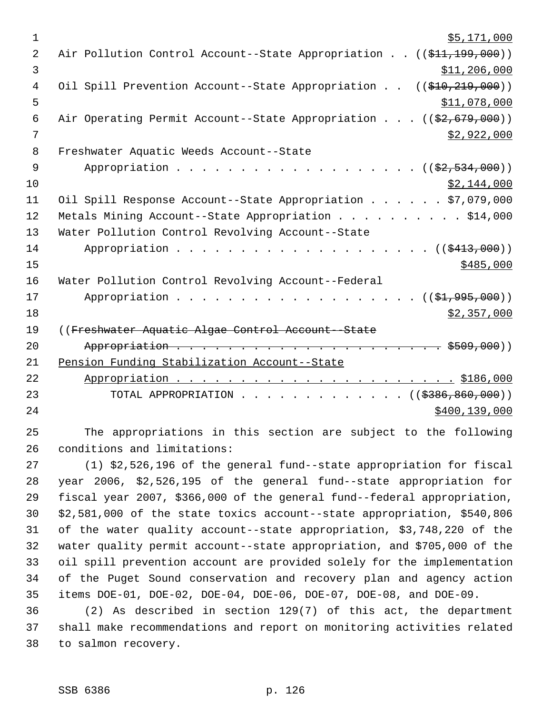| $\mathbf 1$    | \$5,171,000                                                             |
|----------------|-------------------------------------------------------------------------|
| $\overline{2}$ | Air Pollution Control Account--State Appropriation ((\$11,199,000))     |
| 3              | \$11,206,000                                                            |
| $\overline{4}$ | Oil Spill Prevention Account--State Appropriation<br>((\$10, 219, 000)) |
| 5              | \$11,078,000                                                            |
| $\epsilon$     | Air Operating Permit Account--State Appropriation ((\$2,679,000))       |
| 7              | \$2,922,000                                                             |
| 8              | Freshwater Aquatic Weeds Account--State                                 |
| $\overline{9}$ | Appropriation $($ $(\frac{2}{7}, 534, 000))$                            |
| 10             | \$2,144,000                                                             |
| 11             | Oil Spill Response Account--State Appropriation \$7,079,000             |
| 12             | Metals Mining Account--State Appropriation \$14,000                     |
| 13             | Water Pollution Control Revolving Account--State                        |
| 14             |                                                                         |
| 15             | \$485,000                                                               |
| 16             | Water Pollution Control Revolving Account--Federal                      |
| 17             | Appropriation $($ $(\frac{21}{795}, 995, 000))$                         |
| 18             | \$2,357,000                                                             |
| 19             | ((Freshwater Aquatic Algae Control Account--State                       |
| 20             |                                                                         |
| 21             | Pension Funding Stabilization Account--State                            |
| 22             |                                                                         |
| 23             | TOTAL APPROPRIATION ( $(\frac{2386}{600}, 000)$ )                       |
| 24             | \$400, 139, 000                                                         |
| 25             | The appropriations in this section are subject to the following         |
| 26             | conditions and limitations:                                             |
| 27             | (1) \$2,526,196 of the general fund--state appropriation for fiscal     |
| 28             | year 2006, \$2,526,195 of the general fund--state appropriation for     |
| $\sim$ $\sim$  | $\overline{a}$                                                          |

 fiscal year 2007, \$366,000 of the general fund--federal appropriation, \$2,581,000 of the state toxics account--state appropriation, \$540,806 of the water quality account--state appropriation, \$3,748,220 of the water quality permit account--state appropriation, and \$705,000 of the oil spill prevention account are provided solely for the implementation of the Puget Sound conservation and recovery plan and agency action items DOE-01, DOE-02, DOE-04, DOE-06, DOE-07, DOE-08, and DOE-09.

 (2) As described in section 129(7) of this act, the department shall make recommendations and report on monitoring activities related to salmon recovery.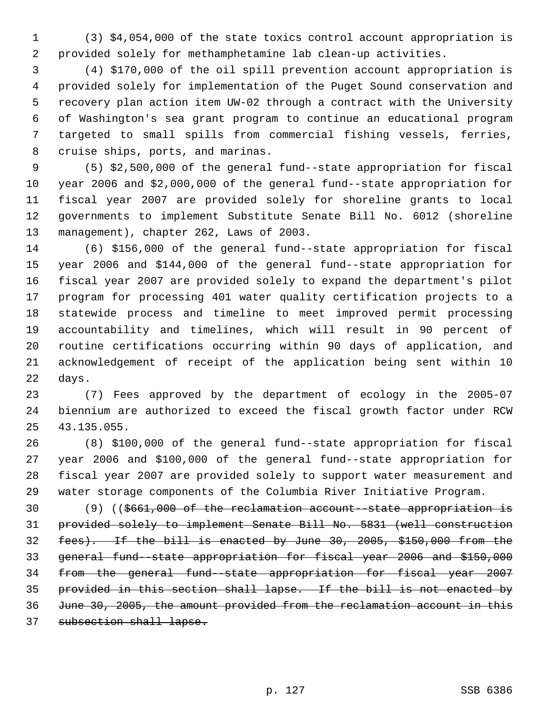(3) \$4,054,000 of the state toxics control account appropriation is provided solely for methamphetamine lab clean-up activities.

 (4) \$170,000 of the oil spill prevention account appropriation is provided solely for implementation of the Puget Sound conservation and recovery plan action item UW-02 through a contract with the University of Washington's sea grant program to continue an educational program targeted to small spills from commercial fishing vessels, ferries, cruise ships, ports, and marinas.

 (5) \$2,500,000 of the general fund--state appropriation for fiscal year 2006 and \$2,000,000 of the general fund--state appropriation for fiscal year 2007 are provided solely for shoreline grants to local governments to implement Substitute Senate Bill No. 6012 (shoreline management), chapter 262, Laws of 2003.

 (6) \$156,000 of the general fund--state appropriation for fiscal year 2006 and \$144,000 of the general fund--state appropriation for fiscal year 2007 are provided solely to expand the department's pilot program for processing 401 water quality certification projects to a statewide process and timeline to meet improved permit processing accountability and timelines, which will result in 90 percent of routine certifications occurring within 90 days of application, and acknowledgement of receipt of the application being sent within 10 days.

 (7) Fees approved by the department of ecology in the 2005-07 biennium are authorized to exceed the fiscal growth factor under RCW 43.135.055.

 (8) \$100,000 of the general fund--state appropriation for fiscal year 2006 and \$100,000 of the general fund--state appropriation for fiscal year 2007 are provided solely to support water measurement and water storage components of the Columbia River Initiative Program.

30 (9) ((\$661,000 of the reclamation account-state appropriation is provided solely to implement Senate Bill No. 5831 (well construction fees). If the bill is enacted by June 30, 2005, \$150,000 from the general fund--state appropriation for fiscal year 2006 and \$150,000 from the general fund--state appropriation for fiscal year 2007 provided in this section shall lapse. If the bill is not enacted by June 30, 2005, the amount provided from the reclamation account in this subsection shall lapse.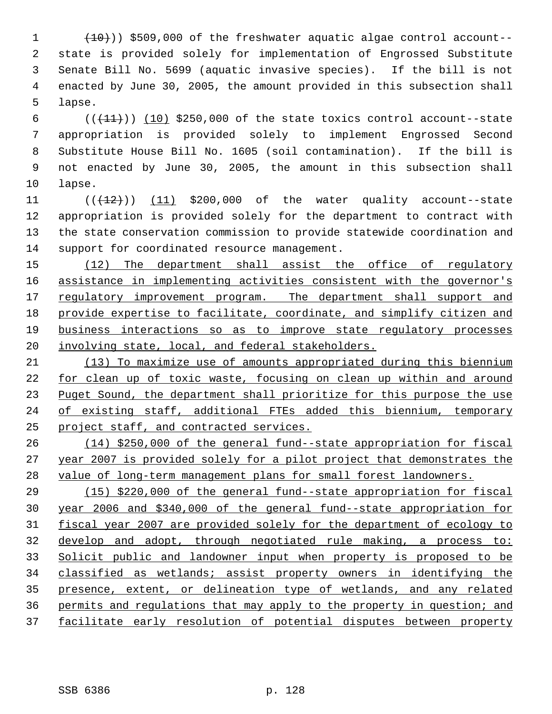$(10)$ ) \$509,000 of the freshwater aquatic algae control account-- state is provided solely for implementation of Engrossed Substitute Senate Bill No. 5699 (aquatic invasive species). If the bill is not enacted by June 30, 2005, the amount provided in this subsection shall lapse.

 $((+11))$   $(10)$  \$250,000 of the state toxics control account--state appropriation is provided solely to implement Engrossed Second Substitute House Bill No. 1605 (soil contamination). If the bill is not enacted by June 30, 2005, the amount in this subsection shall lapse.

 $((+12))$   $(11)$  \$200,000 of the water quality account--state appropriation is provided solely for the department to contract with the state conservation commission to provide statewide coordination and support for coordinated resource management.

15 (12) The department shall assist the office of regulatory 16 assistance in implementing activities consistent with the governor's 17 regulatory improvement program. The department shall support and provide expertise to facilitate, coordinate, and simplify citizen and business interactions so as to improve state regulatory processes 20 involving state, local, and federal stakeholders.

 (13) To maximize use of amounts appropriated during this biennium for clean up of toxic waste, focusing on clean up within and around 23 Puget Sound, the department shall prioritize for this purpose the use of existing staff, additional FTEs added this biennium, temporary project staff, and contracted services.

 (14) \$250,000 of the general fund--state appropriation for fiscal year 2007 is provided solely for a pilot project that demonstrates the value of long-term management plans for small forest landowners.

 (15) \$220,000 of the general fund--state appropriation for fiscal year 2006 and \$340,000 of the general fund--state appropriation for fiscal year 2007 are provided solely for the department of ecology to develop and adopt, through negotiated rule making, a process to: Solicit public and landowner input when property is proposed to be classified as wetlands; assist property owners in identifying the presence, extent, or delineation type of wetlands, and any related permits and regulations that may apply to the property in question; and facilitate early resolution of potential disputes between property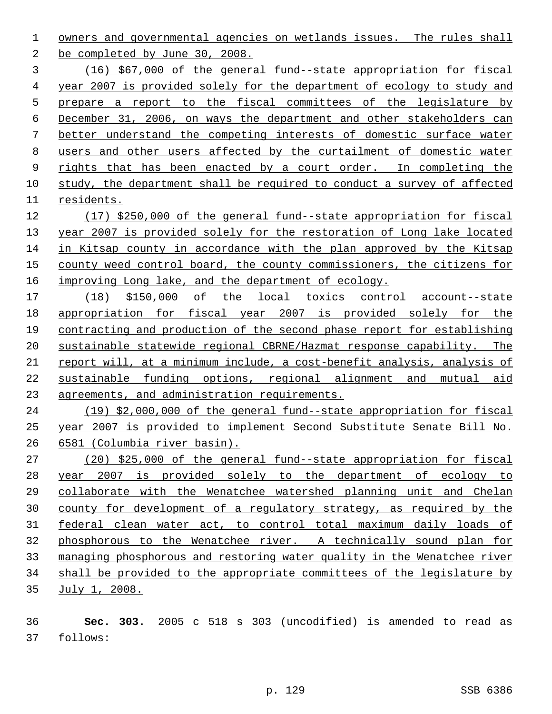owners and governmental agencies on wetlands issues. The rules shall be completed by June 30, 2008.

 (16) \$67,000 of the general fund--state appropriation for fiscal year 2007 is provided solely for the department of ecology to study and prepare a report to the fiscal committees of the legislature by December 31, 2006, on ways the department and other stakeholders can better understand the competing interests of domestic surface water users and other users affected by the curtailment of domestic water 9 rights that has been enacted by a court order. In completing the study, the department shall be required to conduct a survey of affected residents.

 (17) \$250,000 of the general fund--state appropriation for fiscal year 2007 is provided solely for the restoration of Long lake located in Kitsap county in accordance with the plan approved by the Kitsap county weed control board, the county commissioners, the citizens for 16 improving Long lake, and the department of ecology.

 (18) \$150,000 of the local toxics control account--state 18 appropriation for fiscal year 2007 is provided solely for the contracting and production of the second phase report for establishing sustainable statewide regional CBRNE/Hazmat response capability. The report will, at a minimum include, a cost-benefit analysis, analysis of sustainable funding options, regional alignment and mutual aid agreements, and administration requirements.

 (19) \$2,000,000 of the general fund--state appropriation for fiscal year 2007 is provided to implement Second Substitute Senate Bill No. 6581 (Columbia river basin).

 (20) \$25,000 of the general fund--state appropriation for fiscal year 2007 is provided solely to the department of ecology to collaborate with the Wenatchee watershed planning unit and Chelan county for development of a regulatory strategy, as required by the federal clean water act, to control total maximum daily loads of phosphorous to the Wenatchee river. A technically sound plan for managing phosphorous and restoring water quality in the Wenatchee river shall be provided to the appropriate committees of the legislature by July 1, 2008.

 **Sec. 303.** 2005 c 518 s 303 (uncodified) is amended to read as follows: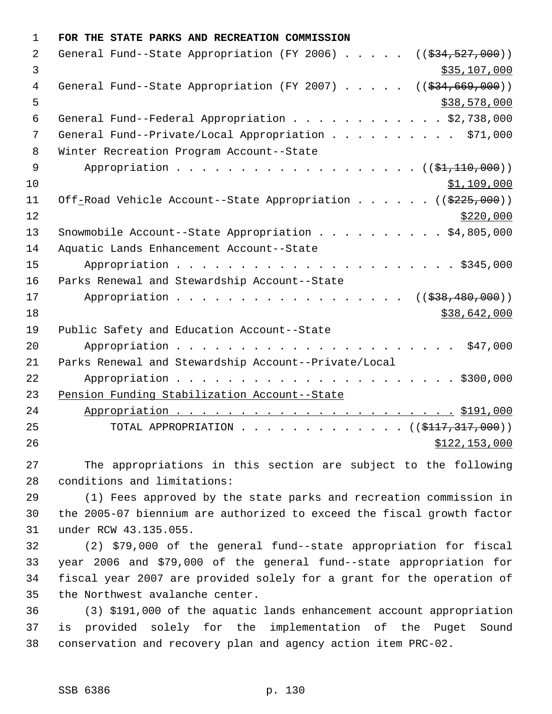| $\mathbf{1}$ | FOR THE STATE PARKS AND RECREATION COMMISSION                                     |
|--------------|-----------------------------------------------------------------------------------|
| 2            | General Fund--State Appropriation (FY 2006) $($ $($ $\frac{234}{527},000)$ )      |
| 3            | \$35,107,000                                                                      |
| 4            | General Fund--State Appropriation (FY 2007) $($ $($ $\frac{24}{694}, 669, 000)$ ) |
| 5            | \$38,578,000                                                                      |
| 6            | General Fund--Federal Appropriation \$2,738,000                                   |
| 7            | General Fund--Private/Local Appropriation \$71,000                                |
| 8            | Winter Recreation Program Account--State                                          |
| 9            | Appropriation ((\$1,110,000))                                                     |
| 10           | \$1,109,000                                                                       |
| 11           | Off-Road Vehicle Account--State Appropriation ((\$225,000))                       |
| 12           | \$220,000                                                                         |
| 13           | Snowmobile Account--State Appropriation \$4,805,000                               |
| 14           | Aquatic Lands Enhancement Account--State                                          |
| 15           |                                                                                   |
| 16           | Parks Renewal and Stewardship Account--State                                      |
| 17           | ((\$38,480,000))<br>Appropriation                                                 |
| 18           | \$38,642,000                                                                      |
| 19           | Public Safety and Education Account--State                                        |
| 20           |                                                                                   |
| 21           | Parks Renewal and Stewardship Account--Private/Local                              |
| 22           |                                                                                   |
| 23           | Pension Funding Stabilization Account--State                                      |
| 24           |                                                                                   |
| 25           | TOTAL APPROPRIATION $\ldots$ , ( $(\frac{1117}{2117}, \frac{317}{2100})$ )        |
| 26           | \$122,153,000                                                                     |
| つワ           | The appropriations in this sestion are subject to the following                   |

 The appropriations in this section are subject to the following conditions and limitations:

 (1) Fees approved by the state parks and recreation commission in the 2005-07 biennium are authorized to exceed the fiscal growth factor under RCW 43.135.055.

 (2) \$79,000 of the general fund--state appropriation for fiscal year 2006 and \$79,000 of the general fund--state appropriation for fiscal year 2007 are provided solely for a grant for the operation of the Northwest avalanche center.

 (3) \$191,000 of the aquatic lands enhancement account appropriation is provided solely for the implementation of the Puget Sound conservation and recovery plan and agency action item PRC-02.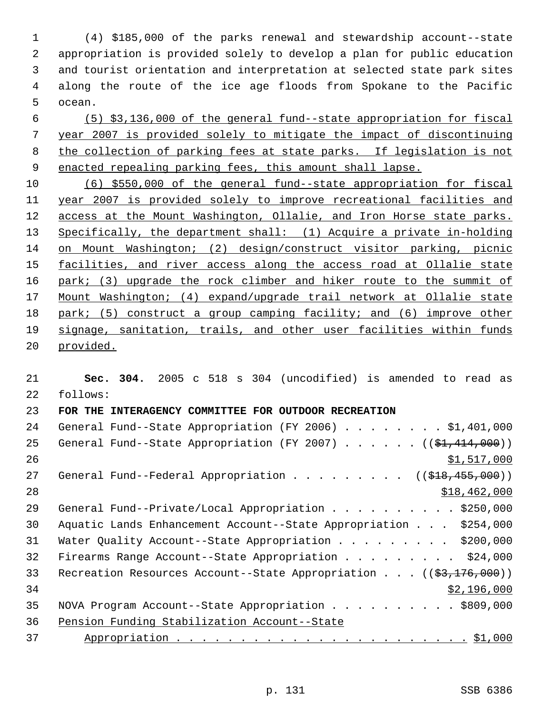(4) \$185,000 of the parks renewal and stewardship account--state appropriation is provided solely to develop a plan for public education and tourist orientation and interpretation at selected state park sites along the route of the ice age floods from Spokane to the Pacific ocean.

 (5) \$3,136,000 of the general fund--state appropriation for fiscal year 2007 is provided solely to mitigate the impact of discontinuing the collection of parking fees at state parks. If legislation is not enacted repealing parking fees, this amount shall lapse.

 (6) \$550,000 of the general fund--state appropriation for fiscal year 2007 is provided solely to improve recreational facilities and access at the Mount Washington, Ollalie, and Iron Horse state parks. Specifically, the department shall: (1) Acquire a private in-holding on Mount Washington; (2) design/construct visitor parking, picnic 15 facilities, and river access along the access road at Ollalie state 16 park; (3) upgrade the rock climber and hiker route to the summit of Mount Washington; (4) expand/upgrade trail network at Ollalie state park; (5) construct a group camping facility; and (6) improve other signage, sanitation, trails, and other user facilities within funds provided.

 **Sec. 304.** 2005 c 518 s 304 (uncodified) is amended to read as follows: **FOR THE INTERAGENCY COMMITTEE FOR OUTDOOR RECREATION**  24 General Fund--State Appropriation (FY 2006) . . . . . . . \$1,401,000 25 General Fund--State Appropriation (FY 2007) . . . . . . ((\$1,414,000))  $\frac{$1,517,000}{2}$ 27 General Fund--Federal Appropriation . . . . . . . . ((\$18,455,000)) \$18,462,000 29 General Fund--Private/Local Appropriation . . . . . . . . . \$250,000 Aquatic Lands Enhancement Account--State Appropriation . . . \$254,000 31 Water Quality Account--State Appropriation . . . . . . . . . \$200,000 Firearms Range Account--State Appropriation . . . . . . . . . \$24,000 33 Recreation Resources Account--State Appropriation . . . ((\$3,176,000)) \$2,196,000 35 NOVA Program Account--State Appropriation . . . . . . . . . . \$809,000 Pension Funding Stabilization Account--State Appropriation . . . . . . . . . . . . . . . . . . . . . . . \$1,000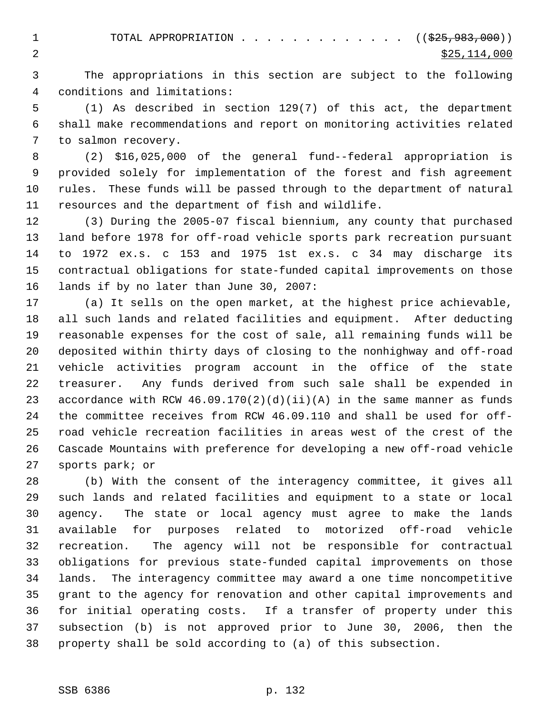1 TOTAL APPROPRIATION . . . . . . . . . . . . ((<del>\$25,983,000</del>)) 2  $\frac{$25,114,000}{2}$ 

 The appropriations in this section are subject to the following conditions and limitations:

 (1) As described in section 129(7) of this act, the department shall make recommendations and report on monitoring activities related to salmon recovery.

 (2) \$16,025,000 of the general fund--federal appropriation is provided solely for implementation of the forest and fish agreement rules. These funds will be passed through to the department of natural resources and the department of fish and wildlife.

 (3) During the 2005-07 fiscal biennium, any county that purchased land before 1978 for off-road vehicle sports park recreation pursuant to 1972 ex.s. c 153 and 1975 1st ex.s. c 34 may discharge its contractual obligations for state-funded capital improvements on those lands if by no later than June 30, 2007:

 (a) It sells on the open market, at the highest price achievable, all such lands and related facilities and equipment. After deducting reasonable expenses for the cost of sale, all remaining funds will be deposited within thirty days of closing to the nonhighway and off-road vehicle activities program account in the office of the state treasurer. Any funds derived from such sale shall be expended in 23 accordance with RCW  $46.09.170(2)(d)(ii)(A)$  in the same manner as funds the committee receives from RCW 46.09.110 and shall be used for off- road vehicle recreation facilities in areas west of the crest of the Cascade Mountains with preference for developing a new off-road vehicle sports park; or

 (b) With the consent of the interagency committee, it gives all such lands and related facilities and equipment to a state or local agency. The state or local agency must agree to make the lands available for purposes related to motorized off-road vehicle recreation. The agency will not be responsible for contractual obligations for previous state-funded capital improvements on those lands. The interagency committee may award a one time noncompetitive grant to the agency for renovation and other capital improvements and for initial operating costs. If a transfer of property under this subsection (b) is not approved prior to June 30, 2006, then the property shall be sold according to (a) of this subsection.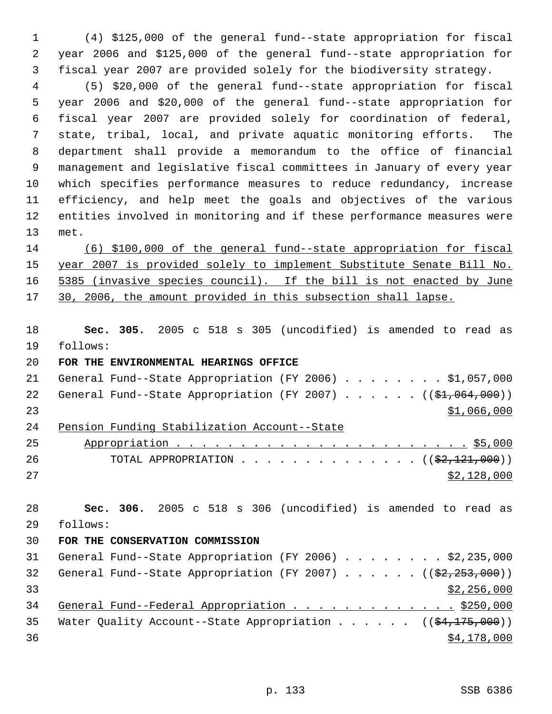(4) \$125,000 of the general fund--state appropriation for fiscal year 2006 and \$125,000 of the general fund--state appropriation for fiscal year 2007 are provided solely for the biodiversity strategy.

 (5) \$20,000 of the general fund--state appropriation for fiscal year 2006 and \$20,000 of the general fund--state appropriation for fiscal year 2007 are provided solely for coordination of federal, state, tribal, local, and private aquatic monitoring efforts. The department shall provide a memorandum to the office of financial management and legislative fiscal committees in January of every year which specifies performance measures to reduce redundancy, increase efficiency, and help meet the goals and objectives of the various entities involved in monitoring and if these performance measures were met.

 (6) \$100,000 of the general fund--state appropriation for fiscal year 2007 is provided solely to implement Substitute Senate Bill No. 5385 (invasive species council). If the bill is not enacted by June 17 30, 2006, the amount provided in this subsection shall lapse.

 **Sec. 305.** 2005 c 518 s 305 (uncodified) is amended to read as follows:

**FOR THE ENVIRONMENTAL HEARINGS OFFICE** 

| 24 |  | Pension Funding Stabilization Account--State                         |  |  |  |  |             |  |
|----|--|----------------------------------------------------------------------|--|--|--|--|-------------|--|
| 23 |  |                                                                      |  |  |  |  | \$1,066,000 |  |
|    |  | 22 General Fund--State Appropriation (FY 2007) $($ $($ \$1,064,000)) |  |  |  |  |             |  |
| 21 |  | General Fund--State Appropriation (FY 2006) \$1,057,000              |  |  |  |  |             |  |

| 25 |                                                          |
|----|----------------------------------------------------------|
| 26 | TOTAL APPROPRIATION ( $(\frac{2}{2}, \frac{121}{120})$ ) |
| 27 | \$2,128,000                                              |

 **Sec. 306.** 2005 c 518 s 306 (uncodified) is amended to read as follows: **FOR THE CONSERVATION COMMISSION**  General Fund--State Appropriation (FY 2006) . . . . . . . . \$2,235,000 32 General Fund--State Appropriation (FY 2007) . . . . . .  $($   $($ \$2,253,000))  $\frac{1}{2}$  33 34 General Fund--Federal Appropriation . . . . . . . . . . . . . \$250,000 35 Water Quality Account--State Appropriation . . . . .  $($   $($ \$4,175,000))  $\frac{$4,178,000}{9}$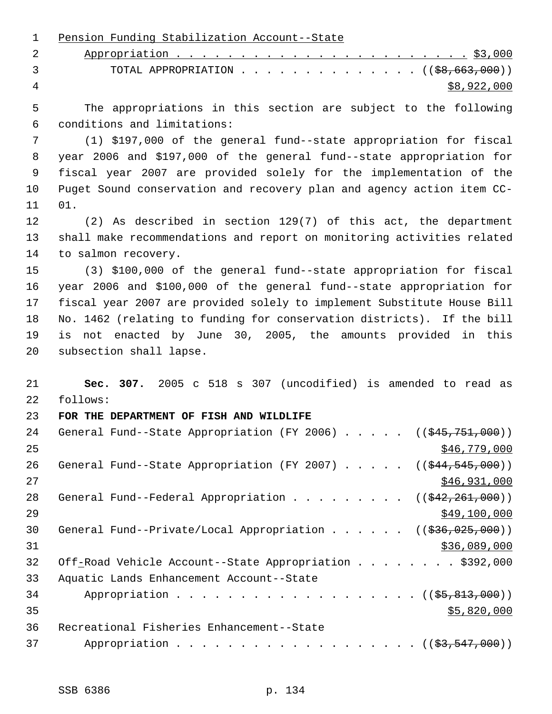Pension Funding Stabilization Account--State Appropriation . . . . . . . . . . . . . . . . . . . . . . . \$3,000 3 TOTAL APPROPRIATION . . . . . . . . . . . . . ((<del>\$8,663,000</del>))  $\frac{1}{28}$ ,922,000 The appropriations in this section are subject to the following conditions and limitations: (1) \$197,000 of the general fund--state appropriation for fiscal year 2006 and \$197,000 of the general fund--state appropriation for fiscal year 2007 are provided solely for the implementation of the Puget Sound conservation and recovery plan and agency action item CC- 01. (2) As described in section 129(7) of this act, the department shall make recommendations and report on monitoring activities related to salmon recovery. (3) \$100,000 of the general fund--state appropriation for fiscal year 2006 and \$100,000 of the general fund--state appropriation for fiscal year 2007 are provided solely to implement Substitute House Bill No. 1462 (relating to funding for conservation districts). If the bill is not enacted by June 30, 2005, the amounts provided in this subsection shall lapse. **Sec. 307.** 2005 c 518 s 307 (uncodified) is amended to read as follows: **FOR THE DEPARTMENT OF FISH AND WILDLIFE**  24 General Fund--State Appropriation (FY 2006) . . . . . ((\$45,751,000)) \$46,779,000 26 General Fund--State Appropriation (FY 2007) . . . . . ((\$44,545,000)) \$46,931,000 28 General Fund--Federal Appropriation . . . . . . . .  $($   $($   $\frac{242,261,000}{2})$  $\frac{$49,100,000}{2}$ 30 General Fund--Private/Local Appropriation . . . . . ((\$36,025,000)) \$36,089,000 32 Off-Road Vehicle Account--State Appropriation . . . . . . . \$392,000 Aquatic Lands Enhancement Account--State 34 Appropriation . . . . . . . . . . . . . . . . . (  $(\frac{25}{65}, \frac{813}{600})$  )  $35 - 820,000$  Recreational Fisheries Enhancement--State 37 Appropriation . . . . . . . . . . . . . . . . . (  $(\frac{23,547,000}{2})$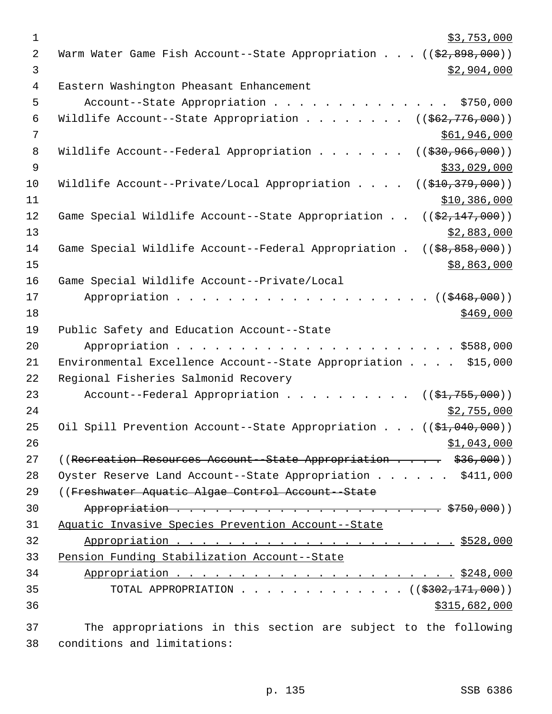| $\mathbf 1$ | \$3,753,000                                                                       |
|-------------|-----------------------------------------------------------------------------------|
| 2           | Warm Water Game Fish Account--State Appropriation ((\$2,898,000))                 |
| 3           | \$2,904,000                                                                       |
| 4           | Eastern Washington Pheasant Enhancement                                           |
| 5           | Account--State Appropriation<br>\$750,000                                         |
| 6           | Wildlife Account--State Appropriation<br>$((\frac{1662}{776},000))$               |
| 7           | \$61,946,000                                                                      |
| 8           | Wildlife Account--Federal Appropriation<br>$((\frac{230}{7}36, \frac{966}{900}))$ |
| 9           | \$33,029,000                                                                      |
| 10          | Wildlife Account--Private/Local Appropriation<br>((\$410,379,000))                |
| 11          | \$10,386,000                                                                      |
| 12          | Game Special Wildlife Account--State Appropriation<br>$((\$2,147,000))$           |
| 13          | \$2,883,000                                                                       |
| 14          | Game Special Wildlife Account--Federal Appropriation.<br>$(($ \$8,858,000))       |
| 15          | \$8,863,000                                                                       |
| 16          | Game Special Wildlife Account--Private/Local                                      |
| 17          | Appropriation<br>((\$468,000))                                                    |
| 18          | \$469,000                                                                         |
| 19          | Public Safety and Education Account--State                                        |
| 20          |                                                                                   |
| 21          | Environmental Excellence Account--State Appropriation \$15,000                    |
| 22          | Regional Fisheries Salmonid Recovery                                              |
| 23          | Account--Federal Appropriation $($ $($ \$1,755,000) $)$                           |
| 24          | \$2,755,000                                                                       |
| 25          | Oil Spill Prevention Account--State Appropriation ((\$1,040,000))                 |
| 26          | \$1,043,000                                                                       |
| 27          | ((Recreation Resources Account--State Appropriation \$36,000))                    |
| 28          | Oyster Reserve Land Account--State Appropriation \$411,000                        |
| 29          | ((Freshwater Aquatic Algae Control Account--State                                 |
| 30          |                                                                                   |
| 31          | Aquatic Invasive Species Prevention Account--State                                |
| 32          |                                                                                   |
| 33          | Pension Funding Stabilization Account--State                                      |
| 34          |                                                                                   |
| 35          | TOTAL APPROPRIATION ( $(\frac{2302}{171},000)$ )                                  |
| 36          | \$315,682,000                                                                     |
|             |                                                                                   |
| 37          | The appropriations in this section are subject to the following                   |

conditions and limitations: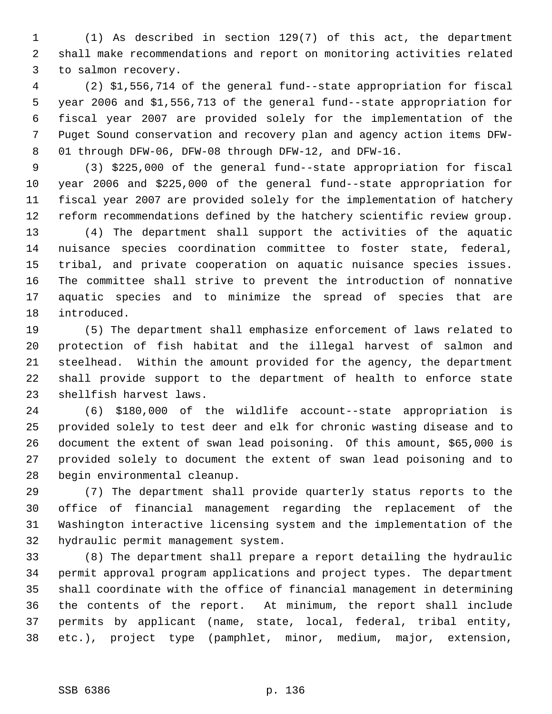(1) As described in section 129(7) of this act, the department shall make recommendations and report on monitoring activities related to salmon recovery.

 (2) \$1,556,714 of the general fund--state appropriation for fiscal year 2006 and \$1,556,713 of the general fund--state appropriation for fiscal year 2007 are provided solely for the implementation of the Puget Sound conservation and recovery plan and agency action items DFW- 01 through DFW-06, DFW-08 through DFW-12, and DFW-16.

 (3) \$225,000 of the general fund--state appropriation for fiscal year 2006 and \$225,000 of the general fund--state appropriation for fiscal year 2007 are provided solely for the implementation of hatchery reform recommendations defined by the hatchery scientific review group.

 (4) The department shall support the activities of the aquatic nuisance species coordination committee to foster state, federal, tribal, and private cooperation on aquatic nuisance species issues. The committee shall strive to prevent the introduction of nonnative aquatic species and to minimize the spread of species that are introduced.

 (5) The department shall emphasize enforcement of laws related to protection of fish habitat and the illegal harvest of salmon and steelhead. Within the amount provided for the agency, the department shall provide support to the department of health to enforce state shellfish harvest laws.

 (6) \$180,000 of the wildlife account--state appropriation is provided solely to test deer and elk for chronic wasting disease and to document the extent of swan lead poisoning. Of this amount, \$65,000 is provided solely to document the extent of swan lead poisoning and to begin environmental cleanup.

 (7) The department shall provide quarterly status reports to the office of financial management regarding the replacement of the Washington interactive licensing system and the implementation of the hydraulic permit management system.

 (8) The department shall prepare a report detailing the hydraulic permit approval program applications and project types. The department shall coordinate with the office of financial management in determining the contents of the report. At minimum, the report shall include permits by applicant (name, state, local, federal, tribal entity, etc.), project type (pamphlet, minor, medium, major, extension,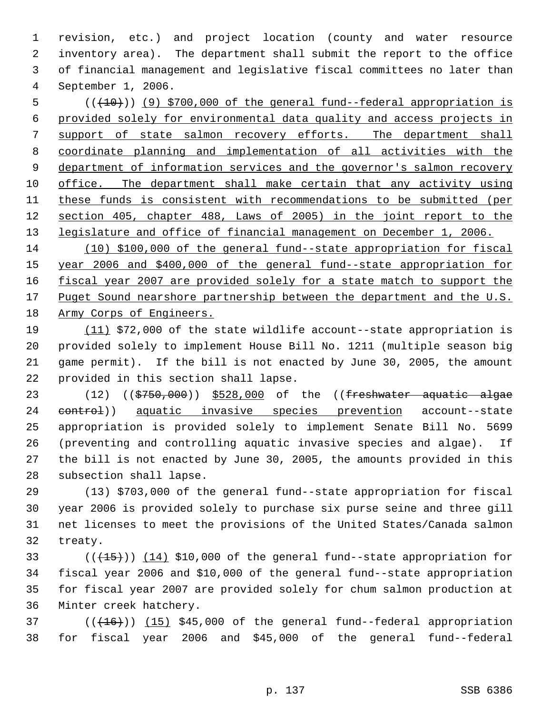revision, etc.) and project location (county and water resource inventory area). The department shall submit the report to the office of financial management and legislative fiscal committees no later than September 1, 2006.

5 (( $(10)$ ) (9) \$700,000 of the general fund--federal appropriation is provided solely for environmental data quality and access projects in 7 support of state salmon recovery efforts. The department shall coordinate planning and implementation of all activities with the 9 department of information services and the governor's salmon recovery office. The department shall make certain that any activity using these funds is consistent with recommendations to be submitted (per section 405, chapter 488, Laws of 2005) in the joint report to the legislature and office of financial management on December 1, 2006.

 (10) \$100,000 of the general fund--state appropriation for fiscal year 2006 and \$400,000 of the general fund--state appropriation for 16 fiscal year 2007 are provided solely for a state match to support the 17 Puget Sound nearshore partnership between the department and the U.S. Army Corps of Engineers.

 (11) \$72,000 of the state wildlife account--state appropriation is provided solely to implement House Bill No. 1211 (multiple season big game permit). If the bill is not enacted by June 30, 2005, the amount provided in this section shall lapse.

23 (12) ((\$750,000)) \$528,000 of the ((freshwater aquatic algae 24 control) aquatic invasive species prevention account--state appropriation is provided solely to implement Senate Bill No. 5699 (preventing and controlling aquatic invasive species and algae). If the bill is not enacted by June 30, 2005, the amounts provided in this subsection shall lapse.

 (13) \$703,000 of the general fund--state appropriation for fiscal year 2006 is provided solely to purchase six purse seine and three gill net licenses to meet the provisions of the United States/Canada salmon treaty.

 $((+15))$   $(14)$  \$10,000 of the general fund--state appropriation for fiscal year 2006 and \$10,000 of the general fund--state appropriation for fiscal year 2007 are provided solely for chum salmon production at Minter creek hatchery.

 ( $(\overline{+16})$ )  $(15)$  \$45,000 of the general fund--federal appropriation for fiscal year 2006 and \$45,000 of the general fund--federal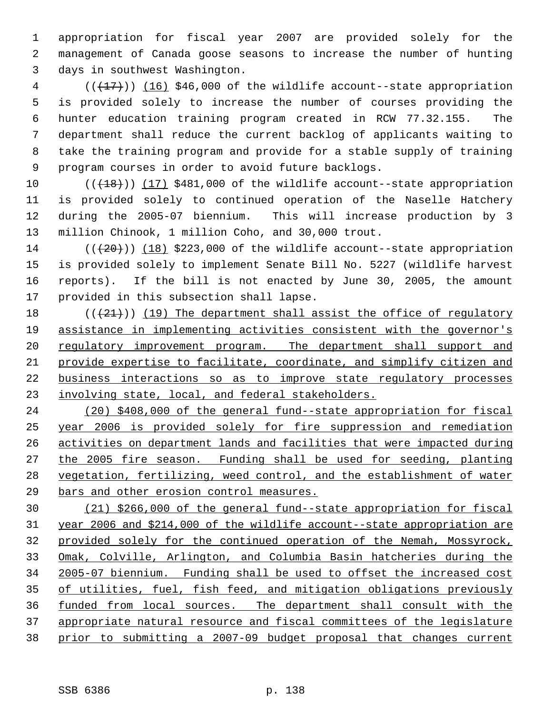appropriation for fiscal year 2007 are provided solely for the management of Canada goose seasons to increase the number of hunting days in southwest Washington.

 ( $(\frac{17}{17})$ )  $(16)$  \$46,000 of the wildlife account--state appropriation is provided solely to increase the number of courses providing the hunter education training program created in RCW 77.32.155. The department shall reduce the current backlog of applicants waiting to take the training program and provide for a stable supply of training program courses in order to avoid future backlogs.

 $((+18))$  (17) \$481,000 of the wildlife account--state appropriation is provided solely to continued operation of the Naselle Hatchery during the 2005-07 biennium. This will increase production by 3 million Chinook, 1 million Coho, and 30,000 trout.

 $((+20))$  (18) \$223,000 of the wildlife account--state appropriation is provided solely to implement Senate Bill No. 5227 (wildlife harvest reports). If the bill is not enacted by June 30, 2005, the amount provided in this subsection shall lapse.

 $((+21))$  (19) The department shall assist the office of regulatory assistance in implementing activities consistent with the governor's 20 regulatory improvement program. The department shall support and provide expertise to facilitate, coordinate, and simplify citizen and business interactions so as to improve state regulatory processes 23 involving state, local, and federal stakeholders.

 (20) \$408,000 of the general fund--state appropriation for fiscal year 2006 is provided solely for fire suppression and remediation activities on department lands and facilities that were impacted during the 2005 fire season. Funding shall be used for seeding, planting vegetation, fertilizing, weed control, and the establishment of water bars and other erosion control measures.

 (21) \$266,000 of the general fund--state appropriation for fiscal year 2006 and \$214,000 of the wildlife account--state appropriation are provided solely for the continued operation of the Nemah, Mossyrock, Omak, Colville, Arlington, and Columbia Basin hatcheries during the 2005-07 biennium. Funding shall be used to offset the increased cost of utilities, fuel, fish feed, and mitigation obligations previously funded from local sources. The department shall consult with the appropriate natural resource and fiscal committees of the legislature prior to submitting a 2007-09 budget proposal that changes current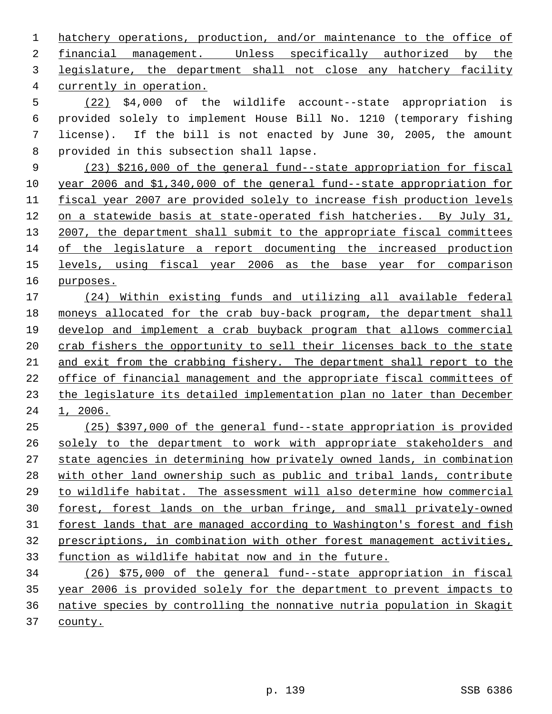hatchery operations, production, and/or maintenance to the office of financial management. Unless specifically authorized by the legislature, the department shall not close any hatchery facility currently in operation.

 (22) \$4,000 of the wildlife account--state appropriation is provided solely to implement House Bill No. 1210 (temporary fishing license). If the bill is not enacted by June 30, 2005, the amount provided in this subsection shall lapse.

 (23) \$216,000 of the general fund--state appropriation for fiscal year 2006 and \$1,340,000 of the general fund--state appropriation for fiscal year 2007 are provided solely to increase fish production levels on a statewide basis at state-operated fish hatcheries. By July 31, 13 2007, the department shall submit to the appropriate fiscal committees of the legislature a report documenting the increased production 15 levels, using fiscal year 2006 as the base year for comparison purposes.

 (24) Within existing funds and utilizing all available federal moneys allocated for the crab buy-back program, the department shall develop and implement a crab buyback program that allows commercial 20 crab fishers the opportunity to sell their licenses back to the state and exit from the crabbing fishery. The department shall report to the office of financial management and the appropriate fiscal committees of the legislature its detailed implementation plan no later than December 1, 2006.

 (25) \$397,000 of the general fund--state appropriation is provided 26 solely to the department to work with appropriate stakeholders and state agencies in determining how privately owned lands, in combination with other land ownership such as public and tribal lands, contribute to wildlife habitat. The assessment will also determine how commercial forest, forest lands on the urban fringe, and small privately-owned 31 forest lands that are managed according to Washington's forest and fish prescriptions, in combination with other forest management activities, function as wildlife habitat now and in the future.

 (26) \$75,000 of the general fund--state appropriation in fiscal year 2006 is provided solely for the department to prevent impacts to native species by controlling the nonnative nutria population in Skagit county.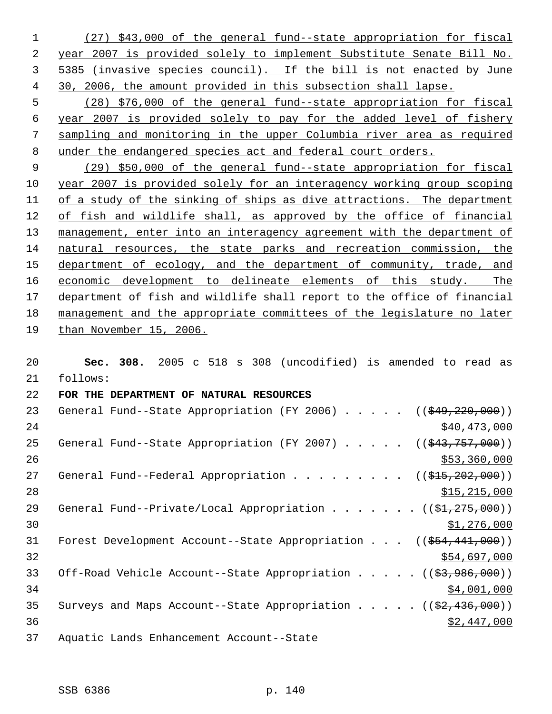(27) \$43,000 of the general fund--state appropriation for fiscal year 2007 is provided solely to implement Substitute Senate Bill No. 5385 (invasive species council). If the bill is not enacted by June 30, 2006, the amount provided in this subsection shall lapse.

 (28) \$76,000 of the general fund--state appropriation for fiscal year 2007 is provided solely to pay for the added level of fishery sampling and monitoring in the upper Columbia river area as required under the endangered species act and federal court orders.

 (29) \$50,000 of the general fund--state appropriation for fiscal year 2007 is provided solely for an interagency working group scoping of a study of the sinking of ships as dive attractions. The department of fish and wildlife shall, as approved by the office of financial 13 management, enter into an interagency agreement with the department of natural resources, the state parks and recreation commission, the 15 department of ecology, and the department of community, trade, and economic development to delineate elements of this study. The 17 department of fish and wildlife shall report to the office of financial management and the appropriate committees of the legislature no later than November 15, 2006.

 **Sec. 308.** 2005 c 518 s 308 (uncodified) is amended to read as follows: **FOR THE DEPARTMENT OF NATURAL RESOURCES**  23 General Fund--State Appropriation (FY 2006) . . . . . ((\$49,220,000)) 24 \$40,473,000 \$40,473,000 25 General Fund--State Appropriation (FY 2007) . . . . . ((\$43,757,000))  $\frac{$53,360,000}{9}$ 27 General Fund--Federal Appropriation . . . . . . . . ((\$15,202,000)) \$15,215,000 29 General Fund--Private/Local Appropriation . . . . . . ((\$1,275,000))  $\frac{$1,276,000}{ }$ 31 Forest Development Account--State Appropriation . . . ((\$54,441,000)) \$54,697,000 33 Off-Road Vehicle Account--State Appropriation . . . . ((\$3,986,000)) 34,001,000 35 Surveys and Maps Account--State Appropriation . . . .  $($   $($ \$2,436,000)) \$2,447,000 Aquatic Lands Enhancement Account--State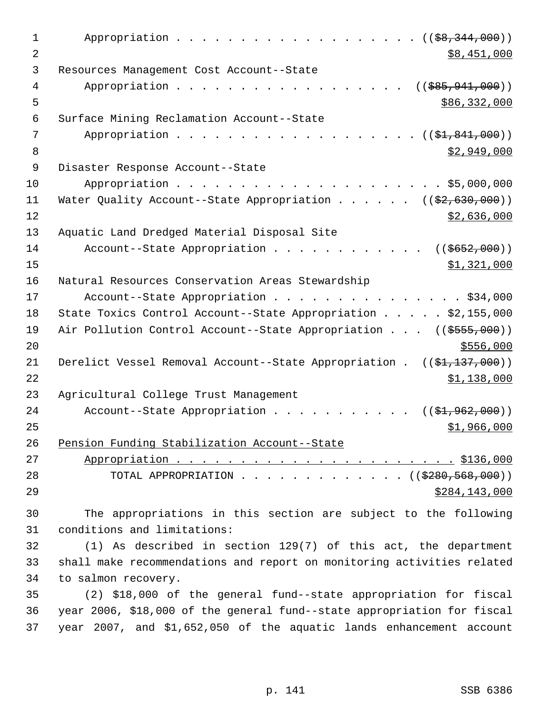| 1  | Appropriation $($ $(\frac{69}{67}, \frac{344}{600}))$                                        |
|----|----------------------------------------------------------------------------------------------|
| 2  | \$8,451,000                                                                                  |
| 3  | Resources Management Cost Account--State                                                     |
| 4  | Appropriation<br>$(($ \$85,941,000))                                                         |
| 5  | \$86,332,000                                                                                 |
| 6  | Surface Mining Reclamation Account--State                                                    |
| 7  | Appropriation<br>(( <del>\$1,841,000</del> ))                                                |
| 8  | \$2,949,000                                                                                  |
| 9  | Disaster Response Account--State                                                             |
| 10 |                                                                                              |
| 11 | Water Quality Account--State Appropriation ( $(\frac{2}{2}, 630, 000)$ )                     |
| 12 | \$2,636,000                                                                                  |
| 13 | Aquatic Land Dredged Material Disposal Site                                                  |
| 14 | Account--State Appropriation<br>$((\frac{2652}{1000})$                                       |
| 15 | \$1,321,000                                                                                  |
| 16 | Natural Resources Conservation Areas Stewardship                                             |
| 17 | Account--State Appropriation \$34,000                                                        |
| 18 | State Toxics Control Account--State Appropriation \$2,155,000                                |
| 19 | Air Pollution Control Account--State Appropriation ((\$555,000))                             |
| 20 | \$556,000                                                                                    |
| 21 | Derelict Vessel Removal Account--State Appropriation . $((\frac{21}{137}, \frac{137}{100}))$ |
| 22 | \$1,138,000                                                                                  |
| 23 | Agricultural College Trust Management                                                        |
| 24 | Account--State Appropriation<br>$((\$1,962,000))$                                            |
| 25 | \$1,966,000                                                                                  |
| 26 | Pension Funding Stabilization Account--State                                                 |
| 27 |                                                                                              |
| 28 | TOTAL APPROPRIATION ( $(\frac{2280,568,000}{$ )                                              |
| 29 | \$284,143,000                                                                                |
| 30 | The appropriations in this section are subject to the following                              |
| 31 | conditions and limitations:                                                                  |
| 32 | $(1)$ As described in section 129(7) of this act, the department                             |
| 33 | shall make recommendations and report on monitoring activities related                       |
| 34 | to salmon recovery.                                                                          |
| 35 | (2) \$18,000 of the general fund--state appropriation for fiscal                             |
| 36 | year 2006, \$18,000 of the general fund--state appropriation for fiscal                      |
| 37 | year 2007, and \$1,652,050 of the aquatic lands enhancement account                          |
|    |                                                                                              |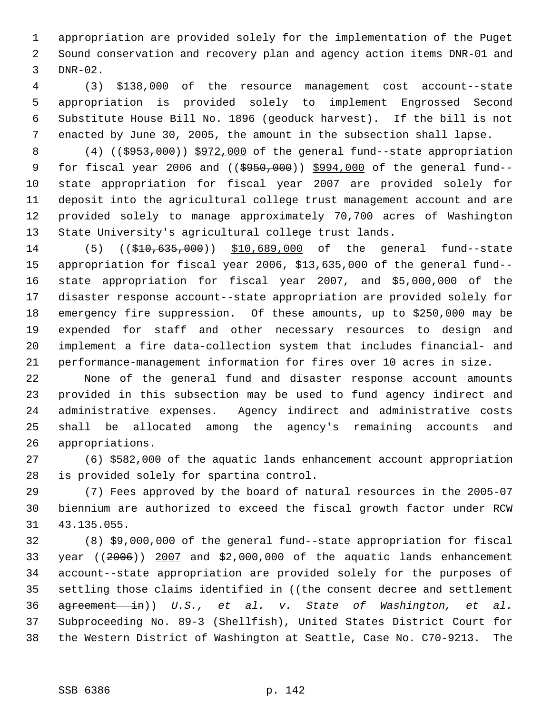appropriation are provided solely for the implementation of the Puget Sound conservation and recovery plan and agency action items DNR-01 and DNR-02.

 (3) \$138,000 of the resource management cost account--state appropriation is provided solely to implement Engrossed Second Substitute House Bill No. 1896 (geoduck harvest). If the bill is not enacted by June 30, 2005, the amount in the subsection shall lapse.

8 (4) ((\$953,000)) \$972,000 of the general fund--state appropriation 9 for fiscal year 2006 and ((\$950,000)) \$994,000 of the general fund-- state appropriation for fiscal year 2007 are provided solely for deposit into the agricultural college trust management account and are provided solely to manage approximately 70,700 acres of Washington State University's agricultural college trust lands.

14 (5) ((\$10,635,000)) \$10,689,000 of the general fund--state appropriation for fiscal year 2006, \$13,635,000 of the general fund-- state appropriation for fiscal year 2007, and \$5,000,000 of the disaster response account--state appropriation are provided solely for emergency fire suppression. Of these amounts, up to \$250,000 may be expended for staff and other necessary resources to design and implement a fire data-collection system that includes financial- and performance-management information for fires over 10 acres in size.

 None of the general fund and disaster response account amounts provided in this subsection may be used to fund agency indirect and administrative expenses. Agency indirect and administrative costs shall be allocated among the agency's remaining accounts and appropriations.

 (6) \$582,000 of the aquatic lands enhancement account appropriation is provided solely for spartina control.

 (7) Fees approved by the board of natural resources in the 2005-07 biennium are authorized to exceed the fiscal growth factor under RCW 43.135.055.

 (8) \$9,000,000 of the general fund--state appropriation for fiscal year ((2006)) 2007 and \$2,000,000 of the aquatic lands enhancement account--state appropriation are provided solely for the purposes of 35 settling those claims identified in ((the consent decree and settlement agreement in)) *U.S., et al. v. State of Washington, et al.* Subproceeding No. 89-3 (Shellfish), United States District Court for the Western District of Washington at Seattle, Case No. C70-9213. The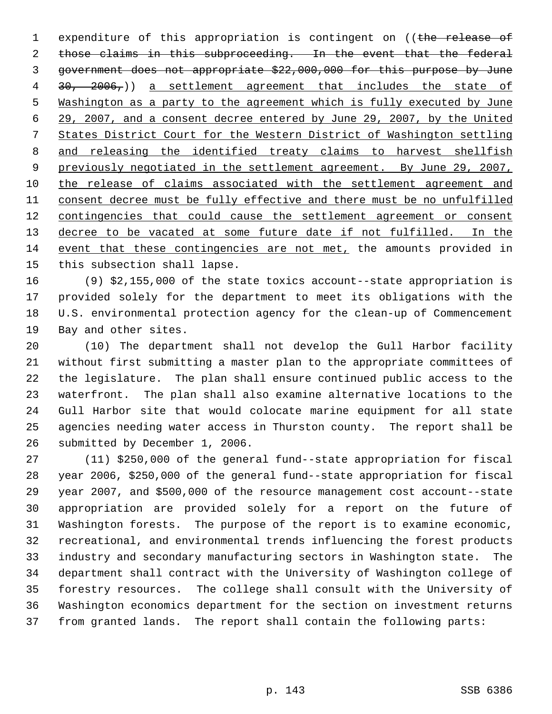1 expenditure of this appropriation is contingent on ((the release of 2 those claims in this subproceeding. In the event that the federal government does not appropriate \$22,000,000 for this purpose by June 4 30, 2006,)) a settlement agreement that includes the state of Washington as a party to the agreement which is fully executed by June 29, 2007, and a consent decree entered by June 29, 2007, by the United States District Court for the Western District of Washington settling and releasing the identified treaty claims to harvest shellfish 9 previously negotiated in the settlement agreement. By June 29, 2007, the release of claims associated with the settlement agreement and consent decree must be fully effective and there must be no unfulfilled 12 contingencies that could cause the settlement agreement or consent 13 decree to be vacated at some future date if not fulfilled. In the event that these contingencies are not met, the amounts provided in this subsection shall lapse.

 (9) \$2,155,000 of the state toxics account--state appropriation is provided solely for the department to meet its obligations with the U.S. environmental protection agency for the clean-up of Commencement Bay and other sites.

 (10) The department shall not develop the Gull Harbor facility without first submitting a master plan to the appropriate committees of the legislature. The plan shall ensure continued public access to the waterfront. The plan shall also examine alternative locations to the Gull Harbor site that would colocate marine equipment for all state agencies needing water access in Thurston county. The report shall be submitted by December 1, 2006.

 (11) \$250,000 of the general fund--state appropriation for fiscal year 2006, \$250,000 of the general fund--state appropriation for fiscal year 2007, and \$500,000 of the resource management cost account--state appropriation are provided solely for a report on the future of Washington forests. The purpose of the report is to examine economic, recreational, and environmental trends influencing the forest products industry and secondary manufacturing sectors in Washington state. The department shall contract with the University of Washington college of forestry resources. The college shall consult with the University of Washington economics department for the section on investment returns from granted lands. The report shall contain the following parts: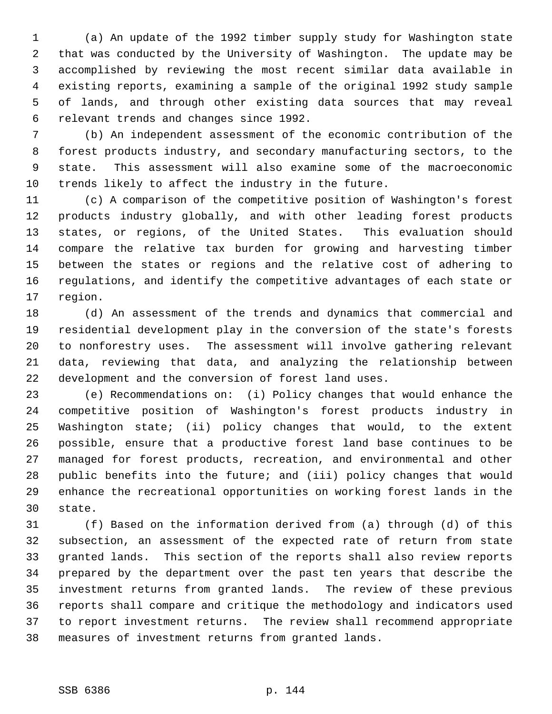(a) An update of the 1992 timber supply study for Washington state that was conducted by the University of Washington. The update may be accomplished by reviewing the most recent similar data available in existing reports, examining a sample of the original 1992 study sample of lands, and through other existing data sources that may reveal relevant trends and changes since 1992.

 (b) An independent assessment of the economic contribution of the forest products industry, and secondary manufacturing sectors, to the state. This assessment will also examine some of the macroeconomic trends likely to affect the industry in the future.

 (c) A comparison of the competitive position of Washington's forest products industry globally, and with other leading forest products states, or regions, of the United States. This evaluation should compare the relative tax burden for growing and harvesting timber between the states or regions and the relative cost of adhering to regulations, and identify the competitive advantages of each state or region.

 (d) An assessment of the trends and dynamics that commercial and residential development play in the conversion of the state's forests to nonforestry uses. The assessment will involve gathering relevant data, reviewing that data, and analyzing the relationship between development and the conversion of forest land uses.

 (e) Recommendations on: (i) Policy changes that would enhance the competitive position of Washington's forest products industry in Washington state; (ii) policy changes that would, to the extent possible, ensure that a productive forest land base continues to be managed for forest products, recreation, and environmental and other public benefits into the future; and (iii) policy changes that would enhance the recreational opportunities on working forest lands in the state.

 (f) Based on the information derived from (a) through (d) of this subsection, an assessment of the expected rate of return from state granted lands. This section of the reports shall also review reports prepared by the department over the past ten years that describe the investment returns from granted lands. The review of these previous reports shall compare and critique the methodology and indicators used to report investment returns. The review shall recommend appropriate measures of investment returns from granted lands.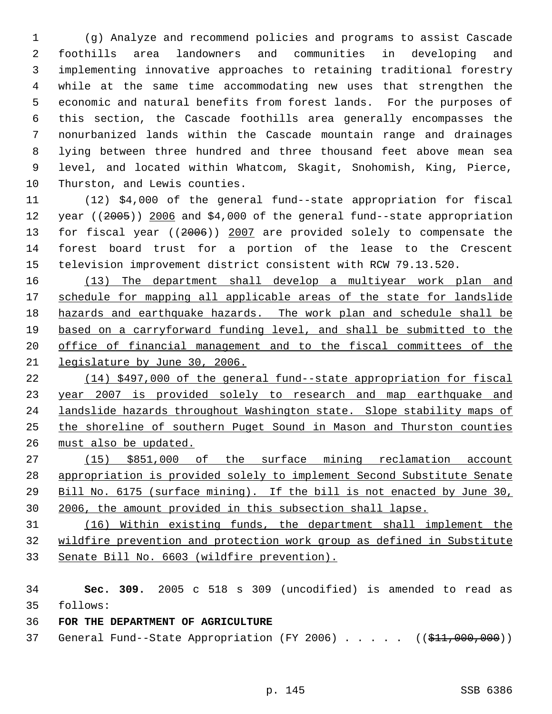(g) Analyze and recommend policies and programs to assist Cascade foothills area landowners and communities in developing and implementing innovative approaches to retaining traditional forestry while at the same time accommodating new uses that strengthen the economic and natural benefits from forest lands. For the purposes of this section, the Cascade foothills area generally encompasses the nonurbanized lands within the Cascade mountain range and drainages lying between three hundred and three thousand feet above mean sea level, and located within Whatcom, Skagit, Snohomish, King, Pierce, Thurston, and Lewis counties.

 (12) \$4,000 of the general fund--state appropriation for fiscal 12 year ((2005)) 2006 and \$4,000 of the general fund--state appropriation 13 for fiscal year ((2006)) 2007 are provided solely to compensate the forest board trust for a portion of the lease to the Crescent television improvement district consistent with RCW 79.13.520.

 (13) The department shall develop a multiyear work plan and 17 schedule for mapping all applicable areas of the state for landslide hazards and earthquake hazards. The work plan and schedule shall be based on a carryforward funding level, and shall be submitted to the office of financial management and to the fiscal committees of the legislature by June 30, 2006.

 (14) \$497,000 of the general fund--state appropriation for fiscal year 2007 is provided solely to research and map earthquake and landslide hazards throughout Washington state. Slope stability maps of the shoreline of southern Puget Sound in Mason and Thurston counties must also be updated.

 (15) \$851,000 of the surface mining reclamation account appropriation is provided solely to implement Second Substitute Senate Bill No. 6175 (surface mining). If the bill is not enacted by June 30, 2006, the amount provided in this subsection shall lapse.

 (16) Within existing funds, the department shall implement the wildfire prevention and protection work group as defined in Substitute Senate Bill No. 6603 (wildfire prevention).

 **Sec. 309.** 2005 c 518 s 309 (uncodified) is amended to read as follows:

## **FOR THE DEPARTMENT OF AGRICULTURE**

37 General Fund--State Appropriation (FY 2006) . . . . . ((\$11,000,000))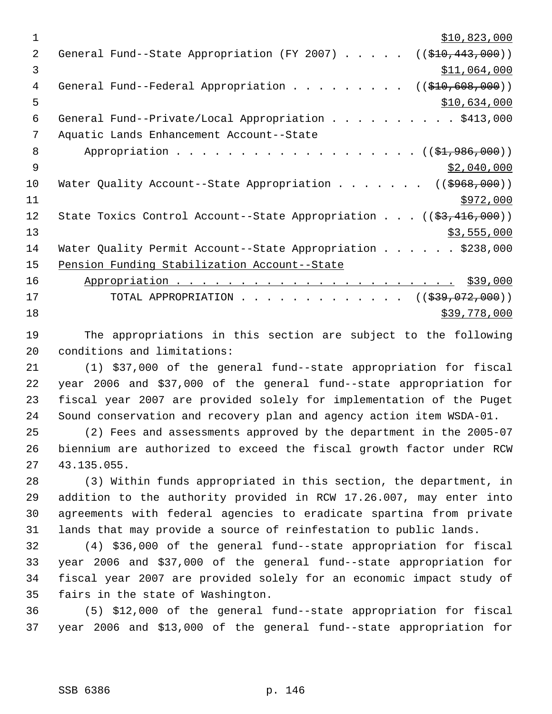$\frac{$10,823,000}{2}$ 2 General Fund--State Appropriation (FY 2007) . . . . . ((\$10,443,000)) \$11,064,000 4 General Fund--Federal Appropriation . . . . . . . . ((\$10,608,000))  $5 - 5$   $\frac{$10,634,000}{1}$  General Fund--Private/Local Appropriation . . . . . . . . . . \$413,000 Aquatic Lands Enhancement Account--State 8 Appropriation . . . . . . . . . . . . . . . . . (  $(\frac{1}{2}, 986, 000)$  )  $\frac{1}{2}$   $\frac{1}{2}$ ,040,000 10 Water Quality Account--State Appropriation . . . . . . ((\$968,000)) \$972,000 12 State Toxics Control Account--State Appropriation . . . ((\$3,416,000))  $\frac{$3,555,000}{ }$ 14 Water Quality Permit Account--State Appropriation . . . . . \$238,000 Pension Funding Stabilization Account--State Appropriation . . . . . . . . . . . . . . . . . . . . . . \$39,000 17 TOTAL APPROPRIATION . . . . . . . . . . . . ((<del>\$39,072,000</del>)) \$39,778,000

 The appropriations in this section are subject to the following conditions and limitations:

 (1) \$37,000 of the general fund--state appropriation for fiscal year 2006 and \$37,000 of the general fund--state appropriation for fiscal year 2007 are provided solely for implementation of the Puget Sound conservation and recovery plan and agency action item WSDA-01.

 (2) Fees and assessments approved by the department in the 2005-07 biennium are authorized to exceed the fiscal growth factor under RCW 43.135.055.

 (3) Within funds appropriated in this section, the department, in addition to the authority provided in RCW 17.26.007, may enter into agreements with federal agencies to eradicate spartina from private lands that may provide a source of reinfestation to public lands.

 (4) \$36,000 of the general fund--state appropriation for fiscal year 2006 and \$37,000 of the general fund--state appropriation for fiscal year 2007 are provided solely for an economic impact study of fairs in the state of Washington.

 (5) \$12,000 of the general fund--state appropriation for fiscal year 2006 and \$13,000 of the general fund--state appropriation for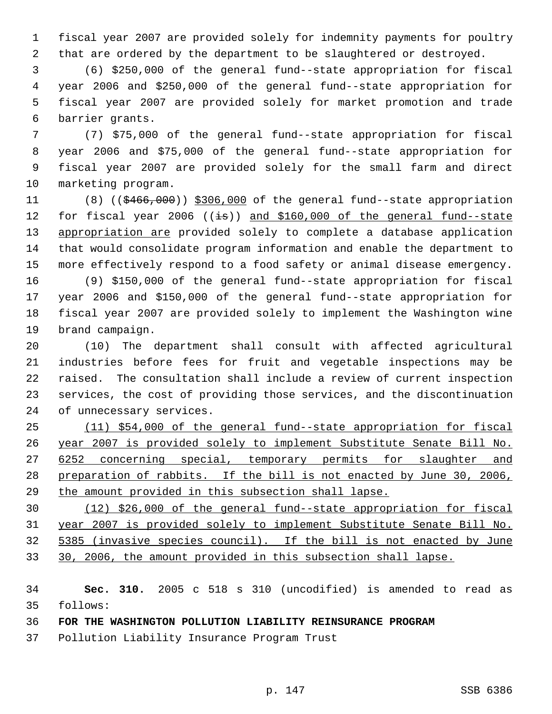fiscal year 2007 are provided solely for indemnity payments for poultry that are ordered by the department to be slaughtered or destroyed.

 (6) \$250,000 of the general fund--state appropriation for fiscal year 2006 and \$250,000 of the general fund--state appropriation for fiscal year 2007 are provided solely for market promotion and trade barrier grants.

 (7) \$75,000 of the general fund--state appropriation for fiscal year 2006 and \$75,000 of the general fund--state appropriation for fiscal year 2007 are provided solely for the small farm and direct marketing program.

11 (8) ((\$466,000)) \$306,000 of the general fund--state appropriation 12 for fiscal year 2006 ((is)) and \$160,000 of the general fund-state 13 appropriation are provided solely to complete a database application that would consolidate program information and enable the department to more effectively respond to a food safety or animal disease emergency.

 (9) \$150,000 of the general fund--state appropriation for fiscal year 2006 and \$150,000 of the general fund--state appropriation for fiscal year 2007 are provided solely to implement the Washington wine brand campaign.

 (10) The department shall consult with affected agricultural industries before fees for fruit and vegetable inspections may be raised. The consultation shall include a review of current inspection services, the cost of providing those services, and the discontinuation of unnecessary services.

 (11) \$54,000 of the general fund--state appropriation for fiscal year 2007 is provided solely to implement Substitute Senate Bill No. 27 6252 concerning special, temporary permits for slaughter and preparation of rabbits. If the bill is not enacted by June 30, 2006, the amount provided in this subsection shall lapse.

 (12) \$26,000 of the general fund--state appropriation for fiscal year 2007 is provided solely to implement Substitute Senate Bill No. 5385 (invasive species council). If the bill is not enacted by June 30, 2006, the amount provided in this subsection shall lapse.

 **Sec. 310.** 2005 c 518 s 310 (uncodified) is amended to read as follows:

**FOR THE WASHINGTON POLLUTION LIABILITY REINSURANCE PROGRAM**

Pollution Liability Insurance Program Trust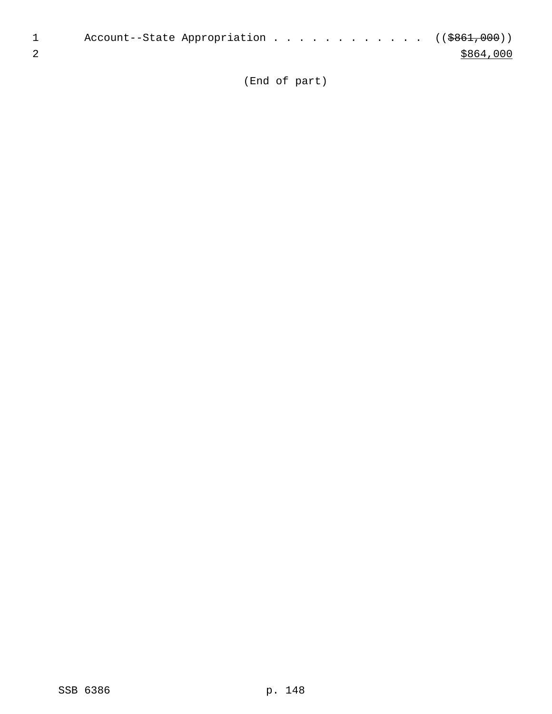| Account--State Appropriation ((\$861,000)) |  |  |  |  |           |
|--------------------------------------------|--|--|--|--|-----------|
|                                            |  |  |  |  | \$864,000 |

(End of part)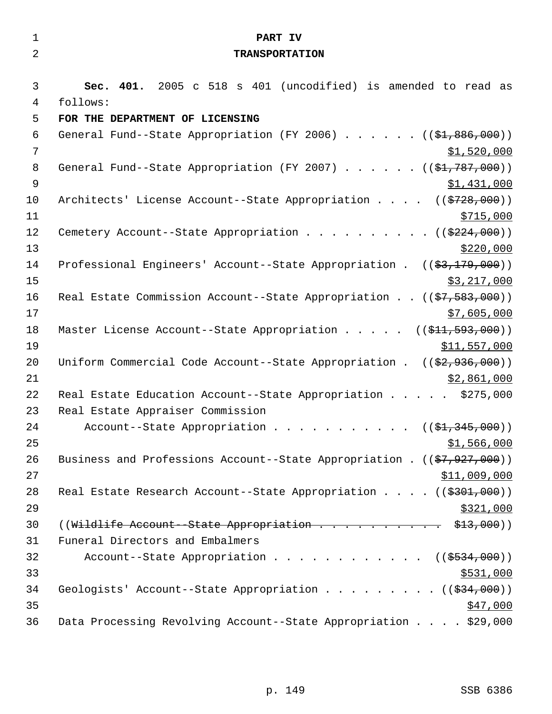| $\mathbf{1}$   | PART IV                                                                                   |
|----------------|-------------------------------------------------------------------------------------------|
| $\overline{2}$ | <b>TRANSPORTATION</b>                                                                     |
|                |                                                                                           |
| 3              | Sec. 401. 2005 c 518 s 401 (uncodified) is amended to read as                             |
| $\overline{4}$ | follows:                                                                                  |
| 5              | FOR THE DEPARTMENT OF LICENSING                                                           |
| 6              | General Fund--State Appropriation (FY 2006) $($ $($ \$1,886,000))                         |
| $\overline{7}$ | \$1,520,000                                                                               |
| 8              | General Fund--State Appropriation (FY 2007) $($ $($ \$1,787,000))                         |
| $\mathsf 9$    | \$1,431,000                                                                               |
| 10             | Architects' License Account--State Appropriation ((\$728,000))                            |
| 11             | \$715,000                                                                                 |
| 12             | Cemetery Account--State Appropriation ( $(\frac{2224}{000})$ )                            |
| 13             | \$220,000                                                                                 |
| 14             | Professional Engineers' Account--State Appropriation . $((\frac{2}{3}, \frac{179}{100}))$ |
| 15             | \$3,217,000                                                                               |
| 16             | Real Estate Commission Account--State Appropriation ((\$7,583,000))                       |
| 17             | \$7,605,000                                                                               |
| 18             | Master License Account--State Appropriation $($ $($ \$11, 593, 000) $)$                   |
| 19             | \$11,557,000                                                                              |
| 20             | Uniform Commercial Code Account--State Appropriation . $((\frac{2}{7}, 936, 000))$        |
| 21             | \$2,861,000                                                                               |
| 22             | Real Estate Education Account--State Appropriation \$275,000                              |
| 23             | Real Estate Appraiser Commission                                                          |
| 24             | Account--State Appropriation ( $(\frac{1}{2}, 345, 000)$ )                                |
| 25             | \$1,566,000                                                                               |
| 26             | Business and Professions Account--State Appropriation . $((\frac{27}{7}, 927, 000))$      |
| 27             | \$11,009,000                                                                              |
| 28             | Real Estate Research Account--State Appropriation $($ $($ $\frac{2301}{7000})$            |
| 29             | \$321,000                                                                                 |
| 30             | ((Wildlife Account--State Appropriation \$13,000))                                        |
| 31             | Funeral Directors and Embalmers                                                           |
| 32             | Account--State Appropriation ( $(\frac{2534,000}{s})$ )                                   |
| 33             | \$531,000                                                                                 |
| 34             | Geologists' Account--State Appropriation ( $(\frac{234}{100})$ )                          |
| 35             | \$47,000                                                                                  |
| 36             | Data Processing Revolving Account--State Appropriation \$29,000                           |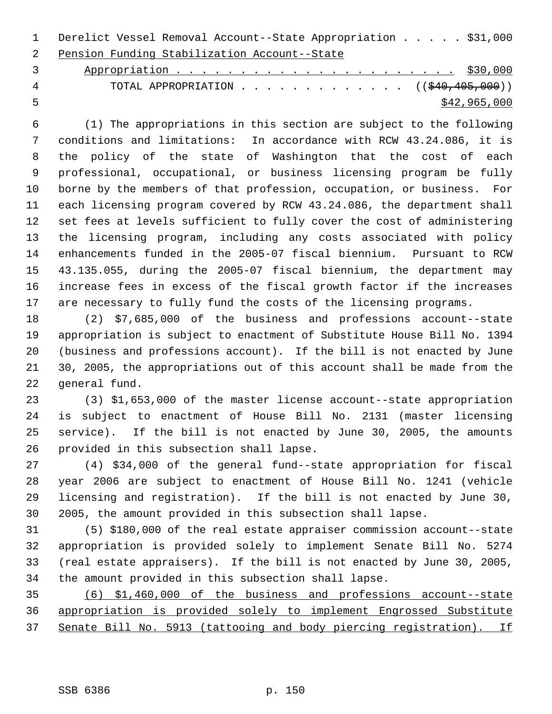Derelict Vessel Removal Account--State Appropriation . . . . . \$31,000 Pension Funding Stabilization Account--State

 Appropriation . . . . . . . . . . . . . . . . . . . . . . \$30,000 4 TOTAL APPROPRIATION . . . . . . . . . . . . ((\$40,405,000))  $\frac{$42,965,000}{2}$ 

 (1) The appropriations in this section are subject to the following conditions and limitations: In accordance with RCW 43.24.086, it is the policy of the state of Washington that the cost of each professional, occupational, or business licensing program be fully borne by the members of that profession, occupation, or business. For each licensing program covered by RCW 43.24.086, the department shall set fees at levels sufficient to fully cover the cost of administering the licensing program, including any costs associated with policy enhancements funded in the 2005-07 fiscal biennium. Pursuant to RCW 43.135.055, during the 2005-07 fiscal biennium, the department may increase fees in excess of the fiscal growth factor if the increases are necessary to fully fund the costs of the licensing programs.

 (2) \$7,685,000 of the business and professions account--state appropriation is subject to enactment of Substitute House Bill No. 1394 (business and professions account). If the bill is not enacted by June 30, 2005, the appropriations out of this account shall be made from the general fund.

 (3) \$1,653,000 of the master license account--state appropriation is subject to enactment of House Bill No. 2131 (master licensing service). If the bill is not enacted by June 30, 2005, the amounts provided in this subsection shall lapse.

 (4) \$34,000 of the general fund--state appropriation for fiscal year 2006 are subject to enactment of House Bill No. 1241 (vehicle licensing and registration). If the bill is not enacted by June 30, 2005, the amount provided in this subsection shall lapse.

 (5) \$180,000 of the real estate appraiser commission account--state appropriation is provided solely to implement Senate Bill No. 5274 (real estate appraisers). If the bill is not enacted by June 30, 2005, the amount provided in this subsection shall lapse.

 (6) \$1,460,000 of the business and professions account--state appropriation is provided solely to implement Engrossed Substitute Senate Bill No. 5913 (tattooing and body piercing registration). If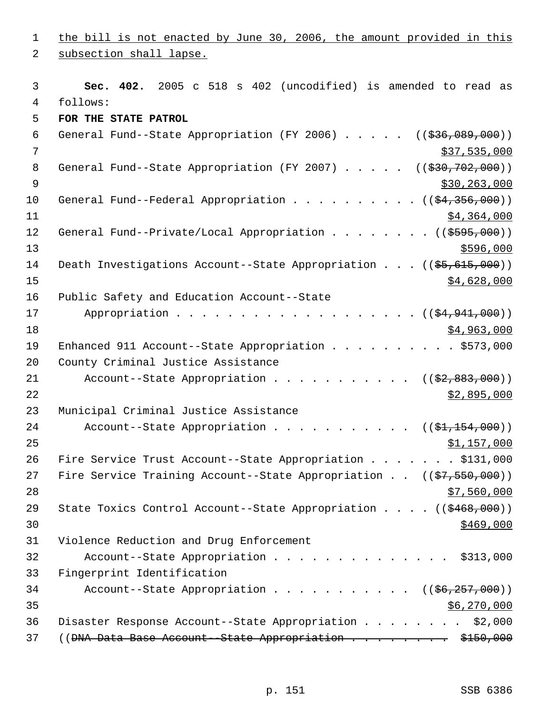1 the bill is not enacted by June 30, 2006, the amount provided in this 2 subsection shall lapse. 3 **Sec. 402.** 2005 c 518 s 402 (uncodified) is amended to read as 4 follows: 5 **FOR THE STATE PATROL**  6 General Fund--State Appropriation (FY 2006)  $\ldots$  . . . (( $\frac{236,089,000}{\ldots}$ )  $7$  \$37,535,000 8 General Fund--State Appropriation (FY 2007) . . . . . ((\$30,702,000))  $9$  \$30,263,000 10 General Fund--Federal Appropriation . . . . . . . . . ((\$4,356,000))  $11$   $\frac{$4,364,000}{ }$ 12 General Fund--Private/Local Appropriation . . . . . . . ((\$595,000))  $13$   $$596,000$ 14 Death Investigations Account--State Appropriation . . . ((\$5,615,000))  $\frac{15}{15}$   $\frac{15}{15}$   $\frac{15}{15}$   $\frac{15}{15}$   $\frac{15}{15}$   $\frac{15}{15}$   $\frac{15}{15}$   $\frac{15}{15}$   $\frac{15}{15}$   $\frac{15}{15}$   $\frac{15}{15}$   $\frac{15}{15}$   $\frac{15}{15}$   $\frac{15}{15}$   $\frac{15}{15}$   $\frac{15}{15}$   $\frac{15}{15}$   $\frac{15}{15}$   $\frac{1$ 16 Public Safety and Education Account--State 17 Appropriation . . . . . . . . . . . . . . . . . ((\$4,941,000))  $18$  \$4,963,000 19 Enhanced 911 Account--State Appropriation . . . . . . . . . . \$573,000 20 County Criminal Justice Assistance 21 Account--State Appropriation . . . . . . . . . . ((\$2,883,000))  $22$   $\frac{$2,895,000}{2}$ 23 Municipal Criminal Justice Assistance 24 Account--State Appropriation . . . . . . . . . .  $($   $($ \$1,154,000))  $25$  \$1,157,000 26 Fire Service Trust Account--State Appropriation . . . . . . \$131,000 27 Fire Service Training Account--State Appropriation . . ((\$7,550,000))  $28$   $57,560,000$ 29 State Toxics Control Account--State Appropriation . . . . ((\$468,000))  $\frac{$469,000}{ }$ 31 Violence Reduction and Drug Enforcement 32 Account--State Appropriation . . . . . . . . . . . . . . \$313,000 33 Fingerprint Identification 34 Account--State Appropriation . . . . . . . . . . ((\$6,257,000))  $35$  \$6,270,000 36 Disaster Response Account--State Appropriation . . . . . . . . \$2,000 37 ((<del>DNA Data Base Account - State Appropriation . . . . . . . \$150,000</del>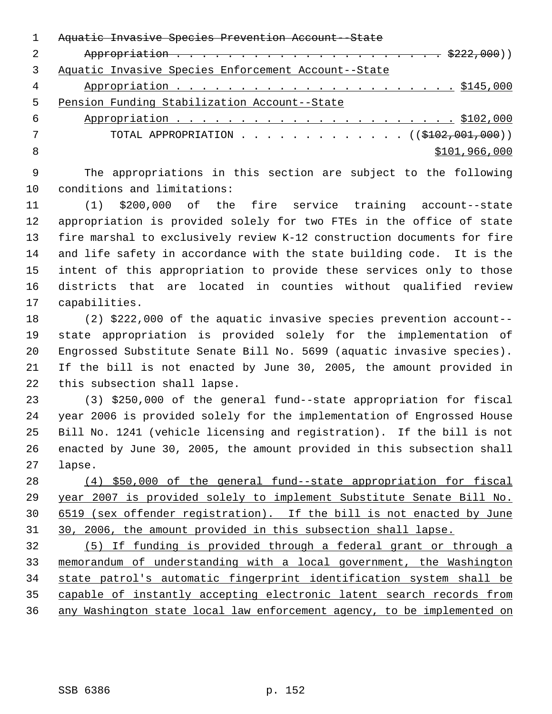|   | <del>Aquatic Invasive Species Prevention Account--State</del>    |
|---|------------------------------------------------------------------|
|   |                                                                  |
|   | Aquatic Invasive Species Enforcement Account--State              |
| 4 |                                                                  |
| 5 | Pension Funding Stabilization Account--State                     |
| 6 |                                                                  |
|   | TOTAL APPROPRIATION $\ldots$ , ( $(\frac{102}{102}, 001, 000)$ ) |
| 8 | \$101,966,000                                                    |
|   |                                                                  |

 The appropriations in this section are subject to the following conditions and limitations:

 (1) \$200,000 of the fire service training account--state appropriation is provided solely for two FTEs in the office of state fire marshal to exclusively review K-12 construction documents for fire and life safety in accordance with the state building code. It is the intent of this appropriation to provide these services only to those districts that are located in counties without qualified review capabilities.

 (2) \$222,000 of the aquatic invasive species prevention account-- state appropriation is provided solely for the implementation of Engrossed Substitute Senate Bill No. 5699 (aquatic invasive species). If the bill is not enacted by June 30, 2005, the amount provided in this subsection shall lapse.

 (3) \$250,000 of the general fund--state appropriation for fiscal year 2006 is provided solely for the implementation of Engrossed House Bill No. 1241 (vehicle licensing and registration). If the bill is not enacted by June 30, 2005, the amount provided in this subsection shall lapse.

 (4) \$50,000 of the general fund--state appropriation for fiscal year 2007 is provided solely to implement Substitute Senate Bill No. 6519 (sex offender registration). If the bill is not enacted by June 30, 2006, the amount provided in this subsection shall lapse.

 (5) If funding is provided through a federal grant or through a memorandum of understanding with a local government, the Washington state patrol's automatic fingerprint identification system shall be capable of instantly accepting electronic latent search records from any Washington state local law enforcement agency, to be implemented on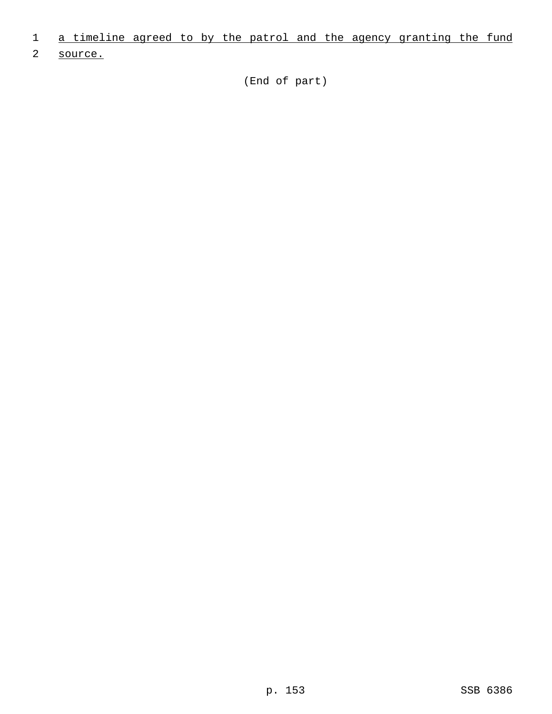- 1 a timeline agreed to by the patrol and the agency granting the fund
- 2 source.

(End of part)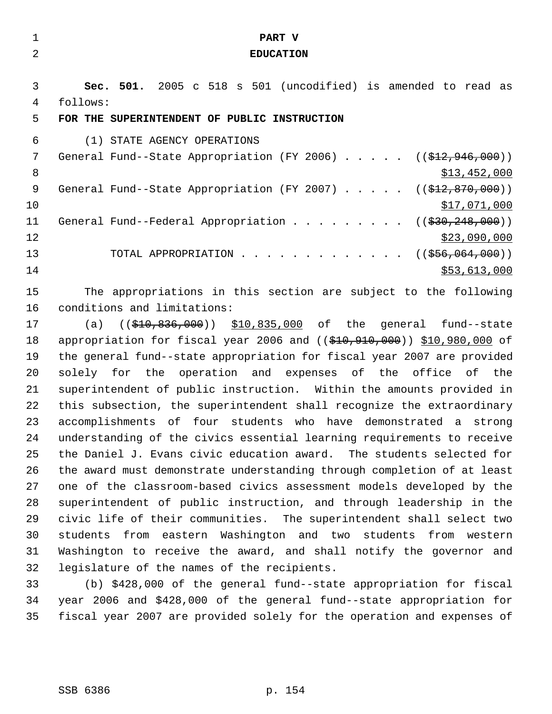| 1              | PART V                                                                        |
|----------------|-------------------------------------------------------------------------------|
| $\overline{2}$ | <b>EDUCATION</b>                                                              |
|                |                                                                               |
| 3              | Sec. 501. 2005 c 518 s 501 (uncodified) is amended to read as                 |
| 4              | follows:                                                                      |
| 5              | FOR THE SUPERINTENDENT OF PUBLIC INSTRUCTION                                  |
| 6              | (1) STATE AGENCY OPERATIONS                                                   |
| 7              | General Fund--State Appropriation (FY 2006) $($ $(\frac{212}{7946}, 000) )$   |
| 8              | \$13,452,000                                                                  |
| 9              | General Fund--State Appropriation (FY 2007)<br>((\$412,870,000))              |
| 10             | <u>\$17,071,000</u>                                                           |
| 11             | General Fund--Federal Appropriation<br>((\$30,248,000))                       |
| 12             | \$23,090,000                                                                  |
| 13             | ((\$556,064,000))<br>TOTAL APPROPRIATION                                      |
| 14             | \$53,613,000                                                                  |
| 15             | The appropriations in this section are subject to the following               |
| 16             | conditions and limitations:                                                   |
| 17             | $((\$10,836,000))$ \$10,835,000 of the general fund--state<br>(a)             |
| 18             | appropriation for fiscal year 2006 and $($ $($ \$10,910,000)) \$10,980,000 of |
| 19             | the general fund--state appropriation for fiscal year 2007 are provided       |
| 20             | solely for the operation and expenses of the office of the                    |
| 21             | superintendent of public instruction. Within the amounts provided in          |
| 22             | this subsection, the superintendent shall recognize the extraordinary         |
| 23             | accomplishments of four students who have demonstrated a<br>strong            |
| 24             | understanding of the civics essential learning requirements to receive        |
| 25             | the Daniel J. Evans civic education award. The students selected for          |
| 26             | the award must demonstrate understanding through completion of at least       |
| 27             | one of the classroom-based civics assessment models developed by the          |
| 28             | superintendent of public instruction, and through leadership in the           |
| 29             | civic life of their communities. The superintendent shall select two          |

 students from eastern Washington and two students from western Washington to receive the award, and shall notify the governor and legislature of the names of the recipients.

 (b) \$428,000 of the general fund--state appropriation for fiscal year 2006 and \$428,000 of the general fund--state appropriation for fiscal year 2007 are provided solely for the operation and expenses of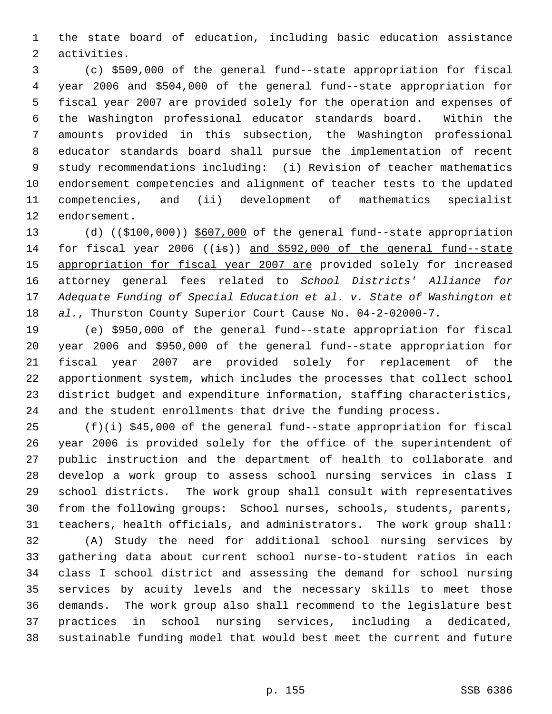the state board of education, including basic education assistance activities.

 (c) \$509,000 of the general fund--state appropriation for fiscal year 2006 and \$504,000 of the general fund--state appropriation for fiscal year 2007 are provided solely for the operation and expenses of the Washington professional educator standards board. Within the amounts provided in this subsection, the Washington professional educator standards board shall pursue the implementation of recent study recommendations including: (i) Revision of teacher mathematics endorsement competencies and alignment of teacher tests to the updated competencies, and (ii) development of mathematics specialist endorsement.

13 (d) ((\$100,000)) \$607,000 of the general fund--state appropriation 14 for fiscal year 2006 ( $(\pm s)$ ) and \$592,000 of the general fund--state 15 appropriation for fiscal year 2007 are provided solely for increased attorney general fees related to *School Districts' Alliance for Adequate Funding of Special Education et al. v. State of Washington et al.*, Thurston County Superior Court Cause No. 04-2-02000-7.

 (e) \$950,000 of the general fund--state appropriation for fiscal year 2006 and \$950,000 of the general fund--state appropriation for fiscal year 2007 are provided solely for replacement of the apportionment system, which includes the processes that collect school district budget and expenditure information, staffing characteristics, and the student enrollments that drive the funding process.

 (f)(i) \$45,000 of the general fund--state appropriation for fiscal year 2006 is provided solely for the office of the superintendent of public instruction and the department of health to collaborate and develop a work group to assess school nursing services in class I school districts. The work group shall consult with representatives from the following groups: School nurses, schools, students, parents, teachers, health officials, and administrators. The work group shall:

 (A) Study the need for additional school nursing services by gathering data about current school nurse-to-student ratios in each class I school district and assessing the demand for school nursing services by acuity levels and the necessary skills to meet those demands. The work group also shall recommend to the legislature best practices in school nursing services, including a dedicated, sustainable funding model that would best meet the current and future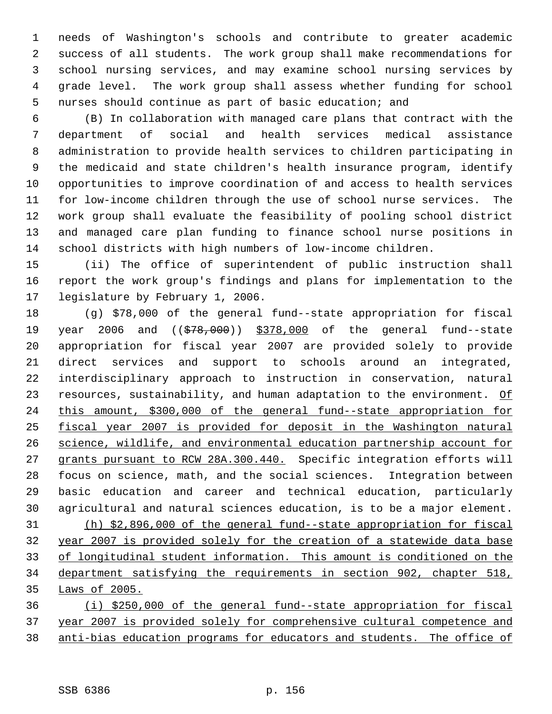needs of Washington's schools and contribute to greater academic success of all students. The work group shall make recommendations for school nursing services, and may examine school nursing services by grade level. The work group shall assess whether funding for school nurses should continue as part of basic education; and

 (B) In collaboration with managed care plans that contract with the department of social and health services medical assistance administration to provide health services to children participating in the medicaid and state children's health insurance program, identify opportunities to improve coordination of and access to health services for low-income children through the use of school nurse services. The work group shall evaluate the feasibility of pooling school district and managed care plan funding to finance school nurse positions in school districts with high numbers of low-income children.

 (ii) The office of superintendent of public instruction shall report the work group's findings and plans for implementation to the legislature by February 1, 2006.

 (g) \$78,000 of the general fund--state appropriation for fiscal 19 year 2006 and ((\$78,000)) \$378,000 of the general fund--state appropriation for fiscal year 2007 are provided solely to provide direct services and support to schools around an integrated, interdisciplinary approach to instruction in conservation, natural 23 resources, sustainability, and human adaptation to the environment. Of this amount, \$300,000 of the general fund--state appropriation for fiscal year 2007 is provided for deposit in the Washington natural science, wildlife, and environmental education partnership account for grants pursuant to RCW 28A.300.440. Specific integration efforts will focus on science, math, and the social sciences. Integration between basic education and career and technical education, particularly agricultural and natural sciences education, is to be a major element. (h) \$2,896,000 of the general fund--state appropriation for fiscal year 2007 is provided solely for the creation of a statewide data base of longitudinal student information. This amount is conditioned on the department satisfying the requirements in section 902, chapter 518, Laws of 2005. (i) \$250,000 of the general fund--state appropriation for fiscal

 year 2007 is provided solely for comprehensive cultural competence and anti-bias education programs for educators and students. The office of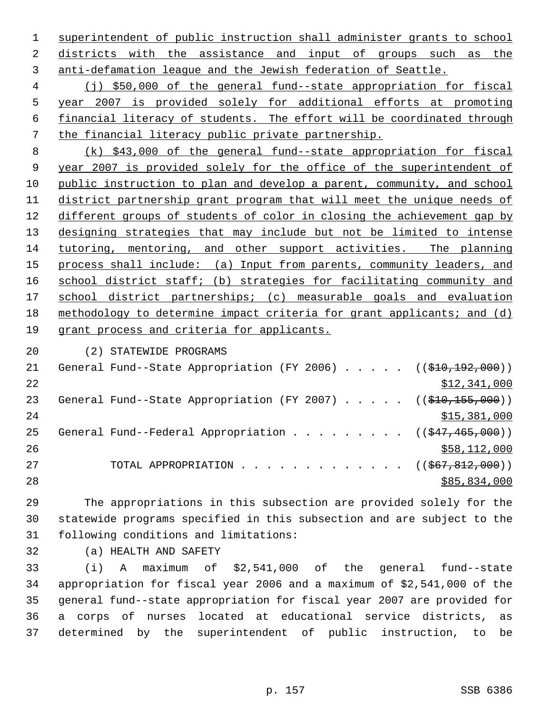superintendent of public instruction shall administer grants to school districts with the assistance and input of groups such as the anti-defamation league and the Jewish federation of Seattle.

 (j) \$50,000 of the general fund--state appropriation for fiscal year 2007 is provided solely for additional efforts at promoting financial literacy of students. The effort will be coordinated through the financial literacy public private partnership.

 (k) \$43,000 of the general fund--state appropriation for fiscal year 2007 is provided solely for the office of the superintendent of public instruction to plan and develop a parent, community, and school district partnership grant program that will meet the unique needs of different groups of students of color in closing the achievement gap by designing strategies that may include but not be limited to intense tutoring, mentoring, and other support activities. The planning 15 process shall include: (a) Input from parents, community leaders, and 16 school district staff; (b) strategies for facilitating community and 17 school district partnerships; (c) measurable goals and evaluation methodology to determine impact criteria for grant applicants; and (d) grant process and criteria for applicants.

(2) STATEWIDE PROGRAMS

| 21 | General Fund--State Appropriation (FY 2006) $($ $($ $\frac{10}{210}$ , $\frac{192}{192}$ , 000)) |              |
|----|--------------------------------------------------------------------------------------------------|--------------|
| 22 |                                                                                                  | \$12,341,000 |
| 23 | General Fund--State Appropriation (FY 2007) $($ $($ \$10,155,000))                               |              |
| 24 |                                                                                                  | \$15,381,000 |
| 25 | General Fund--Federal Appropriation ( $(\frac{247}{465}, \frac{465}{100})$ )                     |              |
| 26 |                                                                                                  | \$58,112,000 |
| 27 | TOTAL APPROPRIATION ( $(\frac{667}{67}, \frac{812}{600})$ )                                      |              |
| 28 |                                                                                                  | \$85,834,000 |
|    |                                                                                                  |              |

 The appropriations in this subsection are provided solely for the statewide programs specified in this subsection and are subject to the following conditions and limitations:

(a) HEALTH AND SAFETY

 (i) A maximum of \$2,541,000 of the general fund--state appropriation for fiscal year 2006 and a maximum of \$2,541,000 of the general fund--state appropriation for fiscal year 2007 are provided for a corps of nurses located at educational service districts, as determined by the superintendent of public instruction, to be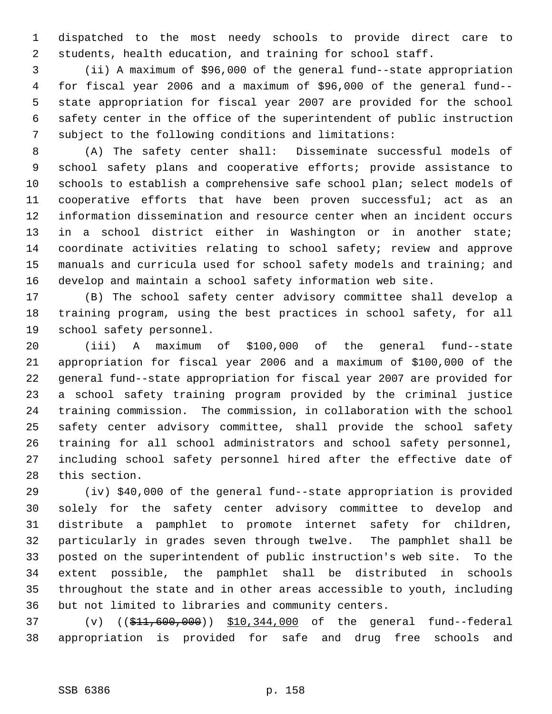dispatched to the most needy schools to provide direct care to students, health education, and training for school staff.

 (ii) A maximum of \$96,000 of the general fund--state appropriation for fiscal year 2006 and a maximum of \$96,000 of the general fund-- state appropriation for fiscal year 2007 are provided for the school safety center in the office of the superintendent of public instruction subject to the following conditions and limitations:

 (A) The safety center shall: Disseminate successful models of school safety plans and cooperative efforts; provide assistance to schools to establish a comprehensive safe school plan; select models of cooperative efforts that have been proven successful; act as an information dissemination and resource center when an incident occurs in a school district either in Washington or in another state; coordinate activities relating to school safety; review and approve manuals and curricula used for school safety models and training; and develop and maintain a school safety information web site.

 (B) The school safety center advisory committee shall develop a training program, using the best practices in school safety, for all school safety personnel.

 (iii) A maximum of \$100,000 of the general fund--state appropriation for fiscal year 2006 and a maximum of \$100,000 of the general fund--state appropriation for fiscal year 2007 are provided for a school safety training program provided by the criminal justice training commission. The commission, in collaboration with the school safety center advisory committee, shall provide the school safety training for all school administrators and school safety personnel, including school safety personnel hired after the effective date of this section.

 (iv) \$40,000 of the general fund--state appropriation is provided solely for the safety center advisory committee to develop and distribute a pamphlet to promote internet safety for children, particularly in grades seven through twelve. The pamphlet shall be posted on the superintendent of public instruction's web site. To the extent possible, the pamphlet shall be distributed in schools throughout the state and in other areas accessible to youth, including but not limited to libraries and community centers.

 (v) ((\$11,600,000)) \$10,344,000 of the general fund--federal appropriation is provided for safe and drug free schools and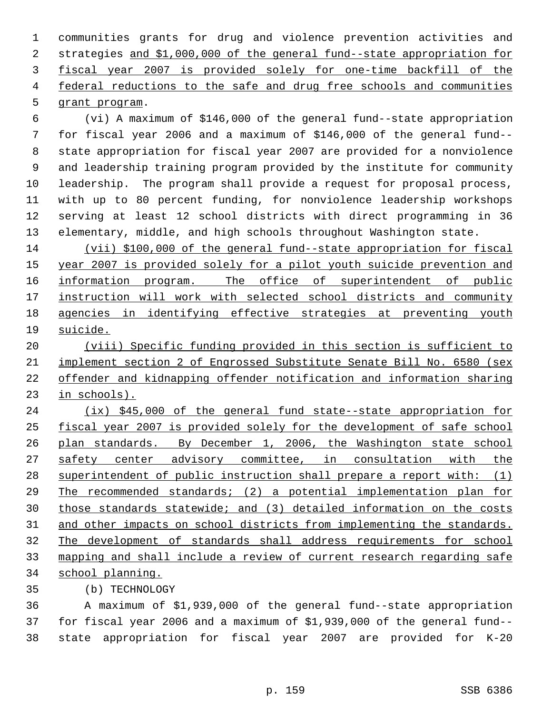communities grants for drug and violence prevention activities and strategies and \$1,000,000 of the general fund--state appropriation for fiscal year 2007 is provided solely for one-time backfill of the 4 federal reductions to the safe and drug free schools and communities grant program.

 (vi) A maximum of \$146,000 of the general fund--state appropriation for fiscal year 2006 and a maximum of \$146,000 of the general fund-- state appropriation for fiscal year 2007 are provided for a nonviolence and leadership training program provided by the institute for community leadership. The program shall provide a request for proposal process, with up to 80 percent funding, for nonviolence leadership workshops serving at least 12 school districts with direct programming in 36 elementary, middle, and high schools throughout Washington state.

 (vii) \$100,000 of the general fund--state appropriation for fiscal 15 year 2007 is provided solely for a pilot youth suicide prevention and 16 information program. The office of superintendent of public 17 instruction will work with selected school districts and community agencies in identifying effective strategies at preventing youth suicide.

 (viii) Specific funding provided in this section is sufficient to implement section 2 of Engrossed Substitute Senate Bill No. 6580 (sex offender and kidnapping offender notification and information sharing in schools).

24 (ix) \$45,000 of the general fund state--state appropriation for fiscal year 2007 is provided solely for the development of safe school plan standards. By December 1, 2006, the Washington state school 27 safety center advisory committee, in consultation with the 28 superintendent of public instruction shall prepare a report with: (1) The recommended standards; (2) a potential implementation plan for those standards statewide; and (3) detailed information on the costs 31 and other impacts on school districts from implementing the standards. The development of standards shall address requirements for school mapping and shall include a review of current research regarding safe school planning.

(b) TECHNOLOGY

 A maximum of \$1,939,000 of the general fund--state appropriation for fiscal year 2006 and a maximum of \$1,939,000 of the general fund-- state appropriation for fiscal year 2007 are provided for K-20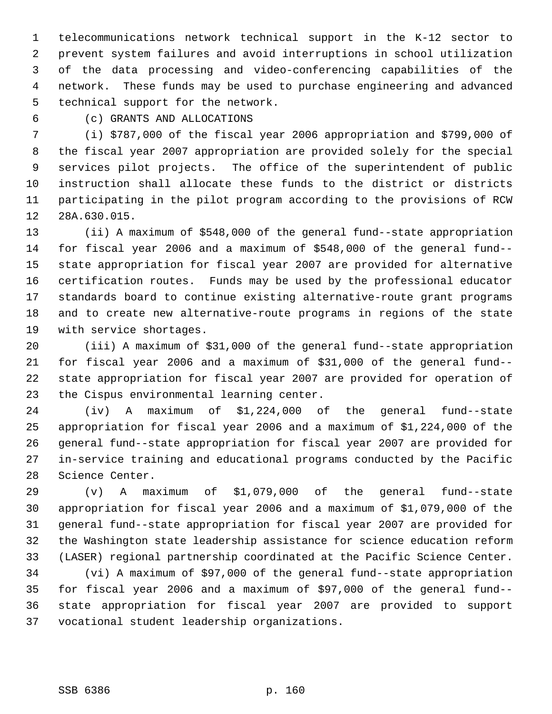telecommunications network technical support in the K-12 sector to prevent system failures and avoid interruptions in school utilization of the data processing and video-conferencing capabilities of the network. These funds may be used to purchase engineering and advanced technical support for the network.

(c) GRANTS AND ALLOCATIONS

 (i) \$787,000 of the fiscal year 2006 appropriation and \$799,000 of the fiscal year 2007 appropriation are provided solely for the special services pilot projects. The office of the superintendent of public instruction shall allocate these funds to the district or districts participating in the pilot program according to the provisions of RCW 28A.630.015.

 (ii) A maximum of \$548,000 of the general fund--state appropriation for fiscal year 2006 and a maximum of \$548,000 of the general fund-- state appropriation for fiscal year 2007 are provided for alternative certification routes. Funds may be used by the professional educator standards board to continue existing alternative-route grant programs and to create new alternative-route programs in regions of the state with service shortages.

 (iii) A maximum of \$31,000 of the general fund--state appropriation for fiscal year 2006 and a maximum of \$31,000 of the general fund-- state appropriation for fiscal year 2007 are provided for operation of the Cispus environmental learning center.

 (iv) A maximum of \$1,224,000 of the general fund--state appropriation for fiscal year 2006 and a maximum of \$1,224,000 of the general fund--state appropriation for fiscal year 2007 are provided for in-service training and educational programs conducted by the Pacific Science Center.

 (v) A maximum of \$1,079,000 of the general fund--state appropriation for fiscal year 2006 and a maximum of \$1,079,000 of the general fund--state appropriation for fiscal year 2007 are provided for the Washington state leadership assistance for science education reform (LASER) regional partnership coordinated at the Pacific Science Center.

 (vi) A maximum of \$97,000 of the general fund--state appropriation for fiscal year 2006 and a maximum of \$97,000 of the general fund-- state appropriation for fiscal year 2007 are provided to support vocational student leadership organizations.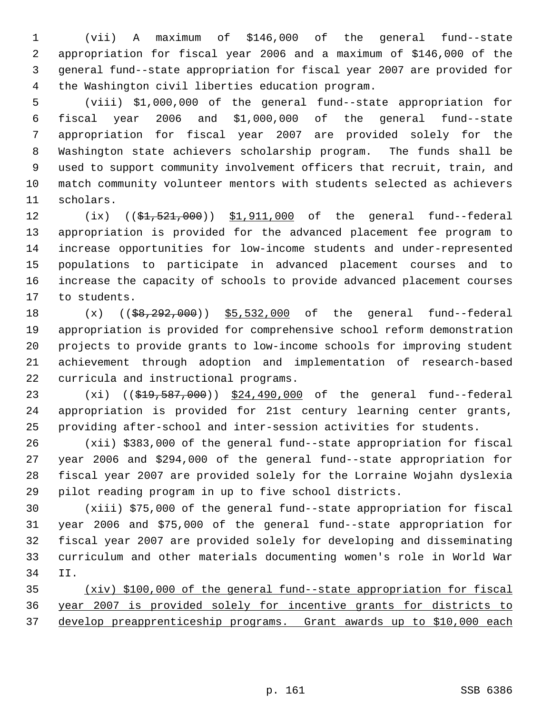(vii) A maximum of \$146,000 of the general fund--state appropriation for fiscal year 2006 and a maximum of \$146,000 of the general fund--state appropriation for fiscal year 2007 are provided for the Washington civil liberties education program.

 (viii) \$1,000,000 of the general fund--state appropriation for fiscal year 2006 and \$1,000,000 of the general fund--state appropriation for fiscal year 2007 are provided solely for the Washington state achievers scholarship program. The funds shall be used to support community involvement officers that recruit, train, and match community volunteer mentors with students selected as achievers scholars.

12 (ix) ((\$1,521,000)) \$1,911,000 of the general fund--federal appropriation is provided for the advanced placement fee program to increase opportunities for low-income students and under-represented populations to participate in advanced placement courses and to increase the capacity of schools to provide advanced placement courses to students.

18 (x) ((\$8,292,000)) \$5,532,000 of the general fund--federal appropriation is provided for comprehensive school reform demonstration projects to provide grants to low-income schools for improving student achievement through adoption and implementation of research-based curricula and instructional programs.

23 (xi) ((\$19,587,000)) \$24,490,000 of the general fund--federal appropriation is provided for 21st century learning center grants, providing after-school and inter-session activities for students.

 (xii) \$383,000 of the general fund--state appropriation for fiscal year 2006 and \$294,000 of the general fund--state appropriation for fiscal year 2007 are provided solely for the Lorraine Wojahn dyslexia pilot reading program in up to five school districts.

 (xiii) \$75,000 of the general fund--state appropriation for fiscal year 2006 and \$75,000 of the general fund--state appropriation for fiscal year 2007 are provided solely for developing and disseminating curriculum and other materials documenting women's role in World War II.

 (xiv) \$100,000 of the general fund--state appropriation for fiscal year 2007 is provided solely for incentive grants for districts to develop preapprenticeship programs. Grant awards up to \$10,000 each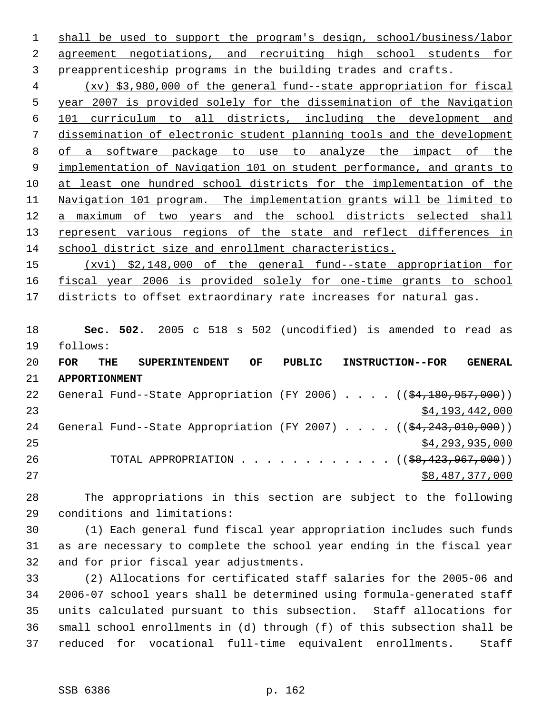shall be used to support the program's design, school/business/labor agreement negotiations, and recruiting high school students for preapprenticeship programs in the building trades and crafts.

 (xv) \$3,980,000 of the general fund--state appropriation for fiscal year 2007 is provided solely for the dissemination of the Navigation 101 curriculum to all districts, including the development and dissemination of electronic student planning tools and the development of a software package to use to analyze the impact of the implementation of Navigation 101 on student performance, and grants to at least one hundred school districts for the implementation of the Navigation 101 program. The implementation grants will be limited to a maximum of two years and the school districts selected shall 13 represent various regions of the state and reflect differences in school district size and enrollment characteristics.

 (xvi) \$2,148,000 of the general fund--state appropriation for fiscal year 2006 is provided solely for one-time grants to school 17 districts to offset extraordinary rate increases for natural gas.

 **Sec. 502.** 2005 c 518 s 502 (uncodified) is amended to read as follows:

| 20 | <b>FOR</b>           | THE | <b>SUPERINTENDENT</b> |                                                                                   | OF | PUBLIC |  |  | <b>INSTRUCTION--FOR</b> | <b>GENERAL</b>  |
|----|----------------------|-----|-----------------------|-----------------------------------------------------------------------------------|----|--------|--|--|-------------------------|-----------------|
| 21 | <b>APPORTIONMENT</b> |     |                       |                                                                                   |    |        |  |  |                         |                 |
| 22 |                      |     |                       | General Fund--State Appropriation (FY 2006) $($ $(\frac{24.180.957.000}{61.000})$ |    |        |  |  |                         |                 |
| 23 |                      |     |                       |                                                                                   |    |        |  |  |                         | \$4,193,442,000 |
| 24 |                      |     |                       | General Fund--State Appropriation (FY 2007) $($ $(\frac{24.243.010}{100})$        |    |        |  |  |                         |                 |
| 25 |                      |     |                       |                                                                                   |    |        |  |  |                         | \$4,293,935,000 |
| 26 |                      |     |                       | TOTAL APPROPRIATION ( $(\frac{68,423,967,000}{$ )                                 |    |        |  |  |                         |                 |
| 27 |                      |     |                       |                                                                                   |    |        |  |  |                         | \$8,487,377,000 |

 The appropriations in this section are subject to the following conditions and limitations:

 (1) Each general fund fiscal year appropriation includes such funds as are necessary to complete the school year ending in the fiscal year and for prior fiscal year adjustments.

 (2) Allocations for certificated staff salaries for the 2005-06 and 2006-07 school years shall be determined using formula-generated staff units calculated pursuant to this subsection. Staff allocations for small school enrollments in (d) through (f) of this subsection shall be reduced for vocational full-time equivalent enrollments. Staff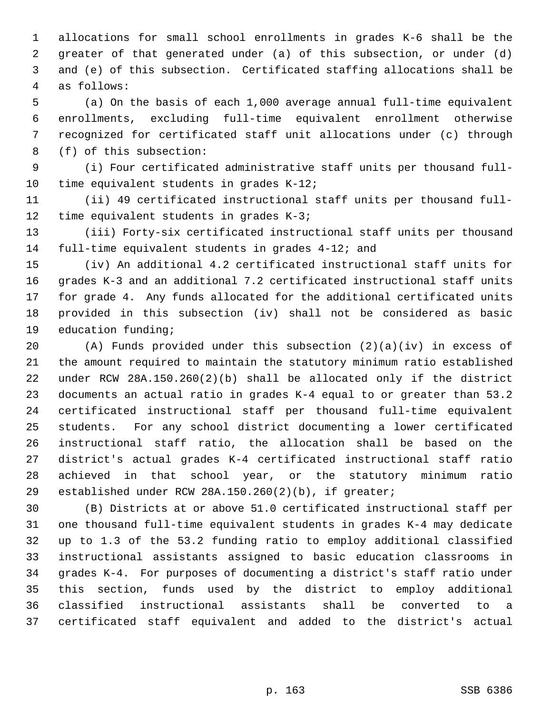allocations for small school enrollments in grades K-6 shall be the greater of that generated under (a) of this subsection, or under (d) and (e) of this subsection. Certificated staffing allocations shall be as follows:

 (a) On the basis of each 1,000 average annual full-time equivalent enrollments, excluding full-time equivalent enrollment otherwise recognized for certificated staff unit allocations under (c) through (f) of this subsection:

 (i) Four certificated administrative staff units per thousand full-time equivalent students in grades K-12;

 (ii) 49 certificated instructional staff units per thousand full-time equivalent students in grades K-3;

 (iii) Forty-six certificated instructional staff units per thousand full-time equivalent students in grades 4-12; and

 (iv) An additional 4.2 certificated instructional staff units for grades K-3 and an additional 7.2 certificated instructional staff units for grade 4. Any funds allocated for the additional certificated units provided in this subsection (iv) shall not be considered as basic education funding;

 (A) Funds provided under this subsection (2)(a)(iv) in excess of the amount required to maintain the statutory minimum ratio established under RCW 28A.150.260(2)(b) shall be allocated only if the district documents an actual ratio in grades K-4 equal to or greater than 53.2 certificated instructional staff per thousand full-time equivalent students. For any school district documenting a lower certificated instructional staff ratio, the allocation shall be based on the district's actual grades K-4 certificated instructional staff ratio achieved in that school year, or the statutory minimum ratio established under RCW 28A.150.260(2)(b), if greater;

 (B) Districts at or above 51.0 certificated instructional staff per one thousand full-time equivalent students in grades K-4 may dedicate up to 1.3 of the 53.2 funding ratio to employ additional classified instructional assistants assigned to basic education classrooms in grades K-4. For purposes of documenting a district's staff ratio under this section, funds used by the district to employ additional classified instructional assistants shall be converted to a certificated staff equivalent and added to the district's actual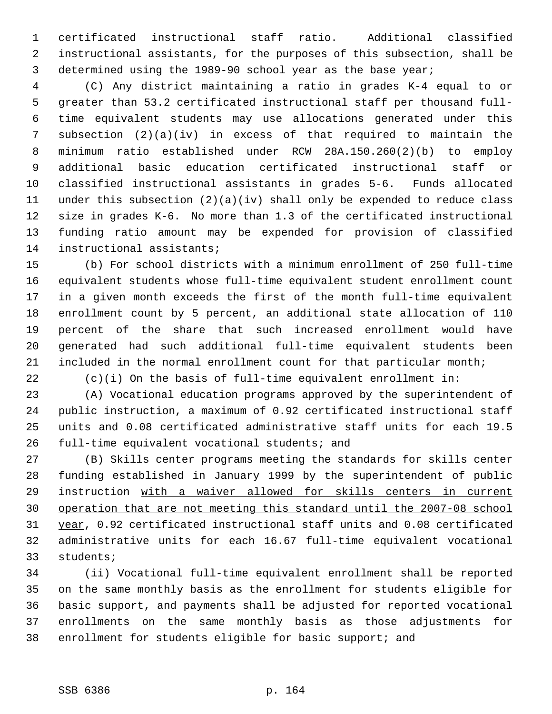certificated instructional staff ratio. Additional classified instructional assistants, for the purposes of this subsection, shall be determined using the 1989-90 school year as the base year;

 (C) Any district maintaining a ratio in grades K-4 equal to or greater than 53.2 certificated instructional staff per thousand full- time equivalent students may use allocations generated under this subsection (2)(a)(iv) in excess of that required to maintain the minimum ratio established under RCW 28A.150.260(2)(b) to employ additional basic education certificated instructional staff or classified instructional assistants in grades 5-6. Funds allocated under this subsection (2)(a)(iv) shall only be expended to reduce class size in grades K-6. No more than 1.3 of the certificated instructional funding ratio amount may be expended for provision of classified instructional assistants;

 (b) For school districts with a minimum enrollment of 250 full-time equivalent students whose full-time equivalent student enrollment count in a given month exceeds the first of the month full-time equivalent enrollment count by 5 percent, an additional state allocation of 110 percent of the share that such increased enrollment would have generated had such additional full-time equivalent students been included in the normal enrollment count for that particular month;

(c)(i) On the basis of full-time equivalent enrollment in:

 (A) Vocational education programs approved by the superintendent of public instruction, a maximum of 0.92 certificated instructional staff units and 0.08 certificated administrative staff units for each 19.5 full-time equivalent vocational students; and

 (B) Skills center programs meeting the standards for skills center funding established in January 1999 by the superintendent of public instruction with a waiver allowed for skills centers in current operation that are not meeting this standard until the 2007-08 school year, 0.92 certificated instructional staff units and 0.08 certificated administrative units for each 16.67 full-time equivalent vocational students;

 (ii) Vocational full-time equivalent enrollment shall be reported on the same monthly basis as the enrollment for students eligible for basic support, and payments shall be adjusted for reported vocational enrollments on the same monthly basis as those adjustments for enrollment for students eligible for basic support; and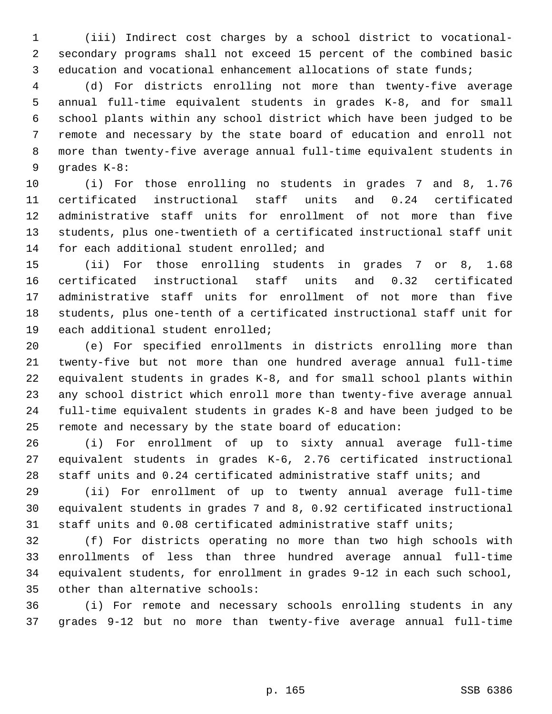(iii) Indirect cost charges by a school district to vocational- secondary programs shall not exceed 15 percent of the combined basic education and vocational enhancement allocations of state funds;

 (d) For districts enrolling not more than twenty-five average annual full-time equivalent students in grades K-8, and for small school plants within any school district which have been judged to be remote and necessary by the state board of education and enroll not more than twenty-five average annual full-time equivalent students in grades K-8:

 (i) For those enrolling no students in grades 7 and 8, 1.76 certificated instructional staff units and 0.24 certificated administrative staff units for enrollment of not more than five students, plus one-twentieth of a certificated instructional staff unit 14 for each additional student enrolled; and

 (ii) For those enrolling students in grades 7 or 8, 1.68 certificated instructional staff units and 0.32 certificated administrative staff units for enrollment of not more than five students, plus one-tenth of a certificated instructional staff unit for each additional student enrolled;

 (e) For specified enrollments in districts enrolling more than twenty-five but not more than one hundred average annual full-time equivalent students in grades K-8, and for small school plants within any school district which enroll more than twenty-five average annual full-time equivalent students in grades K-8 and have been judged to be remote and necessary by the state board of education:

 (i) For enrollment of up to sixty annual average full-time equivalent students in grades K-6, 2.76 certificated instructional staff units and 0.24 certificated administrative staff units; and

 (ii) For enrollment of up to twenty annual average full-time equivalent students in grades 7 and 8, 0.92 certificated instructional staff units and 0.08 certificated administrative staff units;

 (f) For districts operating no more than two high schools with enrollments of less than three hundred average annual full-time equivalent students, for enrollment in grades 9-12 in each such school, other than alternative schools:

 (i) For remote and necessary schools enrolling students in any grades 9-12 but no more than twenty-five average annual full-time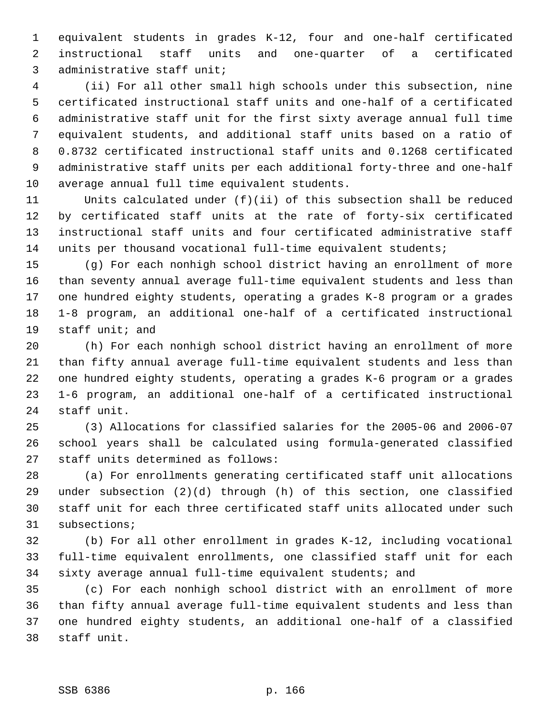equivalent students in grades K-12, four and one-half certificated instructional staff units and one-quarter of a certificated administrative staff unit;

 (ii) For all other small high schools under this subsection, nine certificated instructional staff units and one-half of a certificated administrative staff unit for the first sixty average annual full time equivalent students, and additional staff units based on a ratio of 0.8732 certificated instructional staff units and 0.1268 certificated administrative staff units per each additional forty-three and one-half average annual full time equivalent students.

 Units calculated under (f)(ii) of this subsection shall be reduced by certificated staff units at the rate of forty-six certificated instructional staff units and four certificated administrative staff units per thousand vocational full-time equivalent students;

 (g) For each nonhigh school district having an enrollment of more than seventy annual average full-time equivalent students and less than one hundred eighty students, operating a grades K-8 program or a grades 1-8 program, an additional one-half of a certificated instructional staff unit; and

 (h) For each nonhigh school district having an enrollment of more than fifty annual average full-time equivalent students and less than one hundred eighty students, operating a grades K-6 program or a grades 1-6 program, an additional one-half of a certificated instructional staff unit.

 (3) Allocations for classified salaries for the 2005-06 and 2006-07 school years shall be calculated using formula-generated classified staff units determined as follows:

 (a) For enrollments generating certificated staff unit allocations under subsection (2)(d) through (h) of this section, one classified staff unit for each three certificated staff units allocated under such subsections;

 (b) For all other enrollment in grades K-12, including vocational full-time equivalent enrollments, one classified staff unit for each sixty average annual full-time equivalent students; and

 (c) For each nonhigh school district with an enrollment of more than fifty annual average full-time equivalent students and less than one hundred eighty students, an additional one-half of a classified staff unit.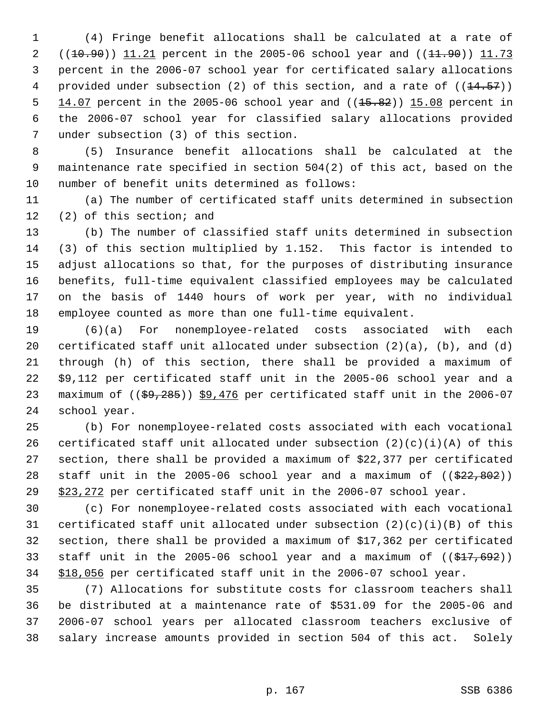(4) Fringe benefit allocations shall be calculated at a rate of 2 ((10.90)) 11.21 percent in the 2005-06 school year and ((11.90)) 11.73 percent in the 2006-07 school year for certificated salary allocations 4 provided under subsection (2) of this section, and a rate of  $((14.57))$  $14.07$  percent in the 2005-06 school year and  $((15.82))$  15.08 percent in the 2006-07 school year for classified salary allocations provided under subsection (3) of this section.

 (5) Insurance benefit allocations shall be calculated at the maintenance rate specified in section 504(2) of this act, based on the number of benefit units determined as follows:

 (a) The number of certificated staff units determined in subsection (2) of this section; and

 (b) The number of classified staff units determined in subsection (3) of this section multiplied by 1.152. This factor is intended to adjust allocations so that, for the purposes of distributing insurance benefits, full-time equivalent classified employees may be calculated on the basis of 1440 hours of work per year, with no individual employee counted as more than one full-time equivalent.

 (6)(a) For nonemployee-related costs associated with each certificated staff unit allocated under subsection (2)(a), (b), and (d) through (h) of this section, there shall be provided a maximum of \$9,112 per certificated staff unit in the 2005-06 school year and a 23 maximum of  $((\frac{69}{285}))$  \$9,476 per certificated staff unit in the 2006-07 school year.

 (b) For nonemployee-related costs associated with each vocational 26 certificated staff unit allocated under subsection  $(2)(c)(i)(A)$  of this section, there shall be provided a maximum of \$22,377 per certificated 28 staff unit in the 2005-06 school year and a maximum of  $($   $(*22, 802)$  ) 29 \$23,272 per certificated staff unit in the 2006-07 school year.

 (c) For nonemployee-related costs associated with each vocational certificated staff unit allocated under subsection (2)(c)(i)(B) of this section, there shall be provided a maximum of \$17,362 per certificated 33 staff unit in the 2005-06 school year and a maximum of  $((\frac{217}{692}))$ \$18,056 per certificated staff unit in the 2006-07 school year.

 (7) Allocations for substitute costs for classroom teachers shall be distributed at a maintenance rate of \$531.09 for the 2005-06 and 2006-07 school years per allocated classroom teachers exclusive of salary increase amounts provided in section 504 of this act. Solely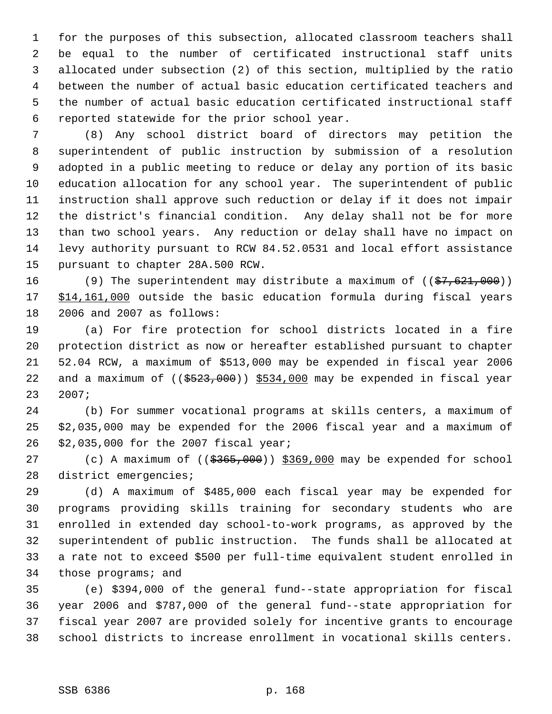for the purposes of this subsection, allocated classroom teachers shall be equal to the number of certificated instructional staff units allocated under subsection (2) of this section, multiplied by the ratio between the number of actual basic education certificated teachers and the number of actual basic education certificated instructional staff reported statewide for the prior school year.

 (8) Any school district board of directors may petition the superintendent of public instruction by submission of a resolution adopted in a public meeting to reduce or delay any portion of its basic education allocation for any school year. The superintendent of public instruction shall approve such reduction or delay if it does not impair the district's financial condition. Any delay shall not be for more than two school years. Any reduction or delay shall have no impact on levy authority pursuant to RCW 84.52.0531 and local effort assistance pursuant to chapter 28A.500 RCW.

16 (9) The superintendent may distribute a maximum of ((\$7,621,000)) 17 \$14,161,000 outside the basic education formula during fiscal years 2006 and 2007 as follows:

 (a) For fire protection for school districts located in a fire protection district as now or hereafter established pursuant to chapter 52.04 RCW, a maximum of \$513,000 may be expended in fiscal year 2006 22 and a maximum of  $((\frac{2523}{100}) \frac{5534}{100}$  may be expended in fiscal year 2007;

 (b) For summer vocational programs at skills centers, a maximum of \$2,035,000 may be expended for the 2006 fiscal year and a maximum of \$2,035,000 for the 2007 fiscal year;

27 (c) A maximum of  $((\frac{2565}{100}) \frac{1000}{100})$  may be expended for school district emergencies;

 (d) A maximum of \$485,000 each fiscal year may be expended for programs providing skills training for secondary students who are enrolled in extended day school-to-work programs, as approved by the superintendent of public instruction. The funds shall be allocated at a rate not to exceed \$500 per full-time equivalent student enrolled in those programs; and

 (e) \$394,000 of the general fund--state appropriation for fiscal year 2006 and \$787,000 of the general fund--state appropriation for fiscal year 2007 are provided solely for incentive grants to encourage school districts to increase enrollment in vocational skills centers.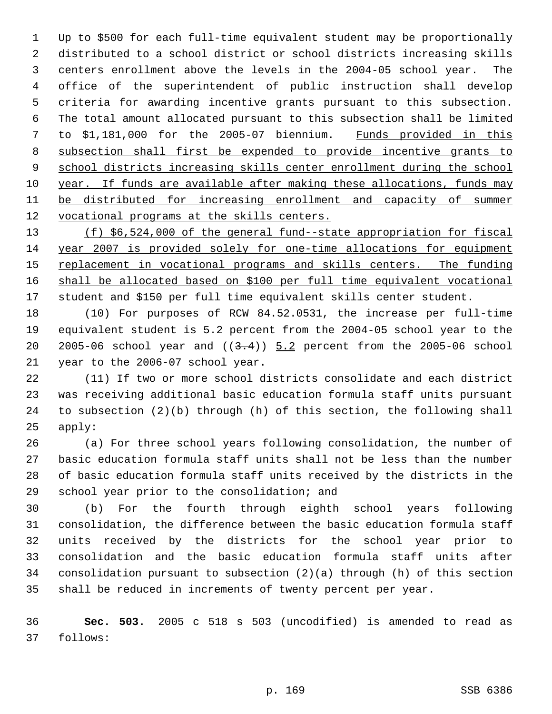Up to \$500 for each full-time equivalent student may be proportionally distributed to a school district or school districts increasing skills centers enrollment above the levels in the 2004-05 school year. The office of the superintendent of public instruction shall develop criteria for awarding incentive grants pursuant to this subsection. The total amount allocated pursuant to this subsection shall be limited to \$1,181,000 for the 2005-07 biennium. Funds provided in this subsection shall first be expended to provide incentive grants to 9 school districts increasing skills center enrollment during the school year. If funds are available after making these allocations, funds may 11 be distributed for increasing enrollment and capacity of summer 12 vocational programs at the skills centers.

 (f) \$6,524,000 of the general fund--state appropriation for fiscal year 2007 is provided solely for one-time allocations for equipment 15 replacement in vocational programs and skills centers. The funding shall be allocated based on \$100 per full time equivalent vocational student and \$150 per full time equivalent skills center student.

 (10) For purposes of RCW 84.52.0531, the increase per full-time equivalent student is 5.2 percent from the 2004-05 school year to the 20 2005-06 school year and  $((3.4))$   $5.2$  percent from the 2005-06 school year to the 2006-07 school year.

 (11) If two or more school districts consolidate and each district was receiving additional basic education formula staff units pursuant to subsection (2)(b) through (h) of this section, the following shall apply:

 (a) For three school years following consolidation, the number of basic education formula staff units shall not be less than the number of basic education formula staff units received by the districts in the school year prior to the consolidation; and

 (b) For the fourth through eighth school years following consolidation, the difference between the basic education formula staff units received by the districts for the school year prior to consolidation and the basic education formula staff units after consolidation pursuant to subsection (2)(a) through (h) of this section shall be reduced in increments of twenty percent per year.

 **Sec. 503.** 2005 c 518 s 503 (uncodified) is amended to read as follows: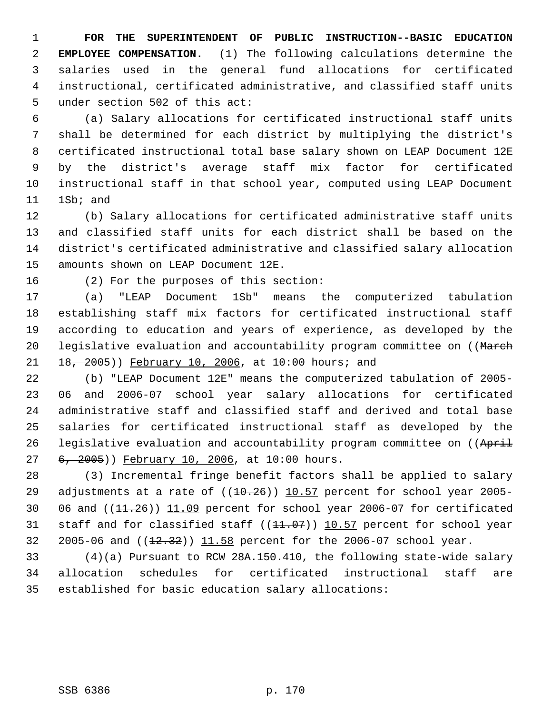**FOR THE SUPERINTENDENT OF PUBLIC INSTRUCTION--BASIC EDUCATION EMPLOYEE COMPENSATION.** (1) The following calculations determine the salaries used in the general fund allocations for certificated instructional, certificated administrative, and classified staff units under section 502 of this act:

 (a) Salary allocations for certificated instructional staff units shall be determined for each district by multiplying the district's certificated instructional total base salary shown on LEAP Document 12E by the district's average staff mix factor for certificated instructional staff in that school year, computed using LEAP Document 1Sb; and

 (b) Salary allocations for certificated administrative staff units and classified staff units for each district shall be based on the district's certificated administrative and classified salary allocation amounts shown on LEAP Document 12E.

(2) For the purposes of this section:

 (a) "LEAP Document 1Sb" means the computerized tabulation establishing staff mix factors for certificated instructional staff according to education and years of experience, as developed by the 20 legislative evaluation and accountability program committee on ((March 21 18, 2005)) February 10, 2006, at 10:00 hours; and

 (b) "LEAP Document 12E" means the computerized tabulation of 2005- 06 and 2006-07 school year salary allocations for certificated administrative staff and classified staff and derived and total base salaries for certificated instructional staff as developed by the 26 legislative evaluation and accountability program committee on ((April 27 6, 2005)) February 10, 2006, at 10:00 hours.

 (3) Incremental fringe benefit factors shall be applied to salary 29 adjustments at a rate of  $((10.26))$  10.57 percent for school year 2005-30 06 and  $(11.26)$   $11.09$  percent for school year 2006-07 for certificated 31 staff and for classified staff ((11.07)) 10.57 percent for school year 32 2005-06 and ((12.32)) 11.58 percent for the 2006-07 school year.

 (4)(a) Pursuant to RCW 28A.150.410, the following state-wide salary allocation schedules for certificated instructional staff are established for basic education salary allocations: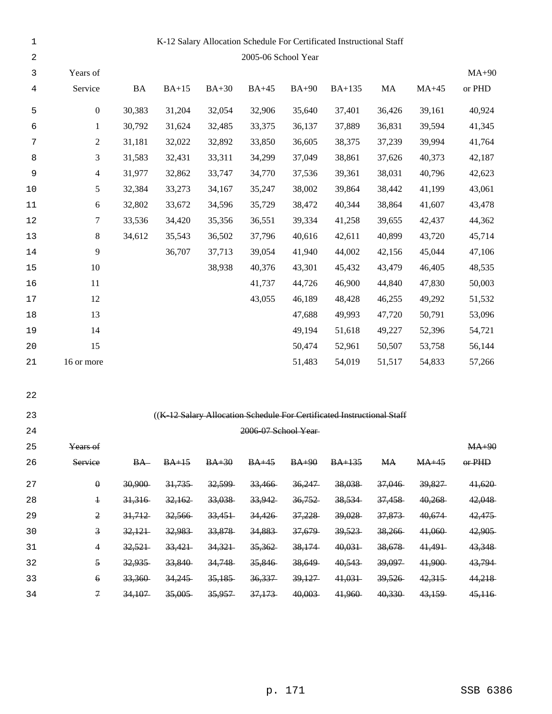| $\mathbf{1}$     |                         |           |         |         |                      |         | K-12 Salary Allocation Schedule For Certificated Instructional Staff   |           |         |          |
|------------------|-------------------------|-----------|---------|---------|----------------------|---------|------------------------------------------------------------------------|-----------|---------|----------|
| $\boldsymbol{2}$ |                         |           |         |         | 2005-06 School Year  |         |                                                                        |           |         |          |
| 3                | Years of                |           |         |         |                      |         |                                                                        |           |         | $MA+90$  |
| 4                | Service                 | <b>BA</b> | $BA+15$ | $BA+30$ | $BA+45$              | $BA+90$ | <b>BA+135</b>                                                          | MA        | $MA+45$ | or PHD   |
| 5                | $\boldsymbol{0}$        | 30,383    | 31,204  | 32,054  | 32,906               | 35,640  | 37,401                                                                 | 36,426    | 39,161  | 40,924   |
| 6                | $\mathbf{1}$            | 30,792    | 31,624  | 32,485  | 33,375               | 36,137  | 37,889                                                                 | 36,831    | 39,594  | 41,345   |
| 7                | $\overline{c}$          | 31,181    | 32,022  | 32,892  | 33,850               | 36,605  | 38,375                                                                 | 37,239    | 39,994  | 41,764   |
| 8                | $\mathfrak{Z}$          | 31,583    | 32,431  | 33,311  | 34,299               | 37,049  | 38,861                                                                 | 37,626    | 40,373  | 42,187   |
| 9                | $\overline{4}$          | 31,977    | 32,862  | 33,747  | 34,770               | 37,536  | 39,361                                                                 | 38,031    | 40,796  | 42,623   |
| $10$             | $\sqrt{5}$              | 32,384    | 33,273  | 34,167  | 35,247               | 38,002  | 39,864                                                                 | 38,442    | 41,199  | 43,061   |
| $11\,$           | 6                       | 32,802    | 33,672  | 34,596  | 35,729               | 38,472  | 40,344                                                                 | 38,864    | 41,607  | 43,478   |
| 12               | 7                       | 33,536    | 34,420  | 35,356  | 36,551               | 39,334  | 41,258                                                                 | 39,655    | 42,437  | 44,362   |
| 13               | $\,8\,$                 | 34,612    | 35,543  | 36,502  | 37,796               | 40,616  | 42,611                                                                 | 40,899    | 43,720  | 45,714   |
| 14               | 9                       |           | 36,707  | 37,713  | 39,054               | 41,940  | 44,002                                                                 | 42,156    | 45,044  | 47,106   |
| 15               | 10                      |           |         | 38,938  | 40,376               | 43,301  | 45,432                                                                 | 43,479    | 46,405  | 48,535   |
| 16               | 11                      |           |         |         | 41,737               | 44,726  | 46,900                                                                 | 44,840    | 47,830  | 50,003   |
| 17               | 12                      |           |         |         | 43,055               | 46,189  | 48,428                                                                 | 46,255    | 49,292  | 51,532   |
| 18               | 13                      |           |         |         |                      | 47,688  | 49,993                                                                 | 47,720    | 50,791  | 53,096   |
| 19               | 14                      |           |         |         |                      | 49,194  | 51,618                                                                 | 49,227    | 52,396  | 54,721   |
| $20$             | 15                      |           |         |         |                      | 50,474  | 52,961                                                                 | 50,507    | 53,758  | 56,144   |
| 21               | 16 or more              |           |         |         |                      | 51,483  | 54,019                                                                 | 51,517    | 54,833  | 57,266   |
| 22               |                         |           |         |         |                      |         |                                                                        |           |         |          |
| 23               |                         |           |         |         |                      |         | ((K-12 Salary Allocation Schedule For Certificated Instructional Staff |           |         |          |
| 24               |                         |           |         |         | 2006-07 School Year- |         |                                                                        |           |         |          |
| 25               | Years of                |           |         |         |                      |         |                                                                        |           |         | $MA+90$  |
| 26               | Service                 | $BA-$     | $BA+15$ | $BA+30$ | $BA+45$              | $BA+90$ | $BA+135$                                                               | <b>MA</b> | $MA+45$ | $or$ PHD |
| 27               | $\boldsymbol{\theta}$   | 30,900    | 31,735  | 32,599  | 33,466               | 36,247  | 38,038                                                                 | 37,046    | 39,827  | 41,620   |
| 28               | $\ddagger$              | 31,316    | 32,162  | 33,038  | 33,942               | 36,752  | 38,534                                                                 | 37,458    | 40,268  | 42,048   |
| 29               | $\mathfrak 2$           | 31,712    | 32,566  | 33,451  | 34,426               | 37,228  | 39,028                                                                 | 37,873    | 40,674  | 42,475   |
| 30               | $\overline{\mathbf{3}}$ | 32,121    | 32,983  | 33,878  | 34,883               | 37,679  | 39,523                                                                 | 38,266    | 41,060  | 42,905   |
| 31               | 4                       | 32,521    | 33,421  | 34,321  | 35,362               | 38,174  | 40,031                                                                 | 38,678    | 41,491  | 43,348   |
| 32               | $\mathfrak s$           | 32,935    | 33,840  | 34,748  | 35,846               | 38,649  | 40,543                                                                 | 39,097    | 41,900  | 43,794   |
| 33               | $\epsilon$              | 33,360    | 34,245  | 35,185  | 36,337               | 39,127  | 41,031                                                                 | 39,526    | 42,315  | 44,218   |
| 34               | $\overline{\tau}$       | 34,107    | 35,005  | 35,957  | 37,173               | 40,003  | 41,960                                                                 | 40,330    | 43,159  | 45,116   |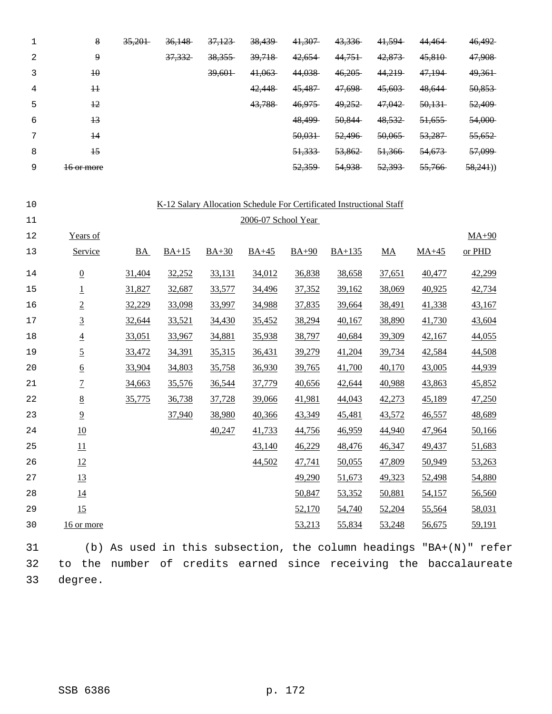|   | 8               | 35,201 | 36,148 | 37,123 | 38,439 | 41,307 | 43,336 | 41,594 | 44,464 | 46,492  |
|---|-----------------|--------|--------|--------|--------|--------|--------|--------|--------|---------|
| 2 | 9               |        | 37,332 | 38,355 | 39,718 | 42,654 | 44,751 | 42,873 | 45,810 | 47,908  |
|   | $\overline{40}$ |        |        | 39,601 | 41,063 | 44,038 | 46,205 | 44,219 | 47,194 | 49,361  |
| 4 | #               |        |        |        | 42,448 | 45,487 | 47,698 | 45,603 | 48,644 | 50,853  |
| 5 | $+2$            |        |        |        | 43,788 | 46,975 | 49,252 | 47,042 | 50,131 | 52,409  |
| 6 | $+3$            |        |        |        |        | 48,499 | 50,844 | 48,532 | 51,655 | 54,000  |
| ⇁ | $\overline{14}$ |        |        |        |        | 50,031 | 52,496 | 50,065 | 53,287 | 55,652  |
| 8 | $\overline{15}$ |        |        |        |        | 51,333 | 53,862 | 51,366 | 54,673 | 57,099  |
| 9 | 16 or more      |        |        |        |        | 52,359 | 54,938 | 52,393 | 55,766 | 58,241) |

| 10 |                 |           |         |         |                     |         | K-12 Salary Allocation Schedule For Certificated Instructional Staff |                  |         |         |
|----|-----------------|-----------|---------|---------|---------------------|---------|----------------------------------------------------------------------|------------------|---------|---------|
| 11 |                 |           |         |         | 2006-07 School Year |         |                                                                      |                  |         |         |
| 12 | Years of        |           |         |         |                     |         |                                                                      |                  |         | $MA+90$ |
| 13 | Service         | <b>BA</b> | $BA+15$ | $BA+30$ | $BA+45$             | $BA+90$ | $BA+135$                                                             | $\underline{MA}$ | $MA+45$ | or PHD  |
| 14 | $\underline{0}$ | 31,404    | 32,252  | 33,131  | 34,012              | 36,838  | 38,658                                                               | 37,651           | 40,477  | 42,299  |
| 15 | $\underline{1}$ | 31,827    | 32,687  | 33,577  | 34,496              | 37,352  | 39,162                                                               | 38,069           | 40,925  | 42,734  |
| 16 | $\overline{2}$  | 32,229    | 33,098  | 33,997  | 34,988              | 37,835  | 39,664                                                               | 38,491           | 41,338  | 43,167  |
| 17 | $\overline{3}$  | 32,644    | 33,521  | 34,430  | 35,452              | 38,294  | 40,167                                                               | 38,890           | 41,730  | 43,604  |
| 18 | $\underline{4}$ | 33,051    | 33,967  | 34,881  | 35,938              | 38,797  | 40,684                                                               | 39,309           | 42,167  | 44,055  |
| 19 | $\overline{2}$  | 33,472    | 34,391  | 35,315  | 36,431              | 39,279  | 41,204                                                               | 39,734           | 42,584  | 44,508  |
| 20 | $\underline{6}$ | 33,904    | 34,803  | 35,758  | 36,930              | 39,765  | 41,700                                                               | 40,170           | 43,005  | 44,939  |
| 21 | $\overline{1}$  | 34,663    | 35,576  | 36,544  | 37,779              | 40,656  | 42,644                                                               | 40,988           | 43,863  | 45,852  |
| 22 | $\underline{8}$ | 35,775    | 36,738  | 37,728  | 39,066              | 41,981  | 44,043                                                               | 42,273           | 45,189  | 47,250  |
| 23 | $\overline{9}$  |           | 37,940  | 38,980  | 40,366              | 43,349  | 45,481                                                               | 43,572           | 46,557  | 48,689  |
| 24 | 10              |           |         | 40,247  | 41,733              | 44,756  | 46,959                                                               | 44,940           | 47,964  | 50,166  |
| 25 | 11              |           |         |         | 43,140              | 46,229  | 48,476                                                               | 46,347           | 49,437  | 51,683  |
| 26 | 12              |           |         |         | 44,502              | 47,741  | 50,055                                                               | 47,809           | 50,949  | 53,263  |
| 27 | 13              |           |         |         |                     | 49,290  | 51,673                                                               | 49,323           | 52,498  | 54,880  |
| 28 | 14              |           |         |         |                     | 50,847  | 53,352                                                               | 50,881           | 54,157  | 56,560  |
| 29 | 15              |           |         |         |                     | 52,170  | 54,740                                                               | 52,204           | 55,564  | 58,031  |
| 30 | 16 or more      |           |         |         |                     | 53,213  | 55,834                                                               | 53,248           | 56,675  | 59,191  |

 (b) As used in this subsection, the column headings "BA+(N)" refer to the number of credits earned since receiving the baccalaureate degree.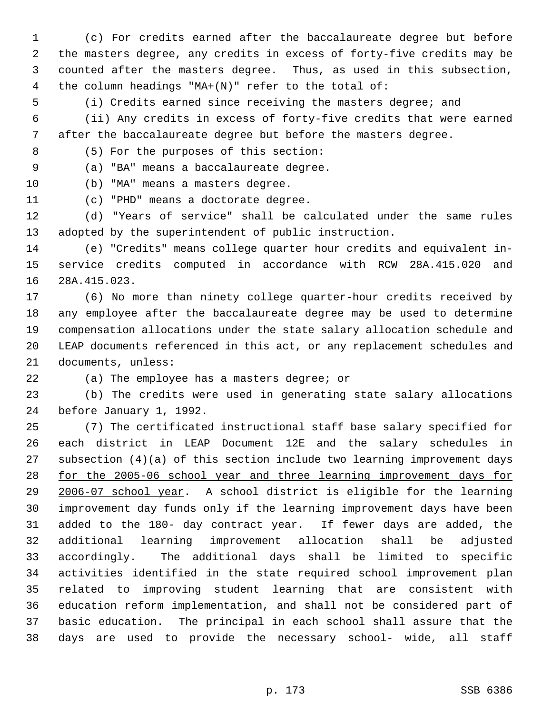(c) For credits earned after the baccalaureate degree but before the masters degree, any credits in excess of forty-five credits may be counted after the masters degree. Thus, as used in this subsection, the column headings "MA+(N)" refer to the total of:

(i) Credits earned since receiving the masters degree; and

 (ii) Any credits in excess of forty-five credits that were earned after the baccalaureate degree but before the masters degree.

(5) For the purposes of this section:

(a) "BA" means a baccalaureate degree.

(b) "MA" means a masters degree.

(c) "PHD" means a doctorate degree.

 (d) "Years of service" shall be calculated under the same rules adopted by the superintendent of public instruction.

 (e) "Credits" means college quarter hour credits and equivalent in- service credits computed in accordance with RCW 28A.415.020 and 28A.415.023.

 (6) No more than ninety college quarter-hour credits received by any employee after the baccalaureate degree may be used to determine compensation allocations under the state salary allocation schedule and LEAP documents referenced in this act, or any replacement schedules and documents, unless:

(a) The employee has a masters degree; or

 (b) The credits were used in generating state salary allocations before January 1, 1992.

 (7) The certificated instructional staff base salary specified for each district in LEAP Document 12E and the salary schedules in subsection (4)(a) of this section include two learning improvement days for the 2005-06 school year and three learning improvement days for 2006-07 school year. A school district is eligible for the learning improvement day funds only if the learning improvement days have been added to the 180- day contract year. If fewer days are added, the additional learning improvement allocation shall be adjusted accordingly. The additional days shall be limited to specific activities identified in the state required school improvement plan related to improving student learning that are consistent with education reform implementation, and shall not be considered part of basic education. The principal in each school shall assure that the days are used to provide the necessary school- wide, all staff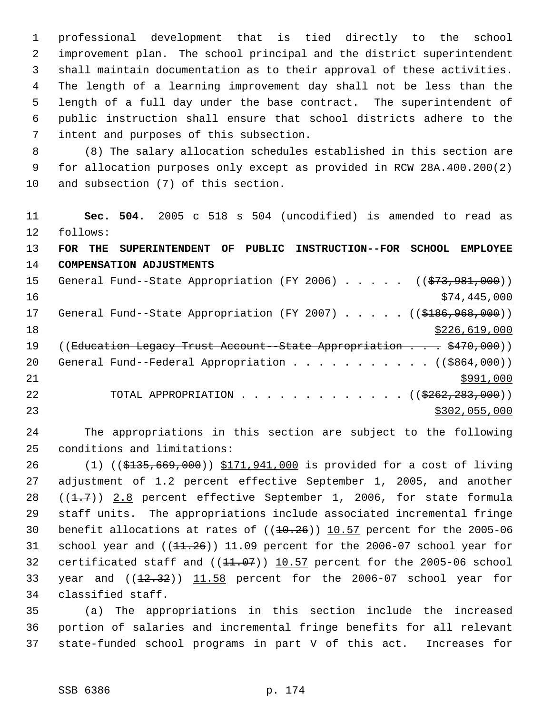professional development that is tied directly to the school improvement plan. The school principal and the district superintendent shall maintain documentation as to their approval of these activities. The length of a learning improvement day shall not be less than the length of a full day under the base contract. The superintendent of public instruction shall ensure that school districts adhere to the intent and purposes of this subsection.

 (8) The salary allocation schedules established in this section are for allocation purposes only except as provided in RCW 28A.400.200(2) and subsection (7) of this section.

 **Sec. 504.** 2005 c 518 s 504 (uncodified) is amended to read as follows: **FOR THE SUPERINTENDENT OF PUBLIC INSTRUCTION--FOR SCHOOL EMPLOYEE COMPENSATION ADJUSTMENTS** 15 General Fund--State Appropriation (FY 2006) . . . . . ((\$73,981,000))  $\frac{16}{16}$   $\frac{16}{16}$   $\frac{16}{16}$   $\frac{16}{16}$   $\frac{16}{16}$   $\frac{16}{16}$   $\frac{16}{16}$   $\frac{16}{16}$   $\frac{16}{16}$   $\frac{16}{16}$   $\frac{16}{16}$   $\frac{16}{16}$   $\frac{16}{16}$   $\frac{16}{16}$   $\frac{16}{16}$   $\frac{16}{16}$   $\frac{16}{16}$   $\frac{16}{16}$   $\frac{1$ 17 General Fund--State Appropriation (FY 2007) . . . . . ((\$186,968,000)) \$226,619,000 19 ((Education Legacy Trust Account - State Appropriation . . . \$470,000)) 20 General Fund--Federal Appropriation . . . . . . . . . . ((\$864,000))  $\frac{$991,000}{}$ 22 TOTAL APPROPRIATION . . . . . . . . . . . . . ((\$262,283,000)) \$302,055,000

 The appropriations in this section are subject to the following conditions and limitations:

 (1) ((\$135,669,000)) \$171,941,000 is provided for a cost of living adjustment of 1.2 percent effective September 1, 2005, and another  $((1.7))$  2.8 percent effective September 1, 2006, for state formula staff units. The appropriations include associated incremental fringe 30 benefit allocations at rates of  $((10.26))$  10.57 percent for the 2005-06 31 school year and  $((11.26))$   $11.09$  percent for the 2006-07 school year for 32 certificated staff and  $((11.07))$   $10.57$  percent for the 2005-06 school 33 year and  $((12.32))$   $11.58$  percent for the 2006-07 school year for classified staff.

 (a) The appropriations in this section include the increased portion of salaries and incremental fringe benefits for all relevant state-funded school programs in part V of this act. Increases for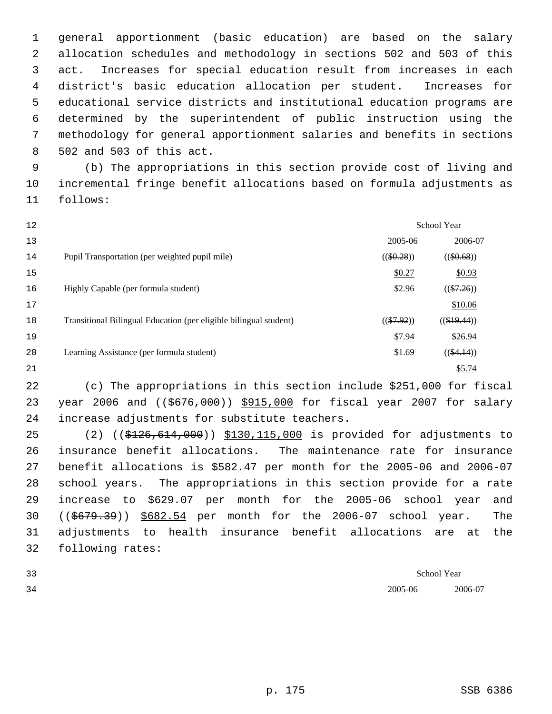general apportionment (basic education) are based on the salary allocation schedules and methodology in sections 502 and 503 of this act. Increases for special education result from increases in each district's basic education allocation per student. Increases for educational service districts and institutional education programs are determined by the superintendent of public instruction using the methodology for general apportionment salaries and benefits in sections 502 and 503 of this act.

 (b) The appropriations in this section provide cost of living and incremental fringe benefit allocations based on formula adjustments as follows:

| 12 |                                                                   |              | <b>School Year</b> |
|----|-------------------------------------------------------------------|--------------|--------------------|
| 13 |                                                                   | 2005-06      | 2006-07            |
| 14 | Pupil Transportation (per weighted pupil mile)                    | $((\$0.28))$ | $((\$0.68))$       |
| 15 |                                                                   | \$0.27       | \$0.93             |
| 16 | Highly Capable (per formula student)                              | \$2.96       | $((\$7.26))$       |
| 17 |                                                                   |              | \$10.06            |
| 18 | Transitional Bilingual Education (per eligible bilingual student) | $((\$7.92))$ | $((\$19.44))$      |
| 19 |                                                                   | \$7.94       | \$26.94            |
| 20 | Learning Assistance (per formula student)                         | \$1.69       | $((\$4.14))$       |
| 21 |                                                                   |              | \$5.74             |

 (c) The appropriations in this section include \$251,000 for fiscal 23 year 2006 and ((\$676,000)) \$915,000 for fiscal year 2007 for salary increase adjustments for substitute teachers.

 (2) ((\$126,614,000)) \$130,115,000 is provided for adjustments to insurance benefit allocations. The maintenance rate for insurance benefit allocations is \$582.47 per month for the 2005-06 and 2006-07 school years. The appropriations in this section provide for a rate increase to \$629.07 per month for the 2005-06 school year and ((\$679.39)) \$682.54 per month for the 2006-07 school year. The adjustments to health insurance benefit allocations are at the following rates:

| 33 |         | School Year<br>. |
|----|---------|------------------|
| 34 | 2005-06 | 2006-07          |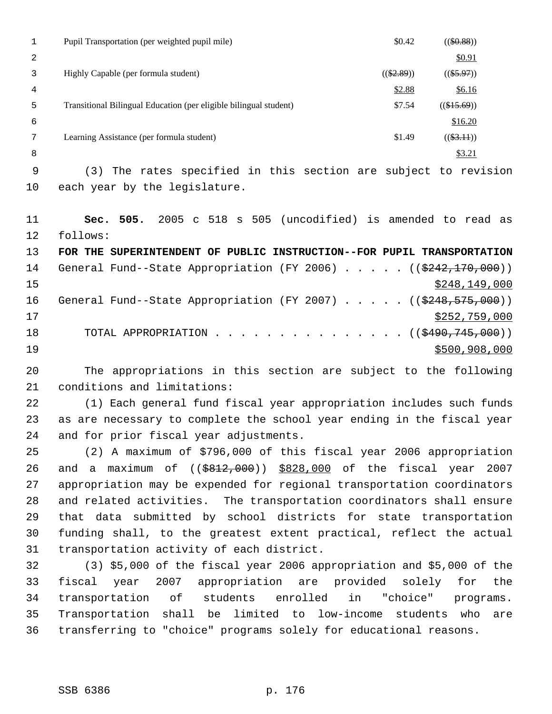|    | \$0.42<br>Pupil Transportation (per weighted pupil mile)                    |                    | $((\$0.88))$ |
|----|-----------------------------------------------------------------------------|--------------------|--------------|
| 2  |                                                                             |                    | \$0.91       |
| 3  | $((\$2.89))$<br>Highly Capable (per formula student)                        |                    | $((\$5.97))$ |
| 4  | \$2.88                                                                      |                    | \$6.16       |
| 5  | \$7.54<br>Transitional Bilingual Education (per eligible bilingual student) | $((\$15.69))$      |              |
| 6  |                                                                             |                    | \$16.20      |
| 7  | Learning Assistance (per formula student)<br>\$1.49                         |                    | $((\$3.11))$ |
| 8  |                                                                             |                    | \$3.21       |
| 9  | (3) The rates specified in this section are subject to revision             |                    |              |
| 10 | each year by the legislature.                                               |                    |              |
|    |                                                                             |                    |              |
| 11 | s 505<br>(uncodified)<br>2005<br>505.<br>518<br>Sec.<br>$\mathbf{C}$        | is amended to read | as           |

 follows: **FOR THE SUPERINTENDENT OF PUBLIC INSTRUCTION--FOR PUPIL TRANSPORTATION** 14 General Fund--State Appropriation (FY 2006) . . . . . ((\$242,170,000)) \$248,149,000 16 General Fund--State Appropriation (FY 2007) . . . . . ((\$248,575,000))  $\frac{17}{2}$   $\frac{17}{2}$   $\frac{17}{2}$   $\frac{17}{2}$   $\frac{17}{2}$   $\frac{17}{2}$   $\frac{17}{2}$   $\frac{17}{2}$   $\frac{17}{2}$   $\frac{17}{2}$   $\frac{17}{2}$   $\frac{17}{2}$   $\frac{17}{2}$   $\frac{17}{2}$   $\frac{17}{2}$   $\frac{17}{2}$   $\frac{17}{2}$   $\frac{17}{2}$   $\frac{17}{2}$   $\frac{17}{2}$  18 TOTAL APPROPRIATION . . . . . . . . . . . . . . . ((\$490,745,000))

 The appropriations in this section are subject to the following conditions and limitations:

\$500,908,000

 (1) Each general fund fiscal year appropriation includes such funds as are necessary to complete the school year ending in the fiscal year and for prior fiscal year adjustments.

 (2) A maximum of \$796,000 of this fiscal year 2006 appropriation and a maximum of ((\$812,000)) \$828,000 of the fiscal year 2007 appropriation may be expended for regional transportation coordinators and related activities. The transportation coordinators shall ensure that data submitted by school districts for state transportation funding shall, to the greatest extent practical, reflect the actual transportation activity of each district.

 (3) \$5,000 of the fiscal year 2006 appropriation and \$5,000 of the fiscal year 2007 appropriation are provided solely for the transportation of students enrolled in "choice" programs. Transportation shall be limited to low-income students who are transferring to "choice" programs solely for educational reasons.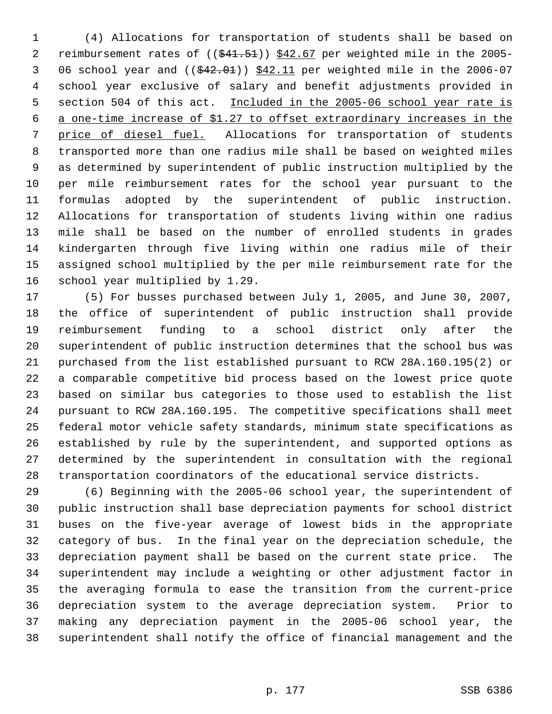(4) Allocations for transportation of students shall be based on 2 reimbursement rates of ((\$41.51)) \$42.67 per weighted mile in the 2005-3 06 school year and  $($   $(*42.01)$   $*42.11$  per weighted mile in the 2006-07 school year exclusive of salary and benefit adjustments provided in 5 section 504 of this act. Included in the 2005-06 school year rate is a one-time increase of \$1.27 to offset extraordinary increases in the price of diesel fuel. Allocations for transportation of students transported more than one radius mile shall be based on weighted miles as determined by superintendent of public instruction multiplied by the per mile reimbursement rates for the school year pursuant to the formulas adopted by the superintendent of public instruction. Allocations for transportation of students living within one radius mile shall be based on the number of enrolled students in grades kindergarten through five living within one radius mile of their assigned school multiplied by the per mile reimbursement rate for the school year multiplied by 1.29.

 (5) For busses purchased between July 1, 2005, and June 30, 2007, the office of superintendent of public instruction shall provide reimbursement funding to a school district only after the superintendent of public instruction determines that the school bus was purchased from the list established pursuant to RCW 28A.160.195(2) or a comparable competitive bid process based on the lowest price quote based on similar bus categories to those used to establish the list pursuant to RCW 28A.160.195. The competitive specifications shall meet federal motor vehicle safety standards, minimum state specifications as established by rule by the superintendent, and supported options as determined by the superintendent in consultation with the regional transportation coordinators of the educational service districts.

 (6) Beginning with the 2005-06 school year, the superintendent of public instruction shall base depreciation payments for school district buses on the five-year average of lowest bids in the appropriate category of bus. In the final year on the depreciation schedule, the depreciation payment shall be based on the current state price. The superintendent may include a weighting or other adjustment factor in the averaging formula to ease the transition from the current-price depreciation system to the average depreciation system. Prior to making any depreciation payment in the 2005-06 school year, the superintendent shall notify the office of financial management and the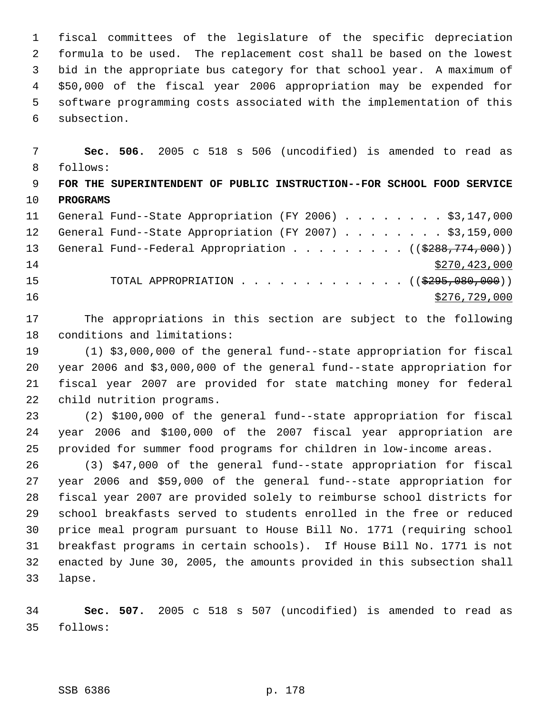fiscal committees of the legislature of the specific depreciation formula to be used. The replacement cost shall be based on the lowest bid in the appropriate bus category for that school year. A maximum of \$50,000 of the fiscal year 2006 appropriation may be expended for software programming costs associated with the implementation of this subsection.

 **Sec. 506.** 2005 c 518 s 506 (uncodified) is amended to read as follows: **FOR THE SUPERINTENDENT OF PUBLIC INSTRUCTION--FOR SCHOOL FOOD SERVICE PROGRAMS** General Fund--State Appropriation (FY 2006) . . . . . . . . \$3,147,000 12 General Fund--State Appropriation (FY 2007) . . . . . . . . \$3,159,000 13 General Fund--Federal Appropriation . . . . . . . . . ((\$288,774,000))  $$270,423,000$ 15 TOTAL APPROPRIATION . . . . . . . . . . . . . ((\$295,080,000))  $\frac{$276,729,000}{200}$ 

 The appropriations in this section are subject to the following conditions and limitations:

 (1) \$3,000,000 of the general fund--state appropriation for fiscal year 2006 and \$3,000,000 of the general fund--state appropriation for fiscal year 2007 are provided for state matching money for federal child nutrition programs.

 (2) \$100,000 of the general fund--state appropriation for fiscal year 2006 and \$100,000 of the 2007 fiscal year appropriation are provided for summer food programs for children in low-income areas.

 (3) \$47,000 of the general fund--state appropriation for fiscal year 2006 and \$59,000 of the general fund--state appropriation for fiscal year 2007 are provided solely to reimburse school districts for school breakfasts served to students enrolled in the free or reduced price meal program pursuant to House Bill No. 1771 (requiring school breakfast programs in certain schools). If House Bill No. 1771 is not enacted by June 30, 2005, the amounts provided in this subsection shall lapse.

 **Sec. 507.** 2005 c 518 s 507 (uncodified) is amended to read as follows: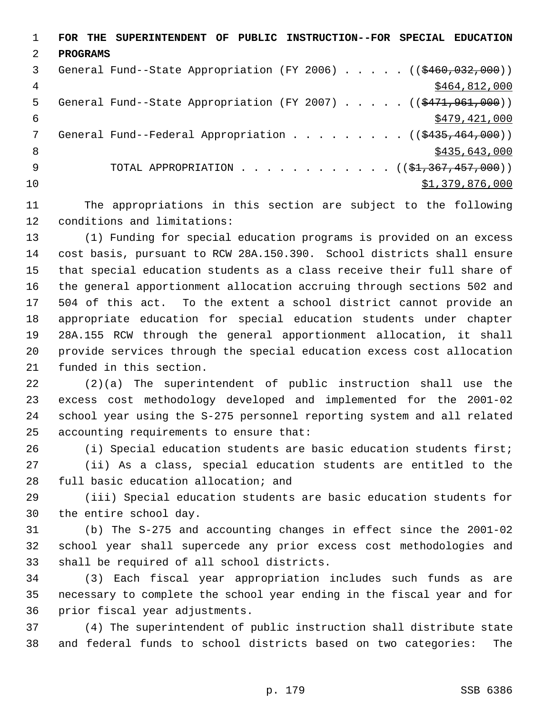**FOR THE SUPERINTENDENT OF PUBLIC INSTRUCTION--FOR SPECIAL EDUCATION PROGRAMS** 3 General Fund--State Appropriation (FY 2006) . . . . . ((\$460,032,000)) 4 \$464,812,000 5 General Fund--State Appropriation (FY 2007) . . . . . ((\$471,961,000))  $\frac{$479,421,000}{5}$ 7 General Fund--Federal Appropriation . . . . . . . . ((\$435,464,000)) 8 \$435,643,000 \$435,643,000 \$435,643,000 \$435,643,000 \$435,643,000 \$435,643,000 \$ 9 TOTAL APPROPRIATION . . . . . . . . . . . ((\$<del>1,367,457,000</del>))  $31,379,876,000$ 

 The appropriations in this section are subject to the following conditions and limitations:

 (1) Funding for special education programs is provided on an excess cost basis, pursuant to RCW 28A.150.390. School districts shall ensure that special education students as a class receive their full share of the general apportionment allocation accruing through sections 502 and 504 of this act. To the extent a school district cannot provide an appropriate education for special education students under chapter 28A.155 RCW through the general apportionment allocation, it shall provide services through the special education excess cost allocation funded in this section.

 (2)(a) The superintendent of public instruction shall use the excess cost methodology developed and implemented for the 2001-02 school year using the S-275 personnel reporting system and all related accounting requirements to ensure that:

 (i) Special education students are basic education students first; (ii) As a class, special education students are entitled to the full basic education allocation; and

 (iii) Special education students are basic education students for the entire school day.

 (b) The S-275 and accounting changes in effect since the 2001-02 school year shall supercede any prior excess cost methodologies and shall be required of all school districts.

 (3) Each fiscal year appropriation includes such funds as are necessary to complete the school year ending in the fiscal year and for prior fiscal year adjustments.

 (4) The superintendent of public instruction shall distribute state and federal funds to school districts based on two categories: The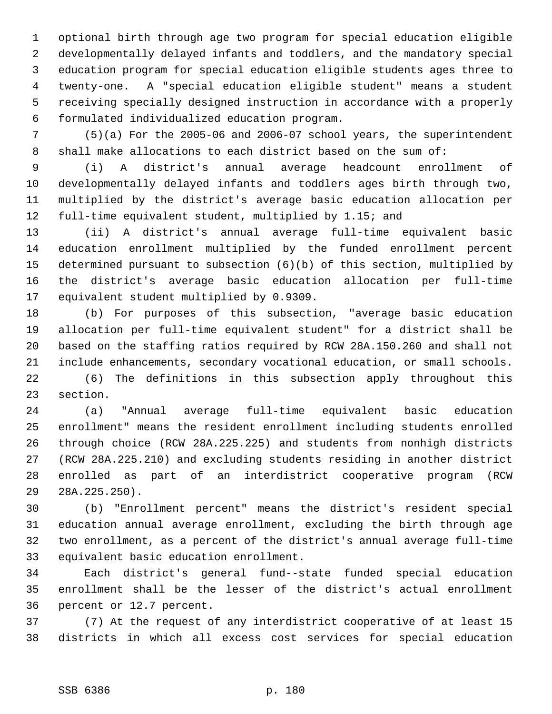optional birth through age two program for special education eligible developmentally delayed infants and toddlers, and the mandatory special education program for special education eligible students ages three to twenty-one. A "special education eligible student" means a student receiving specially designed instruction in accordance with a properly formulated individualized education program.

 (5)(a) For the 2005-06 and 2006-07 school years, the superintendent shall make allocations to each district based on the sum of:

 (i) A district's annual average headcount enrollment of developmentally delayed infants and toddlers ages birth through two, multiplied by the district's average basic education allocation per full-time equivalent student, multiplied by 1.15; and

 (ii) A district's annual average full-time equivalent basic education enrollment multiplied by the funded enrollment percent determined pursuant to subsection (6)(b) of this section, multiplied by the district's average basic education allocation per full-time equivalent student multiplied by 0.9309.

 (b) For purposes of this subsection, "average basic education allocation per full-time equivalent student" for a district shall be based on the staffing ratios required by RCW 28A.150.260 and shall not include enhancements, secondary vocational education, or small schools.

 (6) The definitions in this subsection apply throughout this section.

 (a) "Annual average full-time equivalent basic education enrollment" means the resident enrollment including students enrolled through choice (RCW 28A.225.225) and students from nonhigh districts (RCW 28A.225.210) and excluding students residing in another district enrolled as part of an interdistrict cooperative program (RCW 28A.225.250).

 (b) "Enrollment percent" means the district's resident special education annual average enrollment, excluding the birth through age two enrollment, as a percent of the district's annual average full-time equivalent basic education enrollment.

 Each district's general fund--state funded special education enrollment shall be the lesser of the district's actual enrollment percent or 12.7 percent.

 (7) At the request of any interdistrict cooperative of at least 15 districts in which all excess cost services for special education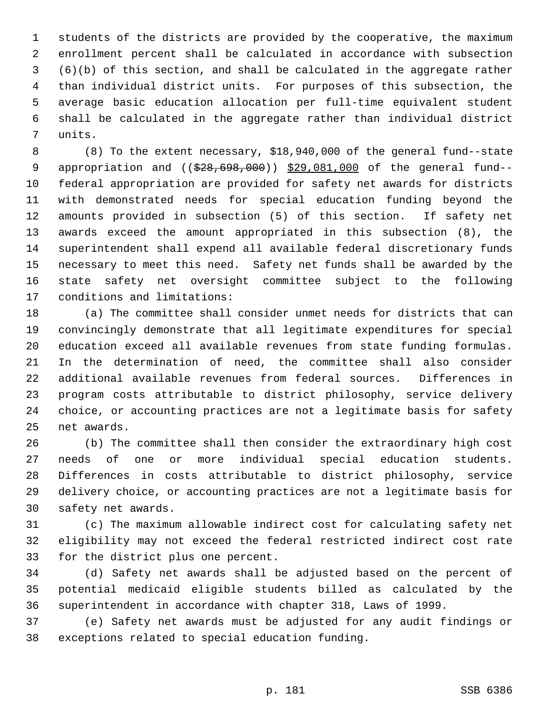students of the districts are provided by the cooperative, the maximum enrollment percent shall be calculated in accordance with subsection (6)(b) of this section, and shall be calculated in the aggregate rather than individual district units. For purposes of this subsection, the average basic education allocation per full-time equivalent student shall be calculated in the aggregate rather than individual district units.

 (8) To the extent necessary, \$18,940,000 of the general fund--state 9 appropriation and ((\$28,698,000)) \$29,081,000 of the general fund-- federal appropriation are provided for safety net awards for districts with demonstrated needs for special education funding beyond the amounts provided in subsection (5) of this section. If safety net awards exceed the amount appropriated in this subsection (8), the superintendent shall expend all available federal discretionary funds necessary to meet this need. Safety net funds shall be awarded by the state safety net oversight committee subject to the following conditions and limitations:

 (a) The committee shall consider unmet needs for districts that can convincingly demonstrate that all legitimate expenditures for special education exceed all available revenues from state funding formulas. In the determination of need, the committee shall also consider additional available revenues from federal sources. Differences in program costs attributable to district philosophy, service delivery choice, or accounting practices are not a legitimate basis for safety net awards.

 (b) The committee shall then consider the extraordinary high cost needs of one or more individual special education students. Differences in costs attributable to district philosophy, service delivery choice, or accounting practices are not a legitimate basis for safety net awards.

 (c) The maximum allowable indirect cost for calculating safety net eligibility may not exceed the federal restricted indirect cost rate for the district plus one percent.

 (d) Safety net awards shall be adjusted based on the percent of potential medicaid eligible students billed as calculated by the superintendent in accordance with chapter 318, Laws of 1999.

 (e) Safety net awards must be adjusted for any audit findings or exceptions related to special education funding.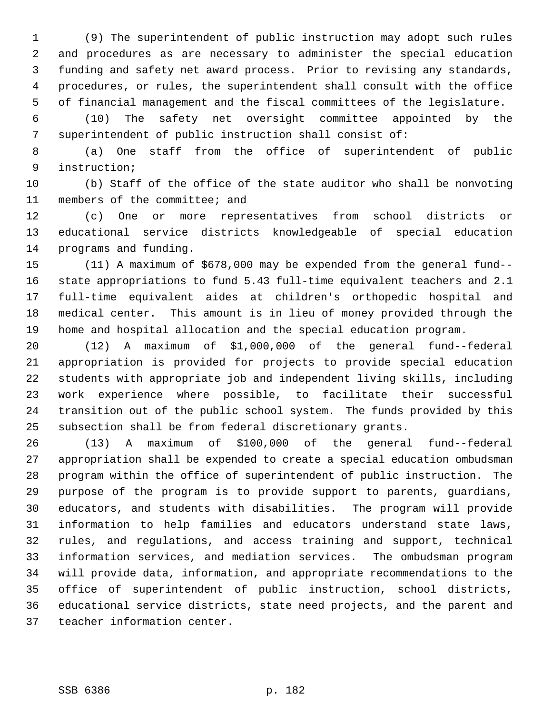(9) The superintendent of public instruction may adopt such rules and procedures as are necessary to administer the special education funding and safety net award process. Prior to revising any standards, procedures, or rules, the superintendent shall consult with the office of financial management and the fiscal committees of the legislature.

 (10) The safety net oversight committee appointed by the superintendent of public instruction shall consist of:

 (a) One staff from the office of superintendent of public instruction;

 (b) Staff of the office of the state auditor who shall be nonvoting members of the committee; and

 (c) One or more representatives from school districts or educational service districts knowledgeable of special education programs and funding.

 (11) A maximum of \$678,000 may be expended from the general fund-- state appropriations to fund 5.43 full-time equivalent teachers and 2.1 full-time equivalent aides at children's orthopedic hospital and medical center. This amount is in lieu of money provided through the home and hospital allocation and the special education program.

 (12) A maximum of \$1,000,000 of the general fund--federal appropriation is provided for projects to provide special education students with appropriate job and independent living skills, including work experience where possible, to facilitate their successful transition out of the public school system. The funds provided by this subsection shall be from federal discretionary grants.

 (13) A maximum of \$100,000 of the general fund--federal appropriation shall be expended to create a special education ombudsman program within the office of superintendent of public instruction. The purpose of the program is to provide support to parents, guardians, educators, and students with disabilities. The program will provide information to help families and educators understand state laws, rules, and regulations, and access training and support, technical information services, and mediation services. The ombudsman program will provide data, information, and appropriate recommendations to the office of superintendent of public instruction, school districts, educational service districts, state need projects, and the parent and teacher information center.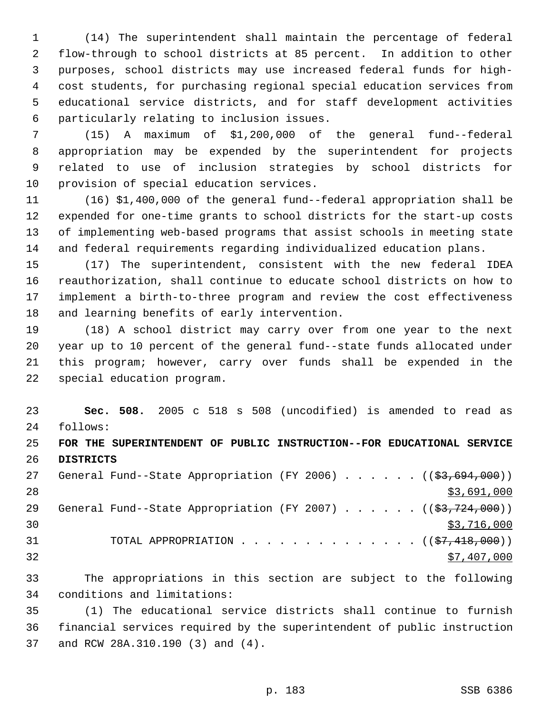(14) The superintendent shall maintain the percentage of federal flow-through to school districts at 85 percent. In addition to other purposes, school districts may use increased federal funds for high- cost students, for purchasing regional special education services from educational service districts, and for staff development activities particularly relating to inclusion issues.

 (15) A maximum of \$1,200,000 of the general fund--federal appropriation may be expended by the superintendent for projects related to use of inclusion strategies by school districts for provision of special education services.

 (16) \$1,400,000 of the general fund--federal appropriation shall be expended for one-time grants to school districts for the start-up costs of implementing web-based programs that assist schools in meeting state and federal requirements regarding individualized education plans.

 (17) The superintendent, consistent with the new federal IDEA reauthorization, shall continue to educate school districts on how to implement a birth-to-three program and review the cost effectiveness and learning benefits of early intervention.

 (18) A school district may carry over from one year to the next year up to 10 percent of the general fund--state funds allocated under this program; however, carry over funds shall be expended in the special education program.

 **Sec. 508.** 2005 c 518 s 508 (uncodified) is amended to read as follows:

# **FOR THE SUPERINTENDENT OF PUBLIC INSTRUCTION--FOR EDUCATIONAL SERVICE DISTRICTS**

27 General Fund--State Appropriation (FY 2006) . . . . . . ((\$3,694,000)) \$3,691,000 29 General Fund--State Appropriation (FY 2007) . . . . . . ((\$3,724,000))  $30 \times 3716,000$ 31 TOTAL APPROPRIATION . . . . . . . . . . . . . ((<del>\$7,418,000</del>)) \$7,407,000

 The appropriations in this section are subject to the following conditions and limitations:

 (1) The educational service districts shall continue to furnish financial services required by the superintendent of public instruction and RCW 28A.310.190 (3) and (4).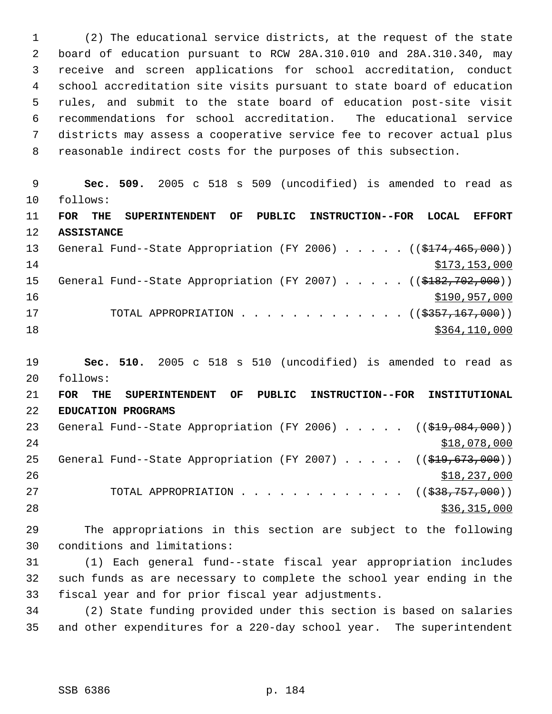(2) The educational service districts, at the request of the state board of education pursuant to RCW 28A.310.010 and 28A.310.340, may receive and screen applications for school accreditation, conduct school accreditation site visits pursuant to state board of education rules, and submit to the state board of education post-site visit recommendations for school accreditation. The educational service districts may assess a cooperative service fee to recover actual plus reasonable indirect costs for the purposes of this subsection.

 **Sec. 509.** 2005 c 518 s 509 (uncodified) is amended to read as follows: **FOR THE SUPERINTENDENT OF PUBLIC INSTRUCTION--FOR LOCAL EFFORT ASSISTANCE** 13 General Fund--State Appropriation (FY 2006) . . . . . ((\$174,465,000))  $$173,153,000$ 15 General Fund--State Appropriation (FY 2007) . . . . . ((\$182,702,000)) \$190,957,000 17 TOTAL APPROPRIATION . . . . . . . . . . . . ((\$<del>357,167,000</del>)) \$364,110,000

 **Sec. 510.** 2005 c 518 s 510 (uncodified) is amended to read as follows:

 **FOR THE SUPERINTENDENT OF PUBLIC INSTRUCTION--FOR INSTITUTIONAL EDUCATION PROGRAMS** 23 General Fund--State Appropriation (FY 2006) . . . . . ((\$19,084,000))  $518,078,000$ 25 General Fund--State Appropriation (FY 2007) . . . . . ((\$19,673,000))  $$18,237,000$ 27 TOTAL APPROPRIATION . . . . . . . . . . . . ((<del>\$38,757,000</del>)) 28 \$36,315,000

 The appropriations in this section are subject to the following conditions and limitations:

 (1) Each general fund--state fiscal year appropriation includes such funds as are necessary to complete the school year ending in the fiscal year and for prior fiscal year adjustments.

 (2) State funding provided under this section is based on salaries and other expenditures for a 220-day school year. The superintendent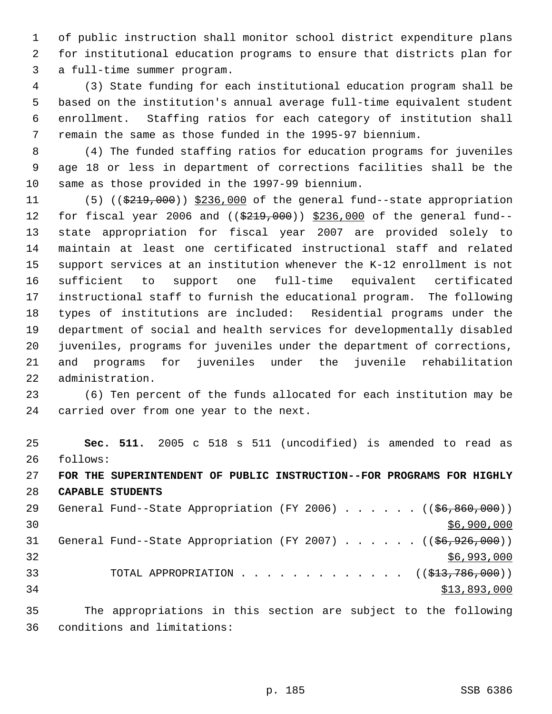of public instruction shall monitor school district expenditure plans for institutional education programs to ensure that districts plan for a full-time summer program.

 (3) State funding for each institutional education program shall be based on the institution's annual average full-time equivalent student enrollment. Staffing ratios for each category of institution shall remain the same as those funded in the 1995-97 biennium.

 (4) The funded staffing ratios for education programs for juveniles age 18 or less in department of corrections facilities shall be the same as those provided in the 1997-99 biennium.

11 (5) ((\$219,000)) \$236,000 of the general fund--state appropriation 12 for fiscal year 2006 and ((\$219,000)) \$236,000 of the general fund-- state appropriation for fiscal year 2007 are provided solely to maintain at least one certificated instructional staff and related support services at an institution whenever the K-12 enrollment is not sufficient to support one full-time equivalent certificated instructional staff to furnish the educational program. The following types of institutions are included: Residential programs under the department of social and health services for developmentally disabled juveniles, programs for juveniles under the department of corrections, and programs for juveniles under the juvenile rehabilitation administration.

 (6) Ten percent of the funds allocated for each institution may be carried over from one year to the next.

 **Sec. 511.** 2005 c 518 s 511 (uncodified) is amended to read as follows: **FOR THE SUPERINTENDENT OF PUBLIC INSTRUCTION--FOR PROGRAMS FOR HIGHLY CAPABLE STUDENTS** 29 General Fund--State Appropriation (FY 2006) . . . . . . ((\$6,860,000))  $\frac{$6,900,000}{900}$ 31 General Fund--State Appropriation (FY 2007) . . . . . . ((\$6,926,000))

 \$6,993,000 33 TOTAL APPROPRIATION . . . . . . . . . . . . ((<del>\$13,786,000</del>)) \$13,893,000

 The appropriations in this section are subject to the following conditions and limitations:

p. 185 SSB 6386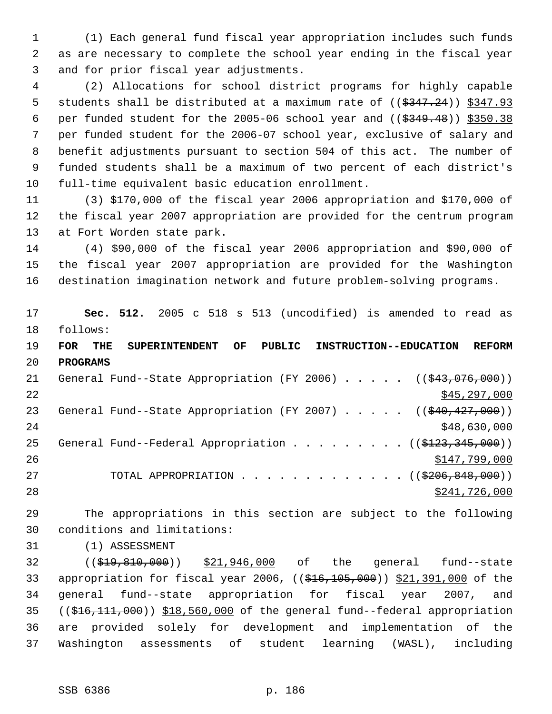(1) Each general fund fiscal year appropriation includes such funds as are necessary to complete the school year ending in the fiscal year and for prior fiscal year adjustments.

 (2) Allocations for school district programs for highly capable 5 students shall be distributed at a maximum rate of  $((\frac{2347.24}{})$   $\frac{2347.93}{})$ 6 per funded student for the 2005-06 school year and  $($   $(*349.48)$   $)*350.38$  per funded student for the 2006-07 school year, exclusive of salary and benefit adjustments pursuant to section 504 of this act. The number of funded students shall be a maximum of two percent of each district's full-time equivalent basic education enrollment.

 (3) \$170,000 of the fiscal year 2006 appropriation and \$170,000 of the fiscal year 2007 appropriation are provided for the centrum program at Fort Worden state park.

 (4) \$90,000 of the fiscal year 2006 appropriation and \$90,000 of the fiscal year 2007 appropriation are provided for the Washington destination imagination network and future problem-solving programs.

 **Sec. 512.** 2005 c 518 s 513 (uncodified) is amended to read as follows:

 **FOR THE SUPERINTENDENT OF PUBLIC INSTRUCTION--EDUCATION REFORM PROGRAMS**

21 General Fund--State Appropriation (FY 2006) . . . . . ((\$43,076,000))  $\frac{$45,297,000}{2}$ 23 General Fund--State Appropriation (FY 2007) . . . . . ((\$40,427,000)) 24 \$48,630,000 \$48,630,000 \$48,630,000 \$48,630,000 \$48,630,000 \$48,630,000 \$48,630,000 \$48,630,000 \$1 25 General Fund--Federal Appropriation . . . . . . . .  $($   $($ \$123,345,000))  $$147,799,000$ 27 TOTAL APPROPRIATION . . . . . . . . . . . . ((\$206,848,000)) \$241,726,000

 The appropriations in this section are subject to the following conditions and limitations:

(1) ASSESSMENT

32 ((\$19,810,000)) \$21,946,000 of the general fund--state 33 appropriation for fiscal year 2006, ((\$16,105,000)) \$21,391,000 of the general fund--state appropriation for fiscal year 2007, and ((\$16,111,000)) \$18,560,000 of the general fund--federal appropriation are provided solely for development and implementation of the Washington assessments of student learning (WASL), including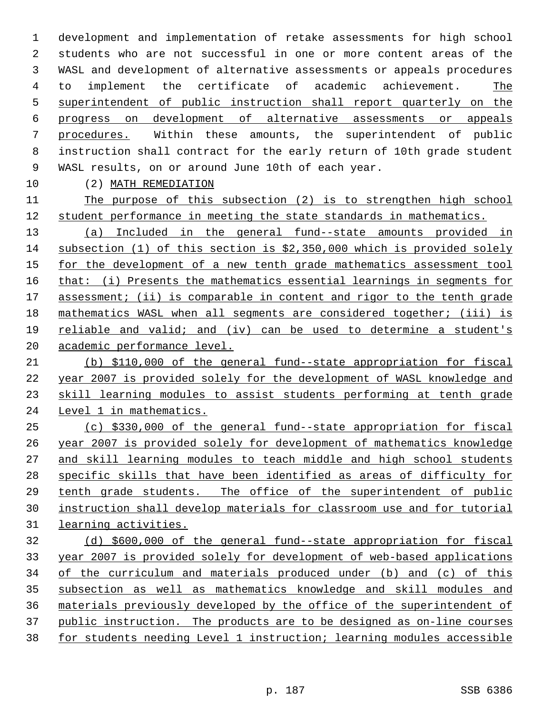development and implementation of retake assessments for high school students who are not successful in one or more content areas of the WASL and development of alternative assessments or appeals procedures to implement the certificate of academic achievement. The superintendent of public instruction shall report quarterly on the progress on development of alternative assessments or appeals procedures. Within these amounts, the superintendent of public instruction shall contract for the early return of 10th grade student WASL results, on or around June 10th of each year.

(2) MATH REMEDIATION

 The purpose of this subsection (2) is to strengthen high school student performance in meeting the state standards in mathematics.

 (a) Included in the general fund--state amounts provided in subsection (1) of this section is \$2,350,000 which is provided solely 15 for the development of a new tenth grade mathematics assessment tool that: (i) Presents the mathematics essential learnings in segments for 17 assessment; (ii) is comparable in content and rigor to the tenth grade mathematics WASL when all segments are considered together; (iii) is reliable and valid; and (iv) can be used to determine a student's academic performance level.

 (b) \$110,000 of the general fund--state appropriation for fiscal year 2007 is provided solely for the development of WASL knowledge and skill learning modules to assist students performing at tenth grade 24 Level 1 in mathematics.

 (c) \$330,000 of the general fund--state appropriation for fiscal year 2007 is provided solely for development of mathematics knowledge and skill learning modules to teach middle and high school students specific skills that have been identified as areas of difficulty for 29 tenth grade students. The office of the superintendent of public instruction shall develop materials for classroom use and for tutorial learning activities.

 (d) \$600,000 of the general fund--state appropriation for fiscal year 2007 is provided solely for development of web-based applications of the curriculum and materials produced under (b) and (c) of this subsection as well as mathematics knowledge and skill modules and materials previously developed by the office of the superintendent of public instruction. The products are to be designed as on-line courses for students needing Level 1 instruction; learning modules accessible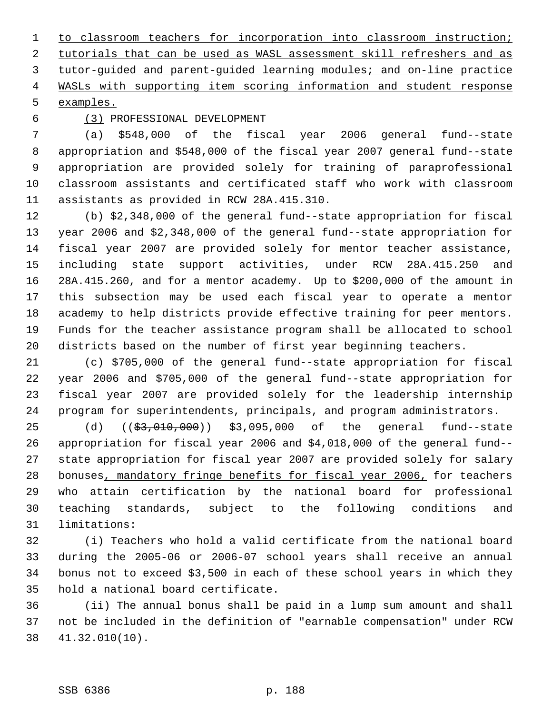to classroom teachers for incorporation into classroom instruction; 2 tutorials that can be used as WASL assessment skill refreshers and as tutor-guided and parent-guided learning modules; and on-line practice WASLs with supporting item scoring information and student response examples.

## (3) PROFESSIONAL DEVELOPMENT

 (a) \$548,000 of the fiscal year 2006 general fund--state appropriation and \$548,000 of the fiscal year 2007 general fund--state appropriation are provided solely for training of paraprofessional classroom assistants and certificated staff who work with classroom assistants as provided in RCW 28A.415.310.

 (b) \$2,348,000 of the general fund--state appropriation for fiscal year 2006 and \$2,348,000 of the general fund--state appropriation for fiscal year 2007 are provided solely for mentor teacher assistance, including state support activities, under RCW 28A.415.250 and 28A.415.260, and for a mentor academy. Up to \$200,000 of the amount in this subsection may be used each fiscal year to operate a mentor academy to help districts provide effective training for peer mentors. Funds for the teacher assistance program shall be allocated to school districts based on the number of first year beginning teachers.

 (c) \$705,000 of the general fund--state appropriation for fiscal year 2006 and \$705,000 of the general fund--state appropriation for fiscal year 2007 are provided solely for the leadership internship program for superintendents, principals, and program administrators.

25 (d) ((<del>\$3,010,000</del>)) \$3,095,000 of the general fund--state appropriation for fiscal year 2006 and \$4,018,000 of the general fund-- state appropriation for fiscal year 2007 are provided solely for salary bonuses, mandatory fringe benefits for fiscal year 2006, for teachers who attain certification by the national board for professional teaching standards, subject to the following conditions and limitations:

 (i) Teachers who hold a valid certificate from the national board during the 2005-06 or 2006-07 school years shall receive an annual bonus not to exceed \$3,500 in each of these school years in which they hold a national board certificate.

 (ii) The annual bonus shall be paid in a lump sum amount and shall not be included in the definition of "earnable compensation" under RCW 41.32.010(10).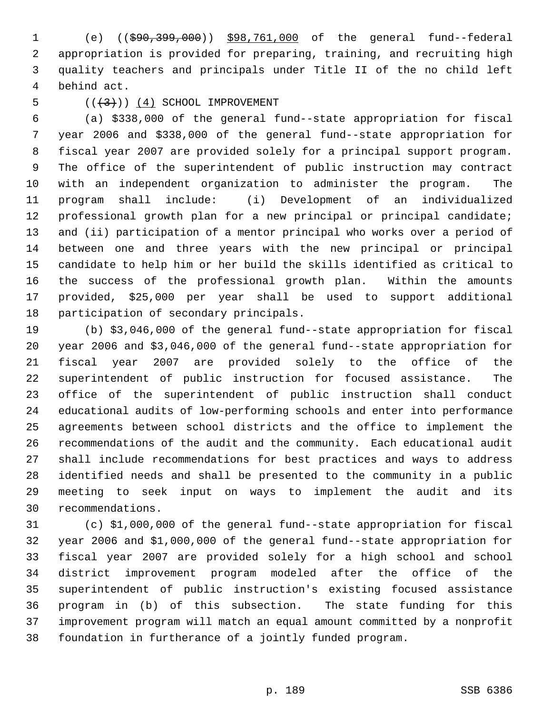(e) ((\$90,399,000)) \$98,761,000 of the general fund--federal appropriation is provided for preparing, training, and recruiting high quality teachers and principals under Title II of the no child left behind act.

#### 5  $((+3))$   $(4)$  SCHOOL IMPROVEMENT

 (a) \$338,000 of the general fund--state appropriation for fiscal year 2006 and \$338,000 of the general fund--state appropriation for fiscal year 2007 are provided solely for a principal support program. The office of the superintendent of public instruction may contract with an independent organization to administer the program. The program shall include: (i) Development of an individualized professional growth plan for a new principal or principal candidate; and (ii) participation of a mentor principal who works over a period of between one and three years with the new principal or principal candidate to help him or her build the skills identified as critical to the success of the professional growth plan. Within the amounts provided, \$25,000 per year shall be used to support additional participation of secondary principals.

 (b) \$3,046,000 of the general fund--state appropriation for fiscal year 2006 and \$3,046,000 of the general fund--state appropriation for fiscal year 2007 are provided solely to the office of the superintendent of public instruction for focused assistance. The office of the superintendent of public instruction shall conduct educational audits of low-performing schools and enter into performance agreements between school districts and the office to implement the recommendations of the audit and the community. Each educational audit shall include recommendations for best practices and ways to address identified needs and shall be presented to the community in a public meeting to seek input on ways to implement the audit and its recommendations.

 (c) \$1,000,000 of the general fund--state appropriation for fiscal year 2006 and \$1,000,000 of the general fund--state appropriation for fiscal year 2007 are provided solely for a high school and school district improvement program modeled after the office of the superintendent of public instruction's existing focused assistance program in (b) of this subsection. The state funding for this improvement program will match an equal amount committed by a nonprofit foundation in furtherance of a jointly funded program.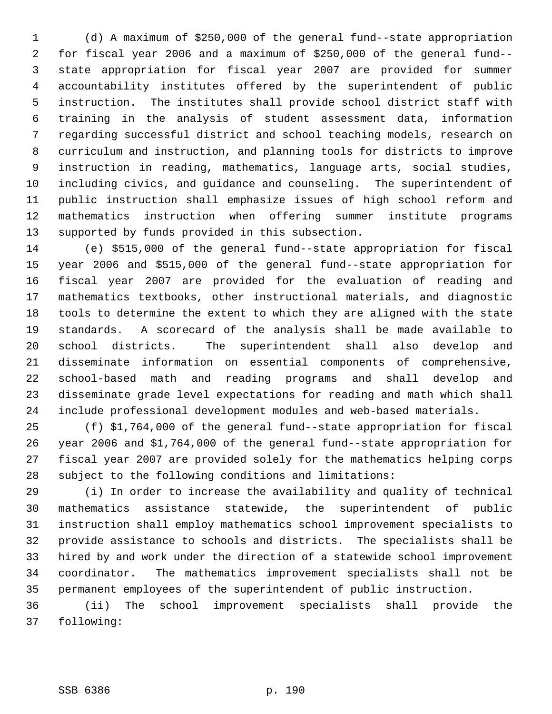(d) A maximum of \$250,000 of the general fund--state appropriation for fiscal year 2006 and a maximum of \$250,000 of the general fund-- state appropriation for fiscal year 2007 are provided for summer accountability institutes offered by the superintendent of public instruction. The institutes shall provide school district staff with training in the analysis of student assessment data, information regarding successful district and school teaching models, research on curriculum and instruction, and planning tools for districts to improve instruction in reading, mathematics, language arts, social studies, including civics, and guidance and counseling. The superintendent of public instruction shall emphasize issues of high school reform and mathematics instruction when offering summer institute programs supported by funds provided in this subsection.

 (e) \$515,000 of the general fund--state appropriation for fiscal year 2006 and \$515,000 of the general fund--state appropriation for fiscal year 2007 are provided for the evaluation of reading and mathematics textbooks, other instructional materials, and diagnostic tools to determine the extent to which they are aligned with the state standards. A scorecard of the analysis shall be made available to school districts. The superintendent shall also develop and disseminate information on essential components of comprehensive, school-based math and reading programs and shall develop and disseminate grade level expectations for reading and math which shall include professional development modules and web-based materials.

 (f) \$1,764,000 of the general fund--state appropriation for fiscal year 2006 and \$1,764,000 of the general fund--state appropriation for fiscal year 2007 are provided solely for the mathematics helping corps subject to the following conditions and limitations:

 (i) In order to increase the availability and quality of technical mathematics assistance statewide, the superintendent of public instruction shall employ mathematics school improvement specialists to provide assistance to schools and districts. The specialists shall be hired by and work under the direction of a statewide school improvement coordinator. The mathematics improvement specialists shall not be permanent employees of the superintendent of public instruction.

 (ii) The school improvement specialists shall provide the following: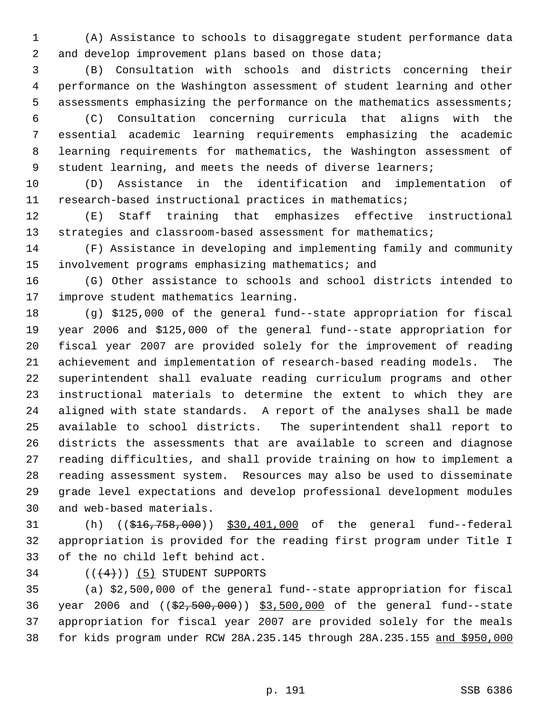(A) Assistance to schools to disaggregate student performance data 2 and develop improvement plans based on those data;

 (B) Consultation with schools and districts concerning their performance on the Washington assessment of student learning and other assessments emphasizing the performance on the mathematics assessments;

 (C) Consultation concerning curricula that aligns with the essential academic learning requirements emphasizing the academic learning requirements for mathematics, the Washington assessment of 9 student learning, and meets the needs of diverse learners;

 (D) Assistance in the identification and implementation of research-based instructional practices in mathematics;

 (E) Staff training that emphasizes effective instructional 13 strategies and classroom-based assessment for mathematics;

 (F) Assistance in developing and implementing family and community involvement programs emphasizing mathematics; and

 (G) Other assistance to schools and school districts intended to improve student mathematics learning.

 (g) \$125,000 of the general fund--state appropriation for fiscal year 2006 and \$125,000 of the general fund--state appropriation for fiscal year 2007 are provided solely for the improvement of reading achievement and implementation of research-based reading models. The superintendent shall evaluate reading curriculum programs and other instructional materials to determine the extent to which they are aligned with state standards. A report of the analyses shall be made available to school districts. The superintendent shall report to districts the assessments that are available to screen and diagnose reading difficulties, and shall provide training on how to implement a reading assessment system. Resources may also be used to disseminate grade level expectations and develop professional development modules and web-based materials.

 (h) ((\$16,758,000)) \$30,401,000 of the general fund--federal appropriation is provided for the reading first program under Title I of the no child left behind act.

34  $((+4))$  (5) STUDENT SUPPORTS

 (a) \$2,500,000 of the general fund--state appropriation for fiscal 36 year 2006 and ((\$2,500,000)) \$3,500,000 of the general fund--state appropriation for fiscal year 2007 are provided solely for the meals for kids program under RCW 28A.235.145 through 28A.235.155 and \$950,000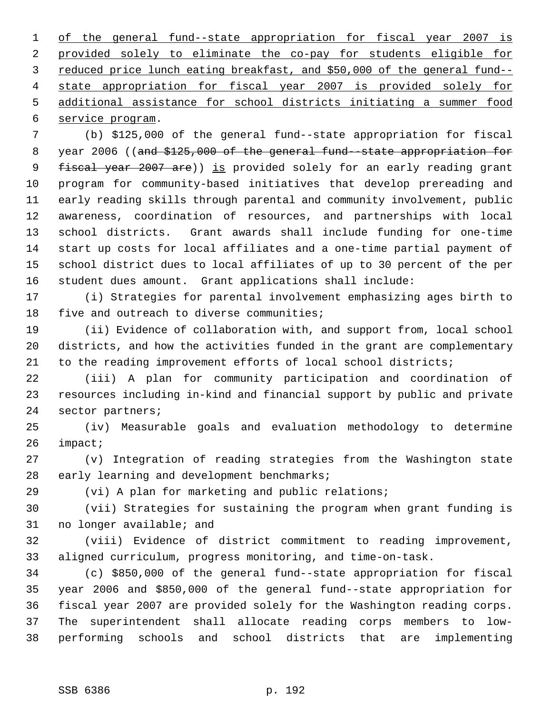of the general fund--state appropriation for fiscal year 2007 is provided solely to eliminate the co-pay for students eligible for reduced price lunch eating breakfast, and \$50,000 of the general fund-- state appropriation for fiscal year 2007 is provided solely for additional assistance for school districts initiating a summer food service program.

 (b) \$125,000 of the general fund--state appropriation for fiscal 8 year 2006 ((and \$125,000 of the general fund--state appropriation for 9 fiscal year 2007 are)) is provided solely for an early reading grant program for community-based initiatives that develop prereading and early reading skills through parental and community involvement, public awareness, coordination of resources, and partnerships with local school districts. Grant awards shall include funding for one-time start up costs for local affiliates and a one-time partial payment of school district dues to local affiliates of up to 30 percent of the per student dues amount. Grant applications shall include:

 (i) Strategies for parental involvement emphasizing ages birth to 18 five and outreach to diverse communities;

 (ii) Evidence of collaboration with, and support from, local school districts, and how the activities funded in the grant are complementary to the reading improvement efforts of local school districts;

 (iii) A plan for community participation and coordination of resources including in-kind and financial support by public and private sector partners;

 (iv) Measurable goals and evaluation methodology to determine impact;

 (v) Integration of reading strategies from the Washington state early learning and development benchmarks;

(vi) A plan for marketing and public relations;

 (vii) Strategies for sustaining the program when grant funding is no longer available; and

 (viii) Evidence of district commitment to reading improvement, aligned curriculum, progress monitoring, and time-on-task.

 (c) \$850,000 of the general fund--state appropriation for fiscal year 2006 and \$850,000 of the general fund--state appropriation for fiscal year 2007 are provided solely for the Washington reading corps. The superintendent shall allocate reading corps members to low-performing schools and school districts that are implementing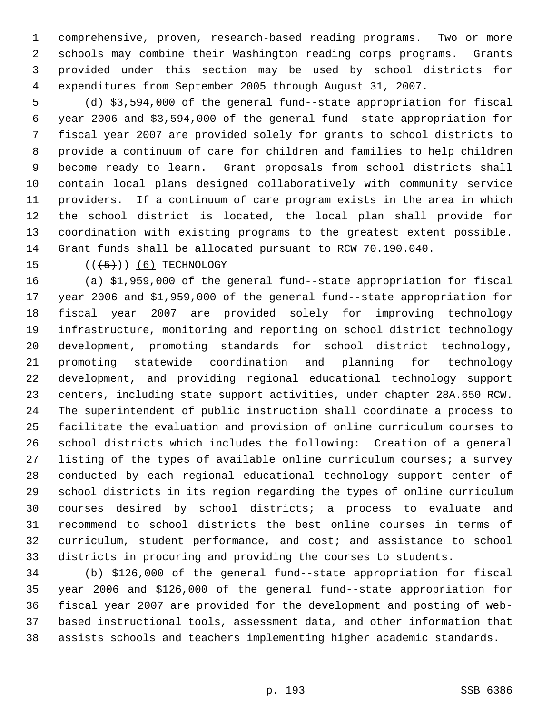comprehensive, proven, research-based reading programs. Two or more schools may combine their Washington reading corps programs. Grants provided under this section may be used by school districts for expenditures from September 2005 through August 31, 2007.

 (d) \$3,594,000 of the general fund--state appropriation for fiscal year 2006 and \$3,594,000 of the general fund--state appropriation for fiscal year 2007 are provided solely for grants to school districts to provide a continuum of care for children and families to help children become ready to learn. Grant proposals from school districts shall contain local plans designed collaboratively with community service providers. If a continuum of care program exists in the area in which the school district is located, the local plan shall provide for coordination with existing programs to the greatest extent possible. Grant funds shall be allocated pursuant to RCW 70.190.040.

15  $((+5+))$  (6) TECHNOLOGY

 (a) \$1,959,000 of the general fund--state appropriation for fiscal year 2006 and \$1,959,000 of the general fund--state appropriation for fiscal year 2007 are provided solely for improving technology infrastructure, monitoring and reporting on school district technology development, promoting standards for school district technology, promoting statewide coordination and planning for technology development, and providing regional educational technology support centers, including state support activities, under chapter 28A.650 RCW. The superintendent of public instruction shall coordinate a process to facilitate the evaluation and provision of online curriculum courses to school districts which includes the following: Creation of a general listing of the types of available online curriculum courses; a survey conducted by each regional educational technology support center of school districts in its region regarding the types of online curriculum courses desired by school districts; a process to evaluate and recommend to school districts the best online courses in terms of curriculum, student performance, and cost; and assistance to school districts in procuring and providing the courses to students.

 (b) \$126,000 of the general fund--state appropriation for fiscal year 2006 and \$126,000 of the general fund--state appropriation for fiscal year 2007 are provided for the development and posting of web- based instructional tools, assessment data, and other information that assists schools and teachers implementing higher academic standards.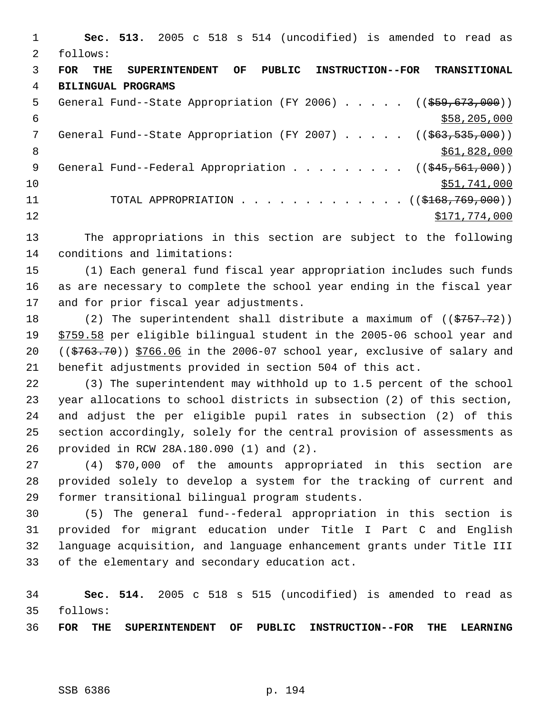**Sec. 513.** 2005 c 518 s 514 (uncodified) is amended to read as follows: **FOR THE SUPERINTENDENT OF PUBLIC INSTRUCTION--FOR TRANSITIONAL BILINGUAL PROGRAMS** 5 General Fund--State Appropriation (FY 2006) . . . . . ((\$59,673,000))  $\frac{$58,205,000}{558,205,000}$ 7 General Fund--State Appropriation (FY 2007) . . . . . ((\$63,535,000)) 8 \$61,828,000 \$61,828,000 \$61,828,000 \$61,828,000 \$61,828,000 \$61,828,000 \$61,828,000 \$ 9 General Fund--Federal Appropriation . . . . . . . . ((\$45,561,000)) 10 \$51,741,000 11 TOTAL APPROPRIATION . . . . . . . . . . . . . ((\$168,769,000)) 12 \$171,774,000 The appropriations in this section are subject to the following conditions and limitations: (1) Each general fund fiscal year appropriation includes such funds as are necessary to complete the school year ending in the fiscal year and for prior fiscal year adjustments. 18 (2) The superintendent shall distribute a maximum of ((\$757.72))

 \$759.58 per eligible bilingual student in the 2005-06 school year and 20 ( $(\frac{2763.70}{})$ )  $\frac{5766.06}{10}$  in the 2006-07 school year, exclusive of salary and benefit adjustments provided in section 504 of this act.

 (3) The superintendent may withhold up to 1.5 percent of the school year allocations to school districts in subsection (2) of this section, and adjust the per eligible pupil rates in subsection (2) of this section accordingly, solely for the central provision of assessments as provided in RCW 28A.180.090 (1) and (2).

 (4) \$70,000 of the amounts appropriated in this section are provided solely to develop a system for the tracking of current and former transitional bilingual program students.

 (5) The general fund--federal appropriation in this section is provided for migrant education under Title I Part C and English language acquisition, and language enhancement grants under Title III of the elementary and secondary education act.

 **Sec. 514.** 2005 c 518 s 515 (uncodified) is amended to read as follows:

**FOR THE SUPERINTENDENT OF PUBLIC INSTRUCTION--FOR THE LEARNING**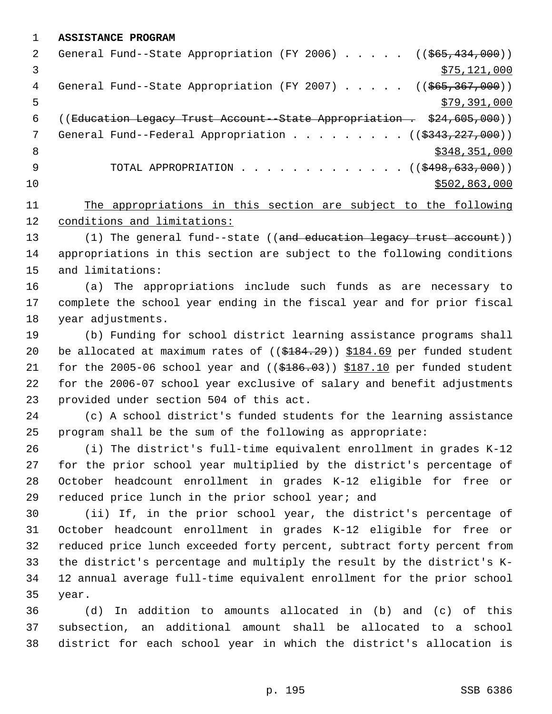**ASSISTANCE PROGRAM**

| 2   | General Fund--State Appropriation (FY 2006) $($ $($ \$65,434,000))            |
|-----|-------------------------------------------------------------------------------|
|     | \$75, 121, 000                                                                |
| 4   | General Fund--State Appropriation (FY 2007) $($ $($ $$65, 367, 000)$ )        |
| 5   | \$79,391,000                                                                  |
| 6   | ((Education Legacy Trust Account - State Appropriation . \$24,605,000))       |
| 7   | General Fund--Federal Appropriation ( $(\frac{2343}{227}, \frac{227}{000})$ ) |
| - 8 | \$348,351,000                                                                 |
| 9   | TOTAL APPROPRIATION $\ldots$ , ( $(\frac{2498}{633}, \frac{633}{600})$ )      |
| 10  | \$502,863,000                                                                 |
|     |                                                                               |

 The appropriations in this section are subject to the following conditions and limitations:

13 (1) The general fund--state ((and education legacy trust account)) appropriations in this section are subject to the following conditions and limitations:

 (a) The appropriations include such funds as are necessary to complete the school year ending in the fiscal year and for prior fiscal year adjustments.

 (b) Funding for school district learning assistance programs shall 20 be allocated at maximum rates of  $($   $(\frac{184.29}{})$   $\frac{184.69}{100}$  per funded student 21 for the 2005-06 school year and  $($   $($ \$186.03)) \$187.10 per funded student for the 2006-07 school year exclusive of salary and benefit adjustments provided under section 504 of this act.

 (c) A school district's funded students for the learning assistance program shall be the sum of the following as appropriate:

 (i) The district's full-time equivalent enrollment in grades K-12 for the prior school year multiplied by the district's percentage of October headcount enrollment in grades K-12 eligible for free or reduced price lunch in the prior school year; and

 (ii) If, in the prior school year, the district's percentage of October headcount enrollment in grades K-12 eligible for free or reduced price lunch exceeded forty percent, subtract forty percent from the district's percentage and multiply the result by the district's K- 12 annual average full-time equivalent enrollment for the prior school year.

 (d) In addition to amounts allocated in (b) and (c) of this subsection, an additional amount shall be allocated to a school district for each school year in which the district's allocation is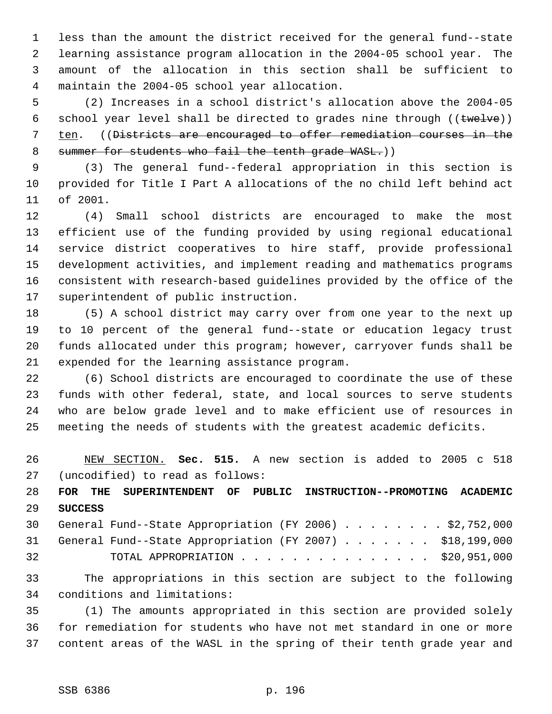less than the amount the district received for the general fund--state learning assistance program allocation in the 2004-05 school year. The amount of the allocation in this section shall be sufficient to maintain the 2004-05 school year allocation.

 (2) Increases in a school district's allocation above the 2004-05 6 school year level shall be directed to grades nine through  $((\text{true} \cup \text{true}))$ 7 ten. ((<del>Districts are encouraged to offer remediation courses in the</del> 8 summer for students who fail the tenth grade WASL.))

 (3) The general fund--federal appropriation in this section is provided for Title I Part A allocations of the no child left behind act of 2001.

 (4) Small school districts are encouraged to make the most efficient use of the funding provided by using regional educational service district cooperatives to hire staff, provide professional development activities, and implement reading and mathematics programs consistent with research-based guidelines provided by the office of the superintendent of public instruction.

 (5) A school district may carry over from one year to the next up to 10 percent of the general fund--state or education legacy trust funds allocated under this program; however, carryover funds shall be expended for the learning assistance program.

 (6) School districts are encouraged to coordinate the use of these funds with other federal, state, and local sources to serve students who are below grade level and to make efficient use of resources in meeting the needs of students with the greatest academic deficits.

 NEW SECTION. **Sec. 515.** A new section is added to 2005 c 518 (uncodified) to read as follows:

 **FOR THE SUPERINTENDENT OF PUBLIC INSTRUCTION--PROMOTING ACADEMIC SUCCESS**

|    |  | 30 General Fund--State Appropriation (FY 2006) \$2,752,000  |  |  |  |  |  |
|----|--|-------------------------------------------------------------|--|--|--|--|--|
|    |  | 31 General Fund--State Appropriation (FY 2007) \$18,199,000 |  |  |  |  |  |
| 32 |  | TOTAL APPROPRIATION $\ldots$ \$20,951,000                   |  |  |  |  |  |

 The appropriations in this section are subject to the following conditions and limitations:

 (1) The amounts appropriated in this section are provided solely for remediation for students who have not met standard in one or more content areas of the WASL in the spring of their tenth grade year and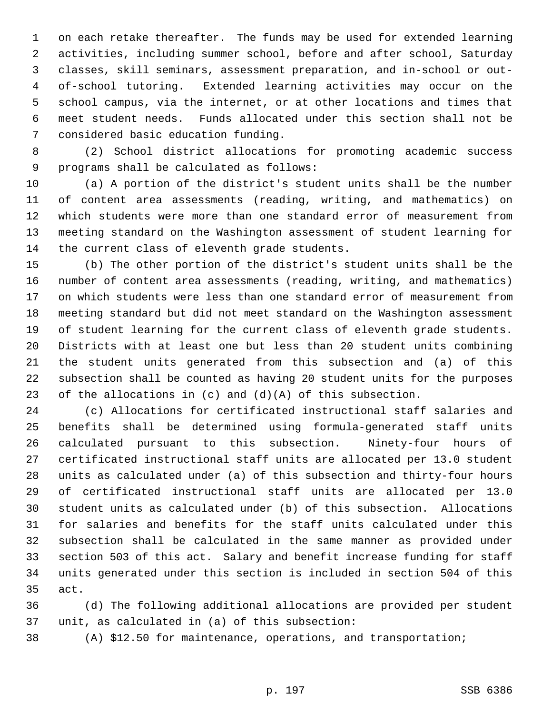on each retake thereafter. The funds may be used for extended learning activities, including summer school, before and after school, Saturday classes, skill seminars, assessment preparation, and in-school or out- of-school tutoring. Extended learning activities may occur on the school campus, via the internet, or at other locations and times that meet student needs. Funds allocated under this section shall not be considered basic education funding.

 (2) School district allocations for promoting academic success programs shall be calculated as follows:

 (a) A portion of the district's student units shall be the number of content area assessments (reading, writing, and mathematics) on which students were more than one standard error of measurement from meeting standard on the Washington assessment of student learning for the current class of eleventh grade students.

 (b) The other portion of the district's student units shall be the number of content area assessments (reading, writing, and mathematics) on which students were less than one standard error of measurement from meeting standard but did not meet standard on the Washington assessment of student learning for the current class of eleventh grade students. Districts with at least one but less than 20 student units combining the student units generated from this subsection and (a) of this subsection shall be counted as having 20 student units for the purposes 23 of the allocations in  $(c)$  and  $(d)(A)$  of this subsection.

 (c) Allocations for certificated instructional staff salaries and benefits shall be determined using formula-generated staff units calculated pursuant to this subsection. Ninety-four hours of certificated instructional staff units are allocated per 13.0 student units as calculated under (a) of this subsection and thirty-four hours of certificated instructional staff units are allocated per 13.0 student units as calculated under (b) of this subsection. Allocations for salaries and benefits for the staff units calculated under this subsection shall be calculated in the same manner as provided under section 503 of this act. Salary and benefit increase funding for staff units generated under this section is included in section 504 of this act.

 (d) The following additional allocations are provided per student unit, as calculated in (a) of this subsection:

(A) \$12.50 for maintenance, operations, and transportation;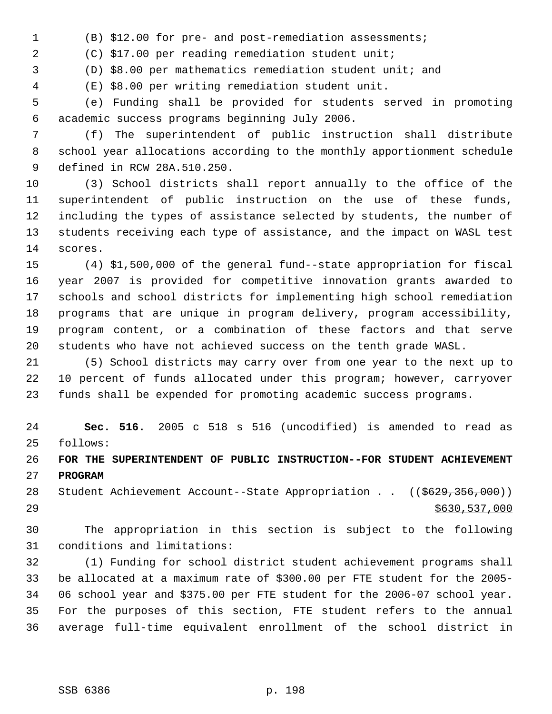(B) \$12.00 for pre- and post-remediation assessments;

(C) \$17.00 per reading remediation student unit;

(D) \$8.00 per mathematics remediation student unit; and

(E) \$8.00 per writing remediation student unit.

 (e) Funding shall be provided for students served in promoting academic success programs beginning July 2006.

 (f) The superintendent of public instruction shall distribute school year allocations according to the monthly apportionment schedule defined in RCW 28A.510.250.

 (3) School districts shall report annually to the office of the superintendent of public instruction on the use of these funds, including the types of assistance selected by students, the number of students receiving each type of assistance, and the impact on WASL test scores.

 (4) \$1,500,000 of the general fund--state appropriation for fiscal year 2007 is provided for competitive innovation grants awarded to schools and school districts for implementing high school remediation programs that are unique in program delivery, program accessibility, program content, or a combination of these factors and that serve students who have not achieved success on the tenth grade WASL.

 (5) School districts may carry over from one year to the next up to 10 percent of funds allocated under this program; however, carryover funds shall be expended for promoting academic success programs.

 **Sec. 516.** 2005 c 518 s 516 (uncodified) is amended to read as follows:

 **FOR THE SUPERINTENDENT OF PUBLIC INSTRUCTION--FOR STUDENT ACHIEVEMENT PROGRAM**

28 Student Achievement Account--State Appropriation . . ((\$629,356,000)) \$630,537,000

 The appropriation in this section is subject to the following conditions and limitations:

 (1) Funding for school district student achievement programs shall be allocated at a maximum rate of \$300.00 per FTE student for the 2005- 06 school year and \$375.00 per FTE student for the 2006-07 school year. For the purposes of this section, FTE student refers to the annual average full-time equivalent enrollment of the school district in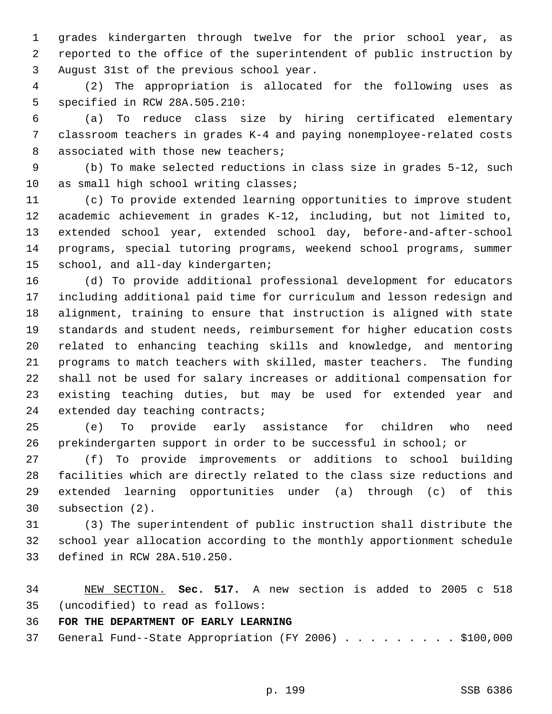grades kindergarten through twelve for the prior school year, as reported to the office of the superintendent of public instruction by August 31st of the previous school year.

 (2) The appropriation is allocated for the following uses as specified in RCW 28A.505.210:

 (a) To reduce class size by hiring certificated elementary classroom teachers in grades K-4 and paying nonemployee-related costs 8 associated with those new teachers;

 (b) To make selected reductions in class size in grades 5-12, such 10 as small high school writing classes;

 (c) To provide extended learning opportunities to improve student academic achievement in grades K-12, including, but not limited to, extended school year, extended school day, before-and-after-school programs, special tutoring programs, weekend school programs, summer school, and all-day kindergarten;

 (d) To provide additional professional development for educators including additional paid time for curriculum and lesson redesign and alignment, training to ensure that instruction is aligned with state standards and student needs, reimbursement for higher education costs related to enhancing teaching skills and knowledge, and mentoring programs to match teachers with skilled, master teachers. The funding shall not be used for salary increases or additional compensation for existing teaching duties, but may be used for extended year and extended day teaching contracts;

 (e) To provide early assistance for children who need prekindergarten support in order to be successful in school; or

 (f) To provide improvements or additions to school building facilities which are directly related to the class size reductions and extended learning opportunities under (a) through (c) of this subsection (2).

 (3) The superintendent of public instruction shall distribute the school year allocation according to the monthly apportionment schedule defined in RCW 28A.510.250.

 NEW SECTION. **Sec. 517.** A new section is added to 2005 c 518 (uncodified) to read as follows:

**FOR THE DEPARTMENT OF EARLY LEARNING**

General Fund--State Appropriation (FY 2006) . . . . . . . . . \$100,000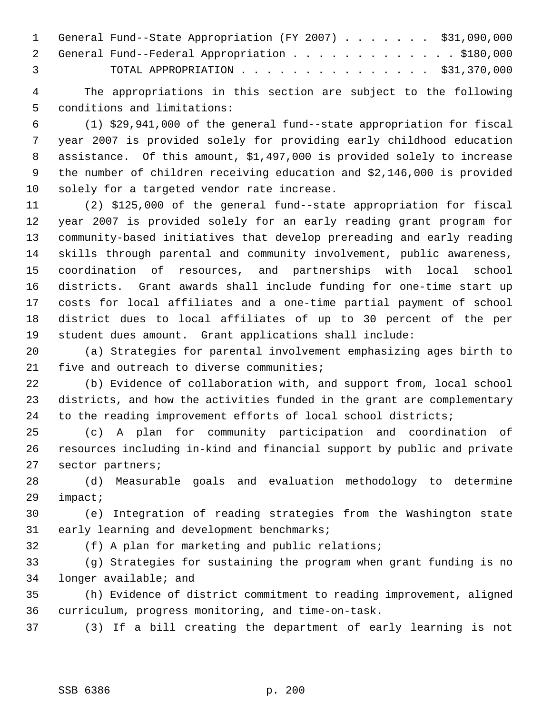|                | 1 General Fund--State Appropriation (FY 2007) \$31,090,000 |
|----------------|------------------------------------------------------------|
|                | 2 General Fund--Federal Appropriation \$180,000            |
| $\overline{3}$ | TOTAL APPROPRIATION $\cdots$ , \$31,370,000                |

 The appropriations in this section are subject to the following conditions and limitations:

 (1) \$29,941,000 of the general fund--state appropriation for fiscal year 2007 is provided solely for providing early childhood education assistance. Of this amount, \$1,497,000 is provided solely to increase the number of children receiving education and \$2,146,000 is provided solely for a targeted vendor rate increase.

 (2) \$125,000 of the general fund--state appropriation for fiscal year 2007 is provided solely for an early reading grant program for community-based initiatives that develop prereading and early reading skills through parental and community involvement, public awareness, coordination of resources, and partnerships with local school districts. Grant awards shall include funding for one-time start up costs for local affiliates and a one-time partial payment of school district dues to local affiliates of up to 30 percent of the per student dues amount. Grant applications shall include:

 (a) Strategies for parental involvement emphasizing ages birth to 21 five and outreach to diverse communities;

 (b) Evidence of collaboration with, and support from, local school districts, and how the activities funded in the grant are complementary to the reading improvement efforts of local school districts;

 (c) A plan for community participation and coordination of resources including in-kind and financial support by public and private sector partners;

 (d) Measurable goals and evaluation methodology to determine impact;

 (e) Integration of reading strategies from the Washington state early learning and development benchmarks;

(f) A plan for marketing and public relations;

 (g) Strategies for sustaining the program when grant funding is no longer available; and

 (h) Evidence of district commitment to reading improvement, aligned curriculum, progress monitoring, and time-on-task.

(3) If a bill creating the department of early learning is not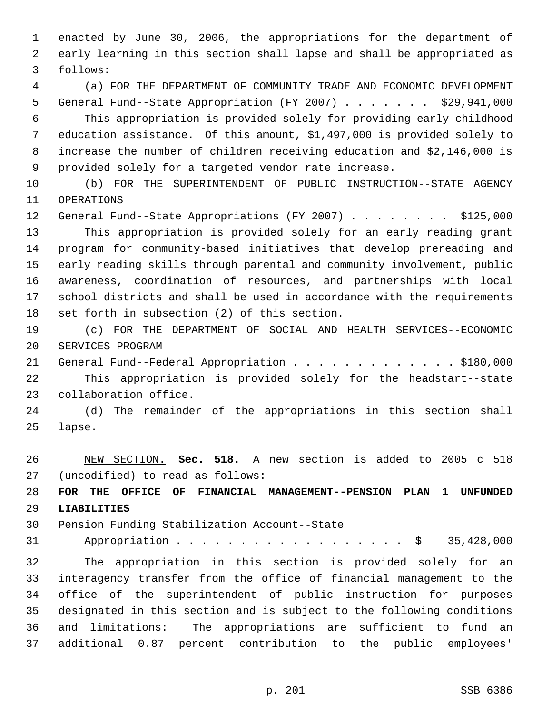enacted by June 30, 2006, the appropriations for the department of early learning in this section shall lapse and shall be appropriated as follows:

 (a) FOR THE DEPARTMENT OF COMMUNITY TRADE AND ECONOMIC DEVELOPMENT General Fund--State Appropriation (FY 2007) . . . . . . . \$29,941,000 This appropriation is provided solely for providing early childhood education assistance. Of this amount, \$1,497,000 is provided solely to increase the number of children receiving education and \$2,146,000 is provided solely for a targeted vendor rate increase.

 (b) FOR THE SUPERINTENDENT OF PUBLIC INSTRUCTION--STATE AGENCY OPERATIONS

12 General Fund--State Appropriations (FY 2007) . . . . . . . \$125,000 This appropriation is provided solely for an early reading grant program for community-based initiatives that develop prereading and early reading skills through parental and community involvement, public awareness, coordination of resources, and partnerships with local school districts and shall be used in accordance with the requirements set forth in subsection (2) of this section.

 (c) FOR THE DEPARTMENT OF SOCIAL AND HEALTH SERVICES--ECONOMIC SERVICES PROGRAM

21 General Fund--Federal Appropriation . . . . . . . . . . . . \$180,000 This appropriation is provided solely for the headstart--state collaboration office.

 (d) The remainder of the appropriations in this section shall lapse.

 NEW SECTION. **Sec. 518.** A new section is added to 2005 c 518 (uncodified) to read as follows:

 **FOR THE OFFICE OF FINANCIAL MANAGEMENT--PENSION PLAN 1 UNFUNDED LIABILITIES**

Pension Funding Stabilization Account--State

Appropriation . . . . . . . . . . . . . . . . . . \$ 35,428,000

 The appropriation in this section is provided solely for an interagency transfer from the office of financial management to the office of the superintendent of public instruction for purposes designated in this section and is subject to the following conditions and limitations: The appropriations are sufficient to fund an additional 0.87 percent contribution to the public employees'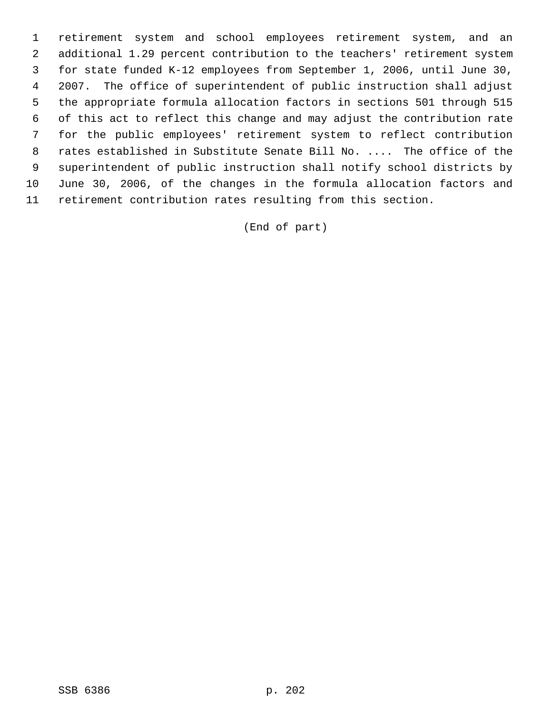retirement system and school employees retirement system, and an additional 1.29 percent contribution to the teachers' retirement system for state funded K-12 employees from September 1, 2006, until June 30, 2007. The office of superintendent of public instruction shall adjust the appropriate formula allocation factors in sections 501 through 515 of this act to reflect this change and may adjust the contribution rate for the public employees' retirement system to reflect contribution rates established in Substitute Senate Bill No. .... The office of the superintendent of public instruction shall notify school districts by June 30, 2006, of the changes in the formula allocation factors and retirement contribution rates resulting from this section.

(End of part)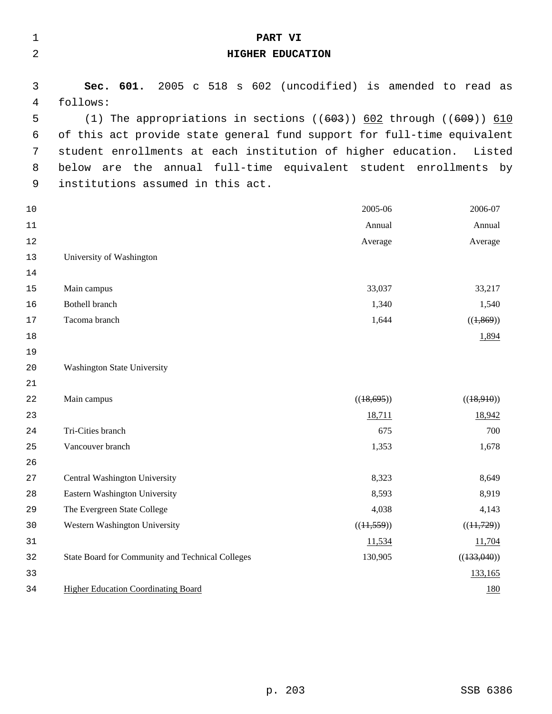| $\mathbf 1$ | PART VI                                                                 |            |             |
|-------------|-------------------------------------------------------------------------|------------|-------------|
| 2           | HIGHER EDUCATION                                                        |            |             |
| 3           | 2005 c 518 s 602 (uncodified) is amended to read as<br>Sec. 601.        |            |             |
| 4           | follows:                                                                |            |             |
| 5           | (1) The appropriations in sections $((603))$ 602 through $((609))$ 610  |            |             |
| 6           | of this act provide state general fund support for full-time equivalent |            |             |
| 7           | student enrollments at each institution of higher education. Listed     |            |             |
| 8           | below are the annual full-time equivalent student enrollments by        |            |             |
| 9           | institutions assumed in this act.                                       |            |             |
| 10          |                                                                         | 2005-06    | 2006-07     |
| 11          |                                                                         | Annual     | Annual      |
| 12          |                                                                         | Average    | Average     |
| 13          | University of Washington                                                |            |             |
| 14          |                                                                         |            |             |
| 15          | Main campus                                                             | 33,037     | 33,217      |
| 16          | <b>Bothell branch</b>                                                   | 1,340      | 1,540       |
| 17          | Tacoma branch                                                           | 1,644      | ((1,869))   |
| 18          |                                                                         |            | 1,894       |
| 19          |                                                                         |            |             |
| 20          | <b>Washington State University</b>                                      |            |             |
| 21          |                                                                         |            |             |
| 22          | Main campus                                                             | ((18,695)) | ((18,910))  |
| 23          |                                                                         | 18,711     | 18,942      |
| 24          | Tri-Cities branch                                                       | 675        | 700         |
| 25          | Vancouver branch                                                        | 1,353      | 1,678       |
| 26          |                                                                         |            |             |
| 27          | Central Washington University                                           | 8,323      | 8,649       |
| 28          | Eastern Washington University                                           | 8,593      | 8,919       |
| 29          | The Evergreen State College                                             | 4,038      | 4,143       |
| 30          | Western Washington University                                           | ((11,559)) | ((11,729))  |
| 31          |                                                                         | 11,534     | 11,704      |
| 32          | State Board for Community and Technical Colleges                        | 130,905    | ((133,040)) |
| 33          |                                                                         |            | 133,165     |
| 34          | <b>Higher Education Coordinating Board</b>                              |            | <u>180</u>  |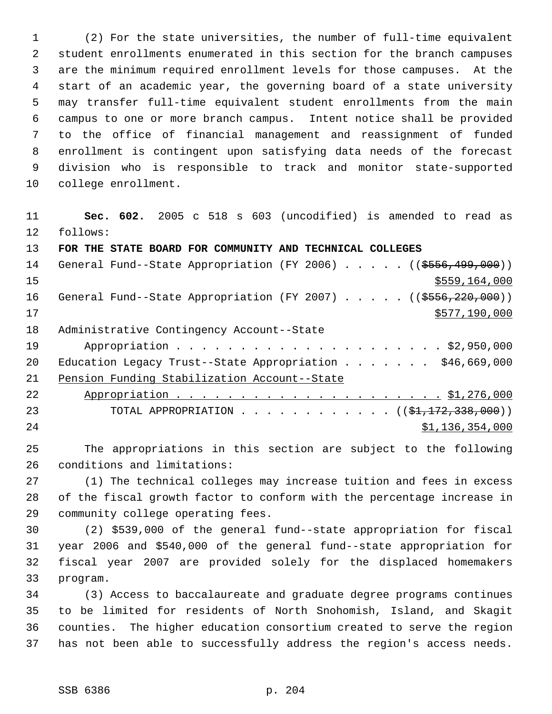(2) For the state universities, the number of full-time equivalent student enrollments enumerated in this section for the branch campuses are the minimum required enrollment levels for those campuses. At the start of an academic year, the governing board of a state university may transfer full-time equivalent student enrollments from the main campus to one or more branch campus. Intent notice shall be provided to the office of financial management and reassignment of funded enrollment is contingent upon satisfying data needs of the forecast division who is responsible to track and monitor state-supported college enrollment.

 **Sec. 602.** 2005 c 518 s 603 (uncodified) is amended to read as follows: **FOR THE STATE BOARD FOR COMMUNITY AND TECHNICAL COLLEGES**  14 General Fund--State Appropriation (FY 2006) . . . . . ((\$556,499,000))

 \$559,164,000 16 General Fund--State Appropriation (FY 2007) . . . . . ((\$556,220,000)) \$577,190,000 Administrative Contingency Account--State Appropriation . . . . . . . . . . . . . . . . . . . . . \$2,950,000 20 Education Legacy Trust--State Appropriation . . . . . . \$46,669,000 Pension Funding Stabilization Account--State Appropriation . . . . . . . . . . . . . . . . . . . . . \$1,276,000 23 TOTAL APPROPRIATION . . . . . . . . . . . ((<del>\$1,172,338,000</del>)) \$1,136,354,000

 The appropriations in this section are subject to the following conditions and limitations:

 (1) The technical colleges may increase tuition and fees in excess of the fiscal growth factor to conform with the percentage increase in community college operating fees.

 (2) \$539,000 of the general fund--state appropriation for fiscal year 2006 and \$540,000 of the general fund--state appropriation for fiscal year 2007 are provided solely for the displaced homemakers program.

 (3) Access to baccalaureate and graduate degree programs continues to be limited for residents of North Snohomish, Island, and Skagit counties. The higher education consortium created to serve the region has not been able to successfully address the region's access needs.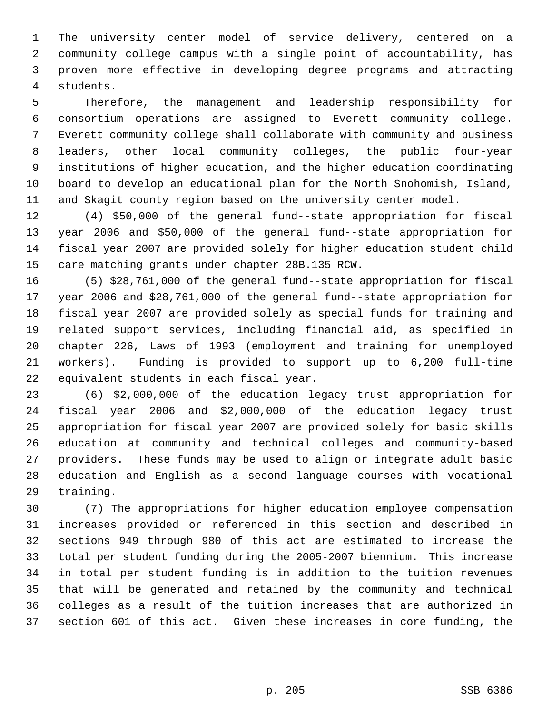The university center model of service delivery, centered on a community college campus with a single point of accountability, has proven more effective in developing degree programs and attracting students.

 Therefore, the management and leadership responsibility for consortium operations are assigned to Everett community college. Everett community college shall collaborate with community and business leaders, other local community colleges, the public four-year institutions of higher education, and the higher education coordinating board to develop an educational plan for the North Snohomish, Island, and Skagit county region based on the university center model.

 (4) \$50,000 of the general fund--state appropriation for fiscal year 2006 and \$50,000 of the general fund--state appropriation for fiscal year 2007 are provided solely for higher education student child care matching grants under chapter 28B.135 RCW.

 (5) \$28,761,000 of the general fund--state appropriation for fiscal year 2006 and \$28,761,000 of the general fund--state appropriation for fiscal year 2007 are provided solely as special funds for training and related support services, including financial aid, as specified in chapter 226, Laws of 1993 (employment and training for unemployed workers). Funding is provided to support up to 6,200 full-time equivalent students in each fiscal year.

 (6) \$2,000,000 of the education legacy trust appropriation for fiscal year 2006 and \$2,000,000 of the education legacy trust appropriation for fiscal year 2007 are provided solely for basic skills education at community and technical colleges and community-based providers. These funds may be used to align or integrate adult basic education and English as a second language courses with vocational training.

 (7) The appropriations for higher education employee compensation increases provided or referenced in this section and described in sections 949 through 980 of this act are estimated to increase the total per student funding during the 2005-2007 biennium. This increase in total per student funding is in addition to the tuition revenues that will be generated and retained by the community and technical colleges as a result of the tuition increases that are authorized in section 601 of this act. Given these increases in core funding, the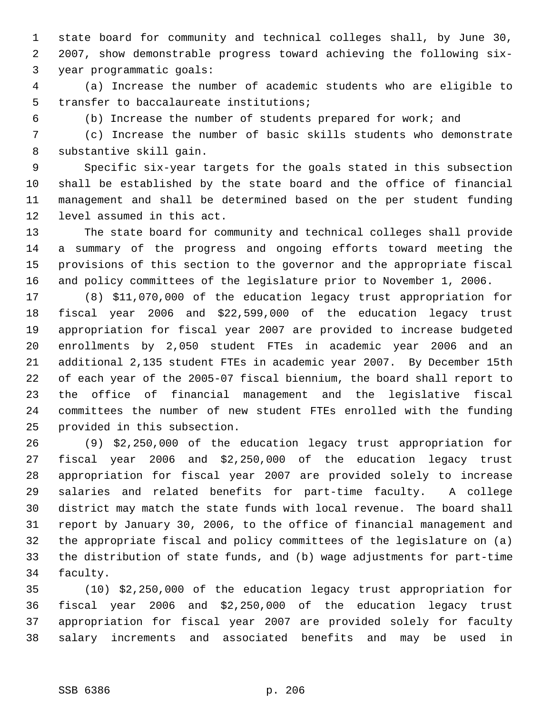state board for community and technical colleges shall, by June 30, 2007, show demonstrable progress toward achieving the following six- year programmatic goals:

 (a) Increase the number of academic students who are eligible to transfer to baccalaureate institutions;

(b) Increase the number of students prepared for work; and

 (c) Increase the number of basic skills students who demonstrate substantive skill gain.

 Specific six-year targets for the goals stated in this subsection shall be established by the state board and the office of financial management and shall be determined based on the per student funding level assumed in this act.

 The state board for community and technical colleges shall provide a summary of the progress and ongoing efforts toward meeting the provisions of this section to the governor and the appropriate fiscal and policy committees of the legislature prior to November 1, 2006.

 (8) \$11,070,000 of the education legacy trust appropriation for fiscal year 2006 and \$22,599,000 of the education legacy trust appropriation for fiscal year 2007 are provided to increase budgeted enrollments by 2,050 student FTEs in academic year 2006 and an additional 2,135 student FTEs in academic year 2007. By December 15th of each year of the 2005-07 fiscal biennium, the board shall report to the office of financial management and the legislative fiscal committees the number of new student FTEs enrolled with the funding provided in this subsection.

 (9) \$2,250,000 of the education legacy trust appropriation for fiscal year 2006 and \$2,250,000 of the education legacy trust appropriation for fiscal year 2007 are provided solely to increase salaries and related benefits for part-time faculty. A college district may match the state funds with local revenue. The board shall report by January 30, 2006, to the office of financial management and the appropriate fiscal and policy committees of the legislature on (a) the distribution of state funds, and (b) wage adjustments for part-time faculty.

 (10) \$2,250,000 of the education legacy trust appropriation for fiscal year 2006 and \$2,250,000 of the education legacy trust appropriation for fiscal year 2007 are provided solely for faculty salary increments and associated benefits and may be used in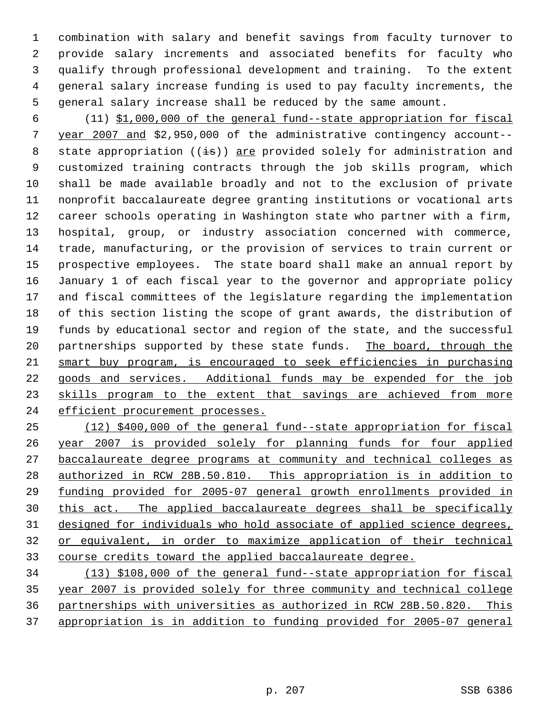combination with salary and benefit savings from faculty turnover to provide salary increments and associated benefits for faculty who qualify through professional development and training. To the extent general salary increase funding is used to pay faculty increments, the general salary increase shall be reduced by the same amount.

 (11) \$1,000,000 of the general fund--state appropriation for fiscal year 2007 and \$2,950,000 of the administrative contingency account-- 8 state appropriation  $((\frac{1}{18}))$  are provided solely for administration and customized training contracts through the job skills program, which shall be made available broadly and not to the exclusion of private nonprofit baccalaureate degree granting institutions or vocational arts career schools operating in Washington state who partner with a firm, hospital, group, or industry association concerned with commerce, trade, manufacturing, or the provision of services to train current or prospective employees. The state board shall make an annual report by January 1 of each fiscal year to the governor and appropriate policy and fiscal committees of the legislature regarding the implementation of this section listing the scope of grant awards, the distribution of funds by educational sector and region of the state, and the successful 20 partnerships supported by these state funds. The board, through the smart buy program, is encouraged to seek efficiencies in purchasing goods and services. Additional funds may be expended for the job 23 skills program to the extent that savings are achieved from more 24 efficient procurement processes.

 (12) \$400,000 of the general fund--state appropriation for fiscal year 2007 is provided solely for planning funds for four applied baccalaureate degree programs at community and technical colleges as authorized in RCW 28B.50.810. This appropriation is in addition to funding provided for 2005-07 general growth enrollments provided in this act. The applied baccalaureate degrees shall be specifically designed for individuals who hold associate of applied science degrees, or equivalent, in order to maximize application of their technical course credits toward the applied baccalaureate degree.

 (13) \$108,000 of the general fund--state appropriation for fiscal year 2007 is provided solely for three community and technical college partnerships with universities as authorized in RCW 28B.50.820. This appropriation is in addition to funding provided for 2005-07 general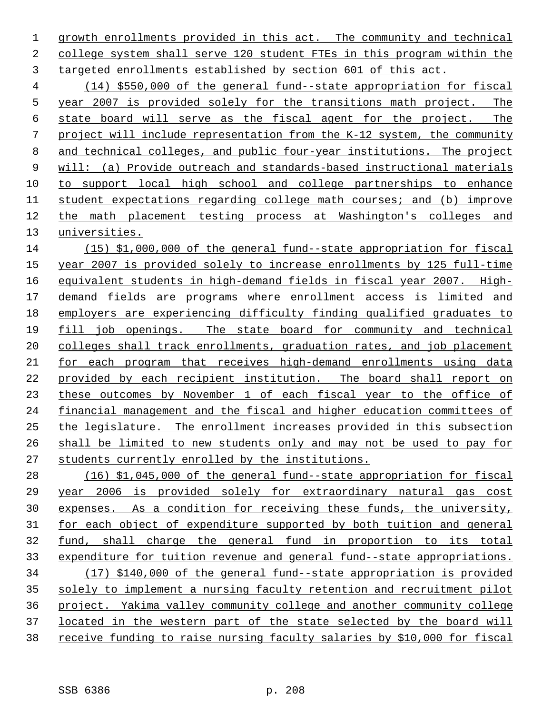1 growth enrollments provided in this act. The community and technical college system shall serve 120 student FTEs in this program within the targeted enrollments established by section 601 of this act.

 (14) \$550,000 of the general fund--state appropriation for fiscal year 2007 is provided solely for the transitions math project. The state board will serve as the fiscal agent for the project. The project will include representation from the K-12 system, the community and technical colleges, and public four-year institutions. The project will: (a) Provide outreach and standards-based instructional materials to support local high school and college partnerships to enhance student expectations regarding college math courses; and (b) improve the math placement testing process at Washington's colleges and universities.

 (15) \$1,000,000 of the general fund--state appropriation for fiscal year 2007 is provided solely to increase enrollments by 125 full-time equivalent students in high-demand fields in fiscal year 2007. High- demand fields are programs where enrollment access is limited and employers are experiencing difficulty finding qualified graduates to fill job openings. The state board for community and technical 20 colleges shall track enrollments, graduation rates, and job placement for each program that receives high-demand enrollments using data provided by each recipient institution. The board shall report on these outcomes by November 1 of each fiscal year to the office of financial management and the fiscal and higher education committees of the legislature. The enrollment increases provided in this subsection shall be limited to new students only and may not be used to pay for students currently enrolled by the institutions.

 (16) \$1,045,000 of the general fund--state appropriation for fiscal year 2006 is provided solely for extraordinary natural gas cost expenses. As a condition for receiving these funds, the university, for each object of expenditure supported by both tuition and general fund, shall charge the general fund in proportion to its total expenditure for tuition revenue and general fund--state appropriations. (17) \$140,000 of the general fund--state appropriation is provided solely to implement a nursing faculty retention and recruitment pilot project. Yakima valley community college and another community college located in the western part of the state selected by the board will receive funding to raise nursing faculty salaries by \$10,000 for fiscal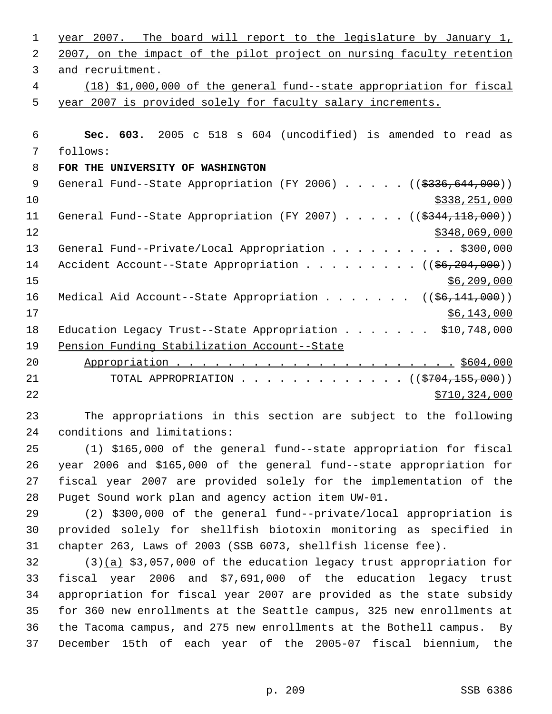| 1           | year 2007. The board will report to the legislature by January 1,              |
|-------------|--------------------------------------------------------------------------------|
| 2           | 2007, on the impact of the pilot project on nursing faculty retention          |
| 3           | and recruitment.                                                               |
| 4           | (18) \$1,000,000 of the general fund--state appropriation for fiscal           |
| 5           | year 2007 is provided solely for faculty salary increments.                    |
|             |                                                                                |
| 6           | Sec. 603. 2005 c 518 s 604 (uncodified) is amended to read as                  |
| 7           | follows:                                                                       |
| 8           | FOR THE UNIVERSITY OF WASHINGTON                                               |
| $\mathsf 9$ | General Fund--State Appropriation (FY 2006) ((\$336,644,000))                  |
| 10          | \$338,251,000                                                                  |
| 11          | General Fund--State Appropriation (FY 2007) $($ $($ \$344,118,000))            |
| 12          | \$348,069,000                                                                  |
| 13          | General Fund--Private/Local Appropriation \$300,000                            |
| 14          | Accident Account--State Appropriation $($ $($ $\frac{6}{6}$ , $204$ , $000)$ ) |
| 15          | \$6,209,000                                                                    |
| 16          | Medical Aid Account--State Appropriation ( $(\frac{26}{141}, 000)$ )           |
| 17          | \$6,143,000                                                                    |
| 18          | Education Legacy Trust--State Appropriation \$10,748,000                       |
| 19          | Pension Funding Stabilization Account--State                                   |
| 20          |                                                                                |
| 21          | TOTAL APPROPRIATION ( $(\frac{2704}{155},000)$ )                               |
| 22          | \$710, 324, 000                                                                |
| 23          | The appropriations in this section are subject to the following                |
| 24          | conditions and limitations:                                                    |
| 25          | (1) \$165,000 of the general fund--state appropriation for fiscal              |
| 26          | year 2006 and \$165,000 of the general fund--state appropriation for           |
| 27          | fiscal year 2007 are provided solely for the implementation of the             |
| 28          | Puget Sound work plan and agency action item UW-01.                            |
| 29          | (2) \$300,000 of the general fund--private/local appropriation is              |
| 30          | provided solely for shellfish biotoxin monitoring as specified in              |
| 31          | chapter 263, Laws of 2003 (SSB 6073, shellfish license fee).                   |
| 32          | $(3)(a)$ \$3,057,000 of the education legacy trust appropriation for           |
| 33          | fiscal year 2006 and \$7,691,000 of the education legacy trust                 |
| 34          | appropriation for fiscal year 2007 are provided as the state subsidy           |
| 35          | for 360 new enrollments at the Seattle campus, 325 new enrollments at          |
| 36          | the Tacoma campus, and 275 new enrollments at the Bothell campus. By           |
| 37          | December 15th of each year of the 2005-07 fiscal biennium, the                 |
|             |                                                                                |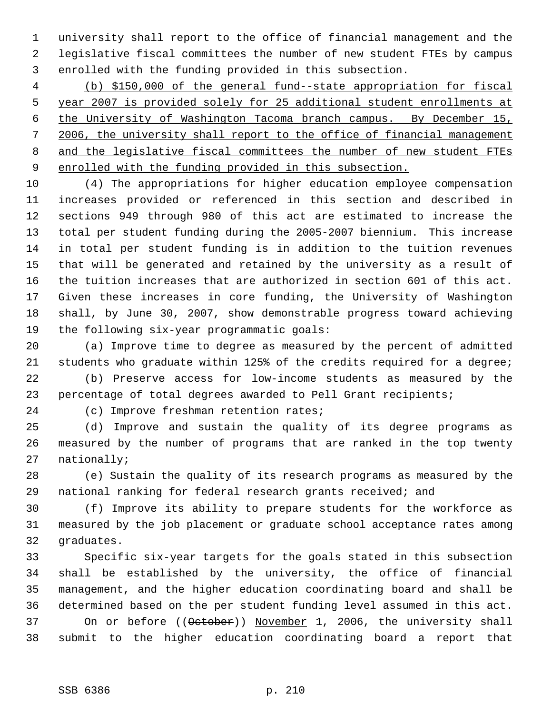university shall report to the office of financial management and the legislative fiscal committees the number of new student FTEs by campus enrolled with the funding provided in this subsection.

 (b) \$150,000 of the general fund--state appropriation for fiscal year 2007 is provided solely for 25 additional student enrollments at the University of Washington Tacoma branch campus. By December 15, 2006, the university shall report to the office of financial management 8 and the legislative fiscal committees the number of new student FTEs enrolled with the funding provided in this subsection.

 (4) The appropriations for higher education employee compensation increases provided or referenced in this section and described in sections 949 through 980 of this act are estimated to increase the total per student funding during the 2005-2007 biennium. This increase in total per student funding is in addition to the tuition revenues that will be generated and retained by the university as a result of the tuition increases that are authorized in section 601 of this act. Given these increases in core funding, the University of Washington shall, by June 30, 2007, show demonstrable progress toward achieving the following six-year programmatic goals:

 (a) Improve time to degree as measured by the percent of admitted students who graduate within 125% of the credits required for a degree;

 (b) Preserve access for low-income students as measured by the percentage of total degrees awarded to Pell Grant recipients;

(c) Improve freshman retention rates;

 (d) Improve and sustain the quality of its degree programs as measured by the number of programs that are ranked in the top twenty nationally;

 (e) Sustain the quality of its research programs as measured by the national ranking for federal research grants received; and

 (f) Improve its ability to prepare students for the workforce as measured by the job placement or graduate school acceptance rates among graduates.

 Specific six-year targets for the goals stated in this subsection shall be established by the university, the office of financial management, and the higher education coordinating board and shall be determined based on the per student funding level assumed in this act. 37 On or before ((October)) November 1, 2006, the university shall submit to the higher education coordinating board a report that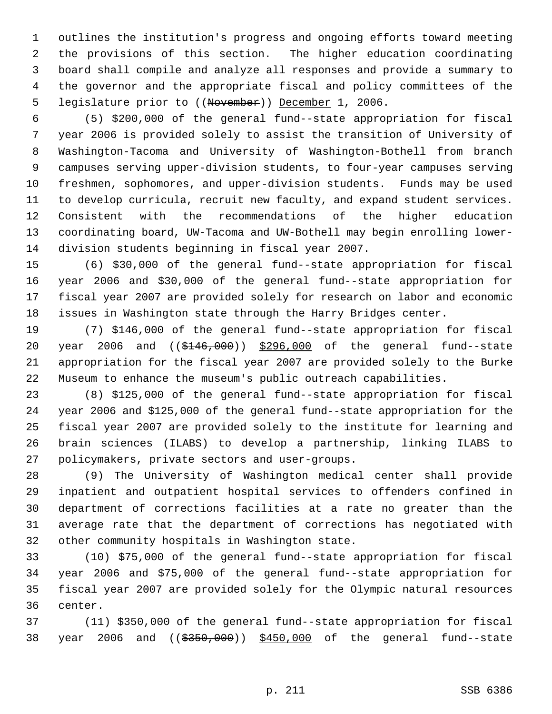outlines the institution's progress and ongoing efforts toward meeting the provisions of this section. The higher education coordinating board shall compile and analyze all responses and provide a summary to the governor and the appropriate fiscal and policy committees of the 5 legislature prior to ((November)) December 1, 2006.

 (5) \$200,000 of the general fund--state appropriation for fiscal year 2006 is provided solely to assist the transition of University of Washington-Tacoma and University of Washington-Bothell from branch campuses serving upper-division students, to four-year campuses serving freshmen, sophomores, and upper-division students. Funds may be used to develop curricula, recruit new faculty, and expand student services. Consistent with the recommendations of the higher education coordinating board, UW-Tacoma and UW-Bothell may begin enrolling lower-division students beginning in fiscal year 2007.

 (6) \$30,000 of the general fund--state appropriation for fiscal year 2006 and \$30,000 of the general fund--state appropriation for fiscal year 2007 are provided solely for research on labor and economic issues in Washington state through the Harry Bridges center.

 (7) \$146,000 of the general fund--state appropriation for fiscal 20 year 2006 and ((\$146,000)) \$296,000 of the general fund--state appropriation for the fiscal year 2007 are provided solely to the Burke Museum to enhance the museum's public outreach capabilities.

 (8) \$125,000 of the general fund--state appropriation for fiscal year 2006 and \$125,000 of the general fund--state appropriation for the fiscal year 2007 are provided solely to the institute for learning and brain sciences (ILABS) to develop a partnership, linking ILABS to policymakers, private sectors and user-groups.

 (9) The University of Washington medical center shall provide inpatient and outpatient hospital services to offenders confined in department of corrections facilities at a rate no greater than the average rate that the department of corrections has negotiated with other community hospitals in Washington state.

 (10) \$75,000 of the general fund--state appropriation for fiscal year 2006 and \$75,000 of the general fund--state appropriation for fiscal year 2007 are provided solely for the Olympic natural resources center.

 (11) \$350,000 of the general fund--state appropriation for fiscal 38 year 2006 and ((\$350,000)) \$450,000 of the general fund--state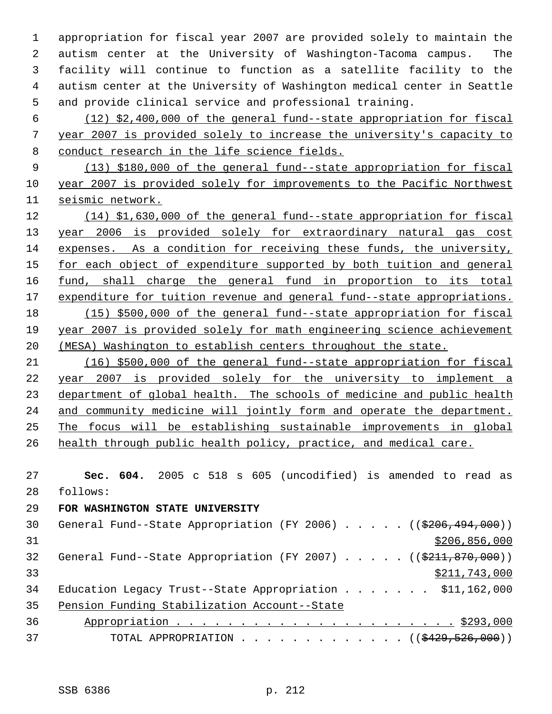appropriation for fiscal year 2007 are provided solely to maintain the autism center at the University of Washington-Tacoma campus. The facility will continue to function as a satellite facility to the autism center at the University of Washington medical center in Seattle and provide clinical service and professional training.

 (12) \$2,400,000 of the general fund--state appropriation for fiscal year 2007 is provided solely to increase the university's capacity to conduct research in the life science fields.

 (13) \$180,000 of the general fund--state appropriation for fiscal year 2007 is provided solely for improvements to the Pacific Northwest seismic network.

 (14) \$1,630,000 of the general fund--state appropriation for fiscal year 2006 is provided solely for extraordinary natural gas cost expenses. As a condition for receiving these funds, the university, 15 for each object of expenditure supported by both tuition and general 16 fund, shall charge the general fund in proportion to its total 17 expenditure for tuition revenue and general fund--state appropriations. (15) \$500,000 of the general fund--state appropriation for fiscal year 2007 is provided solely for math engineering science achievement (MESA) Washington to establish centers throughout the state.

 (16) \$500,000 of the general fund--state appropriation for fiscal year 2007 is provided solely for the university to implement a 23 department of global health. The schools of medicine and public health 24 and community medicine will jointly form and operate the department. The focus will be establishing sustainable improvements in global 26 health through public health policy, practice, and medical care.

 **Sec. 604.** 2005 c 518 s 605 (uncodified) is amended to read as follows:

# **FOR WASHINGTON STATE UNIVERSITY**

| General Fund--State Appropriation (FY 2006) $($ (\$206,494,000))         |
|--------------------------------------------------------------------------|
| \$206,856,000                                                            |
| General Fund--State Appropriation (FY 2007) $($ $($ \$211,870,000))      |
| \$211,743,000                                                            |
| Education Legacy Trust--State Appropriation \$11,162,000                 |
| Pension Funding Stabilization Account--State                             |
|                                                                          |
| TOTAL APPROPRIATION $\ldots$ , ( $(\frac{2429}{520}, \frac{526}{500})$ ) |
|                                                                          |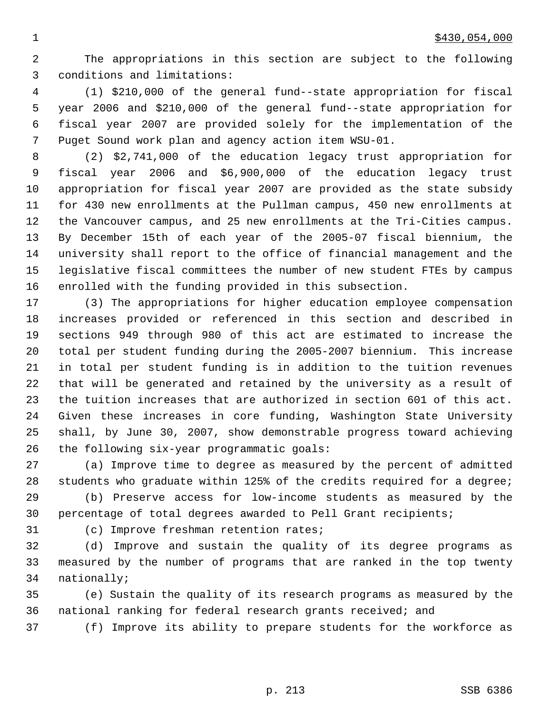The appropriations in this section are subject to the following conditions and limitations:

 (1) \$210,000 of the general fund--state appropriation for fiscal year 2006 and \$210,000 of the general fund--state appropriation for fiscal year 2007 are provided solely for the implementation of the Puget Sound work plan and agency action item WSU-01.

 (2) \$2,741,000 of the education legacy trust appropriation for fiscal year 2006 and \$6,900,000 of the education legacy trust appropriation for fiscal year 2007 are provided as the state subsidy for 430 new enrollments at the Pullman campus, 450 new enrollments at the Vancouver campus, and 25 new enrollments at the Tri-Cities campus. By December 15th of each year of the 2005-07 fiscal biennium, the university shall report to the office of financial management and the legislative fiscal committees the number of new student FTEs by campus enrolled with the funding provided in this subsection.

 (3) The appropriations for higher education employee compensation increases provided or referenced in this section and described in sections 949 through 980 of this act are estimated to increase the total per student funding during the 2005-2007 biennium. This increase in total per student funding is in addition to the tuition revenues that will be generated and retained by the university as a result of the tuition increases that are authorized in section 601 of this act. Given these increases in core funding, Washington State University shall, by June 30, 2007, show demonstrable progress toward achieving the following six-year programmatic goals:

 (a) Improve time to degree as measured by the percent of admitted students who graduate within 125% of the credits required for a degree;

 (b) Preserve access for low-income students as measured by the percentage of total degrees awarded to Pell Grant recipients;

(c) Improve freshman retention rates;

 (d) Improve and sustain the quality of its degree programs as measured by the number of programs that are ranked in the top twenty nationally;

 (e) Sustain the quality of its research programs as measured by the national ranking for federal research grants received; and

(f) Improve its ability to prepare students for the workforce as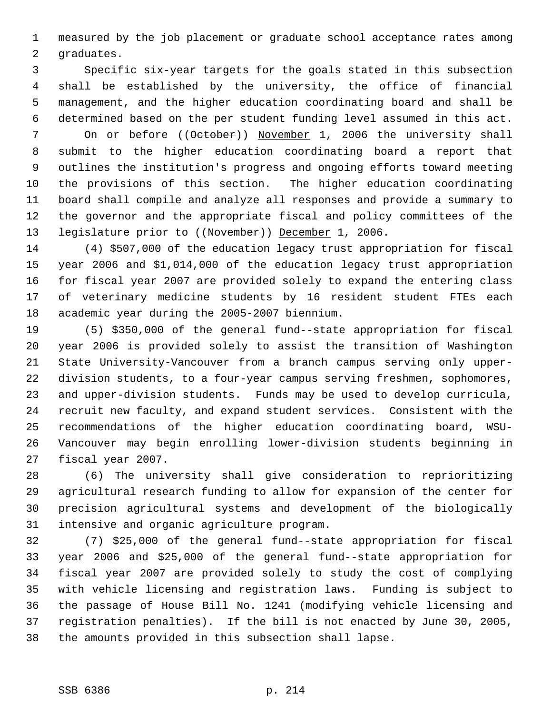measured by the job placement or graduate school acceptance rates among graduates.

 Specific six-year targets for the goals stated in this subsection shall be established by the university, the office of financial management, and the higher education coordinating board and shall be determined based on the per student funding level assumed in this act. 7 On or before ((October)) November 1, 2006 the university shall submit to the higher education coordinating board a report that outlines the institution's progress and ongoing efforts toward meeting the provisions of this section. The higher education coordinating board shall compile and analyze all responses and provide a summary to the governor and the appropriate fiscal and policy committees of the 13 legislature prior to ((November)) December 1, 2006.

 (4) \$507,000 of the education legacy trust appropriation for fiscal year 2006 and \$1,014,000 of the education legacy trust appropriation for fiscal year 2007 are provided solely to expand the entering class of veterinary medicine students by 16 resident student FTEs each academic year during the 2005-2007 biennium.

 (5) \$350,000 of the general fund--state appropriation for fiscal year 2006 is provided solely to assist the transition of Washington State University-Vancouver from a branch campus serving only upper- division students, to a four-year campus serving freshmen, sophomores, and upper-division students. Funds may be used to develop curricula, recruit new faculty, and expand student services. Consistent with the recommendations of the higher education coordinating board, WSU- Vancouver may begin enrolling lower-division students beginning in fiscal year 2007.

 (6) The university shall give consideration to reprioritizing agricultural research funding to allow for expansion of the center for precision agricultural systems and development of the biologically intensive and organic agriculture program.

 (7) \$25,000 of the general fund--state appropriation for fiscal year 2006 and \$25,000 of the general fund--state appropriation for fiscal year 2007 are provided solely to study the cost of complying with vehicle licensing and registration laws. Funding is subject to the passage of House Bill No. 1241 (modifying vehicle licensing and registration penalties). If the bill is not enacted by June 30, 2005, the amounts provided in this subsection shall lapse.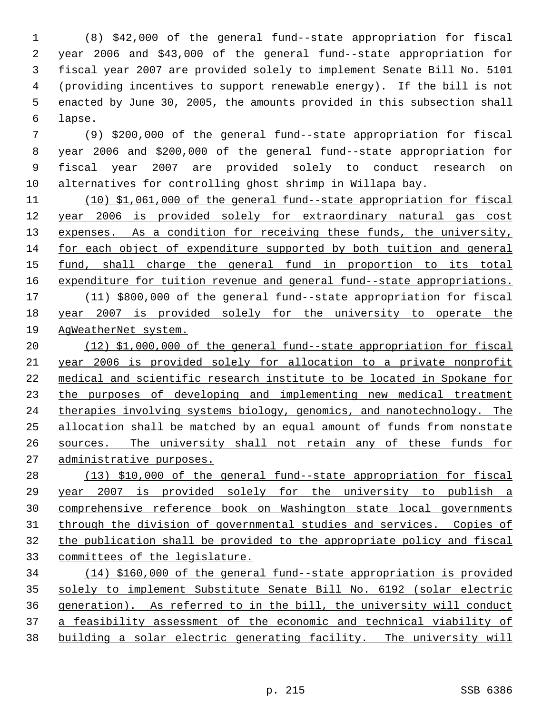(8) \$42,000 of the general fund--state appropriation for fiscal year 2006 and \$43,000 of the general fund--state appropriation for fiscal year 2007 are provided solely to implement Senate Bill No. 5101 (providing incentives to support renewable energy). If the bill is not enacted by June 30, 2005, the amounts provided in this subsection shall lapse.

 (9) \$200,000 of the general fund--state appropriation for fiscal year 2006 and \$200,000 of the general fund--state appropriation for fiscal year 2007 are provided solely to conduct research on alternatives for controlling ghost shrimp in Willapa bay.

 (10) \$1,061,000 of the general fund--state appropriation for fiscal year 2006 is provided solely for extraordinary natural gas cost 13 expenses. As a condition for receiving these funds, the university, for each object of expenditure supported by both tuition and general 15 fund, shall charge the general fund in proportion to its total 16 expenditure for tuition revenue and general fund--state appropriations. (11) \$800,000 of the general fund--state appropriation for fiscal year 2007 is provided solely for the university to operate the AgWeatherNet system.

 (12) \$1,000,000 of the general fund--state appropriation for fiscal year 2006 is provided solely for allocation to a private nonprofit medical and scientific research institute to be located in Spokane for 23 the purposes of developing and implementing new medical treatment therapies involving systems biology, genomics, and nanotechnology. The allocation shall be matched by an equal amount of funds from nonstate sources. The university shall not retain any of these funds for administrative purposes.

 (13) \$10,000 of the general fund--state appropriation for fiscal year 2007 is provided solely for the university to publish a comprehensive reference book on Washington state local governments through the division of governmental studies and services. Copies of the publication shall be provided to the appropriate policy and fiscal committees of the legislature.

 (14) \$160,000 of the general fund--state appropriation is provided solely to implement Substitute Senate Bill No. 6192 (solar electric generation). As referred to in the bill, the university will conduct a feasibility assessment of the economic and technical viability of building a solar electric generating facility. The university will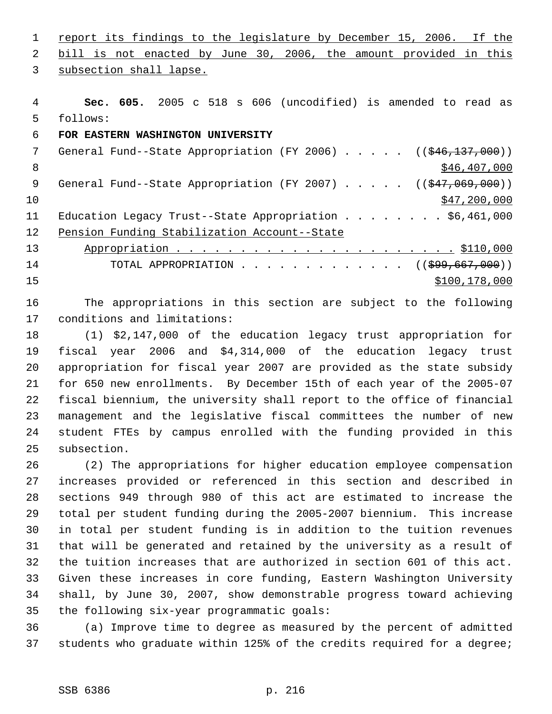1 report its findings to the legislature by December 15, 2006. If the bill is not enacted by June 30, 2006, the amount provided in this

subsection shall lapse.

 **Sec. 605.** 2005 c 518 s 606 (uncodified) is amended to read as follows:

## **FOR EASTERN WASHINGTON UNIVERSITY**

7 General Fund--State Appropriation (FY 2006) . . . . . ((\$46,137,000))  $8 \div 846,407,000$ 9 General Fund--State Appropriation (FY 2007) . . . . . ((\$47,069,000))  $\frac{10}{347}$ , 200,000 Education Legacy Trust--State Appropriation . . . . . . . . \$6,461,000 Pension Funding Stabilization Account--State Appropriation . . . . . . . . . . . . . . . . . . . . . . \$110,000 14 TOTAL APPROPRIATION . . . . . . . . . . . . ((<del>\$99,667,000</del>)) 15 \$100,178,000 \$100,178,000 \$100,178,000 \$100,178,000 \$100,178,000 \$100,178,000 \$100,178,000 \$100,178,000 \$10

 The appropriations in this section are subject to the following conditions and limitations:

 (1) \$2,147,000 of the education legacy trust appropriation for fiscal year 2006 and \$4,314,000 of the education legacy trust appropriation for fiscal year 2007 are provided as the state subsidy for 650 new enrollments. By December 15th of each year of the 2005-07 fiscal biennium, the university shall report to the office of financial management and the legislative fiscal committees the number of new student FTEs by campus enrolled with the funding provided in this subsection.

 (2) The appropriations for higher education employee compensation increases provided or referenced in this section and described in sections 949 through 980 of this act are estimated to increase the total per student funding during the 2005-2007 biennium. This increase in total per student funding is in addition to the tuition revenues that will be generated and retained by the university as a result of the tuition increases that are authorized in section 601 of this act. Given these increases in core funding, Eastern Washington University shall, by June 30, 2007, show demonstrable progress toward achieving the following six-year programmatic goals:

 (a) Improve time to degree as measured by the percent of admitted students who graduate within 125% of the credits required for a degree;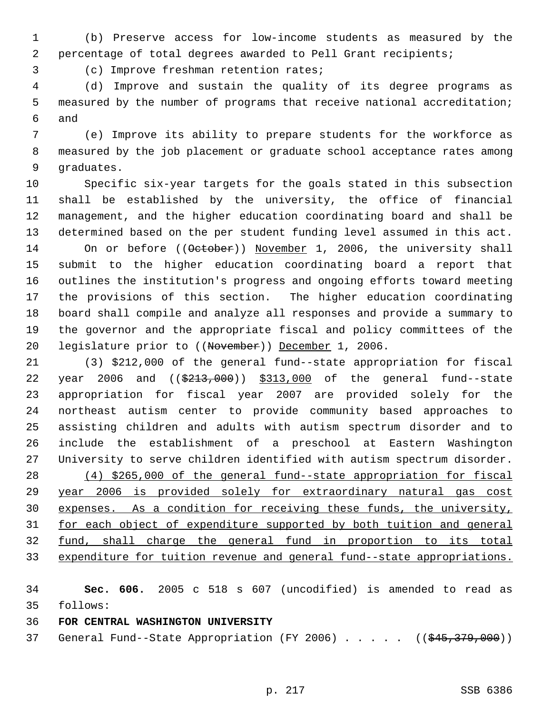(b) Preserve access for low-income students as measured by the percentage of total degrees awarded to Pell Grant recipients;

(c) Improve freshman retention rates;

 (d) Improve and sustain the quality of its degree programs as measured by the number of programs that receive national accreditation; and

 (e) Improve its ability to prepare students for the workforce as measured by the job placement or graduate school acceptance rates among graduates.

 Specific six-year targets for the goals stated in this subsection shall be established by the university, the office of financial management, and the higher education coordinating board and shall be determined based on the per student funding level assumed in this act. 14 On or before ((October)) November 1, 2006, the university shall submit to the higher education coordinating board a report that outlines the institution's progress and ongoing efforts toward meeting the provisions of this section. The higher education coordinating board shall compile and analyze all responses and provide a summary to the governor and the appropriate fiscal and policy committees of the legislature prior to ((November)) December 1, 2006.

 (3) \$212,000 of the general fund--state appropriation for fiscal 22 year 2006 and ((\$213,000)) \$313,000 of the general fund--state appropriation for fiscal year 2007 are provided solely for the northeast autism center to provide community based approaches to assisting children and adults with autism spectrum disorder and to include the establishment of a preschool at Eastern Washington University to serve children identified with autism spectrum disorder. (4) \$265,000 of the general fund--state appropriation for fiscal year 2006 is provided solely for extraordinary natural gas cost expenses. As a condition for receiving these funds, the university, for each object of expenditure supported by both tuition and general fund, shall charge the general fund in proportion to its total expenditure for tuition revenue and general fund--state appropriations.

 **Sec. 606.** 2005 c 518 s 607 (uncodified) is amended to read as follows:

**FOR CENTRAL WASHINGTON UNIVERSITY** 

37 General Fund--State Appropriation (FY 2006) . . . . . ((\$45,379,000))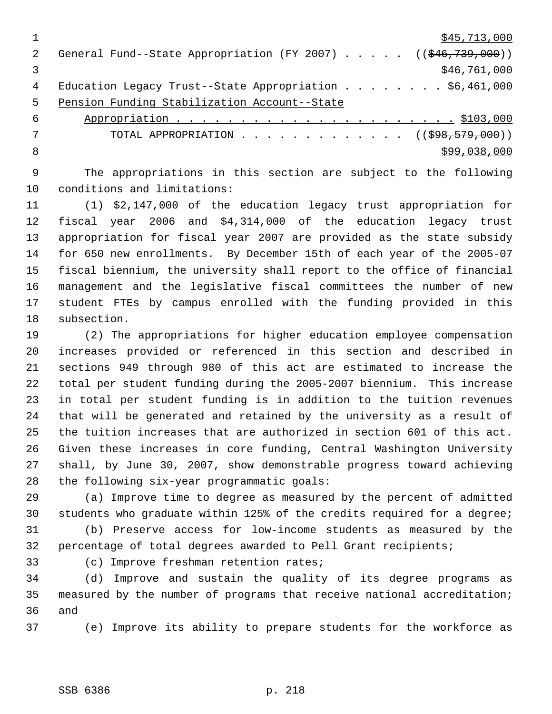|    | \$45,713,000                                                           |
|----|------------------------------------------------------------------------|
|    | General Fund--State Appropriation (FY 2007) $($ $($ $$46, 739, 000)$ ) |
|    | \$46,761,000                                                           |
| 4  | Education Legacy Trust--State Appropriation \$6,461,000                |
| .5 | Pension Funding Stabilization Account--State                           |
| 6  |                                                                        |
|    | TOTAL APPROPRIATION ( $(\$98, 579, 000)$ )                             |

 $8 \times 99,038,000$ 

 The appropriations in this section are subject to the following conditions and limitations:

 (1) \$2,147,000 of the education legacy trust appropriation for fiscal year 2006 and \$4,314,000 of the education legacy trust appropriation for fiscal year 2007 are provided as the state subsidy for 650 new enrollments. By December 15th of each year of the 2005-07 fiscal biennium, the university shall report to the office of financial management and the legislative fiscal committees the number of new student FTEs by campus enrolled with the funding provided in this subsection.

 (2) The appropriations for higher education employee compensation increases provided or referenced in this section and described in sections 949 through 980 of this act are estimated to increase the total per student funding during the 2005-2007 biennium. This increase in total per student funding is in addition to the tuition revenues that will be generated and retained by the university as a result of the tuition increases that are authorized in section 601 of this act. Given these increases in core funding, Central Washington University shall, by June 30, 2007, show demonstrable progress toward achieving the following six-year programmatic goals:

 (a) Improve time to degree as measured by the percent of admitted students who graduate within 125% of the credits required for a degree;

 (b) Preserve access for low-income students as measured by the percentage of total degrees awarded to Pell Grant recipients;

(c) Improve freshman retention rates;

 (d) Improve and sustain the quality of its degree programs as measured by the number of programs that receive national accreditation; and

(e) Improve its ability to prepare students for the workforce as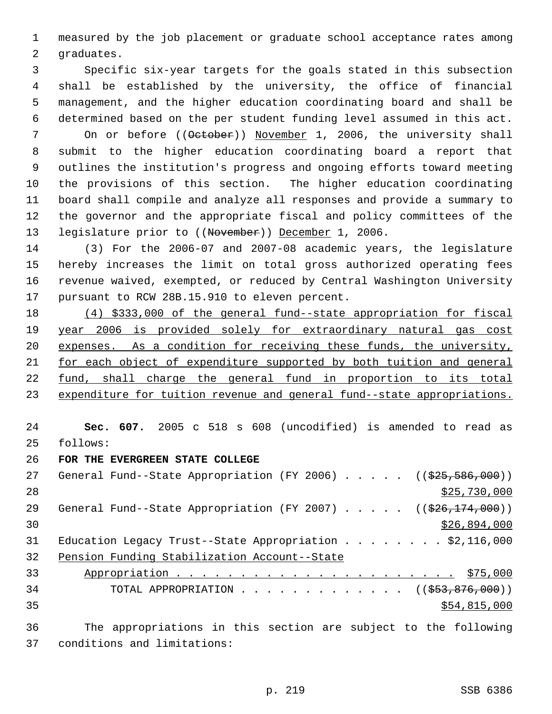measured by the job placement or graduate school acceptance rates among graduates.

 Specific six-year targets for the goals stated in this subsection shall be established by the university, the office of financial management, and the higher education coordinating board and shall be determined based on the per student funding level assumed in this act. 7 On or before (( $\theta$ etober)) November 1, 2006, the university shall submit to the higher education coordinating board a report that outlines the institution's progress and ongoing efforts toward meeting the provisions of this section. The higher education coordinating board shall compile and analyze all responses and provide a summary to the governor and the appropriate fiscal and policy committees of the 13 legislature prior to ((November)) December 1, 2006.

 (3) For the 2006-07 and 2007-08 academic years, the legislature hereby increases the limit on total gross authorized operating fees revenue waived, exempted, or reduced by Central Washington University pursuant to RCW 28B.15.910 to eleven percent.

 (4) \$333,000 of the general fund--state appropriation for fiscal year 2006 is provided solely for extraordinary natural gas cost expenses. As a condition for receiving these funds, the university, for each object of expenditure supported by both tuition and general fund, shall charge the general fund in proportion to its total 23 expenditure for tuition revenue and general fund--state appropriations.

 **Sec. 607.** 2005 c 518 s 608 (uncodified) is amended to read as follows:

**FOR THE EVERGREEN STATE COLLEGE** 

| 27     | General Fund--State Appropriation (FY 2006) $($ $($ $\frac{25}{7}$ , $\frac{586}{700})$ ) |
|--------|-------------------------------------------------------------------------------------------|
| 28     | \$25,730,000                                                                              |
| 29     | General Fund--State Appropriation (FY 2007) $($ $($ $\frac{26}{174}$ , 000))              |
| 30     | \$26,894,000                                                                              |
| 31     | Education Legacy Trust--State Appropriation \$2,116,000                                   |
| 32     | Pension Funding Stabilization Account--State                                              |
| 33     |                                                                                           |
| 34     | TOTAL APPROPRIATION $\ldots$ , ( $(\frac{253}{53}, \frac{876}{600})$ )                    |
| 35     | \$54,815,000                                                                              |
| $\sim$ | - 一部 コンピューティング しょうしん ハードル しょねう しょうしょうしん しんこうしん れいしん しょうしょうほん こうきょうきんしょ                    |

 The appropriations in this section are subject to the following conditions and limitations: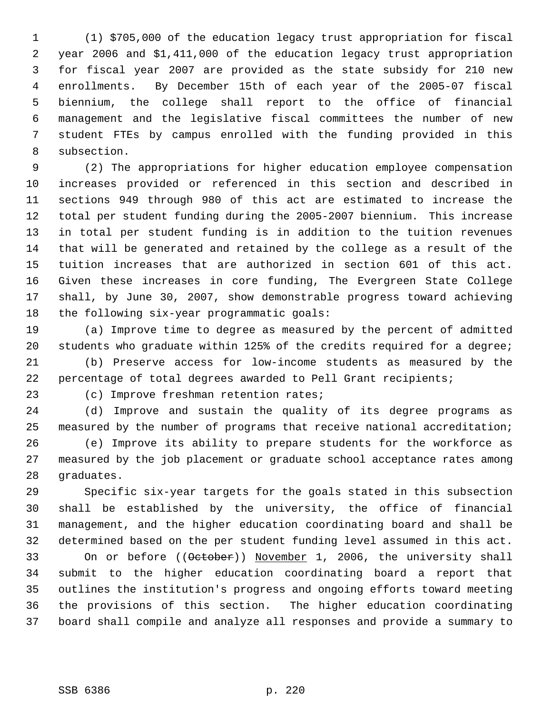(1) \$705,000 of the education legacy trust appropriation for fiscal year 2006 and \$1,411,000 of the education legacy trust appropriation for fiscal year 2007 are provided as the state subsidy for 210 new enrollments. By December 15th of each year of the 2005-07 fiscal biennium, the college shall report to the office of financial management and the legislative fiscal committees the number of new student FTEs by campus enrolled with the funding provided in this subsection.

 (2) The appropriations for higher education employee compensation increases provided or referenced in this section and described in sections 949 through 980 of this act are estimated to increase the total per student funding during the 2005-2007 biennium. This increase in total per student funding is in addition to the tuition revenues that will be generated and retained by the college as a result of the tuition increases that are authorized in section 601 of this act. Given these increases in core funding, The Evergreen State College shall, by June 30, 2007, show demonstrable progress toward achieving the following six-year programmatic goals:

 (a) Improve time to degree as measured by the percent of admitted students who graduate within 125% of the credits required for a degree;

 (b) Preserve access for low-income students as measured by the percentage of total degrees awarded to Pell Grant recipients;

(c) Improve freshman retention rates;

 (d) Improve and sustain the quality of its degree programs as measured by the number of programs that receive national accreditation; (e) Improve its ability to prepare students for the workforce as measured by the job placement or graduate school acceptance rates among graduates.

 Specific six-year targets for the goals stated in this subsection shall be established by the university, the office of financial management, and the higher education coordinating board and shall be determined based on the per student funding level assumed in this act.

33 On or before ((October)) November 1, 2006, the university shall submit to the higher education coordinating board a report that outlines the institution's progress and ongoing efforts toward meeting the provisions of this section. The higher education coordinating board shall compile and analyze all responses and provide a summary to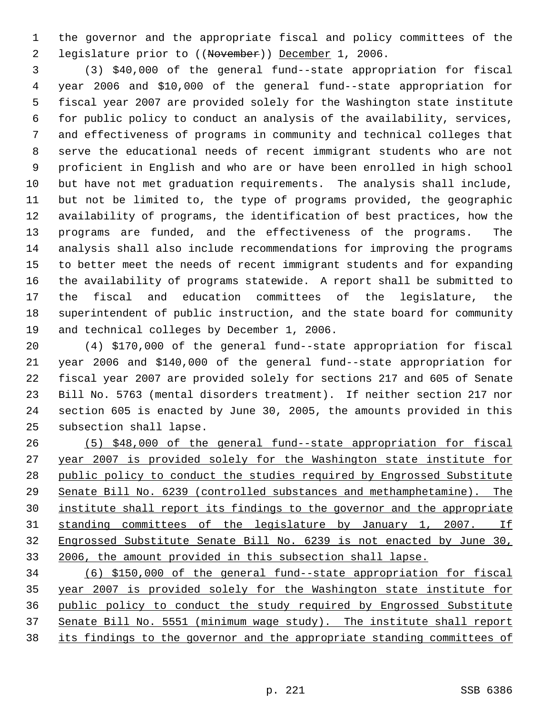the governor and the appropriate fiscal and policy committees of the legislature prior to ((November)) December 1, 2006.

 (3) \$40,000 of the general fund--state appropriation for fiscal year 2006 and \$10,000 of the general fund--state appropriation for fiscal year 2007 are provided solely for the Washington state institute for public policy to conduct an analysis of the availability, services, and effectiveness of programs in community and technical colleges that serve the educational needs of recent immigrant students who are not proficient in English and who are or have been enrolled in high school but have not met graduation requirements. The analysis shall include, but not be limited to, the type of programs provided, the geographic availability of programs, the identification of best practices, how the programs are funded, and the effectiveness of the programs. The analysis shall also include recommendations for improving the programs to better meet the needs of recent immigrant students and for expanding the availability of programs statewide. A report shall be submitted to the fiscal and education committees of the legislature, the superintendent of public instruction, and the state board for community and technical colleges by December 1, 2006.

 (4) \$170,000 of the general fund--state appropriation for fiscal year 2006 and \$140,000 of the general fund--state appropriation for fiscal year 2007 are provided solely for sections 217 and 605 of Senate Bill No. 5763 (mental disorders treatment). If neither section 217 nor section 605 is enacted by June 30, 2005, the amounts provided in this subsection shall lapse.

 (5) \$48,000 of the general fund--state appropriation for fiscal year 2007 is provided solely for the Washington state institute for public policy to conduct the studies required by Engrossed Substitute Senate Bill No. 6239 (controlled substances and methamphetamine). The institute shall report its findings to the governor and the appropriate standing committees of the legislature by January 1, 2007. If Engrossed Substitute Senate Bill No. 6239 is not enacted by June 30, 2006, the amount provided in this subsection shall lapse.

 (6) \$150,000 of the general fund--state appropriation for fiscal year 2007 is provided solely for the Washington state institute for public policy to conduct the study required by Engrossed Substitute Senate Bill No. 5551 (minimum wage study). The institute shall report its findings to the governor and the appropriate standing committees of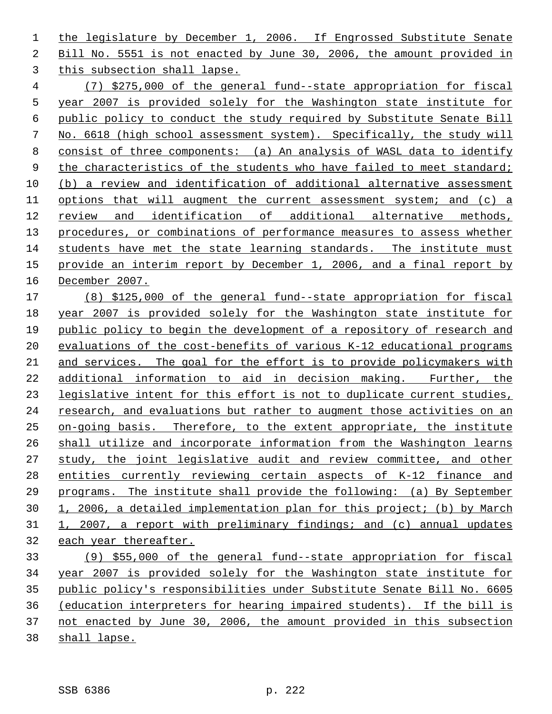1 the legislature by December 1, 2006. If Engrossed Substitute Senate Bill No. 5551 is not enacted by June 30, 2006, the amount provided in this subsection shall lapse.

 (7) \$275,000 of the general fund--state appropriation for fiscal year 2007 is provided solely for the Washington state institute for public policy to conduct the study required by Substitute Senate Bill No. 6618 (high school assessment system). Specifically, the study will consist of three components: (a) An analysis of WASL data to identify 9 the characteristics of the students who have failed to meet standard; (b) a review and identification of additional alternative assessment options that will augment the current assessment system; and (c) a review and identification of additional alternative methods, procedures, or combinations of performance measures to assess whether students have met the state learning standards. The institute must provide an interim report by December 1, 2006, and a final report by December 2007.

 (8) \$125,000 of the general fund--state appropriation for fiscal year 2007 is provided solely for the Washington state institute for public policy to begin the development of a repository of research and evaluations of the cost-benefits of various K-12 educational programs and services. The goal for the effort is to provide policymakers with additional information to aid in decision making. Further, the legislative intent for this effort is not to duplicate current studies, research, and evaluations but rather to augment those activities on an on-going basis. Therefore, to the extent appropriate, the institute shall utilize and incorporate information from the Washington learns study, the joint legislative audit and review committee, and other entities currently reviewing certain aspects of K-12 finance and programs. The institute shall provide the following: (a) By September 1, 2006, a detailed implementation plan for this project; (b) by March 1, 2007, a report with preliminary findings; and (c) annual updates each year thereafter.

 (9) \$55,000 of the general fund--state appropriation for fiscal year 2007 is provided solely for the Washington state institute for public policy's responsibilities under Substitute Senate Bill No. 6605 (education interpreters for hearing impaired students). If the bill is not enacted by June 30, 2006, the amount provided in this subsection shall lapse.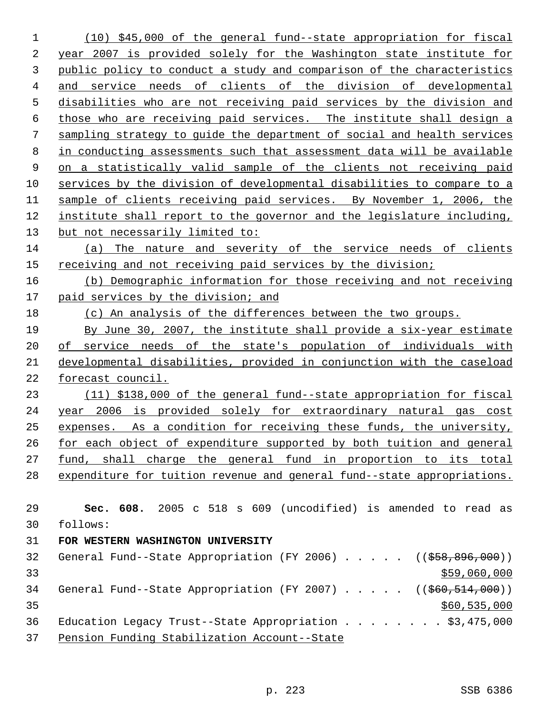(10) \$45,000 of the general fund--state appropriation for fiscal year 2007 is provided solely for the Washington state institute for public policy to conduct a study and comparison of the characteristics and service needs of clients of the division of developmental disabilities who are not receiving paid services by the division and those who are receiving paid services. The institute shall design a sampling strategy to guide the department of social and health services in conducting assessments such that assessment data will be available on a statistically valid sample of the clients not receiving paid services by the division of developmental disabilities to compare to a sample of clients receiving paid services. By November 1, 2006, the institute shall report to the governor and the legislature including, 13 but not necessarily limited to: (a) The nature and severity of the service needs of clients receiving and not receiving paid services by the division; (b) Demographic information for those receiving and not receiving 17 paid services by the division; and 18 (c) An analysis of the differences between the two groups. By June 30, 2007, the institute shall provide a six-year estimate of service needs of the state's population of individuals with developmental disabilities, provided in conjunction with the caseload forecast council. (11) \$138,000 of the general fund--state appropriation for fiscal year 2006 is provided solely for extraordinary natural gas cost expenses. As a condition for receiving these funds, the university, for each object of expenditure supported by both tuition and general fund, shall charge the general fund in proportion to its total expenditure for tuition revenue and general fund--state appropriations. **Sec. 608.** 2005 c 518 s 609 (uncodified) is amended to read as follows: **FOR WESTERN WASHINGTON UNIVERSITY**  32 General Fund--State Appropriation (FY 2006) . . . . . ((\$58,896,000)) \$59,060,000 \$59,060,000 \$59,060,000 \$59,060,000 \$59,060,000 \$59,060,000 \$59,060,000 \$59,060,000 \$59,000 \$1,000 \$1,000 \$1,000 \$1,000 \$1,000 \$1,000 \$1,000 \$1,000 \$1,000 \$1,000 \$1,000 \$1,000 \$1,000 \$1,000 \$1,000 \$1,000 34 General Fund--State Appropriation (FY 2007) . . . . . ((\$60,514,000)) \$60,535,000 36 Education Legacy Trust--State Appropriation . . . . . . . \$3,475,000 Pension Funding Stabilization Account--State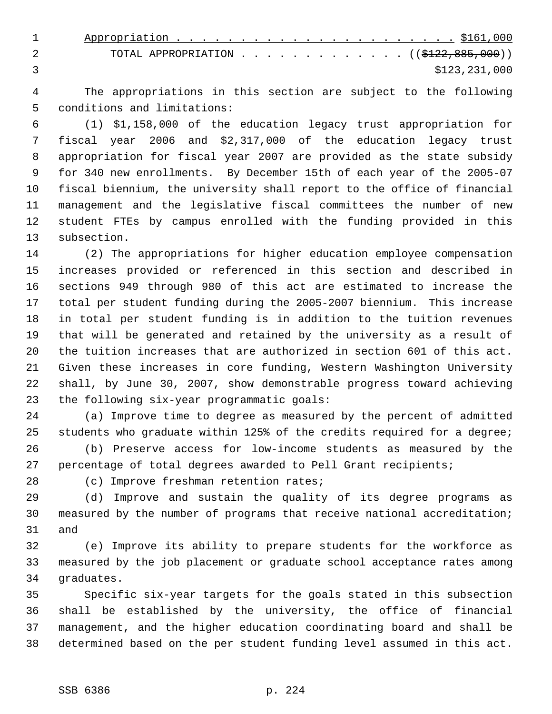| TOTAL APPROPRIATION ( $(\frac{122}{122}, \frac{885}{100})$ ) |
|--------------------------------------------------------------|
| \$123,231,000                                                |

 The appropriations in this section are subject to the following conditions and limitations:

 (1) \$1,158,000 of the education legacy trust appropriation for fiscal year 2006 and \$2,317,000 of the education legacy trust appropriation for fiscal year 2007 are provided as the state subsidy for 340 new enrollments. By December 15th of each year of the 2005-07 fiscal biennium, the university shall report to the office of financial management and the legislative fiscal committees the number of new student FTEs by campus enrolled with the funding provided in this subsection.

 (2) The appropriations for higher education employee compensation increases provided or referenced in this section and described in sections 949 through 980 of this act are estimated to increase the total per student funding during the 2005-2007 biennium. This increase in total per student funding is in addition to the tuition revenues that will be generated and retained by the university as a result of the tuition increases that are authorized in section 601 of this act. Given these increases in core funding, Western Washington University shall, by June 30, 2007, show demonstrable progress toward achieving the following six-year programmatic goals:

 (a) Improve time to degree as measured by the percent of admitted students who graduate within 125% of the credits required for a degree;

 (b) Preserve access for low-income students as measured by the percentage of total degrees awarded to Pell Grant recipients;

(c) Improve freshman retention rates;

 (d) Improve and sustain the quality of its degree programs as measured by the number of programs that receive national accreditation; and

 (e) Improve its ability to prepare students for the workforce as measured by the job placement or graduate school acceptance rates among graduates.

 Specific six-year targets for the goals stated in this subsection shall be established by the university, the office of financial management, and the higher education coordinating board and shall be determined based on the per student funding level assumed in this act.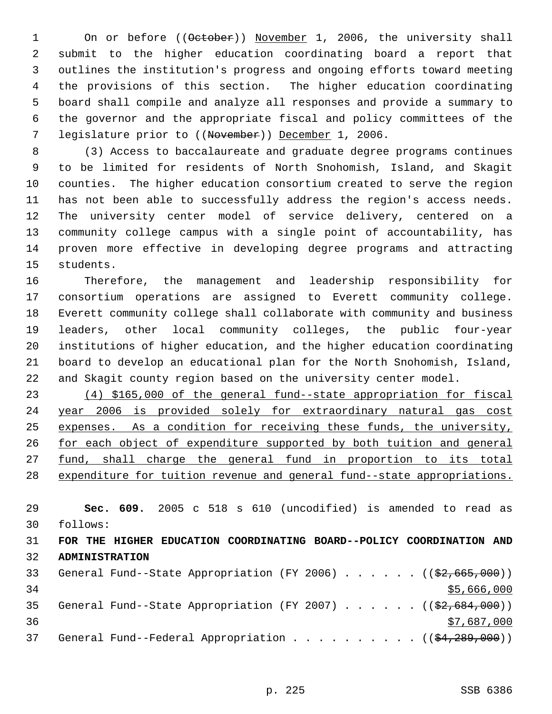1 On or before ((October)) November 1, 2006, the university shall submit to the higher education coordinating board a report that outlines the institution's progress and ongoing efforts toward meeting the provisions of this section. The higher education coordinating board shall compile and analyze all responses and provide a summary to the governor and the appropriate fiscal and policy committees of the 7 legislature prior to ((November)) December 1, 2006.

 (3) Access to baccalaureate and graduate degree programs continues to be limited for residents of North Snohomish, Island, and Skagit counties. The higher education consortium created to serve the region has not been able to successfully address the region's access needs. The university center model of service delivery, centered on a community college campus with a single point of accountability, has proven more effective in developing degree programs and attracting students.

 Therefore, the management and leadership responsibility for consortium operations are assigned to Everett community college. Everett community college shall collaborate with community and business leaders, other local community colleges, the public four-year institutions of higher education, and the higher education coordinating board to develop an educational plan for the North Snohomish, Island, and Skagit county region based on the university center model.

 (4) \$165,000 of the general fund--state appropriation for fiscal year 2006 is provided solely for extraordinary natural gas cost expenses. As a condition for receiving these funds, the university, 26 for each object of expenditure supported by both tuition and general 27 <u>fund, shall charge the general fund in proportion to its total</u> expenditure for tuition revenue and general fund--state appropriations.

 **Sec. 609.** 2005 c 518 s 610 (uncodified) is amended to read as follows: **FOR THE HIGHER EDUCATION COORDINATING BOARD--POLICY COORDINATION AND ADMINISTRATION**  33 General Fund--State Appropriation (FY 2006) . . . . . . ((\$2,665,000)) 34 \$5,666,000 35 General Fund--State Appropriation (FY 2007)  $\ldots$  . . . . ((\$2,684,000))

  $\frac{$7,687,000}{2}$ 37 General Fund--Federal Appropriation . . . . . . . . . ( $(\frac{24}{289},000)$ )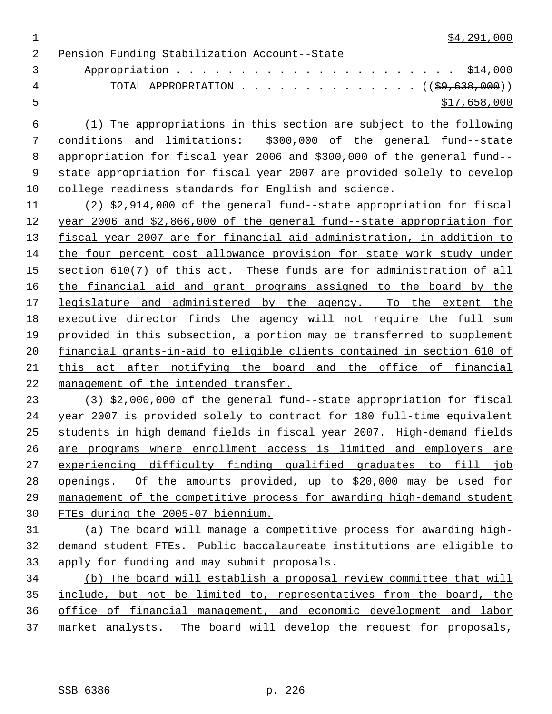$\frac{1}{2}$  \$4,291,000

Pension Funding Stabilization Account--State

 Appropriation . . . . . . . . . . . . . . . . . . . . . . \$14,000 4 TOTAL APPROPRIATION . . . . . . . . . . . . . ((<del>\$9,638,000</del>))  $5 - 5$  \$17,658,000

 (1) The appropriations in this section are subject to the following conditions and limitations: \$300,000 of the general fund--state appropriation for fiscal year 2006 and \$300,000 of the general fund-- state appropriation for fiscal year 2007 are provided solely to develop college readiness standards for English and science.

 (2) \$2,914,000 of the general fund--state appropriation for fiscal year 2006 and \$2,866,000 of the general fund--state appropriation for fiscal year 2007 are for financial aid administration, in addition to the four percent cost allowance provision for state work study under 15 section 610(7) of this act. These funds are for administration of all the financial aid and grant programs assigned to the board by the legislature and administered by the agency. To the extent the executive director finds the agency will not require the full sum provided in this subsection, a portion may be transferred to supplement financial grants-in-aid to eligible clients contained in section 610 of 21 this act after notifying the board and the office of financial management of the intended transfer.

 (3) \$2,000,000 of the general fund--state appropriation for fiscal year 2007 is provided solely to contract for 180 full-time equivalent students in high demand fields in fiscal year 2007. High-demand fields are programs where enrollment access is limited and employers are experiencing difficulty finding qualified graduates to fill job openings. Of the amounts provided, up to \$20,000 may be used for management of the competitive process for awarding high-demand student FTEs during the 2005-07 biennium.

 (a) The board will manage a competitive process for awarding high- demand student FTEs. Public baccalaureate institutions are eligible to apply for funding and may submit proposals.

 (b) The board will establish a proposal review committee that will include, but not be limited to, representatives from the board, the office of financial management, and economic development and labor market analysts. The board will develop the request for proposals,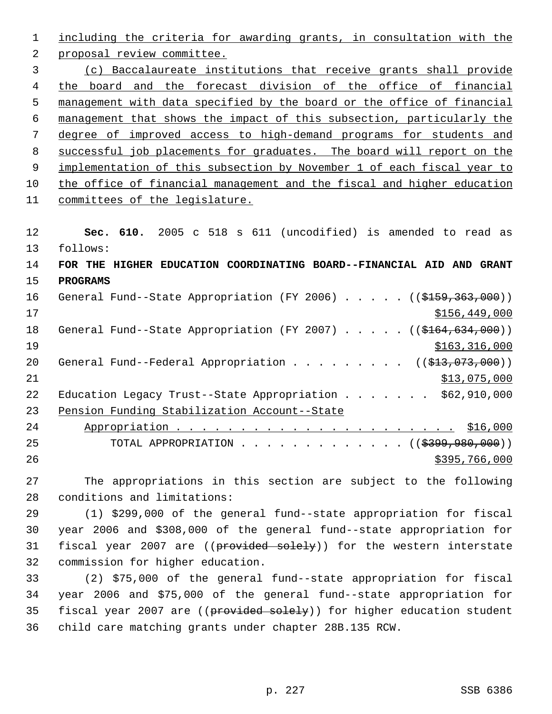including the criteria for awarding grants, in consultation with the proposal review committee. (c) Baccalaureate institutions that receive grants shall provide the board and the forecast division of the office of financial management with data specified by the board or the office of financial management that shows the impact of this subsection, particularly the degree of improved access to high-demand programs for students and successful job placements for graduates. The board will report on the 9 implementation of this subsection by November 1 of each fiscal year to the office of financial management and the fiscal and higher education committees of the legislature. **Sec. 610.** 2005 c 518 s 611 (uncodified) is amended to read as follows: **FOR THE HIGHER EDUCATION COORDINATING BOARD--FINANCIAL AID AND GRANT PROGRAMS**  16 General Fund--State Appropriation (FY 2006) . . . . . ((\$159,363,000)) \$156,449,000 18 General Fund--State Appropriation (FY 2007) . . . . . ((\$164,634,000)) 19 \$163,316,000 20 General Fund--Federal Appropriation . . . . . . . . ((\$13,073,000)) \$13,075,000 22 Education Legacy Trust--State Appropriation . . . . . . \$62,910,000 Pension Funding Stabilization Account--State Appropriation . . . . . . . . . . . . . . . . . . . . . . \$16,000 25 TOTAL APPROPRIATION . . . . . . . . . . . . ((\$399,980,000))  $\frac{$395,766,000}{200}$ 

 The appropriations in this section are subject to the following conditions and limitations:

 (1) \$299,000 of the general fund--state appropriation for fiscal year 2006 and \$308,000 of the general fund--state appropriation for 31 fiscal year 2007 are ((provided solely)) for the western interstate commission for higher education.

 (2) \$75,000 of the general fund--state appropriation for fiscal year 2006 and \$75,000 of the general fund--state appropriation for 35 fiscal year 2007 are ((provided solely)) for higher education student child care matching grants under chapter 28B.135 RCW.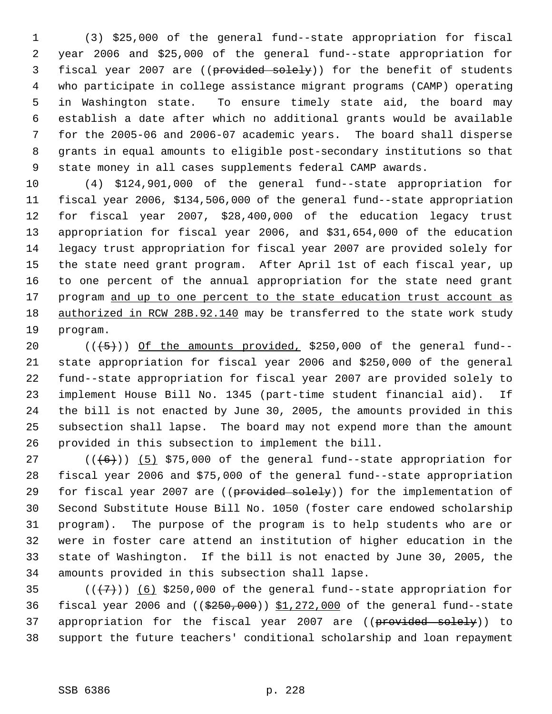(3) \$25,000 of the general fund--state appropriation for fiscal year 2006 and \$25,000 of the general fund--state appropriation for 3 fiscal year 2007 are ((provided solely)) for the benefit of students who participate in college assistance migrant programs (CAMP) operating in Washington state. To ensure timely state aid, the board may establish a date after which no additional grants would be available for the 2005-06 and 2006-07 academic years. The board shall disperse grants in equal amounts to eligible post-secondary institutions so that state money in all cases supplements federal CAMP awards.

 (4) \$124,901,000 of the general fund--state appropriation for fiscal year 2006, \$134,506,000 of the general fund--state appropriation for fiscal year 2007, \$28,400,000 of the education legacy trust appropriation for fiscal year 2006, and \$31,654,000 of the education legacy trust appropriation for fiscal year 2007 are provided solely for the state need grant program. After April 1st of each fiscal year, up to one percent of the annual appropriation for the state need grant 17 program and up to one percent to the state education trust account as 18 authorized in RCW 28B.92.140 may be transferred to the state work study program.

 $((+5))$  Of the amounts provided, \$250,000 of the general fund-- state appropriation for fiscal year 2006 and \$250,000 of the general fund--state appropriation for fiscal year 2007 are provided solely to implement House Bill No. 1345 (part-time student financial aid). If the bill is not enacted by June 30, 2005, the amounts provided in this subsection shall lapse. The board may not expend more than the amount provided in this subsection to implement the bill.

 $((\langle 6 \rangle) )$  (5) \$75,000 of the general fund--state appropriation for fiscal year 2006 and \$75,000 of the general fund--state appropriation 29 for fiscal year 2007 are ((provided solely)) for the implementation of Second Substitute House Bill No. 1050 (foster care endowed scholarship program). The purpose of the program is to help students who are or were in foster care attend an institution of higher education in the state of Washington. If the bill is not enacted by June 30, 2005, the amounts provided in this subsection shall lapse.

35  $((+7))$  (6) \$250,000 of the general fund--state appropriation for 36 fiscal year 2006 and  $((\frac{2550}{100})$  \$1,272,000 of the general fund--state 37 appropriation for the fiscal year 2007 are ((provided solely)) to support the future teachers' conditional scholarship and loan repayment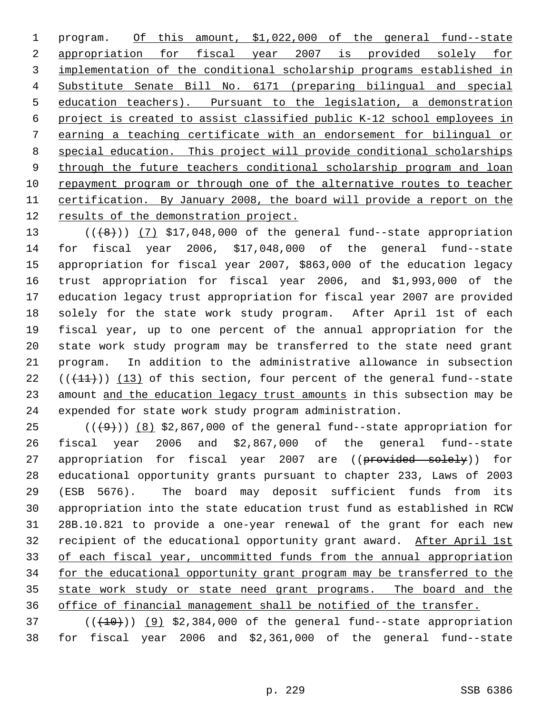1 program. Of this amount, \$1,022,000 of the general fund--state appropriation for fiscal year 2007 is provided solely for implementation of the conditional scholarship programs established in Substitute Senate Bill No. 6171 (preparing bilingual and special education teachers). Pursuant to the legislation, a demonstration project is created to assist classified public K-12 school employees in earning a teaching certificate with an endorsement for bilingual or special education. This project will provide conditional scholarships 9 through the future teachers conditional scholarship program and loan repayment program or through one of the alternative routes to teacher certification. By January 2008, the board will provide a report on the 12 results of the demonstration project.

 $((+8))$   $(7)$  \$17,048,000 of the general fund--state appropriation for fiscal year 2006, \$17,048,000 of the general fund--state appropriation for fiscal year 2007, \$863,000 of the education legacy trust appropriation for fiscal year 2006, and \$1,993,000 of the education legacy trust appropriation for fiscal year 2007 are provided solely for the state work study program. After April 1st of each fiscal year, up to one percent of the annual appropriation for the state work study program may be transferred to the state need grant program. In addition to the administrative allowance in subsection  $((+11))$  (13) of this section, four percent of the general fund--state 23 amount and the education legacy trust amounts in this subsection may be expended for state work study program administration.

 $((+9))$  (8) \$2,867,000 of the general fund--state appropriation for fiscal year 2006 and \$2,867,000 of the general fund--state 27 appropriation for fiscal year 2007 are ((provided solely)) for educational opportunity grants pursuant to chapter 233, Laws of 2003 (ESB 5676). The board may deposit sufficient funds from its appropriation into the state education trust fund as established in RCW 28B.10.821 to provide a one-year renewal of the grant for each new 32 recipient of the educational opportunity grant award. After April 1st of each fiscal year, uncommitted funds from the annual appropriation 34 for the educational opportunity grant program may be transferred to the 35 state work study or state need grant programs. The board and the office of financial management shall be notified of the transfer.

 ( $(\overline{+10})$ )  $(9)$  \$2,384,000 of the general fund--state appropriation for fiscal year 2006 and \$2,361,000 of the general fund--state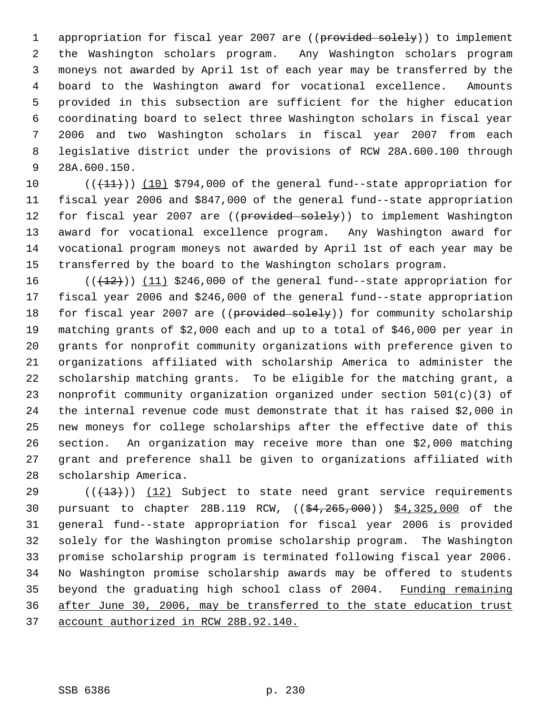1 appropriation for fiscal year 2007 are ((provided solely)) to implement the Washington scholars program. Any Washington scholars program moneys not awarded by April 1st of each year may be transferred by the board to the Washington award for vocational excellence. Amounts provided in this subsection are sufficient for the higher education coordinating board to select three Washington scholars in fiscal year 2006 and two Washington scholars in fiscal year 2007 from each legislative district under the provisions of RCW 28A.600.100 through 28A.600.150.

 $((+11))$  (10) \$794,000 of the general fund--state appropriation for fiscal year 2006 and \$847,000 of the general fund--state appropriation 12 for fiscal year 2007 are ((provided solely)) to implement Washington award for vocational excellence program. Any Washington award for vocational program moneys not awarded by April 1st of each year may be transferred by the board to the Washington scholars program.

 $((+12))$   $(11)$  \$246,000 of the general fund--state appropriation for fiscal year 2006 and \$246,000 of the general fund--state appropriation 18 for fiscal year 2007 are ((provided solely)) for community scholarship matching grants of \$2,000 each and up to a total of \$46,000 per year in grants for nonprofit community organizations with preference given to organizations affiliated with scholarship America to administer the scholarship matching grants. To be eligible for the matching grant, a nonprofit community organization organized under section 501(c)(3) of the internal revenue code must demonstrate that it has raised \$2,000 in new moneys for college scholarships after the effective date of this section. An organization may receive more than one \$2,000 matching grant and preference shall be given to organizations affiliated with scholarship America.

 $((+13))$   $(12)$  Subject to state need grant service requirements pursuant to chapter 28B.119 RCW, ((\$4,265,000)) \$4,325,000 of the general fund--state appropriation for fiscal year 2006 is provided solely for the Washington promise scholarship program. The Washington promise scholarship program is terminated following fiscal year 2006. No Washington promise scholarship awards may be offered to students 35 beyond the graduating high school class of 2004. Funding remaining after June 30, 2006, may be transferred to the state education trust account authorized in RCW 28B.92.140.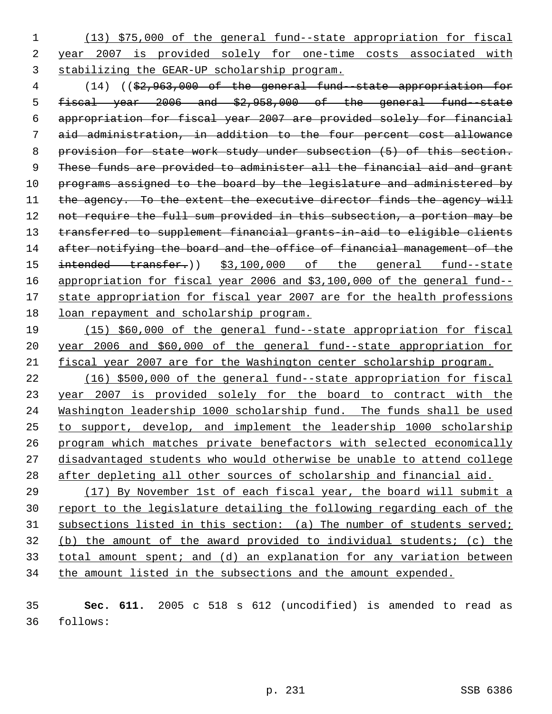(13) \$75,000 of the general fund--state appropriation for fiscal year 2007 is provided solely for one-time costs associated with stabilizing the GEAR-UP scholarship program.

 (14) ((\$2,963,000 of the general fund--state appropriation for fiscal year 2006 and \$2,958,000 of the general fund--state appropriation for fiscal year 2007 are provided solely for financial aid administration, in addition to the four percent cost allowance provision for state work study under subsection (5) of this section. 9 These funds are provided to administer all the financial aid and grant 10 programs assigned to the board by the legislature and administered by 11 the agency. To the extent the executive director finds the agency will 12 not require the full sum provided in this subsection, a portion may be transferred to supplement financial grants-in-aid to eligible clients 14 after notifying the board and the office of financial management of the 15 intended transfer.)) \$3,100,000 of the general fund--state appropriation for fiscal year 2006 and \$3,100,000 of the general fund-- 17 state appropriation for fiscal year 2007 are for the health professions loan repayment and scholarship program.

 (15) \$60,000 of the general fund--state appropriation for fiscal year 2006 and \$60,000 of the general fund--state appropriation for fiscal year 2007 are for the Washington center scholarship program.

 (16) \$500,000 of the general fund--state appropriation for fiscal year 2007 is provided solely for the board to contract with the Washington leadership 1000 scholarship fund. The funds shall be used to support, develop, and implement the leadership 1000 scholarship program which matches private benefactors with selected economically disadvantaged students who would otherwise be unable to attend college after depleting all other sources of scholarship and financial aid.

 (17) By November 1st of each fiscal year, the board will submit a 30 report to the legislature detailing the following regarding each of the 31 subsections listed in this section: (a) The number of students served; (b) the amount of the award provided to individual students; (c) the total amount spent; and (d) an explanation for any variation between 34 the amount listed in the subsections and the amount expended.

 **Sec. 611.** 2005 c 518 s 612 (uncodified) is amended to read as follows: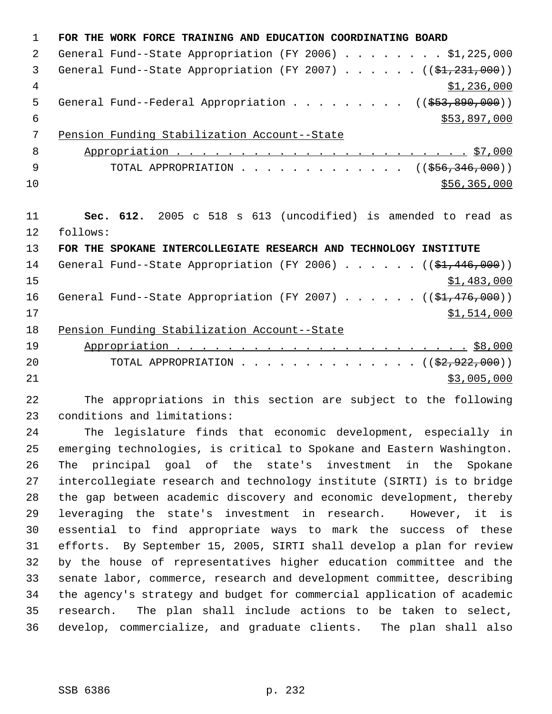**FOR THE WORK FORCE TRAINING AND EDUCATION COORDINATING BOARD** General Fund--State Appropriation (FY 2006) . . . . . . . . \$1,225,000 3 General Fund--State Appropriation (FY 2007)  $\ldots$  . . . . ( $(\frac{1}{21}, \frac{231}{200})$ )  $\frac{1}{2}$ , 236,000 5 General Fund--Federal Appropriation . . . . . . . . ((\$53,890,000))  $$53,897,000$  Pension Funding Stabilization Account--State Appropriation . . . . . . . . . . . . . . . . . . . . . . . \$7,000 9 TOTAL APPROPRIATION . . . . . . . . . . . . . ((\$56,346,000)) \$56,365,000 **Sec. 612.** 2005 c 518 s 613 (uncodified) is amended to read as follows: **FOR THE SPOKANE INTERCOLLEGIATE RESEARCH AND TECHNOLOGY INSTITUTE** 14 General Fund--State Appropriation (FY 2006) . . . . . . ((\$1,446,000)) \$1,483,000 16 General Fund--State Appropriation (FY 2007) . . . . . . ((\$1,476,000)) \$1,514,000 Pension Funding Stabilization Account--State Appropriation . . . . . . . . . . . . . . . . . . . . . . . \$8,000 20 TOTAL APPROPRIATION . . . . . . . . . . . . . . ((\$2,922,000)) \$3,005,000 The appropriations in this section are subject to the following

conditions and limitations:

 The legislature finds that economic development, especially in emerging technologies, is critical to Spokane and Eastern Washington. The principal goal of the state's investment in the Spokane intercollegiate research and technology institute (SIRTI) is to bridge the gap between academic discovery and economic development, thereby leveraging the state's investment in research. However, it is essential to find appropriate ways to mark the success of these efforts. By September 15, 2005, SIRTI shall develop a plan for review by the house of representatives higher education committee and the senate labor, commerce, research and development committee, describing the agency's strategy and budget for commercial application of academic research. The plan shall include actions to be taken to select, develop, commercialize, and graduate clients. The plan shall also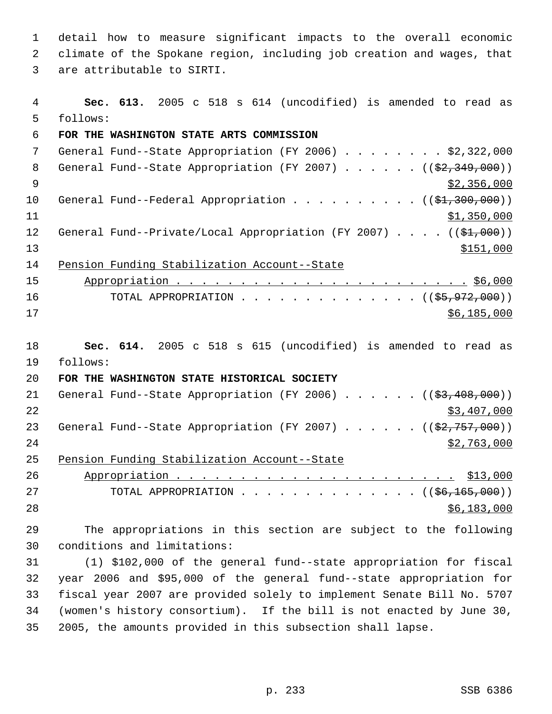detail how to measure significant impacts to the overall economic climate of the Spokane region, including job creation and wages, that are attributable to SIRTI.

 **Sec. 613.** 2005 c 518 s 614 (uncodified) is amended to read as follows: **FOR THE WASHINGTON STATE ARTS COMMISSION** General Fund--State Appropriation (FY 2006) . . . . . . . . \$2,322,000 8 General Fund--State Appropriation (FY 2007) . . . . . . ((\$2,349,000))  $\frac{1}{2}$  356,000 10 General Fund--Federal Appropriation . . . . . . . . . ((\$1,300,000)) \$1,350,000 12 General Fund--Private/Local Appropriation (FY 2007) . . . . ((\$1,000))  $\frac{$151,000}{ }$  Pension Funding Stabilization Account--State Appropriation . . . . . . . . . . . . . . . . . . . . . . . \$6,000 16 TOTAL APPROPRIATION . . . . . . . . . . . . . ((\$5,972,000)) \$6,185,000 **Sec. 614.** 2005 c 518 s 615 (uncodified) is amended to read as follows: **FOR THE WASHINGTON STATE HISTORICAL SOCIETY** 21 General Fund--State Appropriation (FY 2006) . . . . . . ((\$3,408,000)) \$3,407,000 23 General Fund--State Appropriation (FY 2007)  $\ldots$  . . . . ( $(\frac{22,757,000}{2})$  \$2,763,000 Pension Funding Stabilization Account--State Appropriation . . . . . . . . . . . . . . . . . . . . . . \$13,000 27 TOTAL APPROPRIATION . . . . . . . . . . . . . ((<del>\$6,165,000</del>)) \$6,183,000 The appropriations in this section are subject to the following conditions and limitations: (1) \$102,000 of the general fund--state appropriation for fiscal year 2006 and \$95,000 of the general fund--state appropriation for fiscal year 2007 are provided solely to implement Senate Bill No. 5707

 (women's history consortium). If the bill is not enacted by June 30, 2005, the amounts provided in this subsection shall lapse.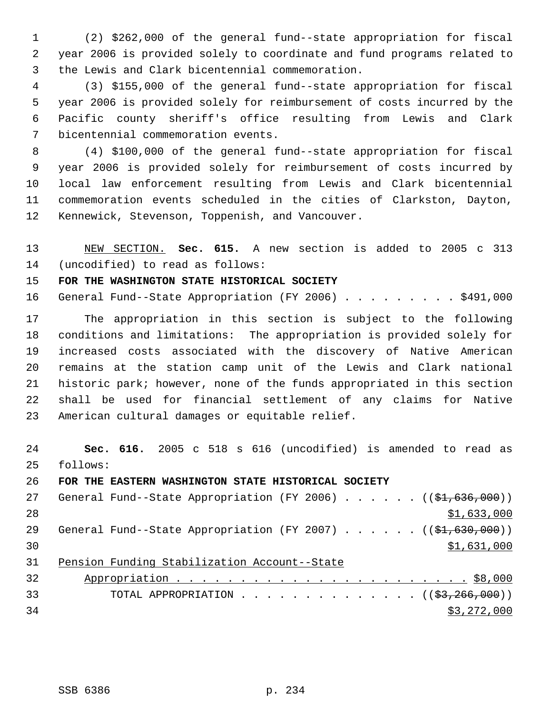(2) \$262,000 of the general fund--state appropriation for fiscal year 2006 is provided solely to coordinate and fund programs related to the Lewis and Clark bicentennial commemoration.

 (3) \$155,000 of the general fund--state appropriation for fiscal year 2006 is provided solely for reimbursement of costs incurred by the Pacific county sheriff's office resulting from Lewis and Clark bicentennial commemoration events.

 (4) \$100,000 of the general fund--state appropriation for fiscal year 2006 is provided solely for reimbursement of costs incurred by local law enforcement resulting from Lewis and Clark bicentennial commemoration events scheduled in the cities of Clarkston, Dayton, Kennewick, Stevenson, Toppenish, and Vancouver.

 NEW SECTION. **Sec. 615.** A new section is added to 2005 c 313 (uncodified) to read as follows:

**FOR THE WASHINGTON STATE HISTORICAL SOCIETY**

16 General Fund--State Appropriation (FY 2006) . . . . . . . . \$491,000

 The appropriation in this section is subject to the following conditions and limitations: The appropriation is provided solely for increased costs associated with the discovery of Native American remains at the station camp unit of the Lewis and Clark national historic park; however, none of the funds appropriated in this section shall be used for financial settlement of any claims for Native American cultural damages or equitable relief.

 **Sec. 616.** 2005 c 518 s 616 (uncodified) is amended to read as follows:

**FOR THE EASTERN WASHINGTON STATE HISTORICAL SOCIETY**

27 General Fund--State Appropriation (FY 2006) . . . . . . ((\$1,636,000)) 28  $\frac{$1,633,000}{ }$ 29 General Fund--State Appropriation (FY 2007) . . . . . . ((\$1,630,000)) \$1,631,000 Pension Funding Stabilization Account--State

| 32 |                                                       |
|----|-------------------------------------------------------|
| 33 | TOTAL APPROPRIATION $($ $($ $\frac{23}{7266}$ , 000)) |
| 34 | \$3,272,000                                           |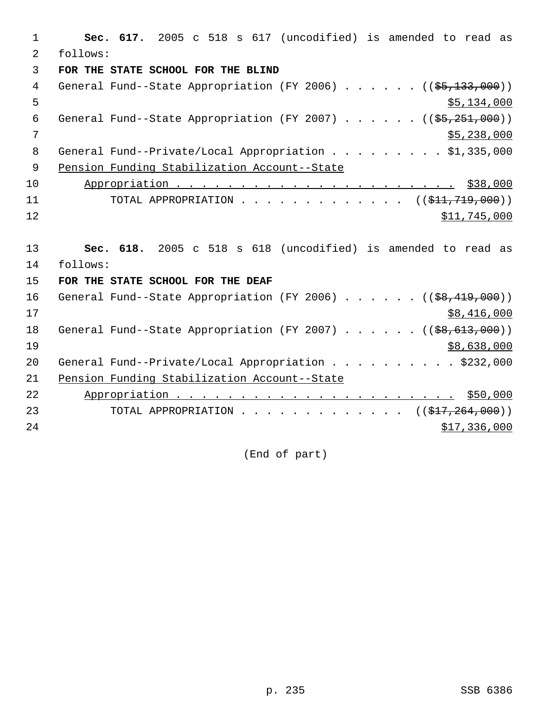1 **Sec. 617.** 2005 c 518 s 617 (uncodified) is amended to read as 2 follows: 3 **FOR THE STATE SCHOOL FOR THE BLIND** 4 General Fund--State Appropriation (FY 2006) . . . . . . ((\$5,133,000))  $5,134,000$ 6 General Fund--State Appropriation (FY 2007) . . . . .  $($   $($ \$5,251,000))  $7$  \$5,238,000 8 General Fund--Private/Local Appropriation . . . . . . . . \$1,335,000 9 Pension Funding Stabilization Account--State 10 Appropriation . . . . . . . . . . . . . . . . . . . . . . \$38,000 11 TOTAL APPROPRIATION . . . . . . . . . . . . ((<del>\$11,719,000</del>))  $12$  \$11,745,000 13 **Sec. 618.** 2005 c 518 s 618 (uncodified) is amended to read as 14 follows: 15 **FOR THE STATE SCHOOL FOR THE DEAF** 16 General Fund--State Appropriation (FY 2006) . . . . . . ((\$8,419,000))  $17$  \$8,416,000 18 General Fund--State Appropriation (FY 2007) . . . . . ((\$8,613,000))  $19$   $\frac{$8,638,000}{ }$ 20 General Fund--Private/Local Appropriation . . . . . . . . . \$232,000 21 Pension Funding Stabilization Account--State 22 Appropriation . . . . . . . . . . . . . . . . . . . . . . \$50,000 23 TOTAL APPROPRIATION . . . . . . . . . . . . . ((\$17,264,000))  $24$  \$17,336,000

(End of part)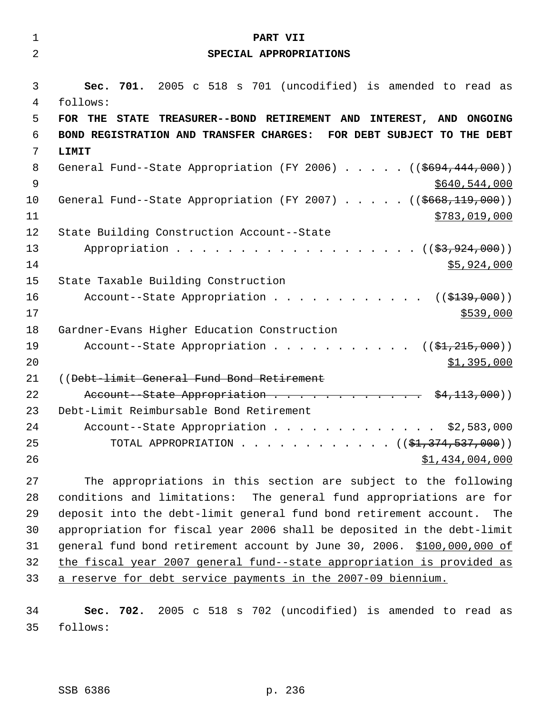| $\mathbf 1$    | PART VII                                                                   |
|----------------|----------------------------------------------------------------------------|
| $\overline{2}$ | SPECIAL APPROPRIATIONS                                                     |
| 3              | 701. 2005 c 518 s 701 (uncodified) is amended to read as<br>Sec.           |
| 4              | follows:                                                                   |
| 5              | STATE TREASURER--BOND RETIREMENT AND INTEREST, AND ONGOING<br>FOR THE      |
| 6              | BOND REGISTRATION AND TRANSFER CHARGES: FOR DEBT SUBJECT TO THE DEBT       |
| 7              | LIMIT                                                                      |
| 8              | General Fund--State Appropriation (FY 2006) $($ $($ $$694, 444, 000)$ )    |
| 9              | \$640,544,000                                                              |
| 10             | General Fund--State Appropriation (FY 2007) ((\$668,119,000))              |
| 11             | \$783,019,000                                                              |
| 12             | State Building Construction Account--State                                 |
| 13             | Appropriation $($ $(\frac{27}{27}, 924, 000) )$                            |
| 14             | \$5,924,000                                                                |
| 15             | State Taxable Building Construction                                        |
| 16             | Account--State Appropriation $($ $($ \$139,000) $)$                        |
| 17             | \$539,000                                                                  |
| 18             | Gardner-Evans Higher Education Construction                                |
| 19             | Account--State Appropriation $($ $($ \$1,215,000))                         |
| 20             | \$1,395,000                                                                |
| 21             | ((Debt-limit General Fund Bond Retirement                                  |
| 22             | Account--State Appropriation \$4,113,000))                                 |
| 23             | Debt-Limit Reimbursable Bond Retirement                                    |
| 24             | Account--State Appropriation \$2,583,000                                   |
| 25             | TOTAL APPROPRIATION ( $(\frac{1}{21}, \frac{374}{537}, \frac{537}{900})$ ) |
| 26             | \$1,434,004,000                                                            |
|                |                                                                            |

 The appropriations in this section are subject to the following conditions and limitations: The general fund appropriations are for deposit into the debt-limit general fund bond retirement account. The appropriation for fiscal year 2006 shall be deposited in the debt-limit general fund bond retirement account by June 30, 2006. \$100,000,000 of the fiscal year 2007 general fund--state appropriation is provided as a reserve for debt service payments in the 2007-09 biennium.

 **Sec. 702.** 2005 c 518 s 702 (uncodified) is amended to read as follows: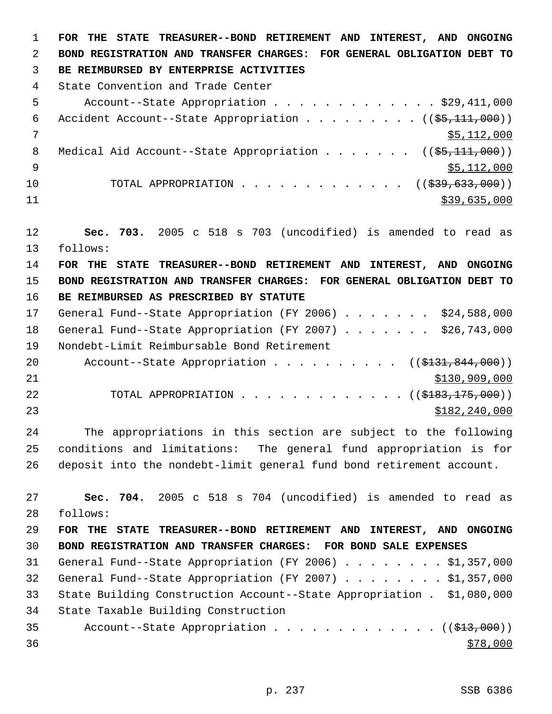**FOR THE STATE TREASURER--BOND RETIREMENT AND INTEREST, AND ONGOING BOND REGISTRATION AND TRANSFER CHARGES: FOR GENERAL OBLIGATION DEBT TO BE REIMBURSED BY ENTERPRISE ACTIVITIES**  State Convention and Trade Center Account--State Appropriation . . . . . . . . . . . . . \$29,411,000 6 Accident Account--State Appropriation  $\ldots$  . . . . . . ( $(\frac{25}{111}, 000)$ ) \$5,112,000 8 Medical Aid Account--State Appropriation . . . . . . ((\$5,111,000))  $\frac{1}{9}$   $\frac{1}{2}$ ,000 10 TOTAL APPROPRIATION . . . . . . . . . . . . . ((\$39,633,000)) \$39,635,000 **Sec. 703.** 2005 c 518 s 703 (uncodified) is amended to read as follows: **FOR THE STATE TREASURER--BOND RETIREMENT AND INTEREST, AND ONGOING BOND REGISTRATION AND TRANSFER CHARGES: FOR GENERAL OBLIGATION DEBT TO BE REIMBURSED AS PRESCRIBED BY STATUTE**  17 General Fund--State Appropriation (FY 2006) . . . . . . \$24,588,000 18 General Fund--State Appropriation (FY 2007) . . . . . . \$26,743,000 Nondebt-Limit Reimbursable Bond Retirement 20 Account--State Appropriation . . . . . . . . . ((\$131,844,000))  $$130,909,000$ 22 TOTAL APPROPRIATION . . . . . . . . . . . . ((\$<del>183,175,000</del>)) \$182,240,000 The appropriations in this section are subject to the following conditions and limitations: The general fund appropriation is for deposit into the nondebt-limit general fund bond retirement account. **Sec. 704.** 2005 c 518 s 704 (uncodified) is amended to read as follows: **FOR THE STATE TREASURER--BOND RETIREMENT AND INTEREST, AND ONGOING BOND REGISTRATION AND TRANSFER CHARGES: FOR BOND SALE EXPENSES**  General Fund--State Appropriation (FY 2006) . . . . . . . . \$1,357,000 General Fund--State Appropriation (FY 2007) . . . . . . . . \$1,357,000 State Building Construction Account--State Appropriation . \$1,080,000 State Taxable Building Construction 35 Account--State Appropriation . . . . . . . . . . . . ((\$13,000))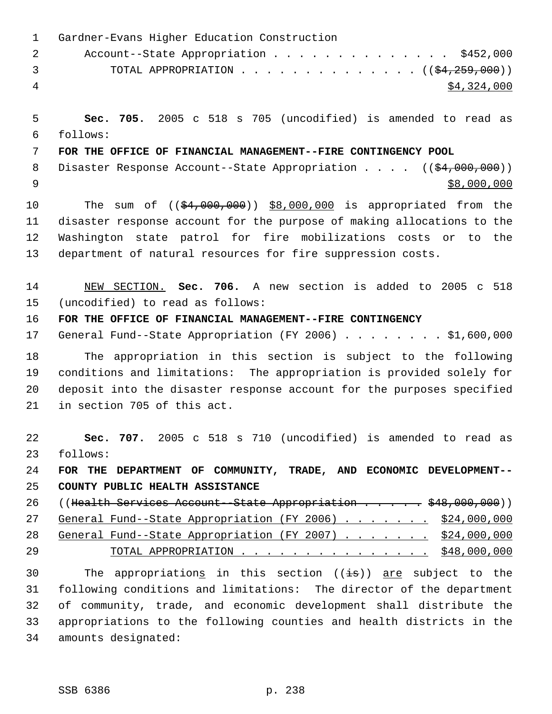| $\mathbf 1$    | Gardner-Evans Higher Education Construction                             |
|----------------|-------------------------------------------------------------------------|
| $\overline{2}$ | Account--State Appropriation \$452,000                                  |
| 3              | TOTAL APPROPRIATION ( $(\frac{24}{259}, 000)$ )                         |
| $\overline{4}$ | \$4,324,000                                                             |
| 5              | Sec. 705. 2005 c 518 s 705 (uncodified) is amended to read as           |
| 6              | follows:                                                                |
| 7              | FOR THE OFFICE OF FINANCIAL MANAGEMENT--FIRE CONTINGENCY POOL           |
| 8              | Disaster Response Account--State Appropriation $($ $($ \$4,000,000))    |
| 9              | \$8,000,000                                                             |
| 10             | The sum of $((\frac{24,000,000)}{98,000,000})$ is appropriated from the |
| 11             | disaster response account for the purpose of making allocations to the  |
| 12             | Washington state patrol for fire mobilizations costs or to the          |
| 13             | department of natural resources for fire suppression costs.             |
| 14             | NEW SECTION. Sec. 706. A new section is added to 2005 c 518             |
| 15             | (uncodified) to read as follows:                                        |
| 16             | FOR THE OFFICE OF FINANCIAL MANAGEMENT--FIRE CONTINGENCY                |
| 17             | General Fund--State Appropriation (FY 2006) \$1,600,000                 |
| 18             | The appropriation in this section is subject to the following           |
| 19             | conditions and limitations: The appropriation is provided solely for    |
| 20             | deposit into the disaster response account for the purposes specified   |
| 21             | in section 705 of this act.                                             |
| 22             | Sec. 707. 2005 c 518 s 710 (uncodified) is amended to read as           |
| 23             | follows:                                                                |
| 24             | FOR THE DEPARTMENT OF COMMUNITY, TRADE, AND ECONOMIC DEVELOPMENT--      |
| 25             | COUNTY PUBLIC HEALTH ASSISTANCE                                         |
| 26             | ((Health Services Account--State Appropriation \$48,000,000))           |
| 27             | General Fund--State Appropriation (FY 2006) \$24,000,000                |
| 28             | General Fund--State Appropriation (FY 2007) \$24,000,000                |
| 29             | TOTAL APPROPRIATION \$48,000,000                                        |
| 30             | The appropriations in this section ((is)) are subject to the            |
| 31             | following conditions and limitations: The director of the department    |
| 32             | of community, trade, and economic development shall distribute the      |
| 33             | appropriations to the following counties and health districts in the    |
| 34             | amounts designated:                                                     |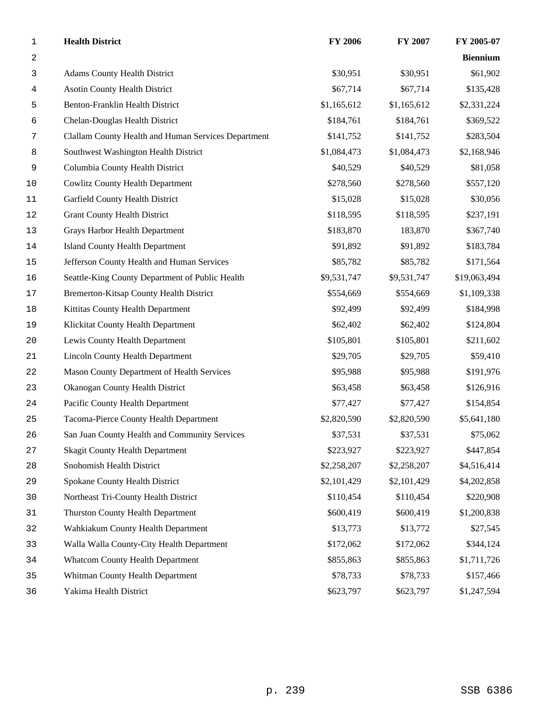| $\mathbf{1}$     | <b>Health District</b>                              | FY 2006     | FY 2007     | FY 2005-07      |
|------------------|-----------------------------------------------------|-------------|-------------|-----------------|
| $\boldsymbol{2}$ |                                                     |             |             | <b>Biennium</b> |
| 3                | <b>Adams County Health District</b>                 | \$30,951    | \$30,951    | \$61,902        |
| 4                | <b>Asotin County Health District</b>                | \$67,714    | \$67,714    | \$135,428       |
| 5                | Benton-Franklin Health District                     | \$1,165,612 | \$1,165,612 | \$2,331,224     |
| 6                | Chelan-Douglas Health District                      | \$184,761   | \$184,761   | \$369,522       |
| 7                | Clallam County Health and Human Services Department | \$141,752   | \$141,752   | \$283,504       |
| 8                | Southwest Washington Health District                | \$1,084,473 | \$1,084,473 | \$2,168,946     |
| 9                | Columbia County Health District                     | \$40,529    | \$40,529    | \$81,058        |
| 10               | <b>Cowlitz County Health Department</b>             | \$278,560   | \$278,560   | \$557,120       |
| 11               | Garfield County Health District                     | \$15,028    | \$15,028    | \$30,056        |
| 12               | <b>Grant County Health District</b>                 | \$118,595   | \$118,595   | \$237,191       |
| 13               | Grays Harbor Health Department                      | \$183,870   | 183,870     | \$367,740       |
| 14               | <b>Island County Health Department</b>              | \$91,892    | \$91,892    | \$183,784       |
| $15$             | Jefferson County Health and Human Services          | \$85,782    | \$85,782    | \$171,564       |
| 16               | Seattle-King County Department of Public Health     | \$9,531,747 | \$9,531,747 | \$19,063,494    |
| $17$             | <b>Bremerton-Kitsap County Health District</b>      | \$554,669   | \$554,669   | \$1,109,338     |
| 18               | Kittitas County Health Department                   | \$92,499    | \$92,499    | \$184,998       |
| 19               | Klickitat County Health Department                  | \$62,402    | \$62,402    | \$124,804       |
| 20               | Lewis County Health Department                      | \$105,801   | \$105,801   | \$211,602       |
| 21               | <b>Lincoln County Health Department</b>             | \$29,705    | \$29,705    | \$59,410        |
| 22               | Mason County Department of Health Services          | \$95,988    | \$95,988    | \$191,976       |
| 23               | Okanogan County Health District                     | \$63,458    | \$63,458    | \$126,916       |
| 24               | Pacific County Health Department                    | \$77,427    | \$77,427    | \$154,854       |
| 25               | Tacoma-Pierce County Health Department              | \$2,820,590 | \$2,820,590 | \$5,641,180     |
| 26               | San Juan County Health and Community Services       | \$37,531    | \$37,531    | \$75,062        |
| 27               | <b>Skagit County Health Department</b>              | \$223,927   | \$223,927   | \$447,854       |
| 28               | Snohomish Health District                           | \$2,258,207 | \$2,258,207 | \$4,516,414     |
| 29               | Spokane County Health District                      | \$2,101,429 | \$2,101,429 | \$4,202,858     |
| 30               | Northeast Tri-County Health District                | \$110,454   | \$110,454   | \$220,908       |
| 31               | Thurston County Health Department                   | \$600,419   | \$600,419   | \$1,200,838     |
| 32               | Wahkiakum County Health Department                  | \$13,773    | \$13,772    | \$27,545        |
| 33               | Walla Walla County-City Health Department           | \$172,062   | \$172,062   | \$344,124       |
| 34               | <b>Whatcom County Health Department</b>             | \$855,863   | \$855,863   | \$1,711,726     |
| 35               | Whitman County Health Department                    | \$78,733    | \$78,733    | \$157,466       |
| 36               | Yakima Health District                              | \$623,797   | \$623,797   | \$1,247,594     |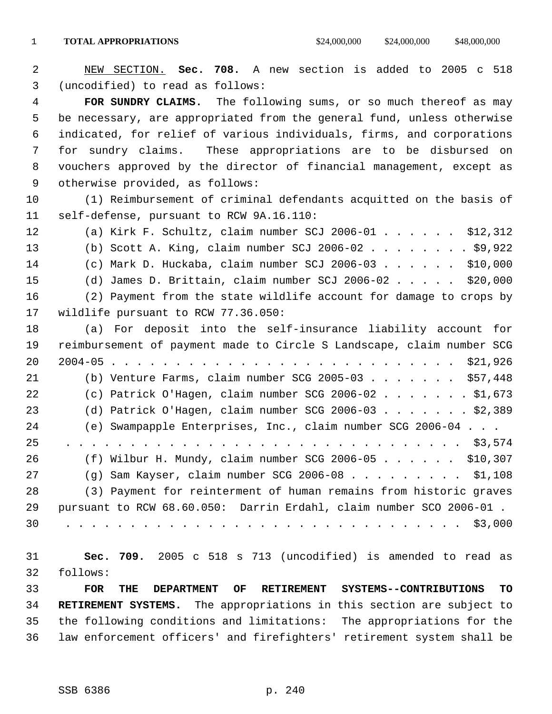NEW SECTION. **Sec. 708.** A new section is added to 2005 c 518 (uncodified) to read as follows:

 **FOR SUNDRY CLAIMS.** The following sums, or so much thereof as may be necessary, are appropriated from the general fund, unless otherwise indicated, for relief of various individuals, firms, and corporations for sundry claims. These appropriations are to be disbursed on vouchers approved by the director of financial management, except as otherwise provided, as follows:

 (1) Reimbursement of criminal defendants acquitted on the basis of self-defense, pursuant to RCW 9A.16.110:

 (a) Kirk F. Schultz, claim number SCJ 2006-01 . . . . . . \$12,312 (b) Scott A. King, claim number SCJ 2006-02 . . . . . . . . \$9,922 (c) Mark D. Huckaba, claim number SCJ 2006-03 . . . . . . \$10,000 (d) James D. Brittain, claim number SCJ 2006-02 . . . . . \$20,000 (2) Payment from the state wildlife account for damage to crops by wildlife pursuant to RCW 77.36.050: (a) For deposit into the self-insurance liability account for

 reimbursement of payment made to Circle S Landscape, claim number SCG 2004-05 . . . . . . . . . . . . . . . . . . . . . . . . . . . \$21,926 (b) Venture Farms, claim number SCG 2005-03 . . . . . . . \$57,448 (c) Patrick O'Hagen, claim number SCG 2006-02 . . . . . . . \$1,673 (d) Patrick O'Hagen, claim number SCG 2006-03 . . . . . . . \$2,389 (e) Swampapple Enterprises, Inc., claim number SCG 2006-04 . . . 25 . . . . . . . . . . . . . . . . . . . . . . . . . . . . . . . \$3,574 (f) Wilbur H. Mundy, claim number SCG 2006-05 . . . . . . \$10,307 (g) Sam Kayser, claim number SCG 2006-08 . . . . . . . . . \$1,108 (3) Payment for reinterment of human remains from historic graves pursuant to RCW 68.60.050: Darrin Erdahl, claim number SCO 2006-01 . 30 . . . . . . . . . . . . . . . . . . . . . . . . . . . . . . . \$3,000

 **Sec. 709.** 2005 c 518 s 713 (uncodified) is amended to read as follows: **FOR THE DEPARTMENT OF RETIREMENT SYSTEMS--CONTRIBUTIONS TO RETIREMENT SYSTEMS.** The appropriations in this section are subject to

 the following conditions and limitations: The appropriations for the law enforcement officers' and firefighters' retirement system shall be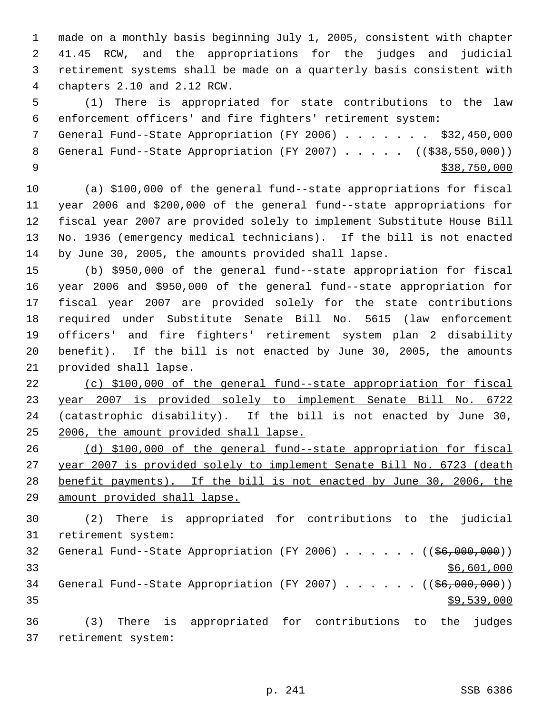made on a monthly basis beginning July 1, 2005, consistent with chapter 41.45 RCW, and the appropriations for the judges and judicial retirement systems shall be made on a quarterly basis consistent with chapters 2.10 and 2.12 RCW.

 (1) There is appropriated for state contributions to the law enforcement officers' and fire fighters' retirement system:

 General Fund--State Appropriation (FY 2006) . . . . . . . \$32,450,000 8 General Fund--State Appropriation (FY 2007) . . . . . ((\$38,550,000))  $\frac{$38,750,000}{538,750,000}$ 

 (a) \$100,000 of the general fund--state appropriations for fiscal year 2006 and \$200,000 of the general fund--state appropriations for fiscal year 2007 are provided solely to implement Substitute House Bill No. 1936 (emergency medical technicians). If the bill is not enacted by June 30, 2005, the amounts provided shall lapse.

 (b) \$950,000 of the general fund--state appropriation for fiscal year 2006 and \$950,000 of the general fund--state appropriation for fiscal year 2007 are provided solely for the state contributions required under Substitute Senate Bill No. 5615 (law enforcement officers' and fire fighters' retirement system plan 2 disability benefit). If the bill is not enacted by June 30, 2005, the amounts provided shall lapse.

 (c) \$100,000 of the general fund--state appropriation for fiscal year 2007 is provided solely to implement Senate Bill No. 6722 24 (catastrophic disability). If the bill is not enacted by June 30, 2006, the amount provided shall lapse.

 (d) \$100,000 of the general fund--state appropriation for fiscal year 2007 is provided solely to implement Senate Bill No. 6723 (death benefit payments). If the bill is not enacted by June 30, 2006, the amount provided shall lapse.

 (2) There is appropriated for contributions to the judicial retirement system: 32 General Fund--State Appropriation (FY 2006) . . . . . . ((\$6,000,000)) \$6,601,000 34 General Fund--State Appropriation (FY 2007) . . . . . ((\$6,000,000))  $\frac{1}{39}$ , 539, 000 (3) There is appropriated for contributions to the judges retirement system: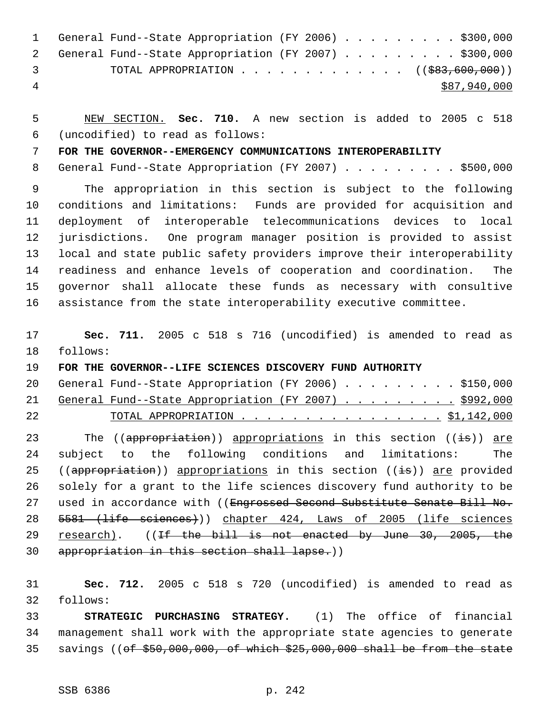|     | 1 General Fund--State Appropriation (FY 2006) \$300,000 |  |  |  |  |  |              |
|-----|---------------------------------------------------------|--|--|--|--|--|--------------|
|     | 2 General Fund--State Appropriation (FY 2007) \$300,000 |  |  |  |  |  |              |
| - 3 |                                                         |  |  |  |  |  |              |
| -4  |                                                         |  |  |  |  |  | \$87,940,000 |

 NEW SECTION. **Sec. 710.** A new section is added to 2005 c 518 (uncodified) to read as follows:

**FOR THE GOVERNOR--EMERGENCY COMMUNICATIONS INTEROPERABILITY**

8 General Fund--State Appropriation (FY 2007) . . . . . . . . \$500,000

 The appropriation in this section is subject to the following conditions and limitations: Funds are provided for acquisition and deployment of interoperable telecommunications devices to local jurisdictions. One program manager position is provided to assist local and state public safety providers improve their interoperability readiness and enhance levels of cooperation and coordination. The governor shall allocate these funds as necessary with consultive assistance from the state interoperability executive committee.

 **Sec. 711.** 2005 c 518 s 716 (uncodified) is amended to read as follows:

**FOR THE GOVERNOR--LIFE SCIENCES DISCOVERY FUND AUTHORITY** 

| 22 |  | <u> TOTAL APPROPRIATION 51,142,000</u>                   |  |  |  |  |  |  |
|----|--|----------------------------------------------------------|--|--|--|--|--|--|
|    |  | 21 General Fund--State Appropriation (FY 2007) \$992,000 |  |  |  |  |  |  |
|    |  | 20 General Fund--State Appropriation (FY 2006) \$150,000 |  |  |  |  |  |  |

23 The ((appropriation)) appropriations in this section ((is)) are subject to the following conditions and limitations: The 25 ((appropriation)) appropriations in this section ((is)) are provided solely for a grant to the life sciences discovery fund authority to be 27 used in accordance with ((Engrossed Second Substitute Senate Bill No. 5581 (life sciences))) chapter 424, Laws of 2005 (life sciences 29 research). ((If the bill is not enacted by June 30, 2005, the appropriation in this section shall lapse.))

 **Sec. 712.** 2005 c 518 s 720 (uncodified) is amended to read as follows:

 **STRATEGIC PURCHASING STRATEGY.** (1) The office of financial management shall work with the appropriate state agencies to generate savings ((of \$50,000,000, of which \$25,000,000 shall be from the state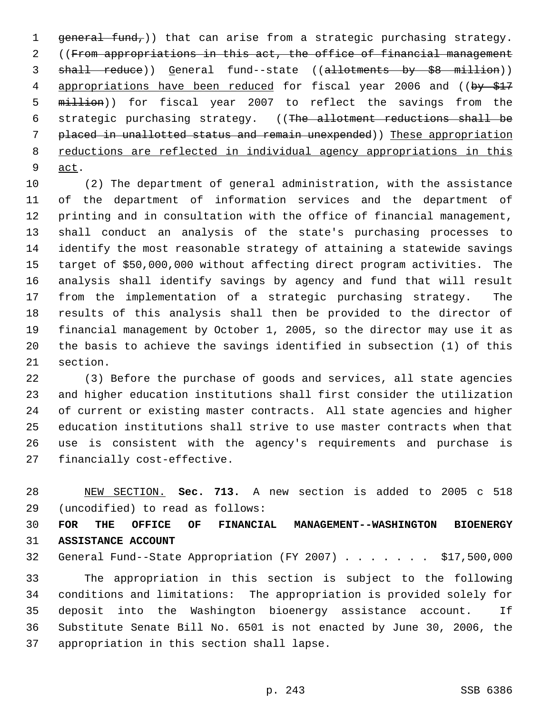1 general fund,)) that can arise from a strategic purchasing strategy. ((From appropriations in this act, the office of financial management 3 shall reduce)) General fund--state ((allotments by \$8 million)) 4 appropriations have been reduced for fiscal year 2006 and ((by \$17 million)) for fiscal year 2007 to reflect the savings from the strategic purchasing strategy. ((The allotment reductions shall be placed in unallotted status and remain unexpended)) These appropriation 8 reductions are reflected in individual agency appropriations in this act.

 (2) The department of general administration, with the assistance of the department of information services and the department of printing and in consultation with the office of financial management, shall conduct an analysis of the state's purchasing processes to identify the most reasonable strategy of attaining a statewide savings target of \$50,000,000 without affecting direct program activities. The analysis shall identify savings by agency and fund that will result from the implementation of a strategic purchasing strategy. The results of this analysis shall then be provided to the director of financial management by October 1, 2005, so the director may use it as the basis to achieve the savings identified in subsection (1) of this section.

 (3) Before the purchase of goods and services, all state agencies and higher education institutions shall first consider the utilization of current or existing master contracts. All state agencies and higher education institutions shall strive to use master contracts when that use is consistent with the agency's requirements and purchase is financially cost-effective.

 NEW SECTION. **Sec. 713.** A new section is added to 2005 c 518 (uncodified) to read as follows:

 **FOR THE OFFICE OF FINANCIAL MANAGEMENT--WASHINGTON BIOENERGY ASSISTANCE ACCOUNT**

General Fund--State Appropriation (FY 2007) . . . . . . . \$17,500,000

 The appropriation in this section is subject to the following conditions and limitations: The appropriation is provided solely for deposit into the Washington bioenergy assistance account. If Substitute Senate Bill No. 6501 is not enacted by June 30, 2006, the appropriation in this section shall lapse.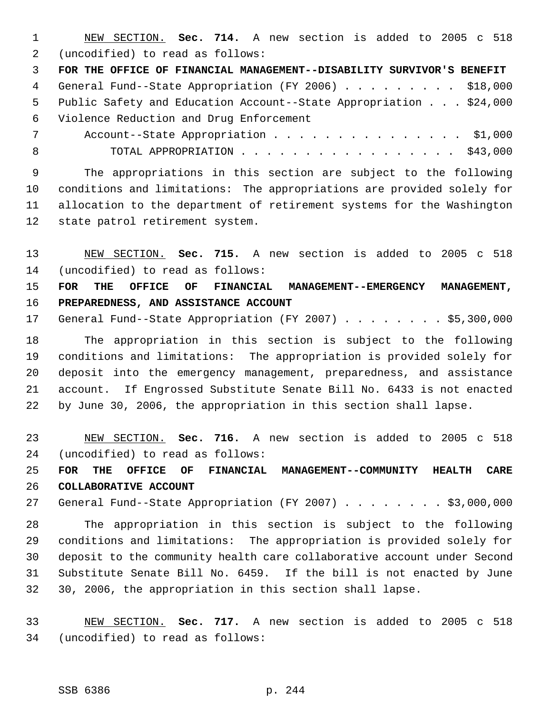NEW SECTION. **Sec. 714.** A new section is added to 2005 c 518 (uncodified) to read as follows:

 **FOR THE OFFICE OF FINANCIAL MANAGEMENT--DISABILITY SURVIVOR'S BENEFIT** General Fund--State Appropriation (FY 2006) . . . . . . . . . \$18,000 Public Safety and Education Account--State Appropriation . . . \$24,000 Violence Reduction and Drug Enforcement

7 Account--State Appropriation . . . . . . . . . . . . . . \$1,000 8 TOTAL APPROPRIATION . . . . . . . . . . . . . . . . \$43,000

 The appropriations in this section are subject to the following conditions and limitations: The appropriations are provided solely for allocation to the department of retirement systems for the Washington state patrol retirement system.

 NEW SECTION. **Sec. 715.** A new section is added to 2005 c 518 (uncodified) to read as follows:

 **FOR THE OFFICE OF FINANCIAL MANAGEMENT--EMERGENCY MANAGEMENT, PREPAREDNESS, AND ASSISTANCE ACCOUNT**

17 General Fund--State Appropriation (FY 2007) . . . . . . . \$5,300,000

 The appropriation in this section is subject to the following conditions and limitations: The appropriation is provided solely for deposit into the emergency management, preparedness, and assistance account. If Engrossed Substitute Senate Bill No. 6433 is not enacted by June 30, 2006, the appropriation in this section shall lapse.

 NEW SECTION. **Sec. 716.** A new section is added to 2005 c 518 (uncodified) to read as follows:

 **FOR THE OFFICE OF FINANCIAL MANAGEMENT--COMMUNITY HEALTH CARE COLLABORATIVE ACCOUNT**

27 General Fund--State Appropriation (FY 2007) . . . . . . . . \$3,000,000

 The appropriation in this section is subject to the following conditions and limitations: The appropriation is provided solely for deposit to the community health care collaborative account under Second Substitute Senate Bill No. 6459. If the bill is not enacted by June 30, 2006, the appropriation in this section shall lapse.

 NEW SECTION. **Sec. 717.** A new section is added to 2005 c 518 (uncodified) to read as follows: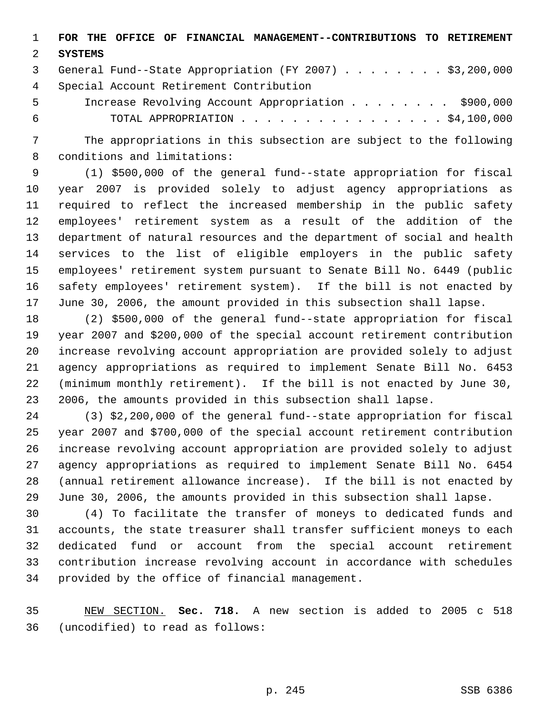**FOR THE OFFICE OF FINANCIAL MANAGEMENT--CONTRIBUTIONS TO RETIREMENT**

## **SYSTEMS**

 General Fund--State Appropriation (FY 2007) . . . . . . . . \$3,200,000 Special Account Retirement Contribution

 Increase Revolving Account Appropriation . . . . . . . . \$900,000 TOTAL APPROPRIATION . . . . . . . . . . . . . . . . \$4,100,000

 The appropriations in this subsection are subject to the following conditions and limitations:

 (1) \$500,000 of the general fund--state appropriation for fiscal year 2007 is provided solely to adjust agency appropriations as required to reflect the increased membership in the public safety employees' retirement system as a result of the addition of the department of natural resources and the department of social and health services to the list of eligible employers in the public safety employees' retirement system pursuant to Senate Bill No. 6449 (public safety employees' retirement system). If the bill is not enacted by June 30, 2006, the amount provided in this subsection shall lapse.

 (2) \$500,000 of the general fund--state appropriation for fiscal year 2007 and \$200,000 of the special account retirement contribution increase revolving account appropriation are provided solely to adjust agency appropriations as required to implement Senate Bill No. 6453 (minimum monthly retirement). If the bill is not enacted by June 30, 2006, the amounts provided in this subsection shall lapse.

 (3) \$2,200,000 of the general fund--state appropriation for fiscal year 2007 and \$700,000 of the special account retirement contribution increase revolving account appropriation are provided solely to adjust agency appropriations as required to implement Senate Bill No. 6454 (annual retirement allowance increase). If the bill is not enacted by June 30, 2006, the amounts provided in this subsection shall lapse.

 (4) To facilitate the transfer of moneys to dedicated funds and accounts, the state treasurer shall transfer sufficient moneys to each dedicated fund or account from the special account retirement contribution increase revolving account in accordance with schedules provided by the office of financial management.

 NEW SECTION. **Sec. 718.** A new section is added to 2005 c 518 (uncodified) to read as follows: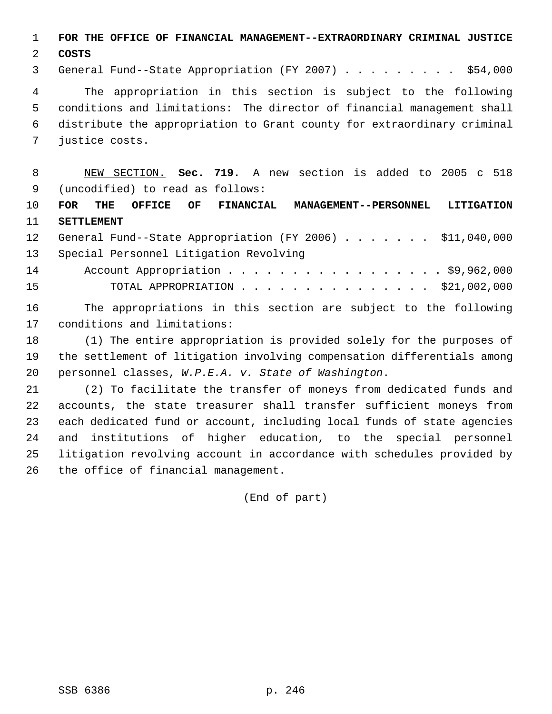**FOR THE OFFICE OF FINANCIAL MANAGEMENT--EXTRAORDINARY CRIMINAL JUSTICE**

**COSTS**

General Fund--State Appropriation (FY 2007) . . . . . . . . . \$54,000

 The appropriation in this section is subject to the following conditions and limitations: The director of financial management shall distribute the appropriation to Grant county for extraordinary criminal justice costs.

 NEW SECTION. **Sec. 719.** A new section is added to 2005 c 518 (uncodified) to read as follows:

 **FOR THE OFFICE OF FINANCIAL MANAGEMENT--PERSONNEL LITIGATION SETTLEMENT**

 General Fund--State Appropriation (FY 2006) . . . . . . . \$11,040,000 Special Personnel Litigation Revolving 14 Account Appropriation . . . . . . . . . . . . . . . . \$9,962,000 TOTAL APPROPRIATION . . . . . . . . . . . . . . . \$21,002,000

 The appropriations in this section are subject to the following conditions and limitations:

 (1) The entire appropriation is provided solely for the purposes of the settlement of litigation involving compensation differentials among personnel classes, *W.P.E.A. v. State of Washington*.

 (2) To facilitate the transfer of moneys from dedicated funds and accounts, the state treasurer shall transfer sufficient moneys from each dedicated fund or account, including local funds of state agencies and institutions of higher education, to the special personnel litigation revolving account in accordance with schedules provided by the office of financial management.

(End of part)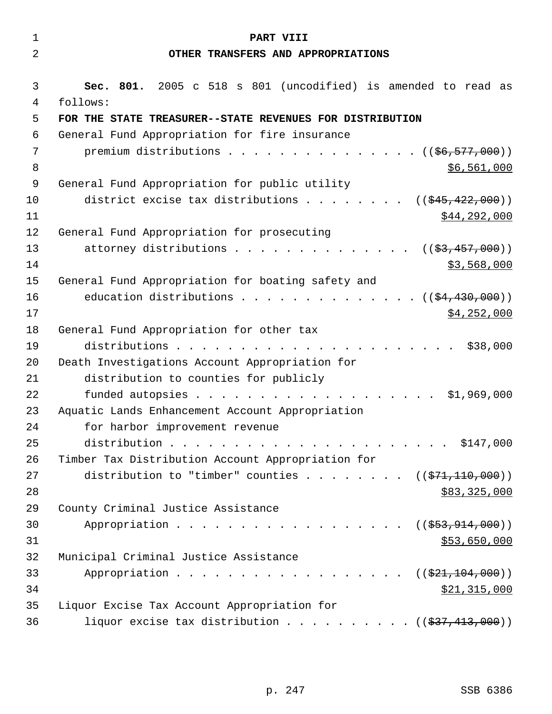| $\mathbf{1}$ | PART VIII                                                                 |
|--------------|---------------------------------------------------------------------------|
| 2            | OTHER TRANSFERS AND APPROPRIATIONS                                        |
|              |                                                                           |
| 3<br>4       | Sec. 801. 2005 c 518 s 801 (uncodified) is amended to read as<br>follows: |
| 5            | FOR THE STATE TREASURER--STATE REVENUES FOR DISTRIBUTION                  |
| 6            | General Fund Appropriation for fire insurance                             |
| 7            | premium distributions $($ $($ $\frac{6}{6}$ , $\frac{577}{600})$          |
| 8            | \$6,561,000                                                               |
| 9            | General Fund Appropriation for public utility                             |
| 10           | district excise tax distributions<br>$((\frac{1545}{122},000))$           |
| 11           | \$44,292,000                                                              |
| 12           | General Fund Appropriation for prosecuting                                |
| 13           | attorney distributions<br>(( <del>\$3,457,000</del> ))                    |
| 14           | \$3,568,000                                                               |
| 15           | General Fund Appropriation for boating safety and                         |
| 16           | education distributions $($ $($ $\frac{24}{1}$ , 430, 000) $)$            |
| 17           | \$4,252,000                                                               |
| 18           | General Fund Appropriation for other tax                                  |
| 19           | \$38,000                                                                  |
| 20           | Death Investigations Account Appropriation for                            |
| 21           | distribution to counties for publicly                                     |
| 22           | \$1,969,000                                                               |
| 23           | Aquatic Lands Enhancement Account Appropriation                           |
| 24           | for harbor improvement revenue                                            |
| 25           |                                                                           |
| 26           | Timber Tax Distribution Account Appropriation for                         |
| 27           | distribution to "timber" counties ( $(\frac{271}{10000})$ )               |
| 28           | \$83,325,000                                                              |
| 29           | County Criminal Justice Assistance                                        |
| 30           | Appropriation<br>$((\frac{253}{7}, 914, 000))$                            |
| 31           | \$53,650,000                                                              |
| 32           | Municipal Criminal Justice Assistance                                     |
| 33<br>34     | Appropriation<br>((\$21,104,000))                                         |
| 35           | \$21,315,000<br>Liquor Excise Tax Account Appropriation for               |
| 36           | liquor excise tax distribution $($ $($ $\frac{27}{13},000)$ $)$           |
|              |                                                                           |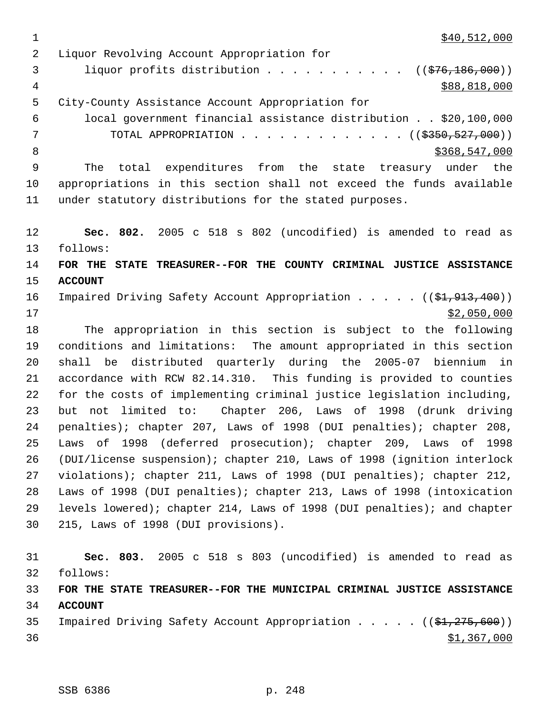$\frac{1}{340}$ , 512, 000

 Liquor Revolving Account Appropriation for 3 liquor profits distribution . . . . . . . . . . ((\$76,186,000))  $\frac{4}{388,818,000}$  City-County Assistance Account Appropriation for local government financial assistance distribution . . \$20,100,000 7 TOTAL APPROPRIATION . . . . . . . . . . . . ((\$350,527,000)) 8 \$368,547,000 \$368,547,000 The total expenditures from the state treasury under the appropriations in this section shall not exceed the funds available under statutory distributions for the stated purposes. **Sec. 802.** 2005 c 518 s 802 (uncodified) is amended to read as follows: **FOR THE STATE TREASURER--FOR THE COUNTY CRIMINAL JUSTICE ASSISTANCE ACCOUNT**  16 Impaired Driving Safety Account Appropriation . . . . ((\$1,913,400)) \$2,050,000 The appropriation in this section is subject to the following conditions and limitations: The amount appropriated in this section shall be distributed quarterly during the 2005-07 biennium in accordance with RCW 82.14.310. This funding is provided to counties for the costs of implementing criminal justice legislation including, but not limited to: Chapter 206, Laws of 1998 (drunk driving penalties); chapter 207, Laws of 1998 (DUI penalties); chapter 208, Laws of 1998 (deferred prosecution); chapter 209, Laws of 1998 (DUI/license suspension); chapter 210, Laws of 1998 (ignition interlock violations); chapter 211, Laws of 1998 (DUI penalties); chapter 212, Laws of 1998 (DUI penalties); chapter 213, Laws of 1998 (intoxication levels lowered); chapter 214, Laws of 1998 (DUI penalties); and chapter 215, Laws of 1998 (DUI provisions). **Sec. 803.** 2005 c 518 s 803 (uncodified) is amended to read as follows: **FOR THE STATE TREASURER--FOR THE MUNICIPAL CRIMINAL JUSTICE ASSISTANCE ACCOUNT** 

35 Impaired Driving Safety Account Appropriation . . . . ((\$1,275,600))  $\frac{$1,367,000}{9}$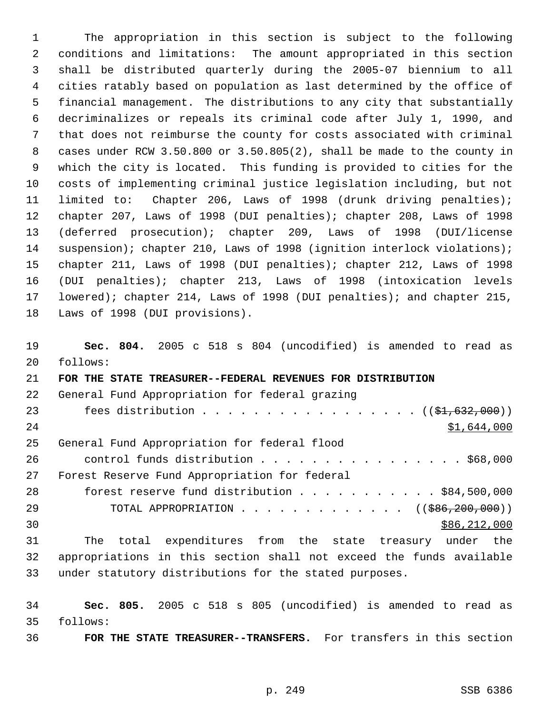The appropriation in this section is subject to the following conditions and limitations: The amount appropriated in this section shall be distributed quarterly during the 2005-07 biennium to all cities ratably based on population as last determined by the office of financial management. The distributions to any city that substantially decriminalizes or repeals its criminal code after July 1, 1990, and that does not reimburse the county for costs associated with criminal cases under RCW 3.50.800 or 3.50.805(2), shall be made to the county in which the city is located. This funding is provided to cities for the costs of implementing criminal justice legislation including, but not limited to: Chapter 206, Laws of 1998 (drunk driving penalties); chapter 207, Laws of 1998 (DUI penalties); chapter 208, Laws of 1998 (deferred prosecution); chapter 209, Laws of 1998 (DUI/license 14 suspension); chapter 210, Laws of 1998 (ignition interlock violations); chapter 211, Laws of 1998 (DUI penalties); chapter 212, Laws of 1998 (DUI penalties); chapter 213, Laws of 1998 (intoxication levels lowered); chapter 214, Laws of 1998 (DUI penalties); and chapter 215, Laws of 1998 (DUI provisions).

 **Sec. 804.** 2005 c 518 s 804 (uncodified) is amended to read as follows: **FOR THE STATE TREASURER--FEDERAL REVENUES FOR DISTRIBUTION** General Fund Appropriation for federal grazing 23 fees distribution . . . . . . . . . . . . . . . . ((\$1,632,000)) 24 \$1,644,000 General Fund Appropriation for federal flood 26 control funds distribution . . . . . . . . . . . . . . . \$68,000 Forest Reserve Fund Appropriation for federal forest reserve fund distribution . . . . . . . . . . . \$84,500,000 29 TOTAL APPROPRIATION . . . . . . . . . . . . . ((\$86,200,000))  $30 \,$  \$86,212,000 The total expenditures from the state treasury under the appropriations in this section shall not exceed the funds available under statutory distributions for the stated purposes.

 **Sec. 805.** 2005 c 518 s 805 (uncodified) is amended to read as follows:

**FOR THE STATE TREASURER--TRANSFERS.** For transfers in this section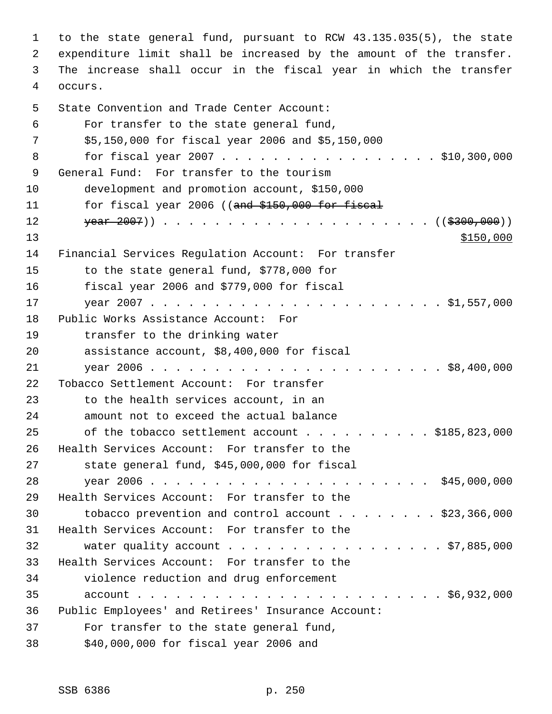to the state general fund, pursuant to RCW 43.135.035(5), the state expenditure limit shall be increased by the amount of the transfer. The increase shall occur in the fiscal year in which the transfer occurs. State Convention and Trade Center Account: For transfer to the state general fund, \$5,150,000 for fiscal year 2006 and \$5,150,000 8 for fiscal year 2007 . . . . . . . . . . . . . . . . \$10,300,000 General Fund: For transfer to the tourism development and promotion account, \$150,000 11 for fiscal year 2006 ((and \$150,000 for fiscal year 2007)) . . . . . . . . . . . . . . . . . . . . . ((\$300,000))  $\frac{$150,000}{ }$  Financial Services Regulation Account: For transfer to the state general fund, \$778,000 for fiscal year 2006 and \$779,000 for fiscal year 2007 . . . . . . . . . . . . . . . . . . . . . . . \$1,557,000 Public Works Assistance Account: For transfer to the drinking water assistance account, \$8,400,000 for fiscal year 2006 . . . . . . . . . . . . . . . . . . . . . . . \$8,400,000 Tobacco Settlement Account: For transfer to the health services account, in an amount not to exceed the actual balance 25 of the tobacco settlement account . . . . . . . . . \$185,823,000 Health Services Account: For transfer to the state general fund, \$45,000,000 for fiscal year 2006 . . . . . . . . . . . . . . . . . . . . . . \$45,000,000 Health Services Account: For transfer to the tobacco prevention and control account . . . . . . . . \$23,366,000 Health Services Account: For transfer to the 32 water quality account . . . . . . . . . . . . . . . . \$7,885,000 Health Services Account: For transfer to the violence reduction and drug enforcement account . . . . . . . . . . . . . . . . . . . . . . . . \$6,932,000 Public Employees' and Retirees' Insurance Account: For transfer to the state general fund, \$40,000,000 for fiscal year 2006 and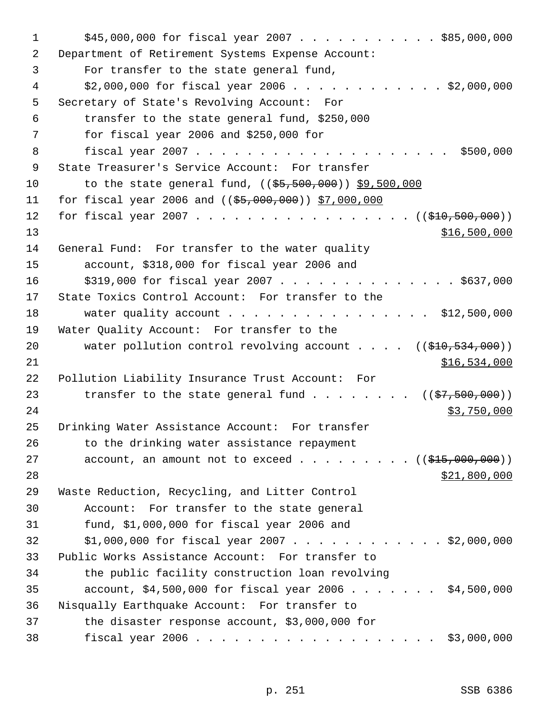| 1  | $$45,000,000$ for fiscal year 2007 \$85,000,000                                      |
|----|--------------------------------------------------------------------------------------|
| 2  | Department of Retirement Systems Expense Account:                                    |
| 3  | For transfer to the state general fund,                                              |
| 4  | $$2,000,000$ for fiscal year 2006 \$2,000,000                                        |
| 5  | Secretary of State's Revolving Account: For                                          |
| 6  | transfer to the state general fund, \$250,000                                        |
| 7  | for fiscal year 2006 and $$250,000$ for                                              |
| 8  |                                                                                      |
| 9  | State Treasurer's Service Account: For transfer                                      |
| 10 | to the state general fund, $((\frac{25}{5}, 500, 000))$ \$9,500,000                  |
| 11 | for fiscal year 2006 and $($ $($ \$5,000,000) $)$ \$7,000,000                        |
| 12 | for fiscal year 2007 ( $(\frac{210}{500}, \frac{500}{100})$ )                        |
| 13 | <u>\$16,500,000</u>                                                                  |
| 14 | General Fund: For transfer to the water quality                                      |
| 15 | account, \$318,000 for fiscal year 2006 and                                          |
| 16 | $$319,000$ for fiscal year 2007 \$637,000                                            |
| 17 | State Toxics Control Account: For transfer to the                                    |
| 18 | water quality account \$12,500,000                                                   |
| 19 | Water Quality Account: For transfer to the                                           |
| 20 | water pollution control revolving account $($ $($ $\frac{210}{534}, \frac{000}{10})$ |
| 21 | \$16,534,000                                                                         |
| 22 | Pollution Liability Insurance Trust Account: For                                     |
| 23 | transfer to the state general fund $($ $($ \$7,500,000) $)$                          |
| 24 | \$3,750,000                                                                          |
| 25 | Drinking Water Assistance Account: For transfer                                      |
| 26 | to the drinking water assistance repayment                                           |
| 27 | account, an amount not to exceed $($ $)$ $)$                                         |
| 28 | \$21,800,000                                                                         |
| 29 | Waste Reduction, Recycling, and Litter Control                                       |
| 30 | Account: For transfer to the state general                                           |
| 31 | fund, $$1,000,000$ for fiscal year 2006 and                                          |
| 32 | $$1,000,000$ for fiscal year 2007 \$2,000,000                                        |
| 33 | Public Works Assistance Account: For transfer to                                     |
| 34 | the public facility construction loan revolving                                      |
| 35 | $account, $4,500,000$ for fiscal year 2006 \$4,500,000                               |
| 36 | Nisqually Earthquake Account: For transfer to                                        |
| 37 | the disaster response account, \$3,000,000 for                                       |
| 38 | \$3,000,000                                                                          |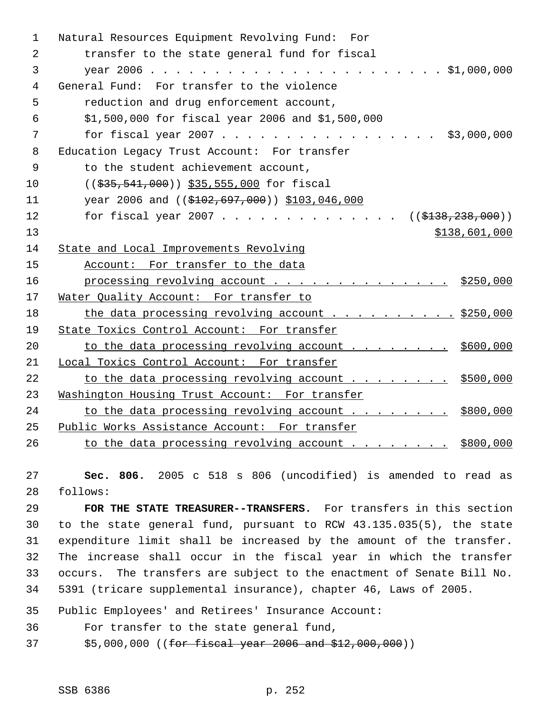| 1              | Natural Resources Equipment Revolving Fund: For                |
|----------------|----------------------------------------------------------------|
| 2              | transfer to the state general fund for fiscal                  |
| 3              |                                                                |
| 4              | General Fund: For transfer to the violence                     |
| 5              | reduction and drug enforcement account,                        |
| 6              | \$1,500,000 for fiscal year 2006 and \$1,500,000               |
| 7              | for fiscal year 2007<br>\$3,000,000                            |
| 8              | Education Legacy Trust Account: For transfer                   |
| $\overline{9}$ | to the student achievement account,                            |
| 10             | ((\$35,541,000)) \$35,555,000 for fiscal                       |
| 11             | year 2006 and $((\$102, 697, 000))$ \$103,046,000              |
| 12             | for fiscal year 2007 ( $(\frac{1338}{238}, \frac{238}{200})$ ) |
| 13             | \$138,601,000                                                  |
| 14             | State and Local Improvements Revolving                         |
| 15             | Account: For transfer to the data                              |
| 16             | processing revolving account $\cdots$ 9250,000                 |
| 17             | Water Quality Account: For transfer to                         |
| 18             | the data processing revolving account \$250,000                |
| 19             | State Toxics Control Account: For transfer                     |
| 20             | to the data processing revolving account \$600,000             |
| 21             | Local Toxics Control Account: For transfer                     |
| 22             | to the data processing revolving account \$500,000             |
| 23             | Washington Housing Trust Account: For transfer                 |
| 24             | to the data processing revolving account \$800,000             |
| 25             | Public Works Assistance Account: For transfer                  |
| 26             | to the data processing revolving account \$800,000             |

 **Sec. 806.** 2005 c 518 s 806 (uncodified) is amended to read as follows:

 **FOR THE STATE TREASURER--TRANSFERS.** For transfers in this section to the state general fund, pursuant to RCW 43.135.035(5), the state expenditure limit shall be increased by the amount of the transfer. The increase shall occur in the fiscal year in which the transfer occurs. The transfers are subject to the enactment of Senate Bill No. 5391 (tricare supplemental insurance), chapter 46, Laws of 2005.

Public Employees' and Retirees' Insurance Account:

For transfer to the state general fund,

37 \$5,000,000 ((for fiscal year 2006 and \$12,000,000))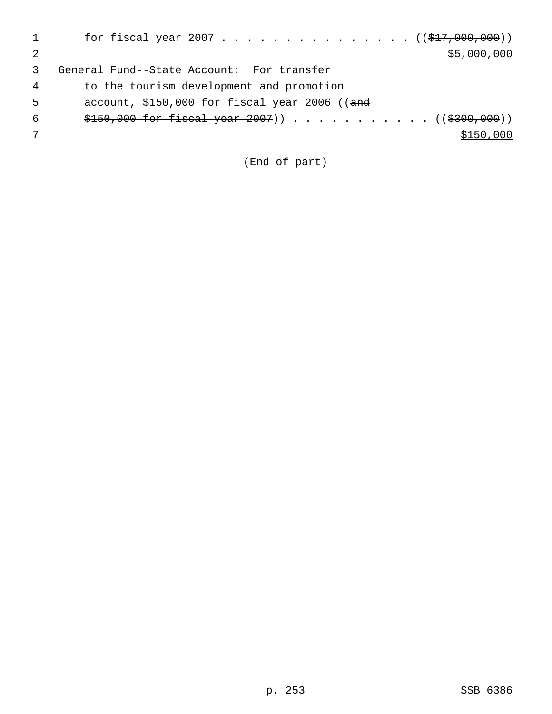|   | for fiscal year 2007 ( $(\frac{277}{600}, 000)$ ) |
|---|---------------------------------------------------|
|   | \$5,000,000                                       |
|   | General Fund--State Account: For transfer         |
| 4 | to the tourism development and promotion          |
| 5 | account, $$150,000$ for fiscal year 2006 ((and    |
| 6 |                                                   |
|   | \$150,000                                         |
|   |                                                   |

(End of part)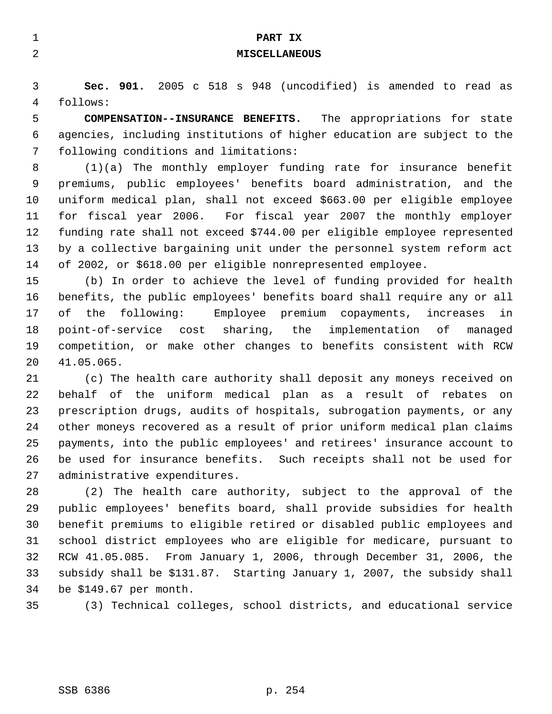| $\mathbf{1}$ | PART IX                                                                  |
|--------------|--------------------------------------------------------------------------|
| 2            | <b>MISCELLANEOUS</b>                                                     |
|              |                                                                          |
| 3            | Sec. 901. 2005 c 518 s 948 (uncodified) is amended to read as            |
| 4            | follows:                                                                 |
| 5            | COMPENSATION--INSURANCE BENEFITS. The appropriations for state           |
| 6            | agencies, including institutions of higher education are subject to the  |
| 7            | following conditions and limitations:                                    |
| 8            | $(1)(a)$ The monthly employer funding rate for insurance benefit         |
| 9            | premiums, public employees' benefits board administration, and the       |
| 10           | uniform medical plan, shall not exceed \$663.00 per eligible employee    |
| 11           | for fiscal year 2006. For fiscal year 2007 the monthly employer          |
| 12           | funding rate shall not exceed \$744.00 per eligible employee represented |
| 13           | by a collective bargaining unit under the personnel system reform act    |
| 14           | of 2002, or \$618.00 per eligible nonrepresented employee.               |
| 15           | (b) In order to achieve the level of funding provided for health         |
| 16           | benefits, the public employees' benefits board shall require any or all  |
| 17           | the following: Employee premium copayments, increases<br>оf<br>in        |
| 18           | point-of-service cost sharing, the<br>implementation of<br>managed       |
| 19           | competition, or make other changes to benefits consistent with RCW       |
| 20           | 41.05.065.                                                               |
| 21           | (c) The health care authority shall deposit any moneys received on       |
| 22           | behalf of the uniform medical plan as a result of rebates on             |
| 23           | prescription drugs, audits of hospitals, subrogation payments, or any    |
| 24           | other moneys recovered as a result of prior uniform medical plan claims  |
| 25           | payments, into the public employees' and retirees' insurance account to  |
| 26           | be used for insurance benefits. Such receipts shall not be used for      |

 (2) The health care authority, subject to the approval of the public employees' benefits board, shall provide subsidies for health benefit premiums to eligible retired or disabled public employees and school district employees who are eligible for medicare, pursuant to RCW 41.05.085. From January 1, 2006, through December 31, 2006, the subsidy shall be \$131.87. Starting January 1, 2007, the subsidy shall be \$149.67 per month.

(3) Technical colleges, school districts, and educational service

administrative expenditures.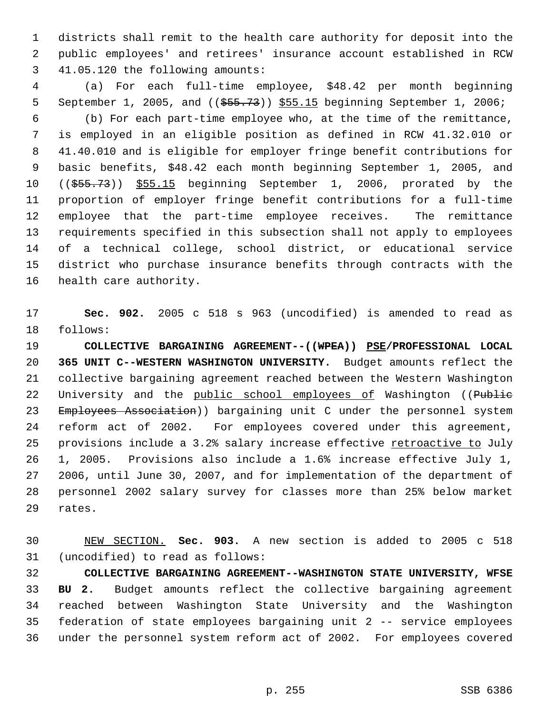districts shall remit to the health care authority for deposit into the public employees' and retirees' insurance account established in RCW 41.05.120 the following amounts:

 (a) For each full-time employee, \$48.42 per month beginning 5 September 1, 2005, and (( $\frac{2005}{1000}$ ,  $\frac{555.15}{1000}$  beginning September 1, 2006; (b) For each part-time employee who, at the time of the remittance, is employed in an eligible position as defined in RCW 41.32.010 or 41.40.010 and is eligible for employer fringe benefit contributions for basic benefits, \$48.42 each month beginning September 1, 2005, and ((\$55.73)) \$55.15 beginning September 1, 2006, prorated by the proportion of employer fringe benefit contributions for a full-time employee that the part-time employee receives. The remittance requirements specified in this subsection shall not apply to employees of a technical college, school district, or educational service district who purchase insurance benefits through contracts with the health care authority.

 **Sec. 902.** 2005 c 518 s 963 (uncodified) is amended to read as follows:

 **COLLECTIVE BARGAINING AGREEMENT--((WPEA)) PSE/PROFESSIONAL LOCAL 365 UNIT C--WESTERN WASHINGTON UNIVERSITY.** Budget amounts reflect the collective bargaining agreement reached between the Western Washington 22 University and the public school employees of Washington ((Public 23 Employees Association)) bargaining unit C under the personnel system reform act of 2002. For employees covered under this agreement, 25 provisions include a 3.2% salary increase effective retroactive to July 1, 2005. Provisions also include a 1.6% increase effective July 1, 2006, until June 30, 2007, and for implementation of the department of personnel 2002 salary survey for classes more than 25% below market rates.

 NEW SECTION. **Sec. 903.** A new section is added to 2005 c 518 (uncodified) to read as follows:

 **COLLECTIVE BARGAINING AGREEMENT--WASHINGTON STATE UNIVERSITY, WFSE BU 2.** Budget amounts reflect the collective bargaining agreement reached between Washington State University and the Washington federation of state employees bargaining unit 2 -- service employees under the personnel system reform act of 2002. For employees covered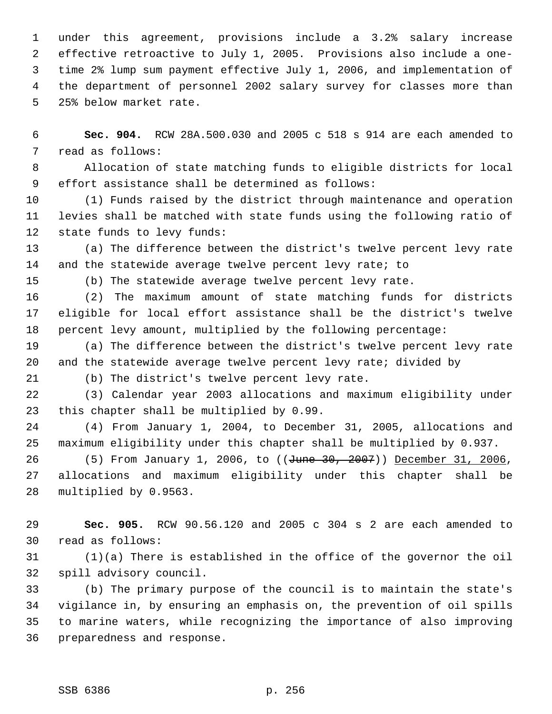under this agreement, provisions include a 3.2% salary increase effective retroactive to July 1, 2005. Provisions also include a one- time 2% lump sum payment effective July 1, 2006, and implementation of the department of personnel 2002 salary survey for classes more than 25% below market rate.

 **Sec. 904.** RCW 28A.500.030 and 2005 c 518 s 914 are each amended to read as follows:

 Allocation of state matching funds to eligible districts for local effort assistance shall be determined as follows:

 (1) Funds raised by the district through maintenance and operation levies shall be matched with state funds using the following ratio of state funds to levy funds:

 (a) The difference between the district's twelve percent levy rate 14 and the statewide average twelve percent levy rate; to

(b) The statewide average twelve percent levy rate.

 (2) The maximum amount of state matching funds for districts eligible for local effort assistance shall be the district's twelve percent levy amount, multiplied by the following percentage:

 (a) The difference between the district's twelve percent levy rate and the statewide average twelve percent levy rate; divided by

(b) The district's twelve percent levy rate.

 (3) Calendar year 2003 allocations and maximum eligibility under this chapter shall be multiplied by 0.99.

 (4) From January 1, 2004, to December 31, 2005, allocations and maximum eligibility under this chapter shall be multiplied by 0.937.

26 (5) From January 1, 2006, to ((June 30, 2007)) December 31, 2006, allocations and maximum eligibility under this chapter shall be multiplied by 0.9563.

 **Sec. 905.** RCW 90.56.120 and 2005 c 304 s 2 are each amended to read as follows:

 (1)(a) There is established in the office of the governor the oil spill advisory council.

 (b) The primary purpose of the council is to maintain the state's vigilance in, by ensuring an emphasis on, the prevention of oil spills to marine waters, while recognizing the importance of also improving preparedness and response.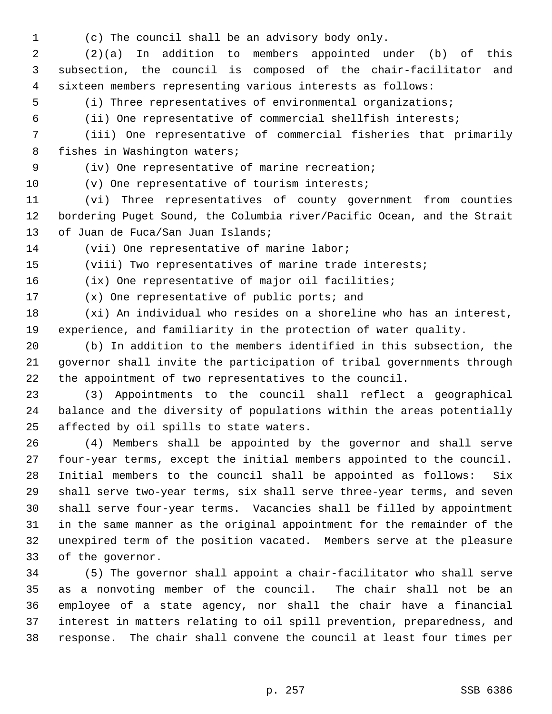(c) The council shall be an advisory body only.

 (2)(a) In addition to members appointed under (b) of this subsection, the council is composed of the chair-facilitator and sixteen members representing various interests as follows:

(i) Three representatives of environmental organizations;

(ii) One representative of commercial shellfish interests;

 (iii) One representative of commercial fisheries that primarily fishes in Washington waters;

(iv) One representative of marine recreation;

(v) One representative of tourism interests;

 (vi) Three representatives of county government from counties bordering Puget Sound, the Columbia river/Pacific Ocean, and the Strait of Juan de Fuca/San Juan Islands;

(vii) One representative of marine labor;

(viii) Two representatives of marine trade interests;

(ix) One representative of major oil facilities;

(x) One representative of public ports; and

 (xi) An individual who resides on a shoreline who has an interest, experience, and familiarity in the protection of water quality.

 (b) In addition to the members identified in this subsection, the governor shall invite the participation of tribal governments through the appointment of two representatives to the council.

 (3) Appointments to the council shall reflect a geographical balance and the diversity of populations within the areas potentially affected by oil spills to state waters.

 (4) Members shall be appointed by the governor and shall serve four-year terms, except the initial members appointed to the council. Initial members to the council shall be appointed as follows: Six shall serve two-year terms, six shall serve three-year terms, and seven shall serve four-year terms. Vacancies shall be filled by appointment in the same manner as the original appointment for the remainder of the unexpired term of the position vacated. Members serve at the pleasure of the governor.

 (5) The governor shall appoint a chair-facilitator who shall serve as a nonvoting member of the council. The chair shall not be an employee of a state agency, nor shall the chair have a financial interest in matters relating to oil spill prevention, preparedness, and response. The chair shall convene the council at least four times per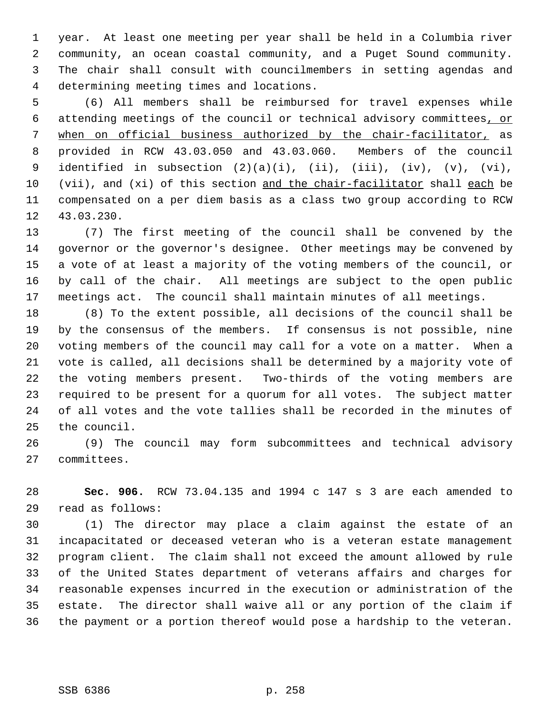year. At least one meeting per year shall be held in a Columbia river community, an ocean coastal community, and a Puget Sound community. The chair shall consult with councilmembers in setting agendas and determining meeting times and locations.

 (6) All members shall be reimbursed for travel expenses while attending meetings of the council or technical advisory committees, or when on official business authorized by the chair-facilitator, as provided in RCW 43.03.050 and 43.03.060. Members of the council 9 identified in subsection  $(2)(a)(i)$ ,  $(ii)$ ,  $(iii)$ ,  $(iv)$ ,  $(v)$ ,  $(vi)$ , (vii), and (xi) of this section and the chair-facilitator shall each be compensated on a per diem basis as a class two group according to RCW 43.03.230.

 (7) The first meeting of the council shall be convened by the governor or the governor's designee. Other meetings may be convened by a vote of at least a majority of the voting members of the council, or by call of the chair. All meetings are subject to the open public meetings act. The council shall maintain minutes of all meetings.

 (8) To the extent possible, all decisions of the council shall be by the consensus of the members. If consensus is not possible, nine voting members of the council may call for a vote on a matter. When a vote is called, all decisions shall be determined by a majority vote of the voting members present. Two-thirds of the voting members are required to be present for a quorum for all votes. The subject matter of all votes and the vote tallies shall be recorded in the minutes of the council.

 (9) The council may form subcommittees and technical advisory committees.

 **Sec. 906.** RCW 73.04.135 and 1994 c 147 s 3 are each amended to read as follows:

 (1) The director may place a claim against the estate of an incapacitated or deceased veteran who is a veteran estate management program client. The claim shall not exceed the amount allowed by rule of the United States department of veterans affairs and charges for reasonable expenses incurred in the execution or administration of the estate. The director shall waive all or any portion of the claim if the payment or a portion thereof would pose a hardship to the veteran.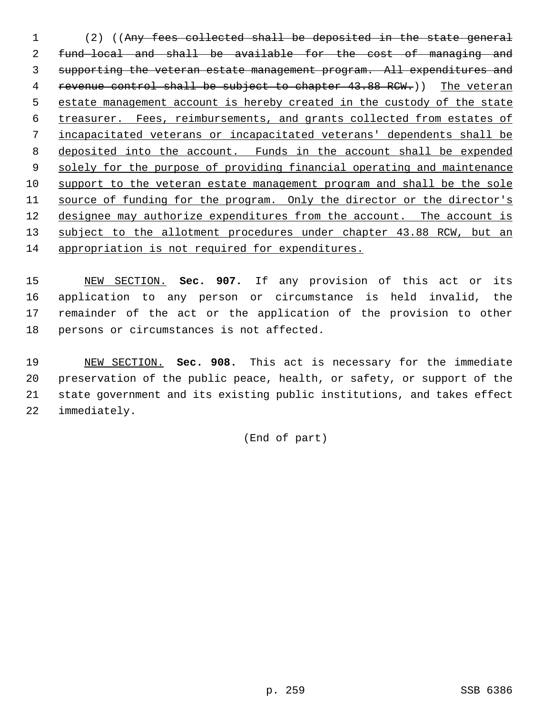(2) ((Any fees collected shall be deposited in the state general fund—local and shall be available for the cost of managing and supporting the veteran estate management program. All expenditures and 4 revenue control shall be subject to chapter 43.88 RCW.)) The veteran estate management account is hereby created in the custody of the state treasurer. Fees, reimbursements, and grants collected from estates of incapacitated veterans or incapacitated veterans' dependents shall be deposited into the account. Funds in the account shall be expended 9 solely for the purpose of providing financial operating and maintenance support to the veteran estate management program and shall be the sole 11 source of funding for the program. Only the director or the director's 12 designee may authorize expenditures from the account. The account is 13 subject to the allotment procedures under chapter 43.88 RCW, but an appropriation is not required for expenditures.

 NEW SECTION. **Sec. 907.** If any provision of this act or its application to any person or circumstance is held invalid, the remainder of the act or the application of the provision to other persons or circumstances is not affected.

 NEW SECTION. **Sec. 908.** This act is necessary for the immediate preservation of the public peace, health, or safety, or support of the state government and its existing public institutions, and takes effect immediately.

(End of part)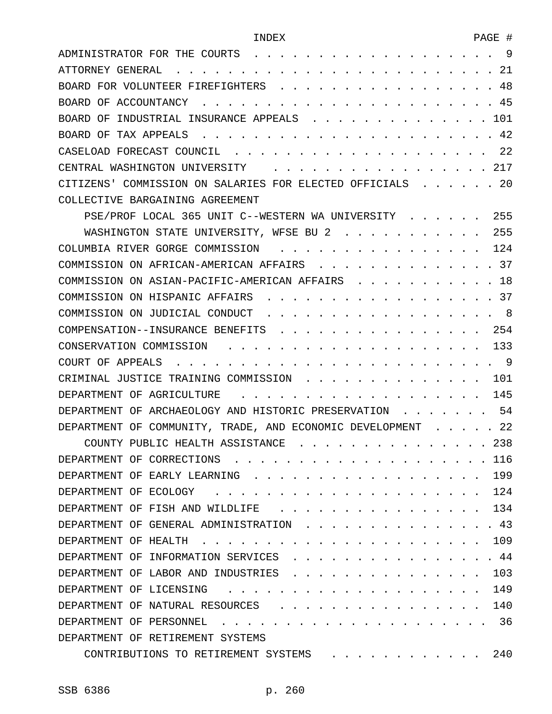| ADMINISTRATOR FOR THE COURTS<br>9                                                     |
|---------------------------------------------------------------------------------------|
| 21<br>ATTORNEY GENERAL                                                                |
| 48<br>BOARD FOR VOLUNTEER FIREFIGHTERS                                                |
| 45<br>BOARD OF ACCOUNTANCY                                                            |
| 101<br>BOARD OF<br>INDUSTRIAL INSURANCE APPEALS                                       |
| 42<br>BOARD OF TAX APPEALS                                                            |
| CASELOAD FORECAST COUNCIL<br>22                                                       |
| 217<br>CENTRAL WASHINGTON UNIVERSITY                                                  |
| -20<br>CITIZENS' COMMISSION ON SALARIES FOR ELECTED OFFICIALS                         |
| COLLECTIVE BARGAINING AGREEMENT                                                       |
| 255<br>PSE/PROF LOCAL 365 UNIT C--WESTERN WA UNIVERSITY                               |
| 255<br>WASHINGTON STATE UNIVERSITY, WFSE BU 2                                         |
| 124<br>COLUMBIA RIVER GORGE COMMISSION<br>$\mathbf{r}$ $\mathbf{r}$ $\mathbf{r}$      |
| 37<br>COMMISSION ON AFRICAN-AMERICAN AFFAIRS                                          |
| 18<br>COMMISSION ON ASIAN-PACIFIC-AMERICAN AFFAIRS                                    |
| 37<br>COMMISSION ON HISPANIC AFFAIRS                                                  |
| 8<br>COMMISSION ON JUDICIAL CONDUCT                                                   |
| 254<br>COMPENSATION--INSURANCE BENEFITS                                               |
| 133<br>CONSERVATION COMMISSION                                                        |
| 9<br>COURT OF APPEALS                                                                 |
| 101<br>CRIMINAL JUSTICE TRAINING COMMISSION                                           |
| 145<br>DEPARTMENT OF AGRICULTURE                                                      |
| 54<br>DEPARTMENT OF ARCHAEOLOGY AND HISTORIC PRESERVATION                             |
| 22<br>DEPARTMENT OF COMMUNITY, TRADE, AND ECONOMIC DEVELOPMENT                        |
| COUNTY PUBLIC HEALTH ASSISTANCE<br>238                                                |
| 116<br>DEPARTMENT OF CORRECTIONS                                                      |
| DEPARTMENT OF EARLY LEARNING<br>199                                                   |
| 124<br>DEPARTMENT OF ECOLOGY                                                          |
| DEPARTMENT OF FISH AND WILDLIFE<br>134                                                |
| 43<br>DEPARTMENT OF GENERAL ADMINISTRATION                                            |
| 109<br>DEPARTMENT OF HEALTH                                                           |
| 44<br>DEPARTMENT OF<br>INFORMATION SERVICES                                           |
| 103<br>DEPARTMENT OF LABOR AND INDUSTRIES                                             |
| 149<br>DEPARTMENT OF LICENSING                                                        |
| DEPARTMENT OF NATURAL RESOURCES<br>140                                                |
| 36<br>DEPARTMENT OF PERSONNEL                                                         |
| DEPARTMENT OF RETIREMENT SYSTEMS                                                      |
| 240<br>CONTRIBUTIONS TO RETIREMENT SYSTEMS<br>$\cdot$ $\cdot$ $\cdot$ $\cdot$ $\cdot$ |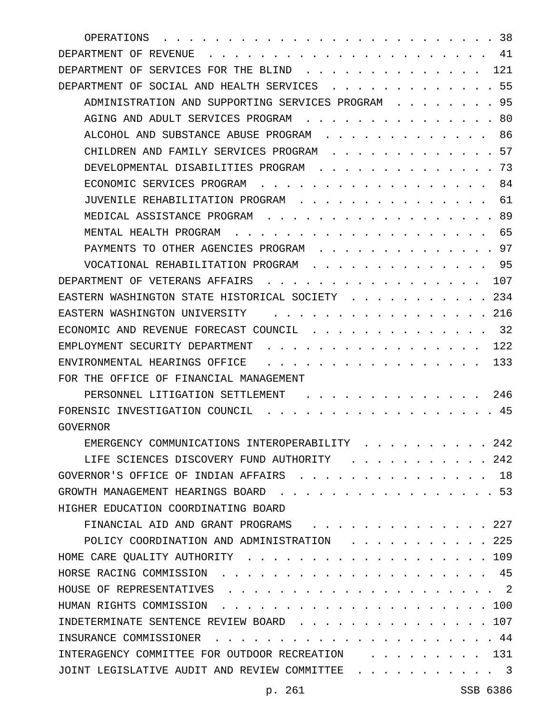| 38<br>OPERATIONS                                                                                                                    |
|-------------------------------------------------------------------------------------------------------------------------------------|
| 41<br>DEPARTMENT OF REVENUE                                                                                                         |
| 121<br>DEPARTMENT OF SERVICES FOR THE BLIND                                                                                         |
| 55<br>DEPARTMENT OF SOCIAL AND HEALTH SERVICES                                                                                      |
| 95<br>ADMINISTRATION AND SUPPORTING SERVICES PROGRAM                                                                                |
| 80<br>AGING AND ADULT SERVICES PROGRAM                                                                                              |
| 86<br>ALCOHOL AND SUBSTANCE ABUSE PROGRAM                                                                                           |
| 57<br>CHILDREN AND FAMILY SERVICES PROGRAM                                                                                          |
| 73<br>DEVELOPMENTAL DISABILITIES PROGRAM                                                                                            |
| 84<br>ECONOMIC SERVICES PROGRAM                                                                                                     |
| 61<br>JUVENILE REHABILITATION PROGRAM                                                                                               |
| 89<br>MEDICAL ASSISTANCE PROGRAM                                                                                                    |
| 65<br>MENTAL HEALTH PROGRAM                                                                                                         |
| 97<br>PAYMENTS TO OTHER AGENCIES PROGRAM                                                                                            |
| 95<br>VOCATIONAL REHABILITATION PROGRAM                                                                                             |
| 107<br>DEPARTMENT OF VETERANS AFFAIRS                                                                                               |
| 234<br>EASTERN WASHINGTON STATE HISTORICAL SOCIETY                                                                                  |
| 216<br>EASTERN WASHINGTON UNIVERSITY                                                                                                |
| 32<br>ECONOMIC AND REVENUE FORECAST COUNCIL                                                                                         |
| 122<br>EMPLOYMENT SECURITY DEPARTMENT                                                                                               |
| 133<br>ENVIRONMENTAL HEARINGS OFFICE                                                                                                |
| FOR THE OFFICE OF FINANCIAL MANAGEMENT                                                                                              |
| PERSONNEL LITIGATION SETTLEMENT<br>246                                                                                              |
| 45<br>FORENSIC INVESTIGATION COUNCIL                                                                                                |
| GOVERNOR                                                                                                                            |
| EMERGENCY COMMUNICATIONS INTEROPERABILITY<br>242                                                                                    |
| 242<br>LIFE SCIENCES DISCOVERY FUND AUTHORITY                                                                                       |
| 18<br>GOVERNOR'S OFFICE OF INDIAN AFFAIRS                                                                                           |
| . 53<br>GROWTH MANAGEMENT HEARINGS BOARD<br>$\mathbf{r}$ , $\mathbf{r}$ , $\mathbf{r}$ , $\mathbf{r}$ , $\mathbf{r}$ , $\mathbf{r}$ |
| HIGHER EDUCATION COORDINATING BOARD                                                                                                 |
| $\therefore$ 227<br>FINANCIAL AID AND GRANT PROGRAMS                                                                                |
| 225<br>POLICY COORDINATION AND ADMINISTRATION                                                                                       |
| 109<br>HOME CARE QUALITY AUTHORITY                                                                                                  |
| 45<br>HORSE RACING COMMISSION.                                                                                                      |
| $\cdot$ $\cdot$ 2<br>HOUSE OF REPRESENTATIVES                                                                                       |
| HUMAN RIGHTS COMMISSION<br>. 100                                                                                                    |
| INDETERMINATE SENTENCE REVIEW BOARD<br>$\,.\,.\,107$                                                                                |
| 44<br>INSURANCE COMMISSIONER                                                                                                        |
| INTERAGENCY COMMITTEE FOR OUTDOOR RECREATION<br>131                                                                                 |
| JOINT LEGISLATIVE AUDIT AND REVIEW COMMITTEE<br>$\cdot$ 3                                                                           |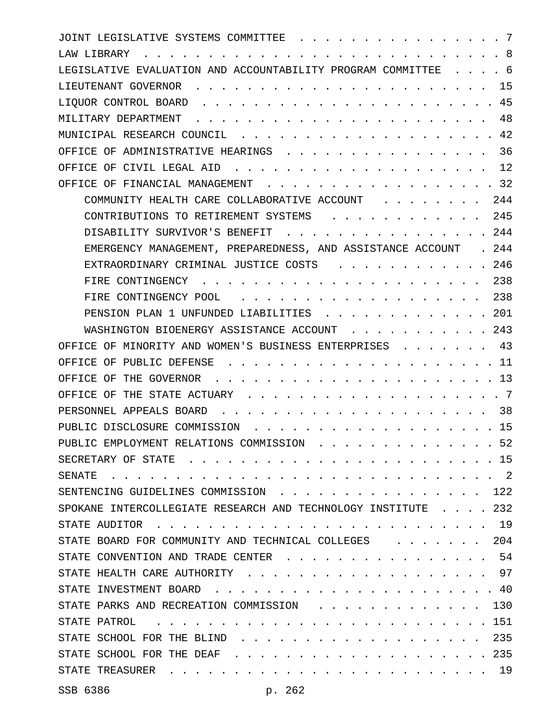| JOINT LEGISLATIVE SYSTEMS COMMITTEE<br>-7                                                |
|------------------------------------------------------------------------------------------|
| -8<br>LAW LIBRARY                                                                        |
| LEGISLATIVE EVALUATION AND ACCOUNTABILITY PROGRAM COMMITTEE<br>. 6                       |
| 15<br>LIEUTENANT GOVERNOR                                                                |
| . 45<br>LIQUOR CONTROL BOARD.                                                            |
| 48<br>MILITARY DEPARTMENT                                                                |
| .42<br>MUNICIPAL RESEARCH COUNCIL                                                        |
| 36<br>OFFICE OF ADMINISTRATIVE HEARINGS .<br>$\ddot{\phantom{1}}$                        |
| 12<br>OFFICE OF CIVIL LEGAL AID                                                          |
| 32<br>OFFICE OF FINANCIAL MANAGEMENT<br>$\sim$ $\sim$ $\sim$ $\sim$ $\sim$               |
| COMMUNITY HEALTH CARE COLLABORATIVE ACCOUNT<br>244                                       |
| 245<br>CONTRIBUTIONS TO RETIREMENT SYSTEMS                                               |
| . 244<br>DISABILITY SURVIVOR'S BENEFIT                                                   |
| EMERGENCY MANAGEMENT, PREPAREDNESS, AND ASSISTANCE ACCOUNT<br>. 244                      |
| .246<br>EXTRAORDINARY CRIMINAL JUSTICE COSTS                                             |
| 238<br>FIRE CONTINGENCY                                                                  |
| 238<br>FIRE CONTINGENCY POOL<br>$\cdot$                                                  |
| . 201<br>PENSION PLAN 1 UNFUNDED LIABILITIES                                             |
| $. \; 243$<br>WASHINGTON BIOENERGY ASSISTANCE ACCOUNT                                    |
| 43<br>OFFICE OF MINORITY AND WOMEN'S BUSINESS ENTERPRISES                                |
| OFFICE OF PUBLIC DEFENSE<br>11                                                           |
| .13<br>OFFICE OF THE GOVERNOR<br>$\cdots$                                                |
| OFFICE OF THE STATE ACTUARY.<br>- 7                                                      |
| PERSONNEL APPEALS BOARD<br>38                                                            |
| PUBLIC DISCLOSURE COMMISSION<br>. 15                                                     |
| PUBLIC EMPLOYMENT RELATIONS COMMISSION 52                                                |
| SECRETARY OF STATE<br>. . 15                                                             |
| $\cdots$ 2<br>SENATE                                                                     |
| SENTENCING GUIDELINES COMMISSION<br>. 122                                                |
| SPOKANE INTERCOLLEGIATE RESEARCH AND TECHNOLOGY INSTITUTE 232                            |
| STATE AUDITOR<br>. . 19                                                                  |
| STATE BOARD FOR COMMUNITY AND TECHNICAL COLLEGES<br>. 204<br>$\sim$ $\sim$ $\sim$ $\sim$ |
| STATE CONVENTION AND TRADE CENTER<br>. . 54                                              |
| STATE HEALTH CARE AUTHORITY<br>. 97<br>$\sim$ $\sim$ $\sim$ $\sim$ $\sim$                |
| $\cdots$ 40<br>STATE INVESTMENT BOARD                                                    |
| STATE PARKS AND RECREATION COMMISSION<br>. . 130<br>$\mathbf{r}$ and $\mathbf{r}$        |
| STATE PATROL<br>. 151<br>$\mathbf{r}$                                                    |
| STATE SCHOOL FOR THE BLIND<br>. 235                                                      |
| . 235<br>STATE SCHOOL FOR THE DEAF<br>$\ddot{\phantom{a}}$<br>$\sim$                     |
| STATE TREASURER<br>. 19                                                                  |
|                                                                                          |